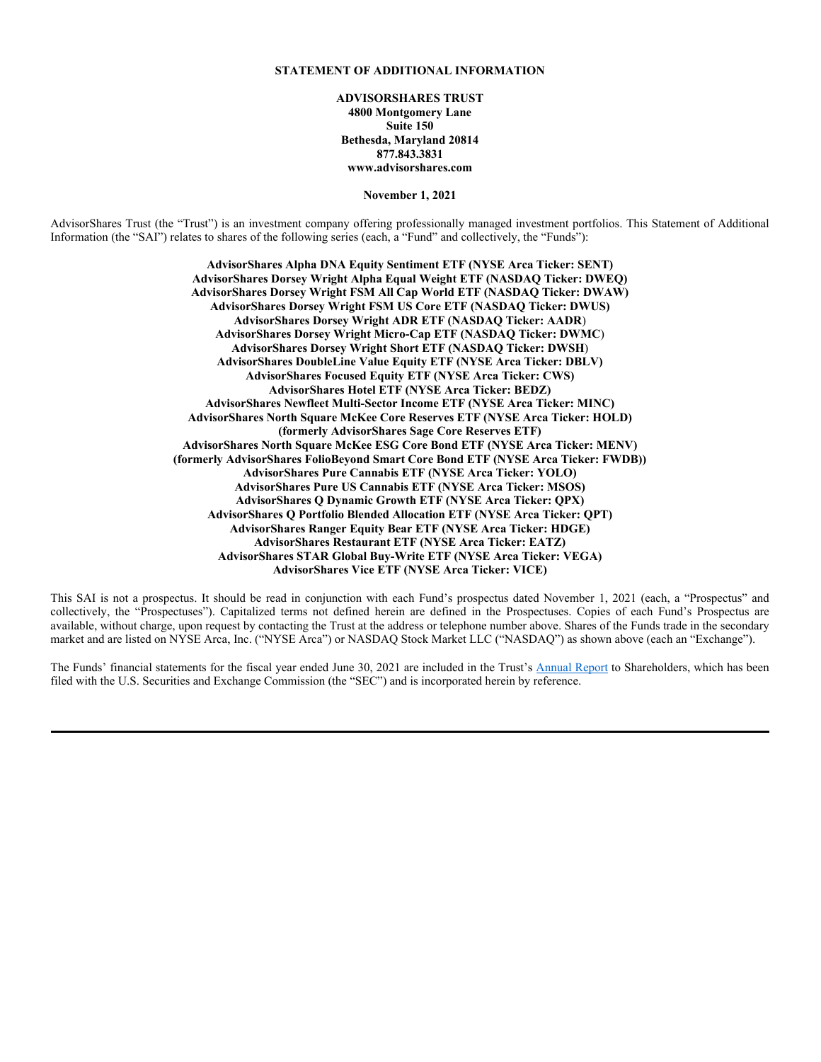### **ADVISORSHARES TRUST**

### **ADVISORSHARES STAR GLOBAL BUY-WRITE ETF NYSE Arca Ticker: VEGA**

## **Supplement dated December 3, 2021 to the Summary Prospectus, Prospectus and Statement of Additional Information dated November 1, 2021**

**This supplement provides new and additional information beyond that contained in the Summary Prospectus, Prospectus and Statement of Additional Information (the "SAI") for the AdvisorShares STAR Global Buy-Write ETF (the "Fund"). It should be read in conjunction with those documents and retained for future reference.**

Effective immediately, Mr. Robert Kellogg and Ms. Rebecca Valdez no longer serve as portfolio managers of the Fund. Mr. Kenneth Hyman continues to serve as portfolio manager. All references to Mr. Kellogg and Ms. Valdez in the Summary Prospectus, Prospectus and SAI are hereby deleted.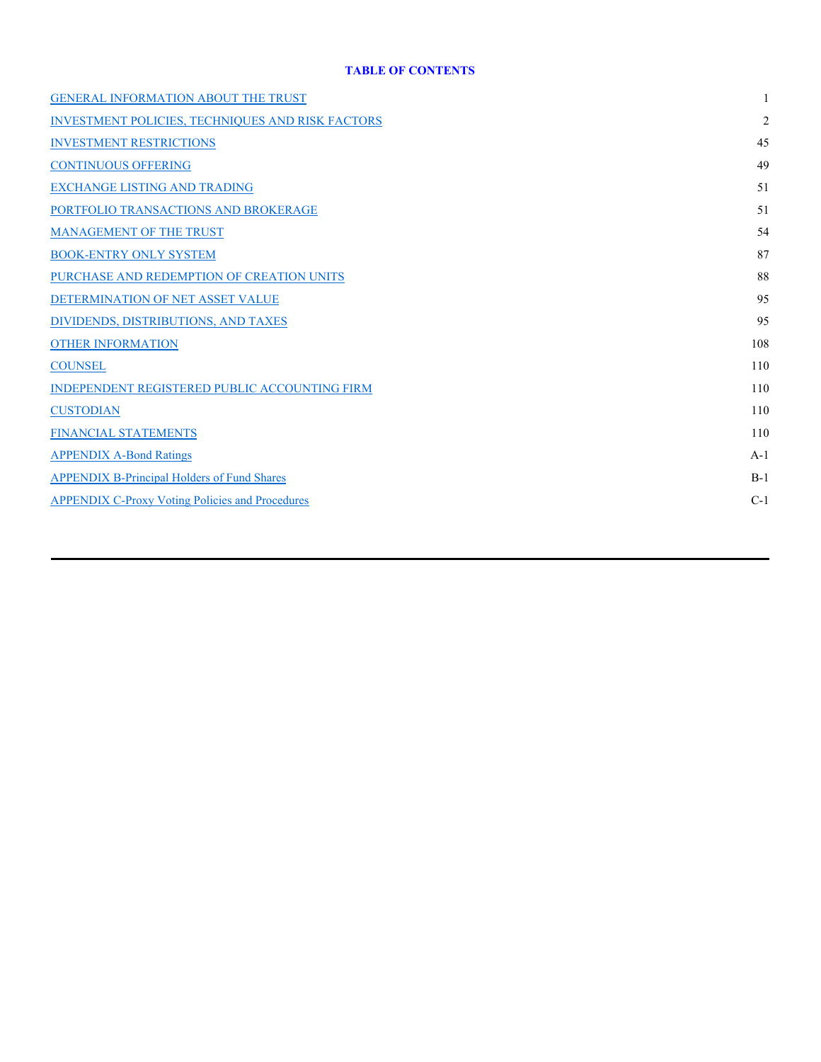# **ADVISORSHARES TRUST**

## **ADVISORSHARES PURE US CANNABIS ETF NYSE Arca Ticker: MSOS**

## **Supplement dated November 24, 2021 to the Statement of Additional Information dated November 1, 2021**

**This supplement provides new and additional information beyond that contained in the Statement of Additional Information (the "SAI") for the AdvisorShares Pure US Cannabis ETF (the "Fund") and should be read in conjunction with that document.**

Effective immediately, the following non-fundamental policy is added to the SAI with respect to the Fund:

The Fund may not invest in other investment company securities in reliance on Section  $12(d)(1)(F)$  or Section  $12(d)(1)(G)$  of the 1940 Act.

# **PLEASE RETAIN THIS SUPPLEMENT FOR FUTURE REFERENCE.**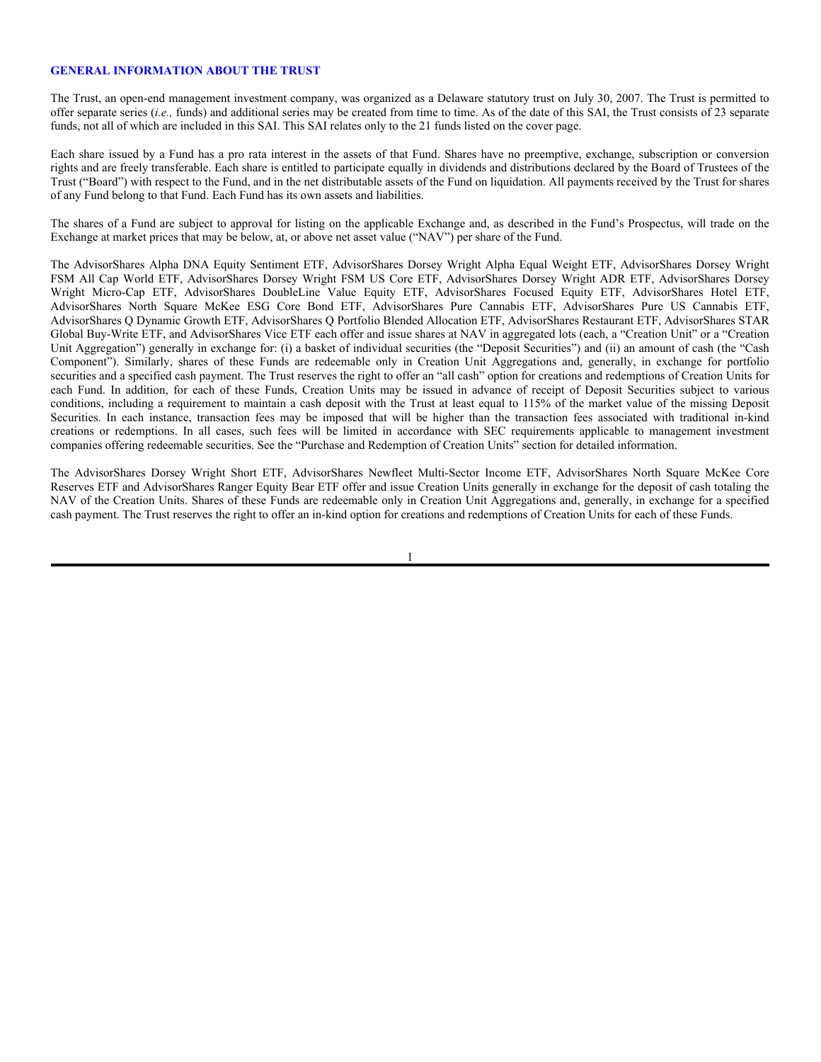#### **STATEMENT OF ADDITIONAL INFORMATION**

**ADVISORSHARES TRUST 4800 Montgomery Lane Suite 150 Bethesda, Maryland 20814 877.843.3831 www.advisorshares.com**

**November 1, 2021**

AdvisorShares Trust (the "Trust") is an investment company offering professionally managed investment portfolios. This Statement of Additional Information (the "SAI") relates to shares of the following series (each, a "Fund" and collectively, the "Funds"):

> **AdvisorShares Alpha DNA Equity Sentiment ETF (NYSE Arca Ticker: SENT) AdvisorShares Dorsey Wright Alpha Equal Weight ETF (NASDAQ Ticker: DWEQ) AdvisorShares Dorsey Wright FSM All Cap World ETF (NASDAQ Ticker: DWAW) AdvisorShares Dorsey Wright FSM US Core ETF (NASDAQ Ticker: DWUS) AdvisorShares Dorsey Wright ADR ETF (NASDAQ Ticker: AADR**) **AdvisorShares Dorsey Wright Micro-Cap ETF (NASDAQ Ticker: DWMC**) **AdvisorShares Dorsey Wright Short ETF (NASDAQ Ticker: DWSH**) **AdvisorShares DoubleLine Value Equity ETF (NYSE Arca Ticker: DBLV) AdvisorShares Focused Equity ETF (NYSE Arca Ticker: CWS) AdvisorShares Hotel ETF (NYSE Arca Ticker: BEDZ) AdvisorShares Newfleet Multi-Sector Income ETF (NYSE Arca Ticker: MINC) AdvisorShares North Square McKee Core Reserves ETF (NYSE Arca Ticker: HOLD) (formerly AdvisorShares Sage Core Reserves ETF) AdvisorShares North Square McKee ESG Core Bond ETF (NYSE Arca Ticker: MENV) (formerly AdvisorShares FolioBeyond Smart Core Bond ETF (NYSE Arca Ticker: FWDB)) AdvisorShares Pure Cannabis ETF (NYSE Arca Ticker: YOLO) AdvisorShares Pure US Cannabis ETF (NYSE Arca Ticker: MSOS) AdvisorShares Q Dynamic Growth ETF (NYSE Arca Ticker: QPX) AdvisorShares Q Portfolio Blended Allocation ETF (NYSE Arca Ticker: QPT) AdvisorShares Ranger Equity Bear ETF (NYSE Arca Ticker: HDGE) AdvisorShares Restaurant ETF (NYSE Arca Ticker: EATZ) AdvisorShares STAR Global Buy-Write ETF (NYSE Arca Ticker: VEGA) AdvisorShares Vice ETF (NYSE Arca Ticker: VICE)**

This SAI is not a prospectus. It should be read in conjunction with each Fund's prospectus dated November 1, 2021 (each, a "Prospectus" and collectively, the "Prospectuses"). Capitalized terms not defined herein are defined in the Prospectuses. Copies of each Fund's Prospectus are available, without charge, upon request by contacting the Trust at the address or telephone number above. Shares of the Funds trade in the secondary market and are listed on NYSE Arca, Inc. ("NYSE Arca") or NASDAQ Stock Market LLC ("NASDAQ") as shown above (each an "Exchange").

The Funds' financial statements for the fiscal year ended June 30, 2021 are included in the Trust's Annual Report to Shareholders, which has been filed with the U.S. Securities and Exchange Commission (the "SEC") and is incorporated herein by reference.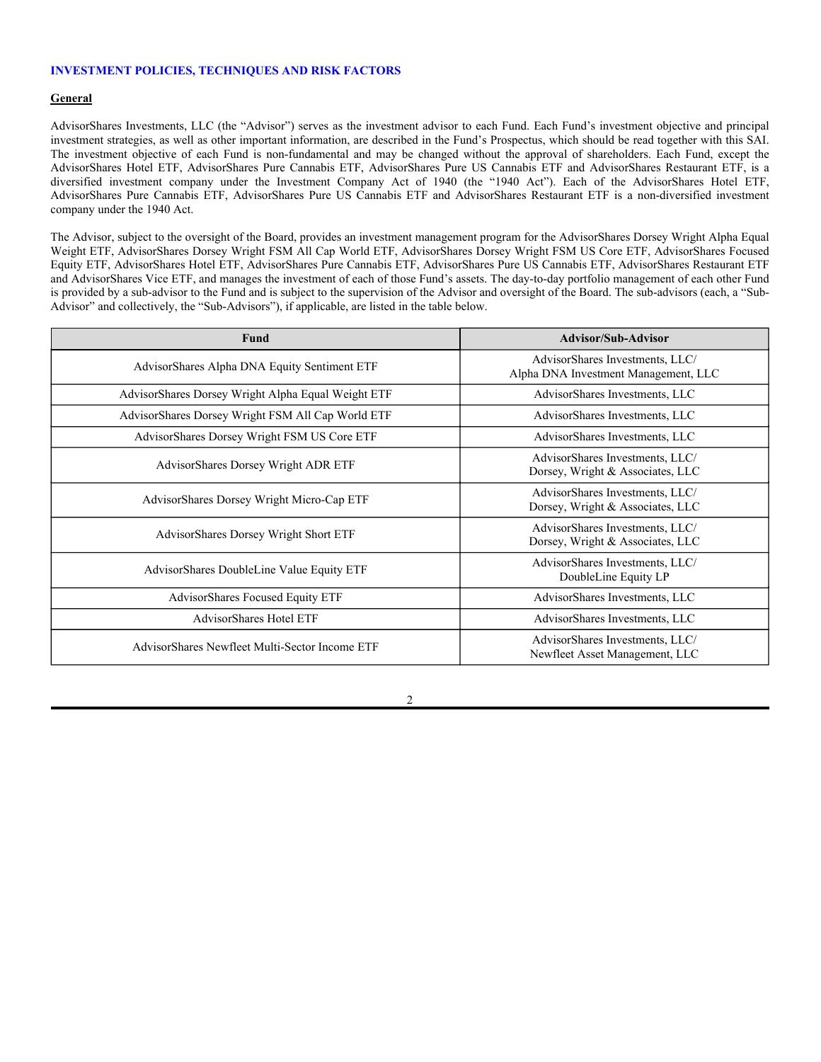### **TABLE OF CONTENTS**

| <b>GENERAL INFORMATION ABOUT THE TRUST</b>              | 1              |
|---------------------------------------------------------|----------------|
| <b>INVESTMENT POLICIES, TECHNIQUES AND RISK FACTORS</b> | $\overline{2}$ |
| <b>INVESTMENT RESTRICTIONS</b>                          | 45             |
| <b>CONTINUOUS OFFERING</b>                              | 49             |
| <b>EXCHANGE LISTING AND TRADING</b>                     | 51             |
| PORTFOLIO TRANSACTIONS AND BROKERAGE                    | 51             |
| <b>MANAGEMENT OF THE TRUST</b>                          | 54             |
| <b>BOOK-ENTRY ONLY SYSTEM</b>                           | 87             |
| PURCHASE AND REDEMPTION OF CREATION UNITS               | 88             |
| DETERMINATION OF NET ASSET VALUE                        | 95             |
| DIVIDENDS, DISTRIBUTIONS, AND TAXES                     | 95             |
| <b>OTHER INFORMATION</b>                                | 108            |
| <b>COUNSEL</b>                                          | 110            |
| INDEPENDENT REGISTERED PUBLIC ACCOUNTING FIRM           | 110            |
| <b>CUSTODIAN</b>                                        | 110            |
| <b>FINANCIAL STATEMENTS</b>                             | 110            |
| <b>APPENDIX A-Bond Ratings</b>                          | $A-1$          |
| <b>APPENDIX B-Principal Holders of Fund Shares</b>      | $B-1$          |
| <b>APPENDIX C-Proxy Voting Policies and Procedures</b>  | $C-1$          |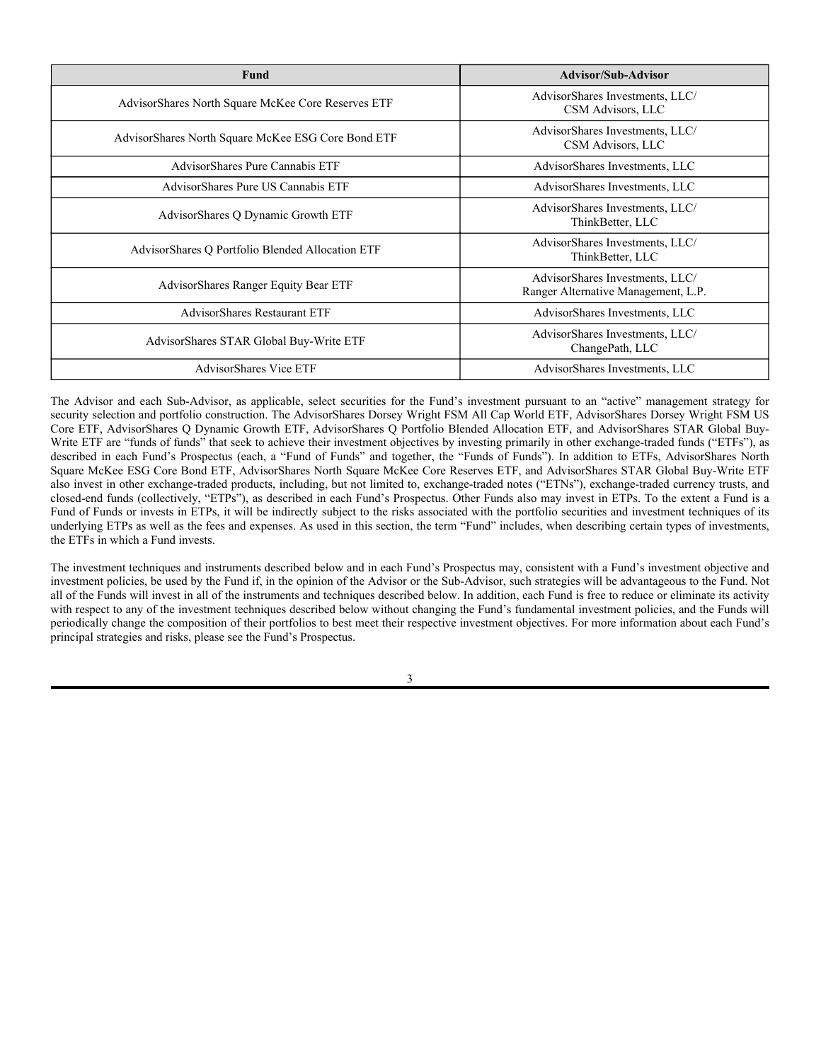#### **GENERAL INFORMATION ABOUT THE TRUST**

The Trust, an open-end management investment company, was organized as a Delaware statutory trust on July 30, 2007. The Trust is permitted to offer separate series (*i.e.,* funds) and additional series may be created from time to time. As of the date of this SAI, the Trust consists of 23 separate funds, not all of which are included in this SAI. This SAI relates only to the 21 funds listed on the cover page.

Each share issued by a Fund has a pro rata interest in the assets of that Fund. Shares have no preemptive, exchange, subscription or conversion rights and are freely transferable. Each share is entitled to participate equally in dividends and distributions declared by the Board of Trustees of the Trust ("Board") with respect to the Fund, and in the net distributable assets of the Fund on liquidation. All payments received by the Trust for shares of any Fund belong to that Fund. Each Fund has its own assets and liabilities.

The shares of a Fund are subject to approval for listing on the applicable Exchange and, as described in the Fund's Prospectus, will trade on the Exchange at market prices that may be below, at, or above net asset value ("NAV") per share of the Fund.

The AdvisorShares Alpha DNA Equity Sentiment ETF, AdvisorShares Dorsey Wright Alpha Equal Weight ETF, AdvisorShares Dorsey Wright FSM All Cap World ETF, AdvisorShares Dorsey Wright FSM US Core ETF, AdvisorShares Dorsey Wright ADR ETF, AdvisorShares Dorsey Wright Micro-Cap ETF, AdvisorShares DoubleLine Value Equity ETF, AdvisorShares Focused Equity ETF, AdvisorShares Hotel ETF, AdvisorShares North Square McKee ESG Core Bond ETF, AdvisorShares Pure Cannabis ETF, AdvisorShares Pure US Cannabis ETF, AdvisorShares Q Dynamic Growth ETF, AdvisorShares Q Portfolio Blended Allocation ETF, AdvisorShares Restaurant ETF, AdvisorShares STAR Global Buy-Write ETF, and AdvisorShares Vice ETF each offer and issue shares at NAV in aggregated lots (each, a "Creation Unit" or a "Creation Unit Aggregation") generally in exchange for: (i) a basket of individual securities (the "Deposit Securities") and (ii) an amount of cash (the "Cash Component"). Similarly, shares of these Funds are redeemable only in Creation Unit Aggregations and, generally, in exchange for portfolio securities and a specified cash payment. The Trust reserves the right to offer an "all cash" option for creations and redemptions of Creation Units for each Fund. In addition, for each of these Funds, Creation Units may be issued in advance of receipt of Deposit Securities subject to various conditions, including a requirement to maintain a cash deposit with the Trust at least equal to 115% of the market value of the missing Deposit Securities. In each instance, transaction fees may be imposed that will be higher than the transaction fees associated with traditional in-kind creations or redemptions. In all cases, such fees will be limited in accordance with SEC requirements applicable to management investment companies offering redeemable securities. See the "Purchase and Redemption of Creation Units" section for detailed information.

The AdvisorShares Dorsey Wright Short ETF, AdvisorShares Newfleet Multi-Sector Income ETF, AdvisorShares North Square McKee Core Reserves ETF and AdvisorShares Ranger Equity Bear ETF offer and issue Creation Units generally in exchange for the deposit of cash totaling the NAV of the Creation Units. Shares of these Funds are redeemable only in Creation Unit Aggregations and, generally, in exchange for a specified cash payment. The Trust reserves the right to offer an in-kind option for creations and redemptions of Creation Units for each of these Funds.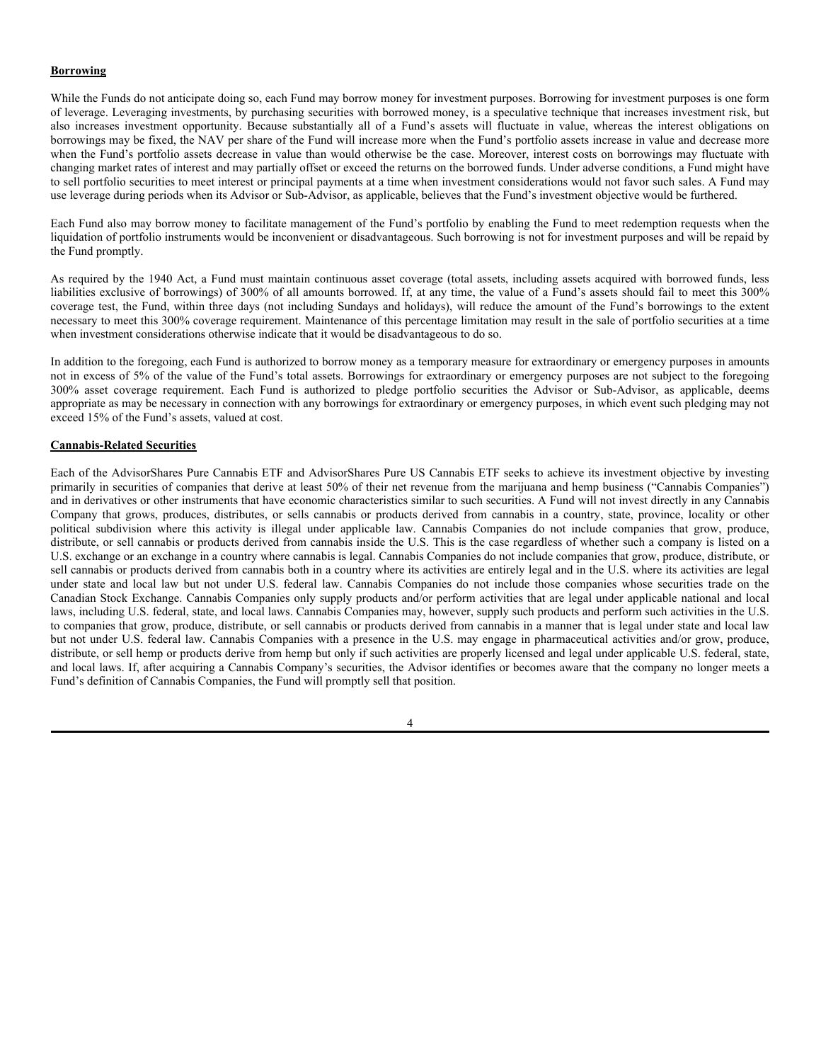#### **INVESTMENT POLICIES, TECHNIQUES AND RISK FACTORS**

#### **General**

AdvisorShares Investments, LLC (the "Advisor") serves as the investment advisor to each Fund. Each Fund's investment objective and principal investment strategies, as well as other important information, are described in the Fund's Prospectus, which should be read together with this SAI. The investment objective of each Fund is non-fundamental and may be changed without the approval of shareholders. Each Fund, except the AdvisorShares Hotel ETF, AdvisorShares Pure Cannabis ETF, AdvisorShares Pure US Cannabis ETF and AdvisorShares Restaurant ETF, is a diversified investment company under the Investment Company Act of 1940 (the "1940 Act"). Each of the AdvisorShares Hotel ETF, AdvisorShares Pure Cannabis ETF, AdvisorShares Pure US Cannabis ETF and AdvisorShares Restaurant ETF is a non-diversified investment company under the 1940 Act.

The Advisor, subject to the oversight of the Board, provides an investment management program for the AdvisorShares Dorsey Wright Alpha Equal Weight ETF, AdvisorShares Dorsey Wright FSM All Cap World ETF, AdvisorShares Dorsey Wright FSM US Core ETF, AdvisorShares Focused Equity ETF, AdvisorShares Hotel ETF, AdvisorShares Pure Cannabis ETF, AdvisorShares Pure US Cannabis ETF, AdvisorShares Restaurant ETF and AdvisorShares Vice ETF, and manages the investment of each of those Fund's assets. The day-to-day portfolio management of each other Fund is provided by a sub-advisor to the Fund and is subject to the supervision of the Advisor and oversight of the Board. The sub-advisors (each, a "Sub-Advisor" and collectively, the "Sub-Advisors"), if applicable, are listed in the table below.

| <b>Fund</b>                                        | <b>Advisor/Sub-Advisor</b>                                              |
|----------------------------------------------------|-------------------------------------------------------------------------|
| AdvisorShares Alpha DNA Equity Sentiment ETF       | AdvisorShares Investments, LLC/<br>Alpha DNA Investment Management, LLC |
| AdvisorShares Dorsey Wright Alpha Equal Weight ETF | AdvisorShares Investments, LLC                                          |
| AdvisorShares Dorsey Wright FSM All Cap World ETF  | AdvisorShares Investments, LLC                                          |
| AdvisorShares Dorsey Wright FSM US Core ETF        | AdvisorShares Investments, LLC                                          |
| AdvisorShares Dorsey Wright ADR ETF                | AdvisorShares Investments, LLC/<br>Dorsey, Wright & Associates, LLC     |
| AdvisorShares Dorsey Wright Micro-Cap ETF          | AdvisorShares Investments, LLC/<br>Dorsey, Wright & Associates, LLC     |
| AdvisorShares Dorsey Wright Short ETF              | AdvisorShares Investments, LLC/<br>Dorsey, Wright & Associates, LLC     |
| AdvisorShares DoubleLine Value Equity ETF          | AdvisorShares Investments, LLC/<br>DoubleLine Equity LP                 |
| AdvisorShares Focused Equity ETF                   | AdvisorShares Investments, LLC                                          |
| <b>AdvisorShares Hotel ETF</b>                     | AdvisorShares Investments, LLC                                          |
| AdvisorShares Newfleet Multi-Sector Income ETF     | AdvisorShares Investments, LLC/<br>Newfleet Asset Management, LLC       |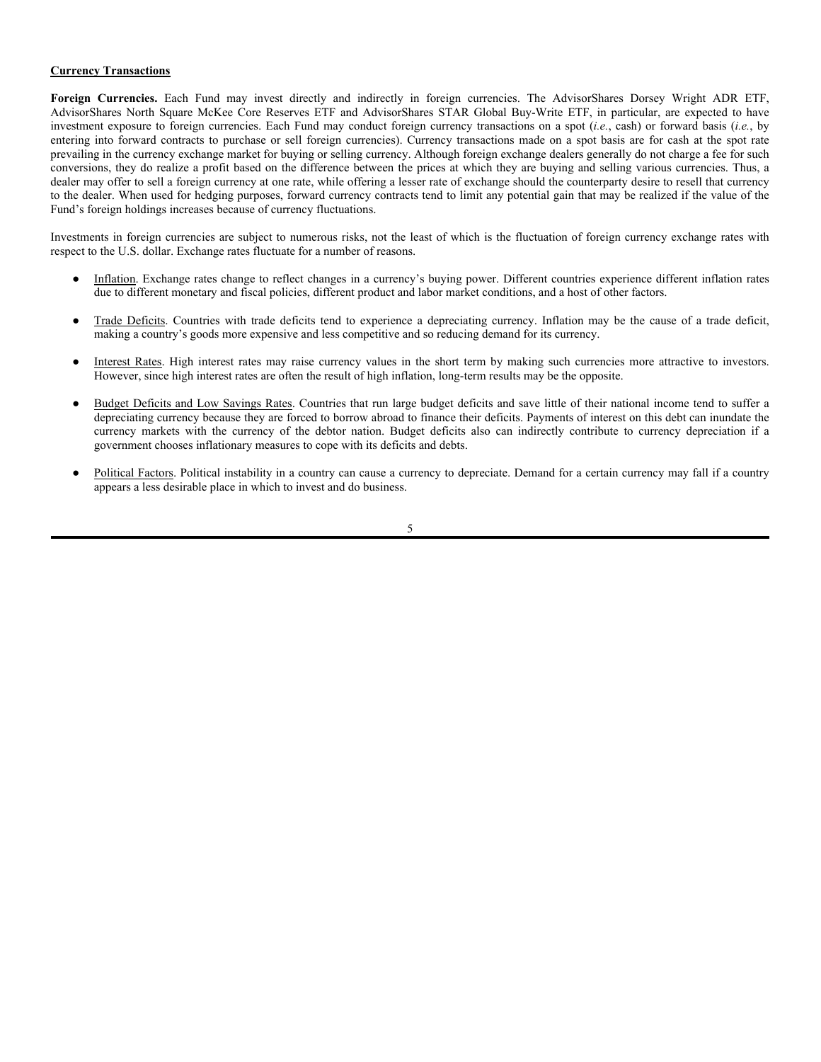| <b>Fund</b>                                        | <b>Advisor/Sub-Advisor</b>                                             |
|----------------------------------------------------|------------------------------------------------------------------------|
| AdvisorShares North Square McKee Core Reserves ETF | AdvisorShares Investments, LLC/<br>CSM Advisors, LLC                   |
| AdvisorShares North Square McKee ESG Core Bond ETF | AdvisorShares Investments, LLC/<br>CSM Advisors, LLC                   |
| AdvisorShares Pure Cannabis ETF                    | AdvisorShares Investments, LLC                                         |
| AdvisorShares Pure US Cannabis ETF                 | AdvisorShares Investments, LLC                                         |
| AdvisorShares Q Dynamic Growth ETF                 | AdvisorShares Investments, LLC/<br>ThinkBetter, LLC                    |
| AdvisorShares Q Portfolio Blended Allocation ETF   | AdvisorShares Investments, LLC/<br>ThinkBetter, LLC                    |
| AdvisorShares Ranger Equity Bear ETF               | AdvisorShares Investments, LLC/<br>Ranger Alternative Management, L.P. |
| <b>AdvisorShares Restaurant ETF</b>                | AdvisorShares Investments, LLC                                         |
| AdvisorShares STAR Global Buy-Write ETF            | AdvisorShares Investments, LLC/<br>ChangePath, LLC                     |
| AdvisorShares Vice ETF                             | AdvisorShares Investments, LLC                                         |

The Advisor and each Sub-Advisor, as applicable, select securities for the Fund's investment pursuant to an "active" management strategy for security selection and portfolio construction. The AdvisorShares Dorsey Wright FSM All Cap World ETF, AdvisorShares Dorsey Wright FSM US Core ETF, AdvisorShares Q Dynamic Growth ETF, AdvisorShares Q Portfolio Blended Allocation ETF, and AdvisorShares STAR Global Buy-Write ETF are "funds of funds" that seek to achieve their investment objectives by investing primarily in other exchange-traded funds ("ETFs"), as described in each Fund's Prospectus (each, a "Fund of Funds" and together, the "Funds of Funds"). In addition to ETFs, AdvisorShares North Square McKee ESG Core Bond ETF, AdvisorShares North Square McKee Core Reserves ETF, and AdvisorShares STAR Global Buy-Write ETF also invest in other exchange-traded products, including, but not limited to, exchange-traded notes ("ETNs"), exchange-traded currency trusts, and closed-end funds (collectively, "ETPs"), as described in each Fund's Prospectus. Other Funds also may invest in ETPs. To the extent a Fund is a Fund of Funds or invests in ETPs, it will be indirectly subject to the risks associated with the portfolio securities and investment techniques of its underlying ETPs as well as the fees and expenses. As used in this section, the term "Fund" includes, when describing certain types of investments, the ETFs in which a Fund invests.

The investment techniques and instruments described below and in each Fund's Prospectus may, consistent with a Fund's investment objective and investment policies, be used by the Fund if, in the opinion of the Advisor or the Sub-Advisor, such strategies will be advantageous to the Fund. Not all of the Funds will invest in all of the instruments and techniques described below. In addition, each Fund is free to reduce or eliminate its activity with respect to any of the investment techniques described below without changing the Fund's fundamental investment policies, and the Funds will periodically change the composition of their portfolios to best meet their respective investment objectives. For more information about each Fund's principal strategies and risks, please see the Fund's Prospectus.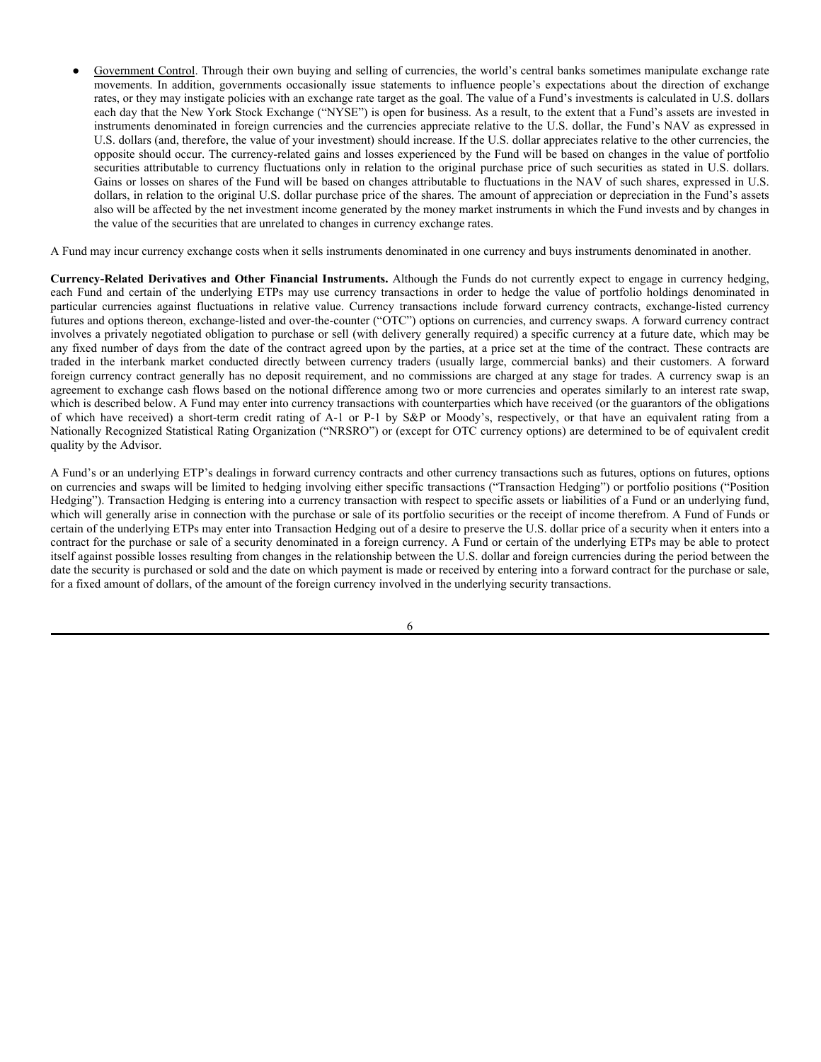#### **Borrowing**

While the Funds do not anticipate doing so, each Fund may borrow money for investment purposes. Borrowing for investment purposes is one form of leverage. Leveraging investments, by purchasing securities with borrowed money, is a speculative technique that increases investment risk, but also increases investment opportunity. Because substantially all of a Fund's assets will fluctuate in value, whereas the interest obligations on borrowings may be fixed, the NAV per share of the Fund will increase more when the Fund's portfolio assets increase in value and decrease more when the Fund's portfolio assets decrease in value than would otherwise be the case. Moreover, interest costs on borrowings may fluctuate with changing market rates of interest and may partially offset or exceed the returns on the borrowed funds. Under adverse conditions, a Fund might have to sell portfolio securities to meet interest or principal payments at a time when investment considerations would not favor such sales. A Fund may use leverage during periods when its Advisor or Sub-Advisor, as applicable, believes that the Fund's investment objective would be furthered.

Each Fund also may borrow money to facilitate management of the Fund's portfolio by enabling the Fund to meet redemption requests when the liquidation of portfolio instruments would be inconvenient or disadvantageous. Such borrowing is not for investment purposes and will be repaid by the Fund promptly.

As required by the 1940 Act, a Fund must maintain continuous asset coverage (total assets, including assets acquired with borrowed funds, less liabilities exclusive of borrowings) of 300% of all amounts borrowed. If, at any time, the value of a Fund's assets should fail to meet this 300% coverage test, the Fund, within three days (not including Sundays and holidays), will reduce the amount of the Fund's borrowings to the extent necessary to meet this 300% coverage requirement. Maintenance of this percentage limitation may result in the sale of portfolio securities at a time when investment considerations otherwise indicate that it would be disadvantageous to do so.

In addition to the foregoing, each Fund is authorized to borrow money as a temporary measure for extraordinary or emergency purposes in amounts not in excess of 5% of the value of the Fund's total assets. Borrowings for extraordinary or emergency purposes are not subject to the foregoing 300% asset coverage requirement. Each Fund is authorized to pledge portfolio securities the Advisor or Sub-Advisor, as applicable, deems appropriate as may be necessary in connection with any borrowings for extraordinary or emergency purposes, in which event such pledging may not exceed 15% of the Fund's assets, valued at cost.

#### **Cannabis-Related Securities**

Each of the AdvisorShares Pure Cannabis ETF and AdvisorShares Pure US Cannabis ETF seeks to achieve its investment objective by investing primarily in securities of companies that derive at least 50% of their net revenue from the marijuana and hemp business ("Cannabis Companies") and in derivatives or other instruments that have economic characteristics similar to such securities. A Fund will not invest directly in any Cannabis Company that grows, produces, distributes, or sells cannabis or products derived from cannabis in a country, state, province, locality or other political subdivision where this activity is illegal under applicable law. Cannabis Companies do not include companies that grow, produce, distribute, or sell cannabis or products derived from cannabis inside the U.S. This is the case regardless of whether such a company is listed on a U.S. exchange or an exchange in a country where cannabis is legal. Cannabis Companies do not include companies that grow, produce, distribute, or sell cannabis or products derived from cannabis both in a country where its activities are entirely legal and in the U.S. where its activities are legal under state and local law but not under U.S. federal law. Cannabis Companies do not include those companies whose securities trade on the Canadian Stock Exchange. Cannabis Companies only supply products and/or perform activities that are legal under applicable national and local laws, including U.S. federal, state, and local laws. Cannabis Companies may, however, supply such products and perform such activities in the U.S. to companies that grow, produce, distribute, or sell cannabis or products derived from cannabis in a manner that is legal under state and local law but not under U.S. federal law. Cannabis Companies with a presence in the U.S. may engage in pharmaceutical activities and/or grow, produce, distribute, or sell hemp or products derive from hemp but only if such activities are properly licensed and legal under applicable U.S. federal, state, and local laws. If, after acquiring a Cannabis Company's securities, the Advisor identifies or becomes aware that the company no longer meets a Fund's definition of Cannabis Companies, the Fund will promptly sell that position.

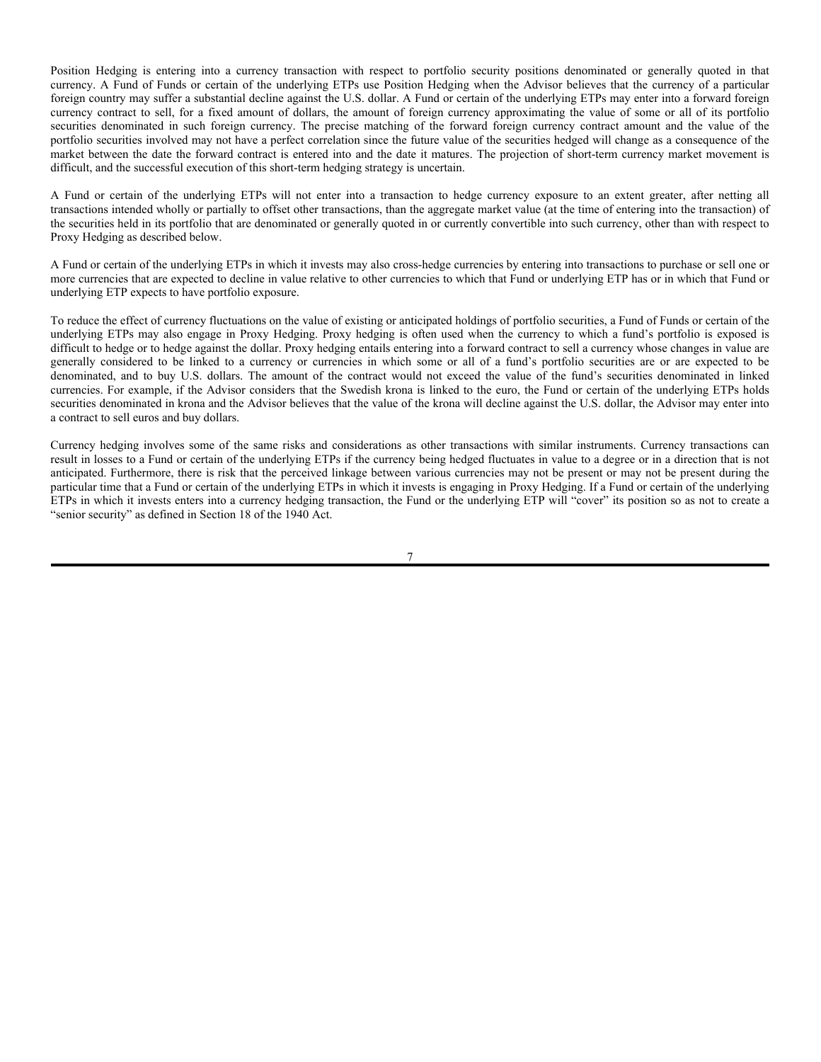#### **Currency Transactions**

**Foreign Currencies.** Each Fund may invest directly and indirectly in foreign currencies. The AdvisorShares Dorsey Wright ADR ETF, AdvisorShares North Square McKee Core Reserves ETF and AdvisorShares STAR Global Buy-Write ETF, in particular, are expected to have investment exposure to foreign currencies. Each Fund may conduct foreign currency transactions on a spot (*i.e.*, cash) or forward basis (*i.e.*, by entering into forward contracts to purchase or sell foreign currencies). Currency transactions made on a spot basis are for cash at the spot rate prevailing in the currency exchange market for buying or selling currency. Although foreign exchange dealers generally do not charge a fee for such conversions, they do realize a profit based on the difference between the prices at which they are buying and selling various currencies. Thus, a dealer may offer to sell a foreign currency at one rate, while offering a lesser rate of exchange should the counterparty desire to resell that currency to the dealer. When used for hedging purposes, forward currency contracts tend to limit any potential gain that may be realized if the value of the Fund's foreign holdings increases because of currency fluctuations.

Investments in foreign currencies are subject to numerous risks, not the least of which is the fluctuation of foreign currency exchange rates with respect to the U.S. dollar. Exchange rates fluctuate for a number of reasons.

- Inflation. Exchange rates change to reflect changes in a currency's buying power. Different countries experience different inflation rates due to different monetary and fiscal policies, different product and labor market conditions, and a host of other factors.
- Trade Deficits. Countries with trade deficits tend to experience a depreciating currency. Inflation may be the cause of a trade deficit, making a country's goods more expensive and less competitive and so reducing demand for its currency.
- Interest Rates. High interest rates may raise currency values in the short term by making such currencies more attractive to investors. However, since high interest rates are often the result of high inflation, long-term results may be the opposite.
- Budget Deficits and Low Savings Rates. Countries that run large budget deficits and save little of their national income tend to suffer a depreciating currency because they are forced to borrow abroad to finance their deficits. Payments of interest on this debt can inundate the currency markets with the currency of the debtor nation. Budget deficits also can indirectly contribute to currency depreciation if a government chooses inflationary measures to cope with its deficits and debts.
- Political Factors. Political instability in a country can cause a currency to depreciate. Demand for a certain currency may fall if a country appears a less desirable place in which to invest and do business.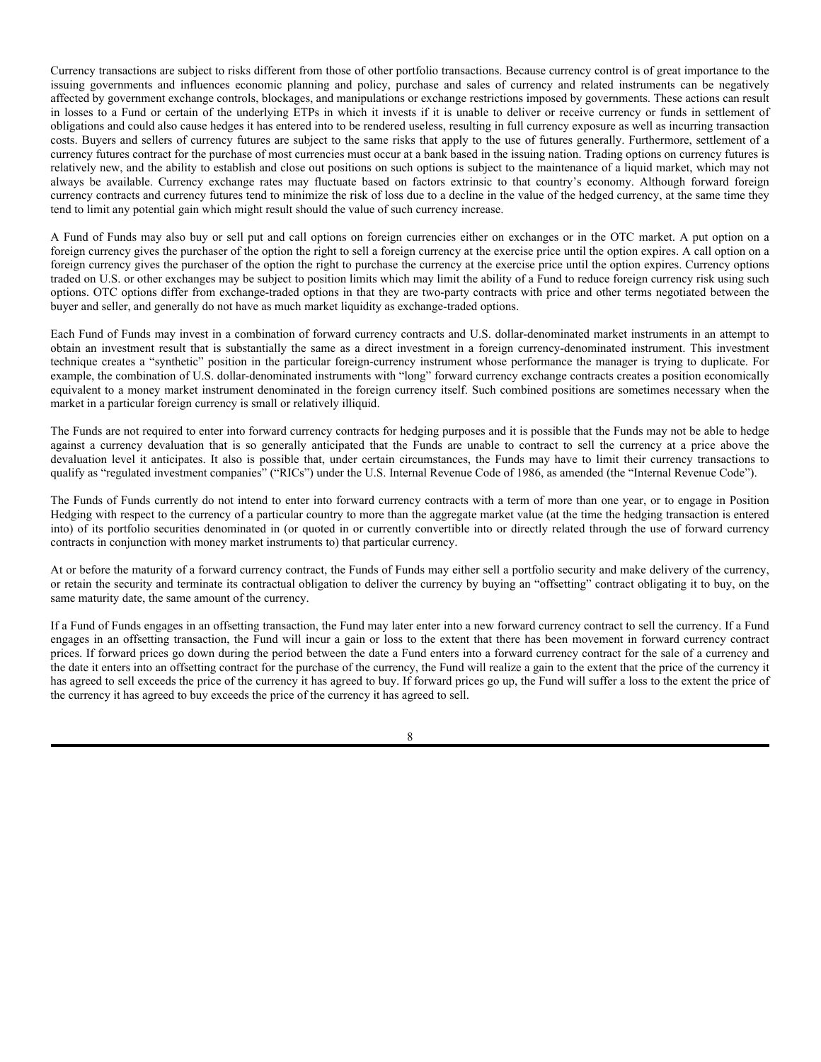Government Control. Through their own buying and selling of currencies, the world's central banks sometimes manipulate exchange rate movements. In addition, governments occasionally issue statements to influence people's expectations about the direction of exchange rates, or they may instigate policies with an exchange rate target as the goal. The value of a Fund's investments is calculated in U.S. dollars each day that the New York Stock Exchange ("NYSE") is open for business. As a result, to the extent that a Fund's assets are invested in instruments denominated in foreign currencies and the currencies appreciate relative to the U.S. dollar, the Fund's NAV as expressed in U.S. dollars (and, therefore, the value of your investment) should increase. If the U.S. dollar appreciates relative to the other currencies, the opposite should occur. The currency-related gains and losses experienced by the Fund will be based on changes in the value of portfolio securities attributable to currency fluctuations only in relation to the original purchase price of such securities as stated in U.S. dollars. Gains or losses on shares of the Fund will be based on changes attributable to fluctuations in the NAV of such shares, expressed in U.S. dollars, in relation to the original U.S. dollar purchase price of the shares. The amount of appreciation or depreciation in the Fund's assets also will be affected by the net investment income generated by the money market instruments in which the Fund invests and by changes in the value of the securities that are unrelated to changes in currency exchange rates.

A Fund may incur currency exchange costs when it sells instruments denominated in one currency and buys instruments denominated in another.

**Currency-Related Derivatives and Other Financial Instruments.** Although the Funds do not currently expect to engage in currency hedging, each Fund and certain of the underlying ETPs may use currency transactions in order to hedge the value of portfolio holdings denominated in particular currencies against fluctuations in relative value. Currency transactions include forward currency contracts, exchange-listed currency futures and options thereon, exchange-listed and over-the-counter ("OTC") options on currencies, and currency swaps. A forward currency contract involves a privately negotiated obligation to purchase or sell (with delivery generally required) a specific currency at a future date, which may be any fixed number of days from the date of the contract agreed upon by the parties, at a price set at the time of the contract. These contracts are traded in the interbank market conducted directly between currency traders (usually large, commercial banks) and their customers. A forward foreign currency contract generally has no deposit requirement, and no commissions are charged at any stage for trades. A currency swap is an agreement to exchange cash flows based on the notional difference among two or more currencies and operates similarly to an interest rate swap, which is described below. A Fund may enter into currency transactions with counterparties which have received (or the guarantors of the obligations of which have received) a short-term credit rating of A-1 or P-1 by S&P or Moody's, respectively, or that have an equivalent rating from a Nationally Recognized Statistical Rating Organization ("NRSRO") or (except for OTC currency options) are determined to be of equivalent credit quality by the Advisor.

A Fund's or an underlying ETP's dealings in forward currency contracts and other currency transactions such as futures, options on futures, options on currencies and swaps will be limited to hedging involving either specific transactions ("Transaction Hedging") or portfolio positions ("Position Hedging"). Transaction Hedging is entering into a currency transaction with respect to specific assets or liabilities of a Fund or an underlying fund, which will generally arise in connection with the purchase or sale of its portfolio securities or the receipt of income therefrom. A Fund of Funds or certain of the underlying ETPs may enter into Transaction Hedging out of a desire to preserve the U.S. dollar price of a security when it enters into a contract for the purchase or sale of a security denominated in a foreign currency. A Fund or certain of the underlying ETPs may be able to protect itself against possible losses resulting from changes in the relationship between the U.S. dollar and foreign currencies during the period between the date the security is purchased or sold and the date on which payment is made or received by entering into a forward contract for the purchase or sale, for a fixed amount of dollars, of the amount of the foreign currency involved in the underlying security transactions.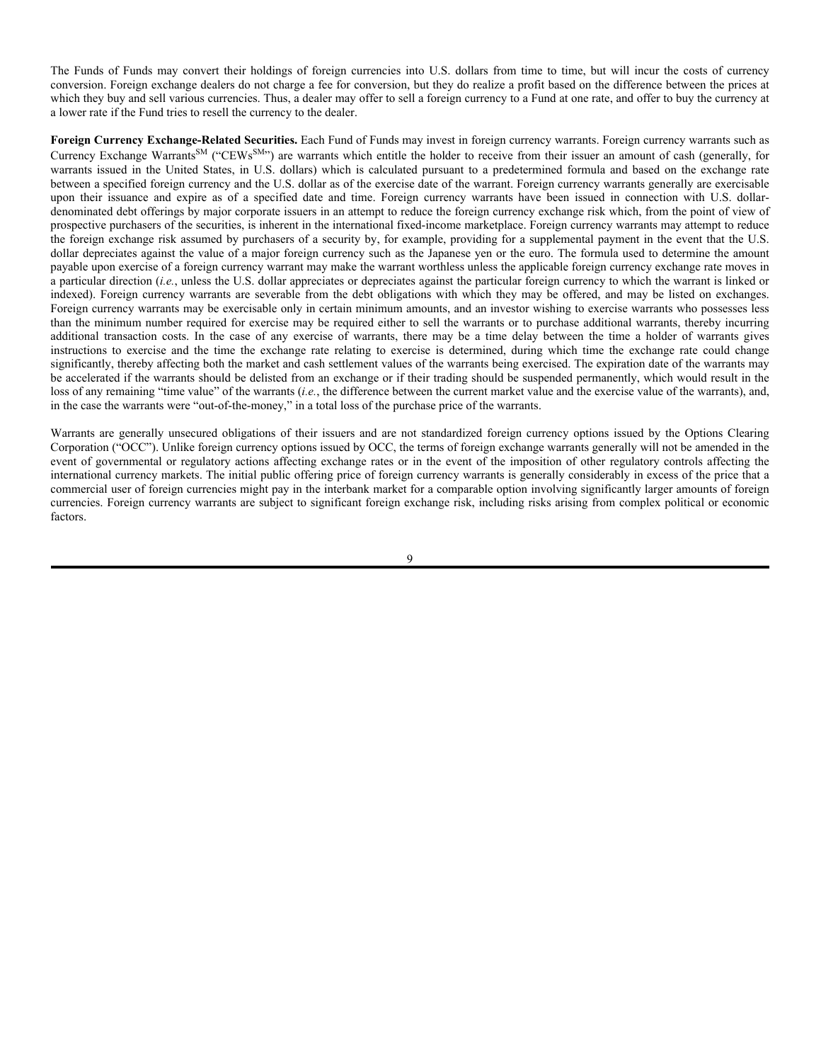Position Hedging is entering into a currency transaction with respect to portfolio security positions denominated or generally quoted in that currency. A Fund of Funds or certain of the underlying ETPs use Position Hedging when the Advisor believes that the currency of a particular foreign country may suffer a substantial decline against the U.S. dollar. A Fund or certain of the underlying ETPs may enter into a forward foreign currency contract to sell, for a fixed amount of dollars, the amount of foreign currency approximating the value of some or all of its portfolio securities denominated in such foreign currency. The precise matching of the forward foreign currency contract amount and the value of the portfolio securities involved may not have a perfect correlation since the future value of the securities hedged will change as a consequence of the market between the date the forward contract is entered into and the date it matures. The projection of short-term currency market movement is difficult, and the successful execution of this short-term hedging strategy is uncertain.

A Fund or certain of the underlying ETPs will not enter into a transaction to hedge currency exposure to an extent greater, after netting all transactions intended wholly or partially to offset other transactions, than the aggregate market value (at the time of entering into the transaction) of the securities held in its portfolio that are denominated or generally quoted in or currently convertible into such currency, other than with respect to Proxy Hedging as described below.

A Fund or certain of the underlying ETPs in which it invests may also cross-hedge currencies by entering into transactions to purchase or sell one or more currencies that are expected to decline in value relative to other currencies to which that Fund or underlying ETP has or in which that Fund or underlying ETP expects to have portfolio exposure.

To reduce the effect of currency fluctuations on the value of existing or anticipated holdings of portfolio securities, a Fund of Funds or certain of the underlying ETPs may also engage in Proxy Hedging. Proxy hedging is often used when the currency to which a fund's portfolio is exposed is difficult to hedge or to hedge against the dollar. Proxy hedging entails entering into a forward contract to sell a currency whose changes in value are generally considered to be linked to a currency or currencies in which some or all of a fund's portfolio securities are or are expected to be denominated, and to buy U.S. dollars. The amount of the contract would not exceed the value of the fund's securities denominated in linked currencies. For example, if the Advisor considers that the Swedish krona is linked to the euro, the Fund or certain of the underlying ETPs holds securities denominated in krona and the Advisor believes that the value of the krona will decline against the U.S. dollar, the Advisor may enter into a contract to sell euros and buy dollars.

Currency hedging involves some of the same risks and considerations as other transactions with similar instruments. Currency transactions can result in losses to a Fund or certain of the underlying ETPs if the currency being hedged fluctuates in value to a degree or in a direction that is not anticipated. Furthermore, there is risk that the perceived linkage between various currencies may not be present or may not be present during the particular time that a Fund or certain of the underlying ETPs in which it invests is engaging in Proxy Hedging. If a Fund or certain of the underlying ETPs in which it invests enters into a currency hedging transaction, the Fund or the underlying ETP will "cover" its position so as not to create a "senior security" as defined in Section 18 of the 1940 Act.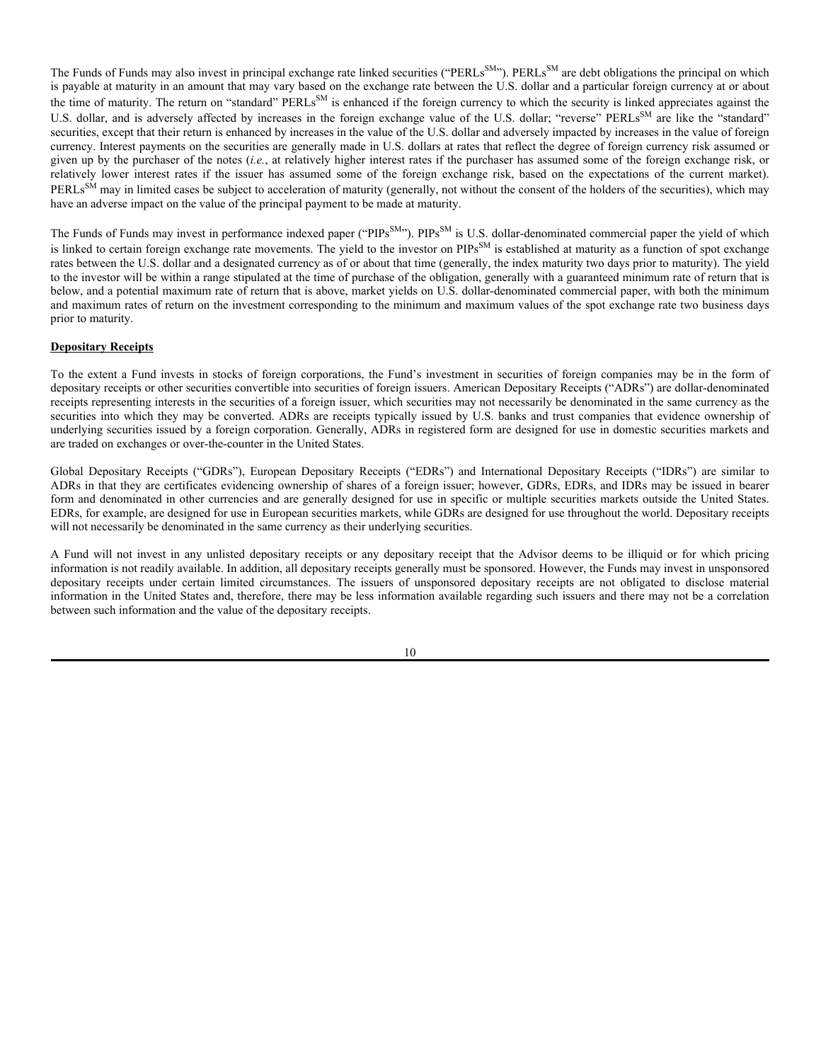Currency transactions are subject to risks different from those of other portfolio transactions. Because currency control is of great importance to the issuing governments and influences economic planning and policy, purchase and sales of currency and related instruments can be negatively affected by government exchange controls, blockages, and manipulations or exchange restrictions imposed by governments. These actions can result in losses to a Fund or certain of the underlying ETPs in which it invests if it is unable to deliver or receive currency or funds in settlement of obligations and could also cause hedges it has entered into to be rendered useless, resulting in full currency exposure as well as incurring transaction costs. Buyers and sellers of currency futures are subject to the same risks that apply to the use of futures generally. Furthermore, settlement of a currency futures contract for the purchase of most currencies must occur at a bank based in the issuing nation. Trading options on currency futures is relatively new, and the ability to establish and close out positions on such options is subject to the maintenance of a liquid market, which may not always be available. Currency exchange rates may fluctuate based on factors extrinsic to that country's economy. Although forward foreign currency contracts and currency futures tend to minimize the risk of loss due to a decline in the value of the hedged currency, at the same time they tend to limit any potential gain which might result should the value of such currency increase.

A Fund of Funds may also buy or sell put and call options on foreign currencies either on exchanges or in the OTC market. A put option on a foreign currency gives the purchaser of the option the right to sell a foreign currency at the exercise price until the option expires. A call option on a foreign currency gives the purchaser of the option the right to purchase the currency at the exercise price until the option expires. Currency options traded on U.S. or other exchanges may be subject to position limits which may limit the ability of a Fund to reduce foreign currency risk using such options. OTC options differ from exchange-traded options in that they are two-party contracts with price and other terms negotiated between the buyer and seller, and generally do not have as much market liquidity as exchange-traded options.

Each Fund of Funds may invest in a combination of forward currency contracts and U.S. dollar-denominated market instruments in an attempt to obtain an investment result that is substantially the same as a direct investment in a foreign currency-denominated instrument. This investment technique creates a "synthetic" position in the particular foreign-currency instrument whose performance the manager is trying to duplicate. For example, the combination of U.S. dollar-denominated instruments with "long" forward currency exchange contracts creates a position economically equivalent to a money market instrument denominated in the foreign currency itself. Such combined positions are sometimes necessary when the market in a particular foreign currency is small or relatively illiquid.

The Funds are not required to enter into forward currency contracts for hedging purposes and it is possible that the Funds may not be able to hedge against a currency devaluation that is so generally anticipated that the Funds are unable to contract to sell the currency at a price above the devaluation level it anticipates. It also is possible that, under certain circumstances, the Funds may have to limit their currency transactions to qualify as "regulated investment companies" ("RICs") under the U.S. Internal Revenue Code of 1986, as amended (the "Internal Revenue Code").

The Funds of Funds currently do not intend to enter into forward currency contracts with a term of more than one year, or to engage in Position Hedging with respect to the currency of a particular country to more than the aggregate market value (at the time the hedging transaction is entered into) of its portfolio securities denominated in (or quoted in or currently convertible into or directly related through the use of forward currency contracts in conjunction with money market instruments to) that particular currency.

At or before the maturity of a forward currency contract, the Funds of Funds may either sell a portfolio security and make delivery of the currency, or retain the security and terminate its contractual obligation to deliver the currency by buying an "offsetting" contract obligating it to buy, on the same maturity date, the same amount of the currency.

If a Fund of Funds engages in an offsetting transaction, the Fund may later enter into a new forward currency contract to sell the currency. If a Fund engages in an offsetting transaction, the Fund will incur a gain or loss to the extent that there has been movement in forward currency contract prices. If forward prices go down during the period between the date a Fund enters into a forward currency contract for the sale of a currency and the date it enters into an offsetting contract for the purchase of the currency, the Fund will realize a gain to the extent that the price of the currency it has agreed to sell exceeds the price of the currency it has agreed to buy. If forward prices go up, the Fund will suffer a loss to the extent the price of the currency it has agreed to buy exceeds the price of the currency it has agreed to sell.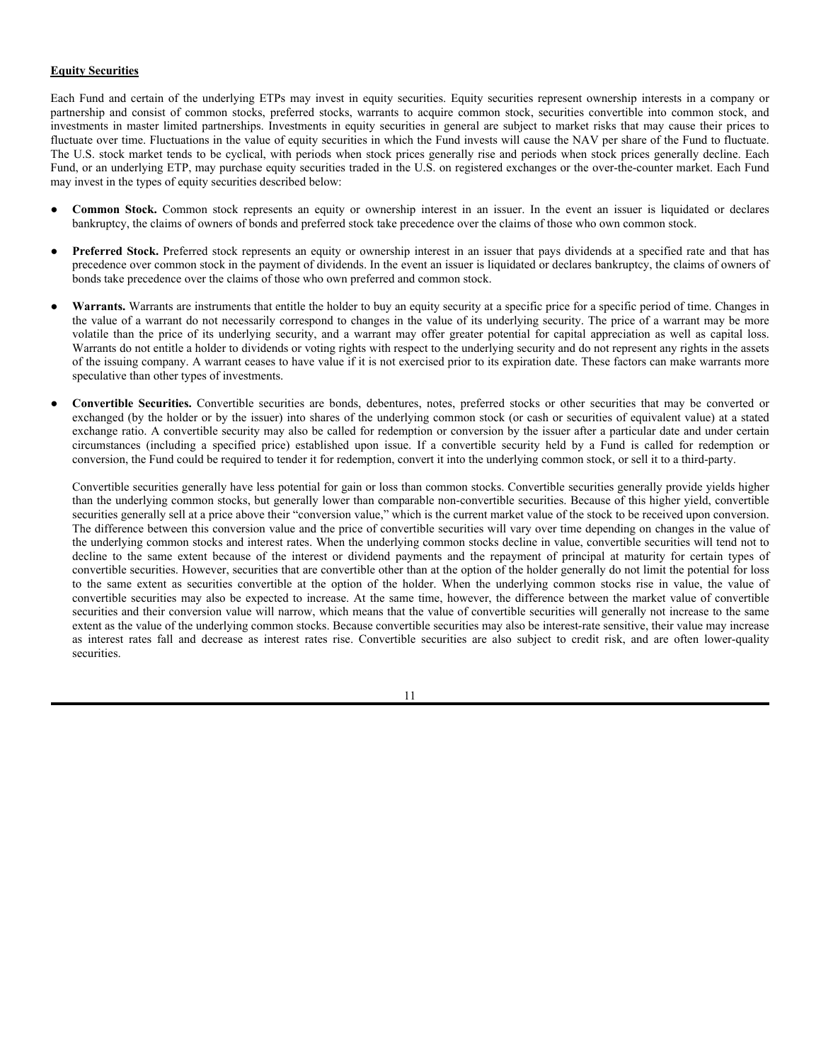The Funds of Funds may convert their holdings of foreign currencies into U.S. dollars from time to time, but will incur the costs of currency conversion. Foreign exchange dealers do not charge a fee for conversion, but they do realize a profit based on the difference between the prices at which they buy and sell various currencies. Thus, a dealer may offer to sell a foreign currency to a Fund at one rate, and offer to buy the currency at a lower rate if the Fund tries to resell the currency to the dealer.

**Foreign Currency Exchange-Related Securities.** Each Fund of Funds may invest in foreign currency warrants. Foreign currency warrants such as Currency Exchange Warrants<sup>SM</sup> ("CEWs<sup>SM</sup>") are warrants which entitle the holder to receive from their issuer an amount of cash (generally, for warrants issued in the United States, in U.S. dollars) which is calculated pursuant to a predetermined formula and based on the exchange rate between a specified foreign currency and the U.S. dollar as of the exercise date of the warrant. Foreign currency warrants generally are exercisable upon their issuance and expire as of a specified date and time. Foreign currency warrants have been issued in connection with U.S. dollardenominated debt offerings by major corporate issuers in an attempt to reduce the foreign currency exchange risk which, from the point of view of prospective purchasers of the securities, is inherent in the international fixed-income marketplace. Foreign currency warrants may attempt to reduce the foreign exchange risk assumed by purchasers of a security by, for example, providing for a supplemental payment in the event that the U.S. dollar depreciates against the value of a major foreign currency such as the Japanese yen or the euro. The formula used to determine the amount payable upon exercise of a foreign currency warrant may make the warrant worthless unless the applicable foreign currency exchange rate moves in a particular direction (*i.e.*, unless the U.S. dollar appreciates or depreciates against the particular foreign currency to which the warrant is linked or indexed). Foreign currency warrants are severable from the debt obligations with which they may be offered, and may be listed on exchanges. Foreign currency warrants may be exercisable only in certain minimum amounts, and an investor wishing to exercise warrants who possesses less than the minimum number required for exercise may be required either to sell the warrants or to purchase additional warrants, thereby incurring additional transaction costs. In the case of any exercise of warrants, there may be a time delay between the time a holder of warrants gives instructions to exercise and the time the exchange rate relating to exercise is determined, during which time the exchange rate could change significantly, thereby affecting both the market and cash settlement values of the warrants being exercised. The expiration date of the warrants may be accelerated if the warrants should be delisted from an exchange or if their trading should be suspended permanently, which would result in the loss of any remaining "time value" of the warrants (*i.e.*, the difference between the current market value and the exercise value of the warrants), and, in the case the warrants were "out-of-the-money," in a total loss of the purchase price of the warrants.

Warrants are generally unsecured obligations of their issuers and are not standardized foreign currency options issued by the Options Clearing Corporation ("OCC"). Unlike foreign currency options issued by OCC, the terms of foreign exchange warrants generally will not be amended in the event of governmental or regulatory actions affecting exchange rates or in the event of the imposition of other regulatory controls affecting the international currency markets. The initial public offering price of foreign currency warrants is generally considerably in excess of the price that a commercial user of foreign currencies might pay in the interbank market for a comparable option involving significantly larger amounts of foreign currencies. Foreign currency warrants are subject to significant foreign exchange risk, including risks arising from complex political or economic factors.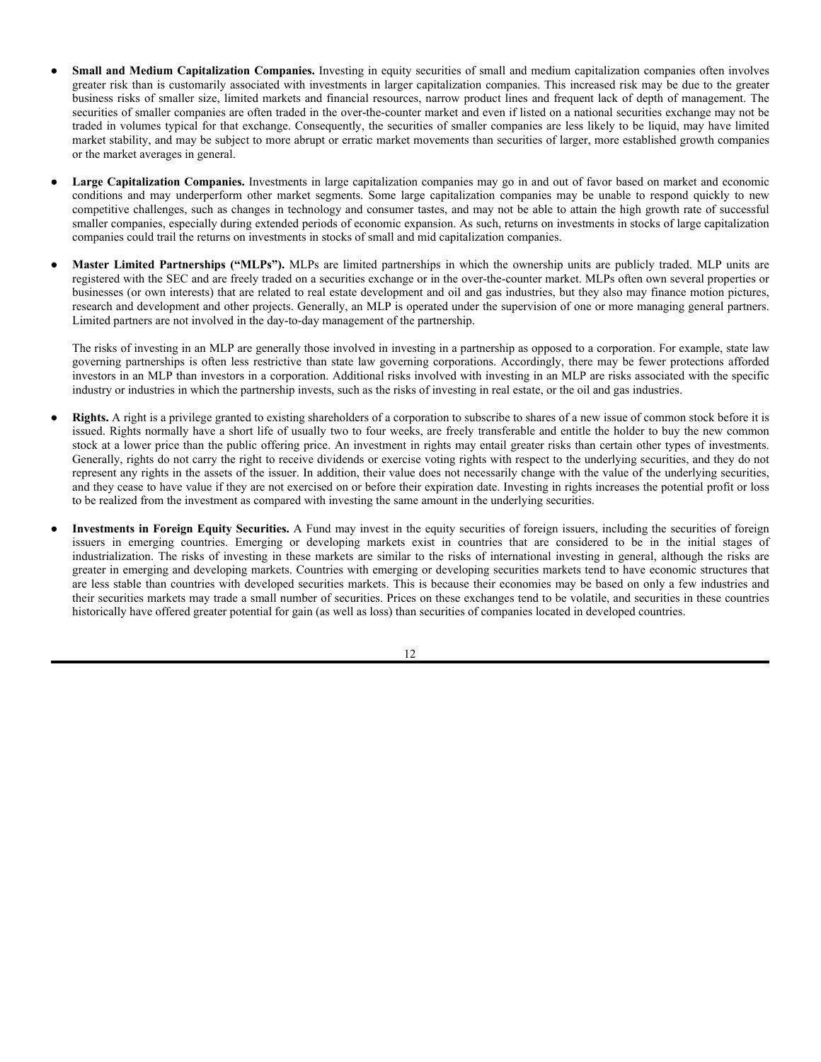The Funds of Funds may also invest in principal exchange rate linked securities ("PERLs<sup>SM</sup>"). PERLs<sup>SM</sup> are debt obligations the principal on which is payable at maturity in an amount that may vary based on the exchange rate between the U.S. dollar and a particular foreign currency at or about the time of maturity. The return on "standard" PERLs<sup>SM</sup> is enhanced if the foreign currency to which the security is linked appreciates against the U.S. dollar, and is adversely affected by increases in the foreign exchange value of the U.S. dollar; "reverse" PERLs<sup>SM</sup> are like the "standard" securities, except that their return is enhanced by increases in the value of the U.S. dollar and adversely impacted by increases in the value of foreign currency. Interest payments on the securities are generally made in U.S. dollars at rates that reflect the degree of foreign currency risk assumed or given up by the purchaser of the notes (*i.e.*, at relatively higher interest rates if the purchaser has assumed some of the foreign exchange risk, or relatively lower interest rates if the issuer has assumed some of the foreign exchange risk, based on the expectations of the current market). PERLs<sup>SM</sup> may in limited cases be subject to acceleration of maturity (generally, not without the consent of the holders of the securities), which may have an adverse impact on the value of the principal payment to be made at maturity.

The Funds of Funds may invest in performance indexed paper ("PIPs<sup>SM</sup>"). PIPs<sup>SM</sup> is U.S. dollar-denominated commercial paper the yield of which is linked to certain foreign exchange rate movements. The yield to the investor on PIPs<sup>SM</sup> is established at maturity as a function of spot exchange rates between the U.S. dollar and a designated currency as of or about that time (generally, the index maturity two days prior to maturity). The yield to the investor will be within a range stipulated at the time of purchase of the obligation, generally with a guaranteed minimum rate of return that is below, and a potential maximum rate of return that is above, market yields on U.S. dollar-denominated commercial paper, with both the minimum and maximum rates of return on the investment corresponding to the minimum and maximum values of the spot exchange rate two business days prior to maturity.

#### **Depositary Receipts**

To the extent a Fund invests in stocks of foreign corporations, the Fund's investment in securities of foreign companies may be in the form of depositary receipts or other securities convertible into securities of foreign issuers. American Depositary Receipts ("ADRs") are dollar-denominated receipts representing interests in the securities of a foreign issuer, which securities may not necessarily be denominated in the same currency as the securities into which they may be converted. ADRs are receipts typically issued by U.S. banks and trust companies that evidence ownership of underlying securities issued by a foreign corporation. Generally, ADRs in registered form are designed for use in domestic securities markets and are traded on exchanges or over-the-counter in the United States.

Global Depositary Receipts ("GDRs"), European Depositary Receipts ("EDRs") and International Depositary Receipts ("IDRs") are similar to ADRs in that they are certificates evidencing ownership of shares of a foreign issuer; however, GDRs, EDRs, and IDRs may be issued in bearer form and denominated in other currencies and are generally designed for use in specific or multiple securities markets outside the United States. EDRs, for example, are designed for use in European securities markets, while GDRs are designed for use throughout the world. Depositary receipts will not necessarily be denominated in the same currency as their underlying securities.

A Fund will not invest in any unlisted depositary receipts or any depositary receipt that the Advisor deems to be illiquid or for which pricing information is not readily available. In addition, all depositary receipts generally must be sponsored. However, the Funds may invest in unsponsored depositary receipts under certain limited circumstances. The issuers of unsponsored depositary receipts are not obligated to disclose material information in the United States and, therefore, there may be less information available regarding such issuers and there may not be a correlation between such information and the value of the depositary receipts.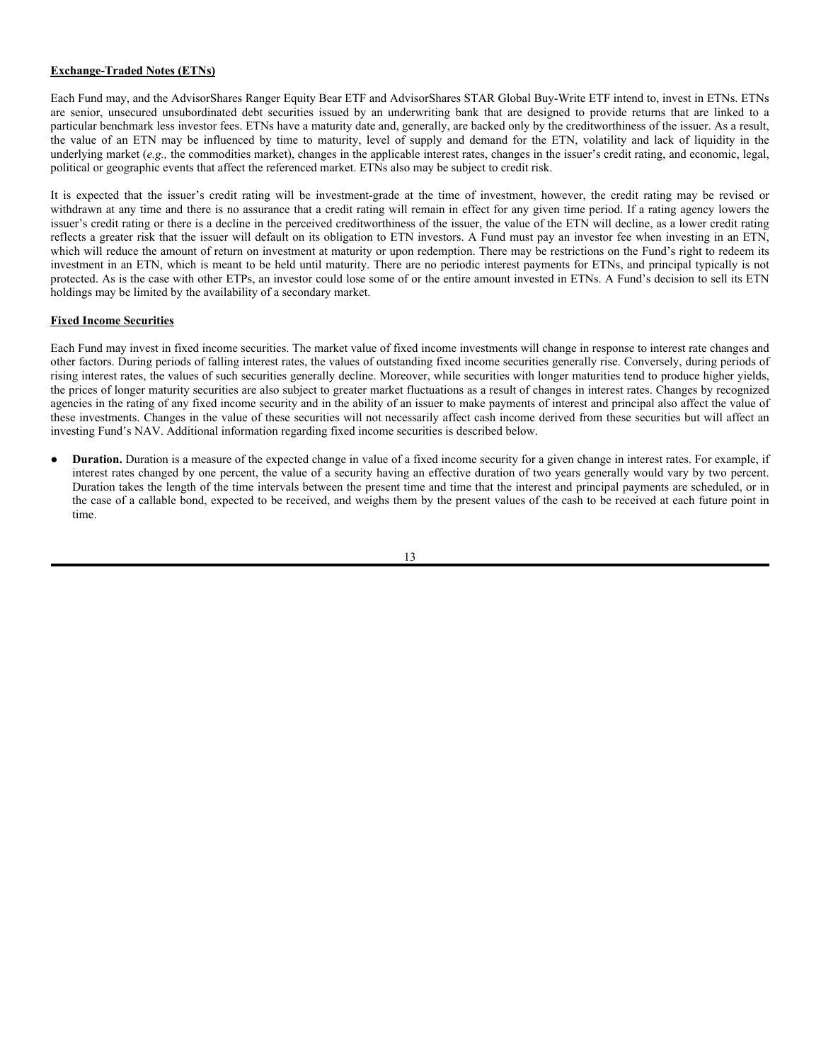### **Equity Securities**

Each Fund and certain of the underlying ETPs may invest in equity securities. Equity securities represent ownership interests in a company or partnership and consist of common stocks, preferred stocks, warrants to acquire common stock, securities convertible into common stock, and investments in master limited partnerships. Investments in equity securities in general are subject to market risks that may cause their prices to fluctuate over time. Fluctuations in the value of equity securities in which the Fund invests will cause the NAV per share of the Fund to fluctuate. The U.S. stock market tends to be cyclical, with periods when stock prices generally rise and periods when stock prices generally decline. Each Fund, or an underlying ETP, may purchase equity securities traded in the U.S. on registered exchanges or the over-the-counter market. Each Fund may invest in the types of equity securities described below:

- **Common Stock.** Common stock represents an equity or ownership interest in an issuer. In the event an issuer is liquidated or declares bankruptcy, the claims of owners of bonds and preferred stock take precedence over the claims of those who own common stock.
- Preferred Stock. Preferred stock represents an equity or ownership interest in an issuer that pays dividends at a specified rate and that has precedence over common stock in the payment of dividends. In the event an issuer is liquidated or declares bankruptcy, the claims of owners of bonds take precedence over the claims of those who own preferred and common stock.
- Warrants. Warrants are instruments that entitle the holder to buy an equity security at a specific price for a specific period of time. Changes in the value of a warrant do not necessarily correspond to changes in the value of its underlying security. The price of a warrant may be more volatile than the price of its underlying security, and a warrant may offer greater potential for capital appreciation as well as capital loss. Warrants do not entitle a holder to dividends or voting rights with respect to the underlying security and do not represent any rights in the assets of the issuing company. A warrant ceases to have value if it is not exercised prior to its expiration date. These factors can make warrants more speculative than other types of investments.
- **Convertible Securities.** Convertible securities are bonds, debentures, notes, preferred stocks or other securities that may be converted or exchanged (by the holder or by the issuer) into shares of the underlying common stock (or cash or securities of equivalent value) at a stated exchange ratio. A convertible security may also be called for redemption or conversion by the issuer after a particular date and under certain circumstances (including a specified price) established upon issue. If a convertible security held by a Fund is called for redemption or conversion, the Fund could be required to tender it for redemption, convert it into the underlying common stock, or sell it to a third-party.

Convertible securities generally have less potential for gain or loss than common stocks. Convertible securities generally provide yields higher than the underlying common stocks, but generally lower than comparable non-convertible securities. Because of this higher yield, convertible securities generally sell at a price above their "conversion value," which is the current market value of the stock to be received upon conversion. The difference between this conversion value and the price of convertible securities will vary over time depending on changes in the value of the underlying common stocks and interest rates. When the underlying common stocks decline in value, convertible securities will tend not to decline to the same extent because of the interest or dividend payments and the repayment of principal at maturity for certain types of convertible securities. However, securities that are convertible other than at the option of the holder generally do not limit the potential for loss to the same extent as securities convertible at the option of the holder. When the underlying common stocks rise in value, the value of convertible securities may also be expected to increase. At the same time, however, the difference between the market value of convertible securities and their conversion value will narrow, which means that the value of convertible securities will generally not increase to the same extent as the value of the underlying common stocks. Because convertible securities may also be interest-rate sensitive, their value may increase as interest rates fall and decrease as interest rates rise. Convertible securities are also subject to credit risk, and are often lower-quality securities.

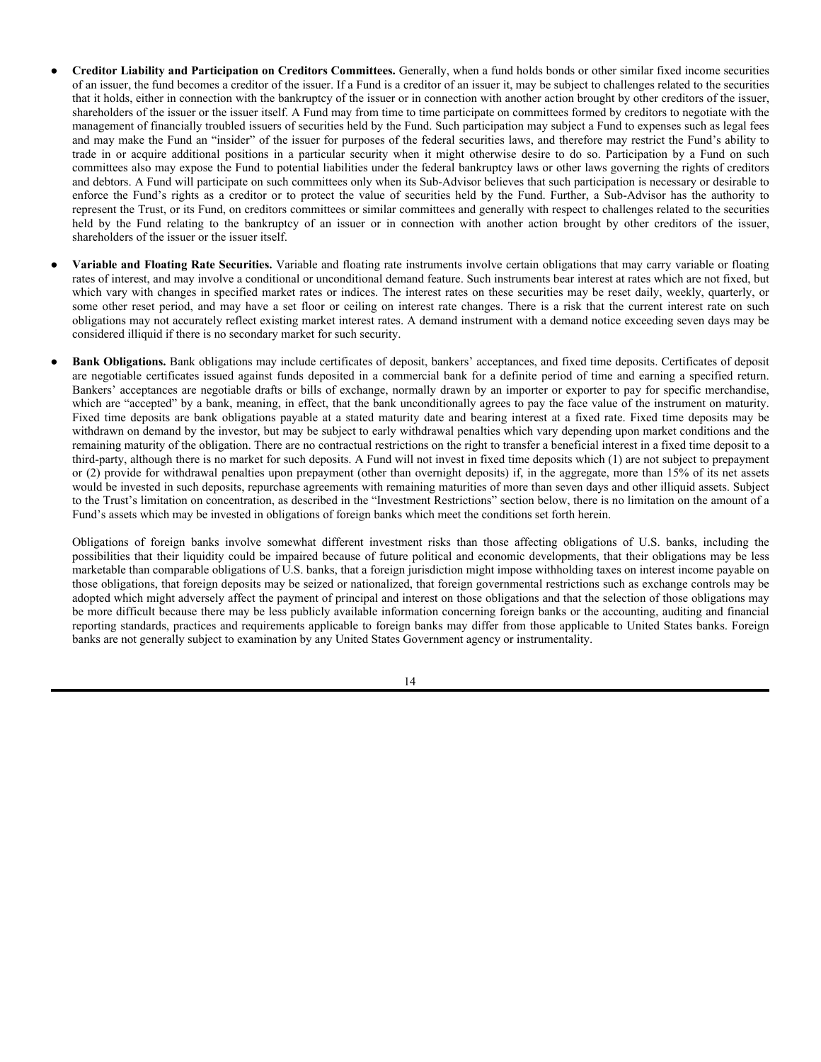- **Small and Medium Capitalization Companies.** Investing in equity securities of small and medium capitalization companies often involves greater risk than is customarily associated with investments in larger capitalization companies. This increased risk may be due to the greater business risks of smaller size, limited markets and financial resources, narrow product lines and frequent lack of depth of management. The securities of smaller companies are often traded in the over-the-counter market and even if listed on a national securities exchange may not be traded in volumes typical for that exchange. Consequently, the securities of smaller companies are less likely to be liquid, may have limited market stability, and may be subject to more abrupt or erratic market movements than securities of larger, more established growth companies or the market averages in general.
- Large Capitalization Companies. Investments in large capitalization companies may go in and out of favor based on market and economic conditions and may underperform other market segments. Some large capitalization companies may be unable to respond quickly to new competitive challenges, such as changes in technology and consumer tastes, and may not be able to attain the high growth rate of successful smaller companies, especially during extended periods of economic expansion. As such, returns on investments in stocks of large capitalization companies could trail the returns on investments in stocks of small and mid capitalization companies.
- Master Limited Partnerships ("MLPs"). MLPs are limited partnerships in which the ownership units are publicly traded. MLP units are registered with the SEC and are freely traded on a securities exchange or in the over-the-counter market. MLPs often own several properties or businesses (or own interests) that are related to real estate development and oil and gas industries, but they also may finance motion pictures, research and development and other projects. Generally, an MLP is operated under the supervision of one or more managing general partners. Limited partners are not involved in the day-to-day management of the partnership.

The risks of investing in an MLP are generally those involved in investing in a partnership as opposed to a corporation. For example, state law governing partnerships is often less restrictive than state law governing corporations. Accordingly, there may be fewer protections afforded investors in an MLP than investors in a corporation. Additional risks involved with investing in an MLP are risks associated with the specific industry or industries in which the partnership invests, such as the risks of investing in real estate, or the oil and gas industries.

- **Rights.** A right is a privilege granted to existing shareholders of a corporation to subscribe to shares of a new issue of common stock before it is issued. Rights normally have a short life of usually two to four weeks, are freely transferable and entitle the holder to buy the new common stock at a lower price than the public offering price. An investment in rights may entail greater risks than certain other types of investments. Generally, rights do not carry the right to receive dividends or exercise voting rights with respect to the underlying securities, and they do not represent any rights in the assets of the issuer. In addition, their value does not necessarily change with the value of the underlying securities, and they cease to have value if they are not exercised on or before their expiration date. Investing in rights increases the potential profit or loss to be realized from the investment as compared with investing the same amount in the underlying securities.
- Investments in Foreign Equity Securities. A Fund may invest in the equity securities of foreign issuers, including the securities of foreign issuers in emerging countries. Emerging or developing markets exist in countries that are considered to be in the initial stages of industrialization. The risks of investing in these markets are similar to the risks of international investing in general, although the risks are greater in emerging and developing markets. Countries with emerging or developing securities markets tend to have economic structures that are less stable than countries with developed securities markets. This is because their economies may be based on only a few industries and their securities markets may trade a small number of securities. Prices on these exchanges tend to be volatile, and securities in these countries historically have offered greater potential for gain (as well as loss) than securities of companies located in developed countries.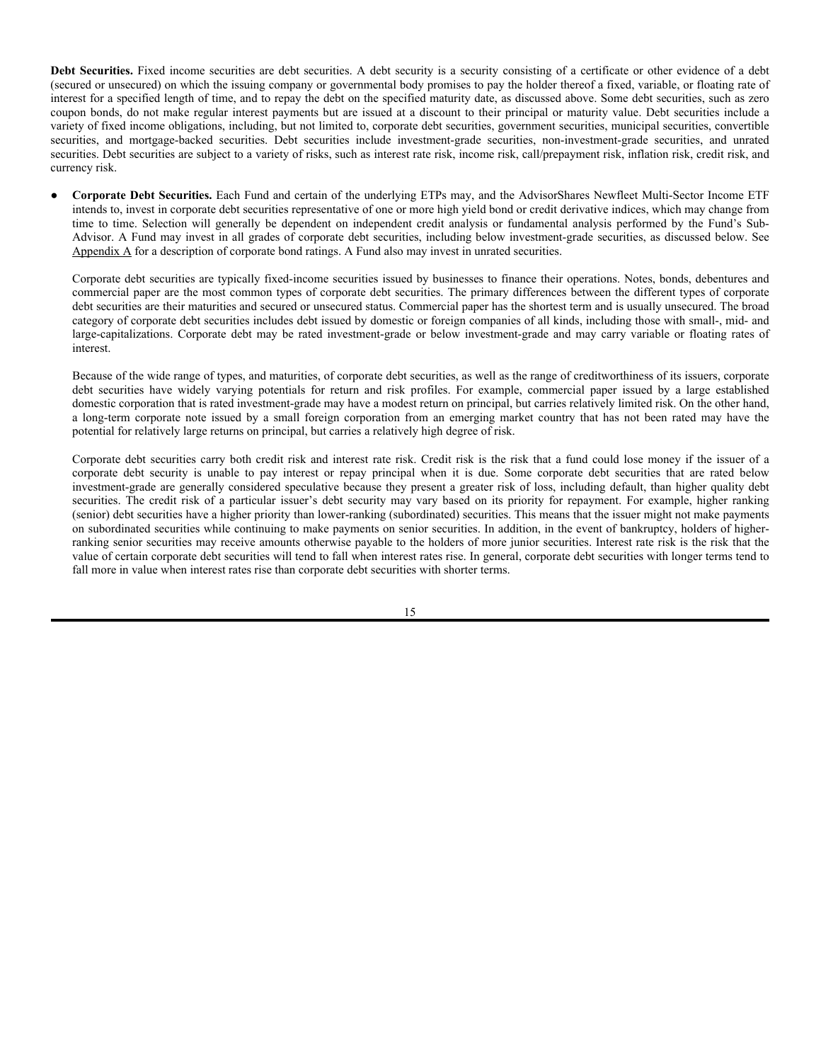#### **Exchange-Traded Notes (ETNs)**

Each Fund may, and the AdvisorShares Ranger Equity Bear ETF and AdvisorShares STAR Global Buy-Write ETF intend to, invest in ETNs. ETNs are senior, unsecured unsubordinated debt securities issued by an underwriting bank that are designed to provide returns that are linked to a particular benchmark less investor fees. ETNs have a maturity date and, generally, are backed only by the creditworthiness of the issuer. As a result, the value of an ETN may be influenced by time to maturity, level of supply and demand for the ETN, volatility and lack of liquidity in the underlying market (*e.g.,* the commodities market), changes in the applicable interest rates, changes in the issuer's credit rating, and economic, legal, political or geographic events that affect the referenced market. ETNs also may be subject to credit risk.

It is expected that the issuer's credit rating will be investment-grade at the time of investment, however, the credit rating may be revised or withdrawn at any time and there is no assurance that a credit rating will remain in effect for any given time period. If a rating agency lowers the issuer's credit rating or there is a decline in the perceived creditworthiness of the issuer, the value of the ETN will decline, as a lower credit rating reflects a greater risk that the issuer will default on its obligation to ETN investors. A Fund must pay an investor fee when investing in an ETN, which will reduce the amount of return on investment at maturity or upon redemption. There may be restrictions on the Fund's right to redeem its investment in an ETN, which is meant to be held until maturity. There are no periodic interest payments for ETNs, and principal typically is not protected. As is the case with other ETPs, an investor could lose some of or the entire amount invested in ETNs. A Fund's decision to sell its ETN holdings may be limited by the availability of a secondary market.

#### **Fixed Income Securities**

Each Fund may invest in fixed income securities. The market value of fixed income investments will change in response to interest rate changes and other factors. During periods of falling interest rates, the values of outstanding fixed income securities generally rise. Conversely, during periods of rising interest rates, the values of such securities generally decline. Moreover, while securities with longer maturities tend to produce higher yields, the prices of longer maturity securities are also subject to greater market fluctuations as a result of changes in interest rates. Changes by recognized agencies in the rating of any fixed income security and in the ability of an issuer to make payments of interest and principal also affect the value of these investments. Changes in the value of these securities will not necessarily affect cash income derived from these securities but will affect an investing Fund's NAV. Additional information regarding fixed income securities is described below.

● **Duration.** Duration is a measure of the expected change in value of a fixed income security for a given change in interest rates. For example, if interest rates changed by one percent, the value of a security having an effective duration of two years generally would vary by two percent. Duration takes the length of the time intervals between the present time and time that the interest and principal payments are scheduled, or in the case of a callable bond, expected to be received, and weighs them by the present values of the cash to be received at each future point in time.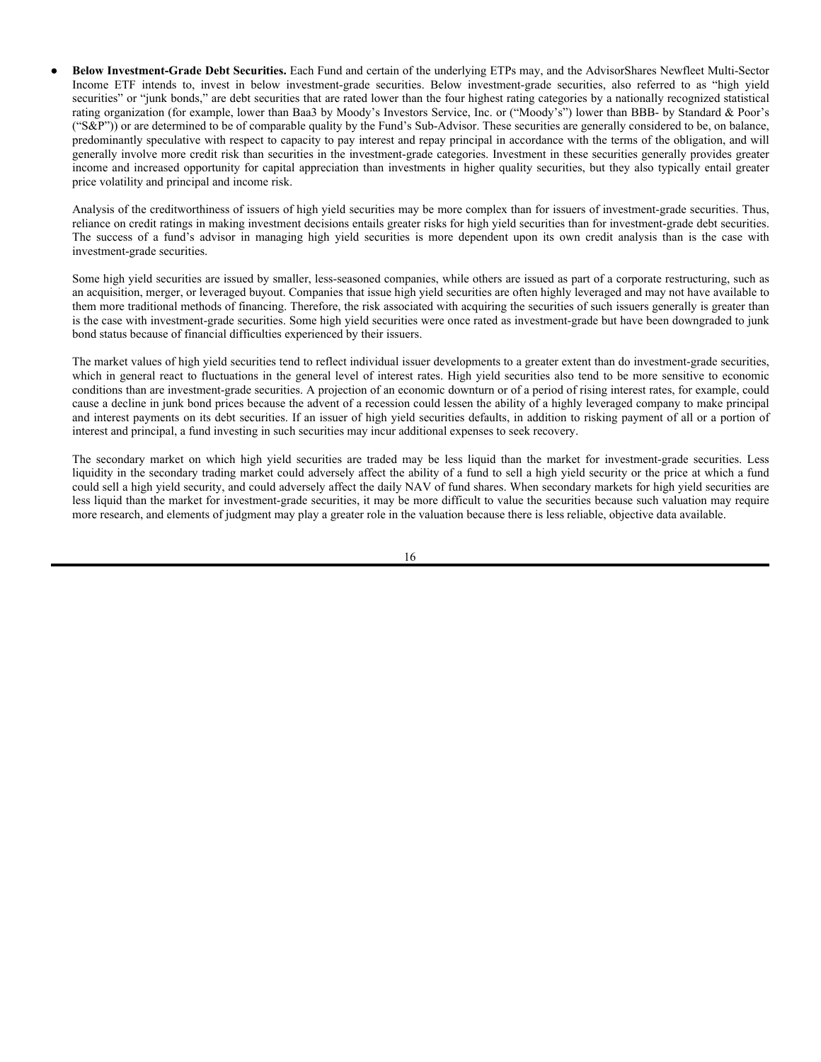- **Creditor Liability and Participation on Creditors Committees.** Generally, when a fund holds bonds or other similar fixed income securities of an issuer, the fund becomes a creditor of the issuer. If a Fund is a creditor of an issuer it, may be subject to challenges related to the securities that it holds, either in connection with the bankruptcy of the issuer or in connection with another action brought by other creditors of the issuer, shareholders of the issuer or the issuer itself. A Fund may from time to time participate on committees formed by creditors to negotiate with the management of financially troubled issuers of securities held by the Fund. Such participation may subject a Fund to expenses such as legal fees and may make the Fund an "insider" of the issuer for purposes of the federal securities laws, and therefore may restrict the Fund's ability to trade in or acquire additional positions in a particular security when it might otherwise desire to do so. Participation by a Fund on such committees also may expose the Fund to potential liabilities under the federal bankruptcy laws or other laws governing the rights of creditors and debtors. A Fund will participate on such committees only when its Sub-Advisor believes that such participation is necessary or desirable to enforce the Fund's rights as a creditor or to protect the value of securities held by the Fund. Further, a Sub-Advisor has the authority to represent the Trust, or its Fund, on creditors committees or similar committees and generally with respect to challenges related to the securities held by the Fund relating to the bankruptcy of an issuer or in connection with another action brought by other creditors of the issuer, shareholders of the issuer or the issuer itself.
- Variable and Floating Rate Securities. Variable and floating rate instruments involve certain obligations that may carry variable or floating rates of interest, and may involve a conditional or unconditional demand feature. Such instruments bear interest at rates which are not fixed, but which vary with changes in specified market rates or indices. The interest rates on these securities may be reset daily, weekly, quarterly, or some other reset period, and may have a set floor or ceiling on interest rate changes. There is a risk that the current interest rate on such obligations may not accurately reflect existing market interest rates. A demand instrument with a demand notice exceeding seven days may be considered illiquid if there is no secondary market for such security.
- Bank Obligations. Bank obligations may include certificates of deposit, bankers' acceptances, and fixed time deposits. Certificates of deposit are negotiable certificates issued against funds deposited in a commercial bank for a definite period of time and earning a specified return. Bankers' acceptances are negotiable drafts or bills of exchange, normally drawn by an importer or exporter to pay for specific merchandise, which are "accepted" by a bank, meaning, in effect, that the bank unconditionally agrees to pay the face value of the instrument on maturity. Fixed time deposits are bank obligations payable at a stated maturity date and bearing interest at a fixed rate. Fixed time deposits may be withdrawn on demand by the investor, but may be subject to early withdrawal penalties which vary depending upon market conditions and the remaining maturity of the obligation. There are no contractual restrictions on the right to transfer a beneficial interest in a fixed time deposit to a third-party, although there is no market for such deposits. A Fund will not invest in fixed time deposits which (1) are not subject to prepayment or (2) provide for withdrawal penalties upon prepayment (other than overnight deposits) if, in the aggregate, more than 15% of its net assets would be invested in such deposits, repurchase agreements with remaining maturities of more than seven days and other illiquid assets. Subject to the Trust's limitation on concentration, as described in the "Investment Restrictions" section below, there is no limitation on the amount of a Fund's assets which may be invested in obligations of foreign banks which meet the conditions set forth herein.

Obligations of foreign banks involve somewhat different investment risks than those affecting obligations of U.S. banks, including the possibilities that their liquidity could be impaired because of future political and economic developments, that their obligations may be less marketable than comparable obligations of U.S. banks, that a foreign jurisdiction might impose withholding taxes on interest income payable on those obligations, that foreign deposits may be seized or nationalized, that foreign governmental restrictions such as exchange controls may be adopted which might adversely affect the payment of principal and interest on those obligations and that the selection of those obligations may be more difficult because there may be less publicly available information concerning foreign banks or the accounting, auditing and financial reporting standards, practices and requirements applicable to foreign banks may differ from those applicable to United States banks. Foreign banks are not generally subject to examination by any United States Government agency or instrumentality.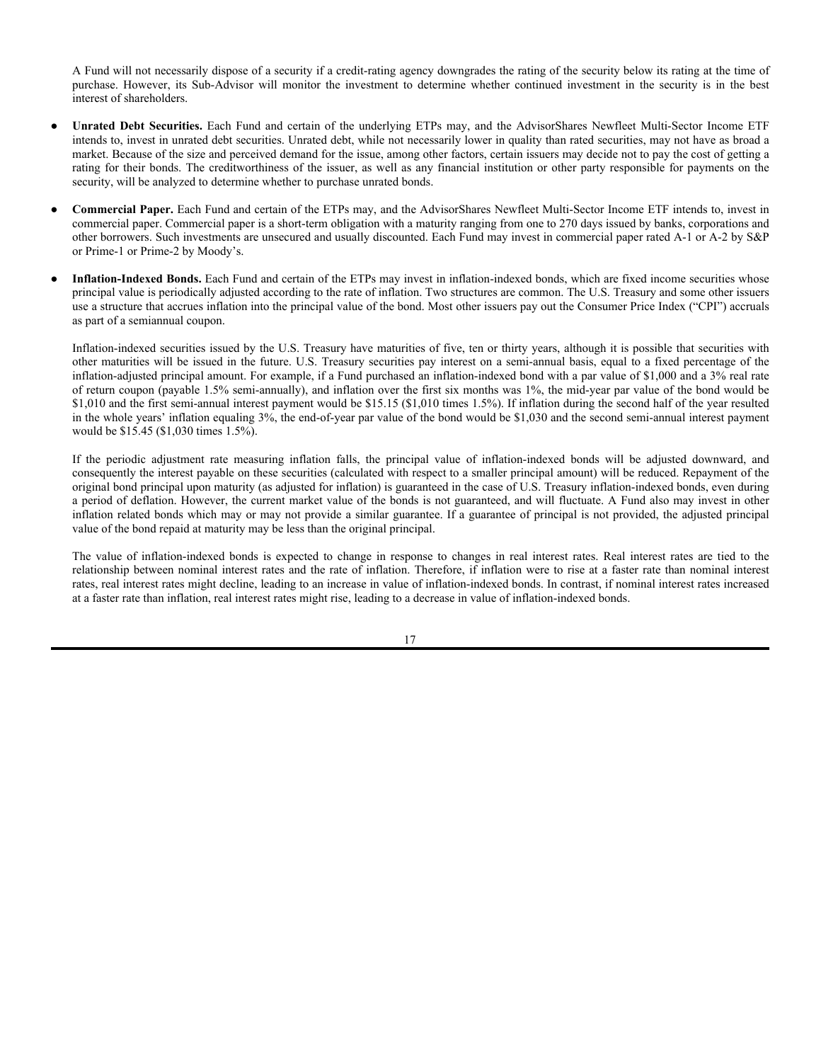Debt Securities. Fixed income securities are debt securities. A debt security is a security consisting of a certificate or other evidence of a debt (secured or unsecured) on which the issuing company or governmental body promises to pay the holder thereof a fixed, variable, or floating rate of interest for a specified length of time, and to repay the debt on the specified maturity date, as discussed above. Some debt securities, such as zero coupon bonds, do not make regular interest payments but are issued at a discount to their principal or maturity value. Debt securities include a variety of fixed income obligations, including, but not limited to, corporate debt securities, government securities, municipal securities, convertible securities, and mortgage-backed securities. Debt securities include investment-grade securities, non-investment-grade securities, and unrated securities. Debt securities are subject to a variety of risks, such as interest rate risk, income risk, call/prepayment risk, inflation risk, credit risk, and currency risk.

● **Corporate Debt Securities.** Each Fund and certain of the underlying ETPs may, and the AdvisorShares Newfleet Multi-Sector Income ETF intends to, invest in corporate debt securities representative of one or more high yield bond or credit derivative indices, which may change from time to time. Selection will generally be dependent on independent credit analysis or fundamental analysis performed by the Fund's Sub-Advisor. A Fund may invest in all grades of corporate debt securities, including below investment-grade securities, as discussed below. See Appendix A for a description of corporate bond ratings. A Fund also may invest in unrated securities.

Corporate debt securities are typically fixed-income securities issued by businesses to finance their operations. Notes, bonds, debentures and commercial paper are the most common types of corporate debt securities. The primary differences between the different types of corporate debt securities are their maturities and secured or unsecured status. Commercial paper has the shortest term and is usually unsecured. The broad category of corporate debt securities includes debt issued by domestic or foreign companies of all kinds, including those with small-, mid- and large-capitalizations. Corporate debt may be rated investment-grade or below investment-grade and may carry variable or floating rates of interest.

Because of the wide range of types, and maturities, of corporate debt securities, as well as the range of creditworthiness of its issuers, corporate debt securities have widely varying potentials for return and risk profiles. For example, commercial paper issued by a large established domestic corporation that is rated investment-grade may have a modest return on principal, but carries relatively limited risk. On the other hand, a long-term corporate note issued by a small foreign corporation from an emerging market country that has not been rated may have the potential for relatively large returns on principal, but carries a relatively high degree of risk.

Corporate debt securities carry both credit risk and interest rate risk. Credit risk is the risk that a fund could lose money if the issuer of a corporate debt security is unable to pay interest or repay principal when it is due. Some corporate debt securities that are rated below investment-grade are generally considered speculative because they present a greater risk of loss, including default, than higher quality debt securities. The credit risk of a particular issuer's debt security may vary based on its priority for repayment. For example, higher ranking (senior) debt securities have a higher priority than lower-ranking (subordinated) securities. This means that the issuer might not make payments on subordinated securities while continuing to make payments on senior securities. In addition, in the event of bankruptcy, holders of higherranking senior securities may receive amounts otherwise payable to the holders of more junior securities. Interest rate risk is the risk that the value of certain corporate debt securities will tend to fall when interest rates rise. In general, corporate debt securities with longer terms tend to fall more in value when interest rates rise than corporate debt securities with shorter terms.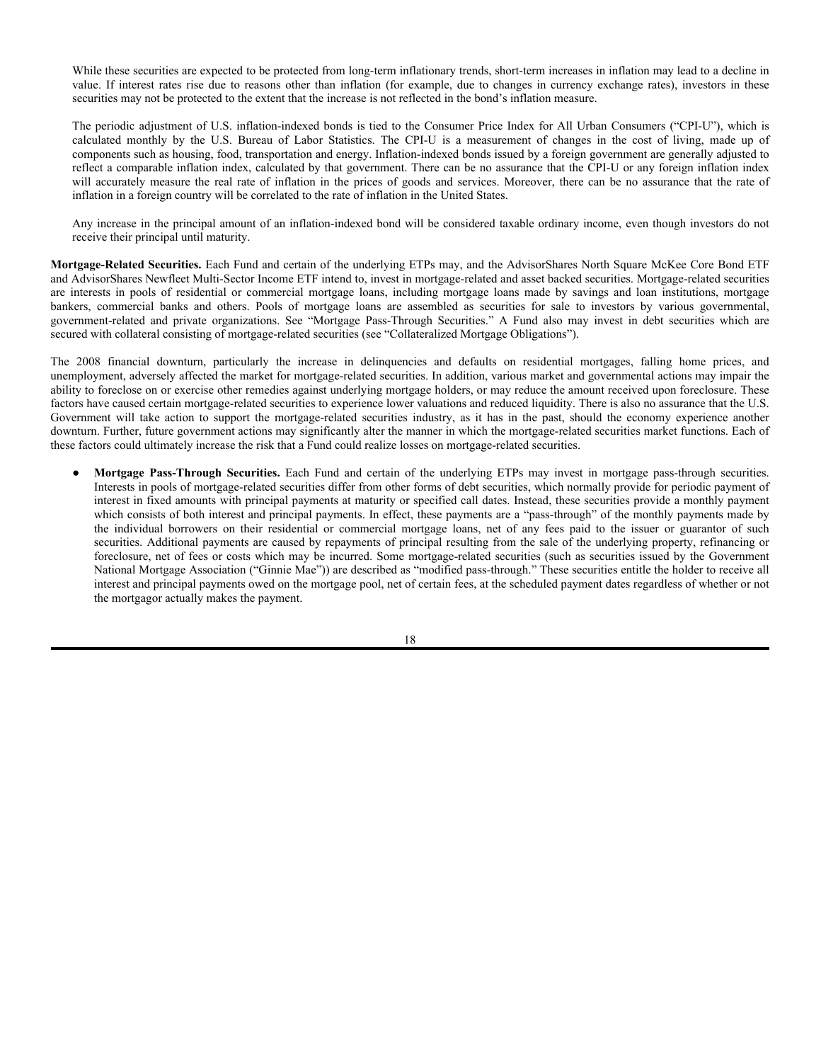● **Below Investment-Grade Debt Securities.** Each Fund and certain of the underlying ETPs may, and the AdvisorShares Newfleet Multi-Sector Income ETF intends to, invest in below investment-grade securities. Below investment-grade securities, also referred to as "high yield securities" or "junk bonds," are debt securities that are rated lower than the four highest rating categories by a nationally recognized statistical rating organization (for example, lower than Baa3 by Moody's Investors Service, Inc. or ("Moody's") lower than BBB- by Standard & Poor's ("S&P")) or are determined to be of comparable quality by the Fund's Sub-Advisor. These securities are generally considered to be, on balance, predominantly speculative with respect to capacity to pay interest and repay principal in accordance with the terms of the obligation, and will generally involve more credit risk than securities in the investment-grade categories. Investment in these securities generally provides greater income and increased opportunity for capital appreciation than investments in higher quality securities, but they also typically entail greater price volatility and principal and income risk.

Analysis of the creditworthiness of issuers of high yield securities may be more complex than for issuers of investment-grade securities. Thus, reliance on credit ratings in making investment decisions entails greater risks for high yield securities than for investment-grade debt securities. The success of a fund's advisor in managing high yield securities is more dependent upon its own credit analysis than is the case with investment-grade securities.

Some high yield securities are issued by smaller, less-seasoned companies, while others are issued as part of a corporate restructuring, such as an acquisition, merger, or leveraged buyout. Companies that issue high yield securities are often highly leveraged and may not have available to them more traditional methods of financing. Therefore, the risk associated with acquiring the securities of such issuers generally is greater than is the case with investment-grade securities. Some high yield securities were once rated as investment-grade but have been downgraded to junk bond status because of financial difficulties experienced by their issuers.

The market values of high yield securities tend to reflect individual issuer developments to a greater extent than do investment-grade securities, which in general react to fluctuations in the general level of interest rates. High yield securities also tend to be more sensitive to economic conditions than are investment-grade securities. A projection of an economic downturn or of a period of rising interest rates, for example, could cause a decline in junk bond prices because the advent of a recession could lessen the ability of a highly leveraged company to make principal and interest payments on its debt securities. If an issuer of high yield securities defaults, in addition to risking payment of all or a portion of interest and principal, a fund investing in such securities may incur additional expenses to seek recovery.

The secondary market on which high yield securities are traded may be less liquid than the market for investment-grade securities. Less liquidity in the secondary trading market could adversely affect the ability of a fund to sell a high yield security or the price at which a fund could sell a high yield security, and could adversely affect the daily NAV of fund shares. When secondary markets for high yield securities are less liquid than the market for investment-grade securities, it may be more difficult to value the securities because such valuation may require more research, and elements of judgment may play a greater role in the valuation because there is less reliable, objective data available.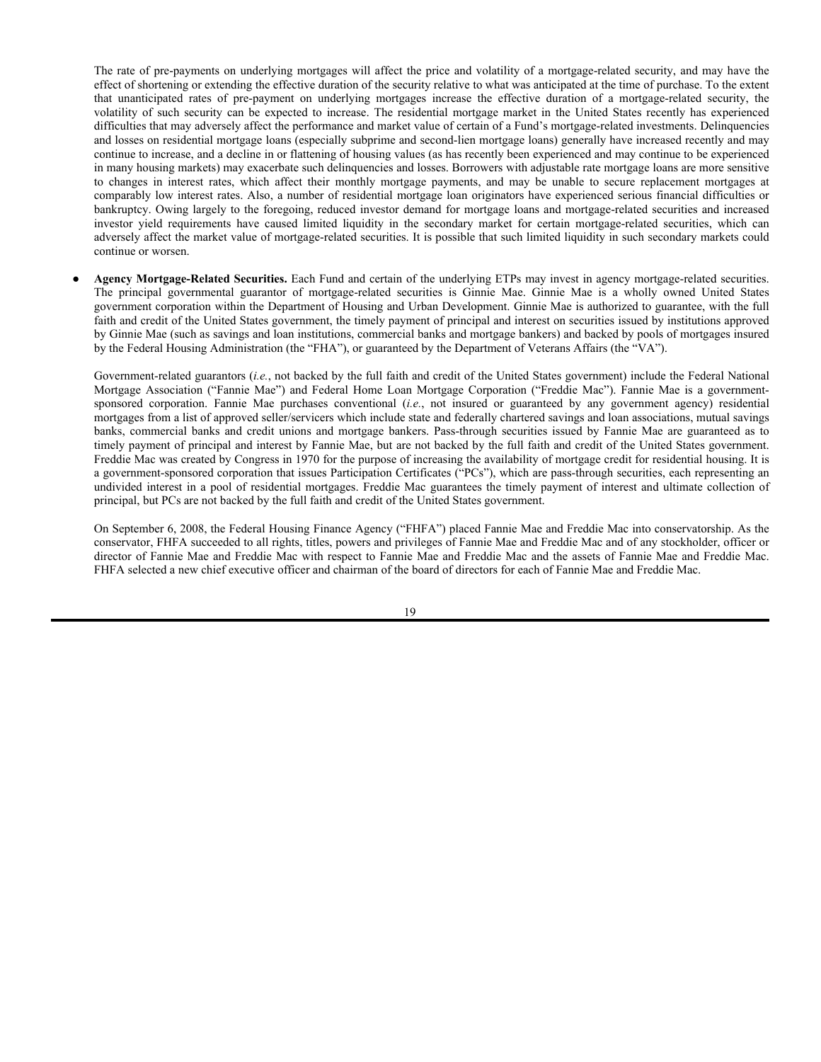A Fund will not necessarily dispose of a security if a credit-rating agency downgrades the rating of the security below its rating at the time of purchase. However, its Sub-Advisor will monitor the investment to determine whether continued investment in the security is in the best interest of shareholders.

- **Unrated Debt Securities.** Each Fund and certain of the underlying ETPs may, and the AdvisorShares Newfleet Multi-Sector Income ETF intends to, invest in unrated debt securities. Unrated debt, while not necessarily lower in quality than rated securities, may not have as broad a market. Because of the size and perceived demand for the issue, among other factors, certain issuers may decide not to pay the cost of getting a rating for their bonds. The creditworthiness of the issuer, as well as any financial institution or other party responsible for payments on the security, will be analyzed to determine whether to purchase unrated bonds.
- **Commercial Paper.** Each Fund and certain of the ETPs may, and the AdvisorShares Newfleet Multi-Sector Income ETF intends to, invest in commercial paper. Commercial paper is a short-term obligation with a maturity ranging from one to 270 days issued by banks, corporations and other borrowers. Such investments are unsecured and usually discounted. Each Fund may invest in commercial paper rated A-1 or A-2 by S&P or Prime-1 or Prime-2 by Moody's.
- Inflation-Indexed Bonds. Each Fund and certain of the ETPs may invest in inflation-indexed bonds, which are fixed income securities whose principal value is periodically adjusted according to the rate of inflation. Two structures are common. The U.S. Treasury and some other issuers use a structure that accrues inflation into the principal value of the bond. Most other issuers pay out the Consumer Price Index ("CPI") accruals as part of a semiannual coupon.

Inflation-indexed securities issued by the U.S. Treasury have maturities of five, ten or thirty years, although it is possible that securities with other maturities will be issued in the future. U.S. Treasury securities pay interest on a semi-annual basis, equal to a fixed percentage of the inflation-adjusted principal amount. For example, if a Fund purchased an inflation-indexed bond with a par value of \$1,000 and a 3% real rate of return coupon (payable 1.5% semi-annually), and inflation over the first six months was 1%, the mid-year par value of the bond would be \$1,010 and the first semi-annual interest payment would be \$15.15 (\$1,010 times 1.5%). If inflation during the second half of the year resulted in the whole years' inflation equaling 3%, the end-of-year par value of the bond would be \$1,030 and the second semi-annual interest payment would be \$15.45 (\$1,030 times 1.5%).

If the periodic adjustment rate measuring inflation falls, the principal value of inflation-indexed bonds will be adjusted downward, and consequently the interest payable on these securities (calculated with respect to a smaller principal amount) will be reduced. Repayment of the original bond principal upon maturity (as adjusted for inflation) is guaranteed in the case of U.S. Treasury inflation-indexed bonds, even during a period of deflation. However, the current market value of the bonds is not guaranteed, and will fluctuate. A Fund also may invest in other inflation related bonds which may or may not provide a similar guarantee. If a guarantee of principal is not provided, the adjusted principal value of the bond repaid at maturity may be less than the original principal.

The value of inflation-indexed bonds is expected to change in response to changes in real interest rates. Real interest rates are tied to the relationship between nominal interest rates and the rate of inflation. Therefore, if inflation were to rise at a faster rate than nominal interest rates, real interest rates might decline, leading to an increase in value of inflation-indexed bonds. In contrast, if nominal interest rates increased at a faster rate than inflation, real interest rates might rise, leading to a decrease in value of inflation-indexed bonds.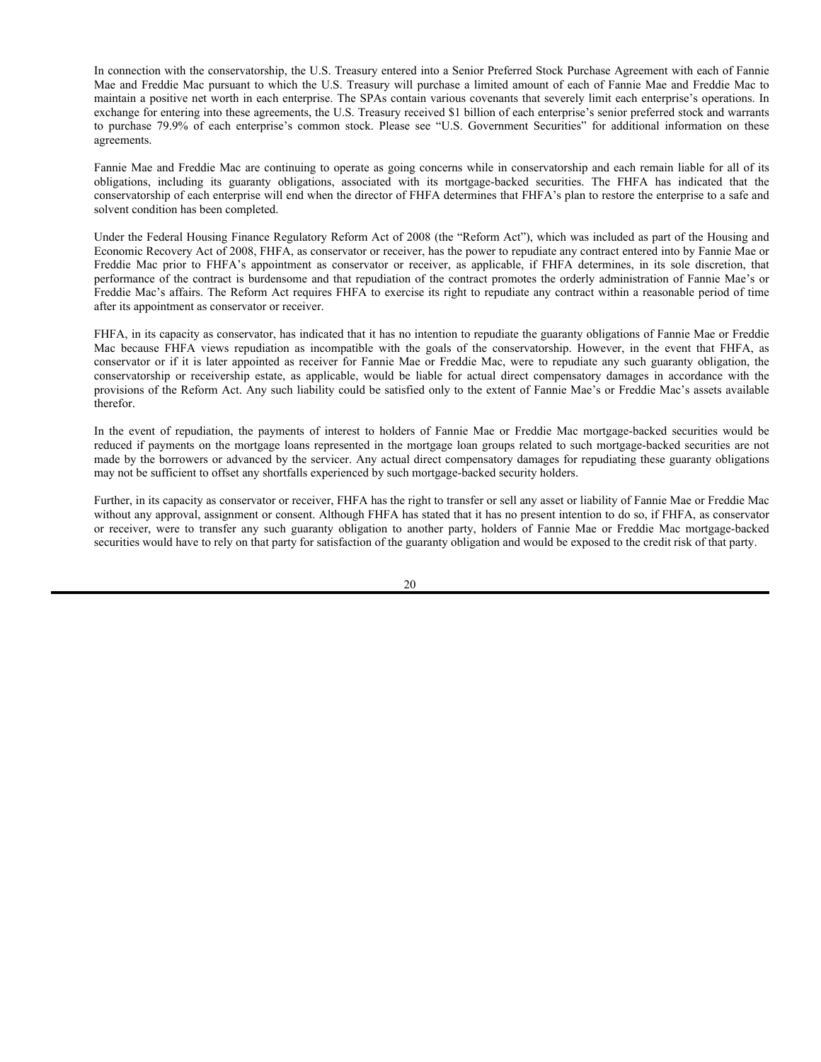While these securities are expected to be protected from long-term inflationary trends, short-term increases in inflation may lead to a decline in value. If interest rates rise due to reasons other than inflation (for example, due to changes in currency exchange rates), investors in these securities may not be protected to the extent that the increase is not reflected in the bond's inflation measure.

The periodic adjustment of U.S. inflation-indexed bonds is tied to the Consumer Price Index for All Urban Consumers ("CPI-U"), which is calculated monthly by the U.S. Bureau of Labor Statistics. The CPI-U is a measurement of changes in the cost of living, made up of components such as housing, food, transportation and energy. Inflation-indexed bonds issued by a foreign government are generally adjusted to reflect a comparable inflation index, calculated by that government. There can be no assurance that the CPI-U or any foreign inflation index will accurately measure the real rate of inflation in the prices of goods and services. Moreover, there can be no assurance that the rate of inflation in a foreign country will be correlated to the rate of inflation in the United States.

Any increase in the principal amount of an inflation-indexed bond will be considered taxable ordinary income, even though investors do not receive their principal until maturity.

**Mortgage-Related Securities.** Each Fund and certain of the underlying ETPs may, and the AdvisorShares North Square McKee Core Bond ETF and AdvisorShares Newfleet Multi-Sector Income ETF intend to, invest in mortgage-related and asset backed securities. Mortgage-related securities are interests in pools of residential or commercial mortgage loans, including mortgage loans made by savings and loan institutions, mortgage bankers, commercial banks and others. Pools of mortgage loans are assembled as securities for sale to investors by various governmental, government-related and private organizations. See "Mortgage Pass-Through Securities." A Fund also may invest in debt securities which are secured with collateral consisting of mortgage-related securities (see "Collateralized Mortgage Obligations").

The 2008 financial downturn, particularly the increase in delinquencies and defaults on residential mortgages, falling home prices, and unemployment, adversely affected the market for mortgage-related securities. In addition, various market and governmental actions may impair the ability to foreclose on or exercise other remedies against underlying mortgage holders, or may reduce the amount received upon foreclosure. These factors have caused certain mortgage-related securities to experience lower valuations and reduced liquidity. There is also no assurance that the U.S. Government will take action to support the mortgage-related securities industry, as it has in the past, should the economy experience another downturn. Further, future government actions may significantly alter the manner in which the mortgage-related securities market functions. Each of these factors could ultimately increase the risk that a Fund could realize losses on mortgage-related securities.

● **Mortgage Pass-Through Securities.** Each Fund and certain of the underlying ETPs may invest in mortgage pass-through securities. Interests in pools of mortgage-related securities differ from other forms of debt securities, which normally provide for periodic payment of interest in fixed amounts with principal payments at maturity or specified call dates. Instead, these securities provide a monthly payment which consists of both interest and principal payments. In effect, these payments are a "pass-through" of the monthly payments made by the individual borrowers on their residential or commercial mortgage loans, net of any fees paid to the issuer or guarantor of such securities. Additional payments are caused by repayments of principal resulting from the sale of the underlying property, refinancing or foreclosure, net of fees or costs which may be incurred. Some mortgage-related securities (such as securities issued by the Government National Mortgage Association ("Ginnie Mae")) are described as "modified pass-through." These securities entitle the holder to receive all interest and principal payments owed on the mortgage pool, net of certain fees, at the scheduled payment dates regardless of whether or not the mortgagor actually makes the payment.

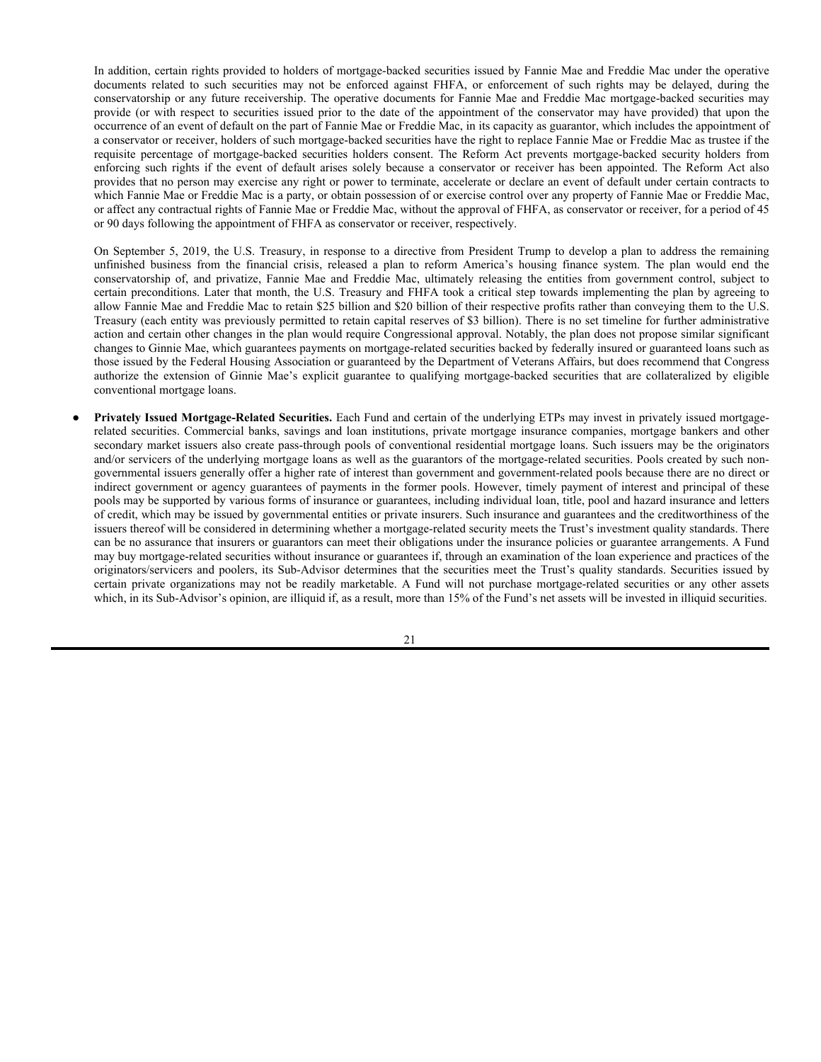The rate of pre-payments on underlying mortgages will affect the price and volatility of a mortgage-related security, and may have the effect of shortening or extending the effective duration of the security relative to what was anticipated at the time of purchase. To the extent that unanticipated rates of pre-payment on underlying mortgages increase the effective duration of a mortgage-related security, the volatility of such security can be expected to increase. The residential mortgage market in the United States recently has experienced difficulties that may adversely affect the performance and market value of certain of a Fund's mortgage-related investments. Delinquencies and losses on residential mortgage loans (especially subprime and second-lien mortgage loans) generally have increased recently and may continue to increase, and a decline in or flattening of housing values (as has recently been experienced and may continue to be experienced in many housing markets) may exacerbate such delinquencies and losses. Borrowers with adjustable rate mortgage loans are more sensitive to changes in interest rates, which affect their monthly mortgage payments, and may be unable to secure replacement mortgages at comparably low interest rates. Also, a number of residential mortgage loan originators have experienced serious financial difficulties or bankruptcy. Owing largely to the foregoing, reduced investor demand for mortgage loans and mortgage-related securities and increased investor yield requirements have caused limited liquidity in the secondary market for certain mortgage-related securities, which can adversely affect the market value of mortgage-related securities. It is possible that such limited liquidity in such secondary markets could continue or worsen.

Agency Mortgage-Related Securities. Each Fund and certain of the underlying ETPs may invest in agency mortgage-related securities. The principal governmental guarantor of mortgage-related securities is Ginnie Mae. Ginnie Mae is a wholly owned United States government corporation within the Department of Housing and Urban Development. Ginnie Mae is authorized to guarantee, with the full faith and credit of the United States government, the timely payment of principal and interest on securities issued by institutions approved by Ginnie Mae (such as savings and loan institutions, commercial banks and mortgage bankers) and backed by pools of mortgages insured by the Federal Housing Administration (the "FHA"), or guaranteed by the Department of Veterans Affairs (the "VA").

Government-related guarantors (*i.e.*, not backed by the full faith and credit of the United States government) include the Federal National Mortgage Association ("Fannie Mae") and Federal Home Loan Mortgage Corporation ("Freddie Mac"). Fannie Mae is a governmentsponsored corporation. Fannie Mae purchases conventional (*i.e.*, not insured or guaranteed by any government agency) residential mortgages from a list of approved seller/servicers which include state and federally chartered savings and loan associations, mutual savings banks, commercial banks and credit unions and mortgage bankers. Pass-through securities issued by Fannie Mae are guaranteed as to timely payment of principal and interest by Fannie Mae, but are not backed by the full faith and credit of the United States government. Freddie Mac was created by Congress in 1970 for the purpose of increasing the availability of mortgage credit for residential housing. It is a government-sponsored corporation that issues Participation Certificates ("PCs"), which are pass-through securities, each representing an undivided interest in a pool of residential mortgages. Freddie Mac guarantees the timely payment of interest and ultimate collection of principal, but PCs are not backed by the full faith and credit of the United States government.

On September 6, 2008, the Federal Housing Finance Agency ("FHFA") placed Fannie Mae and Freddie Mac into conservatorship. As the conservator, FHFA succeeded to all rights, titles, powers and privileges of Fannie Mae and Freddie Mac and of any stockholder, officer or director of Fannie Mae and Freddie Mac with respect to Fannie Mae and Freddie Mac and the assets of Fannie Mae and Freddie Mac. FHFA selected a new chief executive officer and chairman of the board of directors for each of Fannie Mae and Freddie Mac.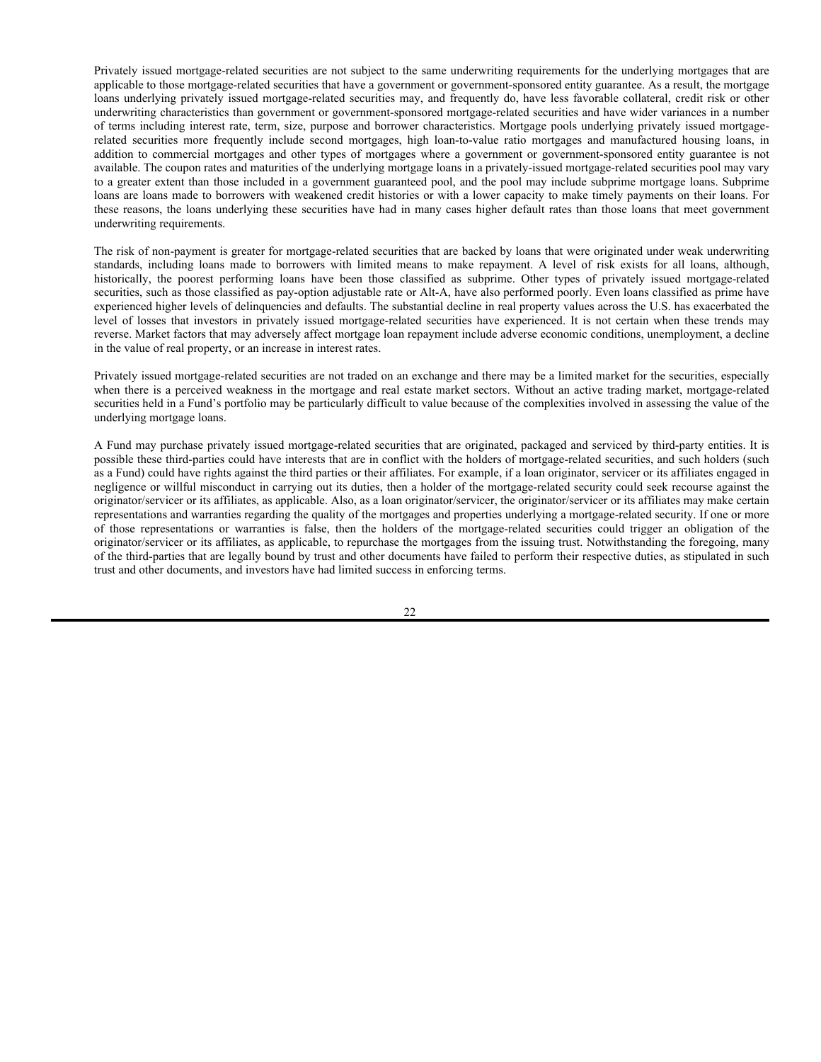In connection with the conservatorship, the U.S. Treasury entered into a Senior Preferred Stock Purchase Agreement with each of Fannie Mae and Freddie Mac pursuant to which the U.S. Treasury will purchase a limited amount of each of Fannie Mae and Freddie Mac to maintain a positive net worth in each enterprise. The SPAs contain various covenants that severely limit each enterprise's operations. In exchange for entering into these agreements, the U.S. Treasury received \$1 billion of each enterprise's senior preferred stock and warrants to purchase 79.9% of each enterprise's common stock. Please see "U.S. Government Securities" for additional information on these agreements.

Fannie Mae and Freddie Mac are continuing to operate as going concerns while in conservatorship and each remain liable for all of its obligations, including its guaranty obligations, associated with its mortgage-backed securities. The FHFA has indicated that the conservatorship of each enterprise will end when the director of FHFA determines that FHFA's plan to restore the enterprise to a safe and solvent condition has been completed.

Under the Federal Housing Finance Regulatory Reform Act of 2008 (the "Reform Act"), which was included as part of the Housing and Economic Recovery Act of 2008, FHFA, as conservator or receiver, has the power to repudiate any contract entered into by Fannie Mae or Freddie Mac prior to FHFA's appointment as conservator or receiver, as applicable, if FHFA determines, in its sole discretion, that performance of the contract is burdensome and that repudiation of the contract promotes the orderly administration of Fannie Mae's or Freddie Mac's affairs. The Reform Act requires FHFA to exercise its right to repudiate any contract within a reasonable period of time after its appointment as conservator or receiver.

FHFA, in its capacity as conservator, has indicated that it has no intention to repudiate the guaranty obligations of Fannie Mae or Freddie Mac because FHFA views repudiation as incompatible with the goals of the conservatorship. However, in the event that FHFA, as conservator or if it is later appointed as receiver for Fannie Mae or Freddie Mac, were to repudiate any such guaranty obligation, the conservatorship or receivership estate, as applicable, would be liable for actual direct compensatory damages in accordance with the provisions of the Reform Act. Any such liability could be satisfied only to the extent of Fannie Mae's or Freddie Mac's assets available therefor.

In the event of repudiation, the payments of interest to holders of Fannie Mae or Freddie Mac mortgage-backed securities would be reduced if payments on the mortgage loans represented in the mortgage loan groups related to such mortgage-backed securities are not made by the borrowers or advanced by the servicer. Any actual direct compensatory damages for repudiating these guaranty obligations may not be sufficient to offset any shortfalls experienced by such mortgage-backed security holders.

Further, in its capacity as conservator or receiver, FHFA has the right to transfer or sell any asset or liability of Fannie Mae or Freddie Mac without any approval, assignment or consent. Although FHFA has stated that it has no present intention to do so, if FHFA, as conservator or receiver, were to transfer any such guaranty obligation to another party, holders of Fannie Mae or Freddie Mac mortgage-backed securities would have to rely on that party for satisfaction of the guaranty obligation and would be exposed to the credit risk of that party.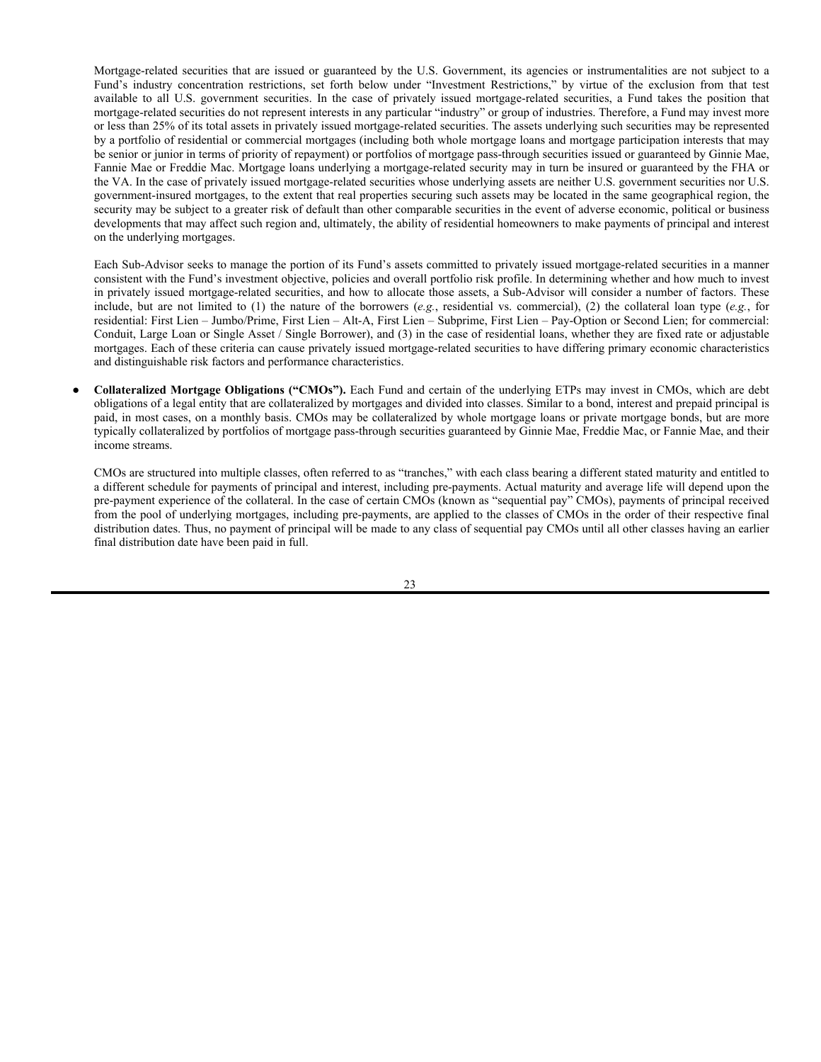In addition, certain rights provided to holders of mortgage-backed securities issued by Fannie Mae and Freddie Mac under the operative documents related to such securities may not be enforced against FHFA, or enforcement of such rights may be delayed, during the conservatorship or any future receivership. The operative documents for Fannie Mae and Freddie Mac mortgage-backed securities may provide (or with respect to securities issued prior to the date of the appointment of the conservator may have provided) that upon the occurrence of an event of default on the part of Fannie Mae or Freddie Mac, in its capacity as guarantor, which includes the appointment of a conservator or receiver, holders of such mortgage-backed securities have the right to replace Fannie Mae or Freddie Mac as trustee if the requisite percentage of mortgage-backed securities holders consent. The Reform Act prevents mortgage-backed security holders from enforcing such rights if the event of default arises solely because a conservator or receiver has been appointed. The Reform Act also provides that no person may exercise any right or power to terminate, accelerate or declare an event of default under certain contracts to which Fannie Mae or Freddie Mac is a party, or obtain possession of or exercise control over any property of Fannie Mae or Freddie Mac, or affect any contractual rights of Fannie Mae or Freddie Mac, without the approval of FHFA, as conservator or receiver, for a period of 45 or 90 days following the appointment of FHFA as conservator or receiver, respectively.

On September 5, 2019, the U.S. Treasury, in response to a directive from President Trump to develop a plan to address the remaining unfinished business from the financial crisis, released a plan to reform America's housing finance system. The plan would end the conservatorship of, and privatize, Fannie Mae and Freddie Mac, ultimately releasing the entities from government control, subject to certain preconditions. Later that month, the U.S. Treasury and FHFA took a critical step towards implementing the plan by agreeing to allow Fannie Mae and Freddie Mac to retain \$25 billion and \$20 billion of their respective profits rather than conveying them to the U.S. Treasury (each entity was previously permitted to retain capital reserves of \$3 billion). There is no set timeline for further administrative action and certain other changes in the plan would require Congressional approval. Notably, the plan does not propose similar significant changes to Ginnie Mae, which guarantees payments on mortgage-related securities backed by federally insured or guaranteed loans such as those issued by the Federal Housing Association or guaranteed by the Department of Veterans Affairs, but does recommend that Congress authorize the extension of Ginnie Mae's explicit guarantee to qualifying mortgage-backed securities that are collateralized by eligible conventional mortgage loans.

● **Privately Issued Mortgage-Related Securities.** Each Fund and certain of the underlying ETPs may invest in privately issued mortgagerelated securities. Commercial banks, savings and loan institutions, private mortgage insurance companies, mortgage bankers and other secondary market issuers also create pass-through pools of conventional residential mortgage loans. Such issuers may be the originators and/or servicers of the underlying mortgage loans as well as the guarantors of the mortgage-related securities. Pools created by such nongovernmental issuers generally offer a higher rate of interest than government and government-related pools because there are no direct or indirect government or agency guarantees of payments in the former pools. However, timely payment of interest and principal of these pools may be supported by various forms of insurance or guarantees, including individual loan, title, pool and hazard insurance and letters of credit, which may be issued by governmental entities or private insurers. Such insurance and guarantees and the creditworthiness of the issuers thereof will be considered in determining whether a mortgage-related security meets the Trust's investment quality standards. There can be no assurance that insurers or guarantors can meet their obligations under the insurance policies or guarantee arrangements. A Fund may buy mortgage-related securities without insurance or guarantees if, through an examination of the loan experience and practices of the originators/servicers and poolers, its Sub-Advisor determines that the securities meet the Trust's quality standards. Securities issued by certain private organizations may not be readily marketable. A Fund will not purchase mortgage-related securities or any other assets which, in its Sub-Advisor's opinion, are illiquid if, as a result, more than 15% of the Fund's net assets will be invested in illiquid securities.

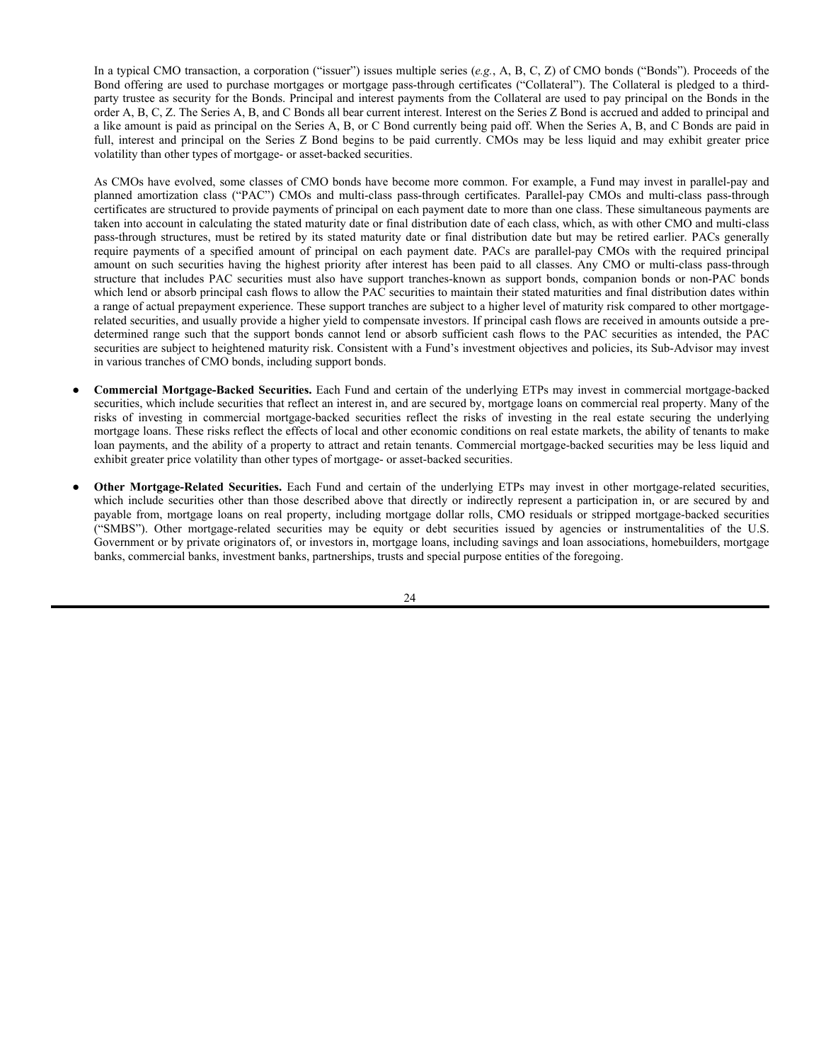Privately issued mortgage-related securities are not subject to the same underwriting requirements for the underlying mortgages that are applicable to those mortgage-related securities that have a government or government-sponsored entity guarantee. As a result, the mortgage loans underlying privately issued mortgage-related securities may, and frequently do, have less favorable collateral, credit risk or other underwriting characteristics than government or government-sponsored mortgage-related securities and have wider variances in a number of terms including interest rate, term, size, purpose and borrower characteristics. Mortgage pools underlying privately issued mortgagerelated securities more frequently include second mortgages, high loan-to-value ratio mortgages and manufactured housing loans, in addition to commercial mortgages and other types of mortgages where a government or government-sponsored entity guarantee is not available. The coupon rates and maturities of the underlying mortgage loans in a privately-issued mortgage-related securities pool may vary to a greater extent than those included in a government guaranteed pool, and the pool may include subprime mortgage loans. Subprime loans are loans made to borrowers with weakened credit histories or with a lower capacity to make timely payments on their loans. For these reasons, the loans underlying these securities have had in many cases higher default rates than those loans that meet government underwriting requirements.

The risk of non-payment is greater for mortgage-related securities that are backed by loans that were originated under weak underwriting standards, including loans made to borrowers with limited means to make repayment. A level of risk exists for all loans, although, historically, the poorest performing loans have been those classified as subprime. Other types of privately issued mortgage-related securities, such as those classified as pay-option adjustable rate or Alt-A, have also performed poorly. Even loans classified as prime have experienced higher levels of delinquencies and defaults. The substantial decline in real property values across the U.S. has exacerbated the level of losses that investors in privately issued mortgage-related securities have experienced. It is not certain when these trends may reverse. Market factors that may adversely affect mortgage loan repayment include adverse economic conditions, unemployment, a decline in the value of real property, or an increase in interest rates.

Privately issued mortgage-related securities are not traded on an exchange and there may be a limited market for the securities, especially when there is a perceived weakness in the mortgage and real estate market sectors. Without an active trading market, mortgage-related securities held in a Fund's portfolio may be particularly difficult to value because of the complexities involved in assessing the value of the underlying mortgage loans.

A Fund may purchase privately issued mortgage-related securities that are originated, packaged and serviced by third-party entities. It is possible these third-parties could have interests that are in conflict with the holders of mortgage-related securities, and such holders (such as a Fund) could have rights against the third parties or their affiliates. For example, if a loan originator, servicer or its affiliates engaged in negligence or willful misconduct in carrying out its duties, then a holder of the mortgage-related security could seek recourse against the originator/servicer or its affiliates, as applicable. Also, as a loan originator/servicer, the originator/servicer or its affiliates may make certain representations and warranties regarding the quality of the mortgages and properties underlying a mortgage-related security. If one or more of those representations or warranties is false, then the holders of the mortgage-related securities could trigger an obligation of the originator/servicer or its affiliates, as applicable, to repurchase the mortgages from the issuing trust. Notwithstanding the foregoing, many of the third-parties that are legally bound by trust and other documents have failed to perform their respective duties, as stipulated in such trust and other documents, and investors have had limited success in enforcing terms.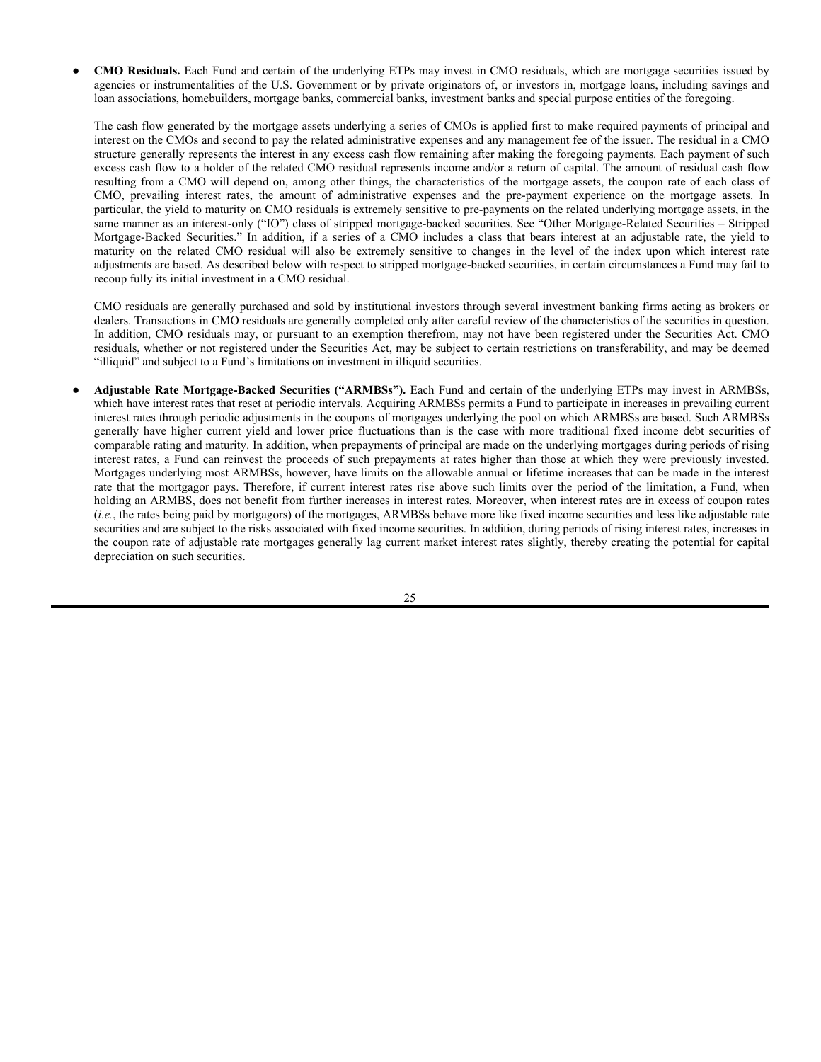Mortgage-related securities that are issued or guaranteed by the U.S. Government, its agencies or instrumentalities are not subject to a Fund's industry concentration restrictions, set forth below under "Investment Restrictions," by virtue of the exclusion from that test available to all U.S. government securities. In the case of privately issued mortgage-related securities, a Fund takes the position that mortgage-related securities do not represent interests in any particular "industry" or group of industries. Therefore, a Fund may invest more or less than 25% of its total assets in privately issued mortgage-related securities. The assets underlying such securities may be represented by a portfolio of residential or commercial mortgages (including both whole mortgage loans and mortgage participation interests that may be senior or junior in terms of priority of repayment) or portfolios of mortgage pass-through securities issued or guaranteed by Ginnie Mae, Fannie Mae or Freddie Mac. Mortgage loans underlying a mortgage-related security may in turn be insured or guaranteed by the FHA or the VA. In the case of privately issued mortgage-related securities whose underlying assets are neither U.S. government securities nor U.S. government-insured mortgages, to the extent that real properties securing such assets may be located in the same geographical region, the security may be subject to a greater risk of default than other comparable securities in the event of adverse economic, political or business developments that may affect such region and, ultimately, the ability of residential homeowners to make payments of principal and interest on the underlying mortgages.

Each Sub-Advisor seeks to manage the portion of its Fund's assets committed to privately issued mortgage-related securities in a manner consistent with the Fund's investment objective, policies and overall portfolio risk profile. In determining whether and how much to invest in privately issued mortgage-related securities, and how to allocate those assets, a Sub-Advisor will consider a number of factors. These include, but are not limited to (1) the nature of the borrowers (*e.g.*, residential vs. commercial), (2) the collateral loan type (*e.g.*, for residential: First Lien – Jumbo/Prime, First Lien – Alt-A, First Lien – Subprime, First Lien – Pay-Option or Second Lien; for commercial: Conduit, Large Loan or Single Asset / Single Borrower), and (3) in the case of residential loans, whether they are fixed rate or adjustable mortgages. Each of these criteria can cause privately issued mortgage-related securities to have differing primary economic characteristics and distinguishable risk factors and performance characteristics.

● **Collateralized Mortgage Obligations ("CMOs").** Each Fund and certain of the underlying ETPs may invest in CMOs, which are debt obligations of a legal entity that are collateralized by mortgages and divided into classes. Similar to a bond, interest and prepaid principal is paid, in most cases, on a monthly basis. CMOs may be collateralized by whole mortgage loans or private mortgage bonds, but are more typically collateralized by portfolios of mortgage pass-through securities guaranteed by Ginnie Mae, Freddie Mac, or Fannie Mae, and their income streams.

CMOs are structured into multiple classes, often referred to as "tranches," with each class bearing a different stated maturity and entitled to a different schedule for payments of principal and interest, including pre-payments. Actual maturity and average life will depend upon the pre-payment experience of the collateral. In the case of certain CMOs (known as "sequential pay" CMOs), payments of principal received from the pool of underlying mortgages, including pre-payments, are applied to the classes of CMOs in the order of their respective final distribution dates. Thus, no payment of principal will be made to any class of sequential pay CMOs until all other classes having an earlier final distribution date have been paid in full.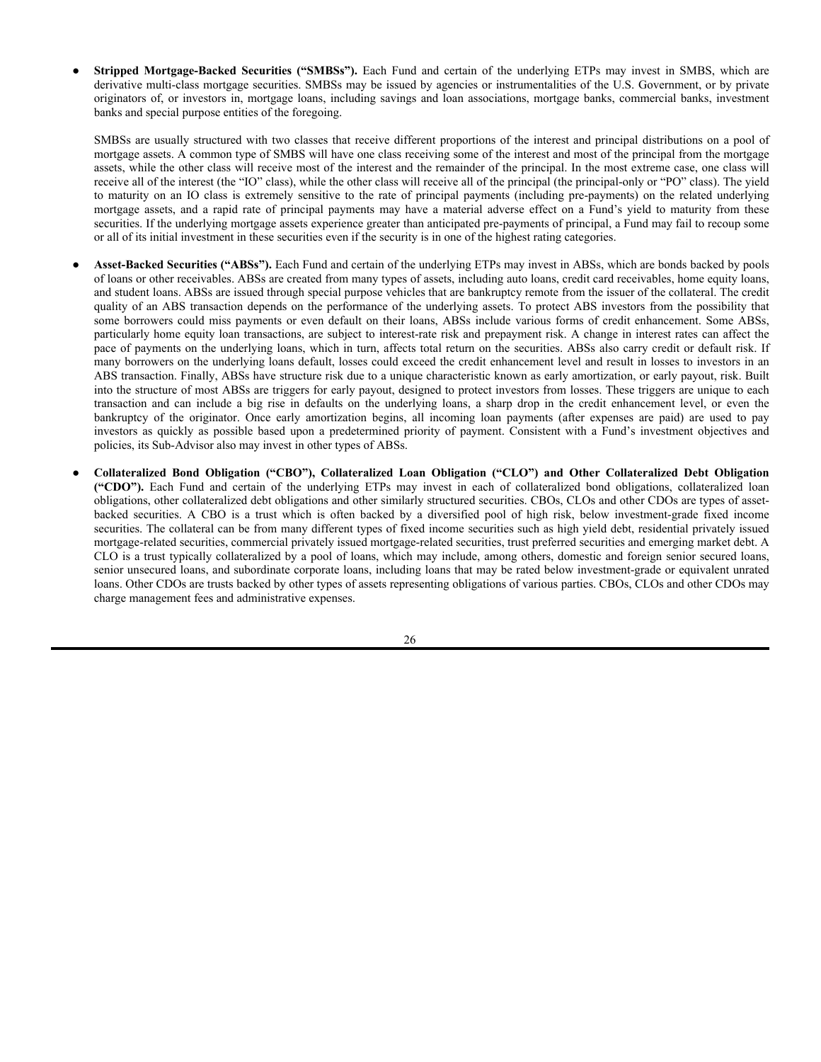In a typical CMO transaction, a corporation ("issuer") issues multiple series (*e.g.*, A, B, C, Z) of CMO bonds ("Bonds"). Proceeds of the Bond offering are used to purchase mortgages or mortgage pass-through certificates ("Collateral"). The Collateral is pledged to a thirdparty trustee as security for the Bonds. Principal and interest payments from the Collateral are used to pay principal on the Bonds in the order A, B, C, Z. The Series A, B, and C Bonds all bear current interest. Interest on the Series Z Bond is accrued and added to principal and a like amount is paid as principal on the Series A, B, or C Bond currently being paid off. When the Series A, B, and C Bonds are paid in full, interest and principal on the Series Z Bond begins to be paid currently. CMOs may be less liquid and may exhibit greater price volatility than other types of mortgage- or asset-backed securities.

As CMOs have evolved, some classes of CMO bonds have become more common. For example, a Fund may invest in parallel-pay and planned amortization class ("PAC") CMOs and multi-class pass-through certificates. Parallel-pay CMOs and multi-class pass-through certificates are structured to provide payments of principal on each payment date to more than one class. These simultaneous payments are taken into account in calculating the stated maturity date or final distribution date of each class, which, as with other CMO and multi-class pass-through structures, must be retired by its stated maturity date or final distribution date but may be retired earlier. PACs generally require payments of a specified amount of principal on each payment date. PACs are parallel-pay CMOs with the required principal amount on such securities having the highest priority after interest has been paid to all classes. Any CMO or multi-class pass-through structure that includes PAC securities must also have support tranches-known as support bonds, companion bonds or non-PAC bonds which lend or absorb principal cash flows to allow the PAC securities to maintain their stated maturities and final distribution dates within a range of actual prepayment experience. These support tranches are subject to a higher level of maturity risk compared to other mortgagerelated securities, and usually provide a higher yield to compensate investors. If principal cash flows are received in amounts outside a predetermined range such that the support bonds cannot lend or absorb sufficient cash flows to the PAC securities as intended, the PAC securities are subject to heightened maturity risk. Consistent with a Fund's investment objectives and policies, its Sub-Advisor may invest in various tranches of CMO bonds, including support bonds.

- **Commercial Mortgage-Backed Securities.** Each Fund and certain of the underlying ETPs may invest in commercial mortgage-backed securities, which include securities that reflect an interest in, and are secured by, mortgage loans on commercial real property. Many of the risks of investing in commercial mortgage-backed securities reflect the risks of investing in the real estate securing the underlying mortgage loans. These risks reflect the effects of local and other economic conditions on real estate markets, the ability of tenants to make loan payments, and the ability of a property to attract and retain tenants. Commercial mortgage-backed securities may be less liquid and exhibit greater price volatility than other types of mortgage- or asset-backed securities.
- Other Mortgage-Related Securities. Each Fund and certain of the underlying ETPs may invest in other mortgage-related securities, which include securities other than those described above that directly or indirectly represent a participation in, or are secured by and payable from, mortgage loans on real property, including mortgage dollar rolls, CMO residuals or stripped mortgage-backed securities ("SMBS"). Other mortgage-related securities may be equity or debt securities issued by agencies or instrumentalities of the U.S. Government or by private originators of, or investors in, mortgage loans, including savings and loan associations, homebuilders, mortgage banks, commercial banks, investment banks, partnerships, trusts and special purpose entities of the foregoing.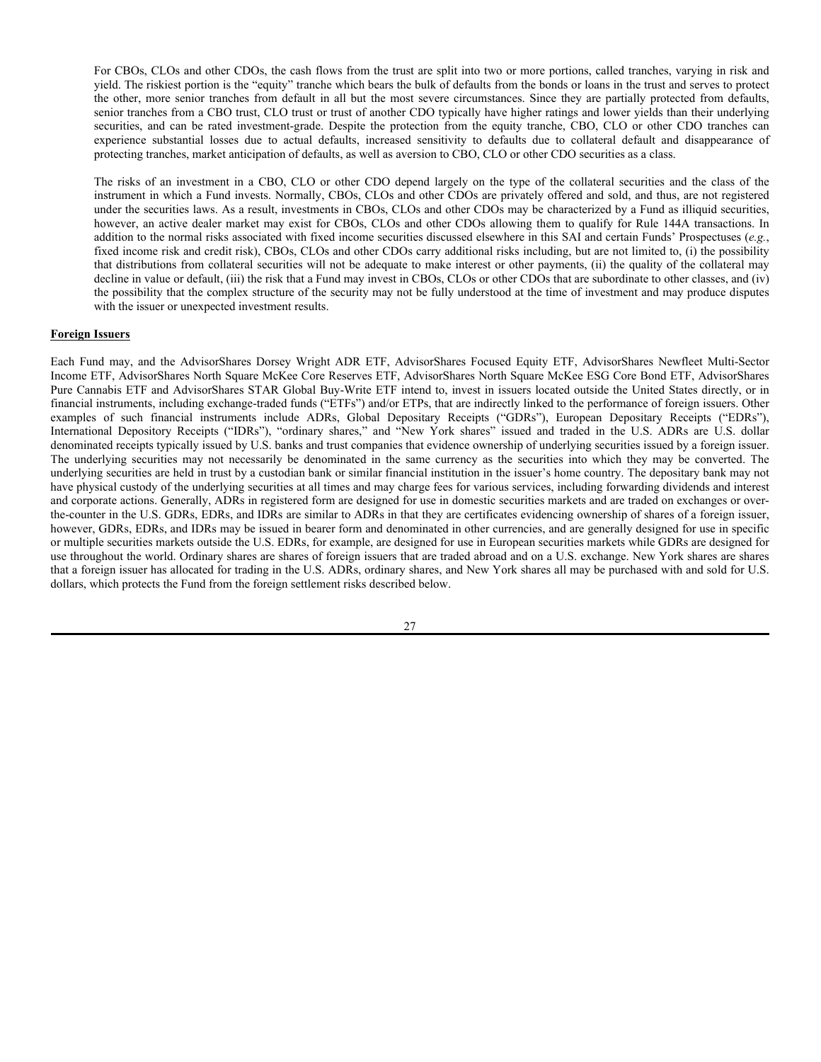**CMO Residuals.** Each Fund and certain of the underlying ETPs may invest in CMO residuals, which are mortgage securities issued by agencies or instrumentalities of the U.S. Government or by private originators of, or investors in, mortgage loans, including savings and loan associations, homebuilders, mortgage banks, commercial banks, investment banks and special purpose entities of the foregoing.

The cash flow generated by the mortgage assets underlying a series of CMOs is applied first to make required payments of principal and interest on the CMOs and second to pay the related administrative expenses and any management fee of the issuer. The residual in a CMO structure generally represents the interest in any excess cash flow remaining after making the foregoing payments. Each payment of such excess cash flow to a holder of the related CMO residual represents income and/or a return of capital. The amount of residual cash flow resulting from a CMO will depend on, among other things, the characteristics of the mortgage assets, the coupon rate of each class of CMO, prevailing interest rates, the amount of administrative expenses and the pre-payment experience on the mortgage assets. In particular, the yield to maturity on CMO residuals is extremely sensitive to pre-payments on the related underlying mortgage assets, in the same manner as an interest-only ("IO") class of stripped mortgage-backed securities. See "Other Mortgage-Related Securities – Stripped Mortgage-Backed Securities." In addition, if a series of a CMO includes a class that bears interest at an adjustable rate, the yield to maturity on the related CMO residual will also be extremely sensitive to changes in the level of the index upon which interest rate adjustments are based. As described below with respect to stripped mortgage-backed securities, in certain circumstances a Fund may fail to recoup fully its initial investment in a CMO residual.

CMO residuals are generally purchased and sold by institutional investors through several investment banking firms acting as brokers or dealers. Transactions in CMO residuals are generally completed only after careful review of the characteristics of the securities in question. In addition, CMO residuals may, or pursuant to an exemption therefrom, may not have been registered under the Securities Act. CMO residuals, whether or not registered under the Securities Act, may be subject to certain restrictions on transferability, and may be deemed "illiquid" and subject to a Fund's limitations on investment in illiquid securities.

● **Adjustable Rate Mortgage-Backed Securities ("ARMBSs").** Each Fund and certain of the underlying ETPs may invest in ARMBSs, which have interest rates that reset at periodic intervals. Acquiring ARMBSs permits a Fund to participate in increases in prevailing current interest rates through periodic adjustments in the coupons of mortgages underlying the pool on which ARMBSs are based. Such ARMBSs generally have higher current yield and lower price fluctuations than is the case with more traditional fixed income debt securities of comparable rating and maturity. In addition, when prepayments of principal are made on the underlying mortgages during periods of rising interest rates, a Fund can reinvest the proceeds of such prepayments at rates higher than those at which they were previously invested. Mortgages underlying most ARMBSs, however, have limits on the allowable annual or lifetime increases that can be made in the interest rate that the mortgagor pays. Therefore, if current interest rates rise above such limits over the period of the limitation, a Fund, when holding an ARMBS, does not benefit from further increases in interest rates. Moreover, when interest rates are in excess of coupon rates (*i.e.*, the rates being paid by mortgagors) of the mortgages, ARMBSs behave more like fixed income securities and less like adjustable rate securities and are subject to the risks associated with fixed income securities. In addition, during periods of rising interest rates, increases in the coupon rate of adjustable rate mortgages generally lag current market interest rates slightly, thereby creating the potential for capital depreciation on such securities.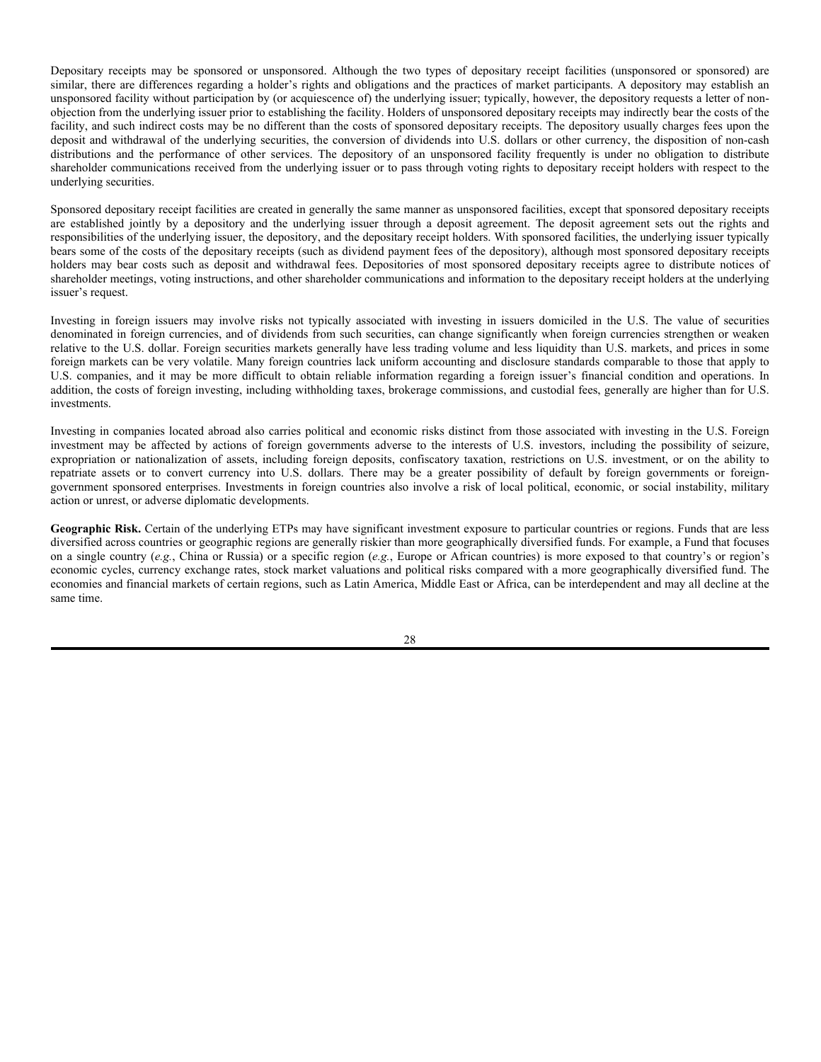**Stripped Mortgage-Backed Securities ("SMBSs").** Each Fund and certain of the underlying ETPs may invest in SMBS, which are derivative multi-class mortgage securities. SMBSs may be issued by agencies or instrumentalities of the U.S. Government, or by private originators of, or investors in, mortgage loans, including savings and loan associations, mortgage banks, commercial banks, investment banks and special purpose entities of the foregoing.

SMBSs are usually structured with two classes that receive different proportions of the interest and principal distributions on a pool of mortgage assets. A common type of SMBS will have one class receiving some of the interest and most of the principal from the mortgage assets, while the other class will receive most of the interest and the remainder of the principal. In the most extreme case, one class will receive all of the interest (the "IO" class), while the other class will receive all of the principal (the principal-only or "PO" class). The yield to maturity on an IO class is extremely sensitive to the rate of principal payments (including pre-payments) on the related underlying mortgage assets, and a rapid rate of principal payments may have a material adverse effect on a Fund's yield to maturity from these securities. If the underlying mortgage assets experience greater than anticipated pre-payments of principal, a Fund may fail to recoup some or all of its initial investment in these securities even if the security is in one of the highest rating categories.

- Asset-Backed Securities ("ABSs"). Each Fund and certain of the underlying ETPs may invest in ABSs, which are bonds backed by pools of loans or other receivables. ABSs are created from many types of assets, including auto loans, credit card receivables, home equity loans, and student loans. ABSs are issued through special purpose vehicles that are bankruptcy remote from the issuer of the collateral. The credit quality of an ABS transaction depends on the performance of the underlying assets. To protect ABS investors from the possibility that some borrowers could miss payments or even default on their loans, ABSs include various forms of credit enhancement. Some ABSs, particularly home equity loan transactions, are subject to interest-rate risk and prepayment risk. A change in interest rates can affect the pace of payments on the underlying loans, which in turn, affects total return on the securities. ABSs also carry credit or default risk. If many borrowers on the underlying loans default, losses could exceed the credit enhancement level and result in losses to investors in an ABS transaction. Finally, ABSs have structure risk due to a unique characteristic known as early amortization, or early payout, risk. Built into the structure of most ABSs are triggers for early payout, designed to protect investors from losses. These triggers are unique to each transaction and can include a big rise in defaults on the underlying loans, a sharp drop in the credit enhancement level, or even the bankruptcy of the originator. Once early amortization begins, all incoming loan payments (after expenses are paid) are used to pay investors as quickly as possible based upon a predetermined priority of payment. Consistent with a Fund's investment objectives and policies, its Sub-Advisor also may invest in other types of ABSs.
- **Collateralized Bond Obligation ("CBO"), Collateralized Loan Obligation ("CLO") and Other Collateralized Debt Obligation ("CDO").** Each Fund and certain of the underlying ETPs may invest in each of collateralized bond obligations, collateralized loan obligations, other collateralized debt obligations and other similarly structured securities. CBOs, CLOs and other CDOs are types of assetbacked securities. A CBO is a trust which is often backed by a diversified pool of high risk, below investment-grade fixed income securities. The collateral can be from many different types of fixed income securities such as high yield debt, residential privately issued mortgage-related securities, commercial privately issued mortgage-related securities, trust preferred securities and emerging market debt. A CLO is a trust typically collateralized by a pool of loans, which may include, among others, domestic and foreign senior secured loans, senior unsecured loans, and subordinate corporate loans, including loans that may be rated below investment-grade or equivalent unrated loans. Other CDOs are trusts backed by other types of assets representing obligations of various parties. CBOs, CLOs and other CDOs may charge management fees and administrative expenses.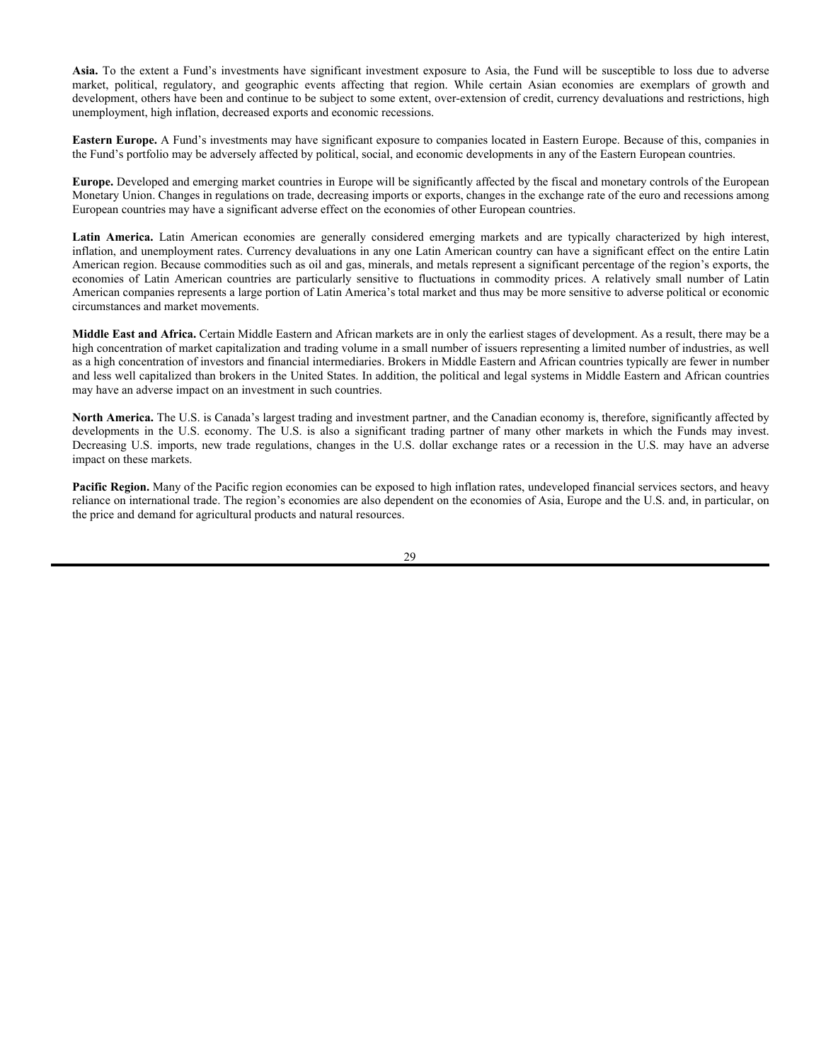For CBOs, CLOs and other CDOs, the cash flows from the trust are split into two or more portions, called tranches, varying in risk and yield. The riskiest portion is the "equity" tranche which bears the bulk of defaults from the bonds or loans in the trust and serves to protect the other, more senior tranches from default in all but the most severe circumstances. Since they are partially protected from defaults, senior tranches from a CBO trust, CLO trust or trust of another CDO typically have higher ratings and lower yields than their underlying securities, and can be rated investment-grade. Despite the protection from the equity tranche, CBO, CLO or other CDO tranches can experience substantial losses due to actual defaults, increased sensitivity to defaults due to collateral default and disappearance of protecting tranches, market anticipation of defaults, as well as aversion to CBO, CLO or other CDO securities as a class.

The risks of an investment in a CBO, CLO or other CDO depend largely on the type of the collateral securities and the class of the instrument in which a Fund invests. Normally, CBOs, CLOs and other CDOs are privately offered and sold, and thus, are not registered under the securities laws. As a result, investments in CBOs, CLOs and other CDOs may be characterized by a Fund as illiquid securities, however, an active dealer market may exist for CBOs, CLOs and other CDOs allowing them to qualify for Rule 144A transactions. In addition to the normal risks associated with fixed income securities discussed elsewhere in this SAI and certain Funds' Prospectuses (*e.g.*, fixed income risk and credit risk), CBOs, CLOs and other CDOs carry additional risks including, but are not limited to, (i) the possibility that distributions from collateral securities will not be adequate to make interest or other payments, (ii) the quality of the collateral may decline in value or default, (iii) the risk that a Fund may invest in CBOs, CLOs or other CDOs that are subordinate to other classes, and (iv) the possibility that the complex structure of the security may not be fully understood at the time of investment and may produce disputes with the issuer or unexpected investment results.

#### **Foreign Issuers**

Each Fund may, and the AdvisorShares Dorsey Wright ADR ETF, AdvisorShares Focused Equity ETF, AdvisorShares Newfleet Multi-Sector Income ETF, AdvisorShares North Square McKee Core Reserves ETF, AdvisorShares North Square McKee ESG Core Bond ETF, AdvisorShares Pure Cannabis ETF and AdvisorShares STAR Global Buy-Write ETF intend to, invest in issuers located outside the United States directly, or in financial instruments, including exchange-traded funds ("ETFs") and/or ETPs, that are indirectly linked to the performance of foreign issuers. Other examples of such financial instruments include ADRs, Global Depositary Receipts ("GDRs"), European Depositary Receipts ("EDRs"), International Depository Receipts ("IDRs"), "ordinary shares," and "New York shares" issued and traded in the U.S. ADRs are U.S. dollar denominated receipts typically issued by U.S. banks and trust companies that evidence ownership of underlying securities issued by a foreign issuer. The underlying securities may not necessarily be denominated in the same currency as the securities into which they may be converted. The underlying securities are held in trust by a custodian bank or similar financial institution in the issuer's home country. The depositary bank may not have physical custody of the underlying securities at all times and may charge fees for various services, including forwarding dividends and interest and corporate actions. Generally, ADRs in registered form are designed for use in domestic securities markets and are traded on exchanges or overthe-counter in the U.S. GDRs, EDRs, and IDRs are similar to ADRs in that they are certificates evidencing ownership of shares of a foreign issuer, however, GDRs, EDRs, and IDRs may be issued in bearer form and denominated in other currencies, and are generally designed for use in specific or multiple securities markets outside the U.S. EDRs, for example, are designed for use in European securities markets while GDRs are designed for use throughout the world. Ordinary shares are shares of foreign issuers that are traded abroad and on a U.S. exchange. New York shares are shares that a foreign issuer has allocated for trading in the U.S. ADRs, ordinary shares, and New York shares all may be purchased with and sold for U.S. dollars, which protects the Fund from the foreign settlement risks described below.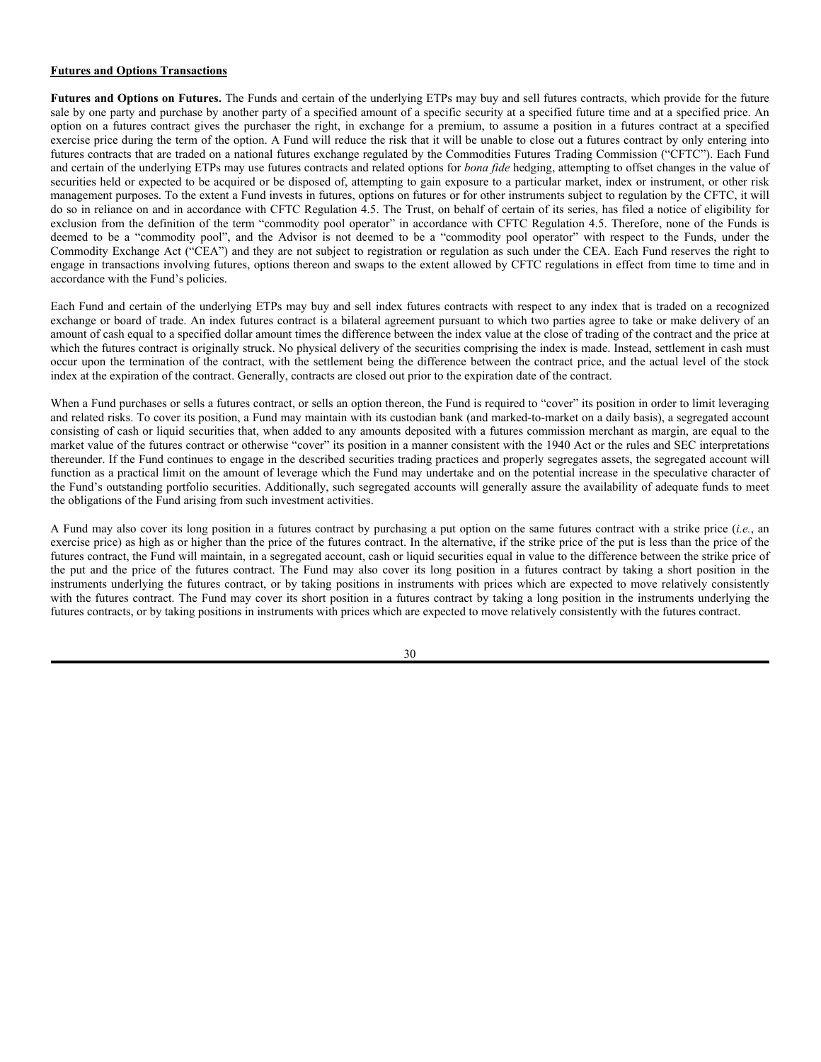Depositary receipts may be sponsored or unsponsored. Although the two types of depositary receipt facilities (unsponsored or sponsored) are similar, there are differences regarding a holder's rights and obligations and the practices of market participants. A depository may establish an unsponsored facility without participation by (or acquiescence of) the underlying issuer; typically, however, the depository requests a letter of nonobjection from the underlying issuer prior to establishing the facility. Holders of unsponsored depositary receipts may indirectly bear the costs of the facility, and such indirect costs may be no different than the costs of sponsored depositary receipts. The depository usually charges fees upon the deposit and withdrawal of the underlying securities, the conversion of dividends into U.S. dollars or other currency, the disposition of non-cash distributions and the performance of other services. The depository of an unsponsored facility frequently is under no obligation to distribute shareholder communications received from the underlying issuer or to pass through voting rights to depositary receipt holders with respect to the underlying securities.

Sponsored depositary receipt facilities are created in generally the same manner as unsponsored facilities, except that sponsored depositary receipts are established jointly by a depository and the underlying issuer through a deposit agreement. The deposit agreement sets out the rights and responsibilities of the underlying issuer, the depository, and the depositary receipt holders. With sponsored facilities, the underlying issuer typically bears some of the costs of the depositary receipts (such as dividend payment fees of the depository), although most sponsored depositary receipts holders may bear costs such as deposit and withdrawal fees. Depositories of most sponsored depositary receipts agree to distribute notices of shareholder meetings, voting instructions, and other shareholder communications and information to the depositary receipt holders at the underlying issuer's request.

Investing in foreign issuers may involve risks not typically associated with investing in issuers domiciled in the U.S. The value of securities denominated in foreign currencies, and of dividends from such securities, can change significantly when foreign currencies strengthen or weaken relative to the U.S. dollar. Foreign securities markets generally have less trading volume and less liquidity than U.S. markets, and prices in some foreign markets can be very volatile. Many foreign countries lack uniform accounting and disclosure standards comparable to those that apply to U.S. companies, and it may be more difficult to obtain reliable information regarding a foreign issuer's financial condition and operations. In addition, the costs of foreign investing, including withholding taxes, brokerage commissions, and custodial fees, generally are higher than for U.S. investments.

Investing in companies located abroad also carries political and economic risks distinct from those associated with investing in the U.S. Foreign investment may be affected by actions of foreign governments adverse to the interests of U.S. investors, including the possibility of seizure, expropriation or nationalization of assets, including foreign deposits, confiscatory taxation, restrictions on U.S. investment, or on the ability to repatriate assets or to convert currency into U.S. dollars. There may be a greater possibility of default by foreign governments or foreigngovernment sponsored enterprises. Investments in foreign countries also involve a risk of local political, economic, or social instability, military action or unrest, or adverse diplomatic developments.

Geographic Risk. Certain of the underlying ETPs may have significant investment exposure to particular countries or regions. Funds that are less diversified across countries or geographic regions are generally riskier than more geographically diversified funds. For example, a Fund that focuses on a single country (*e.g.*, China or Russia) or a specific region (*e.g.*, Europe or African countries) is more exposed to that country's or region's economic cycles, currency exchange rates, stock market valuations and political risks compared with a more geographically diversified fund. The economies and financial markets of certain regions, such as Latin America, Middle East or Africa, can be interdependent and may all decline at the same time.

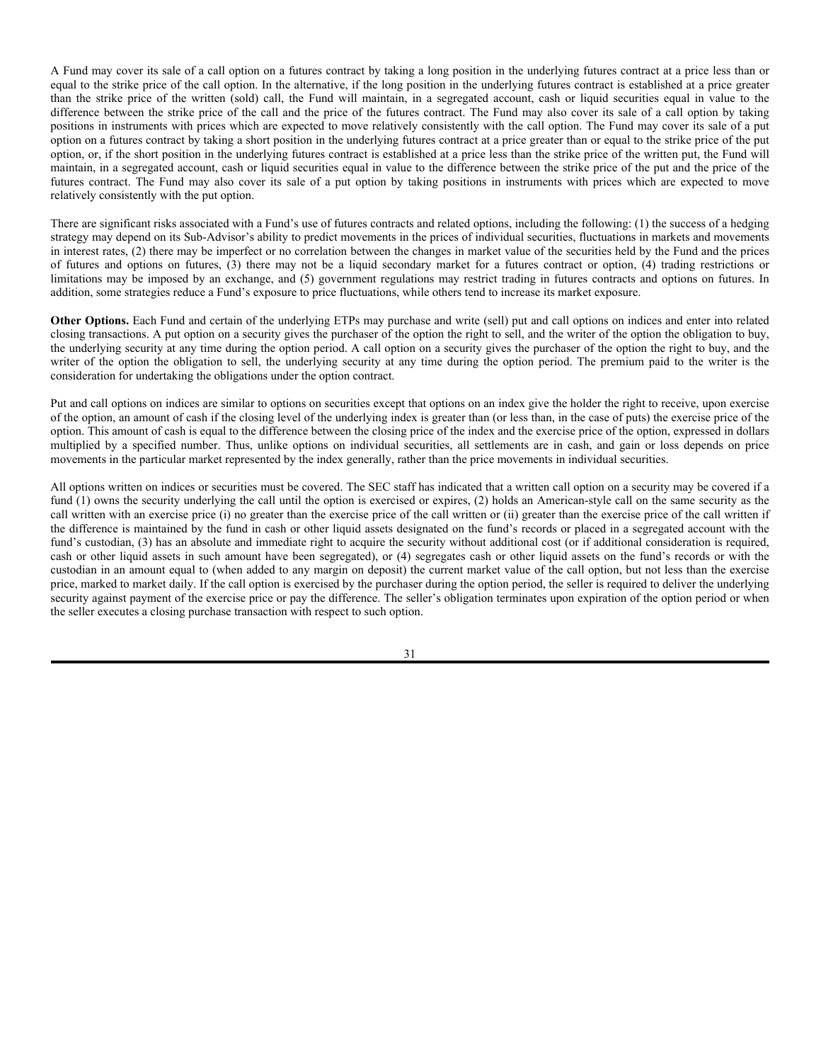**Asia.** To the extent a Fund's investments have significant investment exposure to Asia, the Fund will be susceptible to loss due to adverse market, political, regulatory, and geographic events affecting that region. While certain Asian economies are exemplars of growth and development, others have been and continue to be subject to some extent, over-extension of credit, currency devaluations and restrictions, high unemployment, high inflation, decreased exports and economic recessions.

**Eastern Europe.** A Fund's investments may have significant exposure to companies located in Eastern Europe. Because of this, companies in the Fund's portfolio may be adversely affected by political, social, and economic developments in any of the Eastern European countries.

**Europe.** Developed and emerging market countries in Europe will be significantly affected by the fiscal and monetary controls of the European Monetary Union. Changes in regulations on trade, decreasing imports or exports, changes in the exchange rate of the euro and recessions among European countries may have a significant adverse effect on the economies of other European countries.

Latin America. Latin American economies are generally considered emerging markets and are typically characterized by high interest, inflation, and unemployment rates. Currency devaluations in any one Latin American country can have a significant effect on the entire Latin American region. Because commodities such as oil and gas, minerals, and metals represent a significant percentage of the region's exports, the economies of Latin American countries are particularly sensitive to fluctuations in commodity prices. A relatively small number of Latin American companies represents a large portion of Latin America's total market and thus may be more sensitive to adverse political or economic circumstances and market movements.

**Middle East and Africa.** Certain Middle Eastern and African markets are in only the earliest stages of development. As a result, there may be a high concentration of market capitalization and trading volume in a small number of issuers representing a limited number of industries, as well as a high concentration of investors and financial intermediaries. Brokers in Middle Eastern and African countries typically are fewer in number and less well capitalized than brokers in the United States. In addition, the political and legal systems in Middle Eastern and African countries may have an adverse impact on an investment in such countries.

**North America.** The U.S. is Canada's largest trading and investment partner, and the Canadian economy is, therefore, significantly affected by developments in the U.S. economy. The U.S. is also a significant trading partner of many other markets in which the Funds may invest. Decreasing U.S. imports, new trade regulations, changes in the U.S. dollar exchange rates or a recession in the U.S. may have an adverse impact on these markets.

Pacific Region. Many of the Pacific region economies can be exposed to high inflation rates, undeveloped financial services sectors, and heavy reliance on international trade. The region's economies are also dependent on the economies of Asia, Europe and the U.S. and, in particular, on the price and demand for agricultural products and natural resources.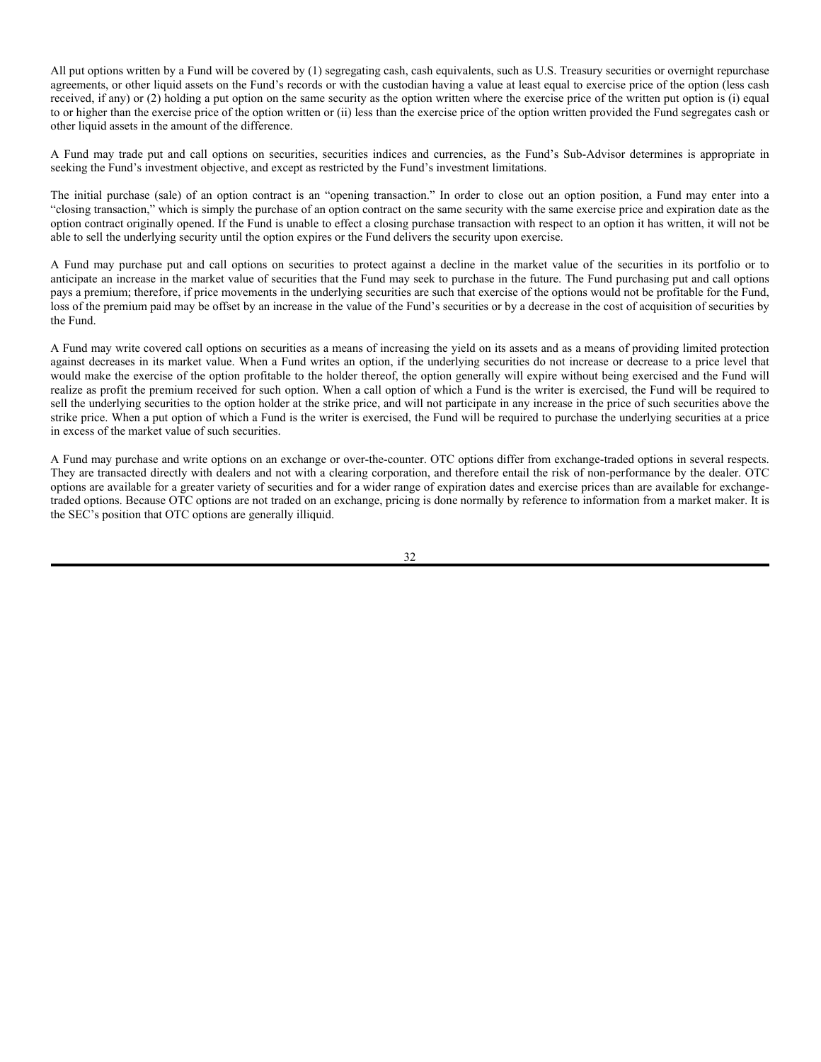#### **Futures and Options Transactions**

**Futures and Options on Futures.** The Funds and certain of the underlying ETPs may buy and sell futures contracts, which provide for the future sale by one party and purchase by another party of a specified amount of a specific security at a specified future time and at a specified price. An option on a futures contract gives the purchaser the right, in exchange for a premium, to assume a position in a futures contract at a specified exercise price during the term of the option. A Fund will reduce the risk that it will be unable to close out a futures contract by only entering into futures contracts that are traded on a national futures exchange regulated by the Commodities Futures Trading Commission ("CFTC"). Each Fund and certain of the underlying ETPs may use futures contracts and related options for *bona fide* hedging, attempting to offset changes in the value of securities held or expected to be acquired or be disposed of, attempting to gain exposure to a particular market, index or instrument, or other risk management purposes. To the extent a Fund invests in futures, options on futures or for other instruments subject to regulation by the CFTC, it will do so in reliance on and in accordance with CFTC Regulation 4.5. The Trust, on behalf of certain of its series, has filed a notice of eligibility for exclusion from the definition of the term "commodity pool operator" in accordance with CFTC Regulation 4.5. Therefore, none of the Funds is deemed to be a "commodity pool", and the Advisor is not deemed to be a "commodity pool operator" with respect to the Funds, under the Commodity Exchange Act ("CEA") and they are not subject to registration or regulation as such under the CEA. Each Fund reserves the right to engage in transactions involving futures, options thereon and swaps to the extent allowed by CFTC regulations in effect from time to time and in accordance with the Fund's policies.

Each Fund and certain of the underlying ETPs may buy and sell index futures contracts with respect to any index that is traded on a recognized exchange or board of trade. An index futures contract is a bilateral agreement pursuant to which two parties agree to take or make delivery of an amount of cash equal to a specified dollar amount times the difference between the index value at the close of trading of the contract and the price at which the futures contract is originally struck. No physical delivery of the securities comprising the index is made. Instead, settlement in cash must occur upon the termination of the contract, with the settlement being the difference between the contract price, and the actual level of the stock index at the expiration of the contract. Generally, contracts are closed out prior to the expiration date of the contract.

When a Fund purchases or sells a futures contract, or sells an option thereon, the Fund is required to "cover" its position in order to limit leveraging and related risks. To cover its position, a Fund may maintain with its custodian bank (and marked-to-market on a daily basis), a segregated account consisting of cash or liquid securities that, when added to any amounts deposited with a futures commission merchant as margin, are equal to the market value of the futures contract or otherwise "cover" its position in a manner consistent with the 1940 Act or the rules and SEC interpretations thereunder. If the Fund continues to engage in the described securities trading practices and properly segregates assets, the segregated account will function as a practical limit on the amount of leverage which the Fund may undertake and on the potential increase in the speculative character of the Fund's outstanding portfolio securities. Additionally, such segregated accounts will generally assure the availability of adequate funds to meet the obligations of the Fund arising from such investment activities.

A Fund may also cover its long position in a futures contract by purchasing a put option on the same futures contract with a strike price (*i.e.*, an exercise price) as high as or higher than the price of the futures contract. In the alternative, if the strike price of the put is less than the price of the futures contract, the Fund will maintain, in a segregated account, cash or liquid securities equal in value to the difference between the strike price of the put and the price of the futures contract. The Fund may also cover its long position in a futures contract by taking a short position in the instruments underlying the futures contract, or by taking positions in instruments with prices which are expected to move relatively consistently with the futures contract. The Fund may cover its short position in a futures contract by taking a long position in the instruments underlying the futures contracts, or by taking positions in instruments with prices which are expected to move relatively consistently with the futures contract.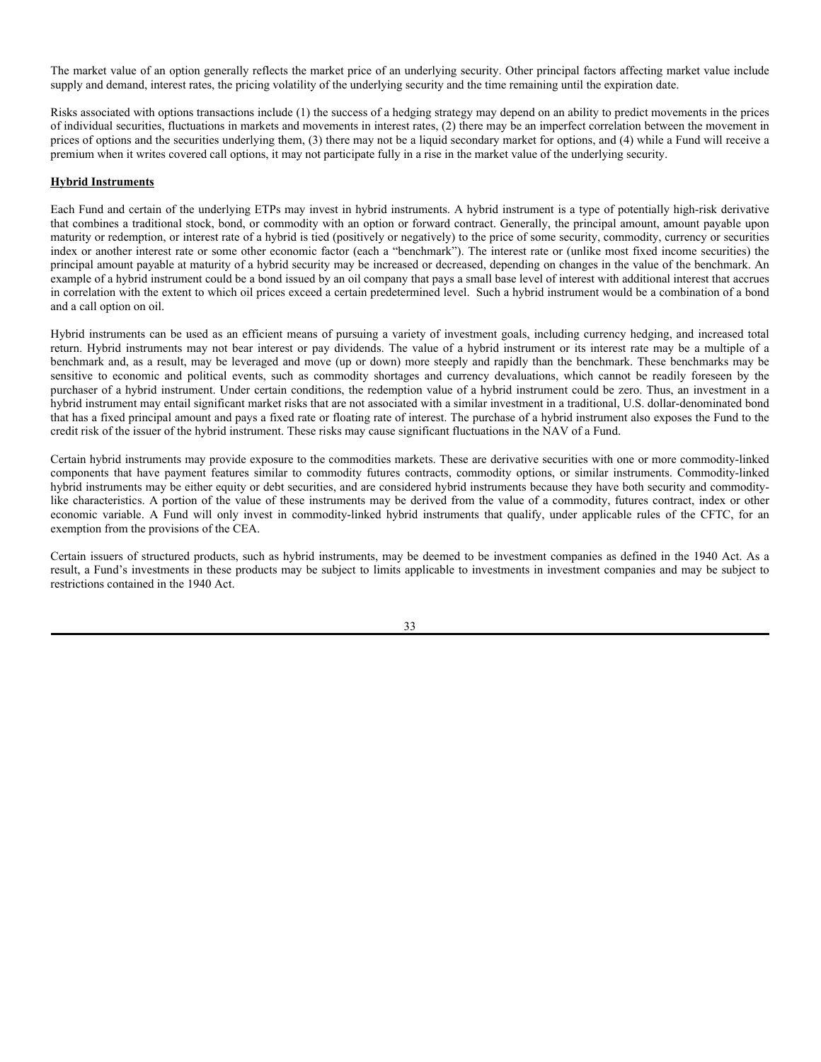A Fund may cover its sale of a call option on a futures contract by taking a long position in the underlying futures contract at a price less than or equal to the strike price of the call option. In the alternative, if the long position in the underlying futures contract is established at a price greater than the strike price of the written (sold) call, the Fund will maintain, in a segregated account, cash or liquid securities equal in value to the difference between the strike price of the call and the price of the futures contract. The Fund may also cover its sale of a call option by taking positions in instruments with prices which are expected to move relatively consistently with the call option. The Fund may cover its sale of a put option on a futures contract by taking a short position in the underlying futures contract at a price greater than or equal to the strike price of the put option, or, if the short position in the underlying futures contract is established at a price less than the strike price of the written put, the Fund will maintain, in a segregated account, cash or liquid securities equal in value to the difference between the strike price of the put and the price of the futures contract. The Fund may also cover its sale of a put option by taking positions in instruments with prices which are expected to move relatively consistently with the put option.

There are significant risks associated with a Fund's use of futures contracts and related options, including the following: (1) the success of a hedging strategy may depend on its Sub-Advisor's ability to predict movements in the prices of individual securities, fluctuations in markets and movements in interest rates, (2) there may be imperfect or no correlation between the changes in market value of the securities held by the Fund and the prices of futures and options on futures, (3) there may not be a liquid secondary market for a futures contract or option, (4) trading restrictions or limitations may be imposed by an exchange, and (5) government regulations may restrict trading in futures contracts and options on futures. In addition, some strategies reduce a Fund's exposure to price fluctuations, while others tend to increase its market exposure.

**Other Options.** Each Fund and certain of the underlying ETPs may purchase and write (sell) put and call options on indices and enter into related closing transactions. A put option on a security gives the purchaser of the option the right to sell, and the writer of the option the obligation to buy, the underlying security at any time during the option period. A call option on a security gives the purchaser of the option the right to buy, and the writer of the option the obligation to sell, the underlying security at any time during the option period. The premium paid to the writer is the consideration for undertaking the obligations under the option contract.

Put and call options on indices are similar to options on securities except that options on an index give the holder the right to receive, upon exercise of the option, an amount of cash if the closing level of the underlying index is greater than (or less than, in the case of puts) the exercise price of the option. This amount of cash is equal to the difference between the closing price of the index and the exercise price of the option, expressed in dollars multiplied by a specified number. Thus, unlike options on individual securities, all settlements are in cash, and gain or loss depends on price movements in the particular market represented by the index generally, rather than the price movements in individual securities.

All options written on indices or securities must be covered. The SEC staff has indicated that a written call option on a security may be covered if a fund (1) owns the security underlying the call until the option is exercised or expires, (2) holds an American-style call on the same security as the call written with an exercise price (i) no greater than the exercise price of the call written or (ii) greater than the exercise price of the call written if the difference is maintained by the fund in cash or other liquid assets designated on the fund's records or placed in a segregated account with the fund's custodian, (3) has an absolute and immediate right to acquire the security without additional cost (or if additional consideration is required, cash or other liquid assets in such amount have been segregated), or (4) segregates cash or other liquid assets on the fund's records or with the custodian in an amount equal to (when added to any margin on deposit) the current market value of the call option, but not less than the exercise price, marked to market daily. If the call option is exercised by the purchaser during the option period, the seller is required to deliver the underlying security against payment of the exercise price or pay the difference. The seller's obligation terminates upon expiration of the option period or when the seller executes a closing purchase transaction with respect to such option.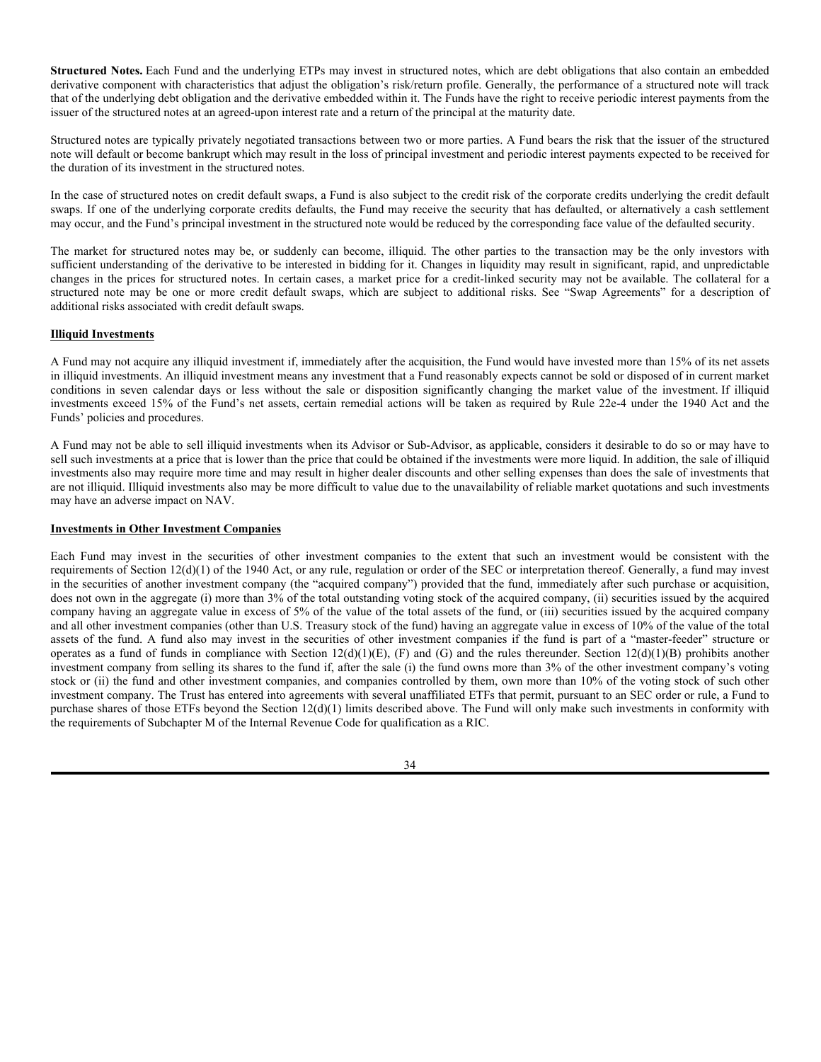All put options written by a Fund will be covered by (1) segregating cash, cash equivalents, such as U.S. Treasury securities or overnight repurchase agreements, or other liquid assets on the Fund's records or with the custodian having a value at least equal to exercise price of the option (less cash received, if any) or (2) holding a put option on the same security as the option written where the exercise price of the written put option is (i) equal to or higher than the exercise price of the option written or (ii) less than the exercise price of the option written provided the Fund segregates cash or other liquid assets in the amount of the difference.

A Fund may trade put and call options on securities, securities indices and currencies, as the Fund's Sub-Advisor determines is appropriate in seeking the Fund's investment objective, and except as restricted by the Fund's investment limitations.

The initial purchase (sale) of an option contract is an "opening transaction." In order to close out an option position, a Fund may enter into a "closing transaction," which is simply the purchase of an option contract on the same security with the same exercise price and expiration date as the option contract originally opened. If the Fund is unable to effect a closing purchase transaction with respect to an option it has written, it will not be able to sell the underlying security until the option expires or the Fund delivers the security upon exercise.

A Fund may purchase put and call options on securities to protect against a decline in the market value of the securities in its portfolio or to anticipate an increase in the market value of securities that the Fund may seek to purchase in the future. The Fund purchasing put and call options pays a premium; therefore, if price movements in the underlying securities are such that exercise of the options would not be profitable for the Fund, loss of the premium paid may be offset by an increase in the value of the Fund's securities or by a decrease in the cost of acquisition of securities by the Fund.

A Fund may write covered call options on securities as a means of increasing the yield on its assets and as a means of providing limited protection against decreases in its market value. When a Fund writes an option, if the underlying securities do not increase or decrease to a price level that would make the exercise of the option profitable to the holder thereof, the option generally will expire without being exercised and the Fund will realize as profit the premium received for such option. When a call option of which a Fund is the writer is exercised, the Fund will be required to sell the underlying securities to the option holder at the strike price, and will not participate in any increase in the price of such securities above the strike price. When a put option of which a Fund is the writer is exercised, the Fund will be required to purchase the underlying securities at a price in excess of the market value of such securities.

A Fund may purchase and write options on an exchange or over-the-counter. OTC options differ from exchange-traded options in several respects. They are transacted directly with dealers and not with a clearing corporation, and therefore entail the risk of non-performance by the dealer. OTC options are available for a greater variety of securities and for a wider range of expiration dates and exercise prices than are available for exchangetraded options. Because OTC options are not traded on an exchange, pricing is done normally by reference to information from a market maker. It is the SEC's position that OTC options are generally illiquid.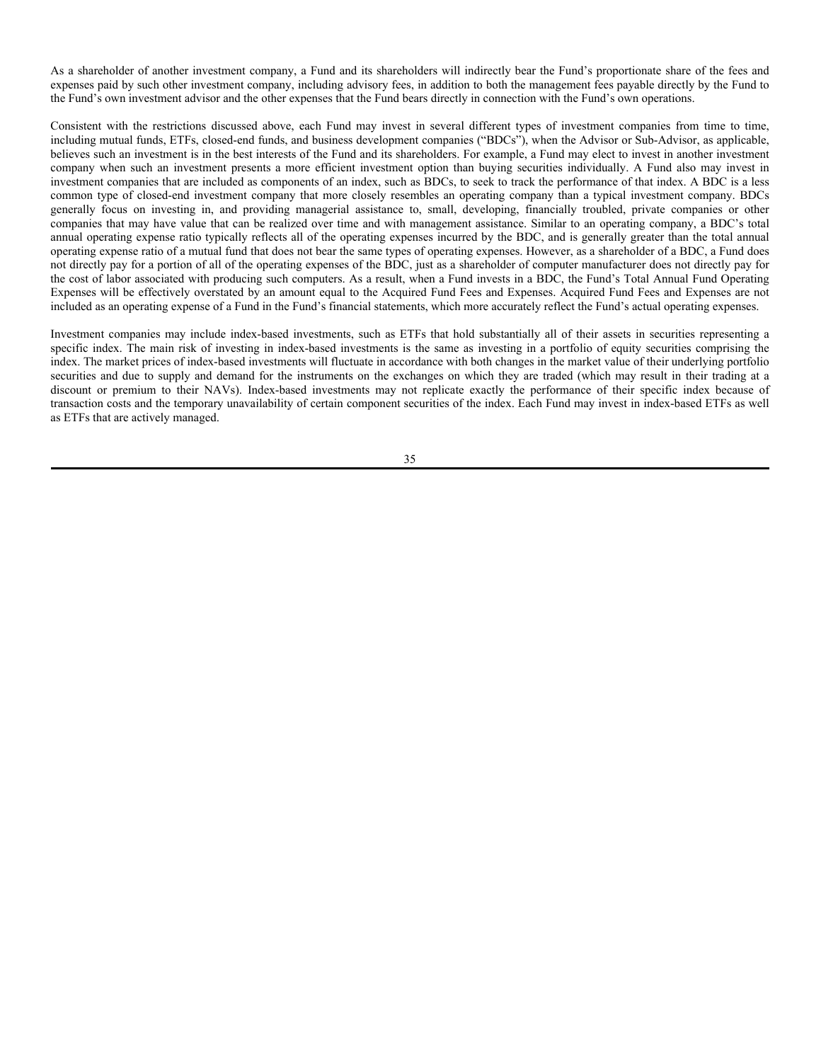The market value of an option generally reflects the market price of an underlying security. Other principal factors affecting market value include supply and demand, interest rates, the pricing volatility of the underlying security and the time remaining until the expiration date.

Risks associated with options transactions include (1) the success of a hedging strategy may depend on an ability to predict movements in the prices of individual securities, fluctuations in markets and movements in interest rates, (2) there may be an imperfect correlation between the movement in prices of options and the securities underlying them, (3) there may not be a liquid secondary market for options, and (4) while a Fund will receive a premium when it writes covered call options, it may not participate fully in a rise in the market value of the underlying security.

### **Hybrid Instruments**

Each Fund and certain of the underlying ETPs may invest in hybrid instruments. A hybrid instrument is a type of potentially high-risk derivative that combines a traditional stock, bond, or commodity with an option or forward contract. Generally, the principal amount, amount payable upon maturity or redemption, or interest rate of a hybrid is tied (positively or negatively) to the price of some security, commodity, currency or securities index or another interest rate or some other economic factor (each a "benchmark"). The interest rate or (unlike most fixed income securities) the principal amount payable at maturity of a hybrid security may be increased or decreased, depending on changes in the value of the benchmark. An example of a hybrid instrument could be a bond issued by an oil company that pays a small base level of interest with additional interest that accrues in correlation with the extent to which oil prices exceed a certain predetermined level. Such a hybrid instrument would be a combination of a bond and a call option on oil.

Hybrid instruments can be used as an efficient means of pursuing a variety of investment goals, including currency hedging, and increased total return. Hybrid instruments may not bear interest or pay dividends. The value of a hybrid instrument or its interest rate may be a multiple of a benchmark and, as a result, may be leveraged and move (up or down) more steeply and rapidly than the benchmark. These benchmarks may be sensitive to economic and political events, such as commodity shortages and currency devaluations, which cannot be readily foreseen by the purchaser of a hybrid instrument. Under certain conditions, the redemption value of a hybrid instrument could be zero. Thus, an investment in a hybrid instrument may entail significant market risks that are not associated with a similar investment in a traditional, U.S. dollar-denominated bond that has a fixed principal amount and pays a fixed rate or floating rate of interest. The purchase of a hybrid instrument also exposes the Fund to the credit risk of the issuer of the hybrid instrument. These risks may cause significant fluctuations in the NAV of a Fund.

Certain hybrid instruments may provide exposure to the commodities markets. These are derivative securities with one or more commodity-linked components that have payment features similar to commodity futures contracts, commodity options, or similar instruments. Commodity-linked hybrid instruments may be either equity or debt securities, and are considered hybrid instruments because they have both security and commoditylike characteristics. A portion of the value of these instruments may be derived from the value of a commodity, futures contract, index or other economic variable. A Fund will only invest in commodity-linked hybrid instruments that qualify, under applicable rules of the CFTC, for an exemption from the provisions of the CEA.

Certain issuers of structured products, such as hybrid instruments, may be deemed to be investment companies as defined in the 1940 Act. As a result, a Fund's investments in these products may be subject to limits applicable to investments in investment companies and may be subject to restrictions contained in the 1940 Act.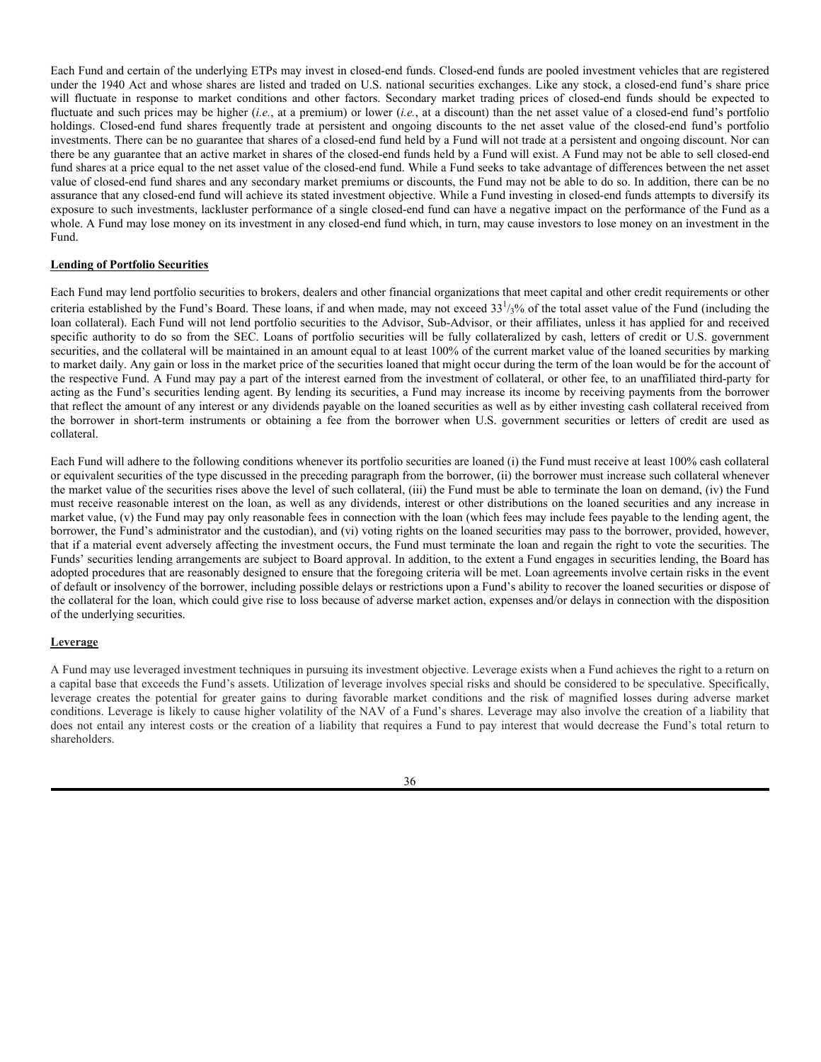**Structured Notes.** Each Fund and the underlying ETPs may invest in structured notes, which are debt obligations that also contain an embedded derivative component with characteristics that adjust the obligation's risk/return profile. Generally, the performance of a structured note will track that of the underlying debt obligation and the derivative embedded within it. The Funds have the right to receive periodic interest payments from the issuer of the structured notes at an agreed-upon interest rate and a return of the principal at the maturity date.

Structured notes are typically privately negotiated transactions between two or more parties. A Fund bears the risk that the issuer of the structured note will default or become bankrupt which may result in the loss of principal investment and periodic interest payments expected to be received for the duration of its investment in the structured notes.

In the case of structured notes on credit default swaps, a Fund is also subject to the credit risk of the corporate credits underlying the credit default swaps. If one of the underlying corporate credits defaults, the Fund may receive the security that has defaulted, or alternatively a cash settlement may occur, and the Fund's principal investment in the structured note would be reduced by the corresponding face value of the defaulted security.

The market for structured notes may be, or suddenly can become, illiquid. The other parties to the transaction may be the only investors with sufficient understanding of the derivative to be interested in bidding for it. Changes in liquidity may result in significant, rapid, and unpredictable changes in the prices for structured notes. In certain cases, a market price for a credit-linked security may not be available. The collateral for a structured note may be one or more credit default swaps, which are subject to additional risks. See "Swap Agreements" for a description of additional risks associated with credit default swaps.

# **Illiquid Investments**

A Fund may not acquire any illiquid investment if, immediately after the acquisition, the Fund would have invested more than 15% of its net assets in illiquid investments. An illiquid investment means any investment that a Fund reasonably expects cannot be sold or disposed of in current market conditions in seven calendar days or less without the sale or disposition significantly changing the market value of the investment. If illiquid investments exceed 15% of the Fund's net assets, certain remedial actions will be taken as required by Rule 22e-4 under the 1940 Act and the Funds' policies and procedures.

A Fund may not be able to sell illiquid investments when its Advisor or Sub-Advisor, as applicable, considers it desirable to do so or may have to sell such investments at a price that is lower than the price that could be obtained if the investments were more liquid. In addition, the sale of illiquid investments also may require more time and may result in higher dealer discounts and other selling expenses than does the sale of investments that are not illiquid. Illiquid investments also may be more difficult to value due to the unavailability of reliable market quotations and such investments may have an adverse impact on NAV.

## **Investments in Other Investment Companies**

Each Fund may invest in the securities of other investment companies to the extent that such an investment would be consistent with the requirements of Section 12(d)(1) of the 1940 Act, or any rule, regulation or order of the SEC or interpretation thereof. Generally, a fund may invest in the securities of another investment company (the "acquired company") provided that the fund, immediately after such purchase or acquisition, does not own in the aggregate (i) more than 3% of the total outstanding voting stock of the acquired company, (ii) securities issued by the acquired company having an aggregate value in excess of 5% of the value of the total assets of the fund, or (iii) securities issued by the acquired company and all other investment companies (other than U.S. Treasury stock of the fund) having an aggregate value in excess of 10% of the value of the total assets of the fund. A fund also may invest in the securities of other investment companies if the fund is part of a "master-feeder" structure or operates as a fund of funds in compliance with Section  $12(d)(1)(E)$ , (F) and (G) and the rules thereunder. Section  $12(d)(1)(B)$  prohibits another investment company from selling its shares to the fund if, after the sale (i) the fund owns more than 3% of the other investment company's voting stock or (ii) the fund and other investment companies, and companies controlled by them, own more than 10% of the voting stock of such other investment company. The Trust has entered into agreements with several unaffiliated ETFs that permit, pursuant to an SEC order or rule, a Fund to purchase shares of those ETFs beyond the Section 12(d)(1) limits described above. The Fund will only make such investments in conformity with the requirements of Subchapter M of the Internal Revenue Code for qualification as a RIC.

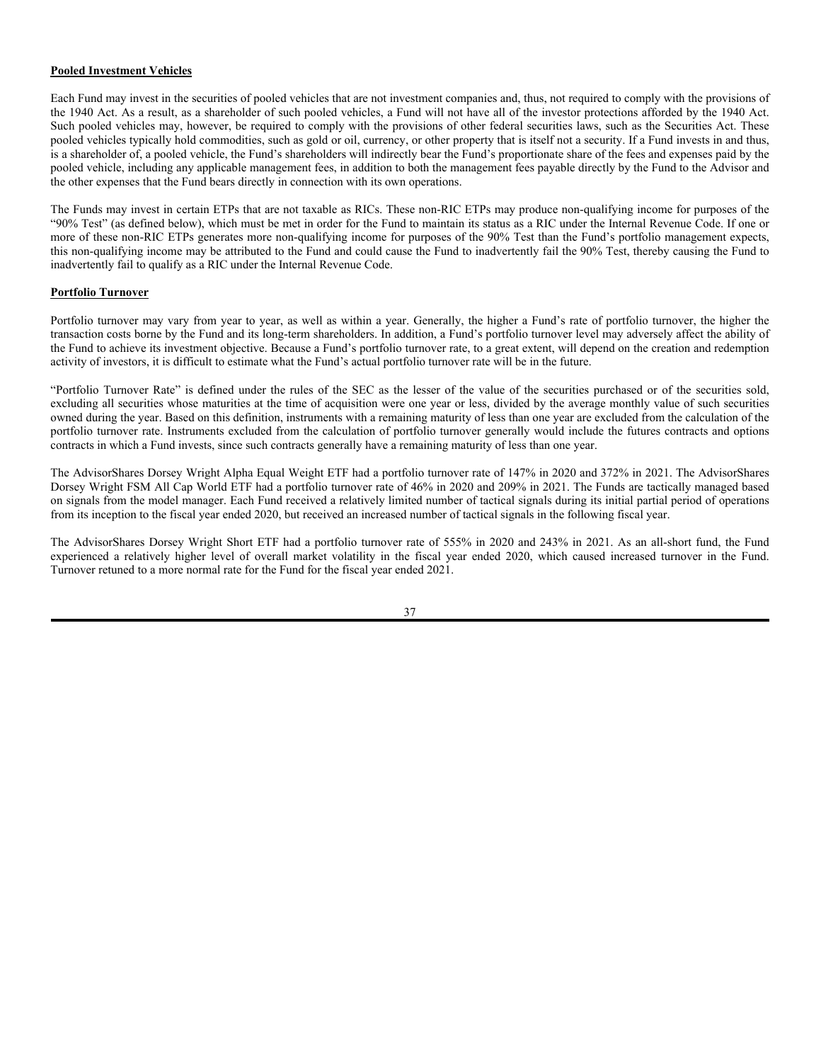As a shareholder of another investment company, a Fund and its shareholders will indirectly bear the Fund's proportionate share of the fees and expenses paid by such other investment company, including advisory fees, in addition to both the management fees payable directly by the Fund to the Fund's own investment advisor and the other expenses that the Fund bears directly in connection with the Fund's own operations.

Consistent with the restrictions discussed above, each Fund may invest in several different types of investment companies from time to time, including mutual funds, ETFs, closed-end funds, and business development companies ("BDCs"), when the Advisor or Sub-Advisor, as applicable, believes such an investment is in the best interests of the Fund and its shareholders. For example, a Fund may elect to invest in another investment company when such an investment presents a more efficient investment option than buying securities individually. A Fund also may invest in investment companies that are included as components of an index, such as BDCs, to seek to track the performance of that index. A BDC is a less common type of closed-end investment company that more closely resembles an operating company than a typical investment company. BDCs generally focus on investing in, and providing managerial assistance to, small, developing, financially troubled, private companies or other companies that may have value that can be realized over time and with management assistance. Similar to an operating company, a BDC's total annual operating expense ratio typically reflects all of the operating expenses incurred by the BDC, and is generally greater than the total annual operating expense ratio of a mutual fund that does not bear the same types of operating expenses. However, as a shareholder of a BDC, a Fund does not directly pay for a portion of all of the operating expenses of the BDC, just as a shareholder of computer manufacturer does not directly pay for the cost of labor associated with producing such computers. As a result, when a Fund invests in a BDC, the Fund's Total Annual Fund Operating Expenses will be effectively overstated by an amount equal to the Acquired Fund Fees and Expenses. Acquired Fund Fees and Expenses are not included as an operating expense of a Fund in the Fund's financial statements, which more accurately reflect the Fund's actual operating expenses.

Investment companies may include index-based investments, such as ETFs that hold substantially all of their assets in securities representing a specific index. The main risk of investing in index-based investments is the same as investing in a portfolio of equity securities comprising the index. The market prices of index-based investments will fluctuate in accordance with both changes in the market value of their underlying portfolio securities and due to supply and demand for the instruments on the exchanges on which they are traded (which may result in their trading at a discount or premium to their NAVs). Index-based investments may not replicate exactly the performance of their specific index because of transaction costs and the temporary unavailability of certain component securities of the index. Each Fund may invest in index-based ETFs as well as ETFs that are actively managed.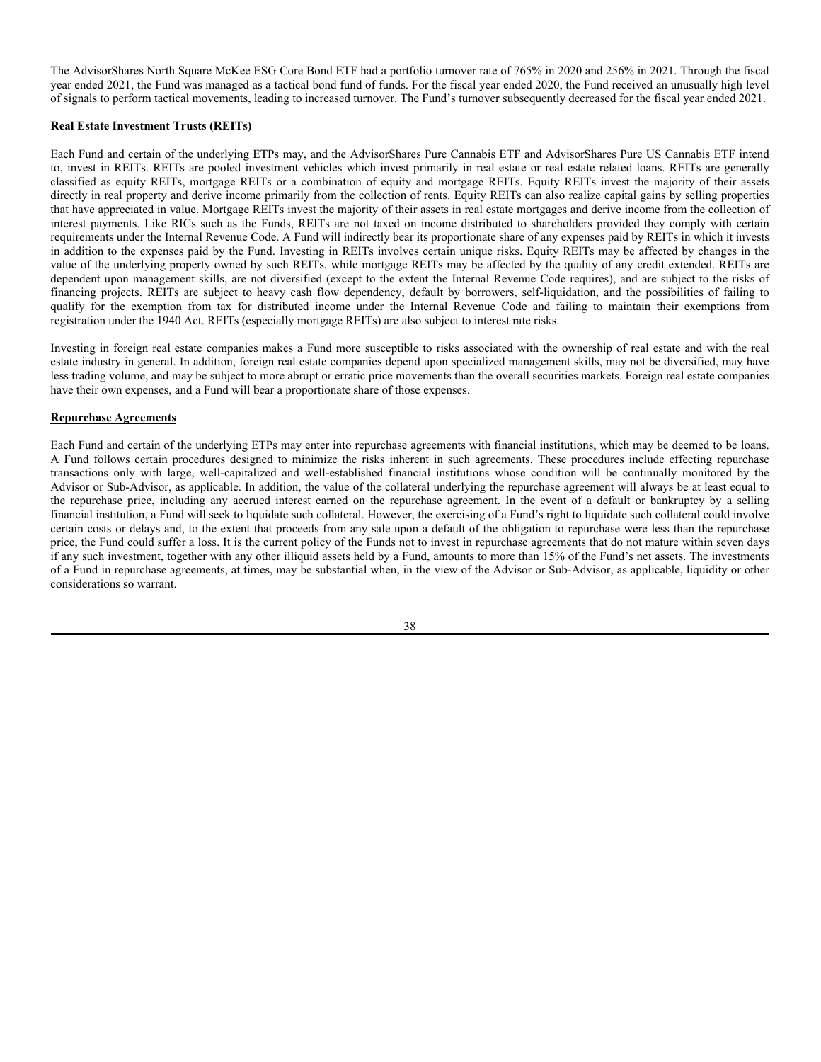Each Fund and certain of the underlying ETPs may invest in closed-end funds. Closed-end funds are pooled investment vehicles that are registered under the 1940 Act and whose shares are listed and traded on U.S. national securities exchanges. Like any stock, a closed-end fund's share price will fluctuate in response to market conditions and other factors. Secondary market trading prices of closed-end funds should be expected to fluctuate and such prices may be higher (*i.e.*, at a premium) or lower (*i.e.*, at a discount) than the net asset value of a closed-end fund's portfolio holdings. Closed-end fund shares frequently trade at persistent and ongoing discounts to the net asset value of the closed-end fund's portfolio investments. There can be no guarantee that shares of a closed-end fund held by a Fund will not trade at a persistent and ongoing discount. Nor can there be any guarantee that an active market in shares of the closed-end funds held by a Fund will exist. A Fund may not be able to sell closed-end fund shares at a price equal to the net asset value of the closed-end fund. While a Fund seeks to take advantage of differences between the net asset value of closed-end fund shares and any secondary market premiums or discounts, the Fund may not be able to do so. In addition, there can be no assurance that any closed-end fund will achieve its stated investment objective. While a Fund investing in closed-end funds attempts to diversify its exposure to such investments, lackluster performance of a single closed-end fund can have a negative impact on the performance of the Fund as a whole. A Fund may lose money on its investment in any closed-end fund which, in turn, may cause investors to lose money on an investment in the Fund.

# **Lending of Portfolio Securities**

Each Fund may lend portfolio securities to brokers, dealers and other financial organizations that meet capital and other credit requirements or other criteria established by the Fund's Board. These loans, if and when made, may not exceed  $33<sup>1</sup>/3%$  of the total asset value of the Fund (including the loan collateral). Each Fund will not lend portfolio securities to the Advisor, Sub-Advisor, or their affiliates, unless it has applied for and received specific authority to do so from the SEC. Loans of portfolio securities will be fully collateralized by cash, letters of credit or U.S. government securities, and the collateral will be maintained in an amount equal to at least 100% of the current market value of the loaned securities by marking to market daily. Any gain or loss in the market price of the securities loaned that might occur during the term of the loan would be for the account of the respective Fund. A Fund may pay a part of the interest earned from the investment of collateral, or other fee, to an unaffiliated third-party for acting as the Fund's securities lending agent. By lending its securities, a Fund may increase its income by receiving payments from the borrower that reflect the amount of any interest or any dividends payable on the loaned securities as well as by either investing cash collateral received from the borrower in short-term instruments or obtaining a fee from the borrower when U.S. government securities or letters of credit are used as collateral.

Each Fund will adhere to the following conditions whenever its portfolio securities are loaned (i) the Fund must receive at least 100% cash collateral or equivalent securities of the type discussed in the preceding paragraph from the borrower, (ii) the borrower must increase such collateral whenever the market value of the securities rises above the level of such collateral, (iii) the Fund must be able to terminate the loan on demand, (iv) the Fund must receive reasonable interest on the loan, as well as any dividends, interest or other distributions on the loaned securities and any increase in market value, (v) the Fund may pay only reasonable fees in connection with the loan (which fees may include fees payable to the lending agent, the borrower, the Fund's administrator and the custodian), and (vi) voting rights on the loaned securities may pass to the borrower, provided, however, that if a material event adversely affecting the investment occurs, the Fund must terminate the loan and regain the right to vote the securities. The Funds' securities lending arrangements are subject to Board approval. In addition, to the extent a Fund engages in securities lending, the Board has adopted procedures that are reasonably designed to ensure that the foregoing criteria will be met. Loan agreements involve certain risks in the event of default or insolvency of the borrower, including possible delays or restrictions upon a Fund's ability to recover the loaned securities or dispose of the collateral for the loan, which could give rise to loss because of adverse market action, expenses and/or delays in connection with the disposition of the underlying securities.

### **Leverage**

A Fund may use leveraged investment techniques in pursuing its investment objective. Leverage exists when a Fund achieves the right to a return on a capital base that exceeds the Fund's assets. Utilization of leverage involves special risks and should be considered to be speculative. Specifically, leverage creates the potential for greater gains to during favorable market conditions and the risk of magnified losses during adverse market conditions. Leverage is likely to cause higher volatility of the NAV of a Fund's shares. Leverage may also involve the creation of a liability that does not entail any interest costs or the creation of a liability that requires a Fund to pay interest that would decrease the Fund's total return to shareholders.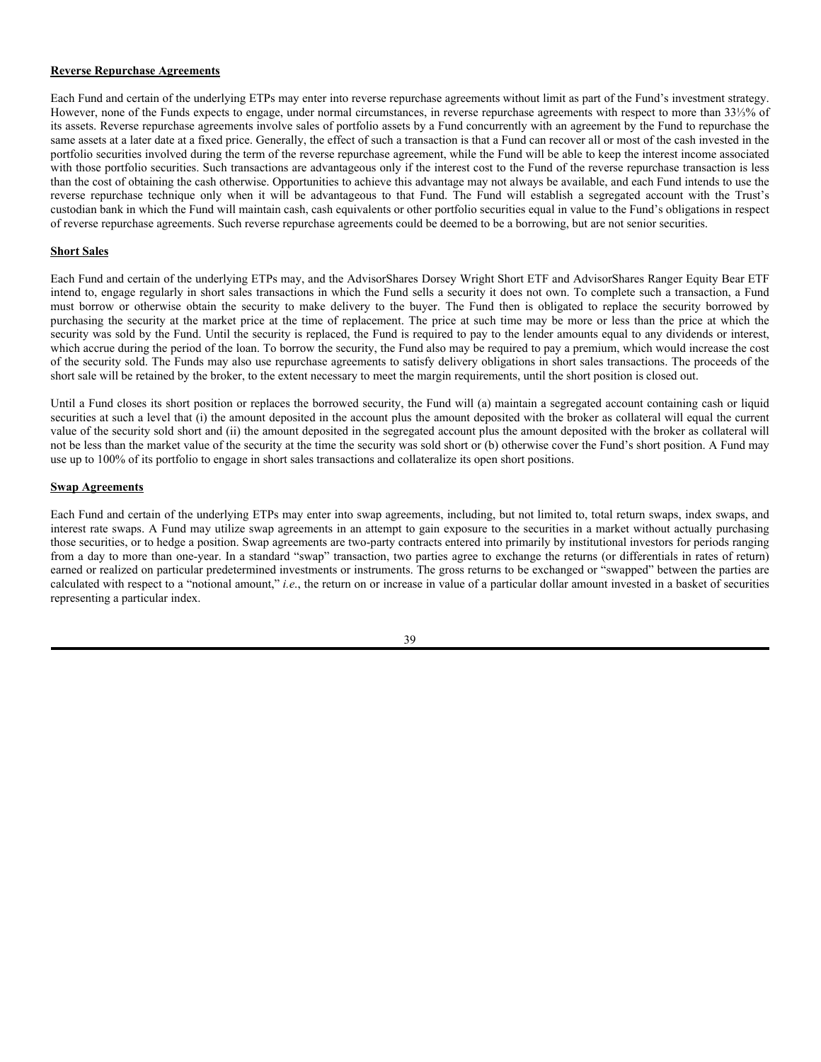# **Pooled Investment Vehicles**

Each Fund may invest in the securities of pooled vehicles that are not investment companies and, thus, not required to comply with the provisions of the 1940 Act. As a result, as a shareholder of such pooled vehicles, a Fund will not have all of the investor protections afforded by the 1940 Act. Such pooled vehicles may, however, be required to comply with the provisions of other federal securities laws, such as the Securities Act. These pooled vehicles typically hold commodities, such as gold or oil, currency, or other property that is itself not a security. If a Fund invests in and thus, is a shareholder of, a pooled vehicle, the Fund's shareholders will indirectly bear the Fund's proportionate share of the fees and expenses paid by the pooled vehicle, including any applicable management fees, in addition to both the management fees payable directly by the Fund to the Advisor and the other expenses that the Fund bears directly in connection with its own operations.

The Funds may invest in certain ETPs that are not taxable as RICs. These non-RIC ETPs may produce non-qualifying income for purposes of the "90% Test" (as defined below), which must be met in order for the Fund to maintain its status as a RIC under the Internal Revenue Code. If one or more of these non-RIC ETPs generates more non-qualifying income for purposes of the 90% Test than the Fund's portfolio management expects, this non-qualifying income may be attributed to the Fund and could cause the Fund to inadvertently fail the 90% Test, thereby causing the Fund to inadvertently fail to qualify as a RIC under the Internal Revenue Code.

### **Portfolio Turnover**

Portfolio turnover may vary from year to year, as well as within a year. Generally, the higher a Fund's rate of portfolio turnover, the higher the transaction costs borne by the Fund and its long-term shareholders. In addition, a Fund's portfolio turnover level may adversely affect the ability of the Fund to achieve its investment objective. Because a Fund's portfolio turnover rate, to a great extent, will depend on the creation and redemption activity of investors, it is difficult to estimate what the Fund's actual portfolio turnover rate will be in the future.

"Portfolio Turnover Rate" is defined under the rules of the SEC as the lesser of the value of the securities purchased or of the securities sold, excluding all securities whose maturities at the time of acquisition were one year or less, divided by the average monthly value of such securities owned during the year. Based on this definition, instruments with a remaining maturity of less than one year are excluded from the calculation of the portfolio turnover rate. Instruments excluded from the calculation of portfolio turnover generally would include the futures contracts and options contracts in which a Fund invests, since such contracts generally have a remaining maturity of less than one year.

The AdvisorShares Dorsey Wright Alpha Equal Weight ETF had a portfolio turnover rate of 147% in 2020 and 372% in 2021. The AdvisorShares Dorsey Wright FSM All Cap World ETF had a portfolio turnover rate of 46% in 2020 and 209% in 2021. The Funds are tactically managed based on signals from the model manager. Each Fund received a relatively limited number of tactical signals during its initial partial period of operations from its inception to the fiscal year ended 2020, but received an increased number of tactical signals in the following fiscal year.

The AdvisorShares Dorsey Wright Short ETF had a portfolio turnover rate of 555% in 2020 and 243% in 2021. As an all-short fund, the Fund experienced a relatively higher level of overall market volatility in the fiscal year ended 2020, which caused increased turnover in the Fund. Turnover retuned to a more normal rate for the Fund for the fiscal year ended 2021.

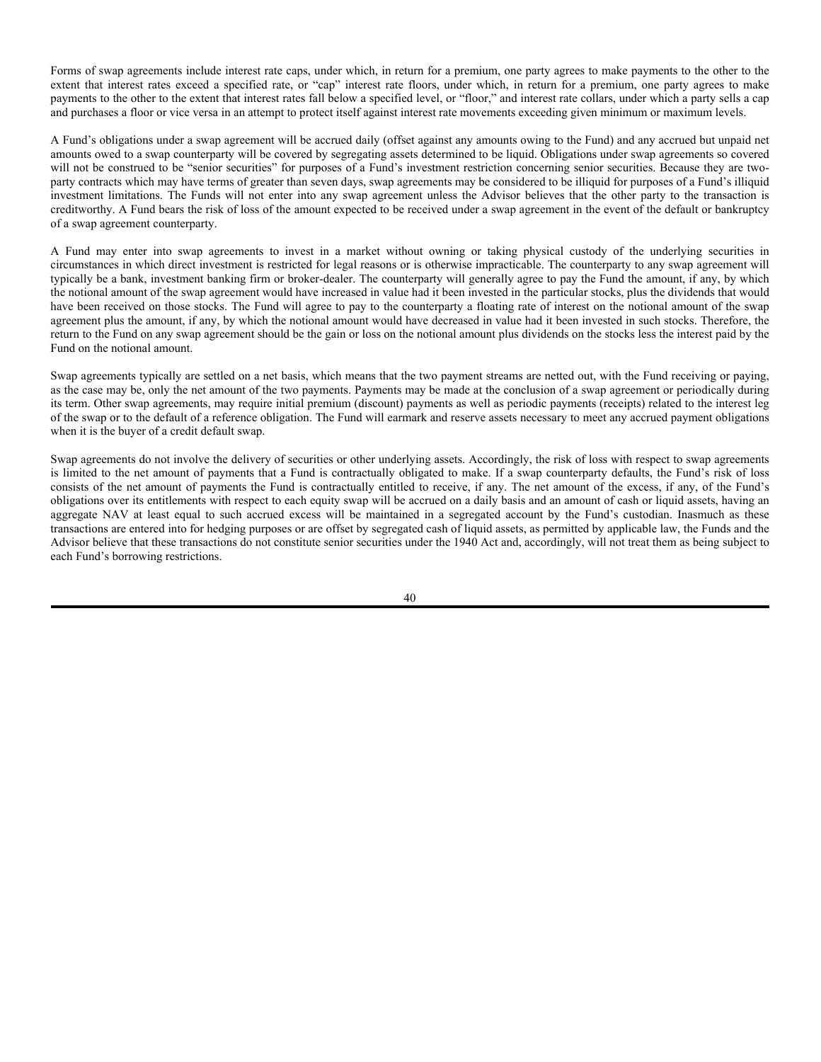The AdvisorShares North Square McKee ESG Core Bond ETF had a portfolio turnover rate of 765% in 2020 and 256% in 2021. Through the fiscal year ended 2021, the Fund was managed as a tactical bond fund of funds. For the fiscal year ended 2020, the Fund received an unusually high level of signals to perform tactical movements, leading to increased turnover. The Fund's turnover subsequently decreased for the fiscal year ended 2021.

### **Real Estate Investment Trusts (REITs)**

Each Fund and certain of the underlying ETPs may, and the AdvisorShares Pure Cannabis ETF and AdvisorShares Pure US Cannabis ETF intend to, invest in REITs. REITs are pooled investment vehicles which invest primarily in real estate or real estate related loans. REITs are generally classified as equity REITs, mortgage REITs or a combination of equity and mortgage REITs. Equity REITs invest the majority of their assets directly in real property and derive income primarily from the collection of rents. Equity REITs can also realize capital gains by selling properties that have appreciated in value. Mortgage REITs invest the majority of their assets in real estate mortgages and derive income from the collection of interest payments. Like RICs such as the Funds, REITs are not taxed on income distributed to shareholders provided they comply with certain requirements under the Internal Revenue Code. A Fund will indirectly bear its proportionate share of any expenses paid by REITs in which it invests in addition to the expenses paid by the Fund. Investing in REITs involves certain unique risks. Equity REITs may be affected by changes in the value of the underlying property owned by such REITs, while mortgage REITs may be affected by the quality of any credit extended. REITs are dependent upon management skills, are not diversified (except to the extent the Internal Revenue Code requires), and are subject to the risks of financing projects. REITs are subject to heavy cash flow dependency, default by borrowers, self-liquidation, and the possibilities of failing to qualify for the exemption from tax for distributed income under the Internal Revenue Code and failing to maintain their exemptions from registration under the 1940 Act. REITs (especially mortgage REITs) are also subject to interest rate risks.

Investing in foreign real estate companies makes a Fund more susceptible to risks associated with the ownership of real estate and with the real estate industry in general. In addition, foreign real estate companies depend upon specialized management skills, may not be diversified, may have less trading volume, and may be subject to more abrupt or erratic price movements than the overall securities markets. Foreign real estate companies have their own expenses, and a Fund will bear a proportionate share of those expenses.

# **Repurchase Agreements**

Each Fund and certain of the underlying ETPs may enter into repurchase agreements with financial institutions, which may be deemed to be loans. A Fund follows certain procedures designed to minimize the risks inherent in such agreements. These procedures include effecting repurchase transactions only with large, well-capitalized and well-established financial institutions whose condition will be continually monitored by the Advisor or Sub-Advisor, as applicable. In addition, the value of the collateral underlying the repurchase agreement will always be at least equal to the repurchase price, including any accrued interest earned on the repurchase agreement. In the event of a default or bankruptcy by a selling financial institution, a Fund will seek to liquidate such collateral. However, the exercising of a Fund's right to liquidate such collateral could involve certain costs or delays and, to the extent that proceeds from any sale upon a default of the obligation to repurchase were less than the repurchase price, the Fund could suffer a loss. It is the current policy of the Funds not to invest in repurchase agreements that do not mature within seven days if any such investment, together with any other illiquid assets held by a Fund, amounts to more than 15% of the Fund's net assets. The investments of a Fund in repurchase agreements, at times, may be substantial when, in the view of the Advisor or Sub-Advisor, as applicable, liquidity or other considerations so warrant.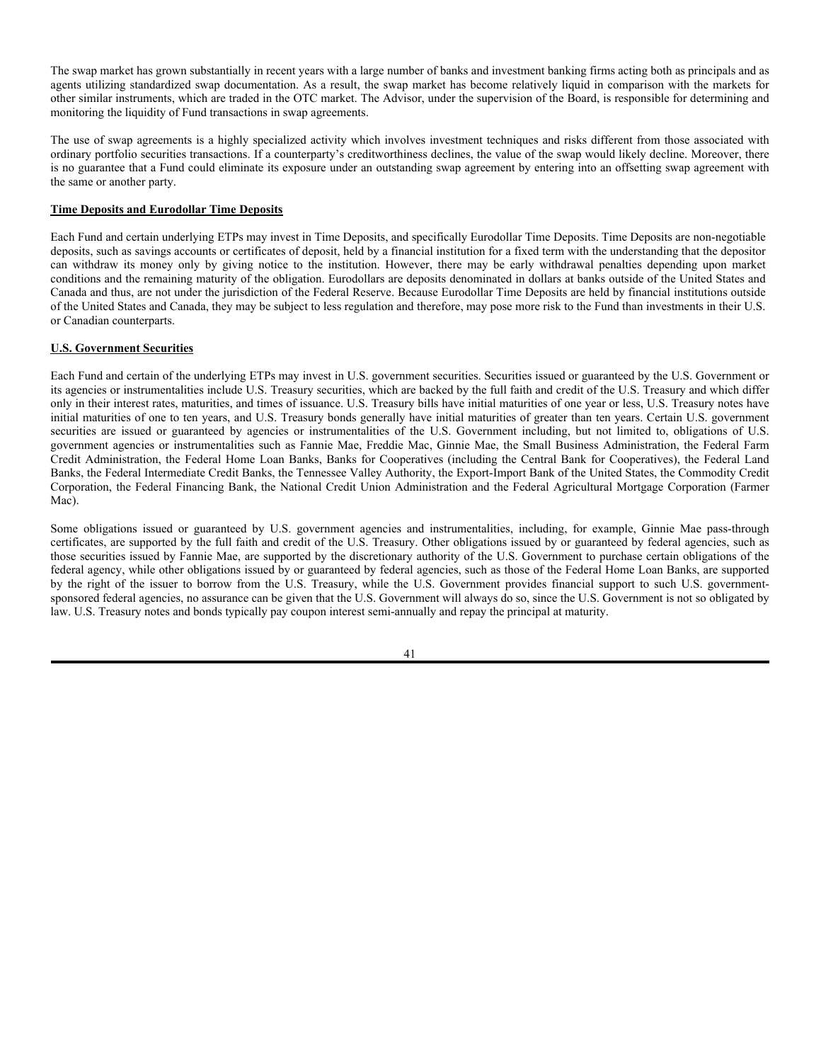## **Reverse Repurchase Agreements**

Each Fund and certain of the underlying ETPs may enter into reverse repurchase agreements without limit as part of the Fund's investment strategy. However, none of the Funds expects to engage, under normal circumstances, in reverse repurchase agreements with respect to more than 33⅓% of its assets. Reverse repurchase agreements involve sales of portfolio assets by a Fund concurrently with an agreement by the Fund to repurchase the same assets at a later date at a fixed price. Generally, the effect of such a transaction is that a Fund can recover all or most of the cash invested in the portfolio securities involved during the term of the reverse repurchase agreement, while the Fund will be able to keep the interest income associated with those portfolio securities. Such transactions are advantageous only if the interest cost to the Fund of the reverse repurchase transaction is less than the cost of obtaining the cash otherwise. Opportunities to achieve this advantage may not always be available, and each Fund intends to use the reverse repurchase technique only when it will be advantageous to that Fund. The Fund will establish a segregated account with the Trust's custodian bank in which the Fund will maintain cash, cash equivalents or other portfolio securities equal in value to the Fund's obligations in respect of reverse repurchase agreements. Such reverse repurchase agreements could be deemed to be a borrowing, but are not senior securities.

# **Short Sales**

Each Fund and certain of the underlying ETPs may, and the AdvisorShares Dorsey Wright Short ETF and AdvisorShares Ranger Equity Bear ETF intend to, engage regularly in short sales transactions in which the Fund sells a security it does not own. To complete such a transaction, a Fund must borrow or otherwise obtain the security to make delivery to the buyer. The Fund then is obligated to replace the security borrowed by purchasing the security at the market price at the time of replacement. The price at such time may be more or less than the price at which the security was sold by the Fund. Until the security is replaced, the Fund is required to pay to the lender amounts equal to any dividends or interest, which accrue during the period of the loan. To borrow the security, the Fund also may be required to pay a premium, which would increase the cost of the security sold. The Funds may also use repurchase agreements to satisfy delivery obligations in short sales transactions. The proceeds of the short sale will be retained by the broker, to the extent necessary to meet the margin requirements, until the short position is closed out.

Until a Fund closes its short position or replaces the borrowed security, the Fund will (a) maintain a segregated account containing cash or liquid securities at such a level that (i) the amount deposited in the account plus the amount deposited with the broker as collateral will equal the current value of the security sold short and (ii) the amount deposited in the segregated account plus the amount deposited with the broker as collateral will not be less than the market value of the security at the time the security was sold short or (b) otherwise cover the Fund's short position. A Fund may use up to 100% of its portfolio to engage in short sales transactions and collateralize its open short positions.

### **Swap Agreements**

Each Fund and certain of the underlying ETPs may enter into swap agreements, including, but not limited to, total return swaps, index swaps, and interest rate swaps. A Fund may utilize swap agreements in an attempt to gain exposure to the securities in a market without actually purchasing those securities, or to hedge a position. Swap agreements are two-party contracts entered into primarily by institutional investors for periods ranging from a day to more than one-year. In a standard "swap" transaction, two parties agree to exchange the returns (or differentials in rates of return) earned or realized on particular predetermined investments or instruments. The gross returns to be exchanged or "swapped" between the parties are calculated with respect to a "notional amount," *i.e*., the return on or increase in value of a particular dollar amount invested in a basket of securities representing a particular index.

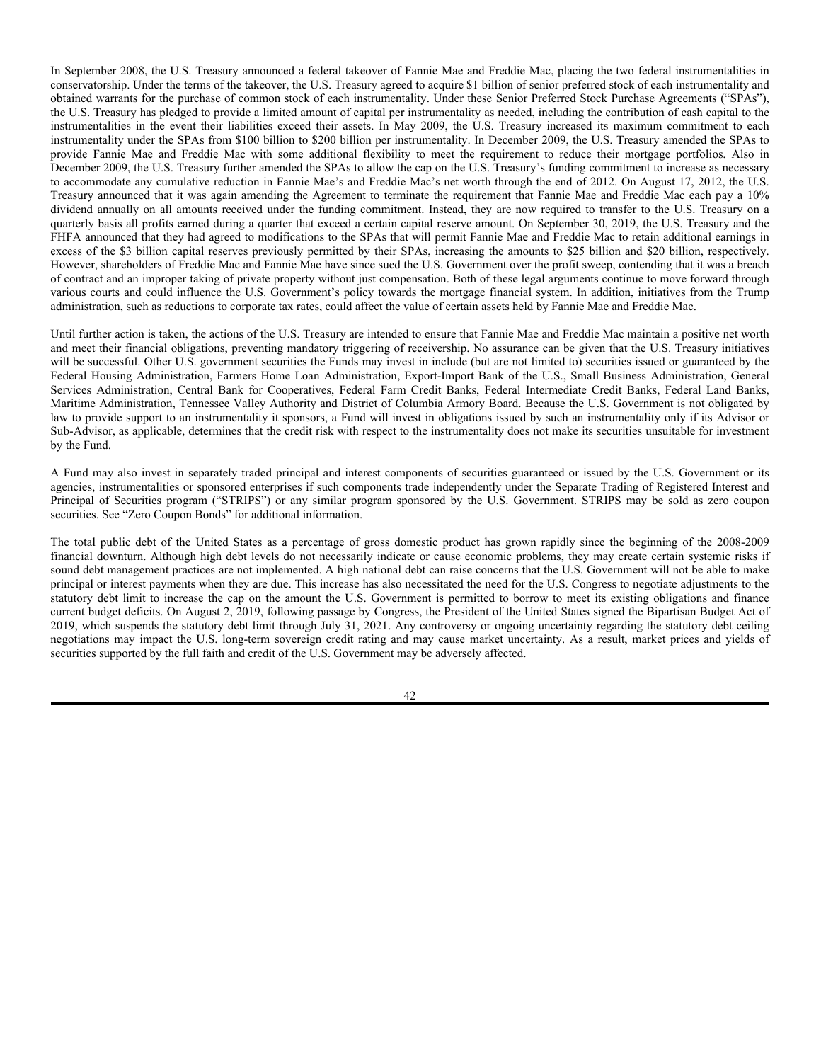Forms of swap agreements include interest rate caps, under which, in return for a premium, one party agrees to make payments to the other to the extent that interest rates exceed a specified rate, or "cap" interest rate floors, under which, in return for a premium, one party agrees to make payments to the other to the extent that interest rates fall below a specified level, or "floor," and interest rate collars, under which a party sells a cap and purchases a floor or vice versa in an attempt to protect itself against interest rate movements exceeding given minimum or maximum levels.

A Fund's obligations under a swap agreement will be accrued daily (offset against any amounts owing to the Fund) and any accrued but unpaid net amounts owed to a swap counterparty will be covered by segregating assets determined to be liquid. Obligations under swap agreements so covered will not be construed to be "senior securities" for purposes of a Fund's investment restriction concerning senior securities. Because they are twoparty contracts which may have terms of greater than seven days, swap agreements may be considered to be illiquid for purposes of a Fund's illiquid investment limitations. The Funds will not enter into any swap agreement unless the Advisor believes that the other party to the transaction is creditworthy. A Fund bears the risk of loss of the amount expected to be received under a swap agreement in the event of the default or bankruptcy of a swap agreement counterparty.

A Fund may enter into swap agreements to invest in a market without owning or taking physical custody of the underlying securities in circumstances in which direct investment is restricted for legal reasons or is otherwise impracticable. The counterparty to any swap agreement will typically be a bank, investment banking firm or broker-dealer. The counterparty will generally agree to pay the Fund the amount, if any, by which the notional amount of the swap agreement would have increased in value had it been invested in the particular stocks, plus the dividends that would have been received on those stocks. The Fund will agree to pay to the counterparty a floating rate of interest on the notional amount of the swap agreement plus the amount, if any, by which the notional amount would have decreased in value had it been invested in such stocks. Therefore, the return to the Fund on any swap agreement should be the gain or loss on the notional amount plus dividends on the stocks less the interest paid by the Fund on the notional amount.

Swap agreements typically are settled on a net basis, which means that the two payment streams are netted out, with the Fund receiving or paying, as the case may be, only the net amount of the two payments. Payments may be made at the conclusion of a swap agreement or periodically during its term. Other swap agreements, may require initial premium (discount) payments as well as periodic payments (receipts) related to the interest leg of the swap or to the default of a reference obligation. The Fund will earmark and reserve assets necessary to meet any accrued payment obligations when it is the buyer of a credit default swap.

Swap agreements do not involve the delivery of securities or other underlying assets. Accordingly, the risk of loss with respect to swap agreements is limited to the net amount of payments that a Fund is contractually obligated to make. If a swap counterparty defaults, the Fund's risk of loss consists of the net amount of payments the Fund is contractually entitled to receive, if any. The net amount of the excess, if any, of the Fund's obligations over its entitlements with respect to each equity swap will be accrued on a daily basis and an amount of cash or liquid assets, having an aggregate NAV at least equal to such accrued excess will be maintained in a segregated account by the Fund's custodian. Inasmuch as these transactions are entered into for hedging purposes or are offset by segregated cash of liquid assets, as permitted by applicable law, the Funds and the Advisor believe that these transactions do not constitute senior securities under the 1940 Act and, accordingly, will not treat them as being subject to each Fund's borrowing restrictions.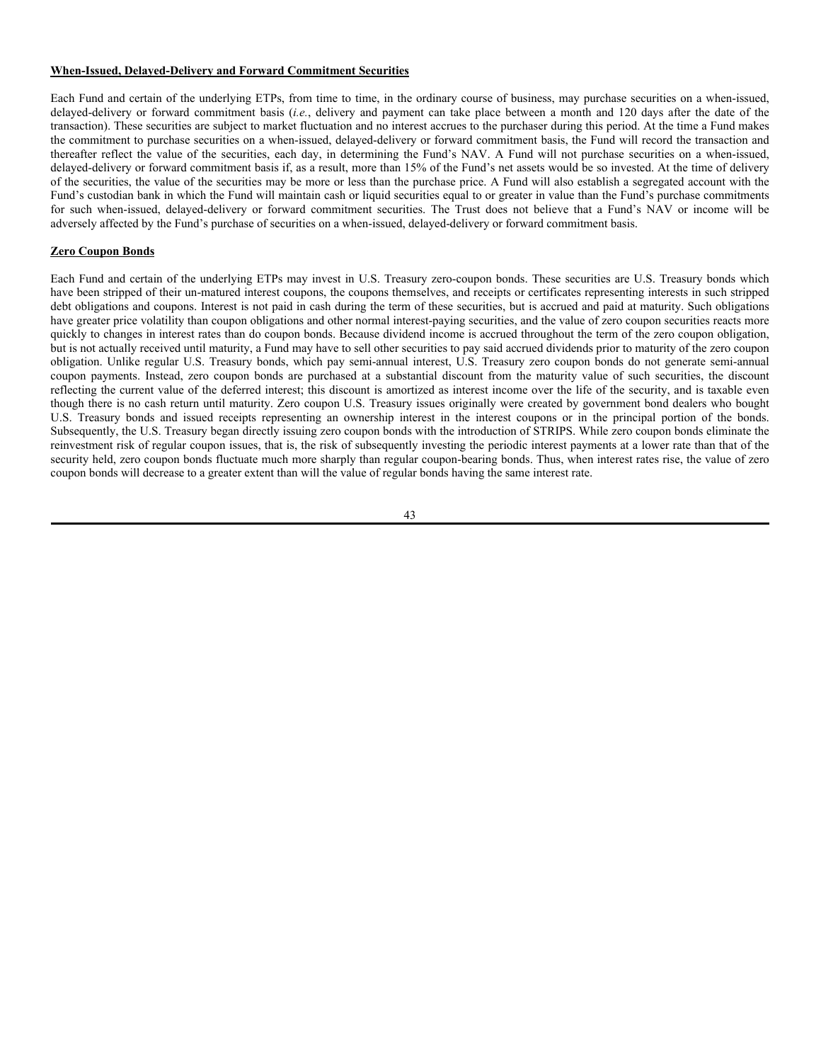The swap market has grown substantially in recent years with a large number of banks and investment banking firms acting both as principals and as agents utilizing standardized swap documentation. As a result, the swap market has become relatively liquid in comparison with the markets for other similar instruments, which are traded in the OTC market. The Advisor, under the supervision of the Board, is responsible for determining and monitoring the liquidity of Fund transactions in swap agreements.

The use of swap agreements is a highly specialized activity which involves investment techniques and risks different from those associated with ordinary portfolio securities transactions. If a counterparty's creditworthiness declines, the value of the swap would likely decline. Moreover, there is no guarantee that a Fund could eliminate its exposure under an outstanding swap agreement by entering into an offsetting swap agreement with the same or another party.

# **Time Deposits and Eurodollar Time Deposits**

Each Fund and certain underlying ETPs may invest in Time Deposits, and specifically Eurodollar Time Deposits. Time Deposits are non-negotiable deposits, such as savings accounts or certificates of deposit, held by a financial institution for a fixed term with the understanding that the depositor can withdraw its money only by giving notice to the institution. However, there may be early withdrawal penalties depending upon market conditions and the remaining maturity of the obligation. Eurodollars are deposits denominated in dollars at banks outside of the United States and Canada and thus, are not under the jurisdiction of the Federal Reserve. Because Eurodollar Time Deposits are held by financial institutions outside of the United States and Canada, they may be subject to less regulation and therefore, may pose more risk to the Fund than investments in their U.S. or Canadian counterparts.

# **U.S. Government Securities**

Each Fund and certain of the underlying ETPs may invest in U.S. government securities. Securities issued or guaranteed by the U.S. Government or its agencies or instrumentalities include U.S. Treasury securities, which are backed by the full faith and credit of the U.S. Treasury and which differ only in their interest rates, maturities, and times of issuance. U.S. Treasury bills have initial maturities of one year or less, U.S. Treasury notes have initial maturities of one to ten years, and U.S. Treasury bonds generally have initial maturities of greater than ten years. Certain U.S. government securities are issued or guaranteed by agencies or instrumentalities of the U.S. Government including, but not limited to, obligations of U.S. government agencies or instrumentalities such as Fannie Mae, Freddie Mac, Ginnie Mae, the Small Business Administration, the Federal Farm Credit Administration, the Federal Home Loan Banks, Banks for Cooperatives (including the Central Bank for Cooperatives), the Federal Land Banks, the Federal Intermediate Credit Banks, the Tennessee Valley Authority, the Export-Import Bank of the United States, the Commodity Credit Corporation, the Federal Financing Bank, the National Credit Union Administration and the Federal Agricultural Mortgage Corporation (Farmer Mac).

Some obligations issued or guaranteed by U.S. government agencies and instrumentalities, including, for example, Ginnie Mae pass-through certificates, are supported by the full faith and credit of the U.S. Treasury. Other obligations issued by or guaranteed by federal agencies, such as those securities issued by Fannie Mae, are supported by the discretionary authority of the U.S. Government to purchase certain obligations of the federal agency, while other obligations issued by or guaranteed by federal agencies, such as those of the Federal Home Loan Banks, are supported by the right of the issuer to borrow from the U.S. Treasury, while the U.S. Government provides financial support to such U.S. governmentsponsored federal agencies, no assurance can be given that the U.S. Government will always do so, since the U.S. Government is not so obligated by law. U.S. Treasury notes and bonds typically pay coupon interest semi-annually and repay the principal at maturity.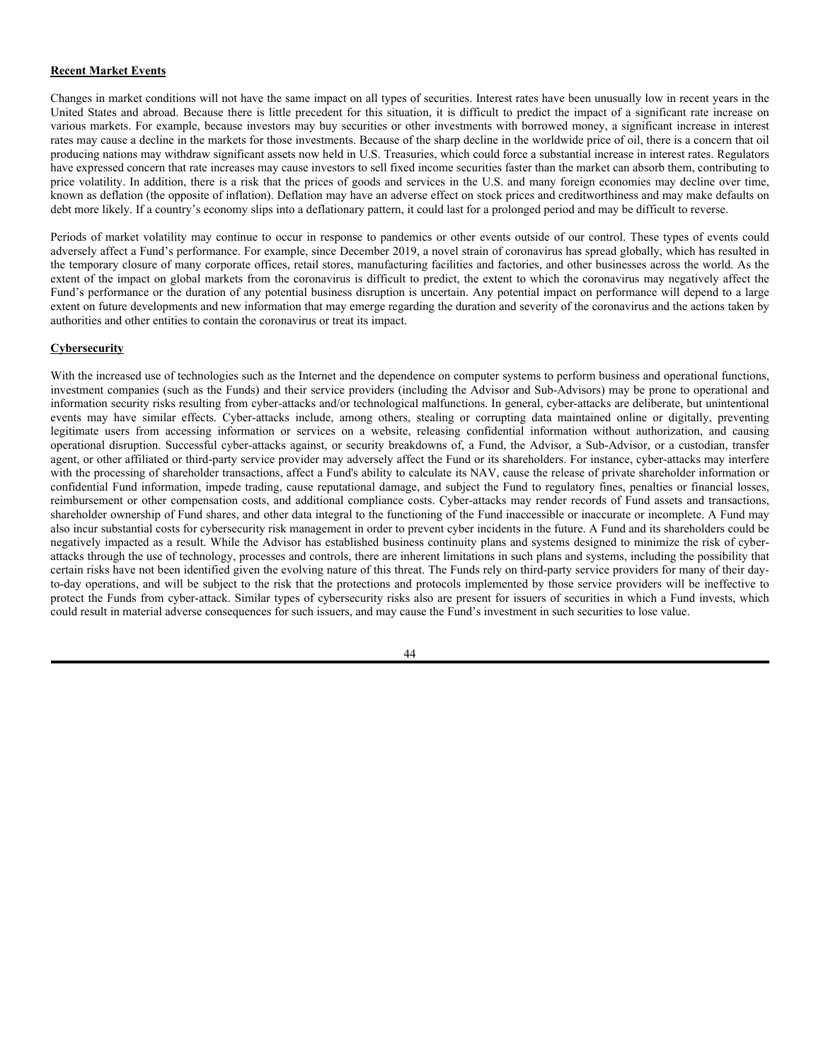In September 2008, the U.S. Treasury announced a federal takeover of Fannie Mae and Freddie Mac, placing the two federal instrumentalities in conservatorship. Under the terms of the takeover, the U.S. Treasury agreed to acquire \$1 billion of senior preferred stock of each instrumentality and obtained warrants for the purchase of common stock of each instrumentality. Under these Senior Preferred Stock Purchase Agreements ("SPAs"), the U.S. Treasury has pledged to provide a limited amount of capital per instrumentality as needed, including the contribution of cash capital to the instrumentalities in the event their liabilities exceed their assets. In May 2009, the U.S. Treasury increased its maximum commitment to each instrumentality under the SPAs from \$100 billion to \$200 billion per instrumentality. In December 2009, the U.S. Treasury amended the SPAs to provide Fannie Mae and Freddie Mac with some additional flexibility to meet the requirement to reduce their mortgage portfolios. Also in December 2009, the U.S. Treasury further amended the SPAs to allow the cap on the U.S. Treasury's funding commitment to increase as necessary to accommodate any cumulative reduction in Fannie Mae's and Freddie Mac's net worth through the end of 2012. On August 17, 2012, the U.S. Treasury announced that it was again amending the Agreement to terminate the requirement that Fannie Mae and Freddie Mac each pay a 10% dividend annually on all amounts received under the funding commitment. Instead, they are now required to transfer to the U.S. Treasury on a quarterly basis all profits earned during a quarter that exceed a certain capital reserve amount. On September 30, 2019, the U.S. Treasury and the FHFA announced that they had agreed to modifications to the SPAs that will permit Fannie Mae and Freddie Mac to retain additional earnings in excess of the \$3 billion capital reserves previously permitted by their SPAs, increasing the amounts to \$25 billion and \$20 billion, respectively. However, shareholders of Freddie Mac and Fannie Mae have since sued the U.S. Government over the profit sweep, contending that it was a breach of contract and an improper taking of private property without just compensation. Both of these legal arguments continue to move forward through various courts and could influence the U.S. Government's policy towards the mortgage financial system. In addition, initiatives from the Trump administration, such as reductions to corporate tax rates, could affect the value of certain assets held by Fannie Mae and Freddie Mac.

Until further action is taken, the actions of the U.S. Treasury are intended to ensure that Fannie Mae and Freddie Mac maintain a positive net worth and meet their financial obligations, preventing mandatory triggering of receivership. No assurance can be given that the U.S. Treasury initiatives will be successful. Other U.S. government securities the Funds may invest in include (but are not limited to) securities issued or guaranteed by the Federal Housing Administration, Farmers Home Loan Administration, Export-Import Bank of the U.S., Small Business Administration, General Services Administration, Central Bank for Cooperatives, Federal Farm Credit Banks, Federal Intermediate Credit Banks, Federal Land Banks, Maritime Administration, Tennessee Valley Authority and District of Columbia Armory Board. Because the U.S. Government is not obligated by law to provide support to an instrumentality it sponsors, a Fund will invest in obligations issued by such an instrumentality only if its Advisor or Sub-Advisor, as applicable, determines that the credit risk with respect to the instrumentality does not make its securities unsuitable for investment by the Fund.

A Fund may also invest in separately traded principal and interest components of securities guaranteed or issued by the U.S. Government or its agencies, instrumentalities or sponsored enterprises if such components trade independently under the Separate Trading of Registered Interest and Principal of Securities program ("STRIPS") or any similar program sponsored by the U.S. Government. STRIPS may be sold as zero coupon securities. See "Zero Coupon Bonds" for additional information.

The total public debt of the United States as a percentage of gross domestic product has grown rapidly since the beginning of the 2008-2009 financial downturn. Although high debt levels do not necessarily indicate or cause economic problems, they may create certain systemic risks if sound debt management practices are not implemented. A high national debt can raise concerns that the U.S. Government will not be able to make principal or interest payments when they are due. This increase has also necessitated the need for the U.S. Congress to negotiate adjustments to the statutory debt limit to increase the cap on the amount the U.S. Government is permitted to borrow to meet its existing obligations and finance current budget deficits. On August 2, 2019, following passage by Congress, the President of the United States signed the Bipartisan Budget Act of 2019, which suspends the statutory debt limit through July 31, 2021. Any controversy or ongoing uncertainty regarding the statutory debt ceiling negotiations may impact the U.S. long-term sovereign credit rating and may cause market uncertainty. As a result, market prices and yields of securities supported by the full faith and credit of the U.S. Government may be adversely affected.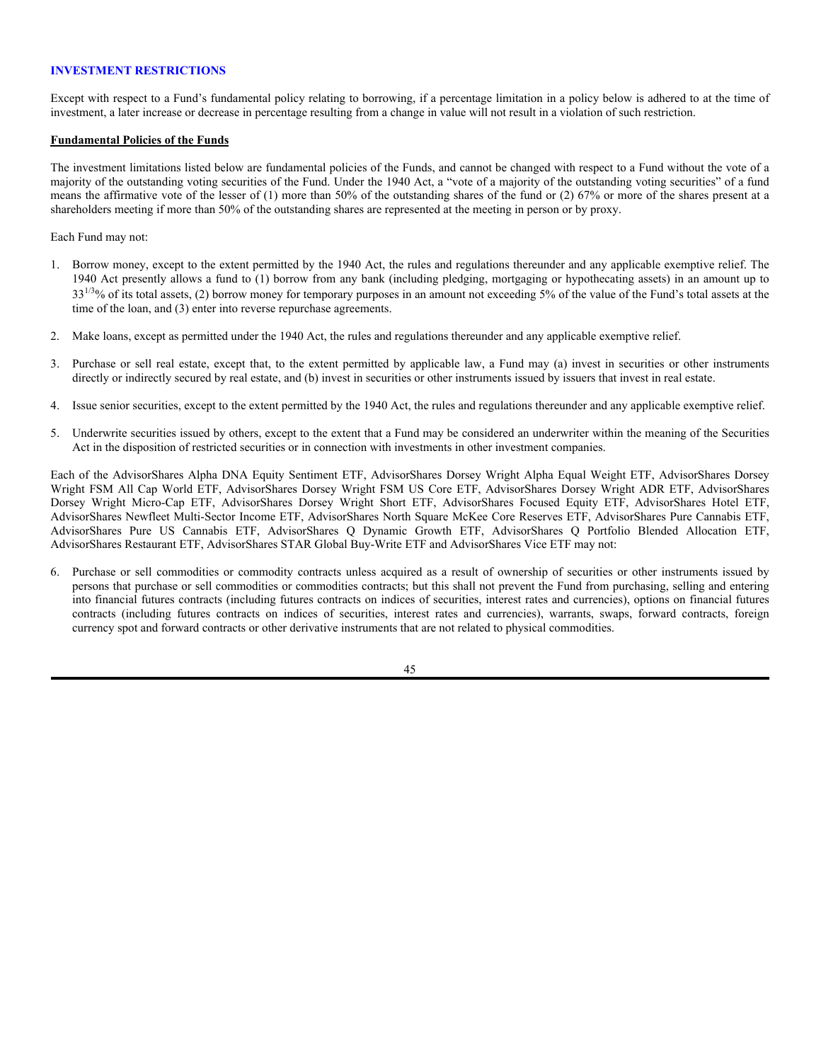# **When-Issued, Delayed-Delivery and Forward Commitment Securities**

Each Fund and certain of the underlying ETPs, from time to time, in the ordinary course of business, may purchase securities on a when-issued, delayed-delivery or forward commitment basis (*i.e.*, delivery and payment can take place between a month and 120 days after the date of the transaction). These securities are subject to market fluctuation and no interest accrues to the purchaser during this period. At the time a Fund makes the commitment to purchase securities on a when-issued, delayed-delivery or forward commitment basis, the Fund will record the transaction and thereafter reflect the value of the securities, each day, in determining the Fund's NAV. A Fund will not purchase securities on a when-issued, delayed-delivery or forward commitment basis if, as a result, more than 15% of the Fund's net assets would be so invested. At the time of delivery of the securities, the value of the securities may be more or less than the purchase price. A Fund will also establish a segregated account with the Fund's custodian bank in which the Fund will maintain cash or liquid securities equal to or greater in value than the Fund's purchase commitments for such when-issued, delayed-delivery or forward commitment securities. The Trust does not believe that a Fund's NAV or income will be adversely affected by the Fund's purchase of securities on a when-issued, delayed-delivery or forward commitment basis.

# **Zero Coupon Bonds**

Each Fund and certain of the underlying ETPs may invest in U.S. Treasury zero-coupon bonds. These securities are U.S. Treasury bonds which have been stripped of their un-matured interest coupons, the coupons themselves, and receipts or certificates representing interests in such stripped debt obligations and coupons. Interest is not paid in cash during the term of these securities, but is accrued and paid at maturity. Such obligations have greater price volatility than coupon obligations and other normal interest-paying securities, and the value of zero coupon securities reacts more quickly to changes in interest rates than do coupon bonds. Because dividend income is accrued throughout the term of the zero coupon obligation, but is not actually received until maturity, a Fund may have to sell other securities to pay said accrued dividends prior to maturity of the zero coupon obligation. Unlike regular U.S. Treasury bonds, which pay semi-annual interest, U.S. Treasury zero coupon bonds do not generate semi-annual coupon payments. Instead, zero coupon bonds are purchased at a substantial discount from the maturity value of such securities, the discount reflecting the current value of the deferred interest; this discount is amortized as interest income over the life of the security, and is taxable even though there is no cash return until maturity. Zero coupon U.S. Treasury issues originally were created by government bond dealers who bought U.S. Treasury bonds and issued receipts representing an ownership interest in the interest coupons or in the principal portion of the bonds. Subsequently, the U.S. Treasury began directly issuing zero coupon bonds with the introduction of STRIPS. While zero coupon bonds eliminate the reinvestment risk of regular coupon issues, that is, the risk of subsequently investing the periodic interest payments at a lower rate than that of the security held, zero coupon bonds fluctuate much more sharply than regular coupon-bearing bonds. Thus, when interest rates rise, the value of zero coupon bonds will decrease to a greater extent than will the value of regular bonds having the same interest rate.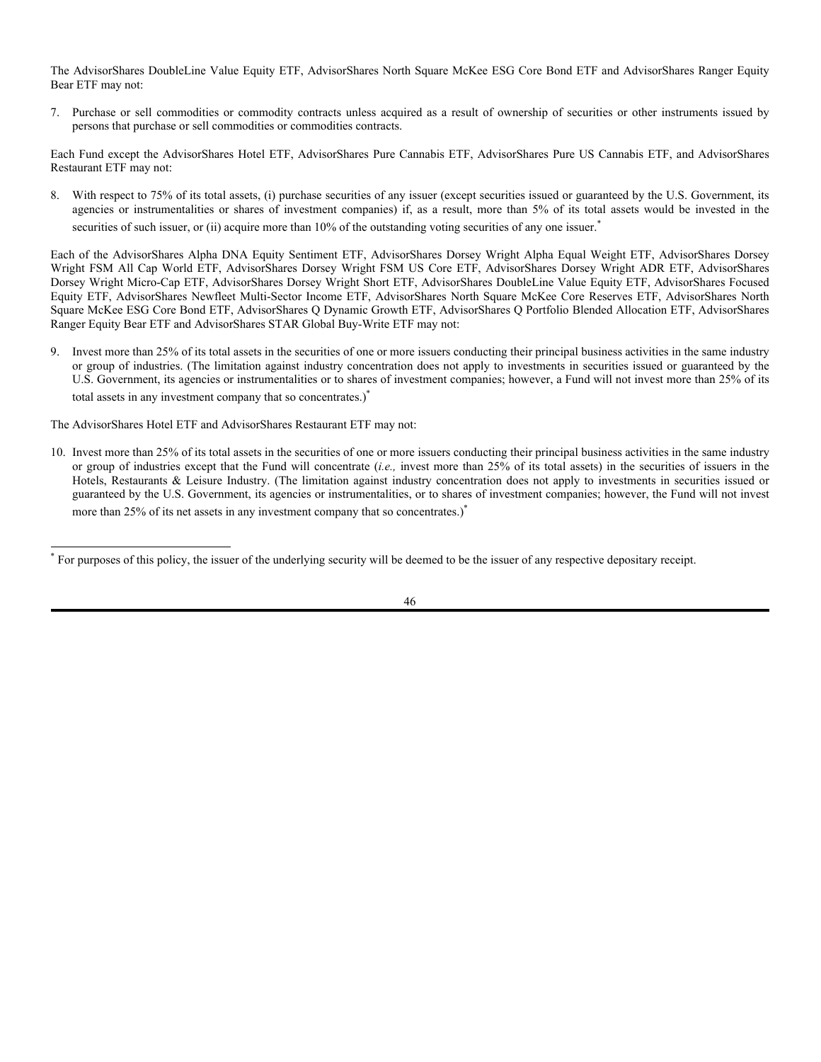## **Recent Market Events**

Changes in market conditions will not have the same impact on all types of securities. Interest rates have been unusually low in recent years in the United States and abroad. Because there is little precedent for this situation, it is difficult to predict the impact of a significant rate increase on various markets. For example, because investors may buy securities or other investments with borrowed money, a significant increase in interest rates may cause a decline in the markets for those investments. Because of the sharp decline in the worldwide price of oil, there is a concern that oil producing nations may withdraw significant assets now held in U.S. Treasuries, which could force a substantial increase in interest rates. Regulators have expressed concern that rate increases may cause investors to sell fixed income securities faster than the market can absorb them, contributing to price volatility. In addition, there is a risk that the prices of goods and services in the U.S. and many foreign economies may decline over time, known as deflation (the opposite of inflation). Deflation may have an adverse effect on stock prices and creditworthiness and may make defaults on debt more likely. If a country's economy slips into a deflationary pattern, it could last for a prolonged period and may be difficult to reverse.

Periods of market volatility may continue to occur in response to pandemics or other events outside of our control. These types of events could adversely affect a Fund's performance. For example, since December 2019, a novel strain of coronavirus has spread globally, which has resulted in the temporary closure of many corporate offices, retail stores, manufacturing facilities and factories, and other businesses across the world. As the extent of the impact on global markets from the coronavirus is difficult to predict, the extent to which the coronavirus may negatively affect the Fund's performance or the duration of any potential business disruption is uncertain. Any potential impact on performance will depend to a large extent on future developments and new information that may emerge regarding the duration and severity of the coronavirus and the actions taken by authorities and other entities to contain the coronavirus or treat its impact.

### **Cybersecurity**

With the increased use of technologies such as the Internet and the dependence on computer systems to perform business and operational functions, investment companies (such as the Funds) and their service providers (including the Advisor and Sub-Advisors) may be prone to operational and information security risks resulting from cyber-attacks and/or technological malfunctions. In general, cyber-attacks are deliberate, but unintentional events may have similar effects. Cyber-attacks include, among others, stealing or corrupting data maintained online or digitally, preventing legitimate users from accessing information or services on a website, releasing confidential information without authorization, and causing operational disruption. Successful cyber-attacks against, or security breakdowns of, a Fund, the Advisor, a Sub-Advisor, or a custodian, transfer agent, or other affiliated or third-party service provider may adversely affect the Fund or its shareholders. For instance, cyber-attacks may interfere with the processing of shareholder transactions, affect a Fund's ability to calculate its NAV, cause the release of private shareholder information or confidential Fund information, impede trading, cause reputational damage, and subject the Fund to regulatory fines, penalties or financial losses, reimbursement or other compensation costs, and additional compliance costs. Cyber-attacks may render records of Fund assets and transactions, shareholder ownership of Fund shares, and other data integral to the functioning of the Fund inaccessible or inaccurate or incomplete. A Fund may also incur substantial costs for cybersecurity risk management in order to prevent cyber incidents in the future. A Fund and its shareholders could be negatively impacted as a result. While the Advisor has established business continuity plans and systems designed to minimize the risk of cyberattacks through the use of technology, processes and controls, there are inherent limitations in such plans and systems, including the possibility that certain risks have not been identified given the evolving nature of this threat. The Funds rely on third-party service providers for many of their dayto-day operations, and will be subject to the risk that the protections and protocols implemented by those service providers will be ineffective to protect the Funds from cyber-attack. Similar types of cybersecurity risks also are present for issuers of securities in which a Fund invests, which could result in material adverse consequences for such issuers, and may cause the Fund's investment in such securities to lose value.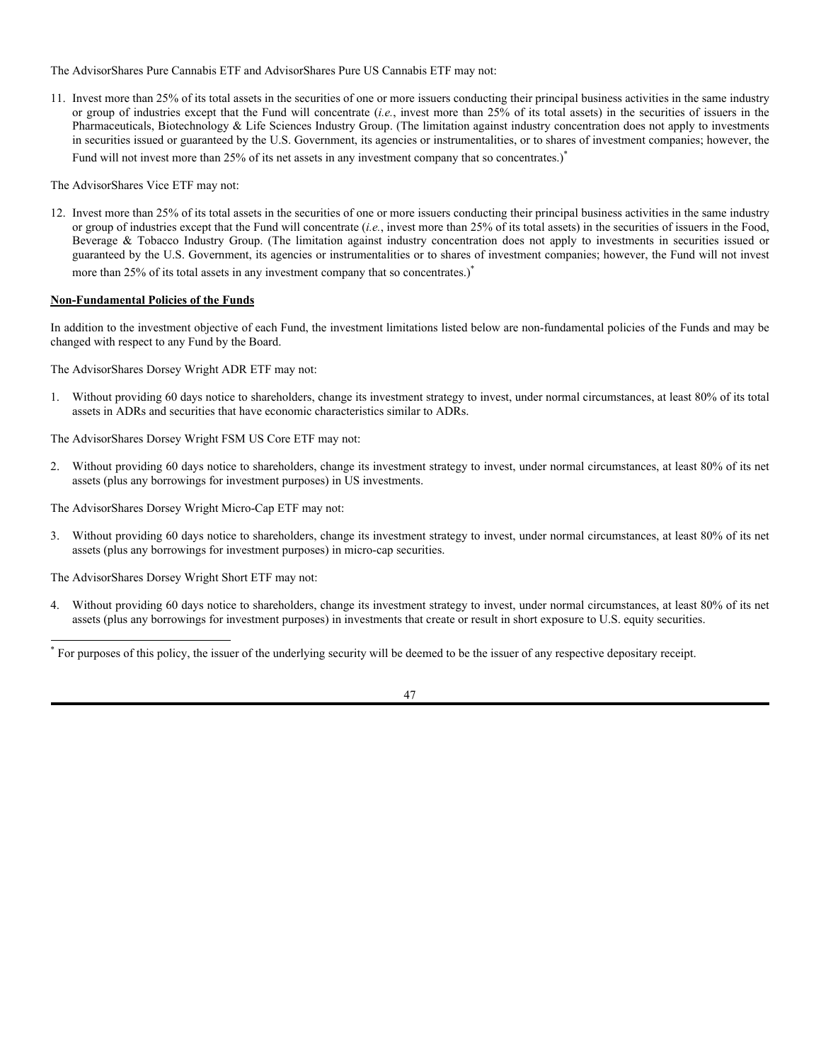# **INVESTMENT RESTRICTIONS**

Except with respect to a Fund's fundamental policy relating to borrowing, if a percentage limitation in a policy below is adhered to at the time of investment, a later increase or decrease in percentage resulting from a change in value will not result in a violation of such restriction.

### **Fundamental Policies of the Funds**

The investment limitations listed below are fundamental policies of the Funds, and cannot be changed with respect to a Fund without the vote of a majority of the outstanding voting securities of the Fund. Under the 1940 Act, a "vote of a majority of the outstanding voting securities" of a fund means the affirmative vote of the lesser of (1) more than 50% of the outstanding shares of the fund or (2) 67% or more of the shares present at a shareholders meeting if more than 50% of the outstanding shares are represented at the meeting in person or by proxy.

Each Fund may not:

- 1. Borrow money, except to the extent permitted by the 1940 Act, the rules and regulations thereunder and any applicable exemptive relief. The 1940 Act presently allows a fund to (1) borrow from any bank (including pledging, mortgaging or hypothecating assets) in an amount up to  $33^{1/3}\%$  of its total assets, (2) borrow money for temporary purposes in an amount not exceeding 5% of the value of the Fund's total assets at the time of the loan, and (3) enter into reverse repurchase agreements.
- 2. Make loans, except as permitted under the 1940 Act, the rules and regulations thereunder and any applicable exemptive relief.
- 3. Purchase or sell real estate, except that, to the extent permitted by applicable law, a Fund may (a) invest in securities or other instruments directly or indirectly secured by real estate, and (b) invest in securities or other instruments issued by issuers that invest in real estate.
- 4. Issue senior securities, except to the extent permitted by the 1940 Act, the rules and regulations thereunder and any applicable exemptive relief.
- 5. Underwrite securities issued by others, except to the extent that a Fund may be considered an underwriter within the meaning of the Securities Act in the disposition of restricted securities or in connection with investments in other investment companies.

Each of the AdvisorShares Alpha DNA Equity Sentiment ETF, AdvisorShares Dorsey Wright Alpha Equal Weight ETF, AdvisorShares Dorsey Wright FSM All Cap World ETF, AdvisorShares Dorsey Wright FSM US Core ETF, AdvisorShares Dorsey Wright ADR ETF, AdvisorShares Dorsey Wright Micro-Cap ETF, AdvisorShares Dorsey Wright Short ETF, AdvisorShares Focused Equity ETF, AdvisorShares Hotel ETF, AdvisorShares Newfleet Multi-Sector Income ETF, AdvisorShares North Square McKee Core Reserves ETF, AdvisorShares Pure Cannabis ETF, AdvisorShares Pure US Cannabis ETF, AdvisorShares Q Dynamic Growth ETF, AdvisorShares Q Portfolio Blended Allocation ETF, AdvisorShares Restaurant ETF, AdvisorShares STAR Global Buy-Write ETF and AdvisorShares Vice ETF may not:

6. Purchase or sell commodities or commodity contracts unless acquired as a result of ownership of securities or other instruments issued by persons that purchase or sell commodities or commodities contracts; but this shall not prevent the Fund from purchasing, selling and entering into financial futures contracts (including futures contracts on indices of securities, interest rates and currencies), options on financial futures contracts (including futures contracts on indices of securities, interest rates and currencies), warrants, swaps, forward contracts, foreign currency spot and forward contracts or other derivative instruments that are not related to physical commodities.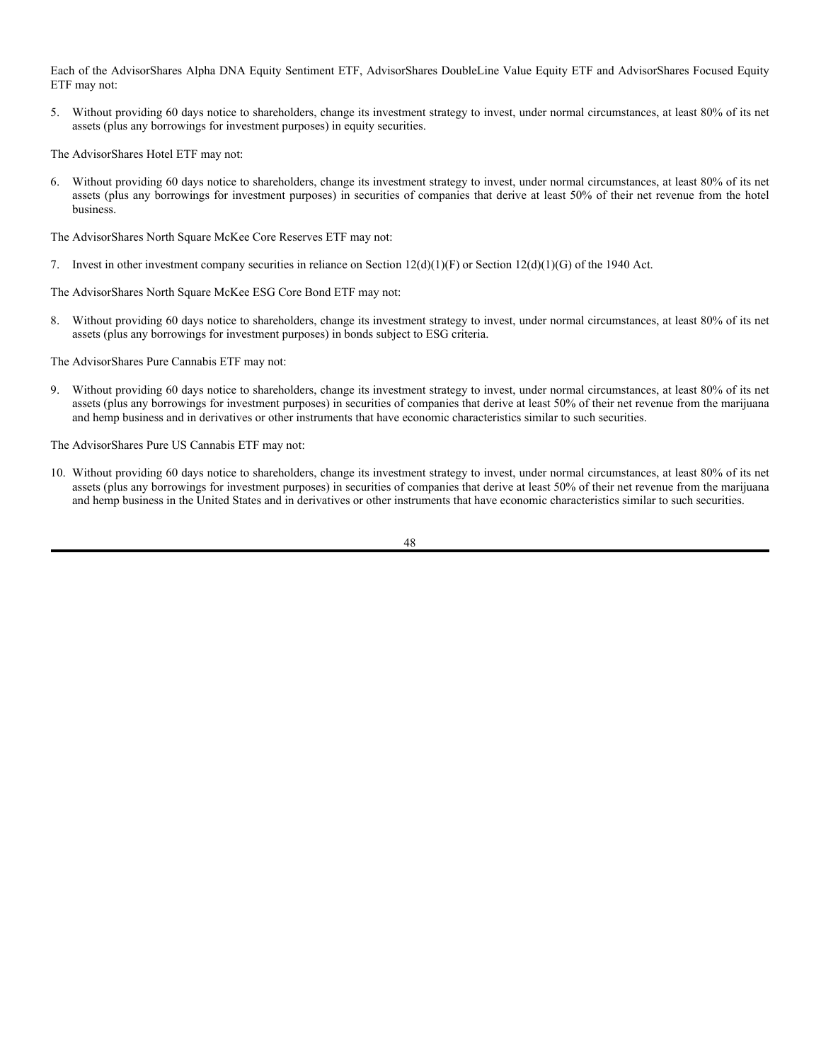The AdvisorShares DoubleLine Value Equity ETF, AdvisorShares North Square McKee ESG Core Bond ETF and AdvisorShares Ranger Equity Bear ETF may not:

7. Purchase or sell commodities or commodity contracts unless acquired as a result of ownership of securities or other instruments issued by persons that purchase or sell commodities or commodities contracts.

Each Fund except the AdvisorShares Hotel ETF, AdvisorShares Pure Cannabis ETF, AdvisorShares Pure US Cannabis ETF, and AdvisorShares Restaurant ETF may not:

8. With respect to 75% of its total assets, (i) purchase securities of any issuer (except securities issued or guaranteed by the U.S. Government, its agencies or instrumentalities or shares of investment companies) if, as a result, more than 5% of its total assets would be invested in the securities of such issuer, or (ii) acquire more than 10% of the outstanding voting securities of any one issuer.<sup>\*</sup>

Each of the AdvisorShares Alpha DNA Equity Sentiment ETF, AdvisorShares Dorsey Wright Alpha Equal Weight ETF, AdvisorShares Dorsey Wright FSM All Cap World ETF, AdvisorShares Dorsey Wright FSM US Core ETF, AdvisorShares Dorsey Wright ADR ETF, AdvisorShares Dorsey Wright Micro-Cap ETF, AdvisorShares Dorsey Wright Short ETF, AdvisorShares DoubleLine Value Equity ETF, AdvisorShares Focused Equity ETF, AdvisorShares Newfleet Multi-Sector Income ETF, AdvisorShares North Square McKee Core Reserves ETF, AdvisorShares North Square McKee ESG Core Bond ETF, AdvisorShares Q Dynamic Growth ETF, AdvisorShares Q Portfolio Blended Allocation ETF, AdvisorShares Ranger Equity Bear ETF and AdvisorShares STAR Global Buy-Write ETF may not:

Invest more than 25% of its total assets in the securities of one or more issuers conducting their principal business activities in the same industry or group of industries. (The limitation against industry concentration does not apply to investments in securities issued or guaranteed by the U.S. Government, its agencies or instrumentalities or to shares of investment companies; however, a Fund will not invest more than 25% of its total assets in any investment company that so concentrates.)

The AdvisorShares Hotel ETF and AdvisorShares Restaurant ETF may not:

10. Invest more than 25% of its total assets in the securities of one or more issuers conducting their principal business activities in the same industry or group of industries except that the Fund will concentrate (*i.e.,* invest more than 25% of its total assets) in the securities of issuers in the Hotels, Restaurants & Leisure Industry. (The limitation against industry concentration does not apply to investments in securities issued or guaranteed by the U.S. Government, its agencies or instrumentalities, or to shares of investment companies; however, the Fund will not invest more than 25% of its net assets in any investment company that so concentrates.)<sup>\*</sup>

\* For purposes of this policy, the issuer of the underlying security will be deemed to be the issuer of any respective depositary receipt.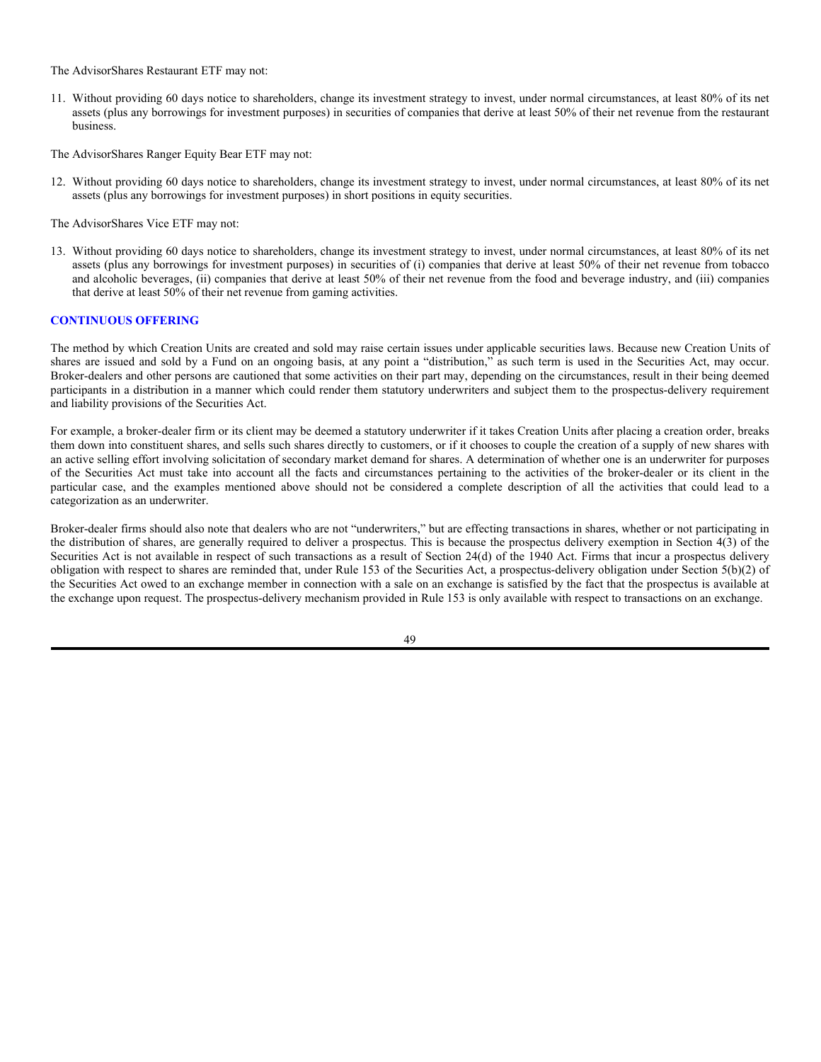The AdvisorShares Pure Cannabis ETF and AdvisorShares Pure US Cannabis ETF may not:

11. Invest more than 25% of its total assets in the securities of one or more issuers conducting their principal business activities in the same industry or group of industries except that the Fund will concentrate (*i.e.*, invest more than 25% of its total assets) in the securities of issuers in the Pharmaceuticals, Biotechnology & Life Sciences Industry Group. (The limitation against industry concentration does not apply to investments in securities issued or guaranteed by the U.S. Government, its agencies or instrumentalities, or to shares of investment companies; however, the

Fund will not invest more than 25% of its net assets in any investment company that so concentrates.)<sup>\*</sup>

The AdvisorShares Vice ETF may not:

12. Invest more than 25% of its total assets in the securities of one or more issuers conducting their principal business activities in the same industry or group of industries except that the Fund will concentrate (*i.e.*, invest more than 25% of its total assets) in the securities of issuers in the Food, Beverage & Tobacco Industry Group. (The limitation against industry concentration does not apply to investments in securities issued or guaranteed by the U.S. Government, its agencies or instrumentalities or to shares of investment companies; however, the Fund will not invest more than 25% of its total assets in any investment company that so concentrates.)

# **Non-Fundamental Policies of the Funds**

In addition to the investment objective of each Fund, the investment limitations listed below are non-fundamental policies of the Funds and may be changed with respect to any Fund by the Board.

The AdvisorShares Dorsey Wright ADR ETF may not:

1. Without providing 60 days notice to shareholders, change its investment strategy to invest, under normal circumstances, at least 80% of its total assets in ADRs and securities that have economic characteristics similar to ADRs.

The AdvisorShares Dorsey Wright FSM US Core ETF may not:

2. Without providing 60 days notice to shareholders, change its investment strategy to invest, under normal circumstances, at least 80% of its net assets (plus any borrowings for investment purposes) in US investments.

The AdvisorShares Dorsey Wright Micro-Cap ETF may not:

3. Without providing 60 days notice to shareholders, change its investment strategy to invest, under normal circumstances, at least 80% of its net assets (plus any borrowings for investment purposes) in micro-cap securities.

The AdvisorShares Dorsey Wright Short ETF may not:

4. Without providing 60 days notice to shareholders, change its investment strategy to invest, under normal circumstances, at least 80% of its net assets (plus any borrowings for investment purposes) in investments that create or result in short exposure to U.S. equity securities.

 For purposes of this policy, the issuer of the underlying security will be deemed to be the issuer of any respective depositary receipt.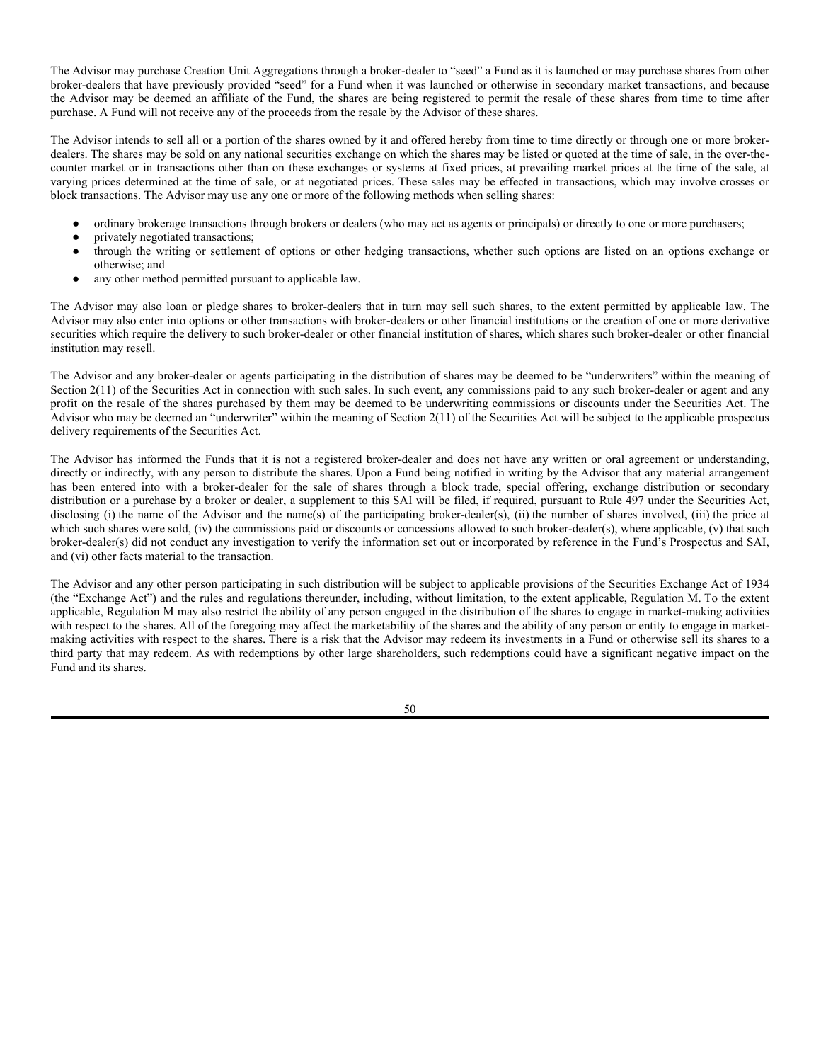Each of the AdvisorShares Alpha DNA Equity Sentiment ETF, AdvisorShares DoubleLine Value Equity ETF and AdvisorShares Focused Equity ETF may not:

5. Without providing 60 days notice to shareholders, change its investment strategy to invest, under normal circumstances, at least 80% of its net assets (plus any borrowings for investment purposes) in equity securities.

The AdvisorShares Hotel ETF may not:

6. Without providing 60 days notice to shareholders, change its investment strategy to invest, under normal circumstances, at least 80% of its net assets (plus any borrowings for investment purposes) in securities of companies that derive at least 50% of their net revenue from the hotel business.

The AdvisorShares North Square McKee Core Reserves ETF may not:

7. Invest in other investment company securities in reliance on Section  $12(d)(1)(F)$  or Section  $12(d)(1)(G)$  of the 1940 Act.

The AdvisorShares North Square McKee ESG Core Bond ETF may not:

8. Without providing 60 days notice to shareholders, change its investment strategy to invest, under normal circumstances, at least 80% of its net assets (plus any borrowings for investment purposes) in bonds subject to ESG criteria.

The AdvisorShares Pure Cannabis ETF may not:

9. Without providing 60 days notice to shareholders, change its investment strategy to invest, under normal circumstances, at least 80% of its net assets (plus any borrowings for investment purposes) in securities of companies that derive at least 50% of their net revenue from the marijuana and hemp business and in derivatives or other instruments that have economic characteristics similar to such securities.

The AdvisorShares Pure US Cannabis ETF may not:

10. Without providing 60 days notice to shareholders, change its investment strategy to invest, under normal circumstances, at least 80% of its net assets (plus any borrowings for investment purposes) in securities of companies that derive at least 50% of their net revenue from the marijuana and hemp business in the United States and in derivatives or other instruments that have economic characteristics similar to such securities.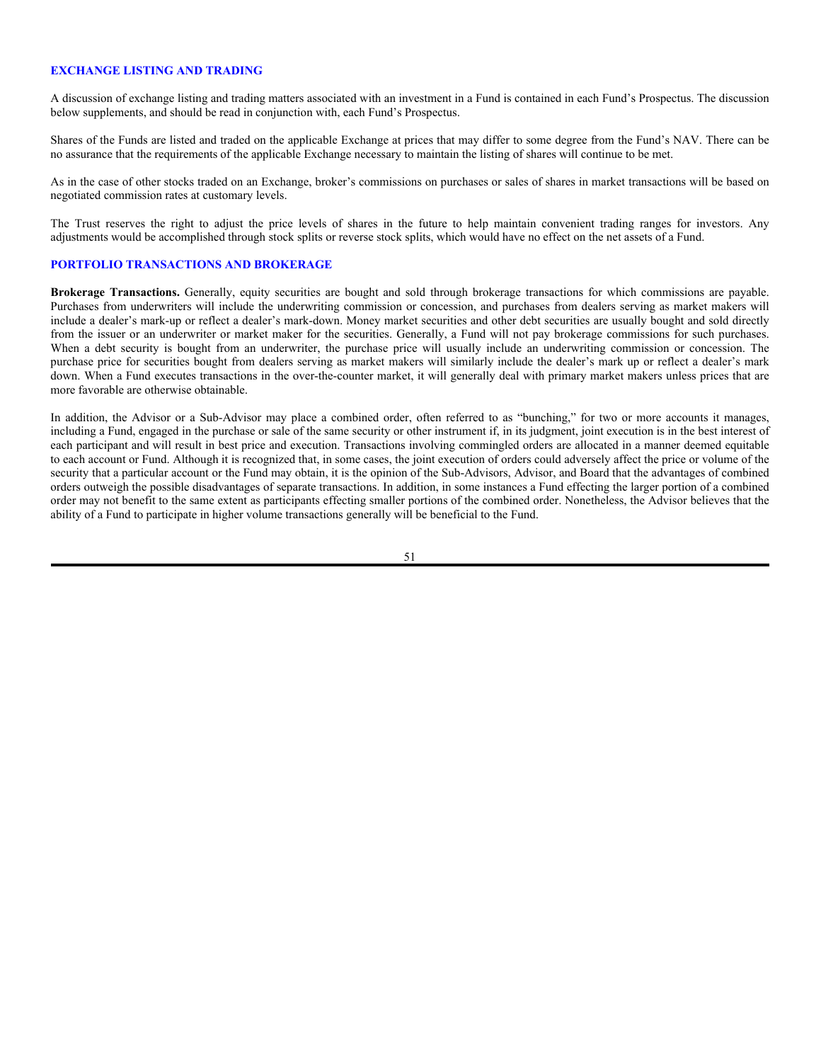The AdvisorShares Restaurant ETF may not:

- 11. Without providing 60 days notice to shareholders, change its investment strategy to invest, under normal circumstances, at least 80% of its net assets (plus any borrowings for investment purposes) in securities of companies that derive at least 50% of their net revenue from the restaurant business.
- The AdvisorShares Ranger Equity Bear ETF may not:
- 12. Without providing 60 days notice to shareholders, change its investment strategy to invest, under normal circumstances, at least 80% of its net assets (plus any borrowings for investment purposes) in short positions in equity securities.
- The AdvisorShares Vice ETF may not:
- 13. Without providing 60 days notice to shareholders, change its investment strategy to invest, under normal circumstances, at least 80% of its net assets (plus any borrowings for investment purposes) in securities of (i) companies that derive at least 50% of their net revenue from tobacco and alcoholic beverages, (ii) companies that derive at least 50% of their net revenue from the food and beverage industry, and (iii) companies that derive at least 50% of their net revenue from gaming activities.

### **CONTINUOUS OFFERING**

The method by which Creation Units are created and sold may raise certain issues under applicable securities laws. Because new Creation Units of shares are issued and sold by a Fund on an ongoing basis, at any point a "distribution," as such term is used in the Securities Act, may occur. Broker-dealers and other persons are cautioned that some activities on their part may, depending on the circumstances, result in their being deemed participants in a distribution in a manner which could render them statutory underwriters and subject them to the prospectus-delivery requirement and liability provisions of the Securities Act.

For example, a broker-dealer firm or its client may be deemed a statutory underwriter if it takes Creation Units after placing a creation order, breaks them down into constituent shares, and sells such shares directly to customers, or if it chooses to couple the creation of a supply of new shares with an active selling effort involving solicitation of secondary market demand for shares. A determination of whether one is an underwriter for purposes of the Securities Act must take into account all the facts and circumstances pertaining to the activities of the broker-dealer or its client in the particular case, and the examples mentioned above should not be considered a complete description of all the activities that could lead to a categorization as an underwriter.

Broker-dealer firms should also note that dealers who are not "underwriters," but are effecting transactions in shares, whether or not participating in the distribution of shares, are generally required to deliver a prospectus. This is because the prospectus delivery exemption in Section 4(3) of the Securities Act is not available in respect of such transactions as a result of Section 24(d) of the 1940 Act. Firms that incur a prospectus delivery obligation with respect to shares are reminded that, under Rule 153 of the Securities Act, a prospectus-delivery obligation under Section 5(b)(2) of the Securities Act owed to an exchange member in connection with a sale on an exchange is satisfied by the fact that the prospectus is available at the exchange upon request. The prospectus-delivery mechanism provided in Rule 153 is only available with respect to transactions on an exchange.

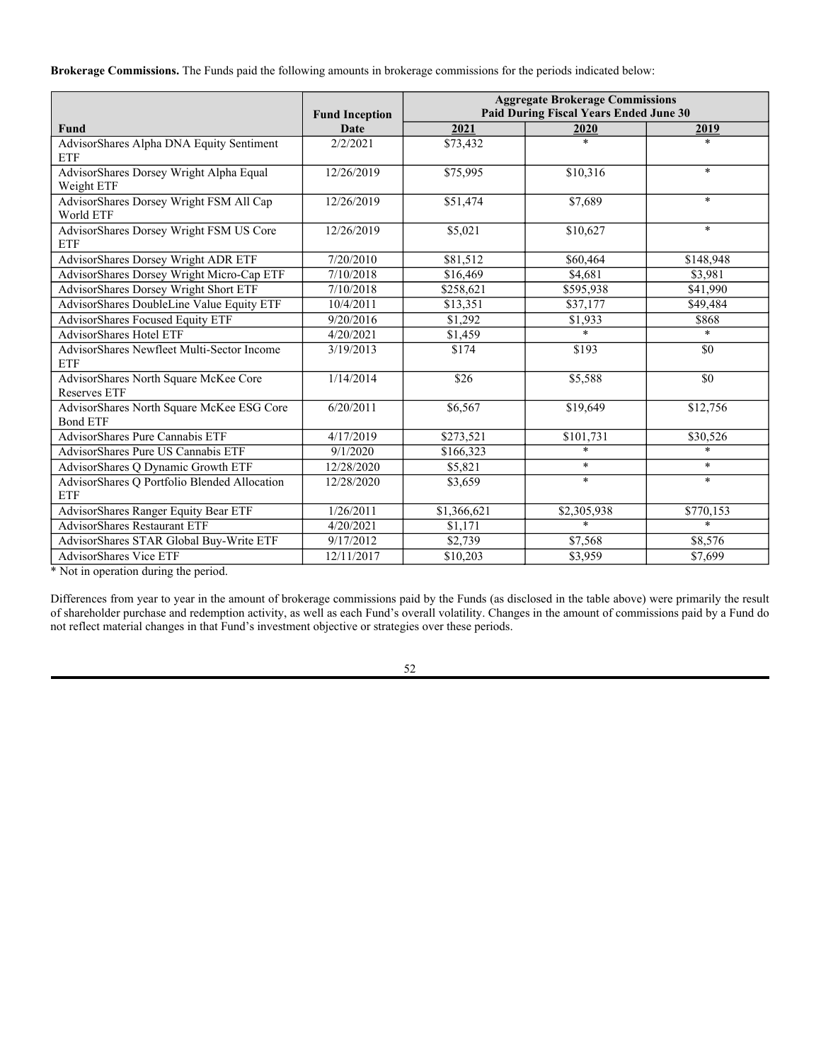The Advisor may purchase Creation Unit Aggregations through a broker-dealer to "seed" a Fund as it is launched or may purchase shares from other broker-dealers that have previously provided "seed" for a Fund when it was launched or otherwise in secondary market transactions, and because the Advisor may be deemed an affiliate of the Fund, the shares are being registered to permit the resale of these shares from time to time after purchase. A Fund will not receive any of the proceeds from the resale by the Advisor of these shares.

The Advisor intends to sell all or a portion of the shares owned by it and offered hereby from time to time directly or through one or more brokerdealers. The shares may be sold on any national securities exchange on which the shares may be listed or quoted at the time of sale, in the over-thecounter market or in transactions other than on these exchanges or systems at fixed prices, at prevailing market prices at the time of the sale, at varying prices determined at the time of sale, or at negotiated prices. These sales may be effected in transactions, which may involve crosses or block transactions. The Advisor may use any one or more of the following methods when selling shares:

- ordinary brokerage transactions through brokers or dealers (who may act as agents or principals) or directly to one or more purchasers;
- privately negotiated transactions;
- through the writing or settlement of options or other hedging transactions, whether such options are listed on an options exchange or otherwise; and
- any other method permitted pursuant to applicable law.

The Advisor may also loan or pledge shares to broker-dealers that in turn may sell such shares, to the extent permitted by applicable law. The Advisor may also enter into options or other transactions with broker-dealers or other financial institutions or the creation of one or more derivative securities which require the delivery to such broker-dealer or other financial institution of shares, which shares such broker-dealer or other financial institution may resell.

The Advisor and any broker-dealer or agents participating in the distribution of shares may be deemed to be "underwriters" within the meaning of Section  $2(11)$  of the Securities Act in connection with such sales. In such event, any commissions paid to any such broker-dealer or agent and any profit on the resale of the shares purchased by them may be deemed to be underwriting commissions or discounts under the Securities Act. The Advisor who may be deemed an "underwriter" within the meaning of Section 2(11) of the Securities Act will be subject to the applicable prospectus delivery requirements of the Securities Act.

The Advisor has informed the Funds that it is not a registered broker-dealer and does not have any written or oral agreement or understanding, directly or indirectly, with any person to distribute the shares. Upon a Fund being notified in writing by the Advisor that any material arrangement has been entered into with a broker-dealer for the sale of shares through a block trade, special offering, exchange distribution or secondary distribution or a purchase by a broker or dealer, a supplement to this SAI will be filed, if required, pursuant to Rule 497 under the Securities Act, disclosing (i) the name of the Advisor and the name(s) of the participating broker-dealer(s), (ii) the number of shares involved, (iii) the price at which such shares were sold, (iv) the commissions paid or discounts or concessions allowed to such broker-dealer(s), where applicable, (v) that such broker-dealer(s) did not conduct any investigation to verify the information set out or incorporated by reference in the Fund's Prospectus and SAI, and (vi) other facts material to the transaction.

The Advisor and any other person participating in such distribution will be subject to applicable provisions of the Securities Exchange Act of 1934 (the "Exchange Act") and the rules and regulations thereunder, including, without limitation, to the extent applicable, Regulation M. To the extent applicable, Regulation M may also restrict the ability of any person engaged in the distribution of the shares to engage in market-making activities with respect to the shares. All of the foregoing may affect the marketability of the shares and the ability of any person or entity to engage in marketmaking activities with respect to the shares. There is a risk that the Advisor may redeem its investments in a Fund or otherwise sell its shares to a third party that may redeem. As with redemptions by other large shareholders, such redemptions could have a significant negative impact on the Fund and its shares.

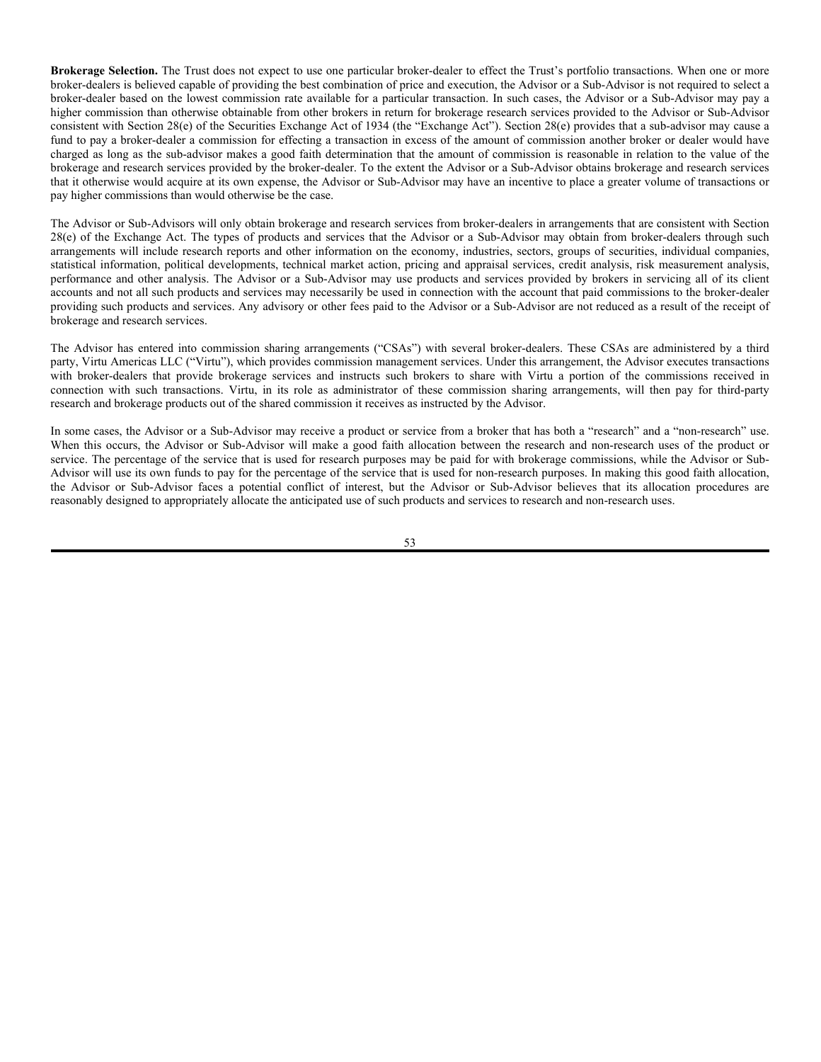# **EXCHANGE LISTING AND TRADING**

A discussion of exchange listing and trading matters associated with an investment in a Fund is contained in each Fund's Prospectus. The discussion below supplements, and should be read in conjunction with, each Fund's Prospectus.

Shares of the Funds are listed and traded on the applicable Exchange at prices that may differ to some degree from the Fund's NAV. There can be no assurance that the requirements of the applicable Exchange necessary to maintain the listing of shares will continue to be met.

As in the case of other stocks traded on an Exchange, broker's commissions on purchases or sales of shares in market transactions will be based on negotiated commission rates at customary levels.

The Trust reserves the right to adjust the price levels of shares in the future to help maintain convenient trading ranges for investors. Any adjustments would be accomplished through stock splits or reverse stock splits, which would have no effect on the net assets of a Fund.

# **PORTFOLIO TRANSACTIONS AND BROKERAGE**

**Brokerage Transactions.** Generally, equity securities are bought and sold through brokerage transactions for which commissions are payable. Purchases from underwriters will include the underwriting commission or concession, and purchases from dealers serving as market makers will include a dealer's mark-up or reflect a dealer's mark-down. Money market securities and other debt securities are usually bought and sold directly from the issuer or an underwriter or market maker for the securities. Generally, a Fund will not pay brokerage commissions for such purchases. When a debt security is bought from an underwriter, the purchase price will usually include an underwriting commission or concession. The purchase price for securities bought from dealers serving as market makers will similarly include the dealer's mark up or reflect a dealer's mark down. When a Fund executes transactions in the over-the-counter market, it will generally deal with primary market makers unless prices that are more favorable are otherwise obtainable.

In addition, the Advisor or a Sub-Advisor may place a combined order, often referred to as "bunching," for two or more accounts it manages, including a Fund, engaged in the purchase or sale of the same security or other instrument if, in its judgment, joint execution is in the best interest of each participant and will result in best price and execution. Transactions involving commingled orders are allocated in a manner deemed equitable to each account or Fund. Although it is recognized that, in some cases, the joint execution of orders could adversely affect the price or volume of the security that a particular account or the Fund may obtain, it is the opinion of the Sub-Advisors, Advisor, and Board that the advantages of combined orders outweigh the possible disadvantages of separate transactions. In addition, in some instances a Fund effecting the larger portion of a combined order may not benefit to the same extent as participants effecting smaller portions of the combined order. Nonetheless, the Advisor believes that the ability of a Fund to participate in higher volume transactions generally will be beneficial to the Fund.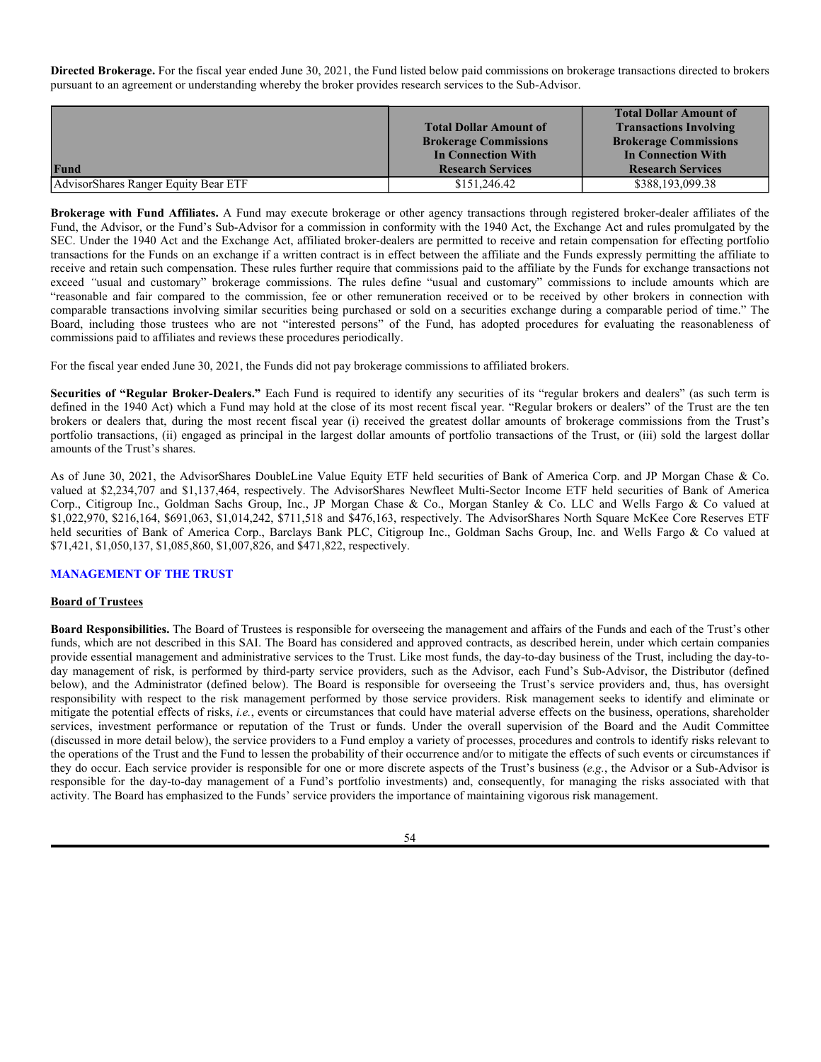**Brokerage Commissions.** The Funds paid the following amounts in brokerage commissions for the periods indicated below:

|                                                              | <b>Fund Inception</b> | <b>Aggregate Brokerage Commissions</b><br>Paid During Fiscal Years Ended June 30 |             |           |
|--------------------------------------------------------------|-----------------------|----------------------------------------------------------------------------------|-------------|-----------|
| Fund                                                         | <b>Date</b>           | 2021                                                                             | 2020        | 2019      |
| AdvisorShares Alpha DNA Equity Sentiment<br><b>ETF</b>       | 2/2/2021              | \$73,432                                                                         | $\ast$      | $*$       |
| AdvisorShares Dorsey Wright Alpha Equal<br>Weight ETF        | 12/26/2019            | \$75,995                                                                         | \$10,316    | $\ast$    |
| AdvisorShares Dorsey Wright FSM All Cap<br>World ETF         | 12/26/2019            | \$51,474                                                                         | \$7,689     | $\ast$    |
| AdvisorShares Dorsey Wright FSM US Core<br><b>ETF</b>        | 12/26/2019            | \$5,021                                                                          | \$10,627    | $\ast$    |
| AdvisorShares Dorsey Wright ADR ETF                          | 7/20/2010             | \$81,512                                                                         | \$60,464    | \$148,948 |
| AdvisorShares Dorsey Wright Micro-Cap ETF                    | 7/10/2018             | \$16,469                                                                         | \$4,681     | \$3,981   |
| AdvisorShares Dorsey Wright Short ETF                        | 7/10/2018             | \$258,621                                                                        | \$595,938   | \$41,990  |
| AdvisorShares DoubleLine Value Equity ETF                    | 10/4/2011             | \$13,351                                                                         | \$37,177    | \$49,484  |
| AdvisorShares Focused Equity ETF                             | 9/20/2016             | \$1,292                                                                          | \$1,933     | \$868     |
| <b>AdvisorShares Hotel ETF</b>                               | 4/20/2021             | \$1,459                                                                          | $\star$     | $\ast$    |
| AdvisorShares Newfleet Multi-Sector Income<br><b>ETF</b>     | 3/19/2013             | \$174                                                                            | \$193       | \$0       |
| AdvisorShares North Square McKee Core<br><b>Reserves ETF</b> | 1/14/2014             | \$26                                                                             | \$5,588     | \$0       |
| AdvisorShares North Square McKee ESG Core<br><b>Bond ETF</b> | 6/20/2011             | \$6,567                                                                          | \$19,649    | \$12,756  |
| AdvisorShares Pure Cannabis ETF                              | 4/17/2019             | \$273,521                                                                        | \$101,731   | \$30,526  |
| AdvisorShares Pure US Cannabis ETF                           | 9/1/2020              | \$166,323                                                                        | $\star$     | $\ast$    |
| AdvisorShares Q Dynamic Growth ETF                           | 12/28/2020            | \$5,821                                                                          | $\ast$      | $\ast$    |
| AdvisorShares Q Portfolio Blended Allocation<br><b>ETF</b>   | 12/28/2020            | \$3,659                                                                          | $\ast$      | $\ast$    |
| AdvisorShares Ranger Equity Bear ETF                         | 1/26/2011             | \$1,366,621                                                                      | \$2,305,938 | \$770,153 |
| <b>AdvisorShares Restaurant ETF</b>                          | 4/20/2021             | \$1,171                                                                          | $\ast$      | $\ast$    |
| AdvisorShares STAR Global Buy-Write ETF                      | 9/17/2012             | \$2,739                                                                          | \$7,568     | \$8,576   |
| <b>AdvisorShares Vice ETF</b>                                | 12/11/2017            | \$10,203                                                                         | \$3,959     | \$7,699   |

\* Not in operation during the period.

Differences from year to year in the amount of brokerage commissions paid by the Funds (as disclosed in the table above) were primarily the result of shareholder purchase and redemption activity, as well as each Fund's overall volatility. Changes in the amount of commissions paid by a Fund do not reflect material changes in that Fund's investment objective or strategies over these periods.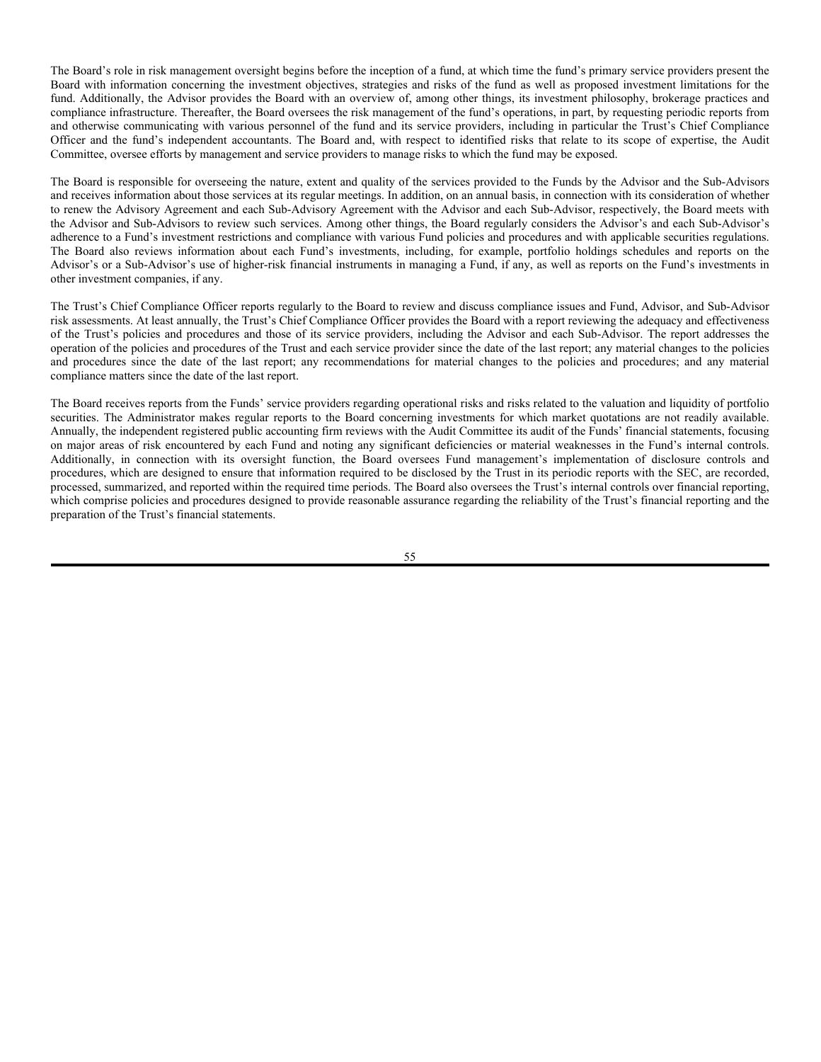**Brokerage Selection.** The Trust does not expect to use one particular broker-dealer to effect the Trust's portfolio transactions. When one or more broker-dealers is believed capable of providing the best combination of price and execution, the Advisor or a Sub-Advisor is not required to select a broker-dealer based on the lowest commission rate available for a particular transaction. In such cases, the Advisor or a Sub-Advisor may pay a higher commission than otherwise obtainable from other brokers in return for brokerage research services provided to the Advisor or Sub-Advisor consistent with Section 28(e) of the Securities Exchange Act of 1934 (the "Exchange Act"). Section 28(e) provides that a sub-advisor may cause a fund to pay a broker-dealer a commission for effecting a transaction in excess of the amount of commission another broker or dealer would have charged as long as the sub-advisor makes a good faith determination that the amount of commission is reasonable in relation to the value of the brokerage and research services provided by the broker-dealer. To the extent the Advisor or a Sub-Advisor obtains brokerage and research services that it otherwise would acquire at its own expense, the Advisor or Sub-Advisor may have an incentive to place a greater volume of transactions or pay higher commissions than would otherwise be the case.

The Advisor or Sub-Advisors will only obtain brokerage and research services from broker-dealers in arrangements that are consistent with Section 28(e) of the Exchange Act. The types of products and services that the Advisor or a Sub-Advisor may obtain from broker-dealers through such arrangements will include research reports and other information on the economy, industries, sectors, groups of securities, individual companies, statistical information, political developments, technical market action, pricing and appraisal services, credit analysis, risk measurement analysis, performance and other analysis. The Advisor or a Sub-Advisor may use products and services provided by brokers in servicing all of its client accounts and not all such products and services may necessarily be used in connection with the account that paid commissions to the broker-dealer providing such products and services. Any advisory or other fees paid to the Advisor or a Sub-Advisor are not reduced as a result of the receipt of brokerage and research services.

The Advisor has entered into commission sharing arrangements ("CSAs") with several broker-dealers. These CSAs are administered by a third party, Virtu Americas LLC ("Virtu"), which provides commission management services. Under this arrangement, the Advisor executes transactions with broker-dealers that provide brokerage services and instructs such brokers to share with Virtu a portion of the commissions received in connection with such transactions. Virtu, in its role as administrator of these commission sharing arrangements, will then pay for third-party research and brokerage products out of the shared commission it receives as instructed by the Advisor.

In some cases, the Advisor or a Sub-Advisor may receive a product or service from a broker that has both a "research" and a "non-research" use. When this occurs, the Advisor or Sub-Advisor will make a good faith allocation between the research and non-research uses of the product or service. The percentage of the service that is used for research purposes may be paid for with brokerage commissions, while the Advisor or Sub-Advisor will use its own funds to pay for the percentage of the service that is used for non-research purposes. In making this good faith allocation, the Advisor or Sub-Advisor faces a potential conflict of interest, but the Advisor or Sub-Advisor believes that its allocation procedures are reasonably designed to appropriately allocate the anticipated use of such products and services to research and non-research uses.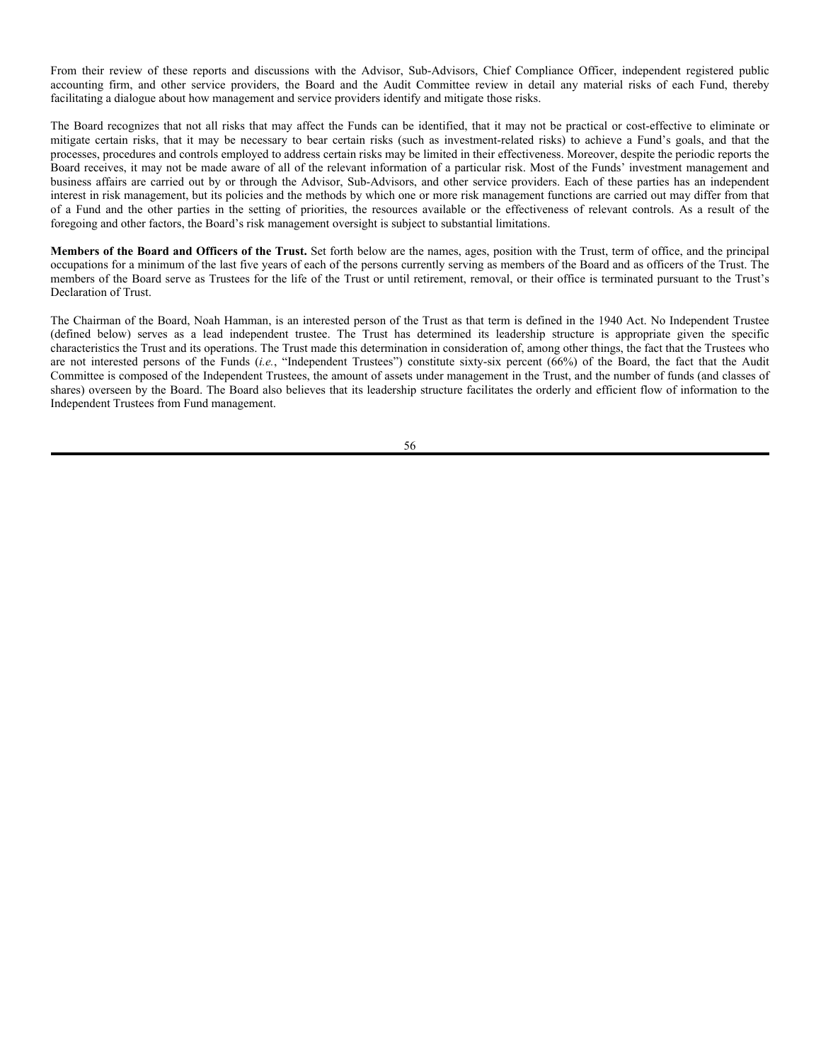**Directed Brokerage.** For the fiscal year ended June 30, 2021, the Fund listed below paid commissions on brokerage transactions directed to brokers pursuant to an agreement or understanding whereby the broker provides research services to the Sub-Advisor.

|                                      | <b>Total Dollar Amount of</b><br><b>Brokerage Commissions</b><br><b>In Connection With</b> | <b>Total Dollar Amount of</b><br><b>Transactions Involving</b><br><b>Brokerage Commissions</b><br><b>In Connection With</b> |
|--------------------------------------|--------------------------------------------------------------------------------------------|-----------------------------------------------------------------------------------------------------------------------------|
| Fund                                 | <b>Research Services</b>                                                                   | <b>Research Services</b>                                                                                                    |
| AdvisorShares Ranger Equity Bear ETF | \$151,246.42                                                                               | \$388,193,099.38                                                                                                            |

**Brokerage with Fund Affiliates.** A Fund may execute brokerage or other agency transactions through registered broker-dealer affiliates of the Fund, the Advisor, or the Fund's Sub-Advisor for a commission in conformity with the 1940 Act, the Exchange Act and rules promulgated by the SEC. Under the 1940 Act and the Exchange Act, affiliated broker-dealers are permitted to receive and retain compensation for effecting portfolio transactions for the Funds on an exchange if a written contract is in effect between the affiliate and the Funds expressly permitting the affiliate to receive and retain such compensation. These rules further require that commissions paid to the affiliate by the Funds for exchange transactions not exceed *"*usual and customary" brokerage commissions. The rules define "usual and customary" commissions to include amounts which are "reasonable and fair compared to the commission, fee or other remuneration received or to be received by other brokers in connection with comparable transactions involving similar securities being purchased or sold on a securities exchange during a comparable period of time." The Board, including those trustees who are not "interested persons" of the Fund, has adopted procedures for evaluating the reasonableness of commissions paid to affiliates and reviews these procedures periodically.

For the fiscal year ended June 30, 2021, the Funds did not pay brokerage commissions to affiliated brokers.

**Securities of "Regular Broker-Dealers."** Each Fund is required to identify any securities of its "regular brokers and dealers" (as such term is defined in the 1940 Act) which a Fund may hold at the close of its most recent fiscal year. "Regular brokers or dealers" of the Trust are the ten brokers or dealers that, during the most recent fiscal year (i) received the greatest dollar amounts of brokerage commissions from the Trust's portfolio transactions, (ii) engaged as principal in the largest dollar amounts of portfolio transactions of the Trust, or (iii) sold the largest dollar amounts of the Trust's shares.

As of June 30, 2021, the AdvisorShares DoubleLine Value Equity ETF held securities of Bank of America Corp. and JP Morgan Chase & Co. valued at \$2,234,707 and \$1,137,464, respectively. The AdvisorShares Newfleet Multi-Sector Income ETF held securities of Bank of America Corp., Citigroup Inc., Goldman Sachs Group, Inc., JP Morgan Chase & Co., Morgan Stanley & Co. LLC and Wells Fargo & Co valued at \$1,022,970, \$216,164, \$691,063, \$1,014,242, \$711,518 and \$476,163, respectively. The AdvisorShares North Square McKee Core Reserves ETF held securities of Bank of America Corp., Barclays Bank PLC, Citigroup Inc., Goldman Sachs Group, Inc. and Wells Fargo & Co valued at \$71,421, \$1,050,137, \$1,085,860, \$1,007,826, and \$471,822, respectively.

# **MANAGEMENT OF THE TRUST**

# **Board of Trustees**

**Board Responsibilities.** The Board of Trustees is responsible for overseeing the management and affairs of the Funds and each of the Trust's other funds, which are not described in this SAI. The Board has considered and approved contracts, as described herein, under which certain companies provide essential management and administrative services to the Trust. Like most funds, the day-to-day business of the Trust, including the day-today management of risk, is performed by third-party service providers, such as the Advisor, each Fund's Sub-Advisor, the Distributor (defined below), and the Administrator (defined below). The Board is responsible for overseeing the Trust's service providers and, thus, has oversight responsibility with respect to the risk management performed by those service providers. Risk management seeks to identify and eliminate or mitigate the potential effects of risks, *i.e.*, events or circumstances that could have material adverse effects on the business, operations, shareholder services, investment performance or reputation of the Trust or funds. Under the overall supervision of the Board and the Audit Committee (discussed in more detail below), the service providers to a Fund employ a variety of processes, procedures and controls to identify risks relevant to the operations of the Trust and the Fund to lessen the probability of their occurrence and/or to mitigate the effects of such events or circumstances if they do occur. Each service provider is responsible for one or more discrete aspects of the Trust's business (*e.g.*, the Advisor or a Sub-Advisor is responsible for the day-to-day management of a Fund's portfolio investments) and, consequently, for managing the risks associated with that activity. The Board has emphasized to the Funds' service providers the importance of maintaining vigorous risk management.

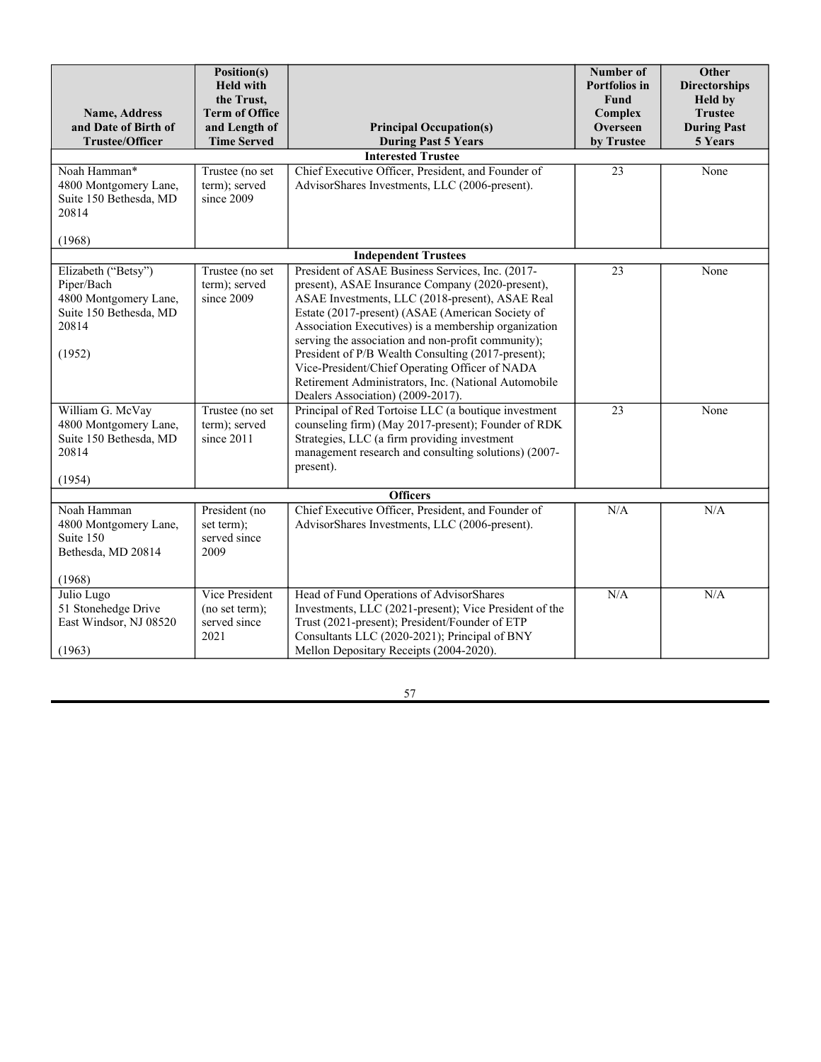The Board's role in risk management oversight begins before the inception of a fund, at which time the fund's primary service providers present the Board with information concerning the investment objectives, strategies and risks of the fund as well as proposed investment limitations for the fund. Additionally, the Advisor provides the Board with an overview of, among other things, its investment philosophy, brokerage practices and compliance infrastructure. Thereafter, the Board oversees the risk management of the fund's operations, in part, by requesting periodic reports from and otherwise communicating with various personnel of the fund and its service providers, including in particular the Trust's Chief Compliance Officer and the fund's independent accountants. The Board and, with respect to identified risks that relate to its scope of expertise, the Audit Committee, oversee efforts by management and service providers to manage risks to which the fund may be exposed.

The Board is responsible for overseeing the nature, extent and quality of the services provided to the Funds by the Advisor and the Sub-Advisors and receives information about those services at its regular meetings. In addition, on an annual basis, in connection with its consideration of whether to renew the Advisory Agreement and each Sub-Advisory Agreement with the Advisor and each Sub-Advisor, respectively, the Board meets with the Advisor and Sub-Advisors to review such services. Among other things, the Board regularly considers the Advisor's and each Sub-Advisor's adherence to a Fund's investment restrictions and compliance with various Fund policies and procedures and with applicable securities regulations. The Board also reviews information about each Fund's investments, including, for example, portfolio holdings schedules and reports on the Advisor's or a Sub-Advisor's use of higher-risk financial instruments in managing a Fund, if any, as well as reports on the Fund's investments in other investment companies, if any.

The Trust's Chief Compliance Officer reports regularly to the Board to review and discuss compliance issues and Fund, Advisor, and Sub-Advisor risk assessments. At least annually, the Trust's Chief Compliance Officer provides the Board with a report reviewing the adequacy and effectiveness of the Trust's policies and procedures and those of its service providers, including the Advisor and each Sub-Advisor. The report addresses the operation of the policies and procedures of the Trust and each service provider since the date of the last report; any material changes to the policies and procedures since the date of the last report; any recommendations for material changes to the policies and procedures; and any material compliance matters since the date of the last report.

The Board receives reports from the Funds' service providers regarding operational risks and risks related to the valuation and liquidity of portfolio securities. The Administrator makes regular reports to the Board concerning investments for which market quotations are not readily available. Annually, the independent registered public accounting firm reviews with the Audit Committee its audit of the Funds' financial statements, focusing on major areas of risk encountered by each Fund and noting any significant deficiencies or material weaknesses in the Fund's internal controls. Additionally, in connection with its oversight function, the Board oversees Fund management's implementation of disclosure controls and procedures, which are designed to ensure that information required to be disclosed by the Trust in its periodic reports with the SEC, are recorded, processed, summarized, and reported within the required time periods. The Board also oversees the Trust's internal controls over financial reporting, which comprise policies and procedures designed to provide reasonable assurance regarding the reliability of the Trust's financial reporting and the preparation of the Trust's financial statements.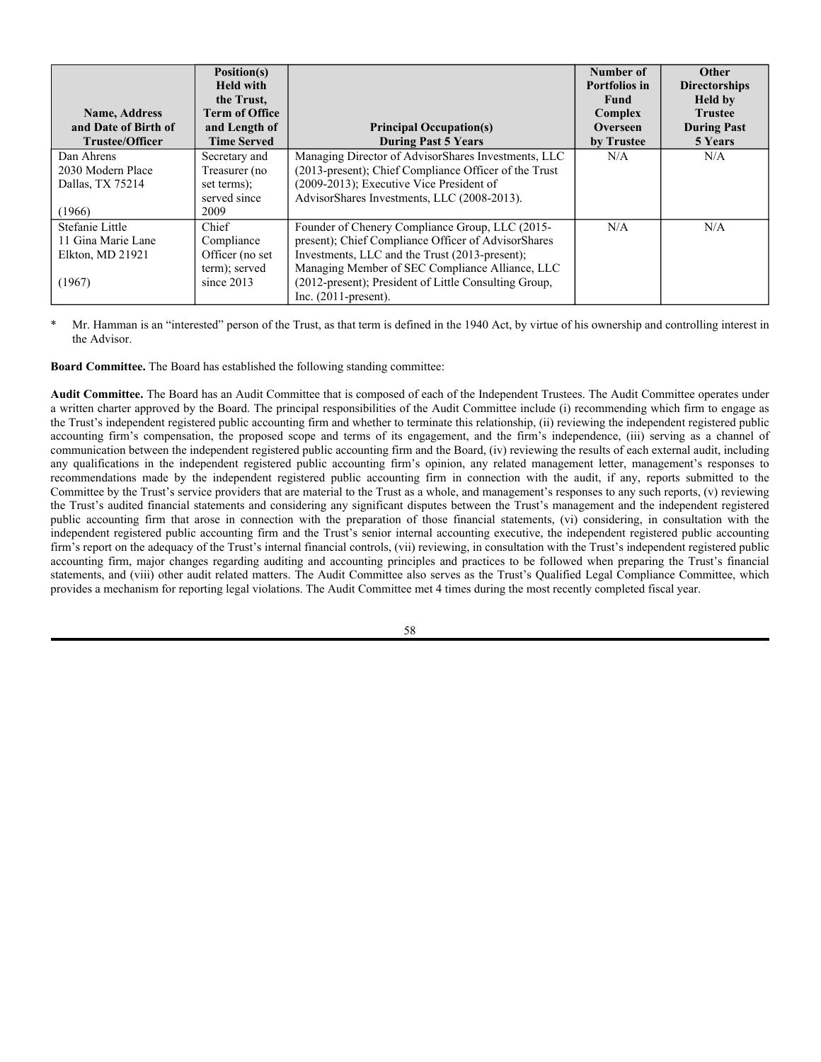From their review of these reports and discussions with the Advisor, Sub-Advisors, Chief Compliance Officer, independent registered public accounting firm, and other service providers, the Board and the Audit Committee review in detail any material risks of each Fund, thereby facilitating a dialogue about how management and service providers identify and mitigate those risks.

The Board recognizes that not all risks that may affect the Funds can be identified, that it may not be practical or cost-effective to eliminate or mitigate certain risks, that it may be necessary to bear certain risks (such as investment-related risks) to achieve a Fund's goals, and that the processes, procedures and controls employed to address certain risks may be limited in their effectiveness. Moreover, despite the periodic reports the Board receives, it may not be made aware of all of the relevant information of a particular risk. Most of the Funds' investment management and business affairs are carried out by or through the Advisor, Sub-Advisors, and other service providers. Each of these parties has an independent interest in risk management, but its policies and the methods by which one or more risk management functions are carried out may differ from that of a Fund and the other parties in the setting of priorities, the resources available or the effectiveness of relevant controls. As a result of the foregoing and other factors, the Board's risk management oversight is subject to substantial limitations.

**Members of the Board and Officers of the Trust.** Set forth below are the names, ages, position with the Trust, term of office, and the principal occupations for a minimum of the last five years of each of the persons currently serving as members of the Board and as officers of the Trust. The members of the Board serve as Trustees for the life of the Trust or until retirement, removal, or their office is terminated pursuant to the Trust's Declaration of Trust.

The Chairman of the Board, Noah Hamman, is an interested person of the Trust as that term is defined in the 1940 Act. No Independent Trustee (defined below) serves as a lead independent trustee. The Trust has determined its leadership structure is appropriate given the specific characteristics the Trust and its operations. The Trust made this determination in consideration of, among other things, the fact that the Trustees who are not interested persons of the Funds (*i.e.*, "Independent Trustees") constitute sixty-six percent (66%) of the Board, the fact that the Audit Committee is composed of the Independent Trustees, the amount of assets under management in the Trust, and the number of funds (and classes of shares) overseen by the Board. The Board also believes that its leadership structure facilitates the orderly and efficient flow of information to the Independent Trustees from Fund management.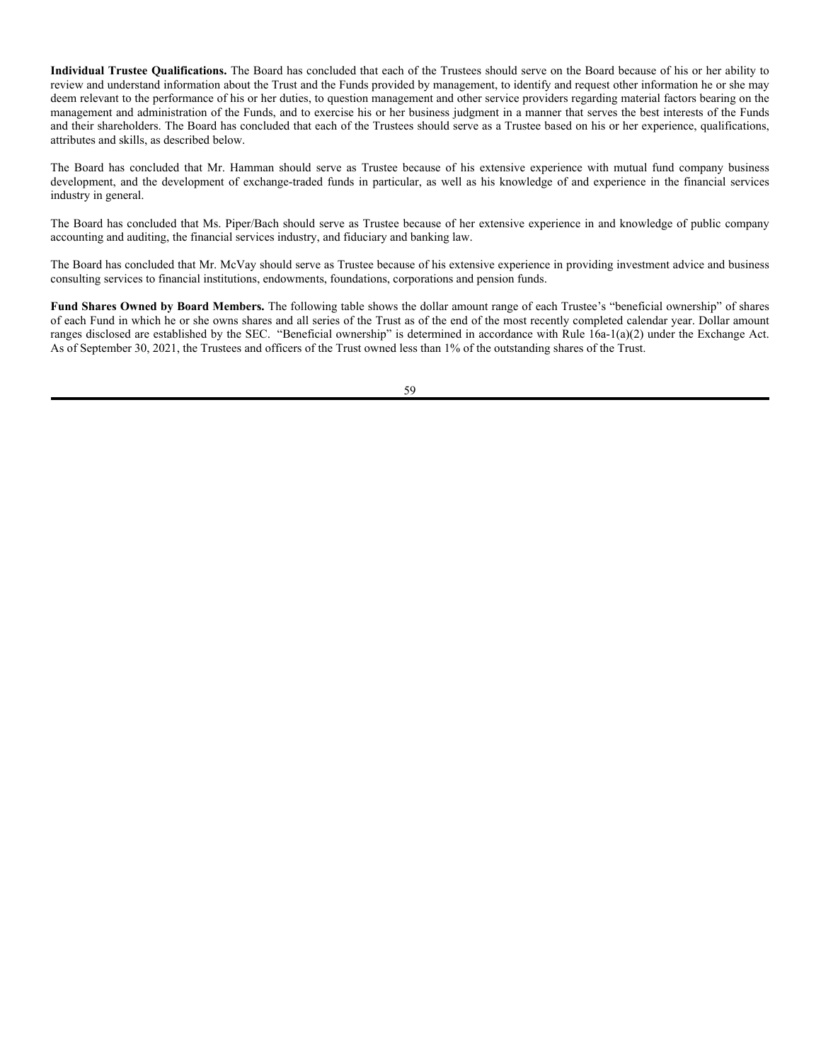| <b>Name, Address</b>                                                                                                                                                                              | Position(s)<br><b>Held with</b><br>the Trust,<br><b>Term of Office</b>                           |                                                                                                                                                                                                                                                                                                                                                                                                                                                                                                                                                                                                                                                                                                                                                                    | Number of<br><b>Portfolios</b> in<br>Fund<br>Complex | Other<br><b>Directorships</b><br><b>Held by</b><br><b>Trustee</b> |
|---------------------------------------------------------------------------------------------------------------------------------------------------------------------------------------------------|--------------------------------------------------------------------------------------------------|--------------------------------------------------------------------------------------------------------------------------------------------------------------------------------------------------------------------------------------------------------------------------------------------------------------------------------------------------------------------------------------------------------------------------------------------------------------------------------------------------------------------------------------------------------------------------------------------------------------------------------------------------------------------------------------------------------------------------------------------------------------------|------------------------------------------------------|-------------------------------------------------------------------|
| and Date of Birth of<br><b>Trustee/Officer</b>                                                                                                                                                    | and Length of<br><b>Time Served</b>                                                              | <b>Principal Occupation(s)</b>                                                                                                                                                                                                                                                                                                                                                                                                                                                                                                                                                                                                                                                                                                                                     | Overseen                                             | <b>During Past</b>                                                |
|                                                                                                                                                                                                   |                                                                                                  | <b>During Past 5 Years</b><br><b>Interested Trustee</b>                                                                                                                                                                                                                                                                                                                                                                                                                                                                                                                                                                                                                                                                                                            | by Trustee                                           | 5 Years                                                           |
| Noah Hamman*<br>4800 Montgomery Lane,<br>Suite 150 Bethesda, MD<br>20814<br>(1968)                                                                                                                | Trustee (no set<br>term); served<br>since 2009                                                   | Chief Executive Officer, President, and Founder of<br>AdvisorShares Investments, LLC (2006-present).                                                                                                                                                                                                                                                                                                                                                                                                                                                                                                                                                                                                                                                               | 23                                                   | None                                                              |
|                                                                                                                                                                                                   |                                                                                                  | <b>Independent Trustees</b>                                                                                                                                                                                                                                                                                                                                                                                                                                                                                                                                                                                                                                                                                                                                        |                                                      |                                                                   |
| Elizabeth ("Betsy")<br>Piper/Bach<br>4800 Montgomery Lane,<br>Suite 150 Bethesda, MD<br>20814<br>(1952)<br>William G. McVay<br>4800 Montgomery Lane,<br>Suite 150 Bethesda, MD<br>20814<br>(1954) | Trustee (no set<br>term); served<br>since 2009<br>Trustee (no set<br>term); served<br>since 2011 | President of ASAE Business Services, Inc. (2017-<br>present), ASAE Insurance Company (2020-present),<br>ASAE Investments, LLC (2018-present), ASAE Real<br>Estate (2017-present) (ASAE (American Society of<br>Association Executives) is a membership organization<br>serving the association and non-profit community);<br>President of P/B Wealth Consulting (2017-present);<br>Vice-President/Chief Operating Officer of NADA<br>Retirement Administrators, Inc. (National Automobile<br>Dealers Association) (2009-2017).<br>Principal of Red Tortoise LLC (a boutique investment<br>counseling firm) (May 2017-present); Founder of RDK<br>Strategies, LLC (a firm providing investment<br>management research and consulting solutions) (2007-<br>present). | 23<br>23                                             | None<br>None                                                      |
|                                                                                                                                                                                                   |                                                                                                  | <b>Officers</b>                                                                                                                                                                                                                                                                                                                                                                                                                                                                                                                                                                                                                                                                                                                                                    |                                                      |                                                                   |
| Noah Hamman<br>4800 Montgomery Lane,<br>Suite 150<br>Bethesda, MD 20814                                                                                                                           | President (no<br>set term);<br>served since<br>2009                                              | Chief Executive Officer, President, and Founder of<br>AdvisorShares Investments, LLC (2006-present).                                                                                                                                                                                                                                                                                                                                                                                                                                                                                                                                                                                                                                                               | N/A                                                  | N/A                                                               |
| (1968)                                                                                                                                                                                            |                                                                                                  |                                                                                                                                                                                                                                                                                                                                                                                                                                                                                                                                                                                                                                                                                                                                                                    |                                                      |                                                                   |
| Julio Lugo<br>51 Stonehedge Drive<br>East Windsor, NJ 08520<br>(1963)                                                                                                                             | Vice President<br>(no set term);<br>served since<br>2021                                         | Head of Fund Operations of AdvisorShares<br>Investments, LLC (2021-present); Vice President of the<br>Trust (2021-present); President/Founder of ETP<br>Consultants LLC (2020-2021); Principal of BNY<br>Mellon Depositary Receipts (2004-2020).                                                                                                                                                                                                                                                                                                                                                                                                                                                                                                                   | N/A                                                  | N/A                                                               |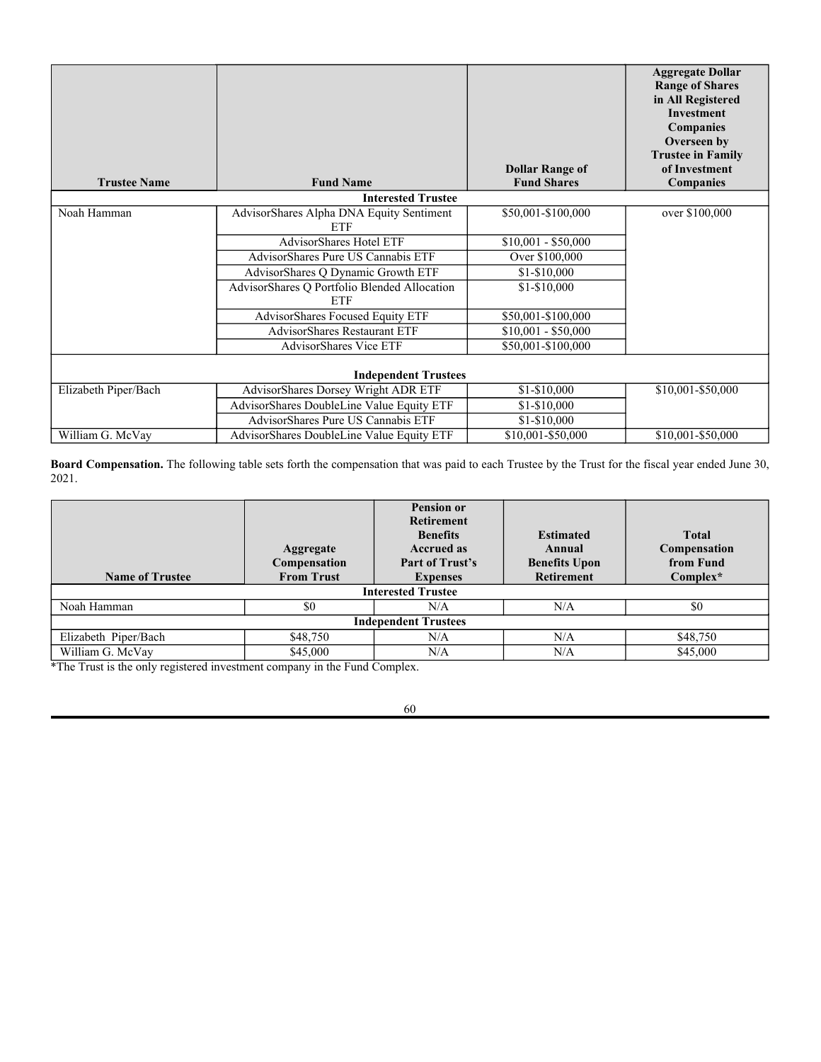| <b>Name, Address</b><br>and Date of Birth of<br><b>Trustee/Officer</b> | Position(s)<br><b>Held with</b><br>the Trust,<br><b>Term of Office</b><br>and Length of<br><b>Time Served</b> | <b>Principal Occupation(s)</b><br><b>During Past 5 Years</b>                                                                                                                                                                                                                                    | Number of<br><b>Portfolios in</b><br><b>Fund</b><br>Complex<br>Overseen<br>by Trustee | Other<br><b>Directorships</b><br><b>Held by</b><br><b>Trustee</b><br><b>During Past</b><br>5 Years |
|------------------------------------------------------------------------|---------------------------------------------------------------------------------------------------------------|-------------------------------------------------------------------------------------------------------------------------------------------------------------------------------------------------------------------------------------------------------------------------------------------------|---------------------------------------------------------------------------------------|----------------------------------------------------------------------------------------------------|
| Dan Ahrens<br>2030 Modern Place<br>Dallas, TX 75214<br>(1966)          | Secretary and<br>Treasurer (no<br>set terms);<br>served since<br>2009                                         | Managing Director of AdvisorShares Investments, LLC<br>(2013-present); Chief Compliance Officer of the Trust<br>(2009-2013); Executive Vice President of<br>AdvisorShares Investments, LLC (2008-2013).                                                                                         | N/A                                                                                   | N/A                                                                                                |
| Stefanie Little<br>11 Gina Marie Lane<br>Elkton, MD 21921<br>(1967)    | Chief<br>Compliance<br>Officer (no set<br>term); served<br>since 2013                                         | Founder of Chenery Compliance Group, LLC (2015-<br>present); Chief Compliance Officer of AdvisorShares<br>Investments, LLC and the Trust (2013-present);<br>Managing Member of SEC Compliance Alliance, LLC<br>(2012-present); President of Little Consulting Group,<br>Inc. $(2011$ -present). | N/A                                                                                   | N/A                                                                                                |

Mr. Hamman is an "interested" person of the Trust, as that term is defined in the 1940 Act, by virtue of his ownership and controlling interest in the Advisor.

**Board Committee.** The Board has established the following standing committee:

**Audit Committee.** The Board has an Audit Committee that is composed of each of the Independent Trustees. The Audit Committee operates under a written charter approved by the Board. The principal responsibilities of the Audit Committee include (i) recommending which firm to engage as the Trust's independent registered public accounting firm and whether to terminate this relationship, (ii) reviewing the independent registered public accounting firm's compensation, the proposed scope and terms of its engagement, and the firm's independence, (iii) serving as a channel of communication between the independent registered public accounting firm and the Board, (iv) reviewing the results of each external audit, including any qualifications in the independent registered public accounting firm's opinion, any related management letter, management's responses to recommendations made by the independent registered public accounting firm in connection with the audit, if any, reports submitted to the Committee by the Trust's service providers that are material to the Trust as a whole, and management's responses to any such reports, (v) reviewing the Trust's audited financial statements and considering any significant disputes between the Trust's management and the independent registered public accounting firm that arose in connection with the preparation of those financial statements, (vi) considering, in consultation with the independent registered public accounting firm and the Trust's senior internal accounting executive, the independent registered public accounting firm's report on the adequacy of the Trust's internal financial controls, (vii) reviewing, in consultation with the Trust's independent registered public accounting firm, major changes regarding auditing and accounting principles and practices to be followed when preparing the Trust's financial statements, and (viii) other audit related matters. The Audit Committee also serves as the Trust's Qualified Legal Compliance Committee, which provides a mechanism for reporting legal violations. The Audit Committee met 4 times during the most recently completed fiscal year.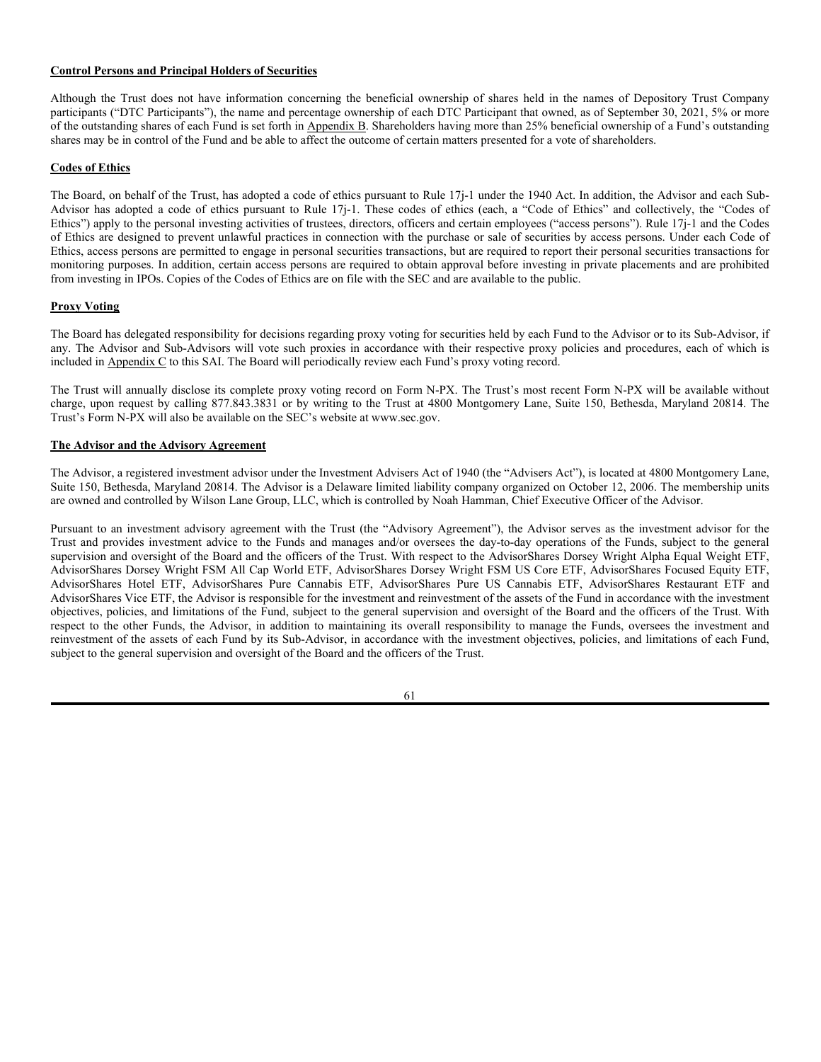**Individual Trustee Qualifications.** The Board has concluded that each of the Trustees should serve on the Board because of his or her ability to review and understand information about the Trust and the Funds provided by management, to identify and request other information he or she may deem relevant to the performance of his or her duties, to question management and other service providers regarding material factors bearing on the management and administration of the Funds, and to exercise his or her business judgment in a manner that serves the best interests of the Funds and their shareholders. The Board has concluded that each of the Trustees should serve as a Trustee based on his or her experience, qualifications, attributes and skills, as described below.

The Board has concluded that Mr. Hamman should serve as Trustee because of his extensive experience with mutual fund company business development, and the development of exchange-traded funds in particular, as well as his knowledge of and experience in the financial services industry in general.

The Board has concluded that Ms. Piper/Bach should serve as Trustee because of her extensive experience in and knowledge of public company accounting and auditing, the financial services industry, and fiduciary and banking law.

The Board has concluded that Mr. McVay should serve as Trustee because of his extensive experience in providing investment advice and business consulting services to financial institutions, endowments, foundations, corporations and pension funds.

**Fund Shares Owned by Board Members.** The following table shows the dollar amount range of each Trustee's "beneficial ownership" of shares of each Fund in which he or she owns shares and all series of the Trust as of the end of the most recently completed calendar year. Dollar amount ranges disclosed are established by the SEC. "Beneficial ownership" is determined in accordance with Rule 16a-1(a)(2) under the Exchange Act. As of September 30, 2021, the Trustees and officers of the Trust owned less than 1% of the outstanding shares of the Trust.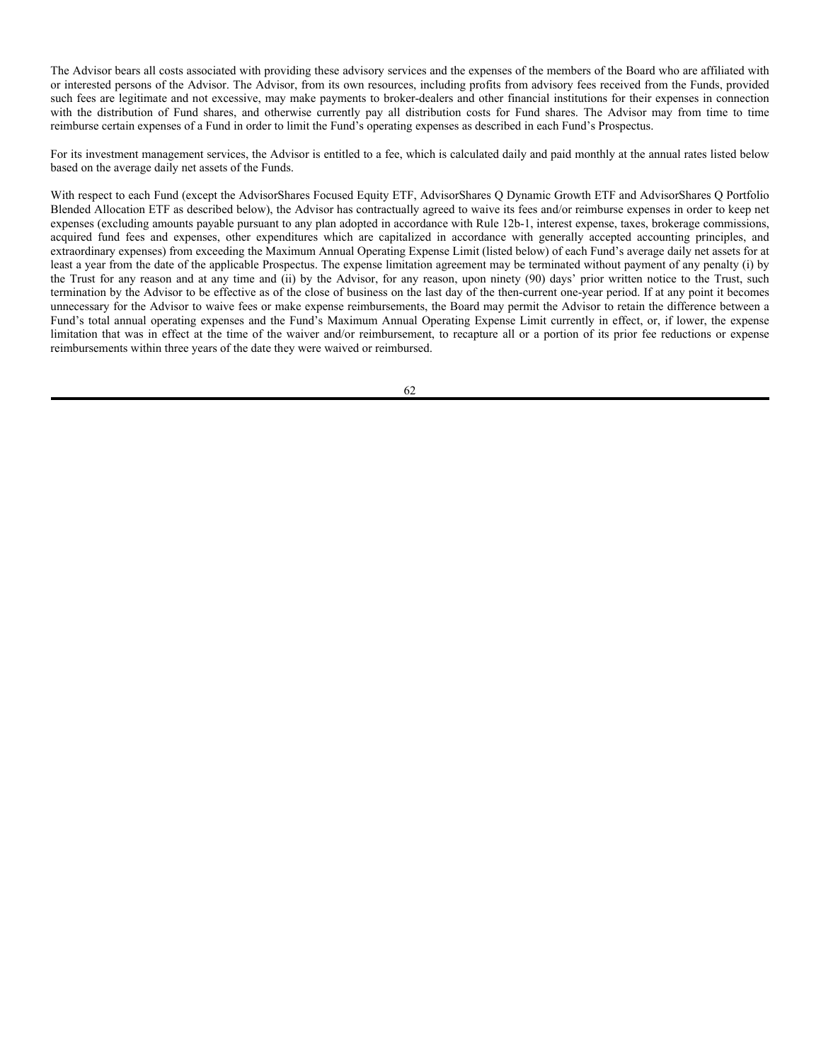| <b>Trustee Name</b>  | <b>Fund Name</b>                                           | <b>Dollar Range of</b><br><b>Fund Shares</b> | <b>Aggregate Dollar</b><br><b>Range of Shares</b><br>in All Registered<br><b>Investment</b><br>Companies<br>Overseen by<br><b>Trustee in Family</b><br>of Investment<br><b>Companies</b> |
|----------------------|------------------------------------------------------------|----------------------------------------------|------------------------------------------------------------------------------------------------------------------------------------------------------------------------------------------|
|                      | <b>Interested Trustee</b>                                  |                                              |                                                                                                                                                                                          |
| Noah Hamman          | AdvisorShares Alpha DNA Equity Sentiment<br><b>ETF</b>     | \$50,001-\$100,000                           | over \$100,000                                                                                                                                                                           |
|                      | <b>AdvisorShares Hotel ETF</b>                             | $$10,001 - $50,000$                          |                                                                                                                                                                                          |
|                      | AdvisorShares Pure US Cannabis ETF                         | Over \$100,000                               |                                                                                                                                                                                          |
|                      | AdvisorShares Q Dynamic Growth ETF                         | \$1-\$10,000                                 |                                                                                                                                                                                          |
|                      | AdvisorShares Q Portfolio Blended Allocation<br><b>ETF</b> | \$1-\$10,000                                 |                                                                                                                                                                                          |
|                      | AdvisorShares Focused Equity ETF                           | \$50,001-\$100,000                           |                                                                                                                                                                                          |
|                      | <b>AdvisorShares Restaurant ETF</b>                        | $$10,001 - $50,000$                          |                                                                                                                                                                                          |
|                      | AdvisorShares Vice ETF                                     | \$50,001-\$100,000                           |                                                                                                                                                                                          |
|                      | <b>Independent Trustees</b>                                |                                              |                                                                                                                                                                                          |
| Elizabeth Piper/Bach | AdvisorShares Dorsey Wright ADR ETF                        | \$1-\$10,000                                 | \$10,001-\$50,000                                                                                                                                                                        |
|                      | AdvisorShares DoubleLine Value Equity ETF                  | \$1-\$10,000                                 |                                                                                                                                                                                          |
|                      | AdvisorShares Pure US Cannabis ETF                         | \$1-\$10,000                                 |                                                                                                                                                                                          |
| William G. McVay     | AdvisorShares DoubleLine Value Equity ETF                  | \$10,001-\$50,000                            | $$10,001 - $50,000$                                                                                                                                                                      |

Board Compensation. The following table sets forth the compensation that was paid to each Trustee by the Trust for the fiscal year ended June 30, 2021.

| <b>Name of Trustee</b>      | Aggregate<br>Compensation<br><b>From Trust</b> | <b>Pension or</b><br><b>Retirement</b><br><b>Benefits</b><br><b>Accrued as</b><br>Part of Trust's<br><b>Expenses</b> | <b>Estimated</b><br>Annual<br><b>Benefits Upon</b><br><b>Retirement</b> | <b>Total</b><br>Compensation<br>from Fund<br>$Complex^*$ |
|-----------------------------|------------------------------------------------|----------------------------------------------------------------------------------------------------------------------|-------------------------------------------------------------------------|----------------------------------------------------------|
| <b>Interested Trustee</b>   |                                                |                                                                                                                      |                                                                         |                                                          |
| Noah Hamman                 | \$0                                            | N/A                                                                                                                  | N/A                                                                     | \$0                                                      |
| <b>Independent Trustees</b> |                                                |                                                                                                                      |                                                                         |                                                          |
| Elizabeth Piper/Bach        | \$48,750                                       | N/A                                                                                                                  | N/A                                                                     | \$48,750                                                 |
| William G. McVay<br>.       | \$45,000<br>.                                  | N/A                                                                                                                  | N/A                                                                     | \$45,000                                                 |

\*The Trust is the only registered investment company in the Fund Complex.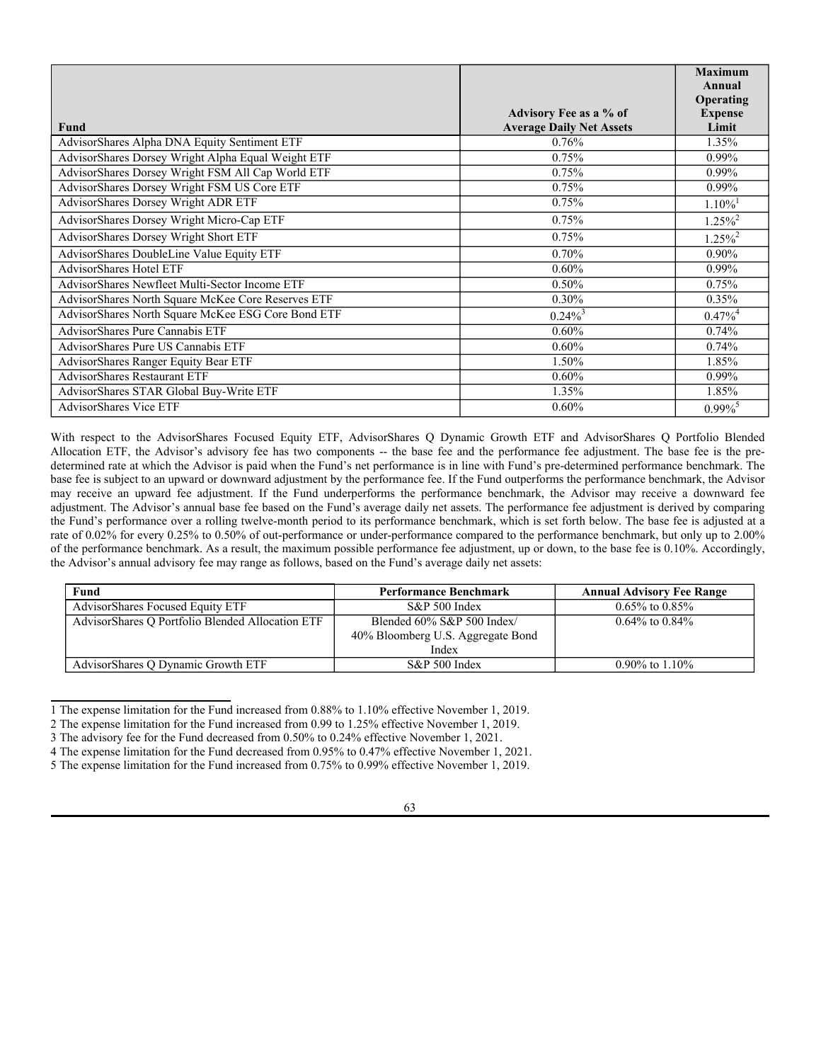# **Control Persons and Principal Holders of Securities**

Although the Trust does not have information concerning the beneficial ownership of shares held in the names of Depository Trust Company participants ("DTC Participants"), the name and percentage ownership of each DTC Participant that owned, as of September 30, 2021, 5% or more of the outstanding shares of each Fund is set forth in Appendix B. Shareholders having more than 25% beneficial ownership of a Fund's outstanding shares may be in control of the Fund and be able to affect the outcome of certain matters presented for a vote of shareholders.

# **Codes of Ethics**

The Board, on behalf of the Trust, has adopted a code of ethics pursuant to Rule 17j-1 under the 1940 Act. In addition, the Advisor and each Sub-Advisor has adopted a code of ethics pursuant to Rule 17j-1. These codes of ethics (each, a "Code of Ethics" and collectively, the "Codes of Ethics") apply to the personal investing activities of trustees, directors, officers and certain employees ("access persons"). Rule 17j-1 and the Codes of Ethics are designed to prevent unlawful practices in connection with the purchase or sale of securities by access persons. Under each Code of Ethics, access persons are permitted to engage in personal securities transactions, but are required to report their personal securities transactions for monitoring purposes. In addition, certain access persons are required to obtain approval before investing in private placements and are prohibited from investing in IPOs. Copies of the Codes of Ethics are on file with the SEC and are available to the public.

# **Proxy Voting**

The Board has delegated responsibility for decisions regarding proxy voting for securities held by each Fund to the Advisor or to its Sub-Advisor, if any. The Advisor and Sub-Advisors will vote such proxies in accordance with their respective proxy policies and procedures, each of which is included in Appendix C to this SAI. The Board will periodically review each Fund's proxy voting record.

The Trust will annually disclose its complete proxy voting record on Form N-PX. The Trust's most recent Form N-PX will be available without charge, upon request by calling 877.843.3831 or by writing to the Trust at 4800 Montgomery Lane, Suite 150, Bethesda, Maryland 20814. The Trust's Form N-PX will also be available on the SEC's website at www.sec.gov.

# **The Advisor and the Advisory Agreement**

The Advisor, a registered investment advisor under the Investment Advisers Act of 1940 (the "Advisers Act"), is located at 4800 Montgomery Lane, Suite 150, Bethesda, Maryland 20814. The Advisor is a Delaware limited liability company organized on October 12, 2006. The membership units are owned and controlled by Wilson Lane Group, LLC, which is controlled by Noah Hamman, Chief Executive Officer of the Advisor.

Pursuant to an investment advisory agreement with the Trust (the "Advisory Agreement"), the Advisor serves as the investment advisor for the Trust and provides investment advice to the Funds and manages and/or oversees the day-to-day operations of the Funds, subject to the general supervision and oversight of the Board and the officers of the Trust. With respect to the AdvisorShares Dorsey Wright Alpha Equal Weight ETF, AdvisorShares Dorsey Wright FSM All Cap World ETF, AdvisorShares Dorsey Wright FSM US Core ETF, AdvisorShares Focused Equity ETF, AdvisorShares Hotel ETF, AdvisorShares Pure Cannabis ETF, AdvisorShares Pure US Cannabis ETF, AdvisorShares Restaurant ETF and AdvisorShares Vice ETF, the Advisor is responsible for the investment and reinvestment of the assets of the Fund in accordance with the investment objectives, policies, and limitations of the Fund, subject to the general supervision and oversight of the Board and the officers of the Trust. With respect to the other Funds, the Advisor, in addition to maintaining its overall responsibility to manage the Funds, oversees the investment and reinvestment of the assets of each Fund by its Sub-Advisor, in accordance with the investment objectives, policies, and limitations of each Fund, subject to the general supervision and oversight of the Board and the officers of the Trust.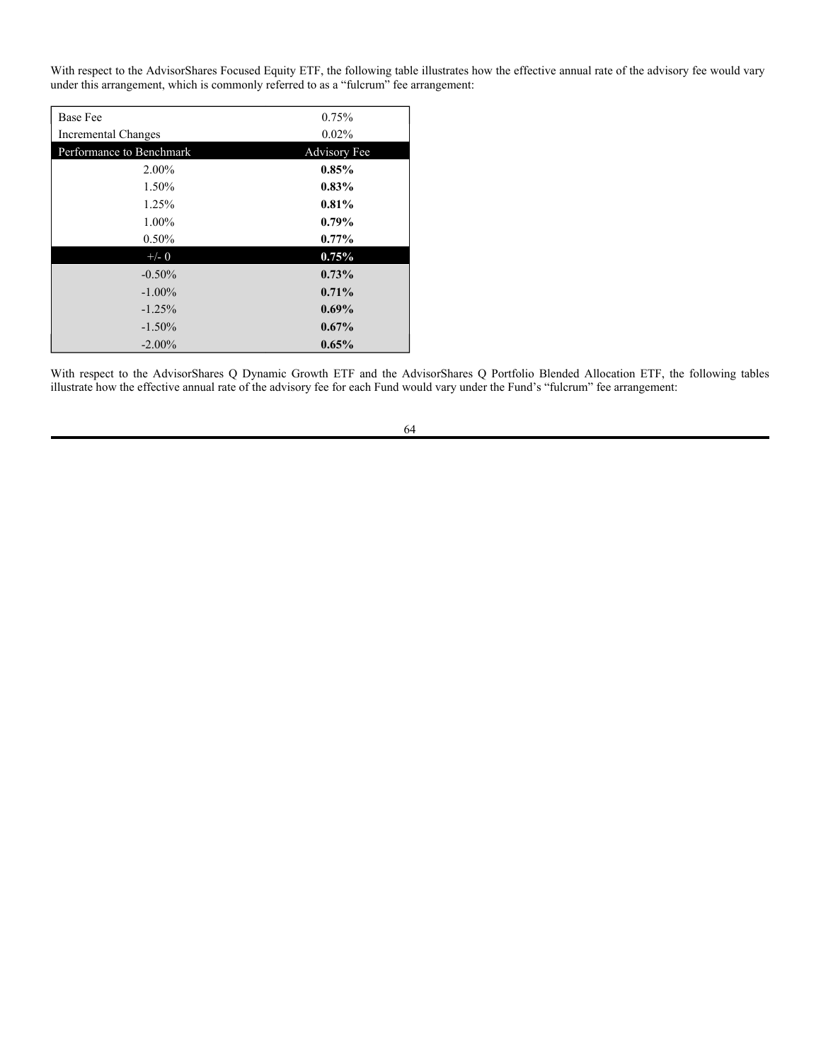The Advisor bears all costs associated with providing these advisory services and the expenses of the members of the Board who are affiliated with or interested persons of the Advisor. The Advisor, from its own resources, including profits from advisory fees received from the Funds, provided such fees are legitimate and not excessive, may make payments to broker-dealers and other financial institutions for their expenses in connection with the distribution of Fund shares, and otherwise currently pay all distribution costs for Fund shares. The Advisor may from time to time reimburse certain expenses of a Fund in order to limit the Fund's operating expenses as described in each Fund's Prospectus.

For its investment management services, the Advisor is entitled to a fee, which is calculated daily and paid monthly at the annual rates listed below based on the average daily net assets of the Funds.

With respect to each Fund (except the AdvisorShares Focused Equity ETF, AdvisorShares Q Dynamic Growth ETF and AdvisorShares Q Portfolio Blended Allocation ETF as described below), the Advisor has contractually agreed to waive its fees and/or reimburse expenses in order to keep net expenses (excluding amounts payable pursuant to any plan adopted in accordance with Rule 12b-1, interest expense, taxes, brokerage commissions, acquired fund fees and expenses, other expenditures which are capitalized in accordance with generally accepted accounting principles, and extraordinary expenses) from exceeding the Maximum Annual Operating Expense Limit (listed below) of each Fund's average daily net assets for at least a year from the date of the applicable Prospectus. The expense limitation agreement may be terminated without payment of any penalty (i) by the Trust for any reason and at any time and (ii) by the Advisor, for any reason, upon ninety (90) days' prior written notice to the Trust, such termination by the Advisor to be effective as of the close of business on the last day of the then-current one-year period. If at any point it becomes unnecessary for the Advisor to waive fees or make expense reimbursements, the Board may permit the Advisor to retain the difference between a Fund's total annual operating expenses and the Fund's Maximum Annual Operating Expense Limit currently in effect, or, if lower, the expense limitation that was in effect at the time of the waiver and/or reimbursement, to recapture all or a portion of its prior fee reductions or expense reimbursements within three years of the date they were waived or reimbursed.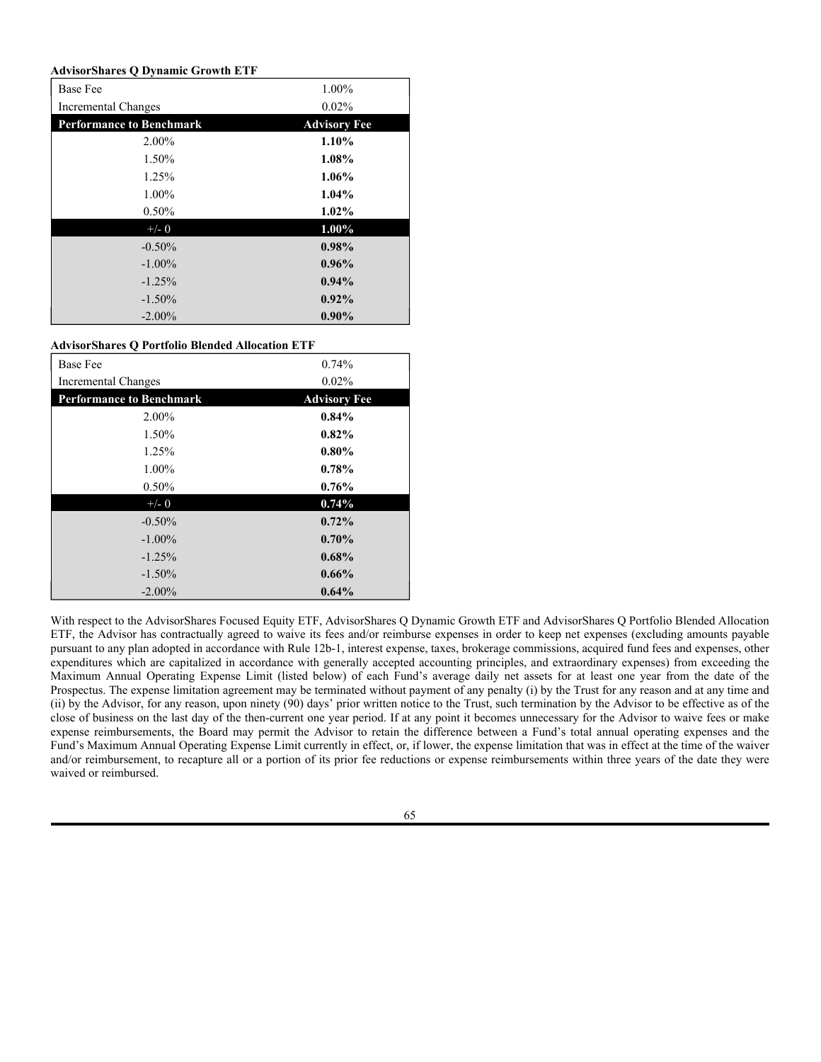|                                                    |                                                           | <b>Maximum</b><br>Annual |
|----------------------------------------------------|-----------------------------------------------------------|--------------------------|
|                                                    |                                                           | Operating                |
| Fund                                               | Advisory Fee as a % of<br><b>Average Daily Net Assets</b> | <b>Expense</b><br>Limit  |
| AdvisorShares Alpha DNA Equity Sentiment ETF       | 0.76%                                                     | 1.35%                    |
| AdvisorShares Dorsey Wright Alpha Equal Weight ETF | 0.75%                                                     | 0.99%                    |
| AdvisorShares Dorsey Wright FSM All Cap World ETF  | 0.75%                                                     | $0.99\%$                 |
| AdvisorShares Dorsey Wright FSM US Core ETF        | 0.75%                                                     | $0.99\%$                 |
| <b>AdvisorShares Dorsey Wright ADR ETF</b>         | 0.75%                                                     | $1.10\%$ <sup>1</sup>    |
| AdvisorShares Dorsey Wright Micro-Cap ETF          | 0.75%                                                     | $1.25\%^{2}$             |
| AdvisorShares Dorsey Wright Short ETF              | 0.75%                                                     | $1.25\%^{2}$             |
| AdvisorShares DoubleLine Value Equity ETF          | $0.70\%$                                                  | $0.90\%$                 |
| <b>AdvisorShares Hotel ETF</b>                     | $0.60\%$                                                  | $0.99\%$                 |
| AdvisorShares Newfleet Multi-Sector Income ETF     | 0.50%                                                     | 0.75%                    |
| AdvisorShares North Square McKee Core Reserves ETF | $0.30\%$                                                  | $0.35\%$                 |
| AdvisorShares North Square McKee ESG Core Bond ETF | $0.24\%^{3}$                                              | $0.47\%$ <sup>4</sup>    |
| <b>AdvisorShares Pure Cannabis ETF</b>             | $0.60\%$                                                  | 0.74%                    |
| AdvisorShares Pure US Cannabis ETF                 | $0.60\%$                                                  | 0.74%                    |
| AdvisorShares Ranger Equity Bear ETF               | 1.50%                                                     | 1.85%                    |
| <b>AdvisorShares Restaurant ETF</b>                | $0.60\%$                                                  | $0.99\%$                 |
| AdvisorShares STAR Global Buy-Write ETF            | 1.35%                                                     | 1.85%                    |
| <b>AdvisorShares Vice ETF</b>                      | $0.60\%$                                                  | $0.99\%$ <sup>5</sup>    |

With respect to the AdvisorShares Focused Equity ETF, AdvisorShares Q Dynamic Growth ETF and AdvisorShares Q Portfolio Blended Allocation ETF, the Advisor's advisory fee has two components -- the base fee and the performance fee adjustment. The base fee is the predetermined rate at which the Advisor is paid when the Fund's net performance is in line with Fund's pre-determined performance benchmark. The base fee is subject to an upward or downward adjustment by the performance fee. If the Fund outperforms the performance benchmark, the Advisor may receive an upward fee adjustment. If the Fund underperforms the performance benchmark, the Advisor may receive a downward fee adjustment. The Advisor's annual base fee based on the Fund's average daily net assets. The performance fee adjustment is derived by comparing the Fund's performance over a rolling twelve-month period to its performance benchmark, which is set forth below. The base fee is adjusted at a rate of 0.02% for every 0.25% to 0.50% of out-performance or under-performance compared to the performance benchmark, but only up to 2.00% of the performance benchmark. As a result, the maximum possible performance fee adjustment, up or down, to the base fee is 0.10%. Accordingly, the Advisor's annual advisory fee may range as follows, based on the Fund's average daily net assets:

| Fund                                             | <b>Performance Benchmark</b>      | <b>Annual Advisory Fee Range</b> |
|--------------------------------------------------|-----------------------------------|----------------------------------|
| AdvisorShares Focused Equity ETF                 | S&P 500 Index                     | $0.65\%$ to $0.85\%$             |
| AdvisorShares O Portfolio Blended Allocation ETF | Blended 60% S&P 500 Index/        | $0.64\%$ to $0.84\%$             |
|                                                  | 40% Bloomberg U.S. Aggregate Bond |                                  |
|                                                  | Index                             |                                  |
| AdvisorShares Q Dynamic Growth ETF               | S&P 500 Index                     | 0.90% to $1.10\%$                |

<sup>1</sup> The expense limitation for the Fund increased from 0.88% to 1.10% effective November 1, 2019.

<sup>2</sup> The expense limitation for the Fund increased from 0.99 to 1.25% effective November 1, 2019.

<sup>3</sup> The advisory fee for the Fund decreased from 0.50% to 0.24% effective November 1, 2021.

<sup>4</sup> The expense limitation for the Fund decreased from 0.95% to 0.47% effective November 1, 2021.

<sup>5</sup> The expense limitation for the Fund increased from 0.75% to 0.99% effective November 1, 2019.

<sup>63</sup>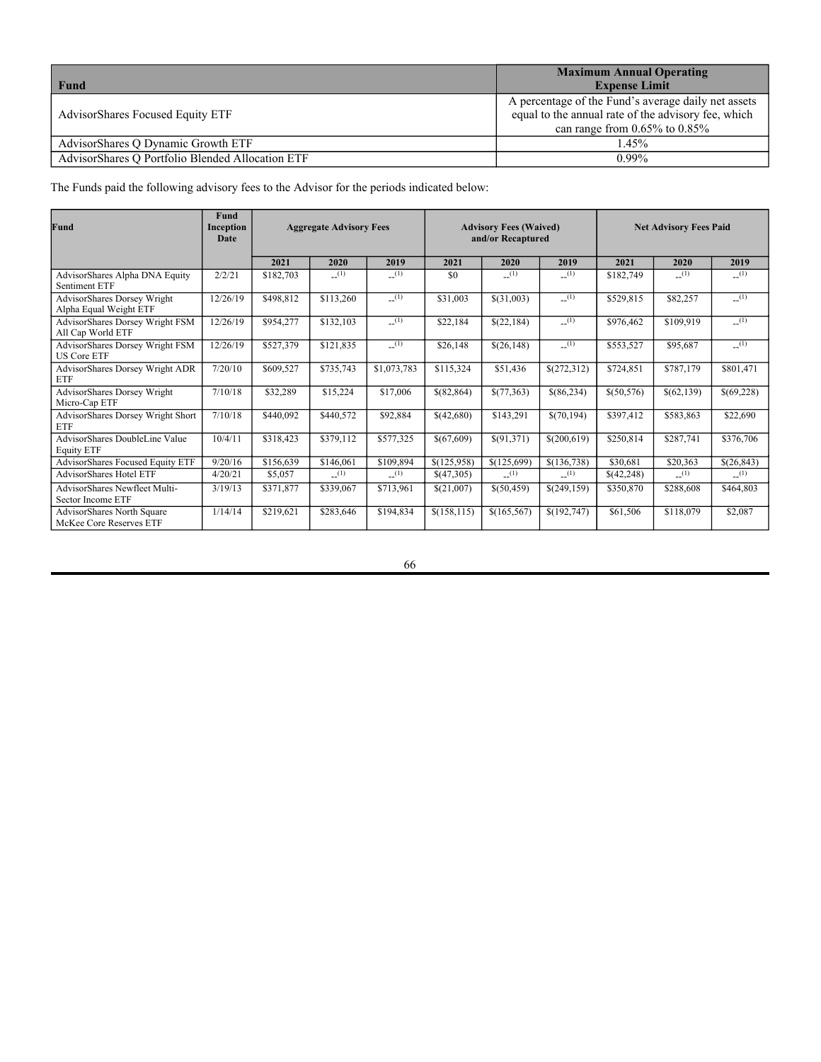With respect to the AdvisorShares Focused Equity ETF, the following table illustrates how the effective annual rate of the advisory fee would vary under this arrangement, which is commonly referred to as a "fulcrum" fee arrangement:

| <b>Base Fee</b>          | 0.75%        |
|--------------------------|--------------|
| Incremental Changes      | 0.02%        |
| Performance to Benchmark | Advisory Fee |
| 2.00%                    | 0.85%        |
| 1.50%                    | $0.83\%$     |
| 1.25%                    | 0.81%        |
| 1.00%                    | $0.79\%$     |
| $0.50\%$                 | $0.77\%$     |
| $+/- 0$                  | 0.75%        |
| $-0.50%$                 | 0.73%        |
| $-1.00\%$                | $0.71\%$     |
| $-1.25%$                 | 0.69%        |
| $-1.50\%$                | $0.67\%$     |
| $-2.00\%$                | 0.65%        |

With respect to the AdvisorShares Q Dynamic Growth ETF and the AdvisorShares Q Portfolio Blended Allocation ETF, the following tables illustrate how the effective annual rate of the advisory fee for each Fund would vary under the Fund's "fulcrum" fee arrangement: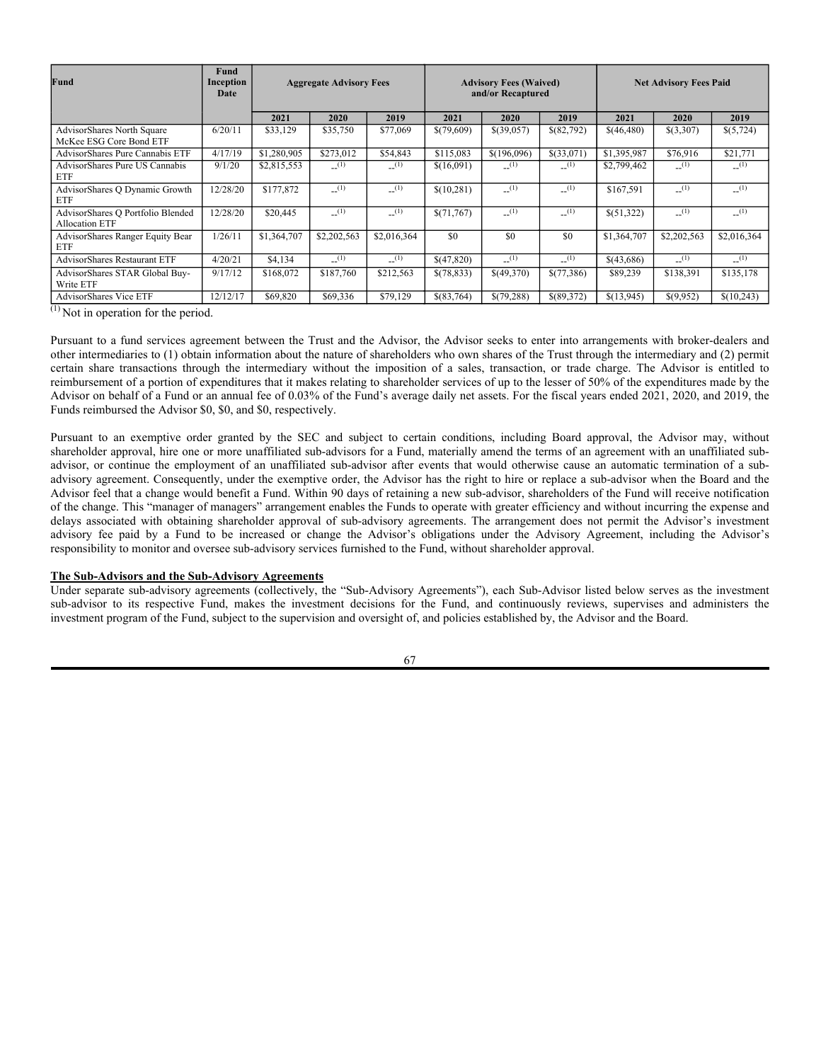# **AdvisorShares Q Dynamic Growth ETF**

| <b>Base Fee</b>                 | 1.00%               |
|---------------------------------|---------------------|
| Incremental Changes             | 0.02%               |
| <b>Performance to Benchmark</b> | <b>Advisory Fee</b> |
| 2.00%                           | 1.10%               |
| 1.50%                           | 1.08%               |
| 1.25%                           | $1.06\%$            |
| 1.00%                           | 1.04%               |
| 0.50%                           | $1.02\%$            |
| $+/- 0$                         | 1.00%               |
| $-0.50%$                        | 0.98%               |
| $-1.00\%$                       | $0.96\%$            |
| $-1.25%$                        | 0.94%               |
| $-1.50\%$                       | 0.92%               |
| $-2.00\%$                       | $0.90\%$            |

# **AdvisorShares Q Portfolio Blended Allocation ETF**

| <b>Base Fee</b>                 | 0.74%               |
|---------------------------------|---------------------|
| Incremental Changes             | 0.02%               |
| <b>Performance to Benchmark</b> | <b>Advisory Fee</b> |
| 2.00%                           | 0.84%               |
| 1.50%                           | $0.82\%$            |
| 1.25%                           | $0.80\%$            |
| 1.00%                           | 0.78%               |
| 0.50%                           | 0.76%               |
| $+/- 0$                         | $0.74\%$            |
| $-0.50%$                        | 0.72%               |
| $-1.00\%$                       | 0.70%               |
| $-1.25%$                        | 0.68%               |
| $-1.50\%$                       | $0.66\%$            |
| $-2.00\%$                       | 0.64%               |

With respect to the AdvisorShares Focused Equity ETF, AdvisorShares Q Dynamic Growth ETF and AdvisorShares Q Portfolio Blended Allocation ETF, the Advisor has contractually agreed to waive its fees and/or reimburse expenses in order to keep net expenses (excluding amounts payable pursuant to any plan adopted in accordance with Rule 12b-1, interest expense, taxes, brokerage commissions, acquired fund fees and expenses, other expenditures which are capitalized in accordance with generally accepted accounting principles, and extraordinary expenses) from exceeding the Maximum Annual Operating Expense Limit (listed below) of each Fund's average daily net assets for at least one year from the date of the Prospectus. The expense limitation agreement may be terminated without payment of any penalty (i) by the Trust for any reason and at any time and (ii) by the Advisor, for any reason, upon ninety (90) days' prior written notice to the Trust, such termination by the Advisor to be effective as of the close of business on the last day of the then-current one year period. If at any point it becomes unnecessary for the Advisor to waive fees or make expense reimbursements, the Board may permit the Advisor to retain the difference between a Fund's total annual operating expenses and the Fund's Maximum Annual Operating Expense Limit currently in effect, or, if lower, the expense limitation that was in effect at the time of the waiver and/or reimbursement, to recapture all or a portion of its prior fee reductions or expense reimbursements within three years of the date they were waived or reimbursed.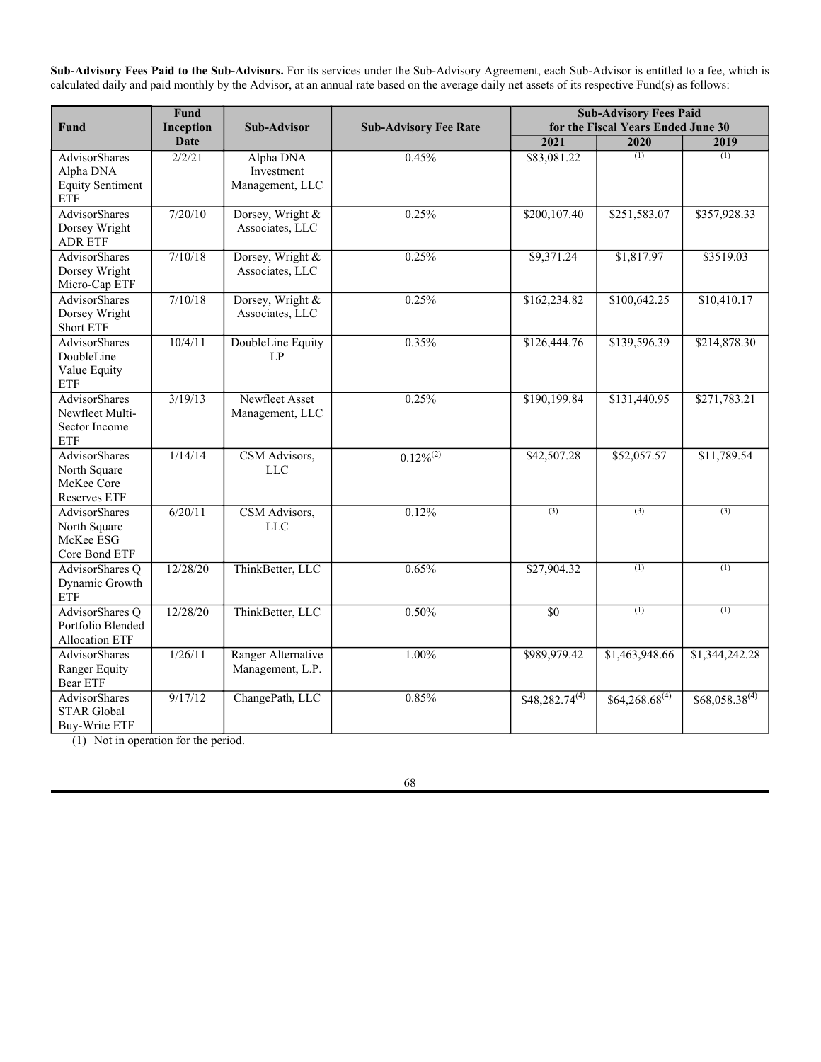| Fund                                             | <b>Maximum Annual Operating</b><br><b>Expense Limit</b>                                                                                           |
|--------------------------------------------------|---------------------------------------------------------------------------------------------------------------------------------------------------|
| AdvisorShares Focused Equity ETF                 | A percentage of the Fund's average daily net assets<br>equal to the annual rate of the advisory fee, which<br>can range from $0.65\%$ to $0.85\%$ |
| AdvisorShares O Dynamic Growth ETF               | 1.45%                                                                                                                                             |
| AdvisorShares O Portfolio Blended Allocation ETF | $0.99\%$                                                                                                                                          |

The Funds paid the following advisory fees to the Advisor for the periods indicated below:

| Fund                                                         | <b>Fund</b><br>Inception<br>Date | <b>Aggregate Advisory Fees</b> |           | <b>Advisory Fees (Waived)</b><br>and/or Recaptured |              |             | <b>Net Advisory Fees Paid</b> |            |            |            |
|--------------------------------------------------------------|----------------------------------|--------------------------------|-----------|----------------------------------------------------|--------------|-------------|-------------------------------|------------|------------|------------|
|                                                              |                                  | 2021                           | 2020      | 2019                                               | 2021         | 2020        | 2019                          | 2021       | 2020       | 2019       |
| AdvisorShares Alpha DNA Equity<br>Sentiment ETF              | 2/2/21                           | \$182,703                      | (1)       | (1)                                                | \$0          | (1)         | (1)                           | \$182,749  | (1)        | (1)        |
| <b>AdvisorShares Dorsey Wright</b><br>Alpha Equal Weight ETF | 12/26/19                         | \$498,812                      | \$113,260 | (1)                                                | \$31,003     | \$(31,003)  | (1)                           | \$529,815  | \$82,257   | (1)        |
| <b>AdvisorShares Dorsey Wright FSM</b><br>All Cap World ETF  | 12/26/19                         | \$954,277                      | \$132,103 | (1)                                                | \$22,184     | \$(22,184)  | (1)                           | \$976,462  | \$109,919  | (1)        |
| <b>AdvisorShares Dorsey Wright FSM</b><br><b>US Core ETF</b> | 12/26/19                         | \$527,379                      | \$121,835 | (1)                                                | \$26,148     | \$(26,148)  | (1)                           | \$553,527  | \$95,687   | (1)        |
| AdvisorShares Dorsey Wright ADR<br>ETF                       | 7/20/10                          | \$609,527                      | \$735,743 | \$1,073,783                                        | \$115,324    | \$51,436    | \$(272,312)                   | \$724,851  | \$787,179  | \$801,471  |
| <b>AdvisorShares Dorsey Wright</b><br>Micro-Cap ETF          | 7/10/18                          | \$32,289                       | \$15,224  | \$17,006                                           | \$(82,864)   | \$(77,363)  | \$(86,234)                    | \$(50,576) | \$(62,139) | \$(69,228) |
| AdvisorShares Dorsey Wright Short<br>ETF                     | 7/10/18                          | \$440,092                      | \$440,572 | \$92,884                                           | \$(42,680)   | \$143,291   | \$(70,194)                    | \$397,412  | \$583,863  | \$22,690   |
| <b>AdvisorShares DoubleLine Value</b><br><b>Equity ETF</b>   | 10/4/11                          | \$318,423                      | \$379,112 | \$577,325                                          | \$(67,609)   | \$(91,371)  | \$(200,619)                   | \$250,814  | \$287,741  | \$376,706  |
| <b>AdvisorShares Focused Equity ETF</b>                      | 9/20/16                          | \$156,639                      | \$146,061 | \$109,894                                          | \$(125,958)  | \$(125,699) | \$(136,738)                   | \$30,681   | \$20,363   | \$(26,843) |
| <b>AdvisorShares Hotel ETF</b>                               | 4/20/21                          | \$5,057                        | (1)       | (1)                                                | \$(47,305)   | (1)         | (1)                           | \$(42,248) | (1)        | (1)        |
| AdvisorShares Newfleet Multi-<br>Sector Income ETF           | 3/19/13                          | \$371,877                      | \$339,067 | \$713,961                                          | \$(21,007)   | \$(50,459)  | \$(249,159)                   | \$350,870  | \$288,608  | \$464,803  |
| <b>AdvisorShares North Square</b><br>McKee Core Reserves ETF | 1/14/14                          | \$219,621                      | \$283,646 | \$194,834                                          | \$(158, 115) | \$(165,567) | \$(192,747)                   | \$61,506   | \$118,079  | \$2,087    |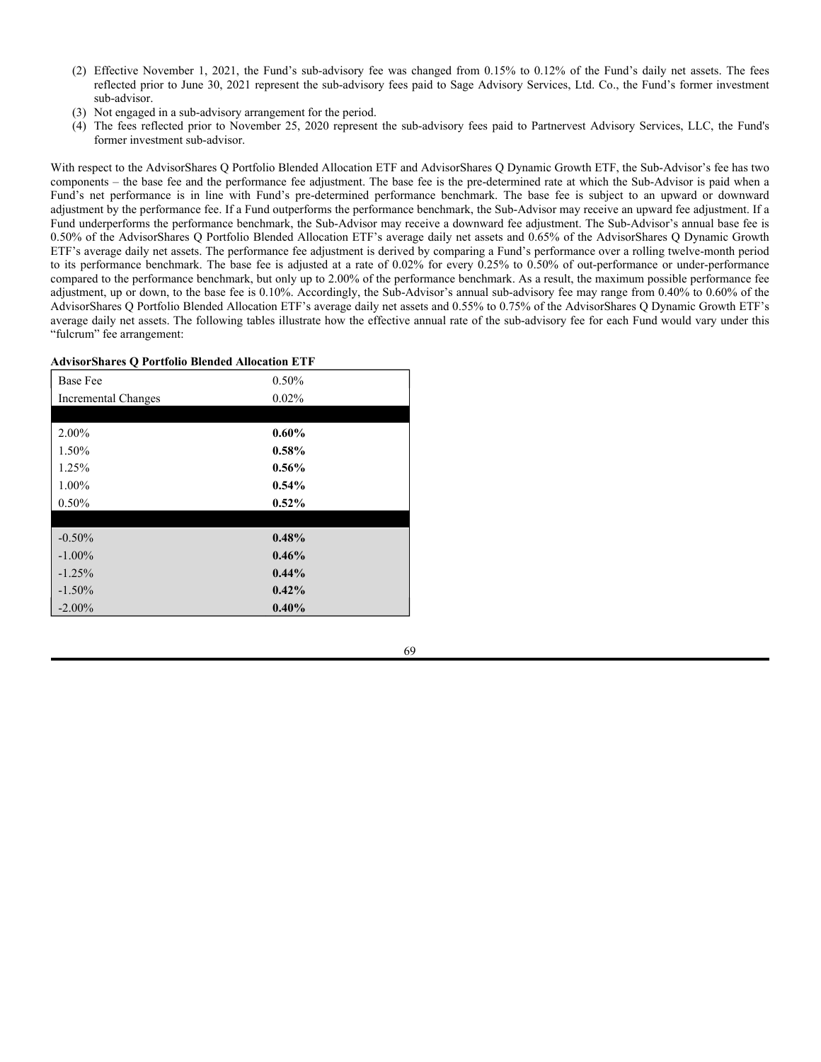| Fund                                                       | Fund<br>Inception<br>Date | <b>Aggregate Advisory Fees</b> |                           | <b>Advisory Fees (Waived)</b><br>and/or Recaptured |             |                           | <b>Net Advisory Fees Paid</b> |             |                           |                           |
|------------------------------------------------------------|---------------------------|--------------------------------|---------------------------|----------------------------------------------------|-------------|---------------------------|-------------------------------|-------------|---------------------------|---------------------------|
|                                                            |                           | 2021                           | 2020                      | 2019                                               | 2021        | 2020                      | 2019                          | 2021        | 2020                      | 2019                      |
| AdvisorShares North Square<br>McKee ESG Core Bond ETF      | 6/20/11                   | \$33,129                       | \$35,750                  | \$77,069                                           | \$(79,609)  | \$(39,057)                | \$(82,792)                    | \$(46,480)  | \$(3,307)                 | \$(5,724)                 |
| AdvisorShares Pure Cannabis ETF                            | 4/17/19                   | \$1,280,905                    | \$273,012                 | \$54,843                                           | \$115,083   | \$(196,096)               | \$(33,071)                    | \$1,395,987 | \$76,916                  | \$21,771                  |
| AdvisorShares Pure US Cannabis<br>ETF                      | 9/1/20                    | \$2,815,553                    | (1)                       | (1)                                                | \$(16,091)  | (1)                       | (1)                           | \$2,799,462 | (1)                       | (1)                       |
| AdvisorShares Q Dynamic Growth<br>ETF                      | 12/28/20                  | \$177,872                      | (1)                       | (1)                                                | \$(10, 281) | (1)                       | (1)                           | \$167.591   | (1)                       | (1)                       |
| AdvisorShares Q Portfolio Blended<br><b>Allocation ETF</b> | 12/28/20                  | \$20,445                       | $\overline{(\mathbf{1})}$ | $\sqrt{(1)}$                                       | \$(71,767)  | $\overline{(\mathbf{1})}$ | $\overline{(\mathbf{1})}$     | \$(51,322)  | $\overline{(\mathbf{1})}$ | $\overline{(\mathbf{1})}$ |
| AdvisorShares Ranger Equity Bear<br>ETF                    | 1/26/11                   | \$1,364,707                    | \$2,202,563               | \$2,016,364                                        | \$0         | \$0                       | \$0                           | \$1,364,707 | \$2,202,563               | \$2,016,364               |
| AdvisorShares Restaurant ETF                               | 4/20/21                   | \$4,134                        | (1)                       | (1)                                                | \$(47,820)  | $\sqrt{1}$                | (1)                           | \$(43,686)  | (1)                       | (1)                       |
| <b>AdvisorShares STAR Global Buy-</b><br>Write ETF         | 9/17/12                   | \$168,072                      | \$187,760                 | \$212,563                                          | \$(78,833)  | \$(49,370)                | \$(77,386)                    | \$89,239    | \$138,391                 | \$135,178                 |
| AdvisorShares Vice ETF                                     | 12/12/17                  | \$69,820                       | \$69,336                  | \$79,129                                           | \$(83,764)  | \$(79,288)                | $$$ (89,372)                  | \$(13,945)  | \$(9,952)                 | \$(10,243)                |

 $(1)$  Not in operation for the period.

Pursuant to a fund services agreement between the Trust and the Advisor, the Advisor seeks to enter into arrangements with broker-dealers and other intermediaries to (1) obtain information about the nature of shareholders who own shares of the Trust through the intermediary and (2) permit certain share transactions through the intermediary without the imposition of a sales, transaction, or trade charge. The Advisor is entitled to reimbursement of a portion of expenditures that it makes relating to shareholder services of up to the lesser of 50% of the expenditures made by the Advisor on behalf of a Fund or an annual fee of 0.03% of the Fund's average daily net assets. For the fiscal years ended 2021, 2020, and 2019, the Funds reimbursed the Advisor \$0, \$0, and \$0, respectively.

Pursuant to an exemptive order granted by the SEC and subject to certain conditions, including Board approval, the Advisor may, without shareholder approval, hire one or more unaffiliated sub-advisors for a Fund, materially amend the terms of an agreement with an unaffiliated subadvisor, or continue the employment of an unaffiliated sub-advisor after events that would otherwise cause an automatic termination of a subadvisory agreement. Consequently, under the exemptive order, the Advisor has the right to hire or replace a sub-advisor when the Board and the Advisor feel that a change would benefit a Fund. Within 90 days of retaining a new sub-advisor, shareholders of the Fund will receive notification of the change. This "manager of managers" arrangement enables the Funds to operate with greater efficiency and without incurring the expense and delays associated with obtaining shareholder approval of sub-advisory agreements. The arrangement does not permit the Advisor's investment advisory fee paid by a Fund to be increased or change the Advisor's obligations under the Advisory Agreement, including the Advisor's responsibility to monitor and oversee sub-advisory services furnished to the Fund, without shareholder approval.

#### **The Sub-Advisors and the Sub-Advisory Agreements**

Under separate sub-advisory agreements (collectively, the "Sub-Advisory Agreements"), each Sub-Advisor listed below serves as the investment sub-advisor to its respective Fund, makes the investment decisions for the Fund, and continuously reviews, supervises and administers the investment program of the Fund, subject to the supervision and oversight of, and policies established by, the Advisor and the Board.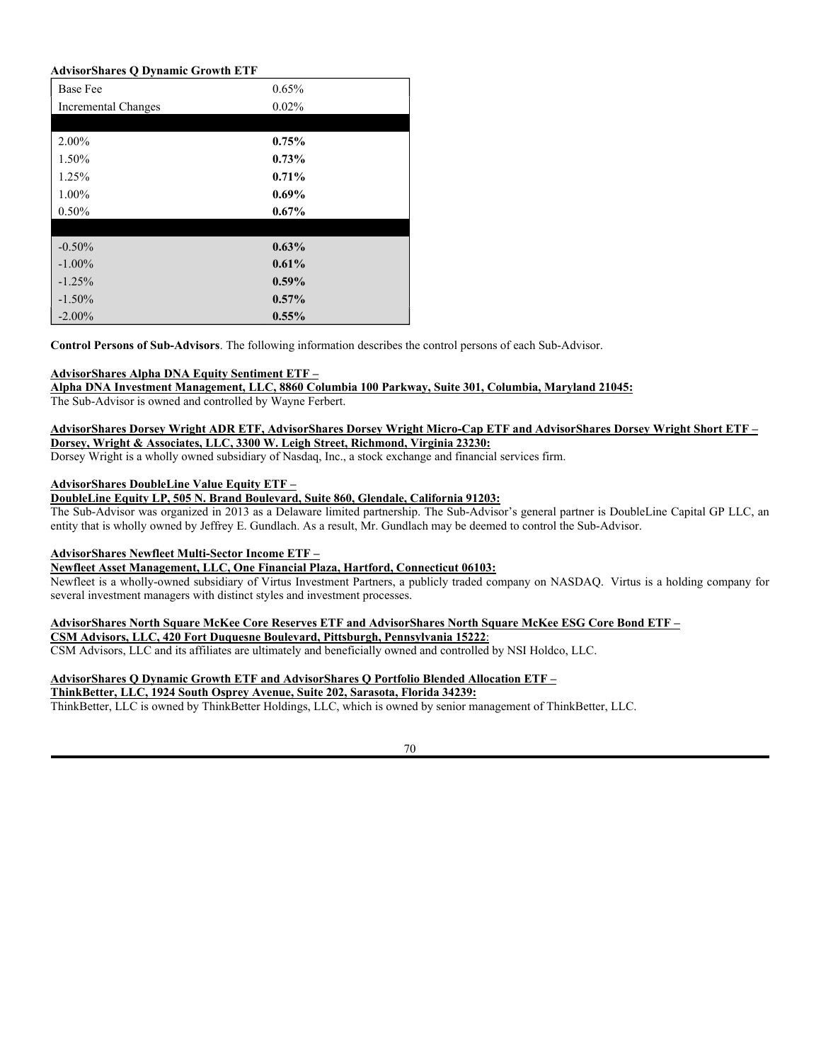**Sub-Advisory Fees Paid to the Sub-Advisors.** For its services under the Sub-Advisory Agreement, each Sub-Advisor is entitled to a fee, which is calculated daily and paid monthly by the Advisor, at an annual rate based on the average daily net assets of its respective Fund(s) as follows:

| Fund                                                                       | Fund<br>Inception | <b>Sub-Advisor</b>                         | <b>Sub-Advisory Fee Rate</b> | <b>Sub-Advisory Fees Paid</b><br>for the Fiscal Years Ended June 30 |                    |                                |  |  |
|----------------------------------------------------------------------------|-------------------|--------------------------------------------|------------------------------|---------------------------------------------------------------------|--------------------|--------------------------------|--|--|
|                                                                            | <b>Date</b>       |                                            |                              | 2021                                                                | 2020               | 2019                           |  |  |
| <b>AdvisorShares</b><br>Alpha DNA<br><b>Equity Sentiment</b><br><b>ETF</b> | 2/2/21            | Alpha DNA<br>Investment<br>Management, LLC | 0.45%                        | \$83,081.22                                                         | (1)                | (1)                            |  |  |
| <b>AdvisorShares</b><br>Dorsey Wright<br><b>ADR ETF</b>                    | 7/20/10           | Dorsey, Wright &<br>Associates, LLC        | 0.25%                        | \$200,107.40                                                        | \$251,583.07       | \$357,928.33                   |  |  |
| <b>AdvisorShares</b><br>Dorsey Wright<br>Micro-Cap ETF                     | 7/10/18           | Dorsey, Wright &<br>Associates, LLC        | 0.25%                        | \$9,371.24                                                          | \$1,817.97         | \$3519.03                      |  |  |
| <b>AdvisorShares</b><br>Dorsey Wright<br><b>Short ETF</b>                  | 7/10/18           | Dorsey, Wright &<br>Associates, LLC        | 0.25%                        | \$162,234.82                                                        | \$100,642.25       | \$10,410.17                    |  |  |
| <b>AdvisorShares</b><br>DoubleLine<br>Value Equity<br><b>ETF</b>           | 10/4/11           | DoubleLine Equity<br>LP                    | 0.35%                        | \$126,444.76                                                        | \$139,596.39       | \$214,878.30                   |  |  |
| <b>AdvisorShares</b><br>Newfleet Multi-<br>Sector Income<br><b>ETF</b>     | 3/19/13           | Newfleet Asset<br>Management, LLC          | 0.25%                        | \$190,199.84                                                        | \$131,440.95       | \$271,783.21                   |  |  |
| <b>AdvisorShares</b><br>North Square<br>McKee Core<br>Reserves ETF         | 1/14/14           | CSM Advisors,<br><b>LLC</b>                | $0.12\sqrt[9]{6}^{(2)}$      | \$42,507.28                                                         | \$52,057.57        | \$11,789.54                    |  |  |
| <b>AdvisorShares</b><br>North Square<br>McKee ESG<br>Core Bond ETF         | 6/20/11           | CSM Advisors,<br><b>LLC</b>                | 0.12%                        | (3)                                                                 | (3)                | (3)                            |  |  |
| AdvisorShares Q<br>Dynamic Growth<br>ETF                                   | 12/28/20          | ThinkBetter, LLC                           | 0.65%                        | \$27,904.32                                                         | (1)                | (1)                            |  |  |
| AdvisorShares Q<br>Portfolio Blended<br><b>Allocation ETF</b>              | 12/28/20          | ThinkBetter, LLC                           | 0.50%                        | $\overline{50}$                                                     | (1)                | (1)                            |  |  |
| <b>AdvisorShares</b><br>Ranger Equity<br><b>Bear ETF</b>                   | 1/26/11           | Ranger Alternative<br>Management, L.P.     | 1.00%                        | \$989,979.42                                                        | \$1,463,948.66     | \$1,344,242.28                 |  |  |
| <b>AdvisorShares</b><br><b>STAR Global</b><br><b>Buy-Write ETF</b>         | 9/17/12           | ChangePath, LLC                            | 0.85%                        | $$48,282.74^{(4)}$                                                  | $$64,268.68^{(4)}$ | $$68,058.\overline{38}^{(4)}$$ |  |  |

 $(1)$  Not in operation for the period.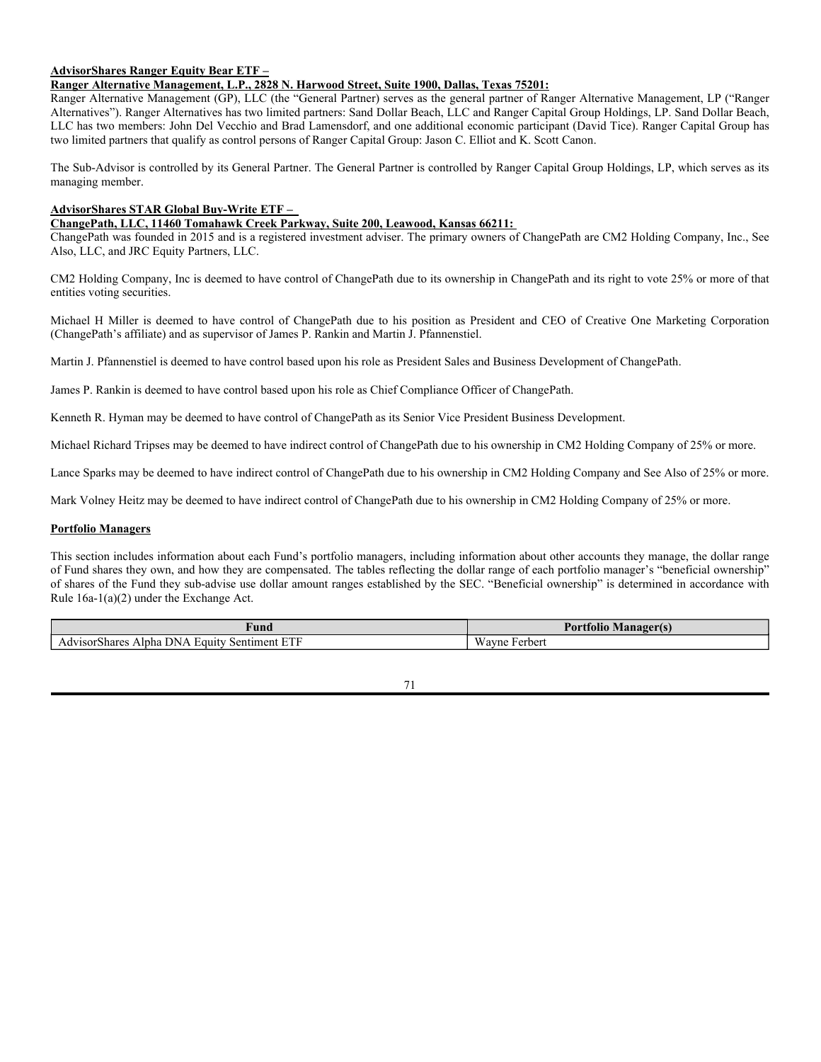- (2) Effective November 1, 2021, the Fund's sub-advisory fee was changed from 0.15% to 0.12% of the Fund's daily net assets. The fees reflected prior to June 30, 2021 represent the sub-advisory fees paid to Sage Advisory Services, Ltd. Co., the Fund's former investment sub-advisor.
- (3) Not engaged in a sub-advisory arrangement for the period.
- (4) The fees reflected prior to November 25, 2020 represent the sub-advisory fees paid to Partnervest Advisory Services, LLC, the Fund's former investment sub-advisor.

With respect to the AdvisorShares Q Portfolio Blended Allocation ETF and AdvisorShares Q Dynamic Growth ETF, the Sub-Advisor's fee has two components – the base fee and the performance fee adjustment. The base fee is the pre-determined rate at which the Sub-Advisor is paid when a Fund's net performance is in line with Fund's pre-determined performance benchmark. The base fee is subject to an upward or downward adjustment by the performance fee. If a Fund outperforms the performance benchmark, the Sub-Advisor may receive an upward fee adjustment. If a Fund underperforms the performance benchmark, the Sub-Advisor may receive a downward fee adjustment. The Sub-Advisor's annual base fee is 0.50% of the AdvisorShares Q Portfolio Blended Allocation ETF's average daily net assets and 0.65% of the AdvisorShares Q Dynamic Growth ETF's average daily net assets. The performance fee adjustment is derived by comparing a Fund's performance over a rolling twelve-month period to its performance benchmark. The base fee is adjusted at a rate of 0.02% for every 0.25% to 0.50% of out-performance or under-performance compared to the performance benchmark, but only up to 2.00% of the performance benchmark. As a result, the maximum possible performance fee adjustment, up or down, to the base fee is 0.10%. Accordingly, the Sub-Advisor's annual sub-advisory fee may range from 0.40% to 0.60% of the AdvisorShares Q Portfolio Blended Allocation ETF's average daily net assets and 0.55% to 0.75% of the AdvisorShares Q Dynamic Growth ETF's average daily net assets. The following tables illustrate how the effective annual rate of the sub-advisory fee for each Fund would vary under this "fulcrum" fee arrangement:

#### **AdvisorShares Q Portfolio Blended Allocation ETF**

| <b>Base Fee</b>            | 0.50%    |
|----------------------------|----------|
| <b>Incremental Changes</b> | 0.02%    |
|                            |          |
| 2.00%                      | $0.60\%$ |
| 1.50%                      | 0.58%    |
| 1.25%                      | $0.56\%$ |
| 1.00%                      | 0.54%    |
| 0.50%                      | 0.52%    |
|                            |          |
| $-0.50%$                   | 0.48%    |
| $-1.00\%$                  | 0.46%    |
| $-1.25%$                   | $0.44\%$ |
| $-1.50\%$                  | 0.42%    |
| $-2.00\%$                  | 0.40%    |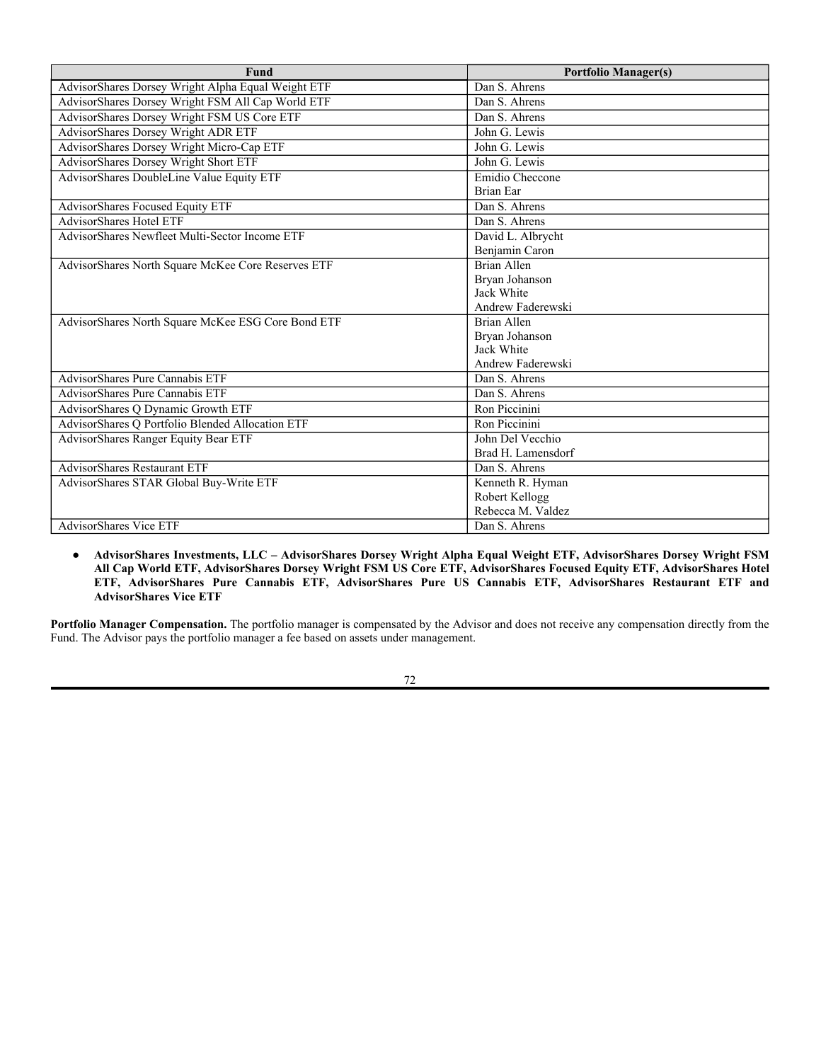### **AdvisorShares Q Dynamic Growth ETF**

| <b>Base Fee</b>     | 0.65%    |
|---------------------|----------|
| Incremental Changes | 0.02%    |
|                     |          |
| 2.00%               | 0.75%    |
| 1.50%               | 0.73%    |
| 1.25%               | 0.71%    |
| 1.00%               | $0.69\%$ |
| 0.50%               | 0.67%    |
|                     |          |
| $-0.50%$            | 0.63%    |
| $-1.00\%$           | 0.61%    |
| $-1.25%$            | $0.59\%$ |
| $-1.50%$            | 0.57%    |
| $-2.00\%$           | $0.55\%$ |

**Control Persons of Sub-Advisors**. The following information describes the control persons of each Sub-Advisor.

## **AdvisorShares Alpha DNA Equity Sentiment ETF –**

**Alpha DNA Investment Management, LLC, 8860 Columbia 100 Parkway, Suite 301, Columbia, Maryland 21045:**

The Sub-Advisor is owned and controlled by Wayne Ferbert.

### **AdvisorShares Dorsey Wright ADR ETF, AdvisorShares Dorsey Wright Micro-Cap ETF and AdvisorShares Dorsey Wright Short ETF – Dorsey, Wright & Associates, LLC, 3300 W. Leigh Street, Richmond, Virginia 23230:**

Dorsey Wright is a wholly owned subsidiary of Nasdaq, Inc., a stock exchange and financial services firm.

# **AdvisorShares DoubleLine Value Equity ETF –**

## **DoubleLine Equity LP, 505 N. Brand Boulevard, Suite 860, Glendale, California 91203:**

The Sub-Advisor was organized in 2013 as a Delaware limited partnership. The Sub-Advisor's general partner is DoubleLine Capital GP LLC, an entity that is wholly owned by Jeffrey E. Gundlach. As a result, Mr. Gundlach may be deemed to control the Sub-Advisor.

## **AdvisorShares Newfleet Multi-Sector Income ETF –**

## **Newfleet Asset Management, LLC, One Financial Plaza, Hartford, Connecticut 06103:**

Newfleet is a wholly-owned subsidiary of Virtus Investment Partners, a publicly traded company on NASDAQ. Virtus is a holding company for several investment managers with distinct styles and investment processes.

#### **AdvisorShares North Square McKee Core Reserves ETF and AdvisorShares North Square McKee ESG Core Bond ETF – CSM Advisors, LLC, 420 Fort Duquesne Boulevard, Pittsburgh, Pennsylvania 15222**:

CSM Advisors, LLC and its affiliates are ultimately and beneficially owned and controlled by NSI Holdco, LLC.

## **AdvisorShares Q Dynamic Growth ETF and AdvisorShares Q Portfolio Blended Allocation ETF –**

# **ThinkBetter, LLC, 1924 South Osprey Avenue, Suite 202, Sarasota, Florida 34239:**

ThinkBetter, LLC is owned by ThinkBetter Holdings, LLC, which is owned by senior management of ThinkBetter, LLC.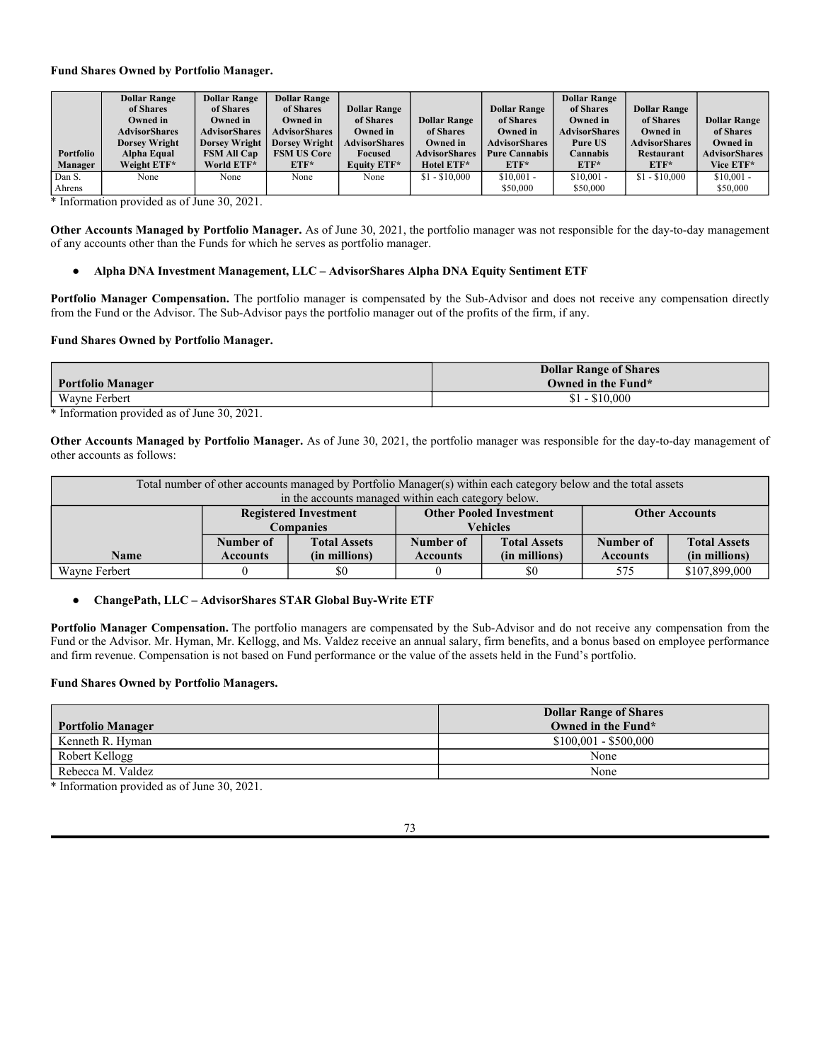# **AdvisorShares Ranger Equity Bear ETF –**

**Ranger Alternative Management, L.P., 2828 N. Harwood Street, Suite 1900, Dallas, Texas 75201:**

Ranger Alternative Management (GP), LLC (the "General Partner) serves as the general partner of Ranger Alternative Management, LP ("Ranger Alternatives"). Ranger Alternatives has two limited partners: Sand Dollar Beach, LLC and Ranger Capital Group Holdings, LP. Sand Dollar Beach, LLC has two members: John Del Vecchio and Brad Lamensdorf, and one additional economic participant (David Tice). Ranger Capital Group has two limited partners that qualify as control persons of Ranger Capital Group: Jason C. Elliot and K. Scott Canon.

The Sub-Advisor is controlled by its General Partner. The General Partner is controlled by Ranger Capital Group Holdings, LP, which serves as its managing member.

## **AdvisorShares STAR Global Buy-Write ETF –**

# **ChangePath, LLC, 11460 Tomahawk Creek Parkway, Suite 200, Leawood, Kansas 66211:**

ChangePath was founded in 2015 and is a registered investment adviser. The primary owners of ChangePath are CM2 Holding Company, Inc., See Also, LLC, and JRC Equity Partners, LLC.

CM2 Holding Company, Inc is deemed to have control of ChangePath due to its ownership in ChangePath and its right to vote 25% or more of that entities voting securities.

Michael H Miller is deemed to have control of ChangePath due to his position as President and CEO of Creative One Marketing Corporation (ChangePath's affiliate) and as supervisor of James P. Rankin and Martin J. Pfannenstiel.

Martin J. Pfannenstiel is deemed to have control based upon his role as President Sales and Business Development of ChangePath.

James P. Rankin is deemed to have control based upon his role as Chief Compliance Officer of ChangePath.

Kenneth R. Hyman may be deemed to have control of ChangePath as its Senior Vice President Business Development.

Michael Richard Tripses may be deemed to have indirect control of ChangePath due to his ownership in CM2 Holding Company of 25% or more.

Lance Sparks may be deemed to have indirect control of ChangePath due to his ownership in CM2 Holding Company and See Also of 25% or more.

Mark Volney Heitz may be deemed to have indirect control of ChangePath due to his ownership in CM2 Holding Company of 25% or more.

### **Portfolio Managers**

This section includes information about each Fund's portfolio managers, including information about other accounts they manage, the dollar range of Fund shares they own, and how they are compensated. The tables reflecting the dollar range of each portfolio manager's "beneficial ownership" of shares of the Fund they sub-advise use dollar amount ranges established by the SEC. "Beneficial ownership" is determined in accordance with Rule 16a-1(a)(2) under the Exchange Act.

| ∀und                                                                      | $\blacksquare$<br>. . |
|---------------------------------------------------------------------------|-----------------------|
| <b>DET</b><br>IN A<br>sentiment<br>.Shares<br>Alpha<br>'amtv<br>.st<br>¬. | $-$<br>erber<br>Wayne |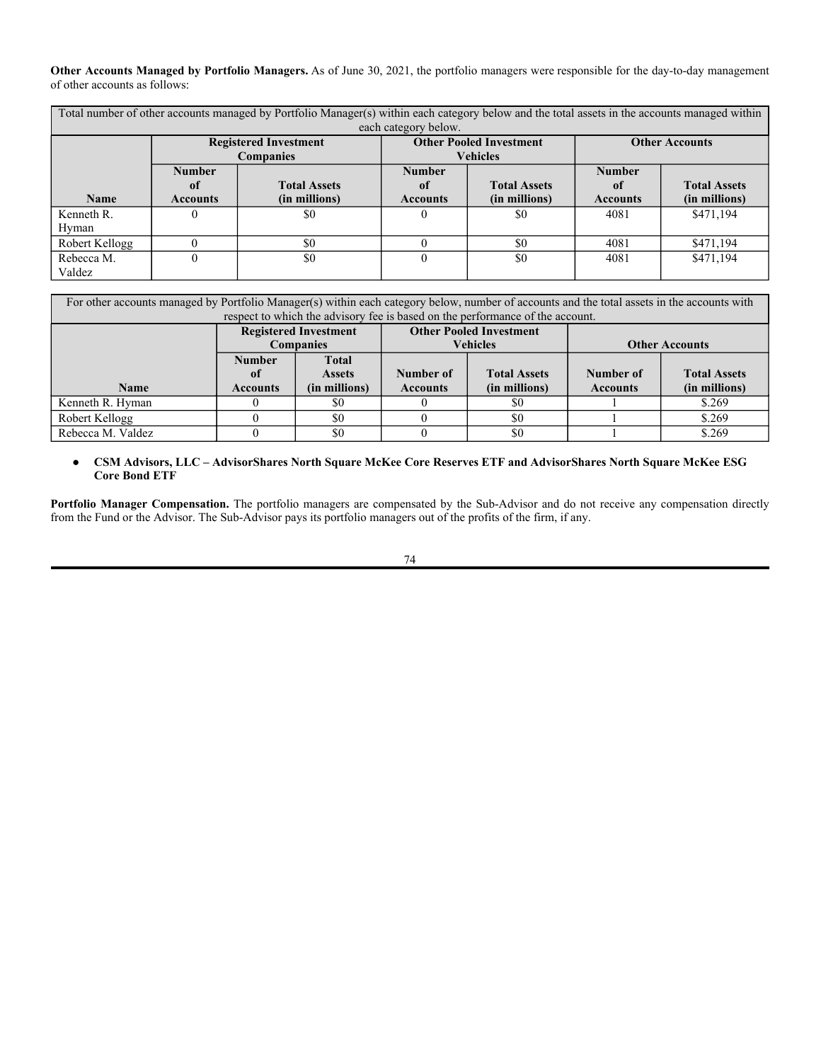| <b>Fund</b>                                        | <b>Portfolio Manager(s)</b> |
|----------------------------------------------------|-----------------------------|
| AdvisorShares Dorsey Wright Alpha Equal Weight ETF | Dan S. Ahrens               |
| AdvisorShares Dorsey Wright FSM All Cap World ETF  | Dan S. Ahrens               |
| AdvisorShares Dorsey Wright FSM US Core ETF        | Dan S. Ahrens               |
| AdvisorShares Dorsey Wright ADR ETF                | John G. Lewis               |
| AdvisorShares Dorsey Wright Micro-Cap ETF          | John G. Lewis               |
| <b>AdvisorShares Dorsey Wright Short ETF</b>       | John G. Lewis               |
| AdvisorShares DoubleLine Value Equity ETF          | Emidio Checcone             |
|                                                    | <b>Brian Ear</b>            |
| AdvisorShares Focused Equity ETF                   | Dan S. Ahrens               |
| <b>AdvisorShares Hotel ETF</b>                     | Dan S. Ahrens               |
| AdvisorShares Newfleet Multi-Sector Income ETF     | David L. Albrycht           |
|                                                    | Benjamin Caron              |
| AdvisorShares North Square McKee Core Reserves ETF | Brian Allen                 |
|                                                    | Bryan Johanson              |
|                                                    | Jack White                  |
|                                                    | Andrew Faderewski           |
| AdvisorShares North Square McKee ESG Core Bond ETF | Brian Allen                 |
|                                                    | Bryan Johanson              |
|                                                    | Jack White                  |
|                                                    | Andrew Faderewski           |
| AdvisorShares Pure Cannabis ETF                    | Dan S. Ahrens               |
| AdvisorShares Pure Cannabis ETF                    | Dan S. Ahrens               |
| AdvisorShares Q Dynamic Growth ETF                 | Ron Piccinini               |
| AdvisorShares Q Portfolio Blended Allocation ETF   | Ron Piccinini               |
| AdvisorShares Ranger Equity Bear ETF               | John Del Vecchio            |
|                                                    | Brad H. Lamensdorf          |
| <b>AdvisorShares Restaurant ETF</b>                | Dan S. Ahrens               |
| AdvisorShares STAR Global Buy-Write ETF            | Kenneth R. Hyman            |
|                                                    | Robert Kellogg              |
|                                                    | Rebecca M. Valdez           |
| AdvisorShares Vice ETF                             | Dan S. Ahrens               |

● **AdvisorShares Investments, LLC – AdvisorShares Dorsey Wright Alpha Equal Weight ETF, AdvisorShares Dorsey Wright FSM All Cap World ETF, AdvisorShares Dorsey Wright FSM US Core ETF, AdvisorShares Focused Equity ETF, AdvisorShares Hotel ETF, AdvisorShares Pure Cannabis ETF, AdvisorShares Pure US Cannabis ETF, AdvisorShares Restaurant ETF and AdvisorShares Vice ETF**

**Portfolio Manager Compensation.** The portfolio manager is compensated by the Advisor and does not receive any compensation directly from the Fund. The Advisor pays the portfolio manager a fee based on assets under management.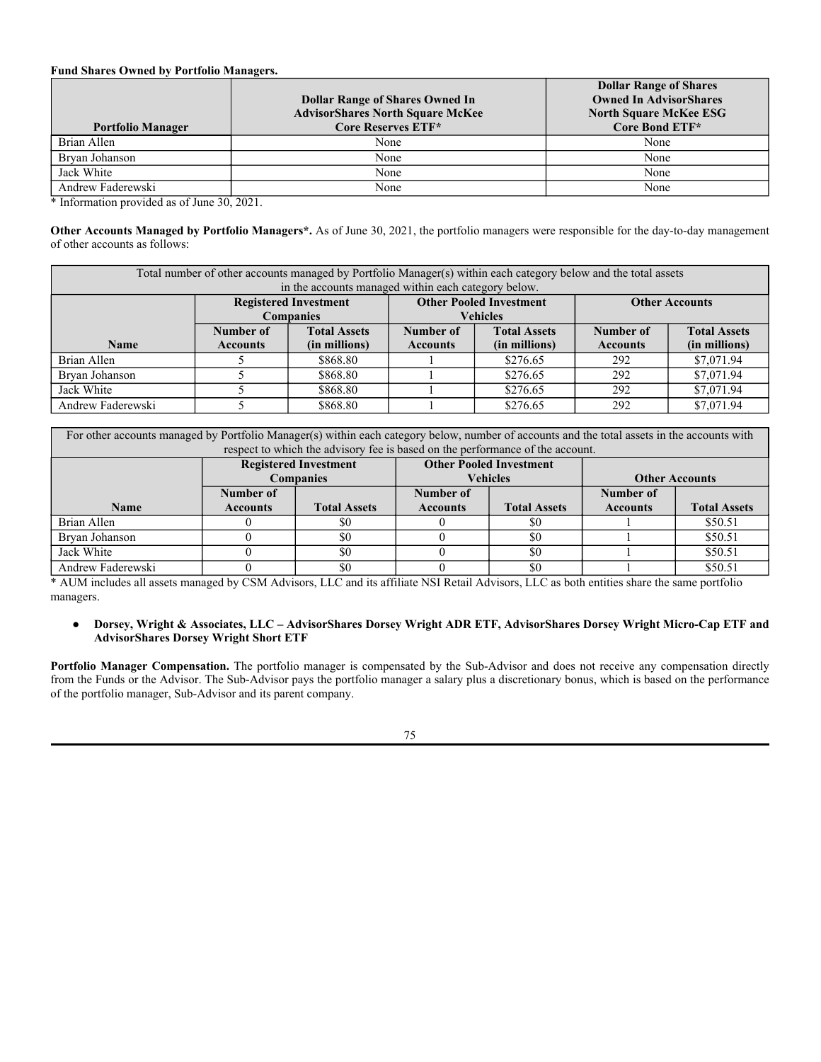### **Fund Shares Owned by Portfolio Manager.**

|           | <b>Dollar Range</b>  | <b>Dollar Range</b>  | <b>Dollar Range</b>  |                      |                      |                      | <b>Dollar Range</b>  |                      |                      |
|-----------|----------------------|----------------------|----------------------|----------------------|----------------------|----------------------|----------------------|----------------------|----------------------|
|           | of Shares            | of Shares            | of Shares            | <b>Dollar Range</b>  |                      | <b>Dollar Range</b>  | of Shares            | <b>Dollar Range</b>  |                      |
|           | Owned in             | Owned in             | Owned in             | of Shares            | <b>Dollar Range</b>  | of Shares            | Owned in             | of Shares            | <b>Dollar Range</b>  |
|           | <b>AdvisorShares</b> | <b>AdvisorShares</b> | <b>AdvisorShares</b> | Owned in             | of Shares            | Owned in             | <b>AdvisorShares</b> | Owned in             | of Shares            |
|           | <b>Dorsey Wright</b> | <b>Dorsey Wright</b> | <b>Dorsey Wright</b> | <b>AdvisorShares</b> | Owned in             | <b>AdvisorShares</b> | Pure US              | <b>AdvisorShares</b> | Owned in             |
| Portfolio | Alpha Equal          | <b>FSM All Cap</b>   | <b>FSM US Core</b>   | Focused              | <b>AdvisorShares</b> | <b>Pure Cannabis</b> | <b>Cannabis</b>      | Restaurant           | <b>AdvisorShares</b> |
| Manager   | Weight ETF*          | World ETF*           | $ETF*$               | Equity ETF*          | Hotel ETF*           | $ETF*$               | $ETF*$               | $ETF*$               | Vice ETF*            |
| Dan S.    | None                 | None                 | None                 | None                 | $$1 - $10,000$       | $$10,001 -$          | $$10,001 -$          | $$1 - $10,000$       | $$10,001 -$          |
| Ahrens    |                      |                      |                      |                      |                      | \$50,000             | \$50,000             |                      | \$50,000             |

\* Information provided as of June 30, 2021.

**Other Accounts Managed by Portfolio Manager.** As of June 30, 2021, the portfolio manager was not responsible for the day-to-day management of any accounts other than the Funds for which he serves as portfolio manager.

### ● **Alpha DNA Investment Management, LLC – AdvisorShares Alpha DNA Equity Sentiment ETF**

Portfolio Manager Compensation. The portfolio manager is compensated by the Sub-Advisor and does not receive any compensation directly from the Fund or the Advisor. The Sub-Advisor pays the portfolio manager out of the profits of the firm, if any.

#### **Fund Shares Owned by Portfolio Manager.**

| <b>Portfolio Manager</b> | <b>Dollar Range of Shares</b><br>Owned in the Fund* |
|--------------------------|-----------------------------------------------------|
| Wavne Ferbert            | $-$ \$10,000                                        |

\* Information provided as of June 30, 2021.

**Other Accounts Managed by Portfolio Manager.** As of June 30, 2021, the portfolio manager was responsible for the day-to-day management of other accounts as follows:

| Total number of other accounts managed by Portfolio Manager(s) within each category below and the total assets |                                  |                                                     |                                |                     |                       |                     |
|----------------------------------------------------------------------------------------------------------------|----------------------------------|-----------------------------------------------------|--------------------------------|---------------------|-----------------------|---------------------|
|                                                                                                                |                                  | in the accounts managed within each category below. |                                |                     |                       |                     |
|                                                                                                                |                                  | <b>Registered Investment</b>                        | <b>Other Pooled Investment</b> |                     | <b>Other Accounts</b> |                     |
|                                                                                                                | <b>Companies</b>                 |                                                     | <b>Vehicles</b>                |                     |                       |                     |
|                                                                                                                | <b>Total Assets</b><br>Number of |                                                     | Number of                      | <b>Total Assets</b> | Number of             | <b>Total Assets</b> |
| <b>Name</b>                                                                                                    | <b>Accounts</b>                  | (in millions)                                       | <b>Accounts</b>                | (in millions)       | <b>Accounts</b>       | (in millions)       |
| Wavne Ferbert                                                                                                  |                                  | \$0                                                 |                                | \$0                 | 575                   | \$107,899,000       |

#### ● **ChangePath, LLC – AdvisorShares STAR Global Buy-Write ETF**

**Portfolio Manager Compensation.** The portfolio managers are compensated by the Sub-Advisor and do not receive any compensation from the Fund or the Advisor. Mr. Hyman, Mr. Kellogg, and Ms. Valdez receive an annual salary, firm benefits, and a bonus based on employee performance and firm revenue. Compensation is not based on Fund performance or the value of the assets held in the Fund's portfolio.

#### **Fund Shares Owned by Portfolio Managers.**

| <b>Portfolio Manager</b> | <b>Dollar Range of Shares</b><br>Owned in the Fund* |
|--------------------------|-----------------------------------------------------|
| Kenneth R. Hyman         | $$100,001 - $500,000$                               |
| Robert Kellogg           | None                                                |
| Rebecca M. Valdez        | None                                                |

\* Information provided as of June 30, 2021.

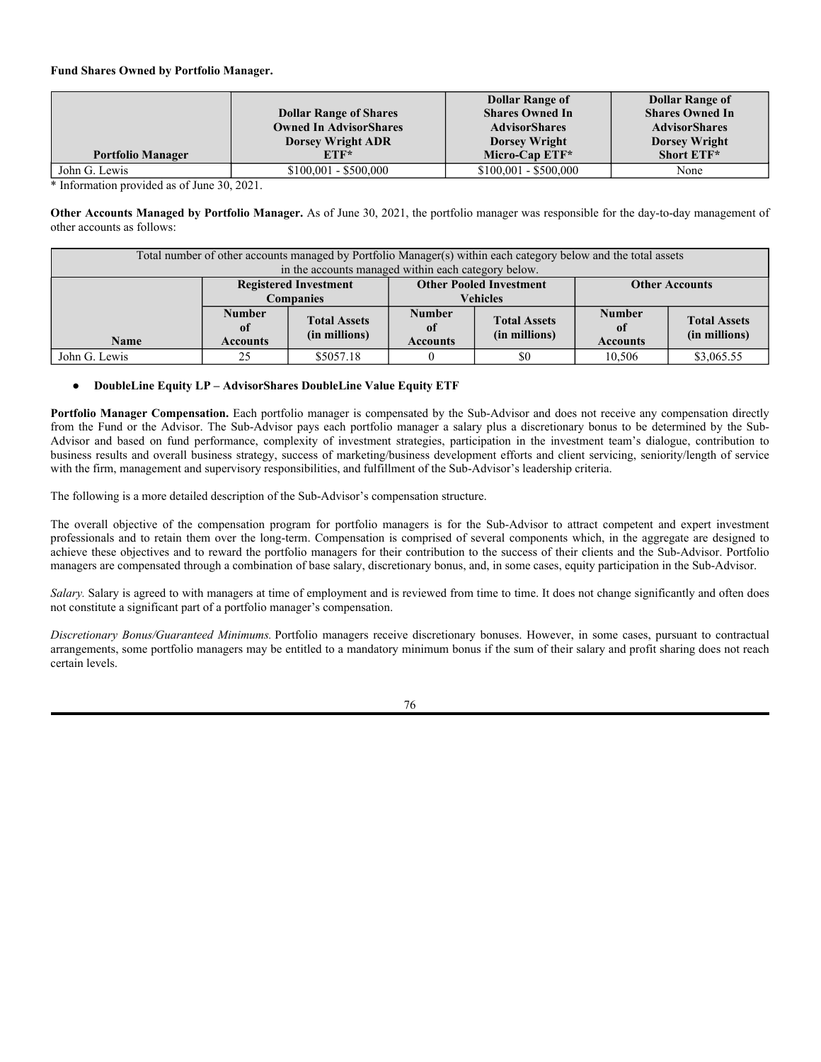**Other Accounts Managed by Portfolio Managers.** As of June 30, 2021, the portfolio managers were responsible for the day-to-day management of other accounts as follows:

| Total number of other accounts managed by Portfolio Manager(s) within each category below and the total assets in the accounts managed within |                      |                              |                 |                                |                 |                       |  |
|-----------------------------------------------------------------------------------------------------------------------------------------------|----------------------|------------------------------|-----------------|--------------------------------|-----------------|-----------------------|--|
|                                                                                                                                               | each category below. |                              |                 |                                |                 |                       |  |
|                                                                                                                                               |                      | <b>Registered Investment</b> |                 | <b>Other Pooled Investment</b> |                 | <b>Other Accounts</b> |  |
|                                                                                                                                               |                      | <b>Companies</b>             |                 | <b>Vehicles</b>                |                 |                       |  |
|                                                                                                                                               | <b>Number</b>        |                              | <b>Number</b>   |                                | <b>Number</b>   |                       |  |
|                                                                                                                                               | 0f                   | <b>Total Assets</b>          | 0f              | <b>Total Assets</b>            | 0ť              | <b>Total Assets</b>   |  |
| <b>Name</b>                                                                                                                                   | <b>Accounts</b>      | (in millions)                | <b>Accounts</b> | (in millions)                  | <b>Accounts</b> | (in millions)         |  |
| Kenneth R.                                                                                                                                    |                      | \$0                          |                 | \$0                            | 4081            | \$471,194             |  |
| Hyman                                                                                                                                         |                      |                              |                 |                                |                 |                       |  |
| Robert Kellogg                                                                                                                                |                      | \$0                          |                 | \$0                            | 4081            | \$471,194             |  |
| Rebecca M.                                                                                                                                    |                      | \$0                          |                 | \$0                            | 4081            | \$471,194             |  |
| Valdez                                                                                                                                        |                      |                              |                 |                                |                 |                       |  |

| For other accounts managed by Portfolio Manager(s) within each category below, number of accounts and the total assets in the accounts with |               |                              |                                |                     |                       |                     |
|---------------------------------------------------------------------------------------------------------------------------------------------|---------------|------------------------------|--------------------------------|---------------------|-----------------------|---------------------|
| respect to which the advisory fee is based on the performance of the account.                                                               |               |                              |                                |                     |                       |                     |
|                                                                                                                                             |               | <b>Registered Investment</b> | <b>Other Pooled Investment</b> |                     |                       |                     |
|                                                                                                                                             | Companies     |                              | Vehicles                       |                     | <b>Other Accounts</b> |                     |
|                                                                                                                                             | <b>Number</b> | <b>Total</b>                 |                                |                     |                       |                     |
|                                                                                                                                             | nf            | <b>A</b> ssets               | Number of                      | <b>Total Assets</b> | Number of             | <b>Total Assets</b> |

|                   | 0        | <b>Assets</b> | Number of       | <b>Total Assets</b> | Number of       | <b>Total Assets</b> |
|-------------------|----------|---------------|-----------------|---------------------|-----------------|---------------------|
| Name              | Accounts | (in millions) | <b>Accounts</b> | (in millions)       | <b>Accounts</b> | (in millions)       |
| Kenneth R. Hyman  |          |               |                 |                     |                 | \$.269              |
| Robert Kellogg    |          | \$0           |                 | \$0                 |                 | \$.269              |
| Rebecca M. Valdez |          | \$0           |                 | \$0                 |                 | \$.269              |

## ● **CSM Advisors, LLC – AdvisorShares North Square McKee Core Reserves ETF and AdvisorShares North Square McKee ESG Core Bond ETF**

**Portfolio Manager Compensation.** The portfolio managers are compensated by the Sub-Advisor and do not receive any compensation directly from the Fund or the Advisor. The Sub-Advisor pays its portfolio managers out of the profits of the firm, if any.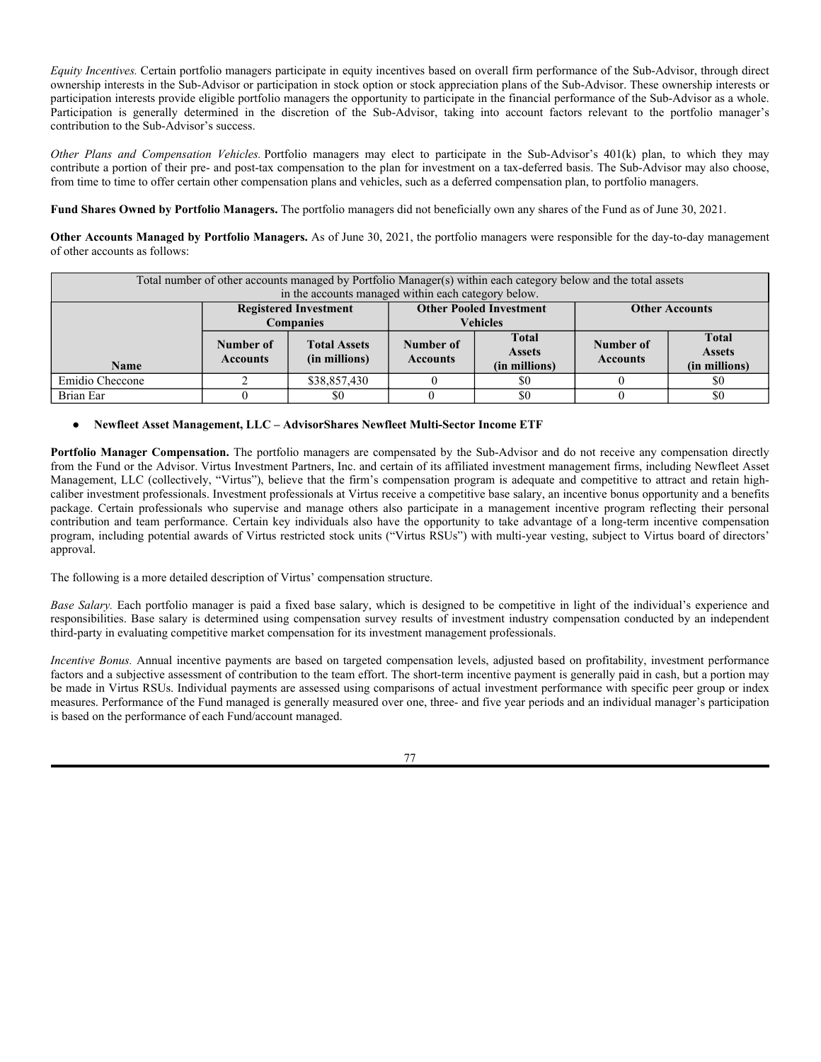### **Fund Shares Owned by Portfolio Managers.**

| <b>Portfolio Manager</b> | <b>Dollar Range of Shares Owned In</b><br><b>AdvisorShares North Square McKee</b><br>Core Reserves ETF* | <b>Dollar Range of Shares</b><br><b>Owned In AdvisorShares</b><br><b>North Square McKee ESG</b><br>Core Bond ETF* |
|--------------------------|---------------------------------------------------------------------------------------------------------|-------------------------------------------------------------------------------------------------------------------|
| Brian Allen              | None                                                                                                    | None                                                                                                              |
| Brvan Johanson           | None                                                                                                    | None                                                                                                              |
| Jack White               | None                                                                                                    | None                                                                                                              |
| Andrew Faderewski        | None                                                                                                    | None                                                                                                              |

\* Information provided as of June 30, 2021.

**Other Accounts Managed by Portfolio Managers\*.** As of June 30, 2021, the portfolio managers were responsible for the day-to-day management of other accounts as follows:

| Total number of other accounts managed by Portfolio Manager(s) within each category below and the total assets<br>in the accounts managed within each category below. |                              |                     |                 |                                |                 |                       |
|-----------------------------------------------------------------------------------------------------------------------------------------------------------------------|------------------------------|---------------------|-----------------|--------------------------------|-----------------|-----------------------|
|                                                                                                                                                                       |                              |                     |                 |                                |                 |                       |
|                                                                                                                                                                       | <b>Registered Investment</b> |                     |                 | <b>Other Pooled Investment</b> |                 | <b>Other Accounts</b> |
|                                                                                                                                                                       |                              | <b>Companies</b>    |                 | <b>Vehicles</b>                |                 |                       |
|                                                                                                                                                                       | Number of                    | <b>Total Assets</b> | Number of       | <b>Total Assets</b>            | Number of       | <b>Total Assets</b>   |
| <b>Name</b>                                                                                                                                                           | <b>Accounts</b>              | (in millions)       | <b>Accounts</b> | (in millions)                  | <b>Accounts</b> | (in millions)         |
| Brian Allen                                                                                                                                                           |                              | \$868.80            |                 | \$276.65                       | 292             | \$7,071.94            |
| Bryan Johanson                                                                                                                                                        |                              | \$868.80            |                 | \$276.65                       | 292             | \$7,071.94            |
| Jack White                                                                                                                                                            |                              | \$868.80            |                 | \$276.65                       | 292             | \$7,071.94            |
| Andrew Faderewski                                                                                                                                                     |                              | \$868.80            |                 | \$276.65                       | 292             | \$7,071.94            |

For other accounts managed by Portfolio Manager(s) within each category below, number of accounts and the total assets in the accounts with respect to which the advisory fee is based on the performance of the account.

|                   | <b>Registered Investment</b><br><b>Companies</b> |                     |                 | <b>Other Pooled Investment</b><br><b>Vehicles</b> | <b>Other Accounts</b> |                     |
|-------------------|--------------------------------------------------|---------------------|-----------------|---------------------------------------------------|-----------------------|---------------------|
|                   | Number of                                        |                     | Number of       |                                                   | Number of             |                     |
| <b>Name</b>       | <b>Accounts</b>                                  | <b>Total Assets</b> | <b>Accounts</b> | <b>Total Assets</b>                               | <b>Accounts</b>       | <b>Total Assets</b> |
| Brian Allen       |                                                  | \$0                 |                 | \$0                                               |                       | \$50.51             |
| Bryan Johanson    |                                                  | \$0                 |                 | \$0                                               |                       | \$50.51             |
| Jack White        |                                                  | \$0                 |                 | \$0                                               |                       | \$50.51             |
| Andrew Faderewski |                                                  | \$0                 |                 | \$0                                               |                       | \$50.51             |

\* AUM includes all assets managed by CSM Advisors, LLC and its affiliate NSI Retail Advisors, LLC as both entities share the same portfolio managers.

#### ● **Dorsey, Wright & Associates, LLC – AdvisorShares Dorsey Wright ADR ETF, AdvisorShares Dorsey Wright Micro-Cap ETF and AdvisorShares Dorsey Wright Short ETF**

**Portfolio Manager Compensation.** The portfolio manager is compensated by the Sub-Advisor and does not receive any compensation directly from the Funds or the Advisor. The Sub-Advisor pays the portfolio manager a salary plus a discretionary bonus, which is based on the performance of the portfolio manager, Sub-Advisor and its parent company.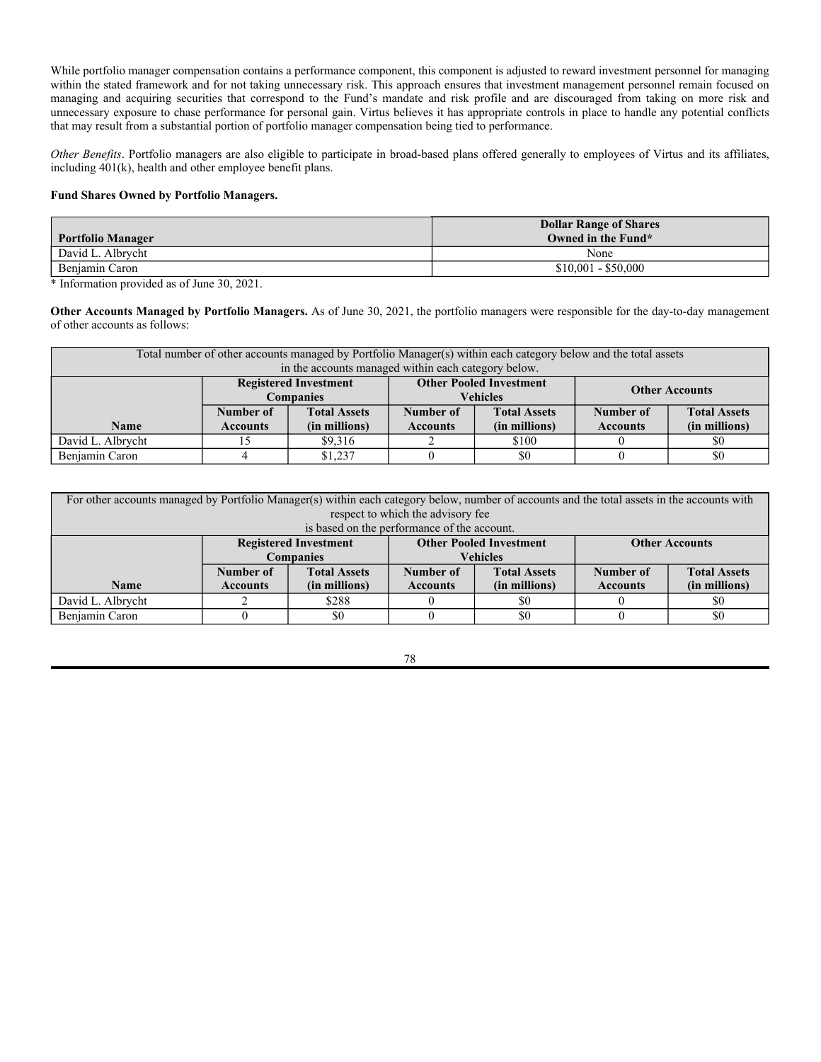## **Fund Shares Owned by Portfolio Manager.**

|                          |                               | <b>Dollar Range of</b> | <b>Dollar Range of</b> |
|--------------------------|-------------------------------|------------------------|------------------------|
|                          | <b>Dollar Range of Shares</b> | <b>Shares Owned In</b> | <b>Shares Owned In</b> |
|                          | <b>Owned In AdvisorShares</b> | <b>AdvisorShares</b>   | <b>AdvisorShares</b>   |
|                          | <b>Dorsey Wright ADR</b>      | <b>Dorsey Wright</b>   | <b>Dorsey Wright</b>   |
| <b>Portfolio Manager</b> | $ETF*$                        | Micro-Cap ETF*         | Short ETF*             |
| John G. Lewis            | $$100,001 - $500,000$         | $$100,001 - $500,000$  | None                   |

\* Information provided as of June 30, 2021.

**Other Accounts Managed by Portfolio Manager.** As of June 30, 2021, the portfolio manager was responsible for the day-to-day management of other accounts as follows:

| Total number of other accounts managed by Portfolio Manager(s) within each category below and the total assets<br>in the accounts managed within each category below. |                              |                     |                                |                     |                       |                     |
|-----------------------------------------------------------------------------------------------------------------------------------------------------------------------|------------------------------|---------------------|--------------------------------|---------------------|-----------------------|---------------------|
|                                                                                                                                                                       | <b>Registered Investment</b> |                     | <b>Other Pooled Investment</b> |                     | <b>Other Accounts</b> |                     |
|                                                                                                                                                                       |                              | <b>Companies</b>    |                                | <b>Vehicles</b>     |                       |                     |
|                                                                                                                                                                       | <b>Number</b><br>of          | <b>Total Assets</b> | <b>Number</b><br>of            | <b>Total Assets</b> | <b>Number</b><br>0f   | <b>Total Assets</b> |
| <b>Name</b>                                                                                                                                                           | <b>Accounts</b>              | (in millions)       | <b>Accounts</b>                | (in millions)       | <b>Accounts</b>       | (in millions)       |
| John G. Lewis                                                                                                                                                         | 25                           | \$5057.18           |                                | \$0                 | 10.506                | \$3,065.55          |

## **DoubleLine Equity LP – AdvisorShares DoubleLine Value Equity ETF**

Portfolio Manager Compensation. Each portfolio manager is compensated by the Sub-Advisor and does not receive any compensation directly from the Fund or the Advisor. The Sub-Advisor pays each portfolio manager a salary plus a discretionary bonus to be determined by the Sub-Advisor and based on fund performance, complexity of investment strategies, participation in the investment team's dialogue, contribution to business results and overall business strategy, success of marketing/business development efforts and client servicing, seniority/length of service with the firm, management and supervisory responsibilities, and fulfillment of the Sub-Advisor's leadership criteria.

The following is a more detailed description of the Sub-Advisor's compensation structure.

The overall objective of the compensation program for portfolio managers is for the Sub-Advisor to attract competent and expert investment professionals and to retain them over the long-term. Compensation is comprised of several components which, in the aggregate are designed to achieve these objectives and to reward the portfolio managers for their contribution to the success of their clients and the Sub-Advisor. Portfolio managers are compensated through a combination of base salary, discretionary bonus, and, in some cases, equity participation in the Sub-Advisor.

*Salary.* Salary is agreed to with managers at time of employment and is reviewed from time to time. It does not change significantly and often does not constitute a significant part of a portfolio manager's compensation.

*Discretionary Bonus/Guaranteed Minimums.* Portfolio managers receive discretionary bonuses. However, in some cases, pursuant to contractual arrangements, some portfolio managers may be entitled to a mandatory minimum bonus if the sum of their salary and profit sharing does not reach certain levels.

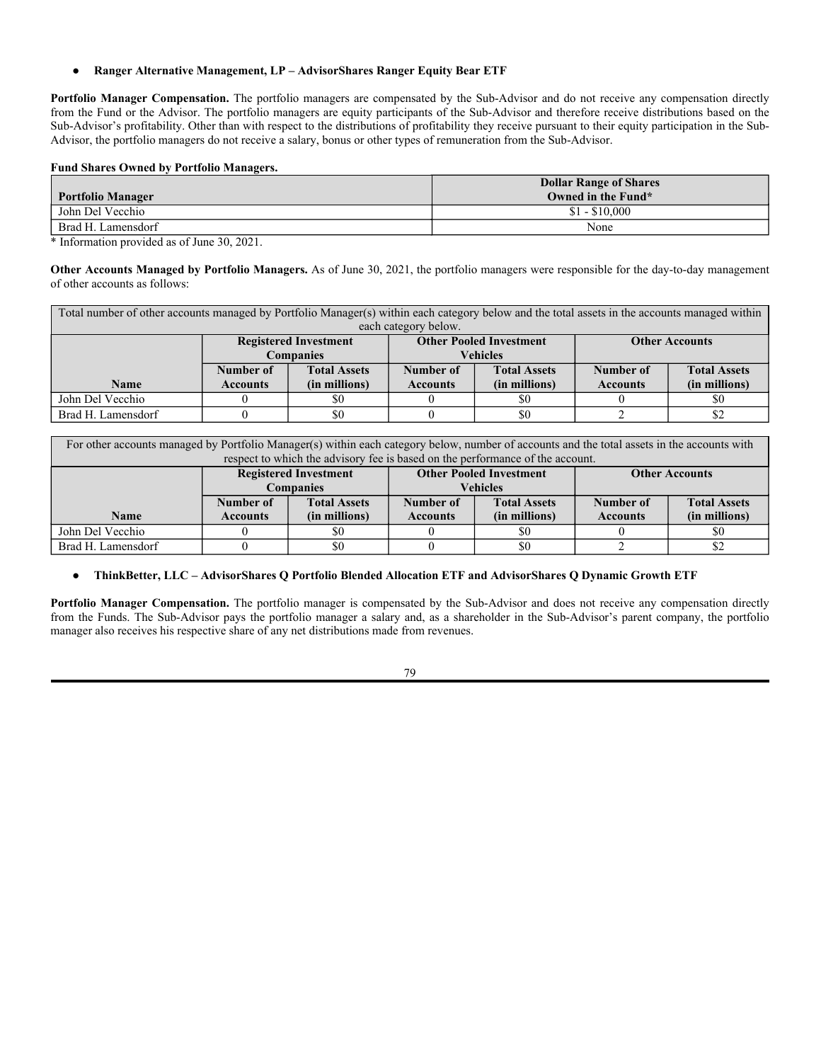*Equity Incentives.* Certain portfolio managers participate in equity incentives based on overall firm performance of the Sub-Advisor, through direct ownership interests in the Sub-Advisor or participation in stock option or stock appreciation plans of the Sub-Advisor. These ownership interests or participation interests provide eligible portfolio managers the opportunity to participate in the financial performance of the Sub-Advisor as a whole. Participation is generally determined in the discretion of the Sub-Advisor, taking into account factors relevant to the portfolio manager's contribution to the Sub-Advisor's success.

*Other Plans and Compensation Vehicles.* Portfolio managers may elect to participate in the Sub-Advisor's 401(k) plan, to which they may contribute a portion of their pre- and post-tax compensation to the plan for investment on a tax-deferred basis. The Sub-Advisor may also choose, from time to time to offer certain other compensation plans and vehicles, such as a deferred compensation plan, to portfolio managers.

**Fund Shares Owned by Portfolio Managers.** The portfolio managers did not beneficially own any shares of the Fund as of June 30, 2021.

**Other Accounts Managed by Portfolio Managers.** As of June 30, 2021, the portfolio managers were responsible for the day-to-day management of other accounts as follows:

| Total number of other accounts managed by Portfolio Manager(s) within each category below and the total assets<br>in the accounts managed within each category below. |                                                  |                                      |                                                   |                                                |                              |                                                |
|-----------------------------------------------------------------------------------------------------------------------------------------------------------------------|--------------------------------------------------|--------------------------------------|---------------------------------------------------|------------------------------------------------|------------------------------|------------------------------------------------|
|                                                                                                                                                                       | <b>Registered Investment</b><br><b>Companies</b> |                                      | <b>Other Pooled Investment</b><br><b>Vehicles</b> |                                                | <b>Other Accounts</b>        |                                                |
|                                                                                                                                                                       |                                                  |                                      |                                                   |                                                |                              |                                                |
| <b>Name</b>                                                                                                                                                           | Number of<br><b>Accounts</b>                     | <b>Total Assets</b><br>(in millions) | Number of<br><b>Accounts</b>                      | <b>Total</b><br><b>Assets</b><br>(in millions) | Number of<br><b>Accounts</b> | <b>Total</b><br><b>Assets</b><br>(in millions) |
| Emidio Checcone                                                                                                                                                       |                                                  | \$38,857,430                         |                                                   | \$0                                            |                              | \$0                                            |
| Brian Ear                                                                                                                                                             |                                                  | \$0                                  |                                                   | \$0                                            |                              | \$0                                            |

# ● **Newfleet Asset Management, LLC – AdvisorShares Newfleet Multi-Sector Income ETF**

**Portfolio Manager Compensation.** The portfolio managers are compensated by the Sub-Advisor and do not receive any compensation directly from the Fund or the Advisor. Virtus Investment Partners, Inc. and certain of its affiliated investment management firms, including Newfleet Asset Management, LLC (collectively, "Virtus"), believe that the firm's compensation program is adequate and competitive to attract and retain highcaliber investment professionals. Investment professionals at Virtus receive a competitive base salary, an incentive bonus opportunity and a benefits package. Certain professionals who supervise and manage others also participate in a management incentive program reflecting their personal contribution and team performance. Certain key individuals also have the opportunity to take advantage of a long-term incentive compensation program, including potential awards of Virtus restricted stock units ("Virtus RSUs") with multi-year vesting, subject to Virtus board of directors' approval.

The following is a more detailed description of Virtus' compensation structure.

*Base Salary.* Each portfolio manager is paid a fixed base salary, which is designed to be competitive in light of the individual's experience and responsibilities. Base salary is determined using compensation survey results of investment industry compensation conducted by an independent third-party in evaluating competitive market compensation for its investment management professionals.

*Incentive Bonus.* Annual incentive payments are based on targeted compensation levels, adjusted based on profitability, investment performance factors and a subjective assessment of contribution to the team effort. The short-term incentive payment is generally paid in cash, but a portion may be made in Virtus RSUs. Individual payments are assessed using comparisons of actual investment performance with specific peer group or index measures. Performance of the Fund managed is generally measured over one, three- and five year periods and an individual manager's participation is based on the performance of each Fund/account managed.

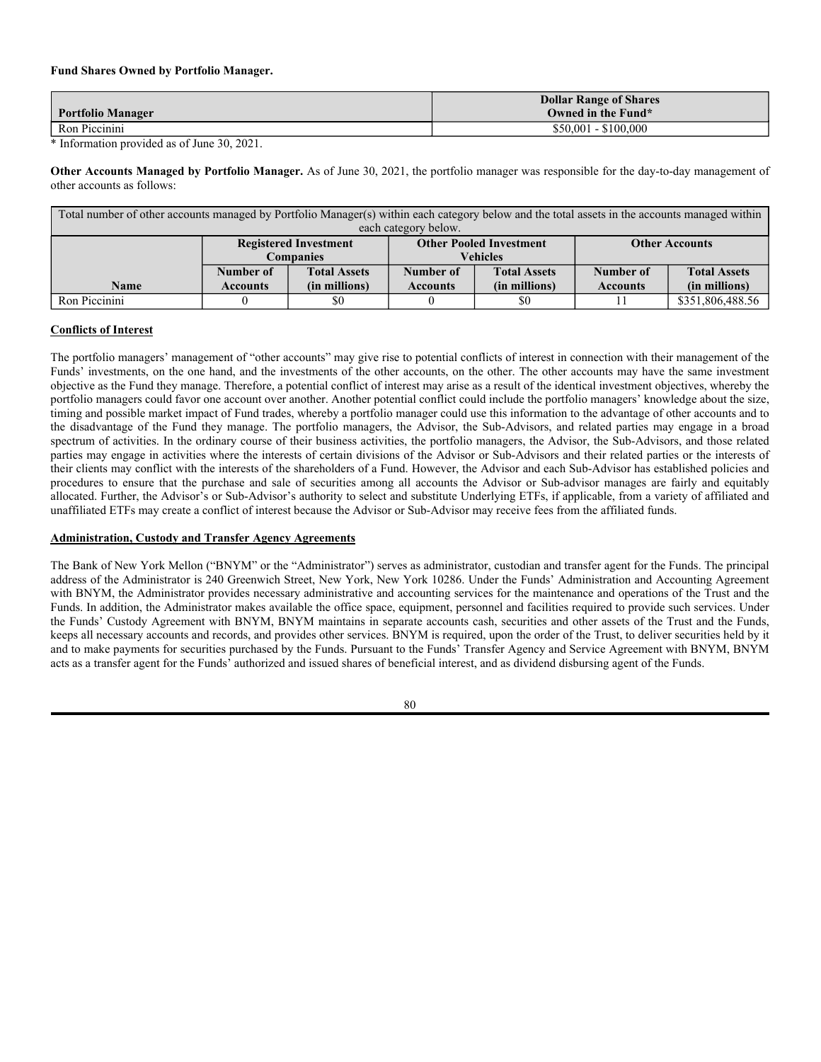While portfolio manager compensation contains a performance component, this component is adjusted to reward investment personnel for managing within the stated framework and for not taking unnecessary risk. This approach ensures that investment management personnel remain focused on managing and acquiring securities that correspond to the Fund's mandate and risk profile and are discouraged from taking on more risk and unnecessary exposure to chase performance for personal gain. Virtus believes it has appropriate controls in place to handle any potential conflicts that may result from a substantial portion of portfolio manager compensation being tied to performance.

*Other Benefits*. Portfolio managers are also eligible to participate in broad-based plans offered generally to employees of Virtus and its affiliates, including 401(k), health and other employee benefit plans.

#### **Fund Shares Owned by Portfolio Managers.**

| <b>Portfolio Manager</b> | <b>Dollar Range of Shares</b><br>Owned in the Fund* |
|--------------------------|-----------------------------------------------------|
| David L. Albrycht        | None                                                |
| Beniamin Caron           | $$10,001 - $50,000$                                 |

\* Information provided as of June 30, 2021.

**Other Accounts Managed by Portfolio Managers.** As of June 30, 2021, the portfolio managers were responsible for the day-to-day management of other accounts as follows:

| Total number of other accounts managed by Portfolio Manager(s) within each category below and the total assets<br>in the accounts managed within each category below. |                                                  |                                      |                                                   |                                      |                              |                                      |
|-----------------------------------------------------------------------------------------------------------------------------------------------------------------------|--------------------------------------------------|--------------------------------------|---------------------------------------------------|--------------------------------------|------------------------------|--------------------------------------|
|                                                                                                                                                                       | <b>Registered Investment</b><br><b>Companies</b> |                                      | <b>Other Pooled Investment</b><br><b>Vehicles</b> |                                      | <b>Other Accounts</b>        |                                      |
| <b>Name</b>                                                                                                                                                           | Number of<br><b>Accounts</b>                     | <b>Total Assets</b><br>(in millions) | Number of<br><b>Accounts</b>                      | <b>Total Assets</b><br>(in millions) | Number of<br><b>Accounts</b> | <b>Total Assets</b><br>(in millions) |
| David L. Albrycht                                                                                                                                                     |                                                  | \$9,316                              |                                                   | \$100                                |                              | \$0                                  |
| Benjamin Caron                                                                                                                                                        |                                                  | \$1,237                              |                                                   | \$0                                  |                              | \$0                                  |

| For other accounts managed by Portfolio Manager(s) within each category below, number of accounts and the total assets in the accounts with |                              |                     |                                |                     |                       |                     |
|---------------------------------------------------------------------------------------------------------------------------------------------|------------------------------|---------------------|--------------------------------|---------------------|-----------------------|---------------------|
| respect to which the advisory fee                                                                                                           |                              |                     |                                |                     |                       |                     |
| is based on the performance of the account.                                                                                                 |                              |                     |                                |                     |                       |                     |
|                                                                                                                                             | <b>Registered Investment</b> |                     | <b>Other Pooled Investment</b> |                     | <b>Other Accounts</b> |                     |
|                                                                                                                                             | <b>Companies</b>             |                     | <b>Vehicles</b>                |                     |                       |                     |
|                                                                                                                                             | Number of                    | <b>Total Assets</b> | Number of                      | <b>Total Assets</b> | Number of             | <b>Total Assets</b> |
| <b>Name</b>                                                                                                                                 | <b>Accounts</b>              | (in millions)       | <b>Accounts</b>                | (in millions)       | <b>Accounts</b>       | (in millions)       |
| David L. Albrycht                                                                                                                           |                              | \$288               |                                | \$0                 |                       | \$0                 |
| Benjamin Caron                                                                                                                              |                              | \$0                 |                                | \$0                 |                       | \$0                 |

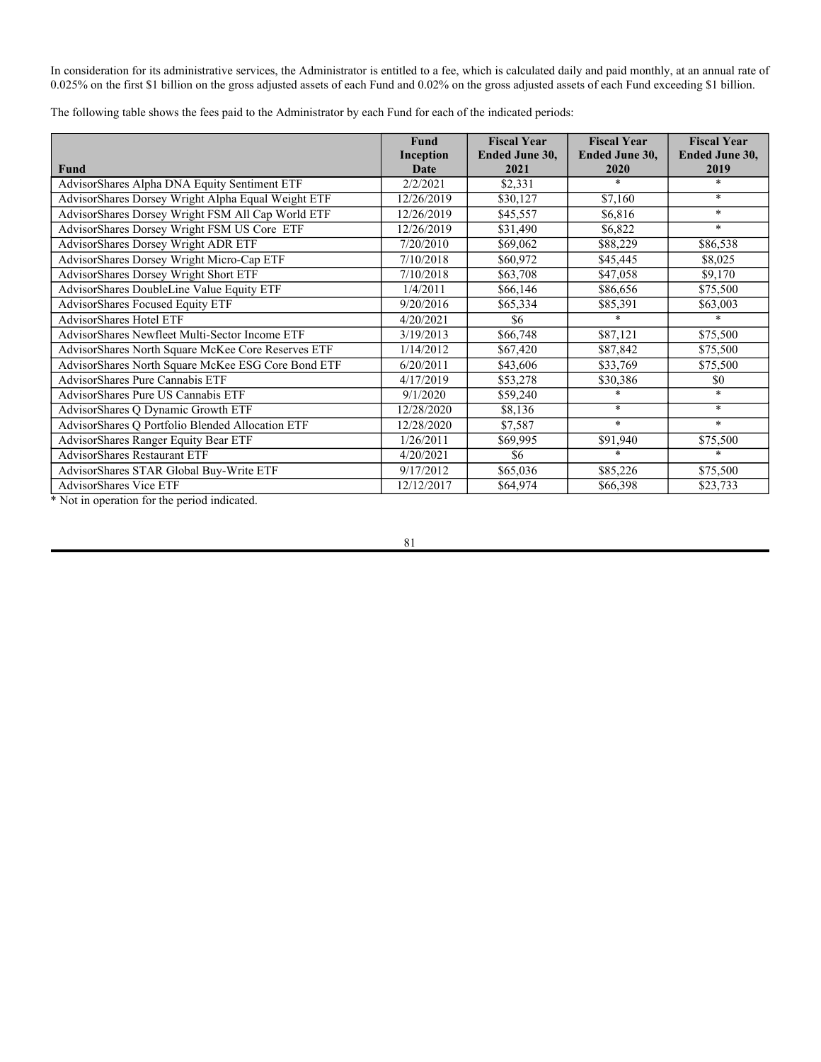### ● **Ranger Alternative Management, LP – AdvisorShares Ranger Equity Bear ETF**

**Portfolio Manager Compensation.** The portfolio managers are compensated by the Sub-Advisor and do not receive any compensation directly from the Fund or the Advisor. The portfolio managers are equity participants of the Sub-Advisor and therefore receive distributions based on the Sub-Advisor's profitability. Other than with respect to the distributions of profitability they receive pursuant to their equity participation in the Sub-Advisor, the portfolio managers do not receive a salary, bonus or other types of remuneration from the Sub-Advisor.

## **Fund Shares Owned by Portfolio Managers.**

| Portfolio Manager  | <b>Dollar Range of Shares</b><br>Owned in the Fund* |
|--------------------|-----------------------------------------------------|
| John Del Vecchio   | $$1 - $10,000$                                      |
| Brad H. Lamensdorf | None                                                |

\* Information provided as of June 30, 2021.

**Other Accounts Managed by Portfolio Managers.** As of June 30, 2021, the portfolio managers were responsible for the day-to-day management of other accounts as follows:

Total number of other accounts managed by Portfolio Manager(s) within each category below and the total assets in the accounts managed within each category below.

|                    | <b>Registered Investment</b><br><b>Companies</b> |                                      | <b>Other Pooled Investment</b><br><b>Vehicles</b> |                                      | <b>Other Accounts</b>        |                                      |
|--------------------|--------------------------------------------------|--------------------------------------|---------------------------------------------------|--------------------------------------|------------------------------|--------------------------------------|
| Name               | Number of<br><b>Accounts</b>                     | <b>Total Assets</b><br>(in millions) | Number of<br><b>Accounts</b>                      | <b>Total Assets</b><br>(in millions) | Number of<br><b>Accounts</b> | <b>Total Assets</b><br>(in millions) |
| John Del Vecchio   |                                                  | \$0                                  |                                                   | \$0                                  |                              |                                      |
| Brad H. Lamensdorf |                                                  | \$0                                  |                                                   | \$0                                  |                              |                                      |

For other accounts managed by Portfolio Manager(s) within each category below, number of accounts and the total assets in the accounts with respect to which the advisory fee is based on the performance of the account.

|                    | <b>Registered Investment</b><br><b>Companies</b> |                                      | <b>Other Pooled Investment</b><br><b>Vehicles</b> |                                      | <b>Other Accounts</b>        |                                      |
|--------------------|--------------------------------------------------|--------------------------------------|---------------------------------------------------|--------------------------------------|------------------------------|--------------------------------------|
| <b>Name</b>        | Number of<br><b>Accounts</b>                     | <b>Total Assets</b><br>(in millions) | Number of<br><b>Accounts</b>                      | <b>Total Assets</b><br>(in millions) | Number of<br><b>Accounts</b> | <b>Total Assets</b><br>(in millions) |
| John Del Vecchio   |                                                  | \$0                                  |                                                   |                                      |                              |                                      |
| Brad H. Lamensdorf |                                                  | \$0                                  |                                                   | \$0                                  |                              |                                      |

## ● **ThinkBetter, LLC – AdvisorShares Q Portfolio Blended Allocation ETF and AdvisorShares Q Dynamic Growth ETF**

Portfolio Manager Compensation. The portfolio manager is compensated by the Sub-Advisor and does not receive any compensation directly from the Funds. The Sub-Advisor pays the portfolio manager a salary and, as a shareholder in the Sub-Advisor's parent company, the portfolio manager also receives his respective share of any net distributions made from revenues.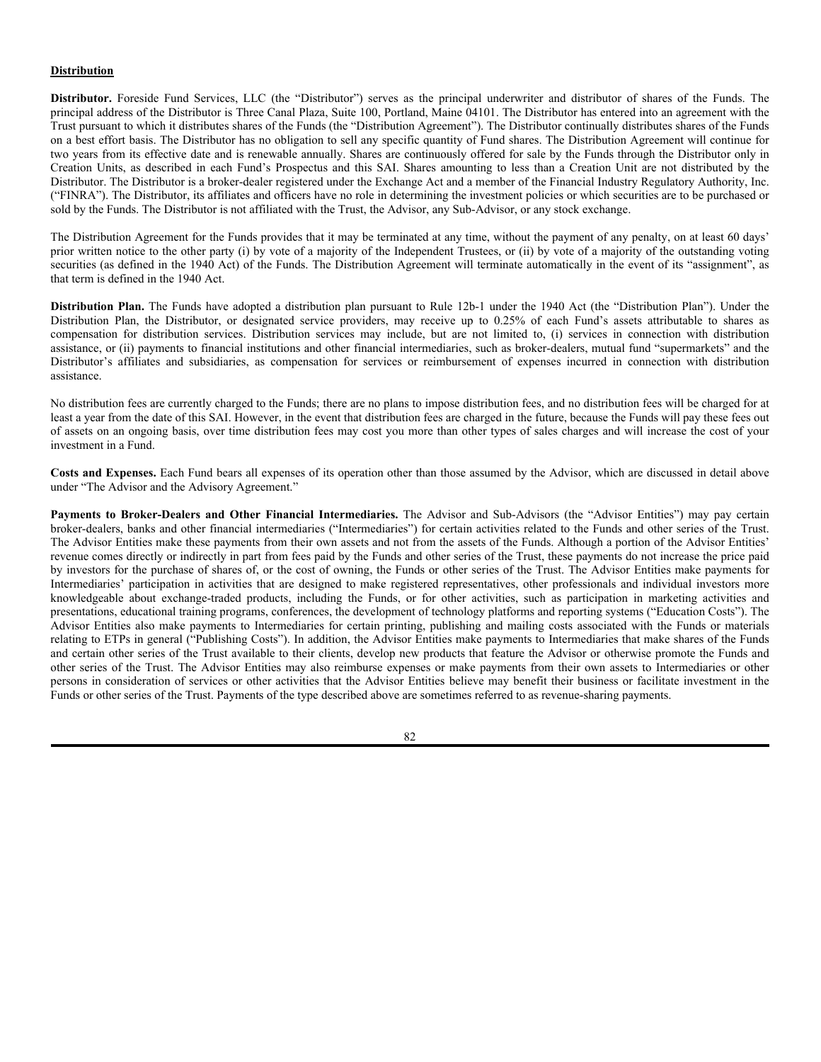### **Fund Shares Owned by Portfolio Manager.**

| <b>Portfolio Manager</b> | <b>Dollar Range of Shares</b><br>Owned in the Fund* |
|--------------------------|-----------------------------------------------------|
| Ron Piccinini            | $$50,001 - $100,000$                                |

\* Information provided as of June 30, 2021.

**Other Accounts Managed by Portfolio Manager.** As of June 30, 2021, the portfolio manager was responsible for the day-to-day management of other accounts as follows:

| Total number of other accounts managed by Portfolio Manager(s) within each category below and the total assets in the accounts managed within |                                                                                         |                     |                 |                     |                 |                     |  |
|-----------------------------------------------------------------------------------------------------------------------------------------------|-----------------------------------------------------------------------------------------|---------------------|-----------------|---------------------|-----------------|---------------------|--|
|                                                                                                                                               | each category below.                                                                    |                     |                 |                     |                 |                     |  |
|                                                                                                                                               | <b>Other Pooled Investment</b><br><b>Registered Investment</b><br><b>Other Accounts</b> |                     |                 |                     |                 |                     |  |
|                                                                                                                                               |                                                                                         | <b>Companies</b>    | Vehicles        |                     |                 |                     |  |
|                                                                                                                                               | Number of                                                                               | <b>Total Assets</b> | Number of       | <b>Total Assets</b> | Number of       | <b>Total Assets</b> |  |
| <b>Name</b>                                                                                                                                   | <b>Accounts</b>                                                                         | (in millions)       | <b>Accounts</b> | (in millions)       | <b>Accounts</b> | (in millions)       |  |
| Ron Piccinini                                                                                                                                 |                                                                                         | \$0                 |                 | \$0                 |                 | \$351,806,488.56    |  |

## **Conflicts of Interest**

The portfolio managers' management of "other accounts" may give rise to potential conflicts of interest in connection with their management of the Funds' investments, on the one hand, and the investments of the other accounts, on the other. The other accounts may have the same investment objective as the Fund they manage. Therefore, a potential conflict of interest may arise as a result of the identical investment objectives, whereby the portfolio managers could favor one account over another. Another potential conflict could include the portfolio managers' knowledge about the size, timing and possible market impact of Fund trades, whereby a portfolio manager could use this information to the advantage of other accounts and to the disadvantage of the Fund they manage. The portfolio managers, the Advisor, the Sub-Advisors, and related parties may engage in a broad spectrum of activities. In the ordinary course of their business activities, the portfolio managers, the Advisor, the Sub-Advisors, and those related parties may engage in activities where the interests of certain divisions of the Advisor or Sub-Advisors and their related parties or the interests of their clients may conflict with the interests of the shareholders of a Fund. However, the Advisor and each Sub-Advisor has established policies and procedures to ensure that the purchase and sale of securities among all accounts the Advisor or Sub-advisor manages are fairly and equitably allocated. Further, the Advisor's or Sub-Advisor's authority to select and substitute Underlying ETFs, if applicable, from a variety of affiliated and unaffiliated ETFs may create a conflict of interest because the Advisor or Sub-Advisor may receive fees from the affiliated funds.

## **Administration, Custody and Transfer Agency Agreements**

The Bank of New York Mellon ("BNYM" or the "Administrator") serves as administrator, custodian and transfer agent for the Funds. The principal address of the Administrator is 240 Greenwich Street, New York, New York 10286. Under the Funds' Administration and Accounting Agreement with BNYM, the Administrator provides necessary administrative and accounting services for the maintenance and operations of the Trust and the Funds. In addition, the Administrator makes available the office space, equipment, personnel and facilities required to provide such services. Under the Funds' Custody Agreement with BNYM, BNYM maintains in separate accounts cash, securities and other assets of the Trust and the Funds, keeps all necessary accounts and records, and provides other services. BNYM is required, upon the order of the Trust, to deliver securities held by it and to make payments for securities purchased by the Funds. Pursuant to the Funds' Transfer Agency and Service Agreement with BNYM, BNYM acts as a transfer agent for the Funds' authorized and issued shares of beneficial interest, and as dividend disbursing agent of the Funds.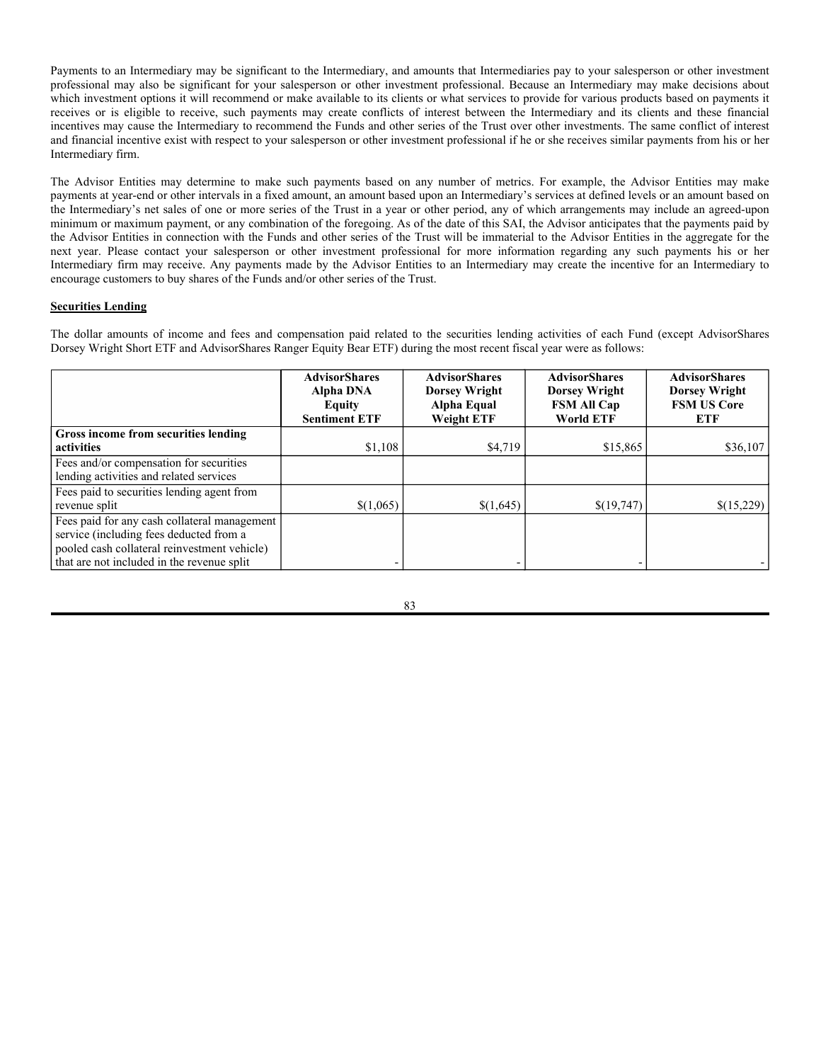In consideration for its administrative services, the Administrator is entitled to a fee, which is calculated daily and paid monthly, at an annual rate of 0.025% on the first \$1 billion on the gross adjusted assets of each Fund and 0.02% on the gross adjusted assets of each Fund exceeding \$1 billion.

The following table shows the fees paid to the Administrator by each Fund for each of the indicated periods:

|                                                    | <b>Fund</b><br>Inception | <b>Fiscal Year</b><br><b>Ended June 30,</b> | <b>Fiscal Year</b><br><b>Ended June 30,</b> | <b>Fiscal Year</b><br><b>Ended June 30,</b> |
|----------------------------------------------------|--------------------------|---------------------------------------------|---------------------------------------------|---------------------------------------------|
| <b>Fund</b>                                        | <b>Date</b>              | 2021                                        | 2020                                        | 2019                                        |
| AdvisorShares Alpha DNA Equity Sentiment ETF       | 2/2/2021                 | \$2,331                                     | $\ast$                                      | $\ast$                                      |
| AdvisorShares Dorsey Wright Alpha Equal Weight ETF | 12/26/2019               | \$30,127                                    | \$7,160                                     | $*$                                         |
| AdvisorShares Dorsey Wright FSM All Cap World ETF  | 12/26/2019               | \$45,557                                    | \$6,816                                     | $*$                                         |
| AdvisorShares Dorsey Wright FSM US Core ETF        | 12/26/2019               | \$31,490                                    | \$6,822                                     | $\mathcal{R}$                               |
| AdvisorShares Dorsey Wright ADR ETF                | 7/20/2010                | \$69,062                                    | \$88,229                                    | \$86,538                                    |
| AdvisorShares Dorsey Wright Micro-Cap ETF          | 7/10/2018                | \$60,972                                    | \$45,445                                    | \$8,025                                     |
| AdvisorShares Dorsey Wright Short ETF              | 7/10/2018                | \$63,708                                    | \$47,058                                    | \$9,170                                     |
| AdvisorShares DoubleLine Value Equity ETF          | 1/4/2011                 | \$66,146                                    | \$86,656                                    | \$75,500                                    |
| <b>AdvisorShares Focused Equity ETF</b>            | 9/20/2016                | \$65,334                                    | \$85,391                                    | \$63,003                                    |
| <b>AdvisorShares Hotel ETF</b>                     | 4/20/2021                | \$6                                         | $\ast$                                      | $\ast$                                      |
| AdvisorShares Newfleet Multi-Sector Income ETF     | 3/19/2013                | \$66,748                                    | \$87,121                                    | \$75,500                                    |
| AdvisorShares North Square McKee Core Reserves ETF | 1/14/2012                | \$67,420                                    | \$87,842                                    | \$75,500                                    |
| AdvisorShares North Square McKee ESG Core Bond ETF | 6/20/2011                | \$43,606                                    | \$33,769                                    | \$75,500                                    |
| AdvisorShares Pure Cannabis ETF                    | 4/17/2019                | \$53,278                                    | \$30,386                                    | \$0                                         |
| AdvisorShares Pure US Cannabis ETF                 | 9/1/2020                 | \$59,240                                    | $\ast$                                      | $\star$                                     |
| AdvisorShares Q Dynamic Growth ETF                 | 12/28/2020               | \$8,136                                     | $*$                                         | $*$                                         |
| AdvisorShares Q Portfolio Blended Allocation ETF   | 12/28/2020               | \$7,587                                     | $\ast$                                      | $\ast$                                      |
| AdvisorShares Ranger Equity Bear ETF               | 1/26/2011                | \$69,995                                    | \$91,940                                    | \$75,500                                    |
| <b>AdvisorShares Restaurant ETF</b>                | 4/20/2021                | \$6                                         | $\ast$                                      | $\ast$                                      |
| AdvisorShares STAR Global Buy-Write ETF            | 9/17/2012                | \$65,036                                    | \$85,226                                    | \$75,500                                    |
| <b>AdvisorShares Vice ETF</b>                      | 12/12/2017               | \$64,974                                    | \$66,398                                    | \$23,733                                    |

\* Not in operation for the period indicated.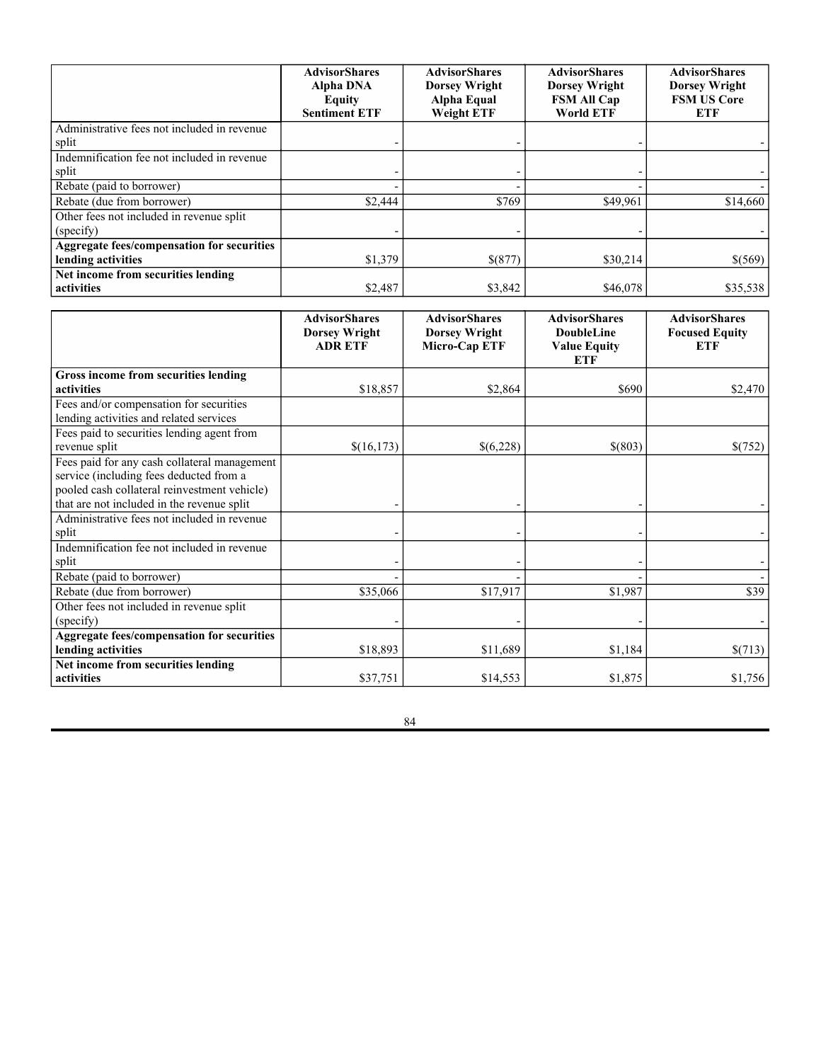### **Distribution**

**Distributor.** Foreside Fund Services, LLC (the "Distributor") serves as the principal underwriter and distributor of shares of the Funds. The principal address of the Distributor is Three Canal Plaza, Suite 100, Portland, Maine 04101. The Distributor has entered into an agreement with the Trust pursuant to which it distributes shares of the Funds (the "Distribution Agreement"). The Distributor continually distributes shares of the Funds on a best effort basis. The Distributor has no obligation to sell any specific quantity of Fund shares. The Distribution Agreement will continue for two years from its effective date and is renewable annually. Shares are continuously offered for sale by the Funds through the Distributor only in Creation Units, as described in each Fund's Prospectus and this SAI. Shares amounting to less than a Creation Unit are not distributed by the Distributor. The Distributor is a broker-dealer registered under the Exchange Act and a member of the Financial Industry Regulatory Authority, Inc. ("FINRA"). The Distributor, its affiliates and officers have no role in determining the investment policies or which securities are to be purchased or sold by the Funds. The Distributor is not affiliated with the Trust, the Advisor, any Sub-Advisor, or any stock exchange.

The Distribution Agreement for the Funds provides that it may be terminated at any time, without the payment of any penalty, on at least 60 days' prior written notice to the other party (i) by vote of a majority of the Independent Trustees, or (ii) by vote of a majority of the outstanding voting securities (as defined in the 1940 Act) of the Funds. The Distribution Agreement will terminate automatically in the event of its "assignment", as that term is defined in the 1940 Act.

**Distribution Plan.** The Funds have adopted a distribution plan pursuant to Rule 12b-1 under the 1940 Act (the "Distribution Plan"). Under the Distribution Plan, the Distributor, or designated service providers, may receive up to 0.25% of each Fund's assets attributable to shares as compensation for distribution services. Distribution services may include, but are not limited to, (i) services in connection with distribution assistance, or (ii) payments to financial institutions and other financial intermediaries, such as broker-dealers, mutual fund "supermarkets" and the Distributor's affiliates and subsidiaries, as compensation for services or reimbursement of expenses incurred in connection with distribution assistance.

No distribution fees are currently charged to the Funds; there are no plans to impose distribution fees, and no distribution fees will be charged for at least a year from the date of this SAI. However, in the event that distribution fees are charged in the future, because the Funds will pay these fees out of assets on an ongoing basis, over time distribution fees may cost you more than other types of sales charges and will increase the cost of your investment in a Fund.

**Costs and Expenses.** Each Fund bears all expenses of its operation other than those assumed by the Advisor, which are discussed in detail above under "The Advisor and the Advisory Agreement."

**Payments to Broker-Dealers and Other Financial Intermediaries.** The Advisor and Sub-Advisors (the "Advisor Entities") may pay certain broker-dealers, banks and other financial intermediaries ("Intermediaries") for certain activities related to the Funds and other series of the Trust. The Advisor Entities make these payments from their own assets and not from the assets of the Funds. Although a portion of the Advisor Entities' revenue comes directly or indirectly in part from fees paid by the Funds and other series of the Trust, these payments do not increase the price paid by investors for the purchase of shares of, or the cost of owning, the Funds or other series of the Trust. The Advisor Entities make payments for Intermediaries' participation in activities that are designed to make registered representatives, other professionals and individual investors more knowledgeable about exchange-traded products, including the Funds, or for other activities, such as participation in marketing activities and presentations, educational training programs, conferences, the development of technology platforms and reporting systems ("Education Costs"). The Advisor Entities also make payments to Intermediaries for certain printing, publishing and mailing costs associated with the Funds or materials relating to ETPs in general ("Publishing Costs"). In addition, the Advisor Entities make payments to Intermediaries that make shares of the Funds and certain other series of the Trust available to their clients, develop new products that feature the Advisor or otherwise promote the Funds and other series of the Trust. The Advisor Entities may also reimburse expenses or make payments from their own assets to Intermediaries or other persons in consideration of services or other activities that the Advisor Entities believe may benefit their business or facilitate investment in the Funds or other series of the Trust. Payments of the type described above are sometimes referred to as revenue-sharing payments.

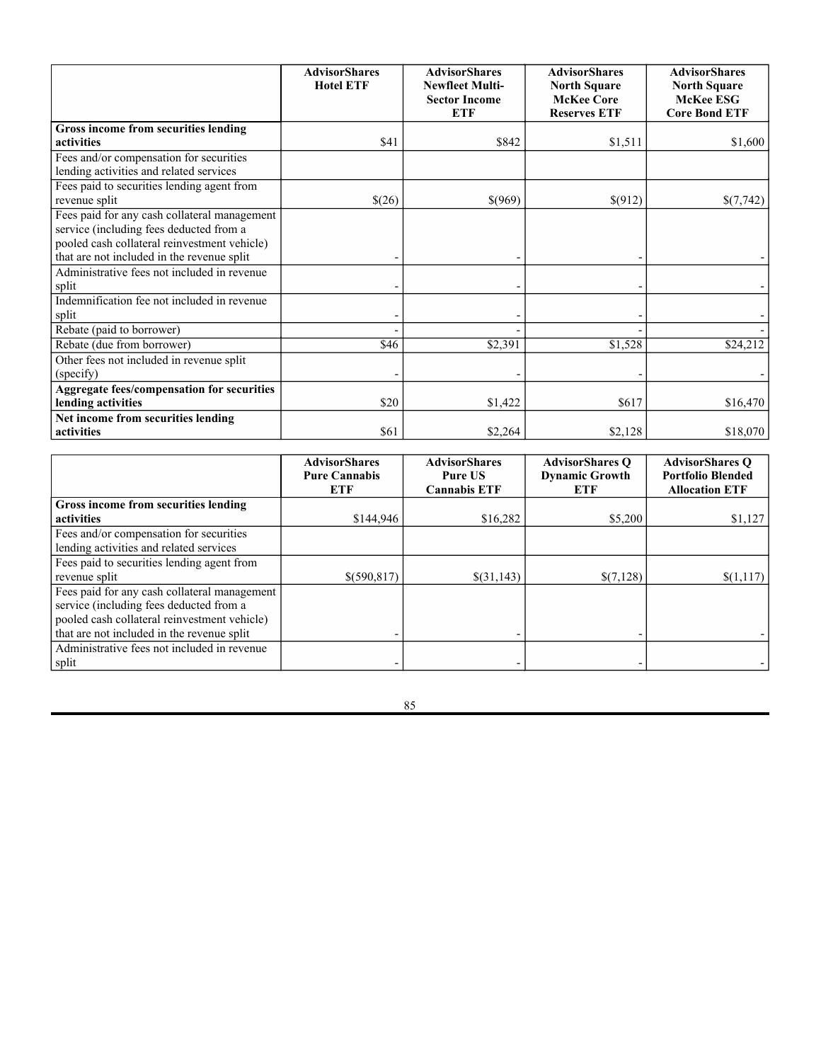Payments to an Intermediary may be significant to the Intermediary, and amounts that Intermediaries pay to your salesperson or other investment professional may also be significant for your salesperson or other investment professional. Because an Intermediary may make decisions about which investment options it will recommend or make available to its clients or what services to provide for various products based on payments it receives or is eligible to receive, such payments may create conflicts of interest between the Intermediary and its clients and these financial incentives may cause the Intermediary to recommend the Funds and other series of the Trust over other investments. The same conflict of interest and financial incentive exist with respect to your salesperson or other investment professional if he or she receives similar payments from his or her Intermediary firm.

The Advisor Entities may determine to make such payments based on any number of metrics. For example, the Advisor Entities may make payments at year-end or other intervals in a fixed amount, an amount based upon an Intermediary's services at defined levels or an amount based on the Intermediary's net sales of one or more series of the Trust in a year or other period, any of which arrangements may include an agreed-upon minimum or maximum payment, or any combination of the foregoing. As of the date of this SAI, the Advisor anticipates that the payments paid by the Advisor Entities in connection with the Funds and other series of the Trust will be immaterial to the Advisor Entities in the aggregate for the next year. Please contact your salesperson or other investment professional for more information regarding any such payments his or her Intermediary firm may receive. Any payments made by the Advisor Entities to an Intermediary may create the incentive for an Intermediary to encourage customers to buy shares of the Funds and/or other series of the Trust.

## **Securities Lending**

The dollar amounts of income and fees and compensation paid related to the securities lending activities of each Fund (except AdvisorShares Dorsey Wright Short ETF and AdvisorShares Ranger Equity Bear ETF) during the most recent fiscal year were as follows:

|                                              | <b>AdvisorShares</b><br><b>Alpha DNA</b><br>Equity<br><b>Sentiment ETF</b> | <b>AdvisorShares</b><br><b>Dorsey Wright</b><br>Alpha Equal<br><b>Weight ETF</b> | <b>AdvisorShares</b><br><b>Dorsey Wright</b><br><b>FSM All Cap</b><br><b>World ETF</b> | <b>AdvisorShares</b><br><b>Dorsey Wright</b><br><b>FSM US Core</b><br>ETF |
|----------------------------------------------|----------------------------------------------------------------------------|----------------------------------------------------------------------------------|----------------------------------------------------------------------------------------|---------------------------------------------------------------------------|
| Gross income from securities lending         |                                                                            |                                                                                  |                                                                                        |                                                                           |
| activities                                   | \$1,108                                                                    | \$4,719                                                                          | \$15,865                                                                               | \$36,107                                                                  |
| Fees and/or compensation for securities      |                                                                            |                                                                                  |                                                                                        |                                                                           |
| lending activities and related services      |                                                                            |                                                                                  |                                                                                        |                                                                           |
| Fees paid to securities lending agent from   |                                                                            |                                                                                  |                                                                                        |                                                                           |
| revenue split                                | \$(1,065)                                                                  | \$(1,645)                                                                        | \$(19,747)                                                                             | \$(15,229)                                                                |
| Fees paid for any cash collateral management |                                                                            |                                                                                  |                                                                                        |                                                                           |
| service (including fees deducted from a      |                                                                            |                                                                                  |                                                                                        |                                                                           |
| pooled cash collateral reinvestment vehicle) |                                                                            |                                                                                  |                                                                                        |                                                                           |
| that are not included in the revenue split   |                                                                            |                                                                                  |                                                                                        |                                                                           |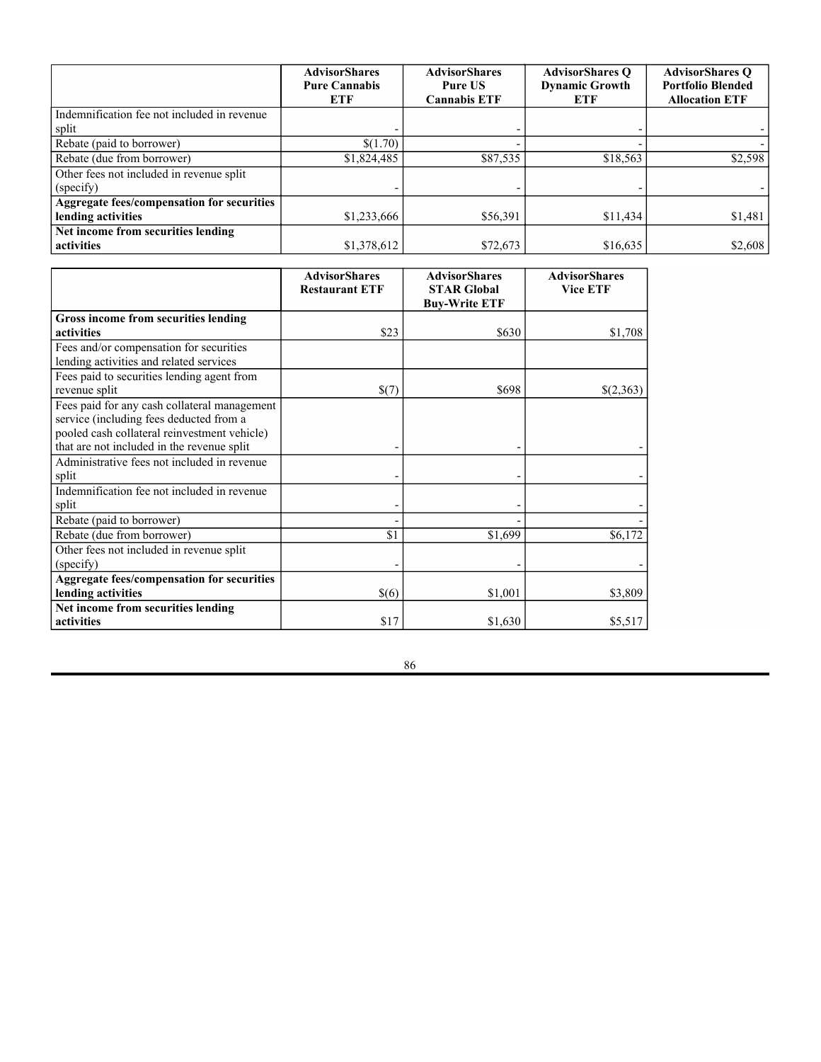|                                                   | <b>AdvisorShares</b><br><b>Alpha DNA</b><br><b>Equity</b><br><b>Sentiment ETF</b> | <b>AdvisorShares</b><br><b>Dorsey Wright</b><br>Alpha Equal<br><b>Weight ETF</b> | <b>AdvisorShares</b><br><b>Dorsey Wright</b><br><b>FSM All Cap</b><br><b>World ETF</b> | <b>AdvisorShares</b><br><b>Dorsey Wright</b><br><b>FSM US Core</b><br><b>ETF</b> |
|---------------------------------------------------|-----------------------------------------------------------------------------------|----------------------------------------------------------------------------------|----------------------------------------------------------------------------------------|----------------------------------------------------------------------------------|
| Administrative fees not included in revenue       |                                                                                   |                                                                                  |                                                                                        |                                                                                  |
| split                                             |                                                                                   |                                                                                  |                                                                                        |                                                                                  |
| Indemnification fee not included in revenue       |                                                                                   |                                                                                  |                                                                                        |                                                                                  |
| split                                             |                                                                                   |                                                                                  |                                                                                        |                                                                                  |
| Rebate (paid to borrower)                         |                                                                                   |                                                                                  |                                                                                        |                                                                                  |
| Rebate (due from borrower)                        | \$2,444                                                                           | \$769                                                                            | \$49,961                                                                               | \$14,660                                                                         |
| Other fees not included in revenue split          |                                                                                   |                                                                                  |                                                                                        |                                                                                  |
| (specify)                                         |                                                                                   |                                                                                  |                                                                                        |                                                                                  |
| <b>Aggregate fees/compensation for securities</b> |                                                                                   |                                                                                  |                                                                                        |                                                                                  |
| lending activities                                | \$1,379                                                                           | \$(877)                                                                          | \$30,214                                                                               | \$(569)                                                                          |
| Net income from securities lending<br>activities  | \$2,487                                                                           | \$3,842                                                                          | \$46,078                                                                               | \$35,538                                                                         |

|                                                                                                                                                                                       | <b>AdvisorShares</b><br><b>Dorsey Wright</b><br><b>ADR ETF</b> | <b>AdvisorShares</b><br><b>Dorsey Wright</b><br>Micro-Cap ETF | <b>AdvisorShares</b><br><b>DoubleLine</b><br><b>Value Equity</b><br><b>ETF</b> | <b>AdvisorShares</b><br><b>Focused Equity</b><br>ETF |
|---------------------------------------------------------------------------------------------------------------------------------------------------------------------------------------|----------------------------------------------------------------|---------------------------------------------------------------|--------------------------------------------------------------------------------|------------------------------------------------------|
| Gross income from securities lending                                                                                                                                                  |                                                                |                                                               |                                                                                |                                                      |
| activities                                                                                                                                                                            | \$18,857                                                       | \$2,864                                                       | \$690                                                                          | \$2,470                                              |
| Fees and/or compensation for securities<br>lending activities and related services                                                                                                    |                                                                |                                                               |                                                                                |                                                      |
| Fees paid to securities lending agent from<br>revenue split                                                                                                                           | \$(16,173)                                                     | \$(6,228)                                                     | \$(803)                                                                        | \$(752)                                              |
| Fees paid for any cash collateral management<br>service (including fees deducted from a<br>pooled cash collateral reinvestment vehicle)<br>that are not included in the revenue split |                                                                |                                                               |                                                                                |                                                      |
| Administrative fees not included in revenue<br>split                                                                                                                                  |                                                                |                                                               |                                                                                |                                                      |
| Indemnification fee not included in revenue<br>split                                                                                                                                  |                                                                |                                                               |                                                                                |                                                      |
| Rebate (paid to borrower)                                                                                                                                                             |                                                                |                                                               |                                                                                |                                                      |
| Rebate (due from borrower)                                                                                                                                                            | \$35,066                                                       | \$17,917                                                      | \$1,987                                                                        | \$39                                                 |
| Other fees not included in revenue split<br>(specify)                                                                                                                                 |                                                                |                                                               |                                                                                |                                                      |
| Aggregate fees/compensation for securities<br>lending activities                                                                                                                      | \$18,893                                                       | \$11,689                                                      | \$1,184                                                                        | \$(713)                                              |
| Net income from securities lending<br>activities                                                                                                                                      | \$37,751                                                       | \$14,553                                                      | \$1,875                                                                        | \$1,756                                              |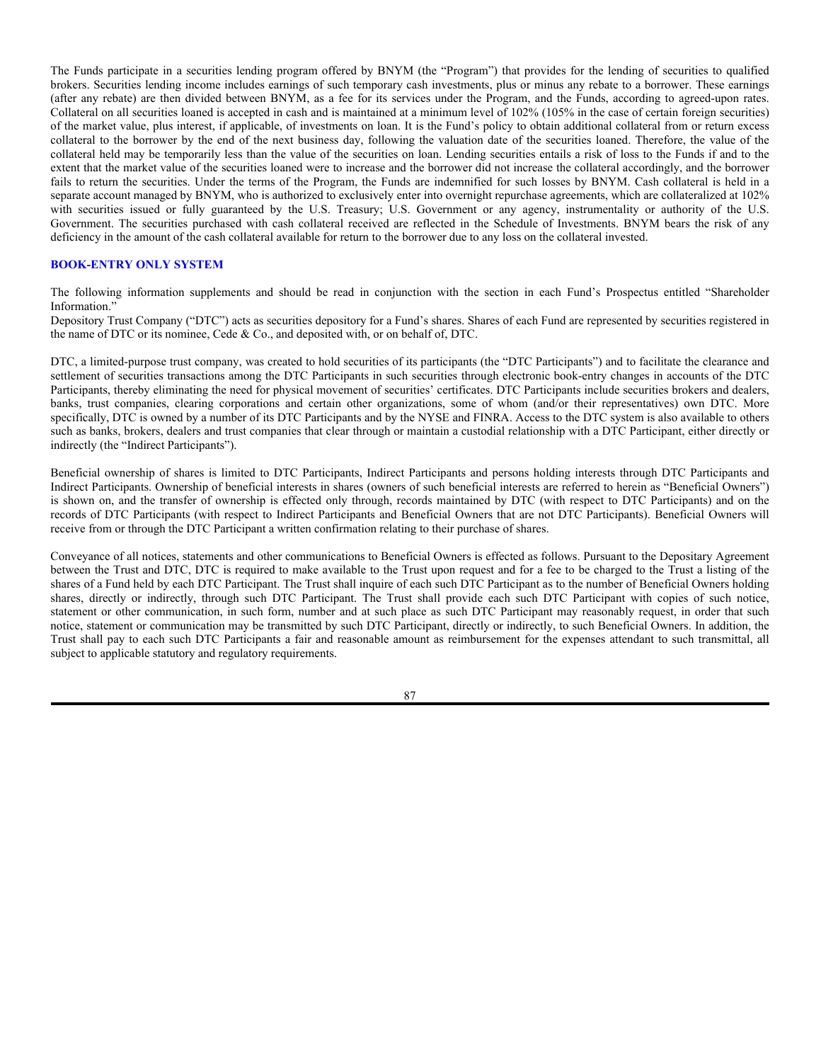|                                                   | <b>AdvisorShares</b><br><b>Hotel ETF</b> | <b>AdvisorShares</b><br><b>Newfleet Multi-</b><br><b>Sector Income</b><br><b>ETF</b> | <b>AdvisorShares</b><br><b>North Square</b><br><b>McKee Core</b><br><b>Reserves ETF</b> | <b>AdvisorShares</b><br><b>North Square</b><br><b>McKee ESG</b><br><b>Core Bond ETF</b> |
|---------------------------------------------------|------------------------------------------|--------------------------------------------------------------------------------------|-----------------------------------------------------------------------------------------|-----------------------------------------------------------------------------------------|
| Gross income from securities lending              |                                          |                                                                                      |                                                                                         |                                                                                         |
| activities                                        | \$41                                     | \$842                                                                                | \$1,511                                                                                 | \$1,600                                                                                 |
| Fees and/or compensation for securities           |                                          |                                                                                      |                                                                                         |                                                                                         |
| lending activities and related services           |                                          |                                                                                      |                                                                                         |                                                                                         |
| Fees paid to securities lending agent from        |                                          |                                                                                      |                                                                                         |                                                                                         |
| revenue split                                     | \$(26)                                   | \$(969)                                                                              | \$(912)                                                                                 | \$(7,742)                                                                               |
| Fees paid for any cash collateral management      |                                          |                                                                                      |                                                                                         |                                                                                         |
| service (including fees deducted from a           |                                          |                                                                                      |                                                                                         |                                                                                         |
| pooled cash collateral reinvestment vehicle)      |                                          |                                                                                      |                                                                                         |                                                                                         |
| that are not included in the revenue split        |                                          |                                                                                      |                                                                                         |                                                                                         |
| Administrative fees not included in revenue       |                                          |                                                                                      |                                                                                         |                                                                                         |
| split                                             |                                          |                                                                                      |                                                                                         |                                                                                         |
| Indemnification fee not included in revenue       |                                          |                                                                                      |                                                                                         |                                                                                         |
| split                                             |                                          |                                                                                      |                                                                                         |                                                                                         |
| Rebate (paid to borrower)                         |                                          |                                                                                      |                                                                                         |                                                                                         |
| Rebate (due from borrower)                        | \$46                                     | \$2,391                                                                              | \$1,528                                                                                 | \$24,212                                                                                |
| Other fees not included in revenue split          |                                          |                                                                                      |                                                                                         |                                                                                         |
| (specify)                                         |                                          |                                                                                      |                                                                                         |                                                                                         |
| <b>Aggregate fees/compensation for securities</b> |                                          |                                                                                      |                                                                                         |                                                                                         |
| lending activities                                | \$20                                     | \$1,422                                                                              | \$617                                                                                   | \$16,470                                                                                |
| Net income from securities lending                |                                          |                                                                                      |                                                                                         |                                                                                         |
| activities                                        | \$61                                     | \$2,264                                                                              | \$2,128                                                                                 | \$18,070                                                                                |

|                                              | <b>AdvisorShares</b><br><b>Pure Cannabis</b><br>ETF | <b>AdvisorShares</b><br><b>Pure US</b><br><b>Cannabis ETF</b> | <b>AdvisorShares O</b><br><b>Dynamic Growth</b><br>ETF | <b>AdvisorShares O</b><br><b>Portfolio Blended</b><br><b>Allocation ETF</b> |
|----------------------------------------------|-----------------------------------------------------|---------------------------------------------------------------|--------------------------------------------------------|-----------------------------------------------------------------------------|
| Gross income from securities lending         |                                                     |                                                               |                                                        |                                                                             |
| activities                                   | \$144,946                                           | \$16,282                                                      | \$5,200                                                | \$1,127                                                                     |
| Fees and/or compensation for securities      |                                                     |                                                               |                                                        |                                                                             |
| lending activities and related services      |                                                     |                                                               |                                                        |                                                                             |
| Fees paid to securities lending agent from   |                                                     |                                                               |                                                        |                                                                             |
| revenue split                                | \$(590,817)                                         | \$(31,143)                                                    | \$(7,128)                                              | \$(1,117)                                                                   |
| Fees paid for any cash collateral management |                                                     |                                                               |                                                        |                                                                             |
| service (including fees deducted from a      |                                                     |                                                               |                                                        |                                                                             |
| pooled cash collateral reinvestment vehicle) |                                                     |                                                               |                                                        |                                                                             |
| that are not included in the revenue split   |                                                     |                                                               |                                                        |                                                                             |
| Administrative fees not included in revenue  |                                                     |                                                               |                                                        |                                                                             |
| split                                        |                                                     |                                                               |                                                        |                                                                             |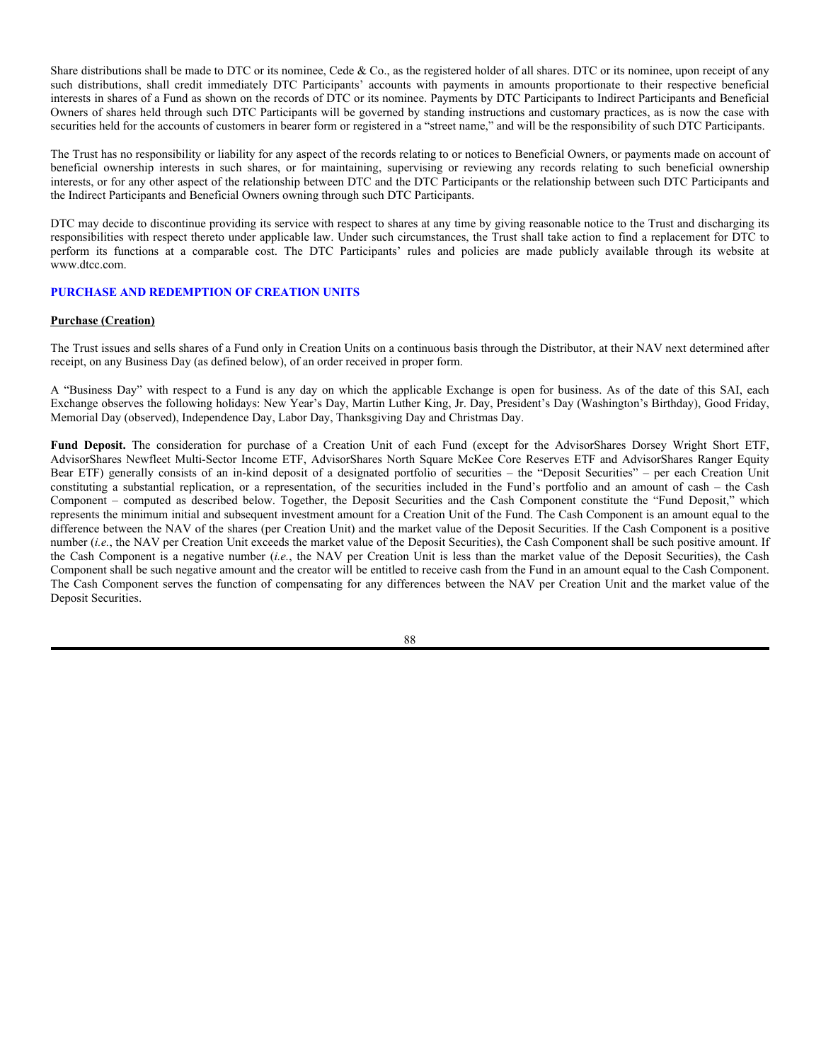|                                                   | <b>AdvisorShares</b><br><b>Pure Cannabis</b><br><b>ETF</b> | <b>AdvisorShares</b><br><b>Pure US</b><br><b>Cannabis ETF</b> | <b>AdvisorShares O</b><br><b>Dynamic Growth</b><br>ETF | <b>AdvisorShares O</b><br><b>Portfolio Blended</b><br><b>Allocation ETF</b> |
|---------------------------------------------------|------------------------------------------------------------|---------------------------------------------------------------|--------------------------------------------------------|-----------------------------------------------------------------------------|
| Indemnification fee not included in revenue       |                                                            |                                                               |                                                        |                                                                             |
| split                                             |                                                            |                                                               |                                                        |                                                                             |
| Rebate (paid to borrower)                         | \$(1.70)                                                   |                                                               |                                                        |                                                                             |
| Rebate (due from borrower)                        | \$1,824,485                                                | \$87,535                                                      | \$18,563                                               | \$2,598                                                                     |
| Other fees not included in revenue split          |                                                            |                                                               |                                                        |                                                                             |
| (specify)                                         |                                                            |                                                               |                                                        |                                                                             |
| <b>Aggregate fees/compensation for securities</b> |                                                            |                                                               |                                                        |                                                                             |
| lending activities                                | \$1,233,666                                                | \$56,391                                                      | \$11,434                                               | \$1,481                                                                     |
| Net income from securities lending                |                                                            |                                                               |                                                        |                                                                             |
| activities                                        | \$1,378,612                                                | \$72,673                                                      | \$16,635                                               | \$2,608                                                                     |

|                                                   | <b>AdvisorShares</b><br><b>Restaurant ETF</b> | <b>AdvisorShares</b><br><b>STAR Global</b> | <b>AdvisorShares</b><br><b>Vice ETF</b> |
|---------------------------------------------------|-----------------------------------------------|--------------------------------------------|-----------------------------------------|
|                                                   |                                               | <b>Buy-Write ETF</b>                       |                                         |
| Gross income from securities lending              |                                               |                                            |                                         |
| activities                                        | \$23                                          | \$630                                      | \$1,708                                 |
| Fees and/or compensation for securities           |                                               |                                            |                                         |
| lending activities and related services           |                                               |                                            |                                         |
| Fees paid to securities lending agent from        |                                               |                                            |                                         |
| revenue split                                     | \$(7)                                         | \$698                                      | \$(2,363)                               |
| Fees paid for any cash collateral management      |                                               |                                            |                                         |
| service (including fees deducted from a           |                                               |                                            |                                         |
| pooled cash collateral reinvestment vehicle)      |                                               |                                            |                                         |
| that are not included in the revenue split        |                                               |                                            |                                         |
| Administrative fees not included in revenue       |                                               |                                            |                                         |
| split                                             |                                               |                                            |                                         |
| Indemnification fee not included in revenue       |                                               |                                            |                                         |
| split                                             |                                               |                                            |                                         |
| Rebate (paid to borrower)                         |                                               |                                            |                                         |
| Rebate (due from borrower)                        | \$1                                           | \$1,699                                    | \$6,172                                 |
| Other fees not included in revenue split          |                                               |                                            |                                         |
| (specify)                                         |                                               |                                            |                                         |
| <b>Aggregate fees/compensation for securities</b> |                                               |                                            |                                         |
| lending activities                                | \$(6)                                         | \$1,001                                    | \$3,809                                 |
| Net income from securities lending                |                                               |                                            |                                         |
| activities                                        | \$17                                          | \$1,630                                    | \$5,517                                 |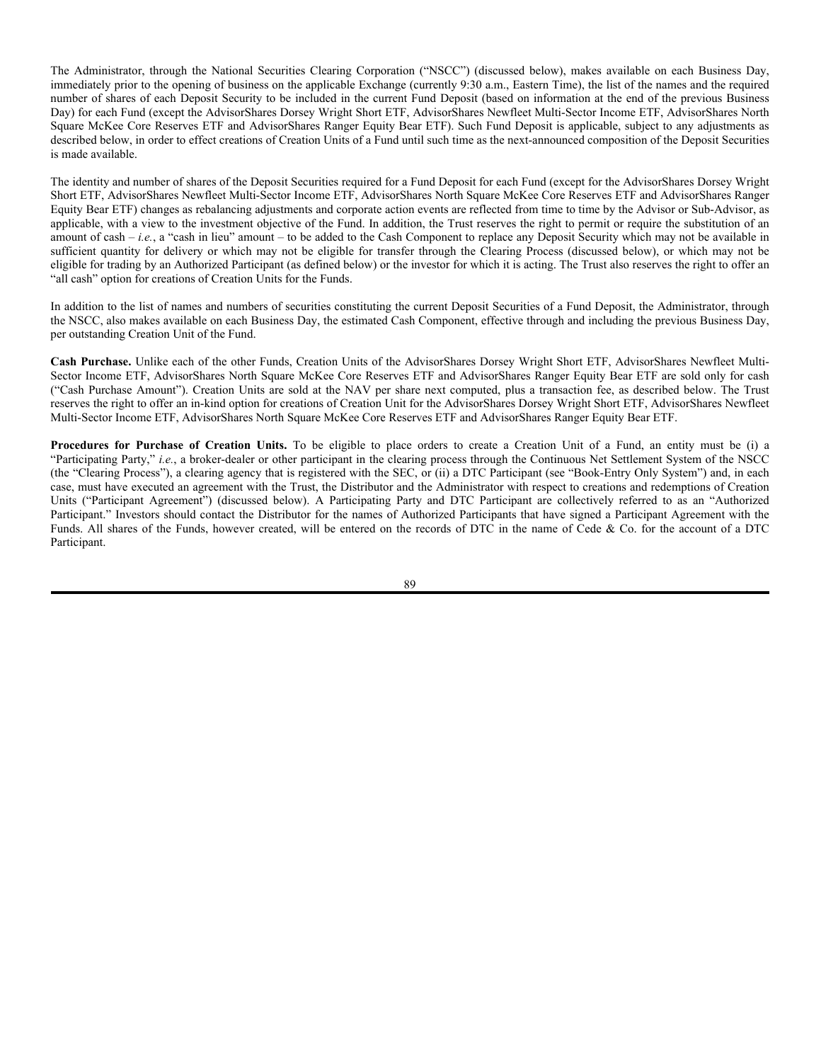The Funds participate in a securities lending program offered by BNYM (the "Program") that provides for the lending of securities to qualified brokers. Securities lending income includes earnings of such temporary cash investments, plus or minus any rebate to a borrower. These earnings (after any rebate) are then divided between BNYM, as a fee for its services under the Program, and the Funds, according to agreed-upon rates. Collateral on all securities loaned is accepted in cash and is maintained at a minimum level of 102% (105% in the case of certain foreign securities) of the market value, plus interest, if applicable, of investments on loan. It is the Fund's policy to obtain additional collateral from or return excess collateral to the borrower by the end of the next business day, following the valuation date of the securities loaned. Therefore, the value of the collateral held may be temporarily less than the value of the securities on loan. Lending securities entails a risk of loss to the Funds if and to the extent that the market value of the securities loaned were to increase and the borrower did not increase the collateral accordingly, and the borrower fails to return the securities. Under the terms of the Program, the Funds are indemnified for such losses by BNYM. Cash collateral is held in a separate account managed by BNYM, who is authorized to exclusively enter into overnight repurchase agreements, which are collateralized at 102% with securities issued or fully guaranteed by the U.S. Treasury; U.S. Government or any agency, instrumentality or authority of the U.S. Government. The securities purchased with cash collateral received are reflected in the Schedule of Investments. BNYM bears the risk of any deficiency in the amount of the cash collateral available for return to the borrower due to any loss on the collateral invested.

#### **BOOK-ENTRY ONLY SYSTEM**

The following information supplements and should be read in conjunction with the section in each Fund's Prospectus entitled "Shareholder Information."

Depository Trust Company ("DTC") acts as securities depository for a Fund's shares. Shares of each Fund are represented by securities registered in the name of DTC or its nominee, Cede & Co., and deposited with, or on behalf of, DTC.

DTC, a limited-purpose trust company, was created to hold securities of its participants (the "DTC Participants") and to facilitate the clearance and settlement of securities transactions among the DTC Participants in such securities through electronic book-entry changes in accounts of the DTC Participants, thereby eliminating the need for physical movement of securities' certificates. DTC Participants include securities brokers and dealers, banks, trust companies, clearing corporations and certain other organizations, some of whom (and/or their representatives) own DTC. More specifically, DTC is owned by a number of its DTC Participants and by the NYSE and FINRA. Access to the DTC system is also available to others such as banks, brokers, dealers and trust companies that clear through or maintain a custodial relationship with a DTC Participant, either directly or indirectly (the "Indirect Participants").

Beneficial ownership of shares is limited to DTC Participants, Indirect Participants and persons holding interests through DTC Participants and Indirect Participants. Ownership of beneficial interests in shares (owners of such beneficial interests are referred to herein as "Beneficial Owners") is shown on, and the transfer of ownership is effected only through, records maintained by DTC (with respect to DTC Participants) and on the records of DTC Participants (with respect to Indirect Participants and Beneficial Owners that are not DTC Participants). Beneficial Owners will receive from or through the DTC Participant a written confirmation relating to their purchase of shares.

Conveyance of all notices, statements and other communications to Beneficial Owners is effected as follows. Pursuant to the Depositary Agreement between the Trust and DTC, DTC is required to make available to the Trust upon request and for a fee to be charged to the Trust a listing of the shares of a Fund held by each DTC Participant. The Trust shall inquire of each such DTC Participant as to the number of Beneficial Owners holding shares, directly or indirectly, through such DTC Participant. The Trust shall provide each such DTC Participant with copies of such notice, statement or other communication, in such form, number and at such place as such DTC Participant may reasonably request, in order that such notice, statement or communication may be transmitted by such DTC Participant, directly or indirectly, to such Beneficial Owners. In addition, the Trust shall pay to each such DTC Participants a fair and reasonable amount as reimbursement for the expenses attendant to such transmittal, all subject to applicable statutory and regulatory requirements.

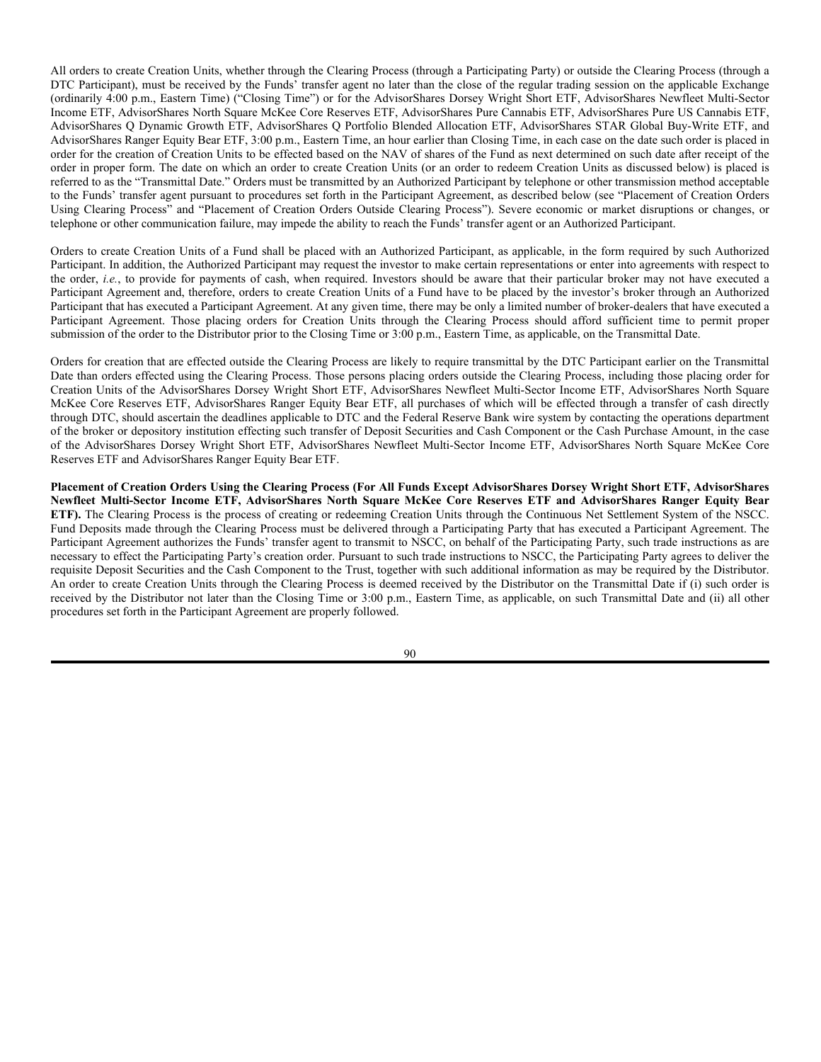Share distributions shall be made to DTC or its nominee, Cede & Co., as the registered holder of all shares. DTC or its nominee, upon receipt of any such distributions, shall credit immediately DTC Participants' accounts with payments in amounts proportionate to their respective beneficial interests in shares of a Fund as shown on the records of DTC or its nominee. Payments by DTC Participants to Indirect Participants and Beneficial Owners of shares held through such DTC Participants will be governed by standing instructions and customary practices, as is now the case with securities held for the accounts of customers in bearer form or registered in a "street name," and will be the responsibility of such DTC Participants.

The Trust has no responsibility or liability for any aspect of the records relating to or notices to Beneficial Owners, or payments made on account of beneficial ownership interests in such shares, or for maintaining, supervising or reviewing any records relating to such beneficial ownership interests, or for any other aspect of the relationship between DTC and the DTC Participants or the relationship between such DTC Participants and the Indirect Participants and Beneficial Owners owning through such DTC Participants.

DTC may decide to discontinue providing its service with respect to shares at any time by giving reasonable notice to the Trust and discharging its responsibilities with respect thereto under applicable law. Under such circumstances, the Trust shall take action to find a replacement for DTC to perform its functions at a comparable cost. The DTC Participants' rules and policies are made publicly available through its website at www.dtcc.com.

## **PURCHASE AND REDEMPTION OF CREATION UNITS**

#### **Purchase (Creation)**

The Trust issues and sells shares of a Fund only in Creation Units on a continuous basis through the Distributor, at their NAV next determined after receipt, on any Business Day (as defined below), of an order received in proper form.

A "Business Day" with respect to a Fund is any day on which the applicable Exchange is open for business. As of the date of this SAI, each Exchange observes the following holidays: New Year's Day, Martin Luther King, Jr. Day, President's Day (Washington's Birthday), Good Friday, Memorial Day (observed), Independence Day, Labor Day, Thanksgiving Day and Christmas Day.

**Fund Deposit.** The consideration for purchase of a Creation Unit of each Fund (except for the AdvisorShares Dorsey Wright Short ETF, AdvisorShares Newfleet Multi-Sector Income ETF, AdvisorShares North Square McKee Core Reserves ETF and AdvisorShares Ranger Equity Bear ETF) generally consists of an in-kind deposit of a designated portfolio of securities – the "Deposit Securities" – per each Creation Unit constituting a substantial replication, or a representation, of the securities included in the Fund's portfolio and an amount of cash – the Cash Component – computed as described below. Together, the Deposit Securities and the Cash Component constitute the "Fund Deposit," which represents the minimum initial and subsequent investment amount for a Creation Unit of the Fund. The Cash Component is an amount equal to the difference between the NAV of the shares (per Creation Unit) and the market value of the Deposit Securities. If the Cash Component is a positive number  $(i.e.,$  the NAV per Creation Unit exceeds the market value of the Deposit Securities), the Cash Component shall be such positive amount. If the Cash Component is a negative number (*i.e.*, the NAV per Creation Unit is less than the market value of the Deposit Securities), the Cash Component shall be such negative amount and the creator will be entitled to receive cash from the Fund in an amount equal to the Cash Component. The Cash Component serves the function of compensating for any differences between the NAV per Creation Unit and the market value of the Deposit Securities.

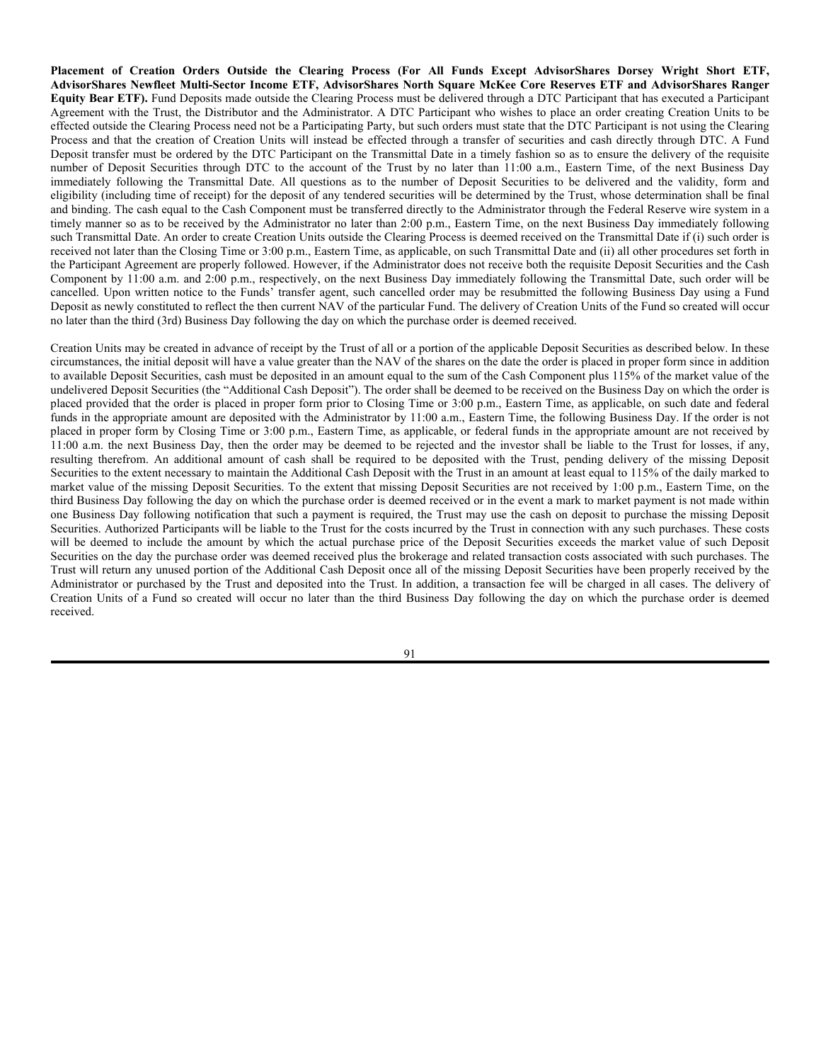The Administrator, through the National Securities Clearing Corporation ("NSCC") (discussed below), makes available on each Business Day, immediately prior to the opening of business on the applicable Exchange (currently 9:30 a.m., Eastern Time), the list of the names and the required number of shares of each Deposit Security to be included in the current Fund Deposit (based on information at the end of the previous Business Day) for each Fund (except the AdvisorShares Dorsey Wright Short ETF, AdvisorShares Newfleet Multi-Sector Income ETF, AdvisorShares North Square McKee Core Reserves ETF and AdvisorShares Ranger Equity Bear ETF). Such Fund Deposit is applicable, subject to any adjustments as described below, in order to effect creations of Creation Units of a Fund until such time as the next-announced composition of the Deposit Securities is made available.

The identity and number of shares of the Deposit Securities required for a Fund Deposit for each Fund (except for the AdvisorShares Dorsey Wright Short ETF, AdvisorShares Newfleet Multi-Sector Income ETF, AdvisorShares North Square McKee Core Reserves ETF and AdvisorShares Ranger Equity Bear ETF) changes as rebalancing adjustments and corporate action events are reflected from time to time by the Advisor or Sub-Advisor, as applicable, with a view to the investment objective of the Fund. In addition, the Trust reserves the right to permit or require the substitution of an amount of cash – *i.e.*, a "cash in lieu" amount – to be added to the Cash Component to replace any Deposit Security which may not be available in sufficient quantity for delivery or which may not be eligible for transfer through the Clearing Process (discussed below), or which may not be eligible for trading by an Authorized Participant (as defined below) or the investor for which it is acting. The Trust also reserves the right to offer an "all cash" option for creations of Creation Units for the Funds.

In addition to the list of names and numbers of securities constituting the current Deposit Securities of a Fund Deposit, the Administrator, through the NSCC, also makes available on each Business Day, the estimated Cash Component, effective through and including the previous Business Day, per outstanding Creation Unit of the Fund.

**Cash Purchase.** Unlike each of the other Funds, Creation Units of the AdvisorShares Dorsey Wright Short ETF, AdvisorShares Newfleet Multi-Sector Income ETF, AdvisorShares North Square McKee Core Reserves ETF and AdvisorShares Ranger Equity Bear ETF are sold only for cash ("Cash Purchase Amount"). Creation Units are sold at the NAV per share next computed, plus a transaction fee, as described below. The Trust reserves the right to offer an in-kind option for creations of Creation Unit for the AdvisorShares Dorsey Wright Short ETF, AdvisorShares Newfleet Multi-Sector Income ETF, AdvisorShares North Square McKee Core Reserves ETF and AdvisorShares Ranger Equity Bear ETF.

**Procedures for Purchase of Creation Units.** To be eligible to place orders to create a Creation Unit of a Fund, an entity must be (i) a "Participating Party," *i.e.*, a broker-dealer or other participant in the clearing process through the Continuous Net Settlement System of the NSCC (the "Clearing Process"), a clearing agency that is registered with the SEC, or (ii) a DTC Participant (see "Book-Entry Only System") and, in each case, must have executed an agreement with the Trust, the Distributor and the Administrator with respect to creations and redemptions of Creation Units ("Participant Agreement") (discussed below). A Participating Party and DTC Participant are collectively referred to as an "Authorized Participant." Investors should contact the Distributor for the names of Authorized Participants that have signed a Participant Agreement with the Funds. All shares of the Funds, however created, will be entered on the records of DTC in the name of Cede & Co. for the account of a DTC Participant.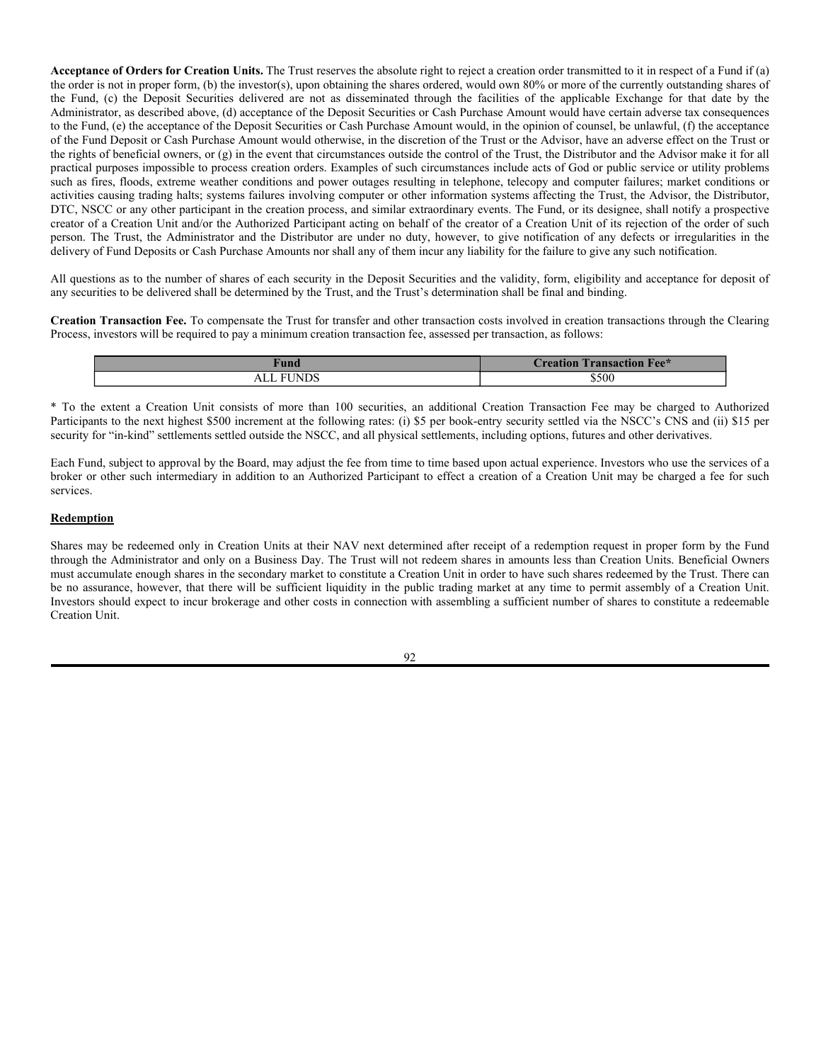All orders to create Creation Units, whether through the Clearing Process (through a Participating Party) or outside the Clearing Process (through a DTC Participant), must be received by the Funds' transfer agent no later than the close of the regular trading session on the applicable Exchange (ordinarily 4:00 p.m., Eastern Time) ("Closing Time") or for the AdvisorShares Dorsey Wright Short ETF, AdvisorShares Newfleet Multi-Sector Income ETF, AdvisorShares North Square McKee Core Reserves ETF, AdvisorShares Pure Cannabis ETF, AdvisorShares Pure US Cannabis ETF, AdvisorShares Q Dynamic Growth ETF, AdvisorShares Q Portfolio Blended Allocation ETF, AdvisorShares STAR Global Buy-Write ETF, and AdvisorShares Ranger Equity Bear ETF, 3:00 p.m., Eastern Time, an hour earlier than Closing Time, in each case on the date such order is placed in order for the creation of Creation Units to be effected based on the NAV of shares of the Fund as next determined on such date after receipt of the order in proper form. The date on which an order to create Creation Units (or an order to redeem Creation Units as discussed below) is placed is referred to as the "Transmittal Date." Orders must be transmitted by an Authorized Participant by telephone or other transmission method acceptable to the Funds' transfer agent pursuant to procedures set forth in the Participant Agreement, as described below (see "Placement of Creation Orders Using Clearing Process" and "Placement of Creation Orders Outside Clearing Process"). Severe economic or market disruptions or changes, or telephone or other communication failure, may impede the ability to reach the Funds' transfer agent or an Authorized Participant.

Orders to create Creation Units of a Fund shall be placed with an Authorized Participant, as applicable, in the form required by such Authorized Participant. In addition, the Authorized Participant may request the investor to make certain representations or enter into agreements with respect to the order, *i.e.*, to provide for payments of cash, when required. Investors should be aware that their particular broker may not have executed a Participant Agreement and, therefore, orders to create Creation Units of a Fund have to be placed by the investor's broker through an Authorized Participant that has executed a Participant Agreement. At any given time, there may be only a limited number of broker-dealers that have executed a Participant Agreement. Those placing orders for Creation Units through the Clearing Process should afford sufficient time to permit proper submission of the order to the Distributor prior to the Closing Time or 3:00 p.m., Eastern Time, as applicable, on the Transmittal Date.

Orders for creation that are effected outside the Clearing Process are likely to require transmittal by the DTC Participant earlier on the Transmittal Date than orders effected using the Clearing Process. Those persons placing orders outside the Clearing Process, including those placing order for Creation Units of the AdvisorShares Dorsey Wright Short ETF, AdvisorShares Newfleet Multi-Sector Income ETF, AdvisorShares North Square McKee Core Reserves ETF, AdvisorShares Ranger Equity Bear ETF, all purchases of which will be effected through a transfer of cash directly through DTC, should ascertain the deadlines applicable to DTC and the Federal Reserve Bank wire system by contacting the operations department of the broker or depository institution effecting such transfer of Deposit Securities and Cash Component or the Cash Purchase Amount, in the case of the AdvisorShares Dorsey Wright Short ETF, AdvisorShares Newfleet Multi-Sector Income ETF, AdvisorShares North Square McKee Core Reserves ETF and AdvisorShares Ranger Equity Bear ETF.

**Placement of Creation Orders Using the Clearing Process (For All Funds Except AdvisorShares Dorsey Wright Short ETF, AdvisorShares Newfleet Multi-Sector Income ETF, AdvisorShares North Square McKee Core Reserves ETF and AdvisorShares Ranger Equity Bear ETF).** The Clearing Process is the process of creating or redeeming Creation Units through the Continuous Net Settlement System of the NSCC. Fund Deposits made through the Clearing Process must be delivered through a Participating Party that has executed a Participant Agreement. The Participant Agreement authorizes the Funds' transfer agent to transmit to NSCC, on behalf of the Participating Party, such trade instructions as are necessary to effect the Participating Party's creation order. Pursuant to such trade instructions to NSCC, the Participating Party agrees to deliver the requisite Deposit Securities and the Cash Component to the Trust, together with such additional information as may be required by the Distributor. An order to create Creation Units through the Clearing Process is deemed received by the Distributor on the Transmittal Date if (i) such order is received by the Distributor not later than the Closing Time or 3:00 p.m., Eastern Time, as applicable, on such Transmittal Date and (ii) all other procedures set forth in the Participant Agreement are properly followed.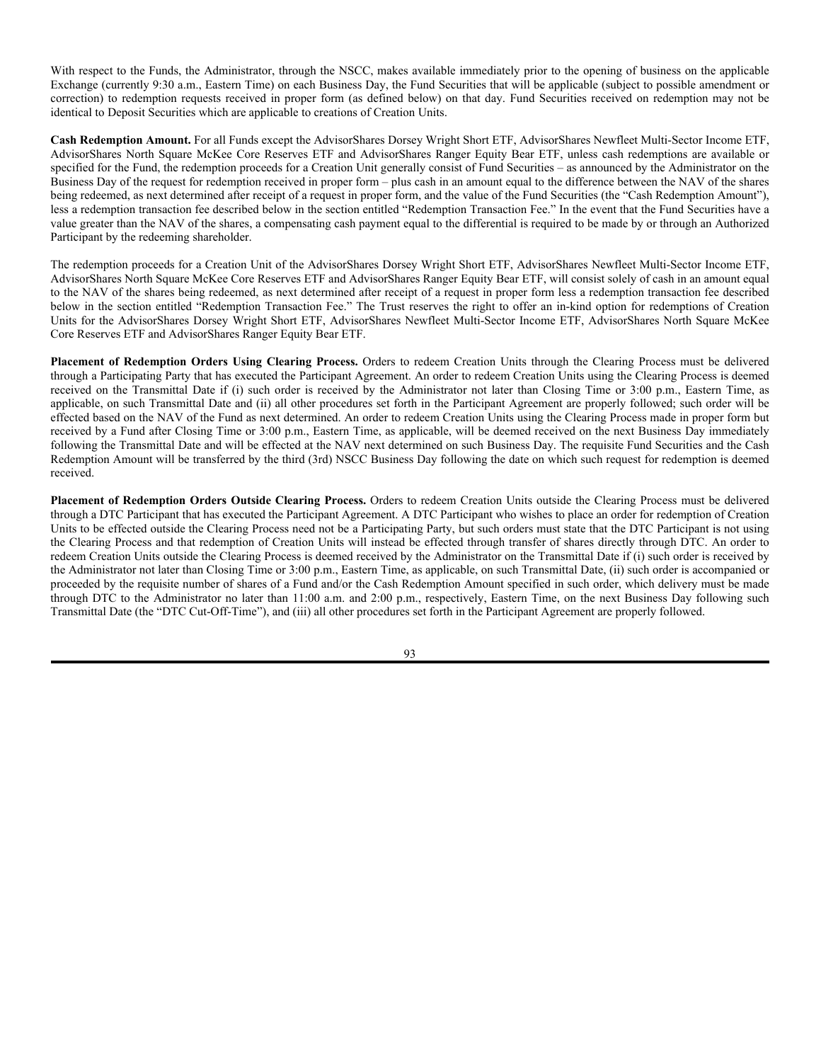**Placement of Creation Orders Outside the Clearing Process (For All Funds Except AdvisorShares Dorsey Wright Short ETF, AdvisorShares Newfleet Multi-Sector Income ETF, AdvisorShares North Square McKee Core Reserves ETF and AdvisorShares Ranger Equity Bear ETF).** Fund Deposits made outside the Clearing Process must be delivered through a DTC Participant that has executed a Participant Agreement with the Trust, the Distributor and the Administrator. A DTC Participant who wishes to place an order creating Creation Units to be effected outside the Clearing Process need not be a Participating Party, but such orders must state that the DTC Participant is not using the Clearing Process and that the creation of Creation Units will instead be effected through a transfer of securities and cash directly through DTC. A Fund Deposit transfer must be ordered by the DTC Participant on the Transmittal Date in a timely fashion so as to ensure the delivery of the requisite number of Deposit Securities through DTC to the account of the Trust by no later than 11:00 a.m., Eastern Time, of the next Business Day immediately following the Transmittal Date. All questions as to the number of Deposit Securities to be delivered and the validity, form and eligibility (including time of receipt) for the deposit of any tendered securities will be determined by the Trust, whose determination shall be final and binding. The cash equal to the Cash Component must be transferred directly to the Administrator through the Federal Reserve wire system in a timely manner so as to be received by the Administrator no later than 2:00 p.m., Eastern Time, on the next Business Day immediately following such Transmittal Date. An order to create Creation Units outside the Clearing Process is deemed received on the Transmittal Date if (i) such order is received not later than the Closing Time or 3:00 p.m., Eastern Time, as applicable, on such Transmittal Date and (ii) all other procedures set forth in the Participant Agreement are properly followed. However, if the Administrator does not receive both the requisite Deposit Securities and the Cash Component by 11:00 a.m. and 2:00 p.m., respectively, on the next Business Day immediately following the Transmittal Date, such order will be cancelled. Upon written notice to the Funds' transfer agent, such cancelled order may be resubmitted the following Business Day using a Fund Deposit as newly constituted to reflect the then current NAV of the particular Fund. The delivery of Creation Units of the Fund so created will occur no later than the third (3rd) Business Day following the day on which the purchase order is deemed received.

Creation Units may be created in advance of receipt by the Trust of all or a portion of the applicable Deposit Securities as described below. In these circumstances, the initial deposit will have a value greater than the NAV of the shares on the date the order is placed in proper form since in addition to available Deposit Securities, cash must be deposited in an amount equal to the sum of the Cash Component plus 115% of the market value of the undelivered Deposit Securities (the "Additional Cash Deposit"). The order shall be deemed to be received on the Business Day on which the order is placed provided that the order is placed in proper form prior to Closing Time or 3:00 p.m., Eastern Time, as applicable, on such date and federal funds in the appropriate amount are deposited with the Administrator by 11:00 a.m., Eastern Time, the following Business Day. If the order is not placed in proper form by Closing Time or 3:00 p.m., Eastern Time, as applicable, or federal funds in the appropriate amount are not received by 11:00 a.m. the next Business Day, then the order may be deemed to be rejected and the investor shall be liable to the Trust for losses, if any, resulting therefrom. An additional amount of cash shall be required to be deposited with the Trust, pending delivery of the missing Deposit Securities to the extent necessary to maintain the Additional Cash Deposit with the Trust in an amount at least equal to 115% of the daily marked to market value of the missing Deposit Securities. To the extent that missing Deposit Securities are not received by 1:00 p.m., Eastern Time, on the third Business Day following the day on which the purchase order is deemed received or in the event a mark to market payment is not made within one Business Day following notification that such a payment is required, the Trust may use the cash on deposit to purchase the missing Deposit Securities. Authorized Participants will be liable to the Trust for the costs incurred by the Trust in connection with any such purchases. These costs will be deemed to include the amount by which the actual purchase price of the Deposit Securities exceeds the market value of such Deposit Securities on the day the purchase order was deemed received plus the brokerage and related transaction costs associated with such purchases. The Trust will return any unused portion of the Additional Cash Deposit once all of the missing Deposit Securities have been properly received by the Administrator or purchased by the Trust and deposited into the Trust. In addition, a transaction fee will be charged in all cases. The delivery of Creation Units of a Fund so created will occur no later than the third Business Day following the day on which the purchase order is deemed received.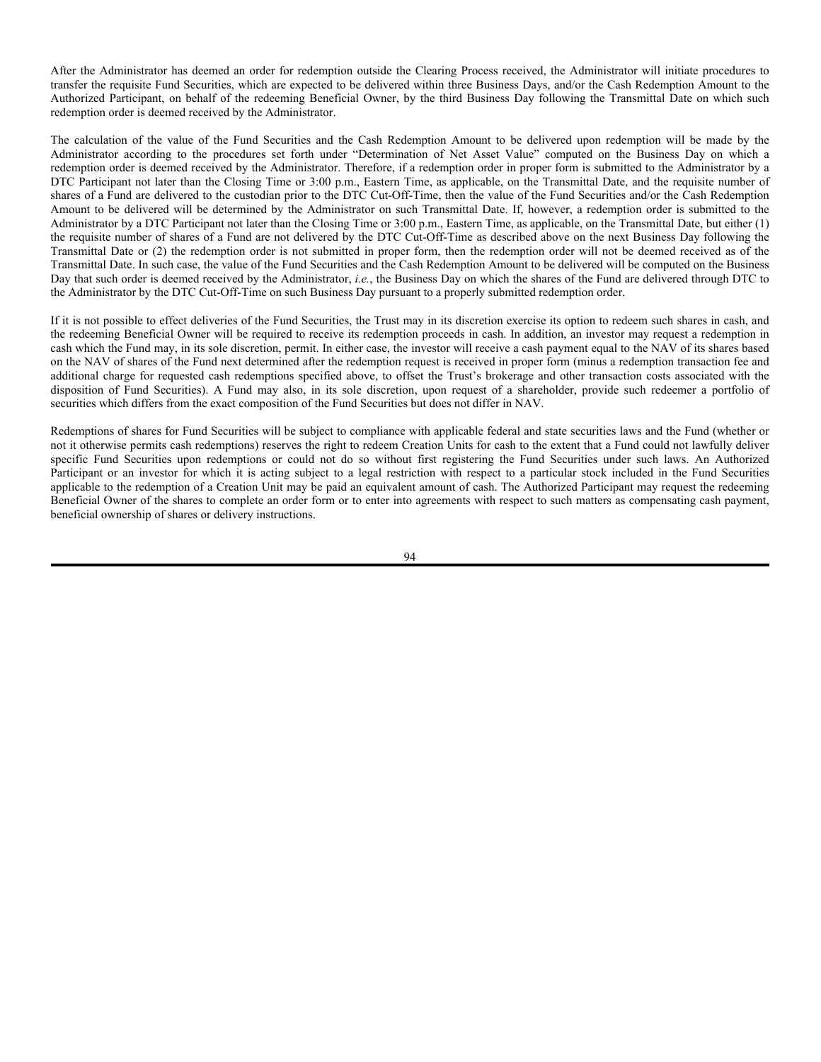**Acceptance of Orders for Creation Units.** The Trust reserves the absolute right to reject a creation order transmitted to it in respect of a Fund if (a) the order is not in proper form, (b) the investor(s), upon obtaining the shares ordered, would own 80% or more of the currently outstanding shares of the Fund, (c) the Deposit Securities delivered are not as disseminated through the facilities of the applicable Exchange for that date by the Administrator, as described above, (d) acceptance of the Deposit Securities or Cash Purchase Amount would have certain adverse tax consequences to the Fund, (e) the acceptance of the Deposit Securities or Cash Purchase Amount would, in the opinion of counsel, be unlawful, (f) the acceptance of the Fund Deposit or Cash Purchase Amount would otherwise, in the discretion of the Trust or the Advisor, have an adverse effect on the Trust or the rights of beneficial owners, or (g) in the event that circumstances outside the control of the Trust, the Distributor and the Advisor make it for all practical purposes impossible to process creation orders. Examples of such circumstances include acts of God or public service or utility problems such as fires, floods, extreme weather conditions and power outages resulting in telephone, telecopy and computer failures; market conditions or activities causing trading halts; systems failures involving computer or other information systems affecting the Trust, the Advisor, the Distributor, DTC, NSCC or any other participant in the creation process, and similar extraordinary events. The Fund, or its designee, shall notify a prospective creator of a Creation Unit and/or the Authorized Participant acting on behalf of the creator of a Creation Unit of its rejection of the order of such person. The Trust, the Administrator and the Distributor are under no duty, however, to give notification of any defects or irregularities in the delivery of Fund Deposits or Cash Purchase Amounts nor shall any of them incur any liability for the failure to give any such notification.

All questions as to the number of shares of each security in the Deposit Securities and the validity, form, eligibility and acceptance for deposit of any securities to be delivered shall be determined by the Trust, and the Trust's determination shall be final and binding.

**Creation Transaction Fee.** To compensate the Trust for transfer and other transaction costs involved in creation transactions through the Clearing Process, investors will be required to pay a minimum creation transaction fee, assessed per transaction, as follows:

| ,,,,,,        | <b>FREE</b><br>$\mathcal{L}$ tion Fee $*$<br>reation)<br>rancae |
|---------------|-----------------------------------------------------------------|
| EI ININC<br>ᄼ | \$500                                                           |

\* To the extent a Creation Unit consists of more than 100 securities, an additional Creation Transaction Fee may be charged to Authorized Participants to the next highest \$500 increment at the following rates: (i) \$5 per book-entry security settled via the NSCC's CNS and (ii) \$15 per security for "in-kind" settlements settled outside the NSCC, and all physical settlements, including options, futures and other derivatives.

Each Fund, subject to approval by the Board, may adjust the fee from time to time based upon actual experience. Investors who use the services of a broker or other such intermediary in addition to an Authorized Participant to effect a creation of a Creation Unit may be charged a fee for such services.

# **Redemption**

Shares may be redeemed only in Creation Units at their NAV next determined after receipt of a redemption request in proper form by the Fund through the Administrator and only on a Business Day. The Trust will not redeem shares in amounts less than Creation Units. Beneficial Owners must accumulate enough shares in the secondary market to constitute a Creation Unit in order to have such shares redeemed by the Trust. There can be no assurance, however, that there will be sufficient liquidity in the public trading market at any time to permit assembly of a Creation Unit. Investors should expect to incur brokerage and other costs in connection with assembling a sufficient number of shares to constitute a redeemable Creation Unit.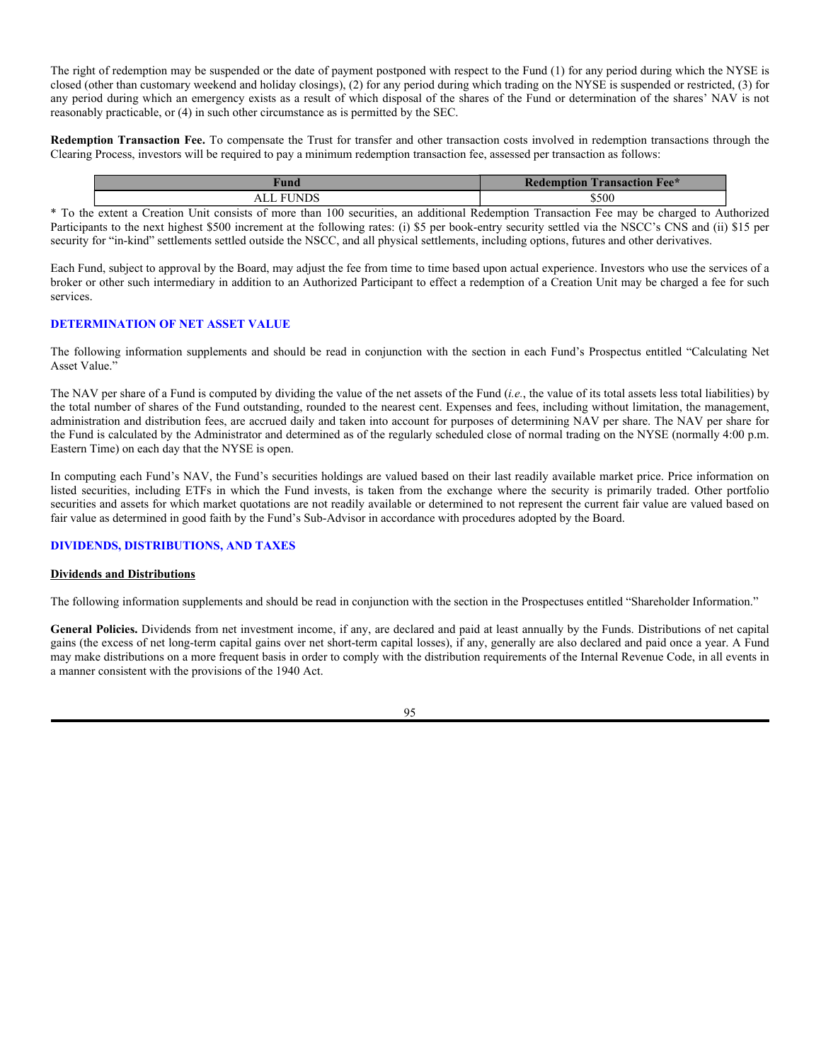With respect to the Funds, the Administrator, through the NSCC, makes available immediately prior to the opening of business on the applicable Exchange (currently 9:30 a.m., Eastern Time) on each Business Day, the Fund Securities that will be applicable (subject to possible amendment or correction) to redemption requests received in proper form (as defined below) on that day. Fund Securities received on redemption may not be identical to Deposit Securities which are applicable to creations of Creation Units.

**Cash Redemption Amount.** For all Funds except the AdvisorShares Dorsey Wright Short ETF, AdvisorShares Newfleet Multi-Sector Income ETF, AdvisorShares North Square McKee Core Reserves ETF and AdvisorShares Ranger Equity Bear ETF, unless cash redemptions are available or specified for the Fund, the redemption proceeds for a Creation Unit generally consist of Fund Securities – as announced by the Administrator on the Business Day of the request for redemption received in proper form – plus cash in an amount equal to the difference between the NAV of the shares being redeemed, as next determined after receipt of a request in proper form, and the value of the Fund Securities (the "Cash Redemption Amount"), less a redemption transaction fee described below in the section entitled "Redemption Transaction Fee." In the event that the Fund Securities have a value greater than the NAV of the shares, a compensating cash payment equal to the differential is required to be made by or through an Authorized Participant by the redeeming shareholder.

The redemption proceeds for a Creation Unit of the AdvisorShares Dorsey Wright Short ETF, AdvisorShares Newfleet Multi-Sector Income ETF, AdvisorShares North Square McKee Core Reserves ETF and AdvisorShares Ranger Equity Bear ETF, will consist solely of cash in an amount equal to the NAV of the shares being redeemed, as next determined after receipt of a request in proper form less a redemption transaction fee described below in the section entitled "Redemption Transaction Fee." The Trust reserves the right to offer an in-kind option for redemptions of Creation Units for the AdvisorShares Dorsey Wright Short ETF, AdvisorShares Newfleet Multi-Sector Income ETF, AdvisorShares North Square McKee Core Reserves ETF and AdvisorShares Ranger Equity Bear ETF.

**Placement of Redemption Orders Using Clearing Process.** Orders to redeem Creation Units through the Clearing Process must be delivered through a Participating Party that has executed the Participant Agreement. An order to redeem Creation Units using the Clearing Process is deemed received on the Transmittal Date if (i) such order is received by the Administrator not later than Closing Time or 3:00 p.m., Eastern Time, as applicable, on such Transmittal Date and (ii) all other procedures set forth in the Participant Agreement are properly followed; such order will be effected based on the NAV of the Fund as next determined. An order to redeem Creation Units using the Clearing Process made in proper form but received by a Fund after Closing Time or 3:00 p.m., Eastern Time, as applicable, will be deemed received on the next Business Day immediately following the Transmittal Date and will be effected at the NAV next determined on such Business Day. The requisite Fund Securities and the Cash Redemption Amount will be transferred by the third (3rd) NSCC Business Day following the date on which such request for redemption is deemed received.

**Placement of Redemption Orders Outside Clearing Process.** Orders to redeem Creation Units outside the Clearing Process must be delivered through a DTC Participant that has executed the Participant Agreement. A DTC Participant who wishes to place an order for redemption of Creation Units to be effected outside the Clearing Process need not be a Participating Party, but such orders must state that the DTC Participant is not using the Clearing Process and that redemption of Creation Units will instead be effected through transfer of shares directly through DTC. An order to redeem Creation Units outside the Clearing Process is deemed received by the Administrator on the Transmittal Date if (i) such order is received by the Administrator not later than Closing Time or 3:00 p.m., Eastern Time, as applicable, on such Transmittal Date, (ii) such order is accompanied or proceeded by the requisite number of shares of a Fund and/or the Cash Redemption Amount specified in such order, which delivery must be made through DTC to the Administrator no later than 11:00 a.m. and 2:00 p.m., respectively, Eastern Time, on the next Business Day following such Transmittal Date (the "DTC Cut-Off-Time"), and (iii) all other procedures set forth in the Participant Agreement are properly followed.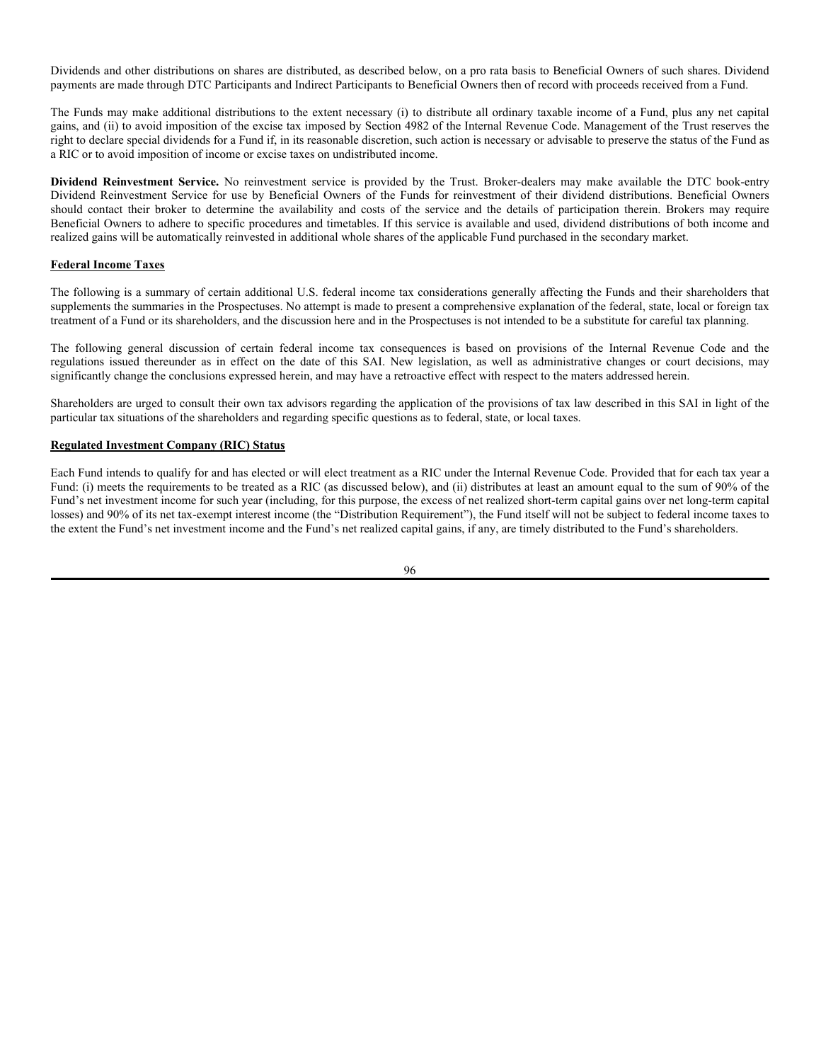After the Administrator has deemed an order for redemption outside the Clearing Process received, the Administrator will initiate procedures to transfer the requisite Fund Securities, which are expected to be delivered within three Business Days, and/or the Cash Redemption Amount to the Authorized Participant, on behalf of the redeeming Beneficial Owner, by the third Business Day following the Transmittal Date on which such redemption order is deemed received by the Administrator.

The calculation of the value of the Fund Securities and the Cash Redemption Amount to be delivered upon redemption will be made by the Administrator according to the procedures set forth under "Determination of Net Asset Value" computed on the Business Day on which a redemption order is deemed received by the Administrator. Therefore, if a redemption order in proper form is submitted to the Administrator by a DTC Participant not later than the Closing Time or 3:00 p.m., Eastern Time, as applicable, on the Transmittal Date, and the requisite number of shares of a Fund are delivered to the custodian prior to the DTC Cut-Off-Time, then the value of the Fund Securities and/or the Cash Redemption Amount to be delivered will be determined by the Administrator on such Transmittal Date. If, however, a redemption order is submitted to the Administrator by a DTC Participant not later than the Closing Time or 3:00 p.m., Eastern Time, as applicable, on the Transmittal Date, but either (1) the requisite number of shares of a Fund are not delivered by the DTC Cut-Off-Time as described above on the next Business Day following the Transmittal Date or (2) the redemption order is not submitted in proper form, then the redemption order will not be deemed received as of the Transmittal Date. In such case, the value of the Fund Securities and the Cash Redemption Amount to be delivered will be computed on the Business Day that such order is deemed received by the Administrator, *i.e.*, the Business Day on which the shares of the Fund are delivered through DTC to the Administrator by the DTC Cut-Off-Time on such Business Day pursuant to a properly submitted redemption order.

If it is not possible to effect deliveries of the Fund Securities, the Trust may in its discretion exercise its option to redeem such shares in cash, and the redeeming Beneficial Owner will be required to receive its redemption proceeds in cash. In addition, an investor may request a redemption in cash which the Fund may, in its sole discretion, permit. In either case, the investor will receive a cash payment equal to the NAV of its shares based on the NAV of shares of the Fund next determined after the redemption request is received in proper form (minus a redemption transaction fee and additional charge for requested cash redemptions specified above, to offset the Trust's brokerage and other transaction costs associated with the disposition of Fund Securities). A Fund may also, in its sole discretion, upon request of a shareholder, provide such redeemer a portfolio of securities which differs from the exact composition of the Fund Securities but does not differ in NAV.

Redemptions of shares for Fund Securities will be subject to compliance with applicable federal and state securities laws and the Fund (whether or not it otherwise permits cash redemptions) reserves the right to redeem Creation Units for cash to the extent that a Fund could not lawfully deliver specific Fund Securities upon redemptions or could not do so without first registering the Fund Securities under such laws. An Authorized Participant or an investor for which it is acting subject to a legal restriction with respect to a particular stock included in the Fund Securities applicable to the redemption of a Creation Unit may be paid an equivalent amount of cash. The Authorized Participant may request the redeeming Beneficial Owner of the shares to complete an order form or to enter into agreements with respect to such matters as compensating cash payment, beneficial ownership of shares or delivery instructions.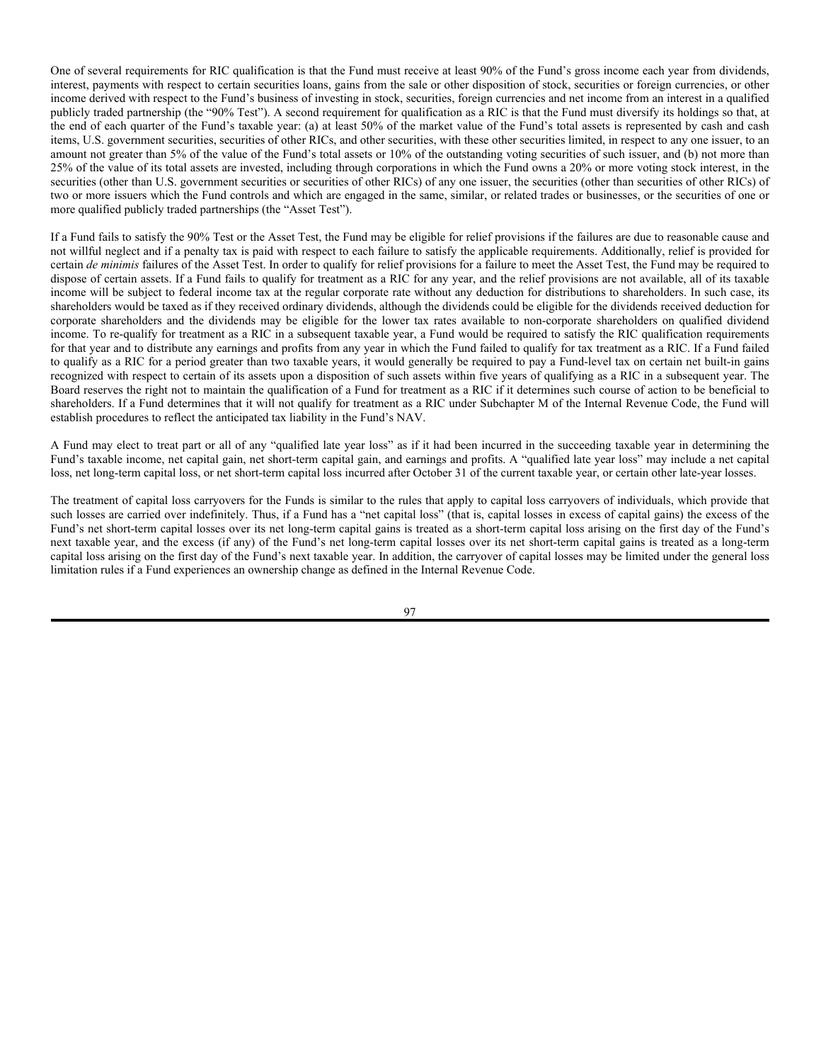The right of redemption may be suspended or the date of payment postponed with respect to the Fund (1) for any period during which the NYSE is closed (other than customary weekend and holiday closings), (2) for any period during which trading on the NYSE is suspended or restricted, (3) for any period during which an emergency exists as a result of which disposal of the shares of the Fund or determination of the shares' NAV is not reasonably practicable, or (4) in such other circumstance as is permitted by the SEC.

**Redemption Transaction Fee.** To compensate the Trust for transfer and other transaction costs involved in redemption transactions through the Clearing Process, investors will be required to pay a minimum redemption transaction fee, assessed per transaction as follows:

| `und       | <b>Transaction Fee</b> * |
|------------|--------------------------|
| 1 N I<br>ы | \$500                    |

\* To the extent a Creation Unit consists of more than 100 securities, an additional Redemption Transaction Fee may be charged to Authorized Participants to the next highest \$500 increment at the following rates: (i) \$5 per book-entry security settled via the NSCC's CNS and (ii) \$15 per security for "in-kind" settlements settled outside the NSCC, and all physical settlements, including options, futures and other derivatives.

Each Fund, subject to approval by the Board, may adjust the fee from time to time based upon actual experience. Investors who use the services of a broker or other such intermediary in addition to an Authorized Participant to effect a redemption of a Creation Unit may be charged a fee for such services.

### **DETERMINATION OF NET ASSET VALUE**

The following information supplements and should be read in conjunction with the section in each Fund's Prospectus entitled "Calculating Net Asset Value."

The NAV per share of a Fund is computed by dividing the value of the net assets of the Fund (*i.e.*, the value of its total assets less total liabilities) by the total number of shares of the Fund outstanding, rounded to the nearest cent. Expenses and fees, including without limitation, the management, administration and distribution fees, are accrued daily and taken into account for purposes of determining NAV per share. The NAV per share for the Fund is calculated by the Administrator and determined as of the regularly scheduled close of normal trading on the NYSE (normally 4:00 p.m. Eastern Time) on each day that the NYSE is open.

In computing each Fund's NAV, the Fund's securities holdings are valued based on their last readily available market price. Price information on listed securities, including ETFs in which the Fund invests, is taken from the exchange where the security is primarily traded. Other portfolio securities and assets for which market quotations are not readily available or determined to not represent the current fair value are valued based on fair value as determined in good faith by the Fund's Sub-Advisor in accordance with procedures adopted by the Board.

## **DIVIDENDS, DISTRIBUTIONS, AND TAXES**

#### **Dividends and Distributions**

The following information supplements and should be read in conjunction with the section in the Prospectuses entitled "Shareholder Information."

**General Policies.** Dividends from net investment income, if any, are declared and paid at least annually by the Funds. Distributions of net capital gains (the excess of net long-term capital gains over net short-term capital losses), if any, generally are also declared and paid once a year. A Fund may make distributions on a more frequent basis in order to comply with the distribution requirements of the Internal Revenue Code, in all events in a manner consistent with the provisions of the 1940 Act.

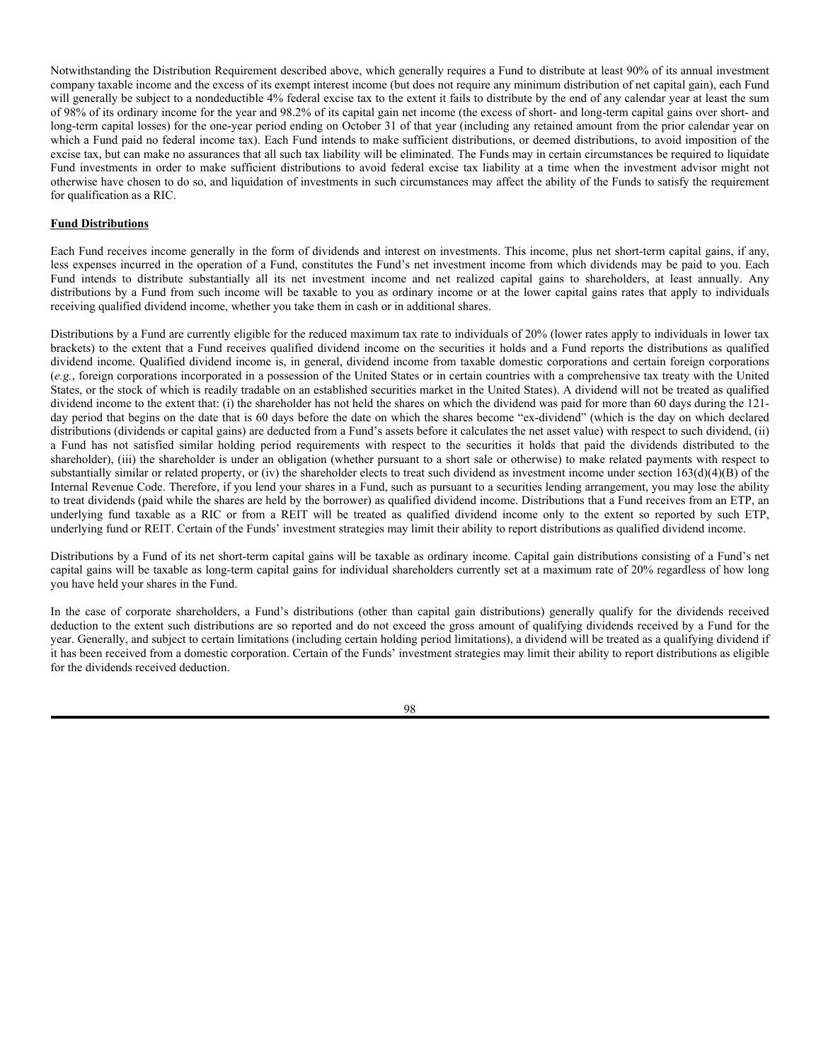Dividends and other distributions on shares are distributed, as described below, on a pro rata basis to Beneficial Owners of such shares. Dividend payments are made through DTC Participants and Indirect Participants to Beneficial Owners then of record with proceeds received from a Fund.

The Funds may make additional distributions to the extent necessary (i) to distribute all ordinary taxable income of a Fund, plus any net capital gains, and (ii) to avoid imposition of the excise tax imposed by Section 4982 of the Internal Revenue Code. Management of the Trust reserves the right to declare special dividends for a Fund if, in its reasonable discretion, such action is necessary or advisable to preserve the status of the Fund as a RIC or to avoid imposition of income or excise taxes on undistributed income.

**Dividend Reinvestment Service.** No reinvestment service is provided by the Trust. Broker-dealers may make available the DTC book-entry Dividend Reinvestment Service for use by Beneficial Owners of the Funds for reinvestment of their dividend distributions. Beneficial Owners should contact their broker to determine the availability and costs of the service and the details of participation therein. Brokers may require Beneficial Owners to adhere to specific procedures and timetables. If this service is available and used, dividend distributions of both income and realized gains will be automatically reinvested in additional whole shares of the applicable Fund purchased in the secondary market.

### **Federal Income Taxes**

The following is a summary of certain additional U.S. federal income tax considerations generally affecting the Funds and their shareholders that supplements the summaries in the Prospectuses. No attempt is made to present a comprehensive explanation of the federal, state, local or foreign tax treatment of a Fund or its shareholders, and the discussion here and in the Prospectuses is not intended to be a substitute for careful tax planning.

The following general discussion of certain federal income tax consequences is based on provisions of the Internal Revenue Code and the regulations issued thereunder as in effect on the date of this SAI. New legislation, as well as administrative changes or court decisions, may significantly change the conclusions expressed herein, and may have a retroactive effect with respect to the maters addressed herein.

Shareholders are urged to consult their own tax advisors regarding the application of the provisions of tax law described in this SAI in light of the particular tax situations of the shareholders and regarding specific questions as to federal, state, or local taxes.

#### **Regulated Investment Company (RIC) Status**

Each Fund intends to qualify for and has elected or will elect treatment as a RIC under the Internal Revenue Code. Provided that for each tax year a Fund: (i) meets the requirements to be treated as a RIC (as discussed below), and (ii) distributes at least an amount equal to the sum of 90% of the Fund's net investment income for such year (including, for this purpose, the excess of net realized short-term capital gains over net long-term capital losses) and 90% of its net tax-exempt interest income (the "Distribution Requirement"), the Fund itself will not be subject to federal income taxes to the extent the Fund's net investment income and the Fund's net realized capital gains, if any, are timely distributed to the Fund's shareholders.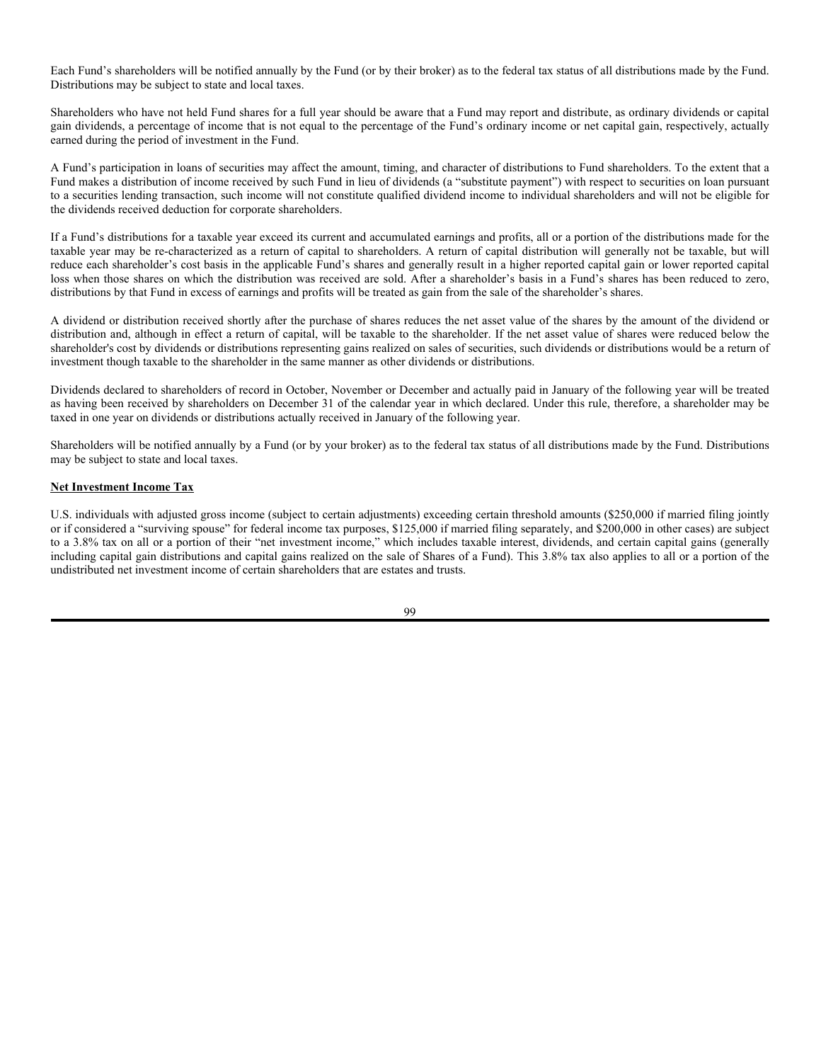One of several requirements for RIC qualification is that the Fund must receive at least 90% of the Fund's gross income each year from dividends, interest, payments with respect to certain securities loans, gains from the sale or other disposition of stock, securities or foreign currencies, or other income derived with respect to the Fund's business of investing in stock, securities, foreign currencies and net income from an interest in a qualified publicly traded partnership (the "90% Test"). A second requirement for qualification as a RIC is that the Fund must diversify its holdings so that, at the end of each quarter of the Fund's taxable year: (a) at least 50% of the market value of the Fund's total assets is represented by cash and cash items, U.S. government securities, securities of other RICs, and other securities, with these other securities limited, in respect to any one issuer, to an amount not greater than 5% of the value of the Fund's total assets or 10% of the outstanding voting securities of such issuer, and (b) not more than 25% of the value of its total assets are invested, including through corporations in which the Fund owns a 20% or more voting stock interest, in the securities (other than U.S. government securities or securities of other RICs) of any one issuer, the securities (other than securities of other RICs) of two or more issuers which the Fund controls and which are engaged in the same, similar, or related trades or businesses, or the securities of one or more qualified publicly traded partnerships (the "Asset Test").

If a Fund fails to satisfy the 90% Test or the Asset Test, the Fund may be eligible for relief provisions if the failures are due to reasonable cause and not willful neglect and if a penalty tax is paid with respect to each failure to satisfy the applicable requirements. Additionally, relief is provided for certain *de minimis* failures of the Asset Test. In order to qualify for relief provisions for a failure to meet the Asset Test, the Fund may be required to dispose of certain assets. If a Fund fails to qualify for treatment as a RIC for any year, and the relief provisions are not available, all of its taxable income will be subject to federal income tax at the regular corporate rate without any deduction for distributions to shareholders. In such case, its shareholders would be taxed as if they received ordinary dividends, although the dividends could be eligible for the dividends received deduction for corporate shareholders and the dividends may be eligible for the lower tax rates available to non-corporate shareholders on qualified dividend income. To re-qualify for treatment as a RIC in a subsequent taxable year, a Fund would be required to satisfy the RIC qualification requirements for that year and to distribute any earnings and profits from any year in which the Fund failed to qualify for tax treatment as a RIC. If a Fund failed to qualify as a RIC for a period greater than two taxable years, it would generally be required to pay a Fund-level tax on certain net built-in gains recognized with respect to certain of its assets upon a disposition of such assets within five years of qualifying as a RIC in a subsequent year. The Board reserves the right not to maintain the qualification of a Fund for treatment as a RIC if it determines such course of action to be beneficial to shareholders. If a Fund determines that it will not qualify for treatment as a RIC under Subchapter M of the Internal Revenue Code, the Fund will establish procedures to reflect the anticipated tax liability in the Fund's NAV.

A Fund may elect to treat part or all of any "qualified late year loss" as if it had been incurred in the succeeding taxable year in determining the Fund's taxable income, net capital gain, net short-term capital gain, and earnings and profits. A "qualified late year loss" may include a net capital loss, net long-term capital loss, or net short-term capital loss incurred after October 31 of the current taxable year, or certain other late-year losses.

The treatment of capital loss carryovers for the Funds is similar to the rules that apply to capital loss carryovers of individuals, which provide that such losses are carried over indefinitely. Thus, if a Fund has a "net capital loss" (that is, capital losses in excess of capital gains) the excess of the Fund's net short-term capital losses over its net long-term capital gains is treated as a short-term capital loss arising on the first day of the Fund's next taxable year, and the excess (if any) of the Fund's net long-term capital losses over its net short-term capital gains is treated as a long-term capital loss arising on the first day of the Fund's next taxable year. In addition, the carryover of capital losses may be limited under the general loss limitation rules if a Fund experiences an ownership change as defined in the Internal Revenue Code.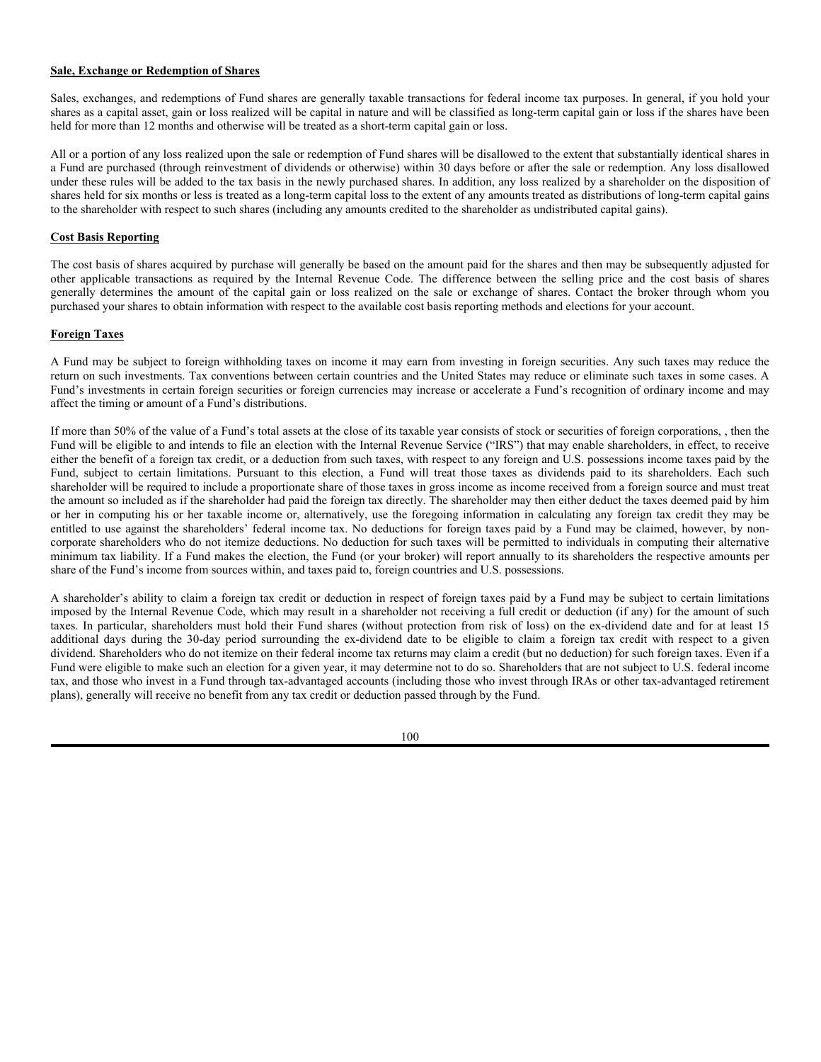Notwithstanding the Distribution Requirement described above, which generally requires a Fund to distribute at least 90% of its annual investment company taxable income and the excess of its exempt interest income (but does not require any minimum distribution of net capital gain), each Fund will generally be subject to a nondeductible 4% federal excise tax to the extent it fails to distribute by the end of any calendar year at least the sum of 98% of its ordinary income for the year and 98.2% of its capital gain net income (the excess of short- and long-term capital gains over short- and long-term capital losses) for the one-year period ending on October 31 of that year (including any retained amount from the prior calendar year on which a Fund paid no federal income tax). Each Fund intends to make sufficient distributions, or deemed distributions, to avoid imposition of the excise tax, but can make no assurances that all such tax liability will be eliminated. The Funds may in certain circumstances be required to liquidate Fund investments in order to make sufficient distributions to avoid federal excise tax liability at a time when the investment advisor might not otherwise have chosen to do so, and liquidation of investments in such circumstances may affect the ability of the Funds to satisfy the requirement for qualification as a RIC.

### **Fund Distributions**

Each Fund receives income generally in the form of dividends and interest on investments. This income, plus net short-term capital gains, if any, less expenses incurred in the operation of a Fund, constitutes the Fund's net investment income from which dividends may be paid to you. Each Fund intends to distribute substantially all its net investment income and net realized capital gains to shareholders, at least annually. Any distributions by a Fund from such income will be taxable to you as ordinary income or at the lower capital gains rates that apply to individuals receiving qualified dividend income, whether you take them in cash or in additional shares.

Distributions by a Fund are currently eligible for the reduced maximum tax rate to individuals of 20% (lower rates apply to individuals in lower tax brackets) to the extent that a Fund receives qualified dividend income on the securities it holds and a Fund reports the distributions as qualified dividend income. Qualified dividend income is, in general, dividend income from taxable domestic corporations and certain foreign corporations (*e.g.*, foreign corporations incorporated in a possession of the United States or in certain countries with a comprehensive tax treaty with the United States, or the stock of which is readily tradable on an established securities market in the United States). A dividend will not be treated as qualified dividend income to the extent that: (i) the shareholder has not held the shares on which the dividend was paid for more than 60 days during the 121 day period that begins on the date that is 60 days before the date on which the shares become "ex-dividend" (which is the day on which declared distributions (dividends or capital gains) are deducted from a Fund's assets before it calculates the net asset value) with respect to such dividend, (ii) a Fund has not satisfied similar holding period requirements with respect to the securities it holds that paid the dividends distributed to the shareholder), (iii) the shareholder is under an obligation (whether pursuant to a short sale or otherwise) to make related payments with respect to substantially similar or related property, or (iv) the shareholder elects to treat such dividend as investment income under section  $163(d)(4)(B)$  of the Internal Revenue Code. Therefore, if you lend your shares in a Fund, such as pursuant to a securities lending arrangement, you may lose the ability to treat dividends (paid while the shares are held by the borrower) as qualified dividend income. Distributions that a Fund receives from an ETP, an underlying fund taxable as a RIC or from a REIT will be treated as qualified dividend income only to the extent so reported by such ETP, underlying fund or REIT. Certain of the Funds' investment strategies may limit their ability to report distributions as qualified dividend income.

Distributions by a Fund of its net short-term capital gains will be taxable as ordinary income. Capital gain distributions consisting of a Fund's net capital gains will be taxable as long-term capital gains for individual shareholders currently set at a maximum rate of 20% regardless of how long you have held your shares in the Fund.

In the case of corporate shareholders, a Fund's distributions (other than capital gain distributions) generally qualify for the dividends received deduction to the extent such distributions are so reported and do not exceed the gross amount of qualifying dividends received by a Fund for the year. Generally, and subject to certain limitations (including certain holding period limitations), a dividend will be treated as a qualifying dividend if it has been received from a domestic corporation. Certain of the Funds' investment strategies may limit their ability to report distributions as eligible for the dividends received deduction.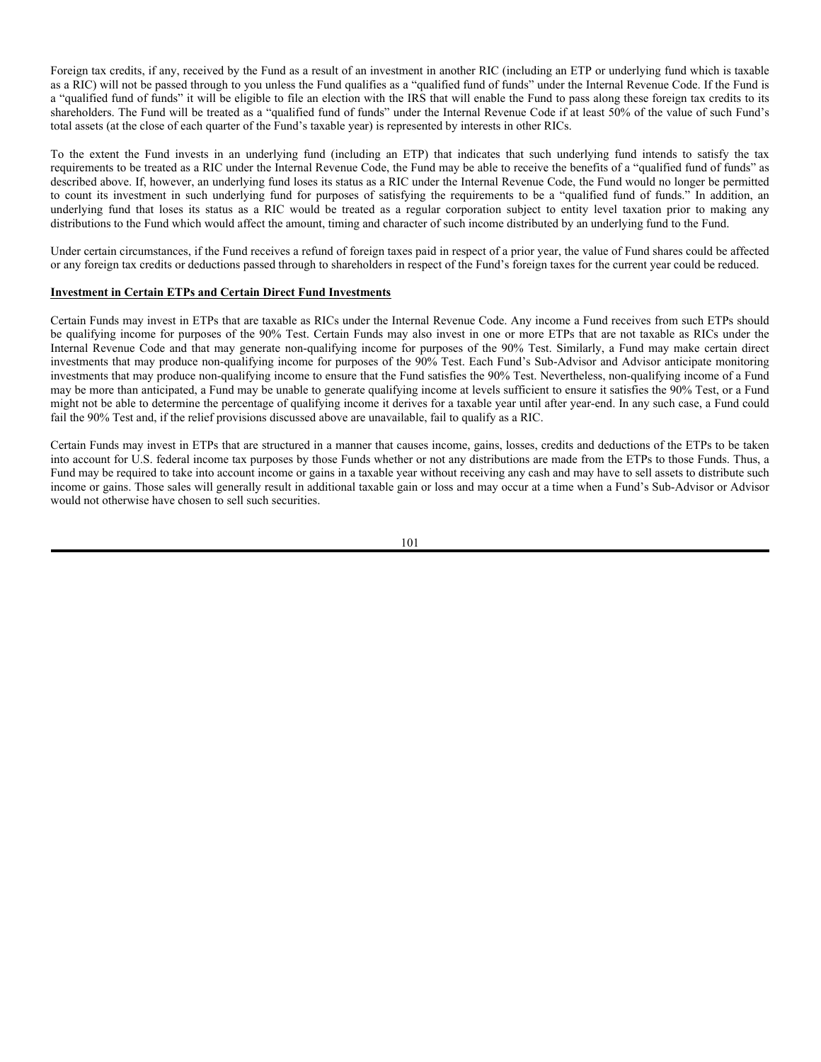Each Fund's shareholders will be notified annually by the Fund (or by their broker) as to the federal tax status of all distributions made by the Fund. Distributions may be subject to state and local taxes.

Shareholders who have not held Fund shares for a full year should be aware that a Fund may report and distribute, as ordinary dividends or capital gain dividends, a percentage of income that is not equal to the percentage of the Fund's ordinary income or net capital gain, respectively, actually earned during the period of investment in the Fund.

A Fund's participation in loans of securities may affect the amount, timing, and character of distributions to Fund shareholders. To the extent that a Fund makes a distribution of income received by such Fund in lieu of dividends (a "substitute payment") with respect to securities on loan pursuant to a securities lending transaction, such income will not constitute qualified dividend income to individual shareholders and will not be eligible for the dividends received deduction for corporate shareholders.

If a Fund's distributions for a taxable year exceed its current and accumulated earnings and profits, all or a portion of the distributions made for the taxable year may be re-characterized as a return of capital to shareholders. A return of capital distribution will generally not be taxable, but will reduce each shareholder's cost basis in the applicable Fund's shares and generally result in a higher reported capital gain or lower reported capital loss when those shares on which the distribution was received are sold. After a shareholder's basis in a Fund's shares has been reduced to zero, distributions by that Fund in excess of earnings and profits will be treated as gain from the sale of the shareholder's shares.

A dividend or distribution received shortly after the purchase of shares reduces the net asset value of the shares by the amount of the dividend or distribution and, although in effect a return of capital, will be taxable to the shareholder. If the net asset value of shares were reduced below the shareholder's cost by dividends or distributions representing gains realized on sales of securities, such dividends or distributions would be a return of investment though taxable to the shareholder in the same manner as other dividends or distributions.

Dividends declared to shareholders of record in October, November or December and actually paid in January of the following year will be treated as having been received by shareholders on December 31 of the calendar year in which declared. Under this rule, therefore, a shareholder may be taxed in one year on dividends or distributions actually received in January of the following year.

Shareholders will be notified annually by a Fund (or by your broker) as to the federal tax status of all distributions made by the Fund. Distributions may be subject to state and local taxes.

### **Net Investment Income Tax**

U.S. individuals with adjusted gross income (subject to certain adjustments) exceeding certain threshold amounts (\$250,000 if married filing jointly or if considered a "surviving spouse" for federal income tax purposes, \$125,000 if married filing separately, and \$200,000 in other cases) are subject to a 3.8% tax on all or a portion of their "net investment income," which includes taxable interest, dividends, and certain capital gains (generally including capital gain distributions and capital gains realized on the sale of Shares of a Fund). This 3.8% tax also applies to all or a portion of the undistributed net investment income of certain shareholders that are estates and trusts.

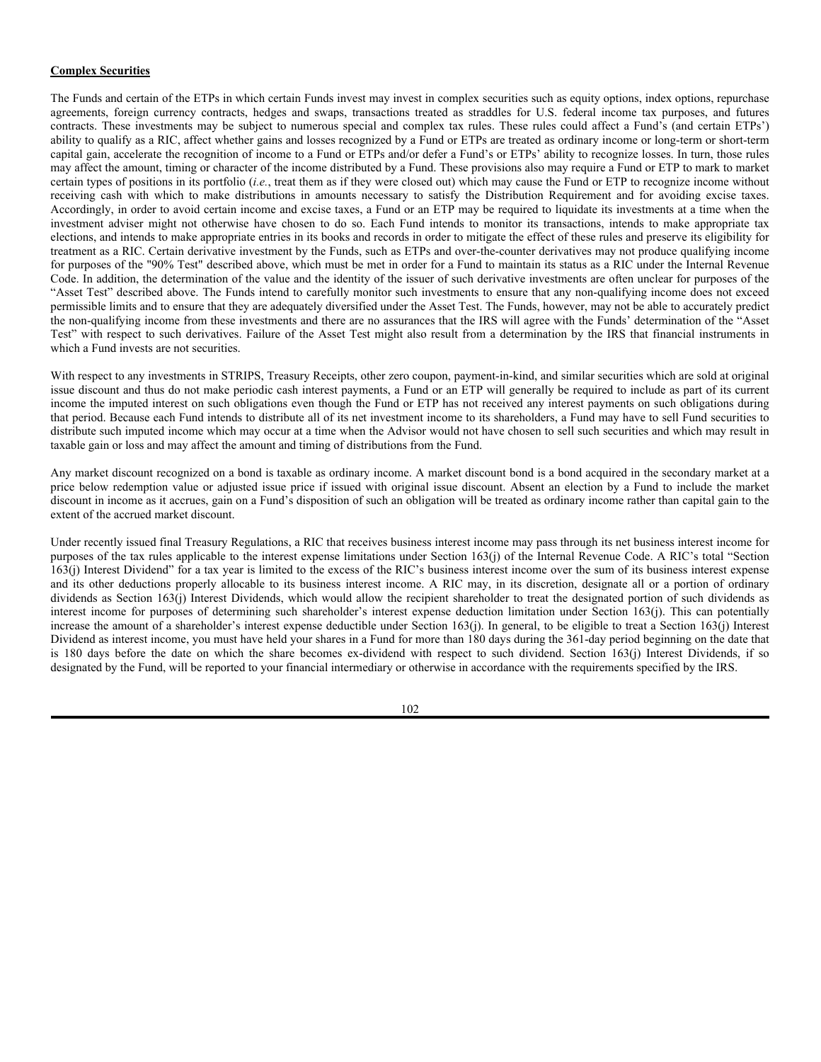### **Sale, Exchange or Redemption of Shares**

Sales, exchanges, and redemptions of Fund shares are generally taxable transactions for federal income tax purposes. In general, if you hold your shares as a capital asset, gain or loss realized will be capital in nature and will be classified as long-term capital gain or loss if the shares have been held for more than 12 months and otherwise will be treated as a short-term capital gain or loss.

All or a portion of any loss realized upon the sale or redemption of Fund shares will be disallowed to the extent that substantially identical shares in a Fund are purchased (through reinvestment of dividends or otherwise) within 30 days before or after the sale or redemption. Any loss disallowed under these rules will be added to the tax basis in the newly purchased shares. In addition, any loss realized by a shareholder on the disposition of shares held for six months or less is treated as a long-term capital loss to the extent of any amounts treated as distributions of long-term capital gains to the shareholder with respect to such shares (including any amounts credited to the shareholder as undistributed capital gains).

## **Cost Basis Reporting**

The cost basis of shares acquired by purchase will generally be based on the amount paid for the shares and then may be subsequently adjusted for other applicable transactions as required by the Internal Revenue Code. The difference between the selling price and the cost basis of shares generally determines the amount of the capital gain or loss realized on the sale or exchange of shares. Contact the broker through whom you purchased your shares to obtain information with respect to the available cost basis reporting methods and elections for your account.

## **Foreign Taxes**

A Fund may be subject to foreign withholding taxes on income it may earn from investing in foreign securities. Any such taxes may reduce the return on such investments. Tax conventions between certain countries and the United States may reduce or eliminate such taxes in some cases. A Fund's investments in certain foreign securities or foreign currencies may increase or accelerate a Fund's recognition of ordinary income and may affect the timing or amount of a Fund's distributions.

If more than 50% of the value of a Fund's total assets at the close of its taxable year consists of stock or securities of foreign corporations, , then the Fund will be eligible to and intends to file an election with the Internal Revenue Service ("IRS") that may enable shareholders, in effect, to receive either the benefit of a foreign tax credit, or a deduction from such taxes, with respect to any foreign and U.S. possessions income taxes paid by the Fund, subject to certain limitations. Pursuant to this election, a Fund will treat those taxes as dividends paid to its shareholders. Each such shareholder will be required to include a proportionate share of those taxes in gross income as income received from a foreign source and must treat the amount so included as if the shareholder had paid the foreign tax directly. The shareholder may then either deduct the taxes deemed paid by him or her in computing his or her taxable income or, alternatively, use the foregoing information in calculating any foreign tax credit they may be entitled to use against the shareholders' federal income tax. No deductions for foreign taxes paid by a Fund may be claimed, however, by noncorporate shareholders who do not itemize deductions. No deduction for such taxes will be permitted to individuals in computing their alternative minimum tax liability. If a Fund makes the election, the Fund (or your broker) will report annually to its shareholders the respective amounts per share of the Fund's income from sources within, and taxes paid to, foreign countries and U.S. possessions.

A shareholder's ability to claim a foreign tax credit or deduction in respect of foreign taxes paid by a Fund may be subject to certain limitations imposed by the Internal Revenue Code, which may result in a shareholder not receiving a full credit or deduction (if any) for the amount of such taxes. In particular, shareholders must hold their Fund shares (without protection from risk of loss) on the ex-dividend date and for at least 15 additional days during the 30-day period surrounding the ex-dividend date to be eligible to claim a foreign tax credit with respect to a given dividend. Shareholders who do not itemize on their federal income tax returns may claim a credit (but no deduction) for such foreign taxes. Even if a Fund were eligible to make such an election for a given year, it may determine not to do so. Shareholders that are not subject to U.S. federal income tax, and those who invest in a Fund through tax-advantaged accounts (including those who invest through IRAs or other tax-advantaged retirement plans), generally will receive no benefit from any tax credit or deduction passed through by the Fund.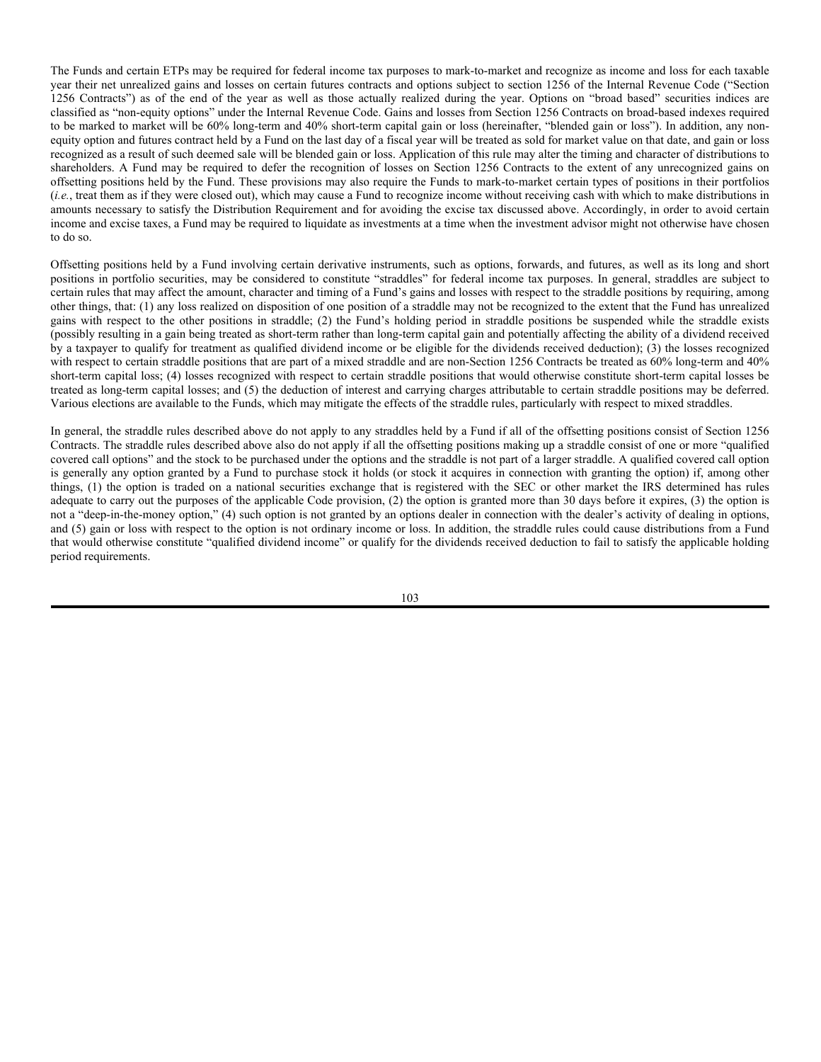Foreign tax credits, if any, received by the Fund as a result of an investment in another RIC (including an ETP or underlying fund which is taxable as a RIC) will not be passed through to you unless the Fund qualifies as a "qualified fund of funds" under the Internal Revenue Code. If the Fund is a "qualified fund of funds" it will be eligible to file an election with the IRS that will enable the Fund to pass along these foreign tax credits to its shareholders. The Fund will be treated as a "qualified fund of funds" under the Internal Revenue Code if at least 50% of the value of such Fund's total assets (at the close of each quarter of the Fund's taxable year) is represented by interests in other RICs.

To the extent the Fund invests in an underlying fund (including an ETP) that indicates that such underlying fund intends to satisfy the tax requirements to be treated as a RIC under the Internal Revenue Code, the Fund may be able to receive the benefits of a "qualified fund of funds" as described above. If, however, an underlying fund loses its status as a RIC under the Internal Revenue Code, the Fund would no longer be permitted to count its investment in such underlying fund for purposes of satisfying the requirements to be a "qualified fund of funds." In addition, an underlying fund that loses its status as a RIC would be treated as a regular corporation subject to entity level taxation prior to making any distributions to the Fund which would affect the amount, timing and character of such income distributed by an underlying fund to the Fund.

Under certain circumstances, if the Fund receives a refund of foreign taxes paid in respect of a prior year, the value of Fund shares could be affected or any foreign tax credits or deductions passed through to shareholders in respect of the Fund's foreign taxes for the current year could be reduced.

#### **Investment in Certain ETPs and Certain Direct Fund Investments**

Certain Funds may invest in ETPs that are taxable as RICs under the Internal Revenue Code. Any income a Fund receives from such ETPs should be qualifying income for purposes of the 90% Test. Certain Funds may also invest in one or more ETPs that are not taxable as RICs under the Internal Revenue Code and that may generate non-qualifying income for purposes of the 90% Test. Similarly, a Fund may make certain direct investments that may produce non-qualifying income for purposes of the 90% Test. Each Fund's Sub-Advisor and Advisor anticipate monitoring investments that may produce non-qualifying income to ensure that the Fund satisfies the 90% Test. Nevertheless, non-qualifying income of a Fund may be more than anticipated, a Fund may be unable to generate qualifying income at levels sufficient to ensure it satisfies the 90% Test, or a Fund might not be able to determine the percentage of qualifying income it derives for a taxable year until after year-end. In any such case, a Fund could fail the 90% Test and, if the relief provisions discussed above are unavailable, fail to qualify as a RIC.

Certain Funds may invest in ETPs that are structured in a manner that causes income, gains, losses, credits and deductions of the ETPs to be taken into account for U.S. federal income tax purposes by those Funds whether or not any distributions are made from the ETPs to those Funds. Thus, a Fund may be required to take into account income or gains in a taxable year without receiving any cash and may have to sell assets to distribute such income or gains. Those sales will generally result in additional taxable gain or loss and may occur at a time when a Fund's Sub-Advisor or Advisor would not otherwise have chosen to sell such securities.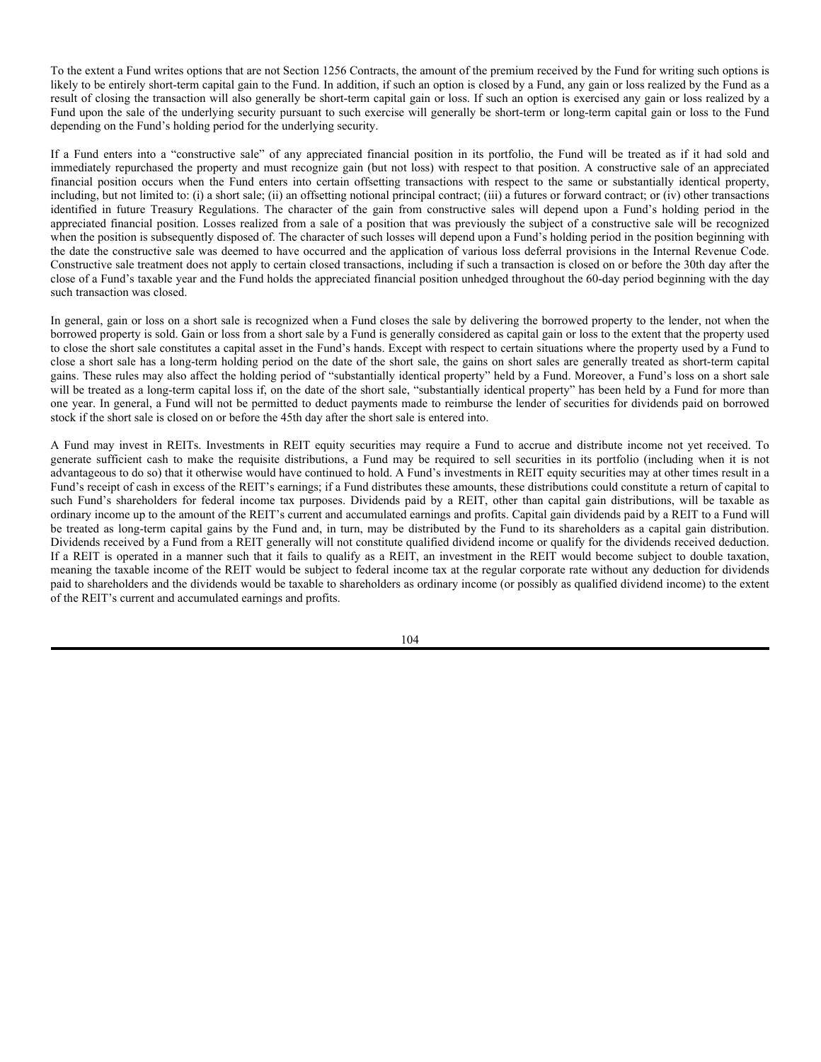## **Complex Securities**

The Funds and certain of the ETPs in which certain Funds invest may invest in complex securities such as equity options, index options, repurchase agreements, foreign currency contracts, hedges and swaps, transactions treated as straddles for U.S. federal income tax purposes, and futures contracts. These investments may be subject to numerous special and complex tax rules. These rules could affect a Fund's (and certain ETPs') ability to qualify as a RIC, affect whether gains and losses recognized by a Fund or ETPs are treated as ordinary income or long-term or short-term capital gain, accelerate the recognition of income to a Fund or ETPs and/or defer a Fund's or ETPs' ability to recognize losses. In turn, those rules may affect the amount, timing or character of the income distributed by a Fund. These provisions also may require a Fund or ETP to mark to market certain types of positions in its portfolio (*i.e.*, treat them as if they were closed out) which may cause the Fund or ETP to recognize income without receiving cash with which to make distributions in amounts necessary to satisfy the Distribution Requirement and for avoiding excise taxes. Accordingly, in order to avoid certain income and excise taxes, a Fund or an ETP may be required to liquidate its investments at a time when the investment adviser might not otherwise have chosen to do so. Each Fund intends to monitor its transactions, intends to make appropriate tax elections, and intends to make appropriate entries in its books and records in order to mitigate the effect of these rules and preserve its eligibility for treatment as a RIC. Certain derivative investment by the Funds, such as ETPs and over-the-counter derivatives may not produce qualifying income for purposes of the "90% Test" described above, which must be met in order for a Fund to maintain its status as a RIC under the Internal Revenue Code. In addition, the determination of the value and the identity of the issuer of such derivative investments are often unclear for purposes of the "Asset Test" described above. The Funds intend to carefully monitor such investments to ensure that any non-qualifying income does not exceed permissible limits and to ensure that they are adequately diversified under the Asset Test. The Funds, however, may not be able to accurately predict the non-qualifying income from these investments and there are no assurances that the IRS will agree with the Funds' determination of the "Asset Test" with respect to such derivatives. Failure of the Asset Test might also result from a determination by the IRS that financial instruments in which a Fund invests are not securities.

With respect to any investments in STRIPS, Treasury Receipts, other zero coupon, payment-in-kind, and similar securities which are sold at original issue discount and thus do not make periodic cash interest payments, a Fund or an ETP will generally be required to include as part of its current income the imputed interest on such obligations even though the Fund or ETP has not received any interest payments on such obligations during that period. Because each Fund intends to distribute all of its net investment income to its shareholders, a Fund may have to sell Fund securities to distribute such imputed income which may occur at a time when the Advisor would not have chosen to sell such securities and which may result in taxable gain or loss and may affect the amount and timing of distributions from the Fund.

Any market discount recognized on a bond is taxable as ordinary income. A market discount bond is a bond acquired in the secondary market at a price below redemption value or adjusted issue price if issued with original issue discount. Absent an election by a Fund to include the market discount in income as it accrues, gain on a Fund's disposition of such an obligation will be treated as ordinary income rather than capital gain to the extent of the accrued market discount.

Under recently issued final Treasury Regulations, a RIC that receives business interest income may pass through its net business interest income for purposes of the tax rules applicable to the interest expense limitations under Section 163(j) of the Internal Revenue Code. A RIC's total "Section 163(j) Interest Dividend" for a tax year is limited to the excess of the RIC's business interest income over the sum of its business interest expense and its other deductions properly allocable to its business interest income. A RIC may, in its discretion, designate all or a portion of ordinary dividends as Section 163(j) Interest Dividends, which would allow the recipient shareholder to treat the designated portion of such dividends as interest income for purposes of determining such shareholder's interest expense deduction limitation under Section 163(j). This can potentially increase the amount of a shareholder's interest expense deductible under Section 163(j). In general, to be eligible to treat a Section 163(j) Interest Dividend as interest income, you must have held your shares in a Fund for more than 180 days during the 361-day period beginning on the date that is 180 days before the date on which the share becomes ex-dividend with respect to such dividend. Section 163(j) Interest Dividends, if so designated by the Fund, will be reported to your financial intermediary or otherwise in accordance with the requirements specified by the IRS.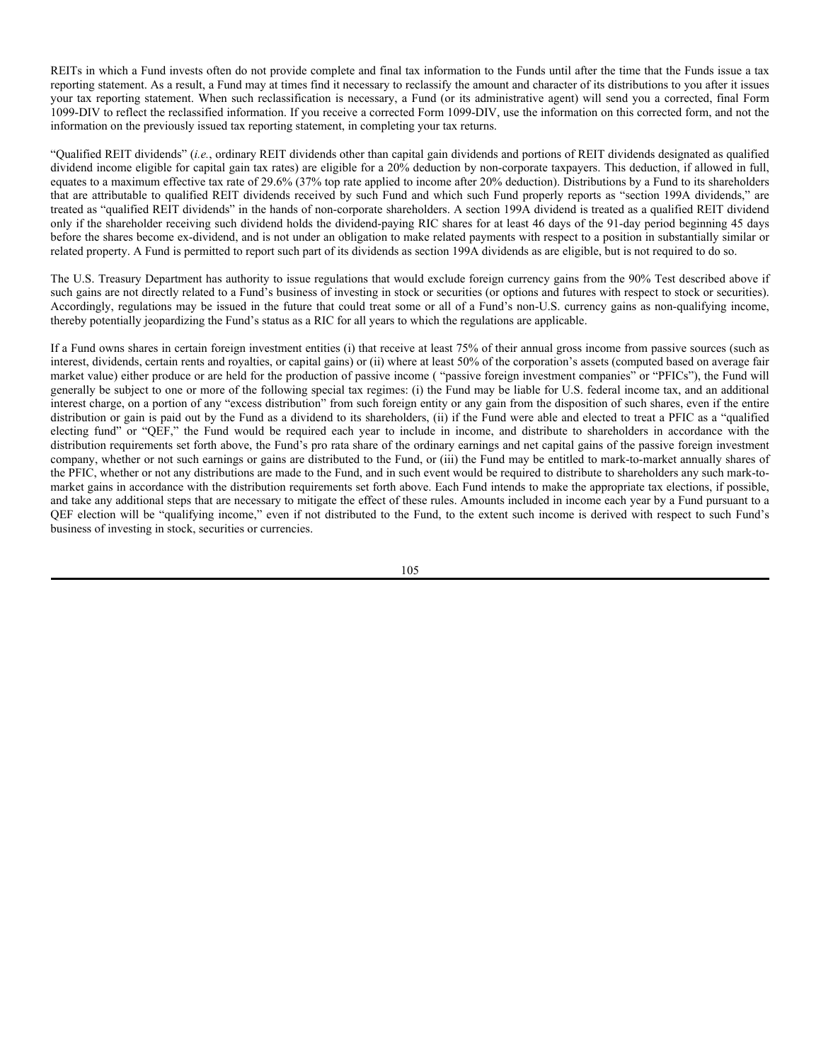The Funds and certain ETPs may be required for federal income tax purposes to mark-to-market and recognize as income and loss for each taxable year their net unrealized gains and losses on certain futures contracts and options subject to section 1256 of the Internal Revenue Code ("Section 1256 Contracts") as of the end of the year as well as those actually realized during the year. Options on "broad based" securities indices are classified as "non-equity options" under the Internal Revenue Code. Gains and losses from Section 1256 Contracts on broad-based indexes required to be marked to market will be 60% long-term and 40% short-term capital gain or loss (hereinafter, "blended gain or loss"). In addition, any nonequity option and futures contract held by a Fund on the last day of a fiscal year will be treated as sold for market value on that date, and gain or loss recognized as a result of such deemed sale will be blended gain or loss. Application of this rule may alter the timing and character of distributions to shareholders. A Fund may be required to defer the recognition of losses on Section 1256 Contracts to the extent of any unrecognized gains on offsetting positions held by the Fund. These provisions may also require the Funds to mark-to-market certain types of positions in their portfolios (*i.e.*, treat them as if they were closed out), which may cause a Fund to recognize income without receiving cash with which to make distributions in amounts necessary to satisfy the Distribution Requirement and for avoiding the excise tax discussed above. Accordingly, in order to avoid certain income and excise taxes, a Fund may be required to liquidate as investments at a time when the investment advisor might not otherwise have chosen to do so.

Offsetting positions held by a Fund involving certain derivative instruments, such as options, forwards, and futures, as well as its long and short positions in portfolio securities, may be considered to constitute "straddles" for federal income tax purposes. In general, straddles are subject to certain rules that may affect the amount, character and timing of a Fund's gains and losses with respect to the straddle positions by requiring, among other things, that: (1) any loss realized on disposition of one position of a straddle may not be recognized to the extent that the Fund has unrealized gains with respect to the other positions in straddle; (2) the Fund's holding period in straddle positions be suspended while the straddle exists (possibly resulting in a gain being treated as short-term rather than long-term capital gain and potentially affecting the ability of a dividend received by a taxpayer to qualify for treatment as qualified dividend income or be eligible for the dividends received deduction); (3) the losses recognized with respect to certain straddle positions that are part of a mixed straddle and are non-Section 1256 Contracts be treated as 60% long-term and 40% short-term capital loss; (4) losses recognized with respect to certain straddle positions that would otherwise constitute short-term capital losses be treated as long-term capital losses; and (5) the deduction of interest and carrying charges attributable to certain straddle positions may be deferred. Various elections are available to the Funds, which may mitigate the effects of the straddle rules, particularly with respect to mixed straddles.

In general, the straddle rules described above do not apply to any straddles held by a Fund if all of the offsetting positions consist of Section 1256 Contracts. The straddle rules described above also do not apply if all the offsetting positions making up a straddle consist of one or more "qualified covered call options" and the stock to be purchased under the options and the straddle is not part of a larger straddle. A qualified covered call option is generally any option granted by a Fund to purchase stock it holds (or stock it acquires in connection with granting the option) if, among other things, (1) the option is traded on a national securities exchange that is registered with the SEC or other market the IRS determined has rules adequate to carry out the purposes of the applicable Code provision, (2) the option is granted more than 30 days before it expires, (3) the option is not a "deep-in-the-money option," (4) such option is not granted by an options dealer in connection with the dealer's activity of dealing in options, and (5) gain or loss with respect to the option is not ordinary income or loss. In addition, the straddle rules could cause distributions from a Fund that would otherwise constitute "qualified dividend income" or qualify for the dividends received deduction to fail to satisfy the applicable holding period requirements.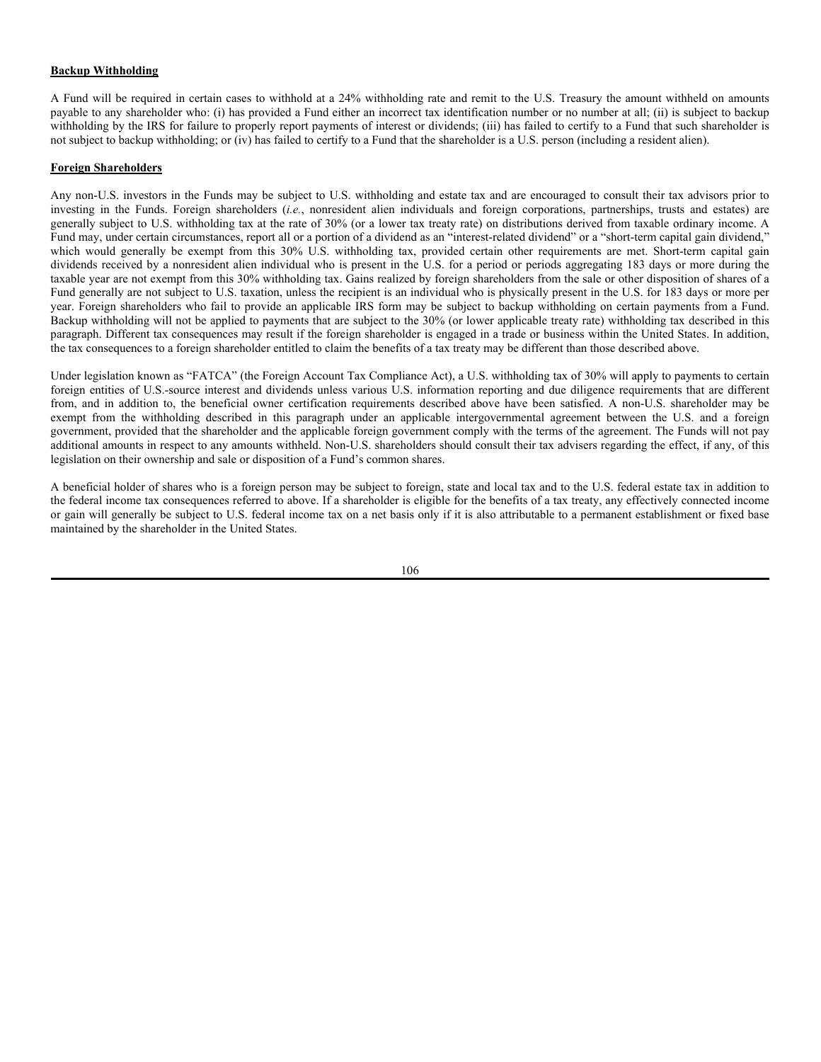To the extent a Fund writes options that are not Section 1256 Contracts, the amount of the premium received by the Fund for writing such options is likely to be entirely short-term capital gain to the Fund. In addition, if such an option is closed by a Fund, any gain or loss realized by the Fund as a result of closing the transaction will also generally be short-term capital gain or loss. If such an option is exercised any gain or loss realized by a Fund upon the sale of the underlying security pursuant to such exercise will generally be short-term or long-term capital gain or loss to the Fund depending on the Fund's holding period for the underlying security.

If a Fund enters into a "constructive sale" of any appreciated financial position in its portfolio, the Fund will be treated as if it had sold and immediately repurchased the property and must recognize gain (but not loss) with respect to that position. A constructive sale of an appreciated financial position occurs when the Fund enters into certain offsetting transactions with respect to the same or substantially identical property, including, but not limited to: (i) a short sale; (ii) an offsetting notional principal contract; (iii) a futures or forward contract; or (iv) other transactions identified in future Treasury Regulations. The character of the gain from constructive sales will depend upon a Fund's holding period in the appreciated financial position. Losses realized from a sale of a position that was previously the subject of a constructive sale will be recognized when the position is subsequently disposed of. The character of such losses will depend upon a Fund's holding period in the position beginning with the date the constructive sale was deemed to have occurred and the application of various loss deferral provisions in the Internal Revenue Code. Constructive sale treatment does not apply to certain closed transactions, including if such a transaction is closed on or before the 30th day after the close of a Fund's taxable year and the Fund holds the appreciated financial position unhedged throughout the 60-day period beginning with the day such transaction was closed.

In general, gain or loss on a short sale is recognized when a Fund closes the sale by delivering the borrowed property to the lender, not when the borrowed property is sold. Gain or loss from a short sale by a Fund is generally considered as capital gain or loss to the extent that the property used to close the short sale constitutes a capital asset in the Fund's hands. Except with respect to certain situations where the property used by a Fund to close a short sale has a long-term holding period on the date of the short sale, the gains on short sales are generally treated as short-term capital gains. These rules may also affect the holding period of "substantially identical property" held by a Fund. Moreover, a Fund's loss on a short sale will be treated as a long-term capital loss if, on the date of the short sale, "substantially identical property" has been held by a Fund for more than one year. In general, a Fund will not be permitted to deduct payments made to reimburse the lender of securities for dividends paid on borrowed stock if the short sale is closed on or before the 45th day after the short sale is entered into.

A Fund may invest in REITs. Investments in REIT equity securities may require a Fund to accrue and distribute income not yet received. To generate sufficient cash to make the requisite distributions, a Fund may be required to sell securities in its portfolio (including when it is not advantageous to do so) that it otherwise would have continued to hold. A Fund's investments in REIT equity securities may at other times result in a Fund's receipt of cash in excess of the REIT's earnings; if a Fund distributes these amounts, these distributions could constitute a return of capital to such Fund's shareholders for federal income tax purposes. Dividends paid by a REIT, other than capital gain distributions, will be taxable as ordinary income up to the amount of the REIT's current and accumulated earnings and profits. Capital gain dividends paid by a REIT to a Fund will be treated as long-term capital gains by the Fund and, in turn, may be distributed by the Fund to its shareholders as a capital gain distribution. Dividends received by a Fund from a REIT generally will not constitute qualified dividend income or qualify for the dividends received deduction. If a REIT is operated in a manner such that it fails to qualify as a REIT, an investment in the REIT would become subject to double taxation, meaning the taxable income of the REIT would be subject to federal income tax at the regular corporate rate without any deduction for dividends paid to shareholders and the dividends would be taxable to shareholders as ordinary income (or possibly as qualified dividend income) to the extent of the REIT's current and accumulated earnings and profits.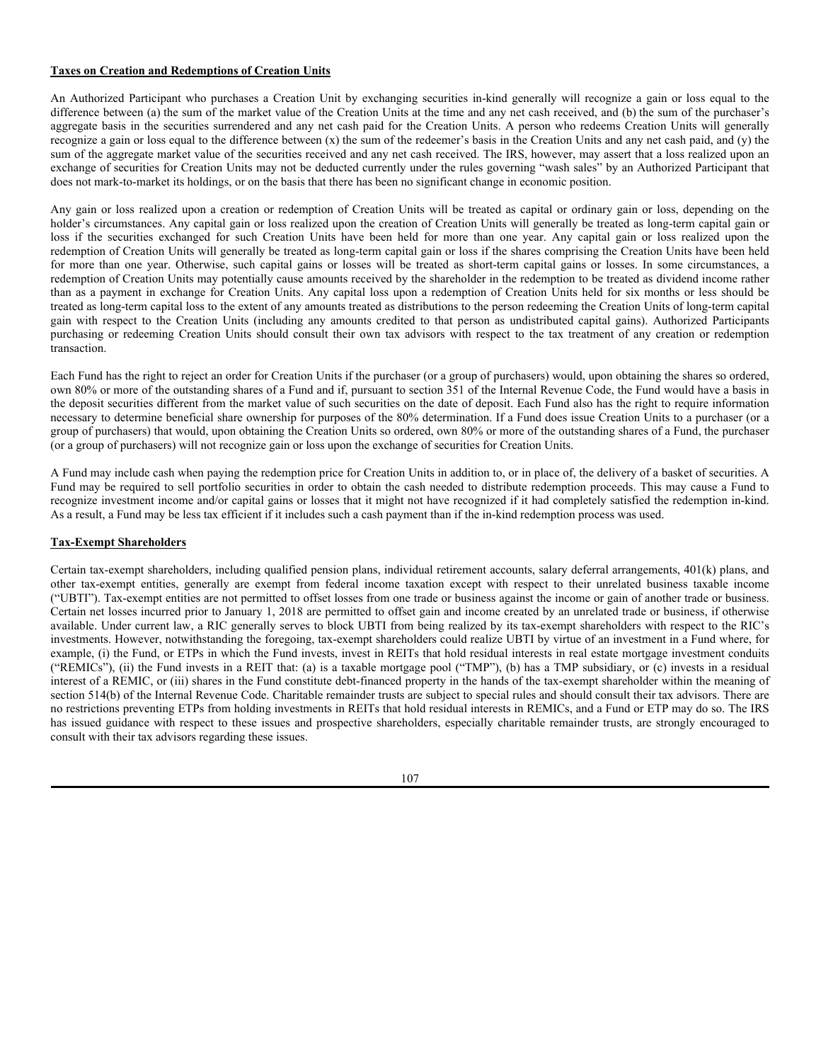REITs in which a Fund invests often do not provide complete and final tax information to the Funds until after the time that the Funds issue a tax reporting statement. As a result, a Fund may at times find it necessary to reclassify the amount and character of its distributions to you after it issues your tax reporting statement. When such reclassification is necessary, a Fund (or its administrative agent) will send you a corrected, final Form 1099-DIV to reflect the reclassified information. If you receive a corrected Form 1099-DIV, use the information on this corrected form, and not the information on the previously issued tax reporting statement, in completing your tax returns.

"Qualified REIT dividends" (*i.e.*, ordinary REIT dividends other than capital gain dividends and portions of REIT dividends designated as qualified dividend income eligible for capital gain tax rates) are eligible for a 20% deduction by non-corporate taxpayers. This deduction, if allowed in full, equates to a maximum effective tax rate of 29.6% (37% top rate applied to income after 20% deduction). Distributions by a Fund to its shareholders that are attributable to qualified REIT dividends received by such Fund and which such Fund properly reports as "section 199A dividends," are treated as "qualified REIT dividends" in the hands of non-corporate shareholders. A section 199A dividend is treated as a qualified REIT dividend only if the shareholder receiving such dividend holds the dividend-paying RIC shares for at least 46 days of the 91-day period beginning 45 days before the shares become ex-dividend, and is not under an obligation to make related payments with respect to a position in substantially similar or related property. A Fund is permitted to report such part of its dividends as section 199A dividends as are eligible, but is not required to do so.

The U.S. Treasury Department has authority to issue regulations that would exclude foreign currency gains from the 90% Test described above if such gains are not directly related to a Fund's business of investing in stock or securities (or options and futures with respect to stock or securities). Accordingly, regulations may be issued in the future that could treat some or all of a Fund's non-U.S. currency gains as non-qualifying income, thereby potentially jeopardizing the Fund's status as a RIC for all years to which the regulations are applicable.

If a Fund owns shares in certain foreign investment entities (i) that receive at least 75% of their annual gross income from passive sources (such as interest, dividends, certain rents and royalties, or capital gains) or (ii) where at least 50% of the corporation's assets (computed based on average fair market value) either produce or are held for the production of passive income ( "passive foreign investment companies" or "PFICs"), the Fund will generally be subject to one or more of the following special tax regimes: (i) the Fund may be liable for U.S. federal income tax, and an additional interest charge, on a portion of any "excess distribution" from such foreign entity or any gain from the disposition of such shares, even if the entire distribution or gain is paid out by the Fund as a dividend to its shareholders, (ii) if the Fund were able and elected to treat a PFIC as a "qualified electing fund" or "QEF," the Fund would be required each year to include in income, and distribute to shareholders in accordance with the distribution requirements set forth above, the Fund's pro rata share of the ordinary earnings and net capital gains of the passive foreign investment company, whether or not such earnings or gains are distributed to the Fund, or (iii) the Fund may be entitled to mark-to-market annually shares of the PFIC, whether or not any distributions are made to the Fund, and in such event would be required to distribute to shareholders any such mark-tomarket gains in accordance with the distribution requirements set forth above. Each Fund intends to make the appropriate tax elections, if possible, and take any additional steps that are necessary to mitigate the effect of these rules. Amounts included in income each year by a Fund pursuant to a QEF election will be "qualifying income," even if not distributed to the Fund, to the extent such income is derived with respect to such Fund's business of investing in stock, securities or currencies.

105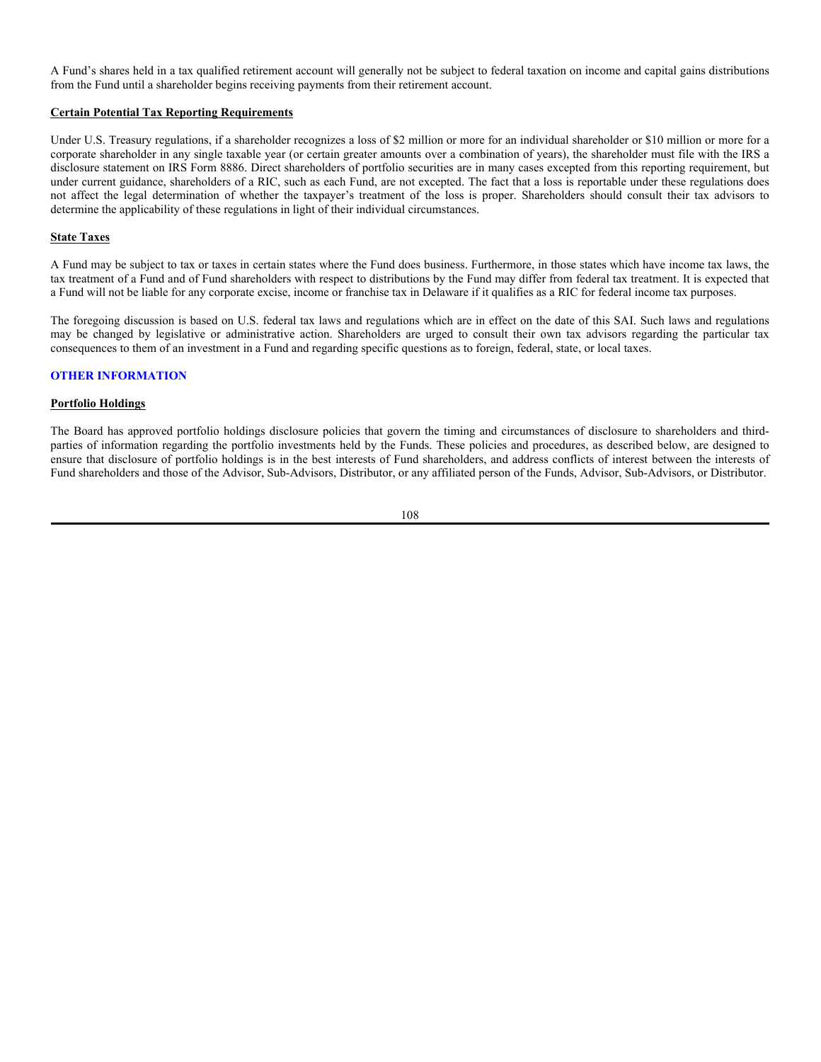## **Backup Withholding**

A Fund will be required in certain cases to withhold at a 24% withholding rate and remit to the U.S. Treasury the amount withheld on amounts payable to any shareholder who: (i) has provided a Fund either an incorrect tax identification number or no number at all; (ii) is subject to backup withholding by the IRS for failure to properly report payments of interest or dividends; (iii) has failed to certify to a Fund that such shareholder is not subject to backup withholding; or (iv) has failed to certify to a Fund that the shareholder is a U.S. person (including a resident alien).

## **Foreign Shareholders**

Any non-U.S. investors in the Funds may be subject to U.S. withholding and estate tax and are encouraged to consult their tax advisors prior to investing in the Funds. Foreign shareholders (*i.e.*, nonresident alien individuals and foreign corporations, partnerships, trusts and estates) are generally subject to U.S. withholding tax at the rate of 30% (or a lower tax treaty rate) on distributions derived from taxable ordinary income. A Fund may, under certain circumstances, report all or a portion of a dividend as an "interest-related dividend" or a "short-term capital gain dividend," which would generally be exempt from this 30% U.S. withholding tax, provided certain other requirements are met. Short-term capital gain dividends received by a nonresident alien individual who is present in the U.S. for a period or periods aggregating 183 days or more during the taxable year are not exempt from this 30% withholding tax. Gains realized by foreign shareholders from the sale or other disposition of shares of a Fund generally are not subject to U.S. taxation, unless the recipient is an individual who is physically present in the U.S. for 183 days or more per year. Foreign shareholders who fail to provide an applicable IRS form may be subject to backup withholding on certain payments from a Fund. Backup withholding will not be applied to payments that are subject to the 30% (or lower applicable treaty rate) withholding tax described in this paragraph. Different tax consequences may result if the foreign shareholder is engaged in a trade or business within the United States. In addition, the tax consequences to a foreign shareholder entitled to claim the benefits of a tax treaty may be different than those described above.

Under legislation known as "FATCA" (the Foreign Account Tax Compliance Act), a U.S. withholding tax of 30% will apply to payments to certain foreign entities of U.S.-source interest and dividends unless various U.S. information reporting and due diligence requirements that are different from, and in addition to, the beneficial owner certification requirements described above have been satisfied. A non-U.S. shareholder may be exempt from the withholding described in this paragraph under an applicable intergovernmental agreement between the U.S. and a foreign government, provided that the shareholder and the applicable foreign government comply with the terms of the agreement. The Funds will not pay additional amounts in respect to any amounts withheld. Non-U.S. shareholders should consult their tax advisers regarding the effect, if any, of this legislation on their ownership and sale or disposition of a Fund's common shares.

A beneficial holder of shares who is a foreign person may be subject to foreign, state and local tax and to the U.S. federal estate tax in addition to the federal income tax consequences referred to above. If a shareholder is eligible for the benefits of a tax treaty, any effectively connected income or gain will generally be subject to U.S. federal income tax on a net basis only if it is also attributable to a permanent establishment or fixed base maintained by the shareholder in the United States.

106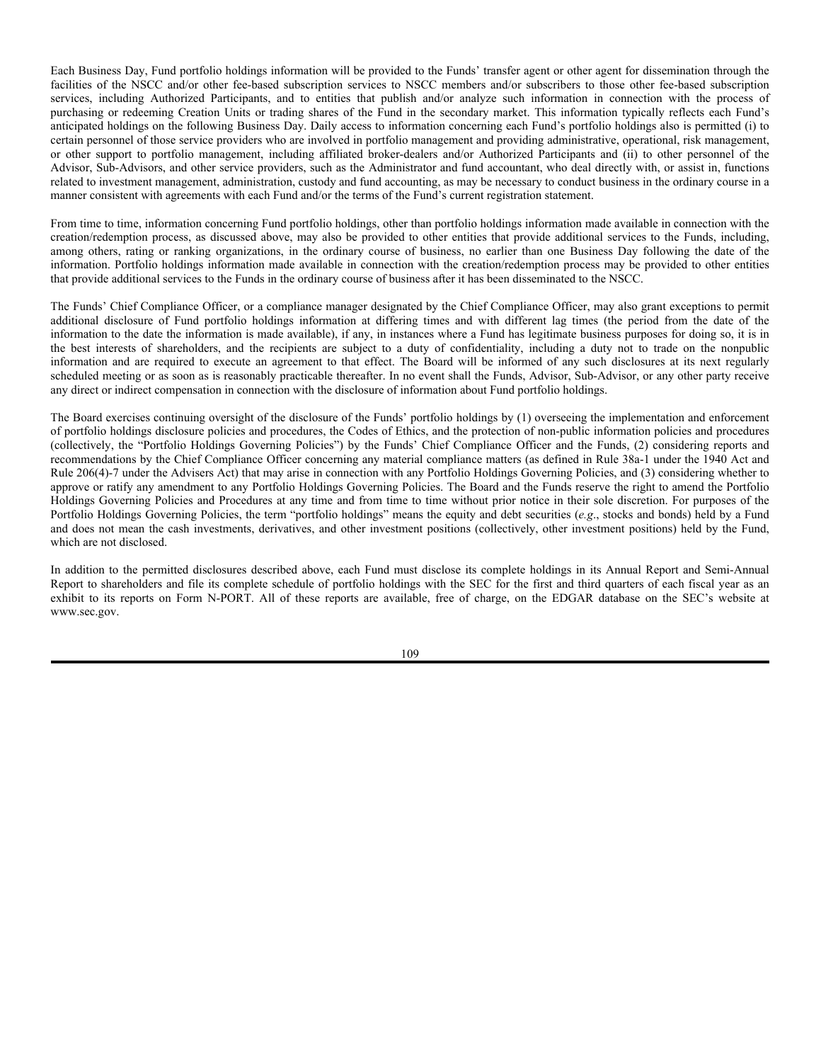## **Taxes on Creation and Redemptions of Creation Units**

An Authorized Participant who purchases a Creation Unit by exchanging securities in-kind generally will recognize a gain or loss equal to the difference between (a) the sum of the market value of the Creation Units at the time and any net cash received, and (b) the sum of the purchaser's aggregate basis in the securities surrendered and any net cash paid for the Creation Units. A person who redeems Creation Units will generally recognize a gain or loss equal to the difference between  $(x)$  the sum of the redeemer's basis in the Creation Units and any net cash paid, and  $(y)$  the sum of the aggregate market value of the securities received and any net cash received. The IRS, however, may assert that a loss realized upon an exchange of securities for Creation Units may not be deducted currently under the rules governing "wash sales" by an Authorized Participant that does not mark-to-market its holdings, or on the basis that there has been no significant change in economic position.

Any gain or loss realized upon a creation or redemption of Creation Units will be treated as capital or ordinary gain or loss, depending on the holder's circumstances. Any capital gain or loss realized upon the creation of Creation Units will generally be treated as long-term capital gain or loss if the securities exchanged for such Creation Units have been held for more than one year. Any capital gain or loss realized upon the redemption of Creation Units will generally be treated as long-term capital gain or loss if the shares comprising the Creation Units have been held for more than one year. Otherwise, such capital gains or losses will be treated as short-term capital gains or losses. In some circumstances, a redemption of Creation Units may potentially cause amounts received by the shareholder in the redemption to be treated as dividend income rather than as a payment in exchange for Creation Units. Any capital loss upon a redemption of Creation Units held for six months or less should be treated as long-term capital loss to the extent of any amounts treated as distributions to the person redeeming the Creation Units of long-term capital gain with respect to the Creation Units (including any amounts credited to that person as undistributed capital gains). Authorized Participants purchasing or redeeming Creation Units should consult their own tax advisors with respect to the tax treatment of any creation or redemption transaction.

Each Fund has the right to reject an order for Creation Units if the purchaser (or a group of purchasers) would, upon obtaining the shares so ordered, own 80% or more of the outstanding shares of a Fund and if, pursuant to section 351 of the Internal Revenue Code, the Fund would have a basis in the deposit securities different from the market value of such securities on the date of deposit. Each Fund also has the right to require information necessary to determine beneficial share ownership for purposes of the 80% determination. If a Fund does issue Creation Units to a purchaser (or a group of purchasers) that would, upon obtaining the Creation Units so ordered, own 80% or more of the outstanding shares of a Fund, the purchaser (or a group of purchasers) will not recognize gain or loss upon the exchange of securities for Creation Units.

A Fund may include cash when paying the redemption price for Creation Units in addition to, or in place of, the delivery of a basket of securities. A Fund may be required to sell portfolio securities in order to obtain the cash needed to distribute redemption proceeds. This may cause a Fund to recognize investment income and/or capital gains or losses that it might not have recognized if it had completely satisfied the redemption in-kind. As a result, a Fund may be less tax efficient if it includes such a cash payment than if the in-kind redemption process was used.

## **Tax-Exempt Shareholders**

Certain tax-exempt shareholders, including qualified pension plans, individual retirement accounts, salary deferral arrangements, 401(k) plans, and other tax-exempt entities, generally are exempt from federal income taxation except with respect to their unrelated business taxable income ("UBTI"). Tax-exempt entities are not permitted to offset losses from one trade or business against the income or gain of another trade or business. Certain net losses incurred prior to January 1, 2018 are permitted to offset gain and income created by an unrelated trade or business, if otherwise available. Under current law, a RIC generally serves to block UBTI from being realized by its tax-exempt shareholders with respect to the RIC's investments. However, notwithstanding the foregoing, tax-exempt shareholders could realize UBTI by virtue of an investment in a Fund where, for example, (i) the Fund, or ETPs in which the Fund invests, invest in REITs that hold residual interests in real estate mortgage investment conduits ("REMICs"), (ii) the Fund invests in a REIT that: (a) is a taxable mortgage pool ("TMP"), (b) has a TMP subsidiary, or (c) invests in a residual interest of a REMIC, or (iii) shares in the Fund constitute debt-financed property in the hands of the tax-exempt shareholder within the meaning of section 514(b) of the Internal Revenue Code. Charitable remainder trusts are subject to special rules and should consult their tax advisors. There are no restrictions preventing ETPs from holding investments in REITs that hold residual interests in REMICs, and a Fund or ETP may do so. The IRS has issued guidance with respect to these issues and prospective shareholders, especially charitable remainder trusts, are strongly encouraged to consult with their tax advisors regarding these issues.

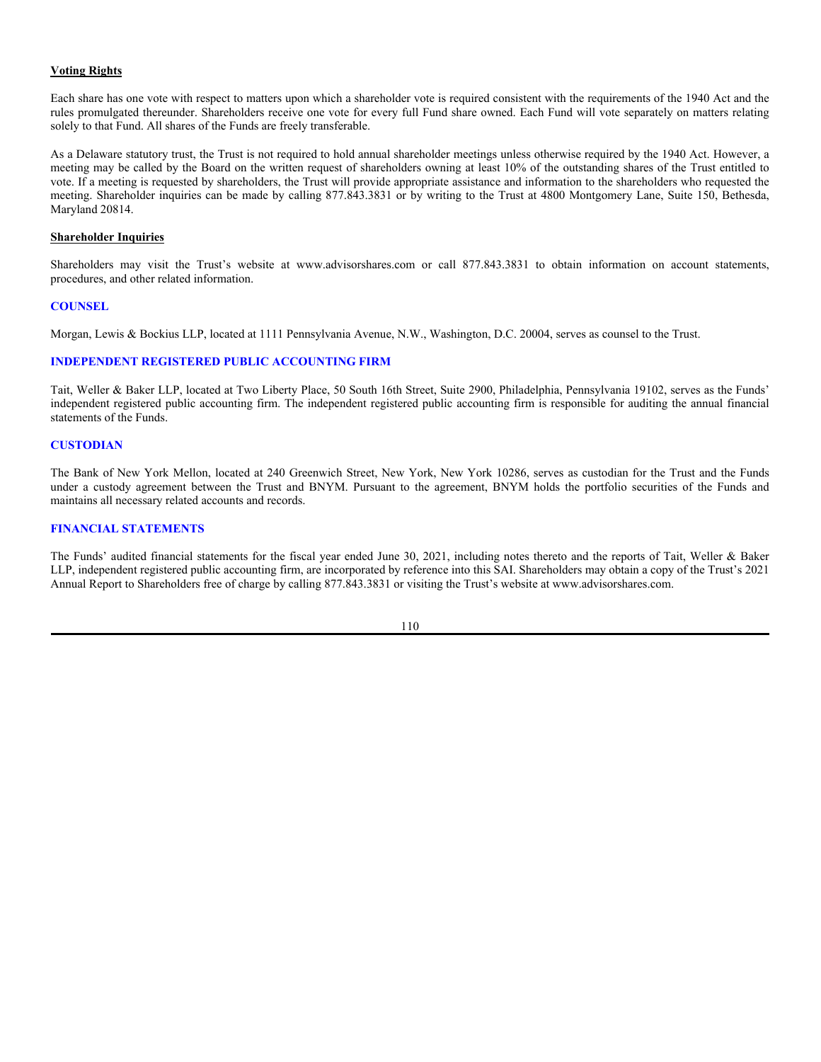A Fund's shares held in a tax qualified retirement account will generally not be subject to federal taxation on income and capital gains distributions from the Fund until a shareholder begins receiving payments from their retirement account.

## **Certain Potential Tax Reporting Requirements**

Under U.S. Treasury regulations, if a shareholder recognizes a loss of \$2 million or more for an individual shareholder or \$10 million or more for a corporate shareholder in any single taxable year (or certain greater amounts over a combination of years), the shareholder must file with the IRS a disclosure statement on IRS Form 8886. Direct shareholders of portfolio securities are in many cases excepted from this reporting requirement, but under current guidance, shareholders of a RIC, such as each Fund, are not excepted. The fact that a loss is reportable under these regulations does not affect the legal determination of whether the taxpayer's treatment of the loss is proper. Shareholders should consult their tax advisors to determine the applicability of these regulations in light of their individual circumstances.

## **State Taxes**

A Fund may be subject to tax or taxes in certain states where the Fund does business. Furthermore, in those states which have income tax laws, the tax treatment of a Fund and of Fund shareholders with respect to distributions by the Fund may differ from federal tax treatment. It is expected that a Fund will not be liable for any corporate excise, income or franchise tax in Delaware if it qualifies as a RIC for federal income tax purposes.

The foregoing discussion is based on U.S. federal tax laws and regulations which are in effect on the date of this SAI. Such laws and regulations may be changed by legislative or administrative action. Shareholders are urged to consult their own tax advisors regarding the particular tax consequences to them of an investment in a Fund and regarding specific questions as to foreign, federal, state, or local taxes.

## **OTHER INFORMATION**

## **Portfolio Holdings**

The Board has approved portfolio holdings disclosure policies that govern the timing and circumstances of disclosure to shareholders and thirdparties of information regarding the portfolio investments held by the Funds. These policies and procedures, as described below, are designed to ensure that disclosure of portfolio holdings is in the best interests of Fund shareholders, and address conflicts of interest between the interests of Fund shareholders and those of the Advisor, Sub-Advisors, Distributor, or any affiliated person of the Funds, Advisor, Sub-Advisors, or Distributor.

#### 108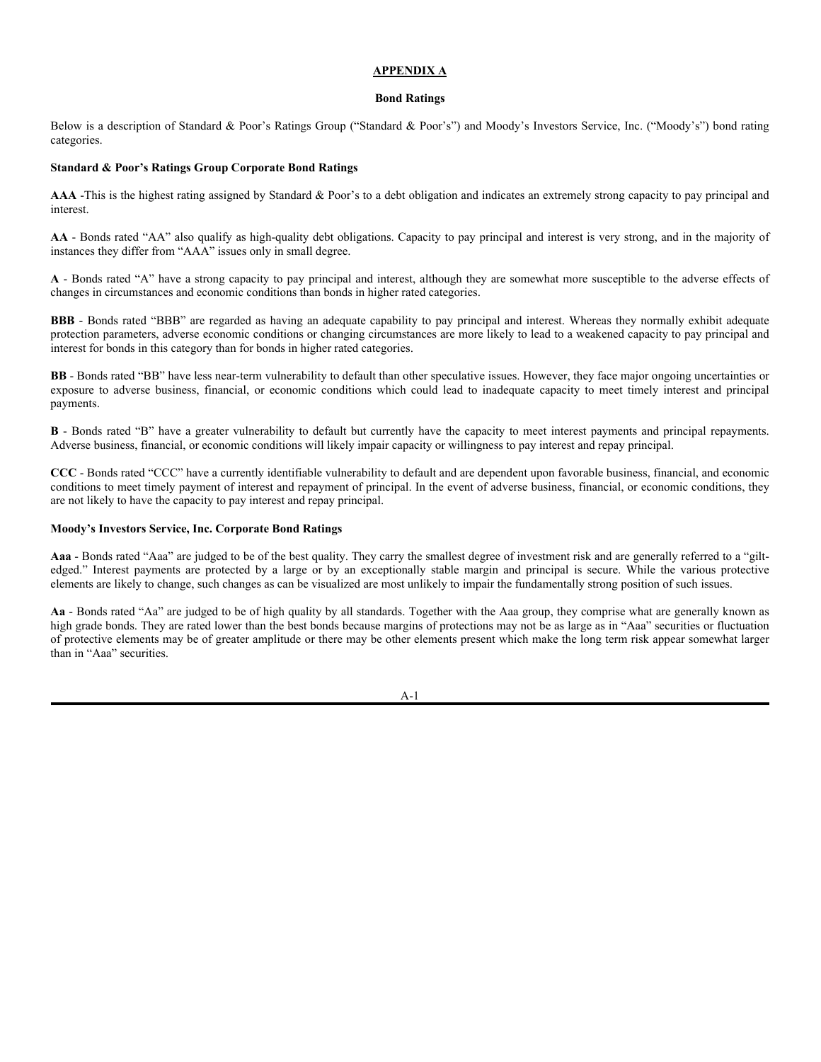Each Business Day, Fund portfolio holdings information will be provided to the Funds' transfer agent or other agent for dissemination through the facilities of the NSCC and/or other fee-based subscription services to NSCC members and/or subscribers to those other fee-based subscription services, including Authorized Participants, and to entities that publish and/or analyze such information in connection with the process of purchasing or redeeming Creation Units or trading shares of the Fund in the secondary market. This information typically reflects each Fund's anticipated holdings on the following Business Day. Daily access to information concerning each Fund's portfolio holdings also is permitted (i) to certain personnel of those service providers who are involved in portfolio management and providing administrative, operational, risk management, or other support to portfolio management, including affiliated broker-dealers and/or Authorized Participants and (ii) to other personnel of the Advisor, Sub-Advisors, and other service providers, such as the Administrator and fund accountant, who deal directly with, or assist in, functions related to investment management, administration, custody and fund accounting, as may be necessary to conduct business in the ordinary course in a manner consistent with agreements with each Fund and/or the terms of the Fund's current registration statement.

From time to time, information concerning Fund portfolio holdings, other than portfolio holdings information made available in connection with the creation/redemption process, as discussed above, may also be provided to other entities that provide additional services to the Funds, including, among others, rating or ranking organizations, in the ordinary course of business, no earlier than one Business Day following the date of the information. Portfolio holdings information made available in connection with the creation/redemption process may be provided to other entities that provide additional services to the Funds in the ordinary course of business after it has been disseminated to the NSCC.

The Funds' Chief Compliance Officer, or a compliance manager designated by the Chief Compliance Officer, may also grant exceptions to permit additional disclosure of Fund portfolio holdings information at differing times and with different lag times (the period from the date of the information to the date the information is made available), if any, in instances where a Fund has legitimate business purposes for doing so, it is in the best interests of shareholders, and the recipients are subject to a duty of confidentiality, including a duty not to trade on the nonpublic information and are required to execute an agreement to that effect. The Board will be informed of any such disclosures at its next regularly scheduled meeting or as soon as is reasonably practicable thereafter. In no event shall the Funds, Advisor, Sub-Advisor, or any other party receive any direct or indirect compensation in connection with the disclosure of information about Fund portfolio holdings.

The Board exercises continuing oversight of the disclosure of the Funds' portfolio holdings by (1) overseeing the implementation and enforcement of portfolio holdings disclosure policies and procedures, the Codes of Ethics, and the protection of non-public information policies and procedures (collectively, the "Portfolio Holdings Governing Policies") by the Funds' Chief Compliance Officer and the Funds, (2) considering reports and recommendations by the Chief Compliance Officer concerning any material compliance matters (as defined in Rule 38a-1 under the 1940 Act and Rule 206(4)-7 under the Advisers Act) that may arise in connection with any Portfolio Holdings Governing Policies, and (3) considering whether to approve or ratify any amendment to any Portfolio Holdings Governing Policies. The Board and the Funds reserve the right to amend the Portfolio Holdings Governing Policies and Procedures at any time and from time to time without prior notice in their sole discretion. For purposes of the Portfolio Holdings Governing Policies, the term "portfolio holdings" means the equity and debt securities (*e.g*., stocks and bonds) held by a Fund and does not mean the cash investments, derivatives, and other investment positions (collectively, other investment positions) held by the Fund, which are not disclosed.

In addition to the permitted disclosures described above, each Fund must disclose its complete holdings in its Annual Report and Semi-Annual Report to shareholders and file its complete schedule of portfolio holdings with the SEC for the first and third quarters of each fiscal year as an exhibit to its reports on Form N-PORT. All of these reports are available, free of charge, on the EDGAR database on the SEC's website at www.sec.gov.

109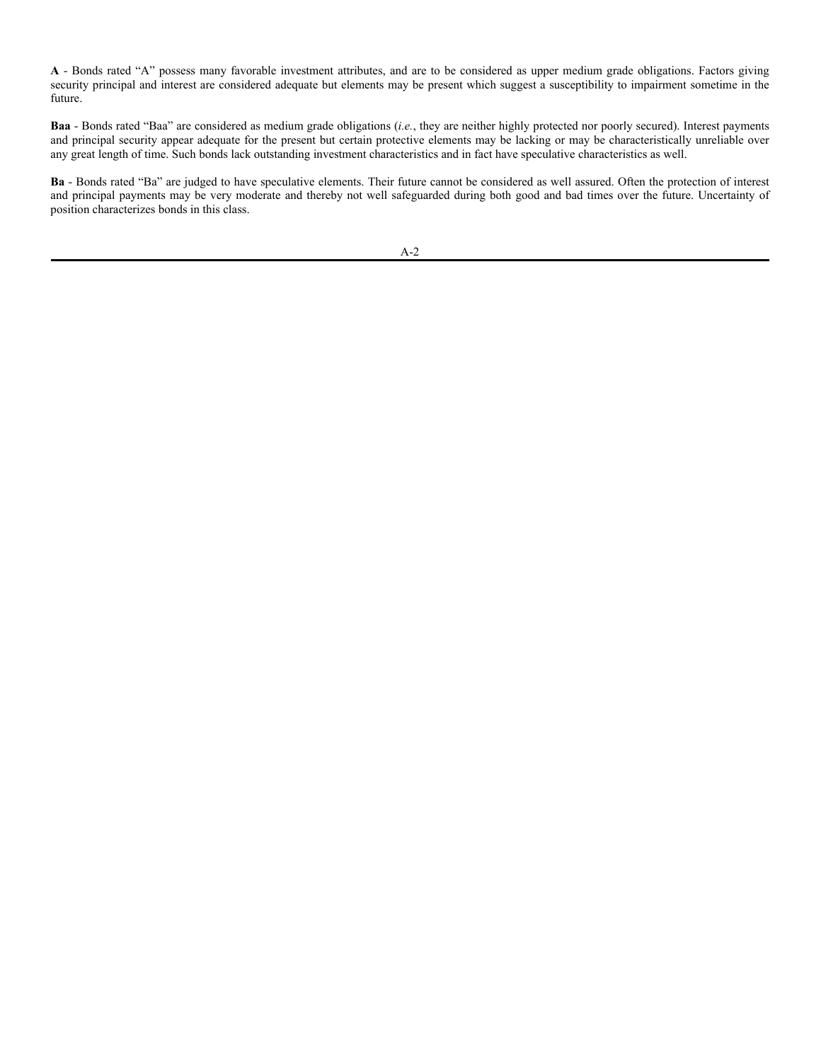### **Voting Rights**

Each share has one vote with respect to matters upon which a shareholder vote is required consistent with the requirements of the 1940 Act and the rules promulgated thereunder. Shareholders receive one vote for every full Fund share owned. Each Fund will vote separately on matters relating solely to that Fund. All shares of the Funds are freely transferable.

As a Delaware statutory trust, the Trust is not required to hold annual shareholder meetings unless otherwise required by the 1940 Act. However, a meeting may be called by the Board on the written request of shareholders owning at least 10% of the outstanding shares of the Trust entitled to vote. If a meeting is requested by shareholders, the Trust will provide appropriate assistance and information to the shareholders who requested the meeting. Shareholder inquiries can be made by calling 877.843.3831 or by writing to the Trust at 4800 Montgomery Lane, Suite 150, Bethesda, Maryland 20814.

### **Shareholder Inquiries**

Shareholders may visit the Trust's website at www.advisorshares.com or call 877.843.3831 to obtain information on account statements, procedures, and other related information.

#### **COUNSEL**

Morgan, Lewis & Bockius LLP, located at 1111 Pennsylvania Avenue, N.W., Washington, D.C. 20004, serves as counsel to the Trust.

### **INDEPENDENT REGISTERED PUBLIC ACCOUNTING FIRM**

Tait, Weller & Baker LLP, located at Two Liberty Place, 50 South 16th Street, Suite 2900, Philadelphia, Pennsylvania 19102, serves as the Funds' independent registered public accounting firm. The independent registered public accounting firm is responsible for auditing the annual financial statements of the Funds.

#### **CUSTODIAN**

The Bank of New York Mellon, located at 240 Greenwich Street, New York, New York 10286, serves as custodian for the Trust and the Funds under a custody agreement between the Trust and BNYM. Pursuant to the agreement, BNYM holds the portfolio securities of the Funds and maintains all necessary related accounts and records.

## **FINANCIAL STATEMENTS**

The Funds' audited financial statements for the fiscal year ended June 30, 2021, including notes thereto and the reports of Tait, Weller & Baker LLP, independent registered public accounting firm, are incorporated by reference into this SAI. Shareholders may obtain a copy of the Trust's 2021 Annual Report to Shareholders free of charge by calling 877.843.3831 or visiting the Trust's website at www.advisorshares.com.

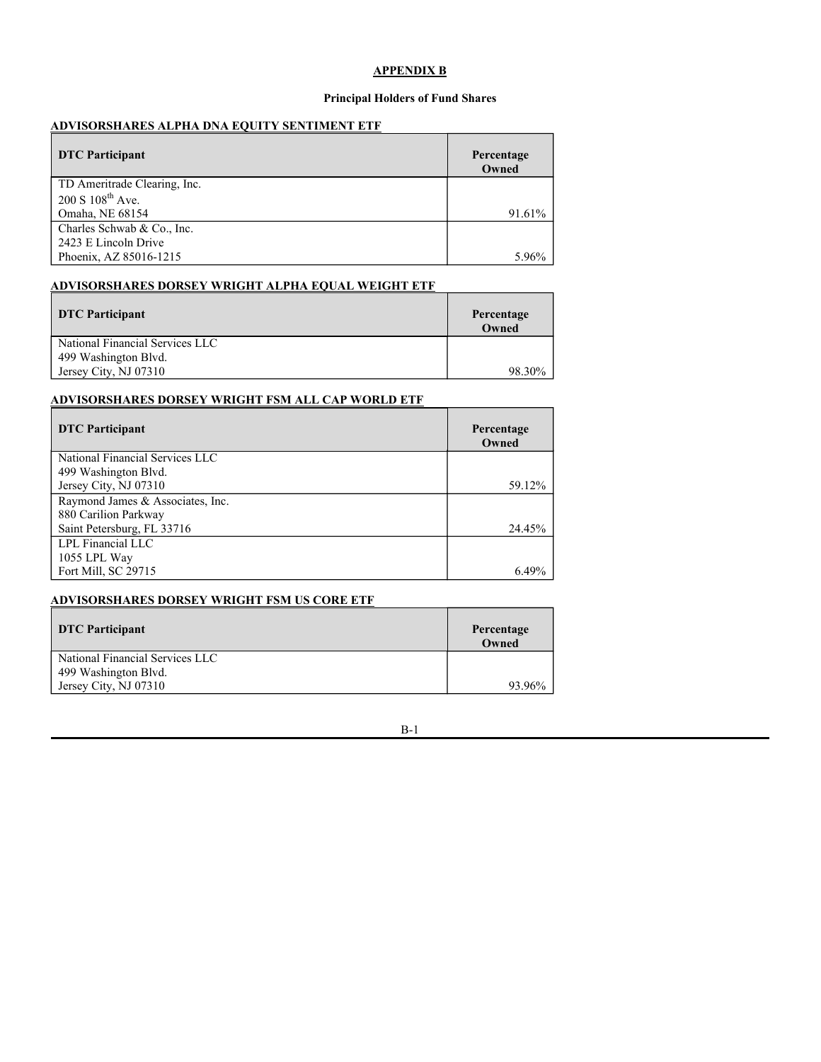## **APPENDIX A**

#### **Bond Ratings**

Below is a description of Standard & Poor's Ratings Group ("Standard & Poor's") and Moody's Investors Service, Inc. ("Moody's") bond rating categories.

#### **Standard & Poor's Ratings Group Corporate Bond Ratings**

AAA -This is the highest rating assigned by Standard & Poor's to a debt obligation and indicates an extremely strong capacity to pay principal and interest.

**AA** - Bonds rated "AA" also qualify as high-quality debt obligations. Capacity to pay principal and interest is very strong, and in the majority of instances they differ from "AAA" issues only in small degree.

**A** - Bonds rated "A" have a strong capacity to pay principal and interest, although they are somewhat more susceptible to the adverse effects of changes in circumstances and economic conditions than bonds in higher rated categories.

**BBB** - Bonds rated "BBB" are regarded as having an adequate capability to pay principal and interest. Whereas they normally exhibit adequate protection parameters, adverse economic conditions or changing circumstances are more likely to lead to a weakened capacity to pay principal and interest for bonds in this category than for bonds in higher rated categories.

**BB** - Bonds rated "BB" have less near-term vulnerability to default than other speculative issues. However, they face major ongoing uncertainties or exposure to adverse business, financial, or economic conditions which could lead to inadequate capacity to meet timely interest and principal payments.

**B** - Bonds rated "B" have a greater vulnerability to default but currently have the capacity to meet interest payments and principal repayments. Adverse business, financial, or economic conditions will likely impair capacity or willingness to pay interest and repay principal.

**CCC** - Bonds rated "CCC" have a currently identifiable vulnerability to default and are dependent upon favorable business, financial, and economic conditions to meet timely payment of interest and repayment of principal. In the event of adverse business, financial, or economic conditions, they are not likely to have the capacity to pay interest and repay principal.

## **Moody's Investors Service, Inc. Corporate Bond Ratings**

**Aaa** - Bonds rated "Aaa" are judged to be of the best quality. They carry the smallest degree of investment risk and are generally referred to a "giltedged." Interest payments are protected by a large or by an exceptionally stable margin and principal is secure. While the various protective elements are likely to change, such changes as can be visualized are most unlikely to impair the fundamentally strong position of such issues.

**Aa** - Bonds rated "Aa" are judged to be of high quality by all standards. Together with the Aaa group, they comprise what are generally known as high grade bonds. They are rated lower than the best bonds because margins of protections may not be as large as in "Aaa" securities or fluctuation of protective elements may be of greater amplitude or there may be other elements present which make the long term risk appear somewhat larger than in "Aaa" securities.

A-1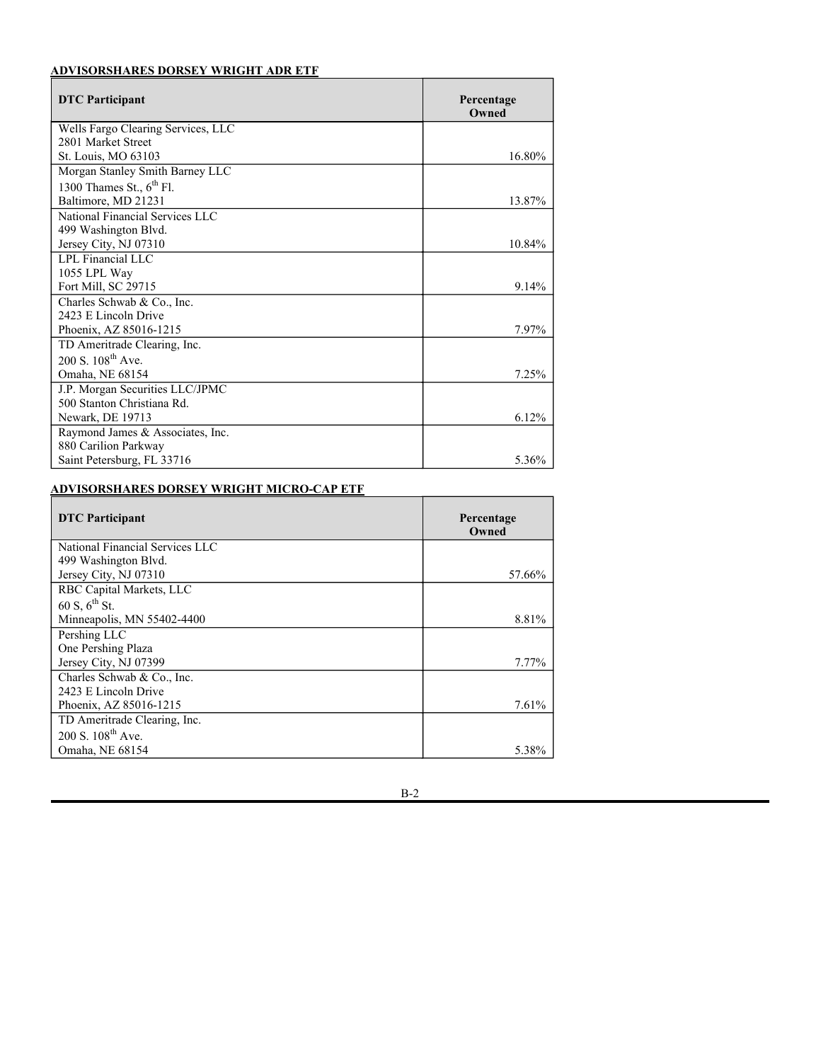**A** - Bonds rated "A" possess many favorable investment attributes, and are to be considered as upper medium grade obligations. Factors giving security principal and interest are considered adequate but elements may be present which suggest a susceptibility to impairment sometime in the future.

**Baa** - Bonds rated "Baa" are considered as medium grade obligations (*i.e.*, they are neither highly protected nor poorly secured). Interest payments and principal security appear adequate for the present but certain protective elements may be lacking or may be characteristically unreliable over any great length of time. Such bonds lack outstanding investment characteristics and in fact have speculative characteristics as well.

**Ba** - Bonds rated "Ba" are judged to have speculative elements. Their future cannot be considered as well assured. Often the protection of interest and principal payments may be very moderate and thereby not well safeguarded during both good and bad times over the future. Uncertainty of position characterizes bonds in this class.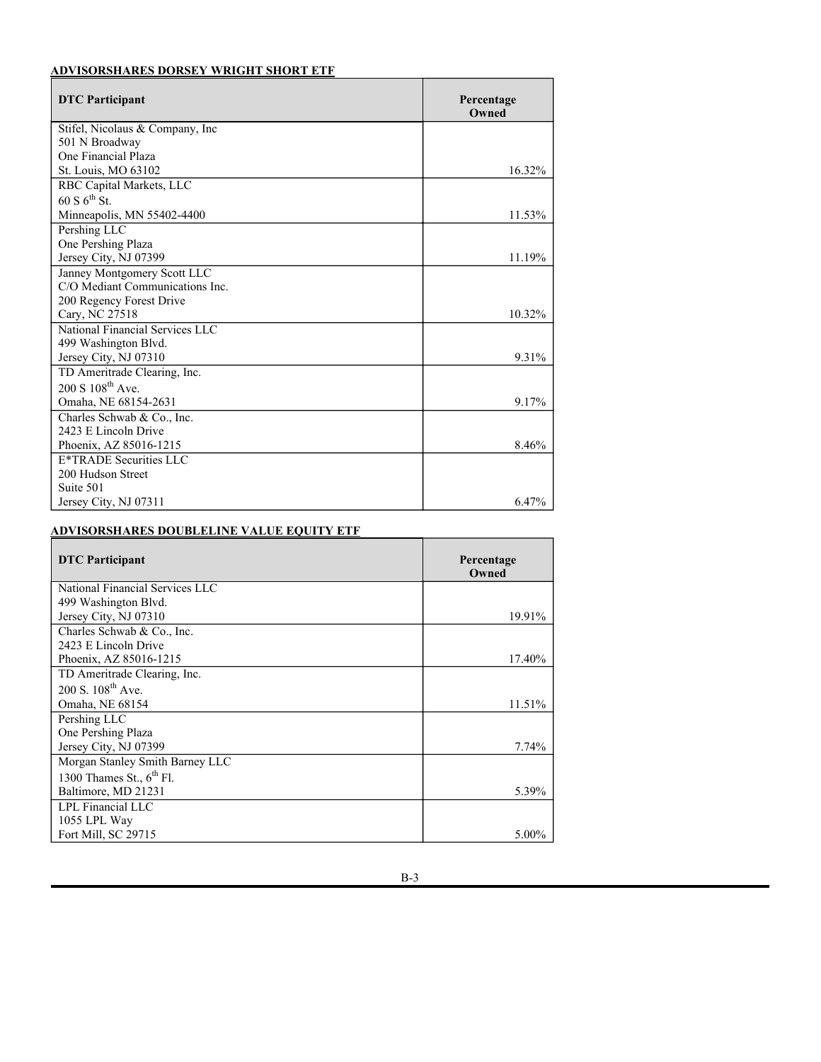## **APPENDIX B**

## **Principal Holders of Fund Shares**

## **ADVISORSHARES ALPHA DNA EQUITY SENTIMENT ETF**

| DTC Participant              | Percentage<br>Owned |
|------------------------------|---------------------|
| TD Ameritrade Clearing, Inc. |                     |
| $200 S 108^{th}$ Ave.        |                     |
| Omaha, NE 68154              | 91.61%              |
| Charles Schwab & Co., Inc.   |                     |
| 2423 E Lincoln Drive         |                     |
| Phoenix, AZ 85016-1215       | 5.96%               |

## **ADVISORSHARES DORSEY WRIGHT ALPHA EQUAL WEIGHT ETF**

| <b>DTC</b> Participant          | Percentage<br>Owned |
|---------------------------------|---------------------|
| National Financial Services LLC |                     |
| 499 Washington Blvd.            |                     |
| Jersey City, NJ 07310           | 98.30%              |

## **ADVISORSHARES DORSEY WRIGHT FSM ALL CAP WORLD ETF**

| <b>DTC</b> Participant           | Percentage<br>Owned |
|----------------------------------|---------------------|
| National Financial Services LLC  |                     |
| 499 Washington Blvd.             |                     |
| Jersey City, NJ 07310            | 59.12%              |
| Raymond James & Associates, Inc. |                     |
| 880 Carilion Parkway             |                     |
| Saint Petersburg, FL 33716       | 24.45%              |
| LPL Financial LLC                |                     |
| 1055 LPL Way                     |                     |
| Fort Mill, SC 29715              | 6.49%               |

## **ADVISORSHARES DORSEY WRIGHT FSM US CORE ETF**

| DTC Participant                 | Percentage<br>Owned |
|---------------------------------|---------------------|
| National Financial Services LLC |                     |
| 499 Washington Blvd.            |                     |
| Jersey City, NJ 07310           | 93.96%              |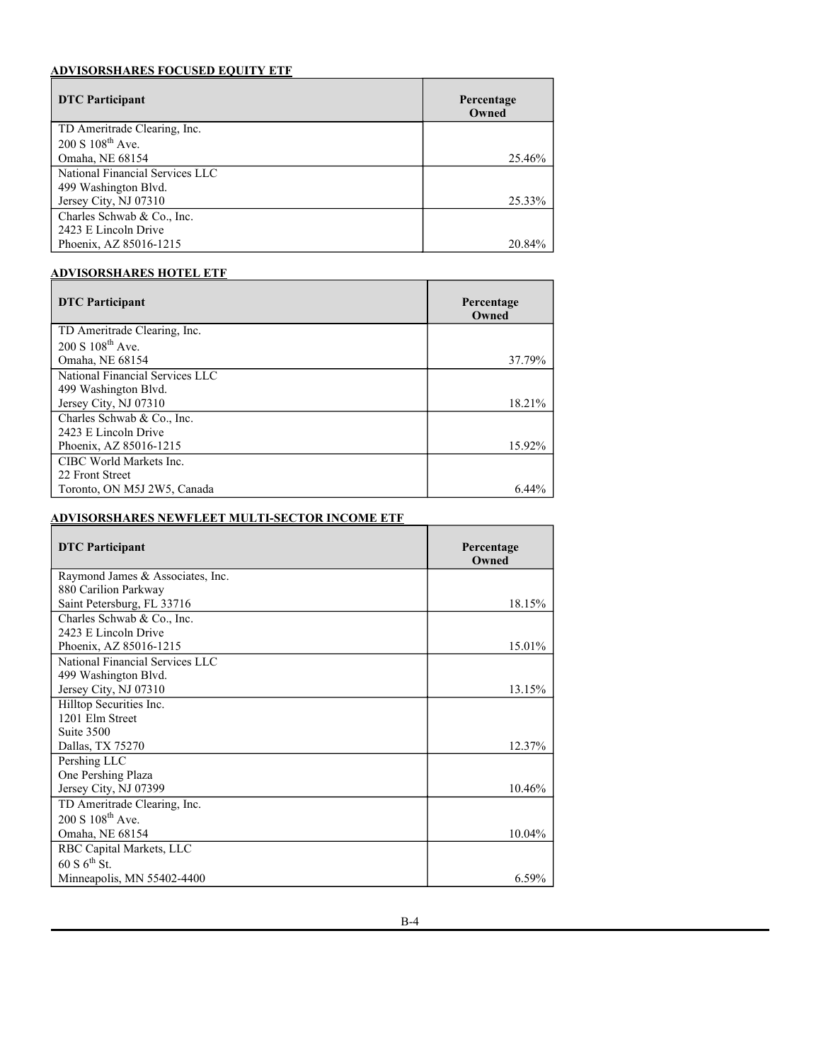# **ADVISORSHARES DORSEY WRIGHT ADR ETF**

| <b>DTC</b> Participant             | Percentage<br>Owned |
|------------------------------------|---------------------|
| Wells Fargo Clearing Services, LLC |                     |
| 2801 Market Street                 |                     |
| St. Louis, MO 63103                | 16.80%              |
| Morgan Stanley Smith Barney LLC    |                     |
| 1300 Thames St., $6^{th}$ Fl.      |                     |
| Baltimore, MD 21231                | 13.87%              |
| National Financial Services LLC    |                     |
| 499 Washington Blvd.               |                     |
| Jersey City, NJ 07310              | 10.84%              |
| LPL Financial LLC                  |                     |
| 1055 LPL Way                       |                     |
| Fort Mill, SC 29715                | 9.14%               |
| Charles Schwab & Co., Inc.         |                     |
| 2423 E Lincoln Drive               |                     |
| Phoenix, AZ 85016-1215             | 7.97%               |
| TD Ameritrade Clearing, Inc.       |                     |
| $200 S. 108^{th}$ Ave.             |                     |
| Omaha, NE 68154                    | 7.25%               |
| J.P. Morgan Securities LLC/JPMC    |                     |
| 500 Stanton Christiana Rd.         |                     |
| Newark, DE 19713                   | 6.12%               |
| Raymond James & Associates, Inc.   |                     |
| 880 Carilion Parkway               |                     |
| Saint Petersburg, FL 33716         | 5.36%               |

# **ADVISORSHARES DORSEY WRIGHT MICRO-CAP ETF**

| <b>DTC</b> Participant          | Percentage<br>Owned |
|---------------------------------|---------------------|
| National Financial Services LLC |                     |
| 499 Washington Blvd.            |                     |
| Jersey City, NJ 07310           | 57.66%              |
| RBC Capital Markets, LLC        |                     |
| 60 S, $6^{th}$ St.              |                     |
| Minneapolis, MN 55402-4400      | 8.81%               |
| Pershing LLC                    |                     |
| One Pershing Plaza              |                     |
| Jersey City, NJ 07399           | 7.77%               |
| Charles Schwab & Co., Inc.      |                     |
| 2423 E Lincoln Drive            |                     |
| Phoenix, AZ 85016-1215          | 7.61%               |
| TD Ameritrade Clearing, Inc.    |                     |
| $200 S. 108^{th}$ Ave.          |                     |
| Omaha, NE 68154                 | 5.38%               |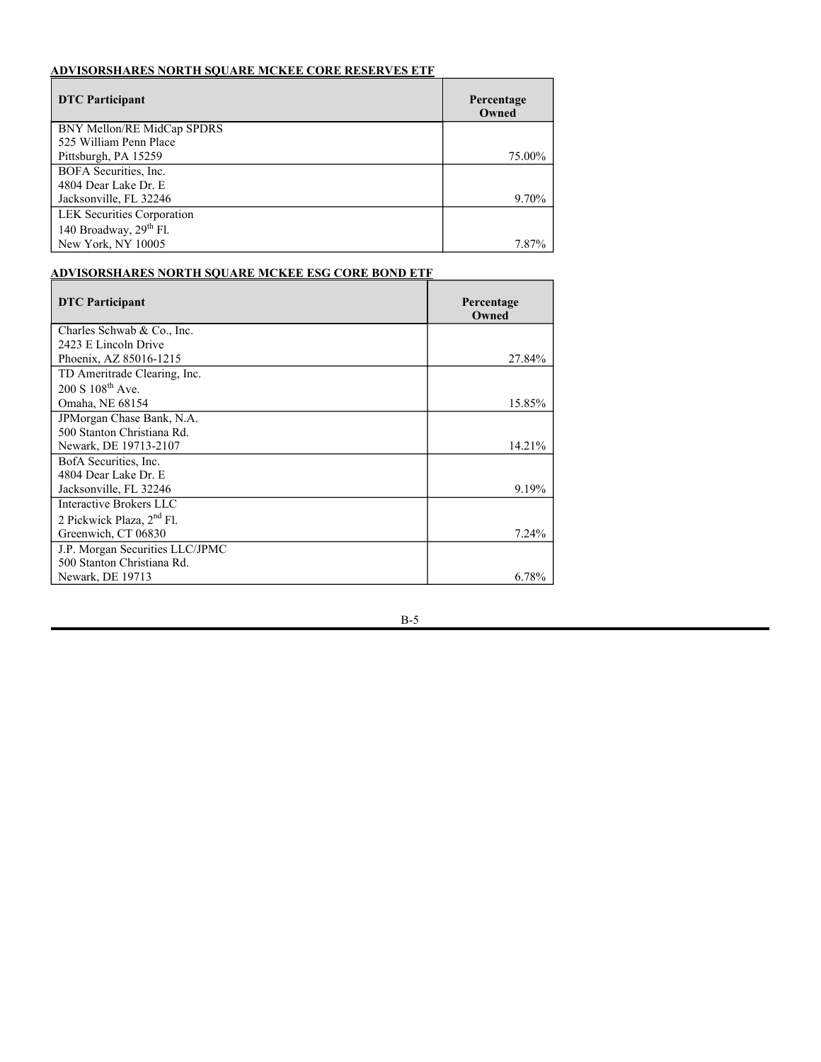# **ADVISORSHARES DORSEY WRIGHT SHORT ETF**

| <b>DTC</b> Participant              | Percentage<br>Owned |
|-------------------------------------|---------------------|
| Stifel, Nicolaus & Company, Inc.    |                     |
| 501 N Broadway                      |                     |
| One Financial Plaza                 |                     |
| St. Louis, MO 63102                 | 16.32%              |
| RBC Capital Markets, LLC            |                     |
| $60 S 6^{th}$ St.                   |                     |
| Minneapolis, MN 55402-4400          | 11.53%              |
| Pershing LLC                        |                     |
| One Pershing Plaza                  |                     |
| Jersey City, NJ 07399               | 11.19%              |
| Janney Montgomery Scott LLC         |                     |
| C/O Mediant Communications Inc.     |                     |
| 200 Regency Forest Drive            |                     |
| Cary, NC 27518                      | 10.32%              |
| National Financial Services LLC     |                     |
| 499 Washington Blvd.                |                     |
| Jersey City, NJ 07310               | 9.31%               |
| TD Ameritrade Clearing, Inc.        |                     |
| $200 S 108^{th}$ Ave.               |                     |
| Omaha, NE 68154-2631                | 9.17%               |
| Charles Schwab & Co., Inc.          |                     |
| 2423 E Lincoln Drive                |                     |
| Phoenix, AZ 85016-1215              | 8.46%               |
| E <sup>*</sup> TRADE Securities LLC |                     |
| 200 Hudson Street                   |                     |
| Suite 501                           |                     |
| Jersey City, NJ 07311               | 6.47%               |

# **ADVISORSHARES DOUBLELINE VALUE EQUITY ETF**

| <b>DTC</b> Participant          | Percentage<br>Owned |
|---------------------------------|---------------------|
| National Financial Services LLC |                     |
| 499 Washington Blvd.            |                     |
| Jersey City, NJ 07310           | 19.91%              |
| Charles Schwab & Co., Inc.      |                     |
| 2423 E Lincoln Drive            |                     |
| Phoenix, AZ 85016-1215          | 17.40%              |
| TD Ameritrade Clearing, Inc.    |                     |
| $200 S. 108^{th}$ Ave.          |                     |
| Omaha, NE 68154                 | 11.51%              |
| Pershing LLC                    |                     |
| One Pershing Plaza              |                     |
| Jersey City, NJ 07399           | 7.74%               |
| Morgan Stanley Smith Barney LLC |                     |
| 1300 Thames St., $6^{th}$ Fl.   |                     |
| Baltimore, MD 21231             | 5.39%               |
| LPL Financial LLC               |                     |
| 1055 LPL Way                    |                     |
| Fort Mill, SC 29715             | 5.00%               |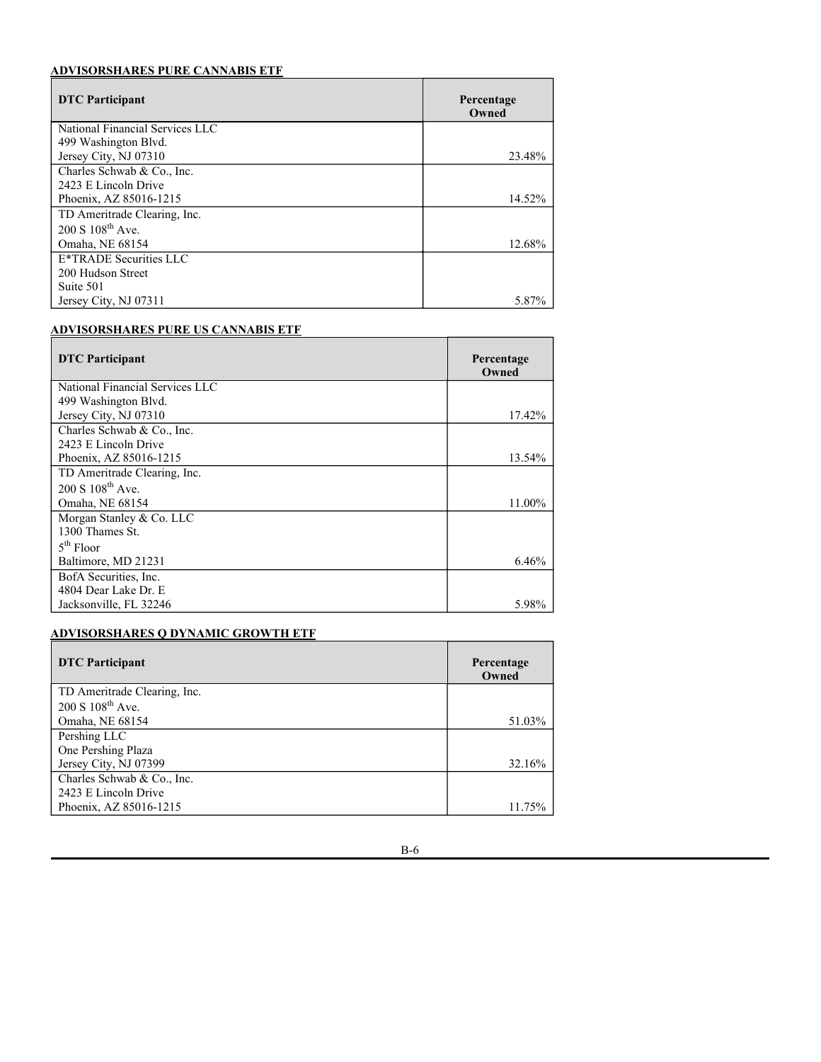# **ADVISORSHARES FOCUSED EQUITY ETF**

| <u>ль у коопонимно і особыв нооні і ніі</u> |                     |
|---------------------------------------------|---------------------|
| <b>DTC</b> Participant                      | Percentage<br>Owned |
| TD Ameritrade Clearing, Inc.                |                     |
| $200 S 108^{th}$ Ave.                       |                     |
| Omaha, NE 68154                             | 25.46%              |
| National Financial Services LLC             |                     |
| 499 Washington Blvd.                        |                     |
| Jersey City, NJ 07310                       | 25.33%              |
| Charles Schwab & Co., Inc.                  |                     |
| 2423 E Lincoln Drive                        |                     |
| Phoenix, AZ 85016-1215                      | 20.84%              |

## **ADVISORSHARES HOTEL ETF**

| <b>DTC</b> Participant          | Percentage<br>Owned |
|---------------------------------|---------------------|
| TD Ameritrade Clearing, Inc.    |                     |
| $200 S 108^{th}$ Ave.           |                     |
| Omaha, NE 68154                 | 37.79%              |
| National Financial Services LLC |                     |
| 499 Washington Blvd.            |                     |
| Jersey City, NJ 07310           | 18.21%              |
| Charles Schwab & Co., Inc.      |                     |
| 2423 E Lincoln Drive            |                     |
| Phoenix, AZ 85016-1215          | 15.92%              |
| CIBC World Markets Inc.         |                     |
| 22 Front Street                 |                     |
| Toronto, ON M5J 2W5, Canada     | 6.44%               |

# **ADVISORSHARES NEWFLEET MULTI-SECTOR INCOME ETF**

| <b>DTC</b> Participant           | Percentage<br>Owned |
|----------------------------------|---------------------|
| Raymond James & Associates, Inc. |                     |
| 880 Carilion Parkway             |                     |
| Saint Petersburg, FL 33716       | 18.15%              |
| Charles Schwab & Co., Inc.       |                     |
| 2423 E Lincoln Drive             |                     |
| Phoenix, AZ 85016-1215           | 15.01%              |
| National Financial Services LLC  |                     |
| 499 Washington Blvd.             |                     |
| Jersey City, NJ 07310            | 13.15%              |
| Hilltop Securities Inc.          |                     |
| 1201 Elm Street                  |                     |
| Suite 3500                       |                     |
| Dallas, TX 75270                 | 12.37%              |
| Pershing LLC                     |                     |
| One Pershing Plaza               |                     |
| Jersey City, NJ 07399            | 10.46%              |
| TD Ameritrade Clearing, Inc.     |                     |
| 200 S 108 <sup>th</sup> Ave.     |                     |
| Omaha, NE 68154                  | 10.04%              |
| RBC Capital Markets, LLC         |                     |
| $60 S 6^{th}$ St.                |                     |
| Minneapolis, MN 55402-4400       | $6.59\%$            |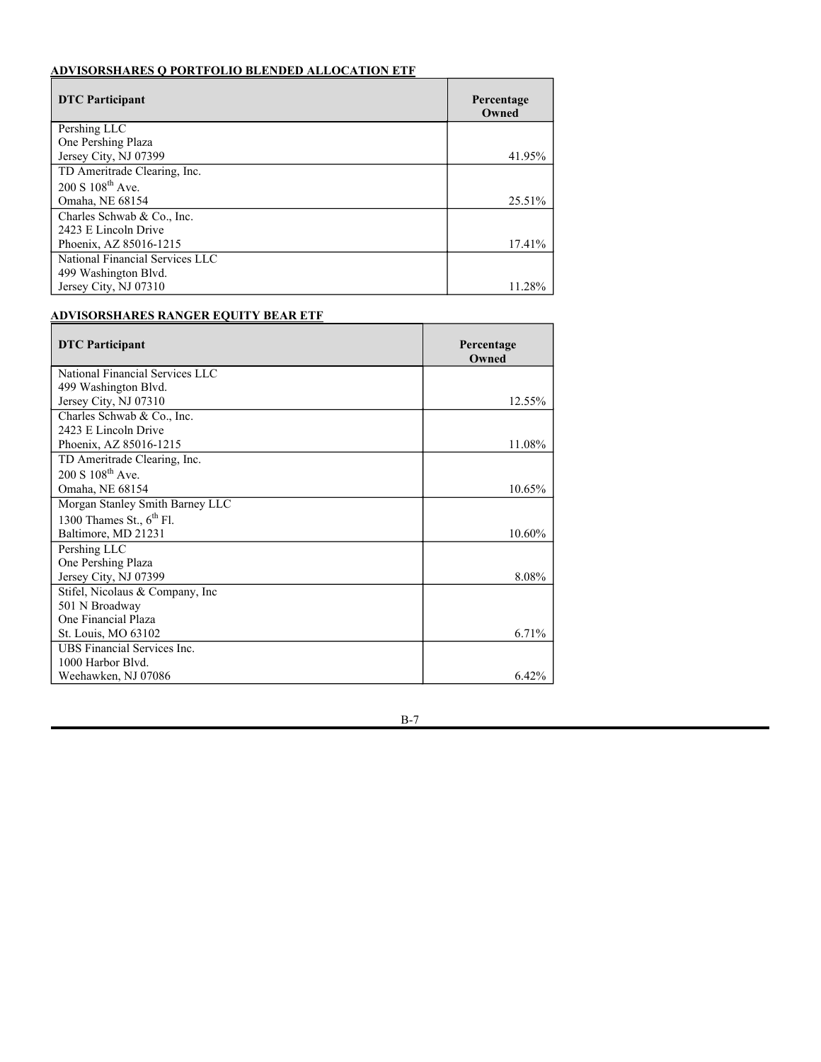# **ADVISORSHARES NORTH SQUARE MCKEE CORE RESERVES ETF**

| <b>DTC</b> Participant             | Percentage<br>Owned |
|------------------------------------|---------------------|
| BNY Mellon/RE MidCap SPDRS         |                     |
| 525 William Penn Place             |                     |
| Pittsburgh, PA 15259               | 75.00%              |
| BOFA Securities, Inc.              |                     |
| 4804 Dear Lake Dr. E               |                     |
| Jacksonville, FL 32246             | 9.70%               |
| <b>LEK</b> Securities Corporation  |                     |
| 140 Broadway, 29 <sup>th</sup> Fl. |                     |
| New York, NY 10005                 | 7.87%               |

# **ADVISORSHARES NORTH SQUARE MCKEE ESG CORE BOND ETF**

| <b>DTC</b> Participant                | Percentage<br>Owned |
|---------------------------------------|---------------------|
| Charles Schwab & Co., Inc.            |                     |
| 2423 E Lincoln Drive                  |                     |
| Phoenix, AZ 85016-1215                | 27.84%              |
| TD Ameritrade Clearing, Inc.          |                     |
| $200 S 108^{th}$ Ave.                 |                     |
| Omaha, NE 68154                       | 15.85%              |
| JPMorgan Chase Bank, N.A.             |                     |
| 500 Stanton Christiana Rd.            |                     |
| Newark, DE 19713-2107                 | 14.21%              |
| BofA Securities, Inc.                 |                     |
| 4804 Dear Lake Dr. E                  |                     |
| Jacksonville, FL 32246                | 9.19%               |
| Interactive Brokers LLC               |                     |
| 2 Pickwick Plaza, 2 <sup>nd</sup> Fl. |                     |
| Greenwich, CT 06830                   | $7.24\%$            |
| J.P. Morgan Securities LLC/JPMC       |                     |
| 500 Stanton Christiana Rd.            |                     |
| Newark, DE 19713                      | 6.78%               |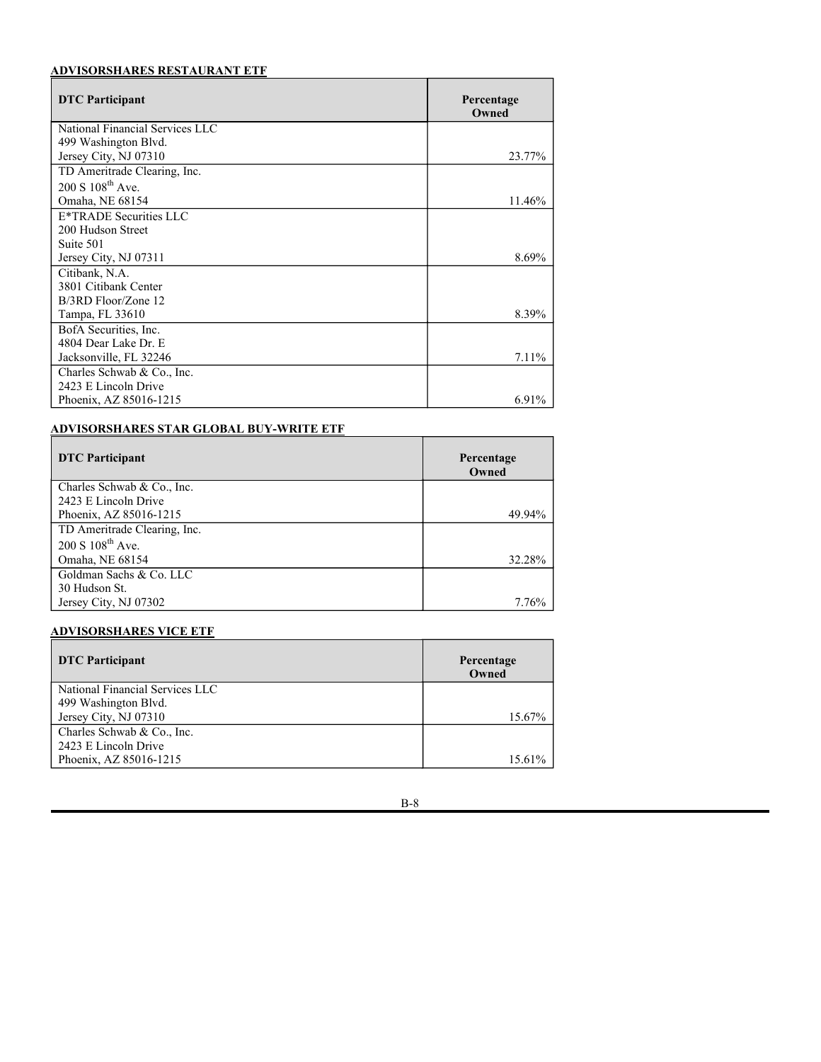# **ADVISORSHARES PURE CANNABIS ETF**

| <b>DTC</b> Participant          | Percentage<br>Owned |
|---------------------------------|---------------------|
| National Financial Services LLC |                     |
| 499 Washington Blvd.            |                     |
| Jersey City, NJ 07310           | 23.48%              |
| Charles Schwab & Co., Inc.      |                     |
| 2423 E Lincoln Drive            |                     |
| Phoenix, AZ 85016-1215          | 14.52%              |
| TD Ameritrade Clearing, Inc.    |                     |
| $200 S 108^{th}$ Ave.           |                     |
| Omaha, NE 68154                 | 12.68%              |
| E*TRADE Securities LLC          |                     |
| 200 Hudson Street               |                     |
| Suite 501                       |                     |
| Jersey City, NJ 07311           | 5.87%               |

# **ADVISORSHARES PURE US CANNABIS ETF**

| <b>DTC</b> Participant          | Percentage<br>Owned |
|---------------------------------|---------------------|
| National Financial Services LLC |                     |
| 499 Washington Blvd.            |                     |
| Jersey City, NJ 07310           | 17.42%              |
| Charles Schwab & Co., Inc.      |                     |
| 2423 E Lincoln Drive            |                     |
| Phoenix, AZ 85016-1215          | 13.54%              |
| TD Ameritrade Clearing, Inc.    |                     |
| $200 S 108^{th}$ Ave.           |                     |
| Omaha, NE 68154                 | 11.00%              |
| Morgan Stanley & Co. LLC        |                     |
| 1300 Thames St.                 |                     |
| $5th$ Floor                     |                     |
| Baltimore, MD 21231             | 6.46%               |
| BofA Securities, Inc.           |                     |
| 4804 Dear Lake Dr. E            |                     |
| Jacksonville, FL 32246          | 5.98%               |

# **ADVISORSHARES Q DYNAMIC GROWTH ETF**

| <b>DTC</b> Participant       | Percentage<br>Owned |
|------------------------------|---------------------|
| TD Ameritrade Clearing, Inc. |                     |
| 200 S 108 <sup>th</sup> Ave. |                     |
| Omaha, NE 68154              | 51.03%              |
| Pershing LLC                 |                     |
| One Pershing Plaza           |                     |
| Jersey City, NJ 07399        | 32.16%              |
| Charles Schwab & Co., Inc.   |                     |
| 2423 E Lincoln Drive         |                     |
| Phoenix, AZ 85016-1215       | 11.75%              |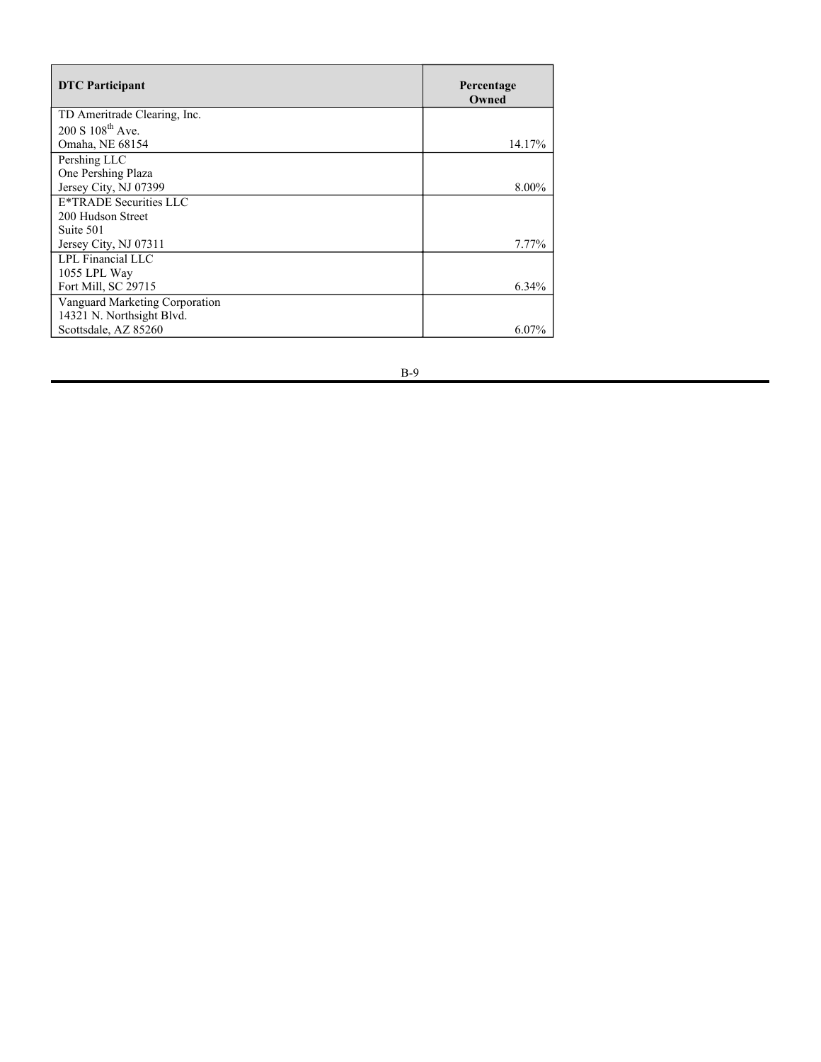# **ADVISORSHARES Q PORTFOLIO BLENDED ALLOCATION ETF**

| <b>DTC</b> Participant          | Percentage<br>Owned |
|---------------------------------|---------------------|
| Pershing LLC                    |                     |
| One Pershing Plaza              |                     |
| Jersey City, NJ 07399           | 41.95%              |
| TD Ameritrade Clearing, Inc.    |                     |
| $200 S 108^{th}$ Ave.           |                     |
| Omaha, NE 68154                 | 25.51%              |
| Charles Schwab & Co., Inc.      |                     |
| 2423 E Lincoln Drive            |                     |
| Phoenix, AZ 85016-1215          | 17.41%              |
| National Financial Services LLC |                     |
| 499 Washington Blvd.            |                     |
| Jersey City, NJ 07310           | 11.28%              |

## **ADVISORSHARES RANGER EQUITY BEAR ETF**

| <b>DTC</b> Participant             | Percentage<br>Owned |
|------------------------------------|---------------------|
| National Financial Services LLC    |                     |
| 499 Washington Blvd.               |                     |
| Jersey City, NJ 07310              | 12.55%              |
| Charles Schwab & Co., Inc.         |                     |
| 2423 E Lincoln Drive               |                     |
| Phoenix, AZ 85016-1215             | 11.08%              |
| TD Ameritrade Clearing, Inc.       |                     |
| $200 S 108^{th}$ Ave.              |                     |
| Omaha, NE 68154                    | 10.65%              |
| Morgan Stanley Smith Barney LLC    |                     |
| 1300 Thames St., $6th$ Fl.         |                     |
| Baltimore, MD 21231                | 10.60%              |
| Pershing LLC                       |                     |
| One Pershing Plaza                 |                     |
| Jersey City, NJ 07399              | 8.08%               |
| Stifel, Nicolaus & Company, Inc    |                     |
| 501 N Broadway                     |                     |
| One Financial Plaza                |                     |
| St. Louis, MO 63102                | 6.71%               |
| <b>UBS Financial Services Inc.</b> |                     |
| 1000 Harbor Blyd.                  |                     |
| Weehawken, NJ 07086                | $6.42\%$            |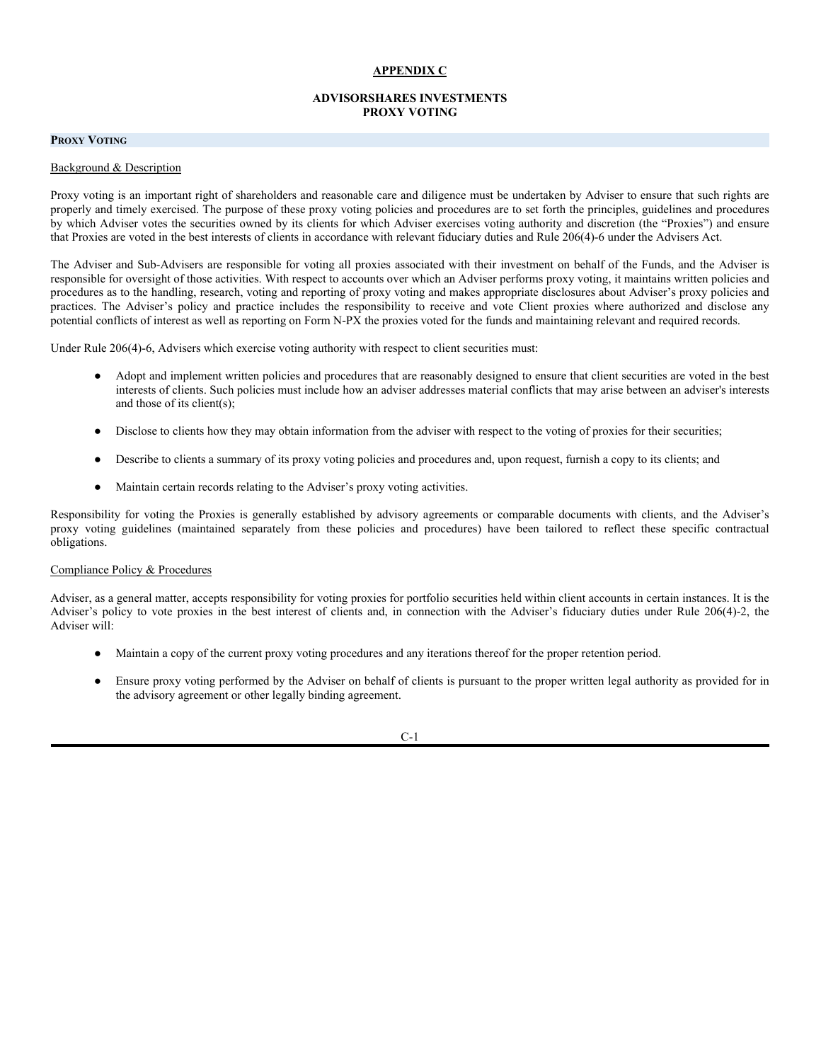# **ADVISORSHARES RESTAURANT ETF**

| <b>DTC</b> Participant          | Percentage<br>Owned |
|---------------------------------|---------------------|
| National Financial Services LLC |                     |
| 499 Washington Blvd.            |                     |
| Jersey City, NJ 07310           | 23.77%              |
| TD Ameritrade Clearing, Inc.    |                     |
| $200 S 108$ <sup>th</sup> Ave.  |                     |
| Omaha, NE 68154                 | 11.46%              |
| E*TRADE Securities LLC          |                     |
| 200 Hudson Street               |                     |
| Suite 501                       |                     |
| Jersey City, NJ 07311           | 8.69%               |
| Citibank, N.A.                  |                     |
| 3801 Citibank Center            |                     |
| B/3RD Floor/Zone 12             |                     |
| Tampa, FL 33610                 | 8.39%               |
| BofA Securities, Inc.           |                     |
| 4804 Dear Lake Dr. E            |                     |
| Jacksonville, FL 32246          | 7.11%               |
| Charles Schwab & Co., Inc.      |                     |
| 2423 E Lincoln Drive            |                     |
| Phoenix, AZ 85016-1215          | 6.91%               |

# **ADVISORSHARES STAR GLOBAL BUY-WRITE ETF**

| <b>DTC</b> Participant       | Percentage<br>Owned |
|------------------------------|---------------------|
| Charles Schwab & Co., Inc.   |                     |
| 2423 E Lincoln Drive         |                     |
| Phoenix, AZ 85016-1215       | 49.94%              |
| TD Ameritrade Clearing, Inc. |                     |
| 200 S 108 <sup>th</sup> Ave. |                     |
| Omaha, NE 68154              | 32.28%              |
| Goldman Sachs & Co. LLC      |                     |
| 30 Hudson St.                |                     |
| Jersey City, NJ 07302        | 7.76%               |

# **ADVISORSHARES VICE ETF**

| <b>DTC</b> Participant          | Percentage<br>Owned |
|---------------------------------|---------------------|
| National Financial Services LLC |                     |
| 499 Washington Blvd.            |                     |
| Jersey City, NJ 07310           | 15.67%              |
| Charles Schwab & Co., Inc.      |                     |
| 2423 E Lincoln Drive            |                     |
| Phoenix, AZ 85016-1215          | 15.61%              |

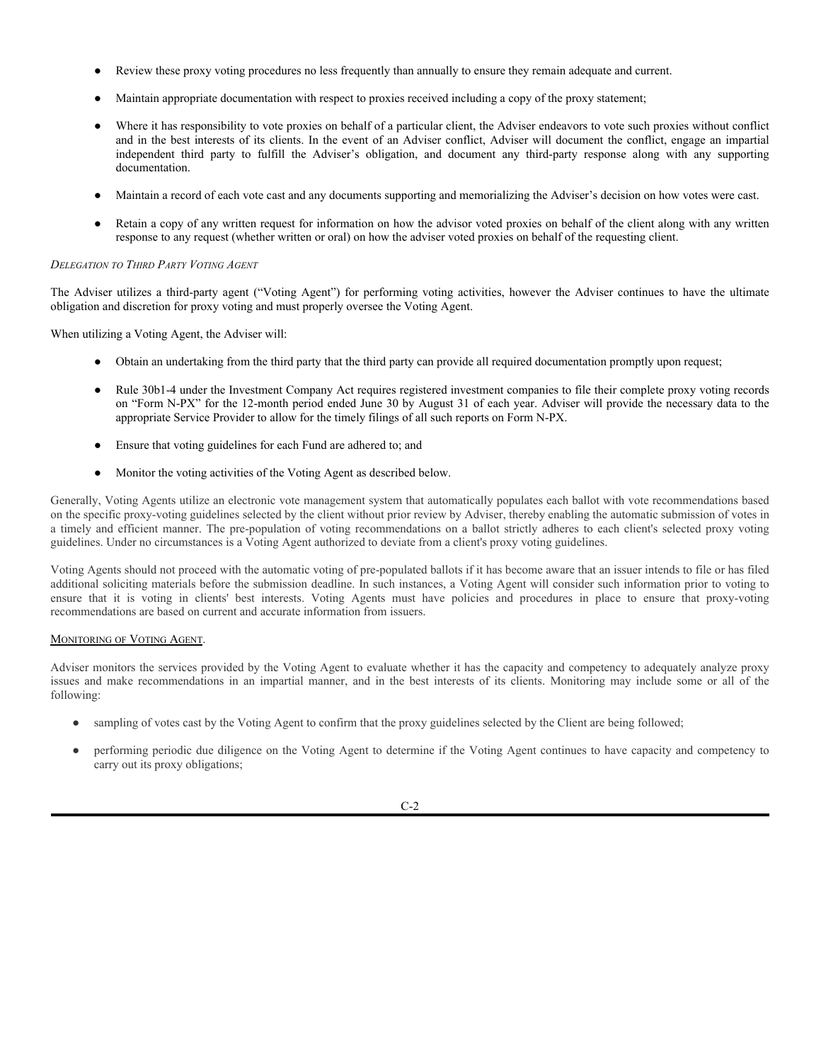| <b>DTC</b> Participant         | Percentage<br>Owned |
|--------------------------------|---------------------|
| TD Ameritrade Clearing, Inc.   |                     |
| $200 S 108^{th}$ Ave.          |                     |
| Omaha, NE 68154                | 14.17%              |
| Pershing LLC                   |                     |
| One Pershing Plaza             |                     |
| Jersey City, NJ 07399          | 8.00%               |
| E*TRADE Securities LLC         |                     |
| 200 Hudson Street              |                     |
| Suite 501                      |                     |
| Jersey City, NJ 07311          | 7.77%               |
| LPL Financial LLC              |                     |
| 1055 LPL Way                   |                     |
| Fort Mill, SC 29715            | 6.34%               |
| Vanguard Marketing Corporation |                     |
| 14321 N. Northsight Blvd.      |                     |
| Scottsdale, AZ 85260           | $6.07\%$            |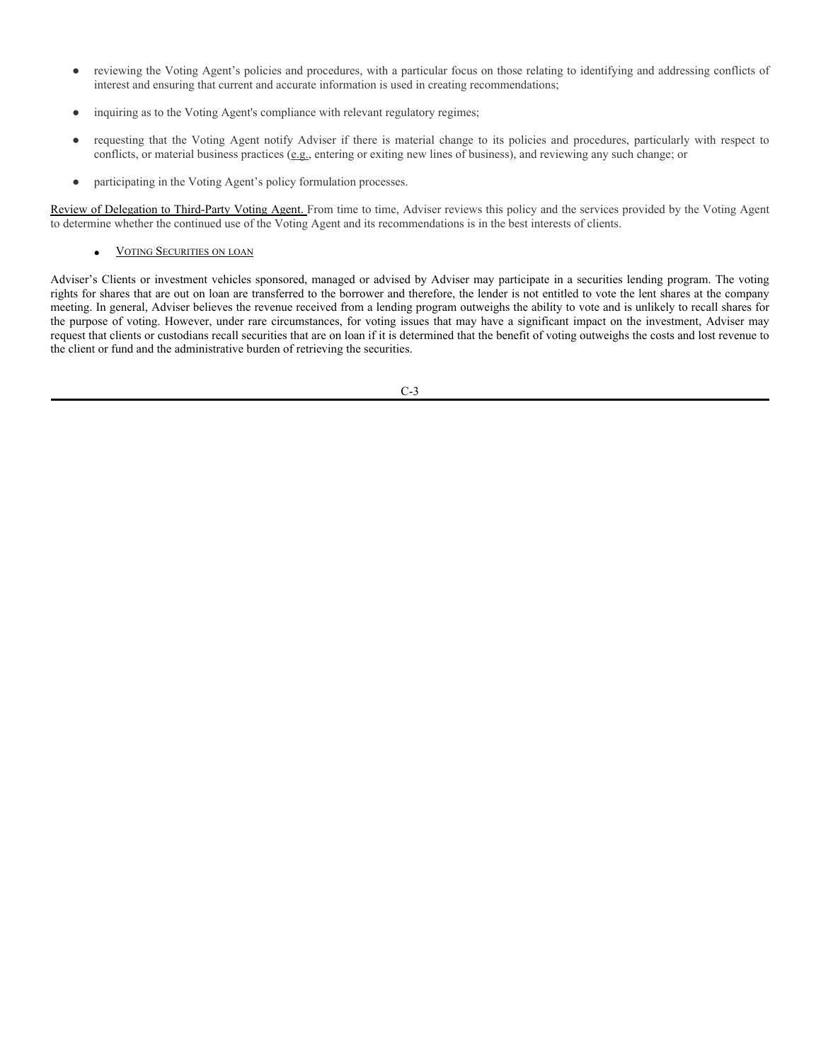### **APPENDIX C**

## **ADVISORSHARES INVESTMENTS PROXY VOTING**

## **PROXY VOTING**

### Background & Description

Proxy voting is an important right of shareholders and reasonable care and diligence must be undertaken by Adviser to ensure that such rights are properly and timely exercised. The purpose of these proxy voting policies and procedures are to set forth the principles, guidelines and procedures by which Adviser votes the securities owned by its clients for which Adviser exercises voting authority and discretion (the "Proxies") and ensure that Proxies are voted in the best interests of clients in accordance with relevant fiduciary duties and Rule 206(4)-6 under the Advisers Act.

The Adviser and Sub-Advisers are responsible for voting all proxies associated with their investment on behalf of the Funds, and the Adviser is responsible for oversight of those activities. With respect to accounts over which an Adviser performs proxy voting, it maintains written policies and procedures as to the handling, research, voting and reporting of proxy voting and makes appropriate disclosures about Adviser's proxy policies and practices. The Adviser's policy and practice includes the responsibility to receive and vote Client proxies where authorized and disclose any potential conflicts of interest as well as reporting on Form N-PX the proxies voted for the funds and maintaining relevant and required records.

Under Rule 206(4)-6, Advisers which exercise voting authority with respect to client securities must:

- Adopt and implement written policies and procedures that are reasonably designed to ensure that client securities are voted in the best interests of clients. Such policies must include how an adviser addresses material conflicts that may arise between an adviser's interests and those of its client(s);
- Disclose to clients how they may obtain information from the adviser with respect to the voting of proxies for their securities;
- Describe to clients a summary of its proxy voting policies and procedures and, upon request, furnish a copy to its clients; and
- Maintain certain records relating to the Adviser's proxy voting activities.

Responsibility for voting the Proxies is generally established by advisory agreements or comparable documents with clients, and the Adviser's proxy voting guidelines (maintained separately from these policies and procedures) have been tailored to reflect these specific contractual obligations.

## Compliance Policy & Procedures

Adviser, as a general matter, accepts responsibility for voting proxies for portfolio securities held within client accounts in certain instances. It is the Adviser's policy to vote proxies in the best interest of clients and, in connection with the Adviser's fiduciary duties under Rule 206(4)-2, the Adviser will:

- Maintain a copy of the current proxy voting procedures and any iterations thereof for the proper retention period.
- Ensure proxy voting performed by the Adviser on behalf of clients is pursuant to the proper written legal authority as provided for in the advisory agreement or other legally binding agreement.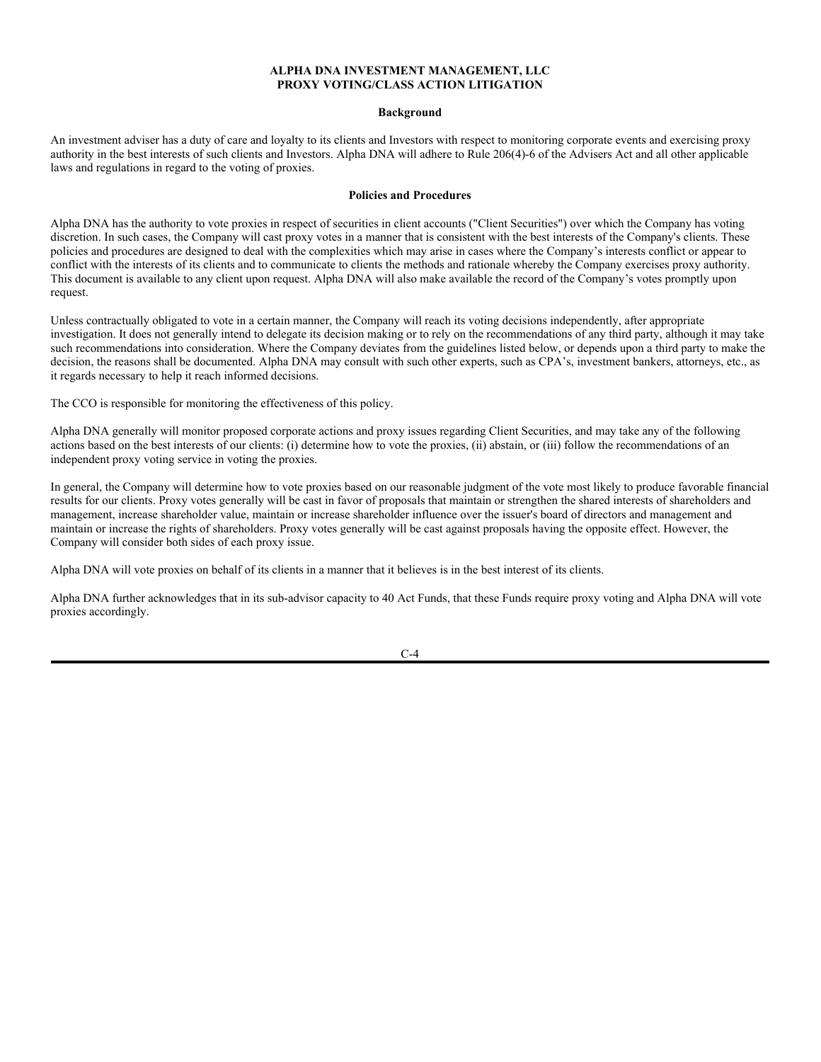- Review these proxy voting procedures no less frequently than annually to ensure they remain adequate and current.
- Maintain appropriate documentation with respect to proxies received including a copy of the proxy statement;
- Where it has responsibility to vote proxies on behalf of a particular client, the Adviser endeavors to vote such proxies without conflict and in the best interests of its clients. In the event of an Adviser conflict, Adviser will document the conflict, engage an impartial independent third party to fulfill the Adviser's obligation, and document any third-party response along with any supporting documentation.
- Maintain a record of each vote cast and any documents supporting and memorializing the Adviser's decision on how votes were cast.
- Retain a copy of any written request for information on how the advisor voted proxies on behalf of the client along with any written response to any request (whether written or oral) on how the adviser voted proxies on behalf of the requesting client.

#### *DELEGATION TO THIRD PARTY VOTING AGENT*

The Adviser utilizes a third-party agent ("Voting Agent") for performing voting activities, however the Adviser continues to have the ultimate obligation and discretion for proxy voting and must properly oversee the Voting Agent.

When utilizing a Voting Agent, the Adviser will:

- Obtain an undertaking from the third party that the third party can provide all required documentation promptly upon request;
- Rule 30b1-4 under the Investment Company Act requires registered investment companies to file their complete proxy voting records on "Form N-PX" for the 12-month period ended June 30 by August 31 of each year. Adviser will provide the necessary data to the appropriate Service Provider to allow for the timely filings of all such reports on Form N-PX.
- Ensure that voting guidelines for each Fund are adhered to; and
- Monitor the voting activities of the Voting Agent as described below.

Generally, Voting Agents utilize an electronic vote management system that automatically populates each ballot with vote recommendations based on the specific proxy-voting guidelines selected by the client without prior review by Adviser, thereby enabling the automatic submission of votes in a timely and efficient manner. The pre-population of voting recommendations on a ballot strictly adheres to each client's selected proxy voting guidelines. Under no circumstances is a Voting Agent authorized to deviate from a client's proxy voting guidelines.

Voting Agents should not proceed with the automatic voting of pre-populated ballots if it has become aware that an issuer intends to file or has filed additional soliciting materials before the submission deadline. In such instances, a Voting Agent will consider such information prior to voting to ensure that it is voting in clients' best interests. Voting Agents must have policies and procedures in place to ensure that proxy-voting recommendations are based on current and accurate information from issuers.

### MONITORING OF VOTING AGENT.

Adviser monitors the services provided by the Voting Agent to evaluate whether it has the capacity and competency to adequately analyze proxy issues and make recommendations in an impartial manner, and in the best interests of its clients. Monitoring may include some or all of the following:

- sampling of votes cast by the Voting Agent to confirm that the proxy guidelines selected by the Client are being followed;
- performing periodic due diligence on the Voting Agent to determine if the Voting Agent continues to have capacity and competency to carry out its proxy obligations;

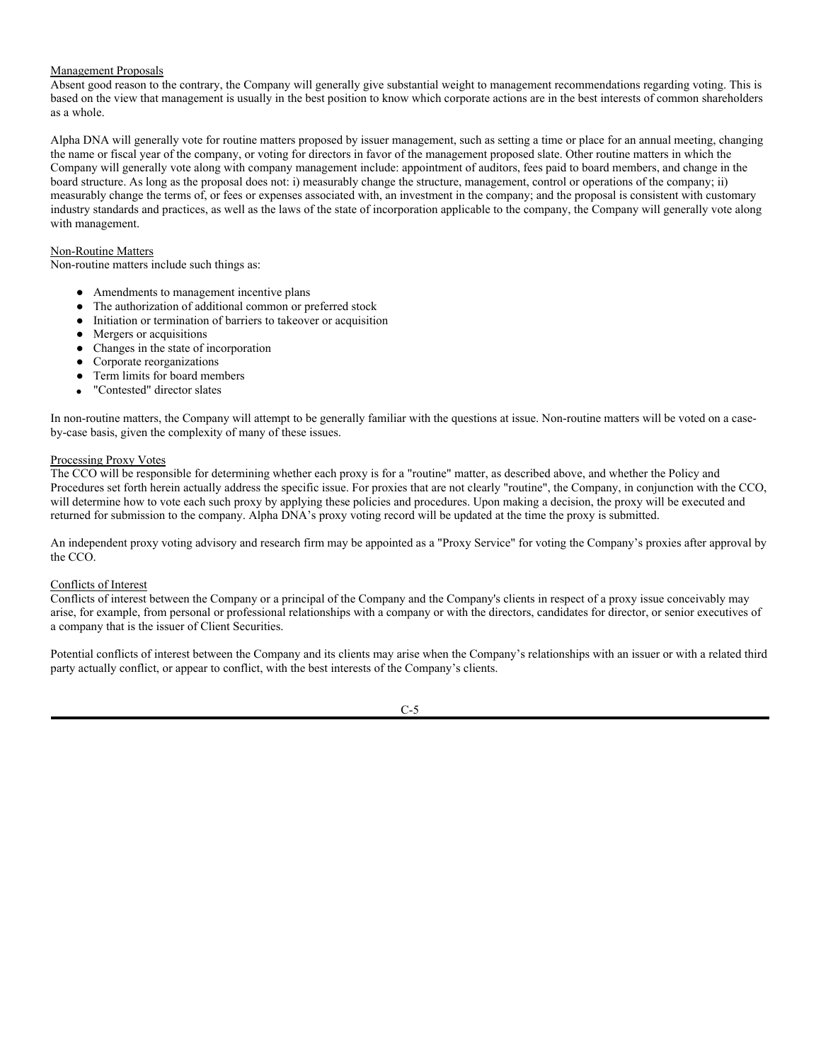- reviewing the Voting Agent's policies and procedures, with a particular focus on those relating to identifying and addressing conflicts of interest and ensuring that current and accurate information is used in creating recommendations;
- inquiring as to the Voting Agent's compliance with relevant regulatory regimes;
- requesting that the Voting Agent notify Adviser if there is material change to its policies and procedures, particularly with respect to conflicts, or material business practices (e.g., entering or exiting new lines of business), and reviewing any such change; or
- participating in the Voting Agent's policy formulation processes.

Review of Delegation to Third-Party Voting Agent. From time to time, Adviser reviews this policy and the services provided by the Voting Agent to determine whether the continued use of the Voting Agent and its recommendations is in the best interests of clients.

VOTING SECURITIES ON LOAN

Adviser's Clients or investment vehicles sponsored, managed or advised by Adviser may participate in a securities lending program. The voting rights for shares that are out on loan are transferred to the borrower and therefore, the lender is not entitled to vote the lent shares at the company meeting. In general, Adviser believes the revenue received from a lending program outweighs the ability to vote and is unlikely to recall shares for the purpose of voting. However, under rare circumstances, for voting issues that may have a significant impact on the investment, Adviser may request that clients or custodians recall securities that are on loan if it is determined that the benefit of voting outweighs the costs and lost revenue to the client or fund and the administrative burden of retrieving the securities.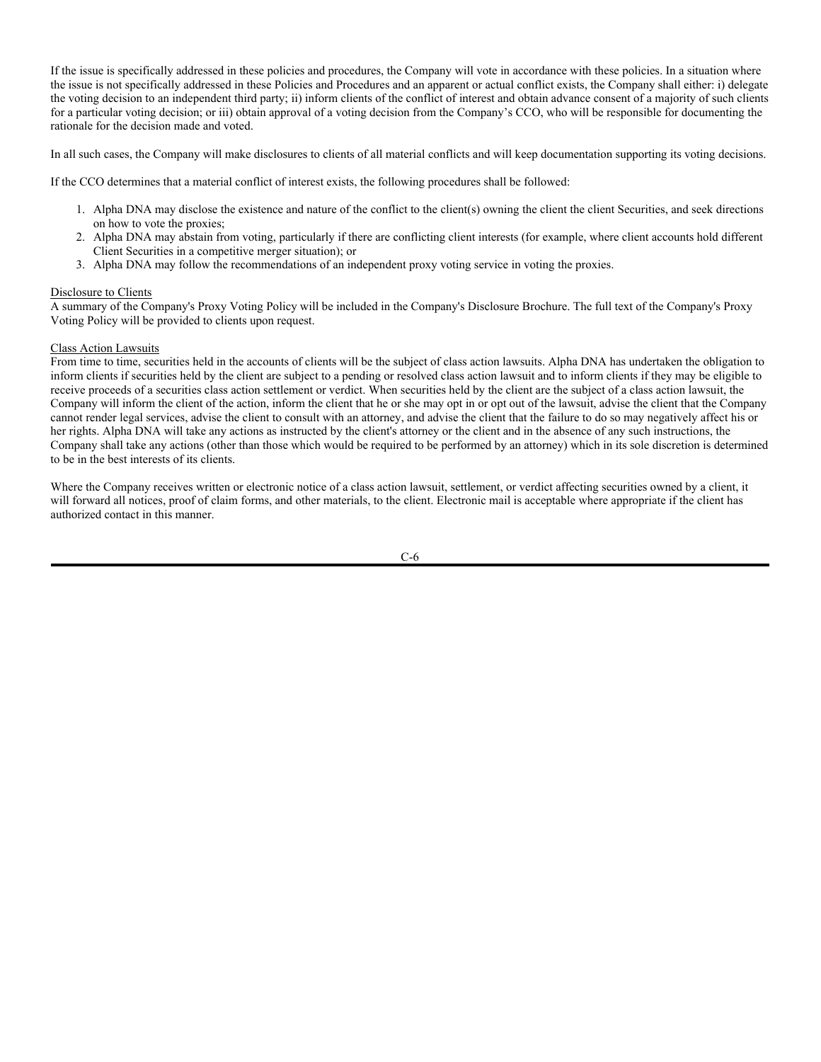### **ALPHA DNA INVESTMENT MANAGEMENT, LLC PROXY VOTING/CLASS ACTION LITIGATION**

#### **Background**

An investment adviser has a duty of care and loyalty to its clients and Investors with respect to monitoring corporate events and exercising proxy authority in the best interests of such clients and Investors. Alpha DNA will adhere to Rule 206(4)-6 of the Advisers Act and all other applicable laws and regulations in regard to the voting of proxies.

### **Policies and Procedures**

Alpha DNA has the authority to vote proxies in respect of securities in client accounts ("Client Securities") over which the Company has voting discretion. In such cases, the Company will cast proxy votes in a manner that is consistent with the best interests of the Company's clients. These policies and procedures are designed to deal with the complexities which may arise in cases where the Company's interests conflict or appear to conflict with the interests of its clients and to communicate to clients the methods and rationale whereby the Company exercises proxy authority. This document is available to any client upon request. Alpha DNA will also make available the record of the Company's votes promptly upon request.

Unless contractually obligated to vote in a certain manner, the Company will reach its voting decisions independently, after appropriate investigation. It does not generally intend to delegate its decision making or to rely on the recommendations of any third party, although it may take such recommendations into consideration. Where the Company deviates from the guidelines listed below, or depends upon a third party to make the decision, the reasons shall be documented. Alpha DNA may consult with such other experts, such as CPA's, investment bankers, attorneys, etc., as it regards necessary to help it reach informed decisions.

The CCO is responsible for monitoring the effectiveness of this policy.

Alpha DNA generally will monitor proposed corporate actions and proxy issues regarding Client Securities, and may take any of the following actions based on the best interests of our clients: (i) determine how to vote the proxies, (ii) abstain, or (iii) follow the recommendations of an independent proxy voting service in voting the proxies.

In general, the Company will determine how to vote proxies based on our reasonable judgment of the vote most likely to produce favorable financial results for our clients. Proxy votes generally will be cast in favor of proposals that maintain or strengthen the shared interests of shareholders and management, increase shareholder value, maintain or increase shareholder influence over the issuer's board of directors and management and maintain or increase the rights of shareholders. Proxy votes generally will be cast against proposals having the opposite effect. However, the Company will consider both sides of each proxy issue.

Alpha DNA will vote proxies on behalf of its clients in a manner that it believes is in the best interest of its clients.

Alpha DNA further acknowledges that in its sub-advisor capacity to 40 Act Funds, that these Funds require proxy voting and Alpha DNA will vote proxies accordingly.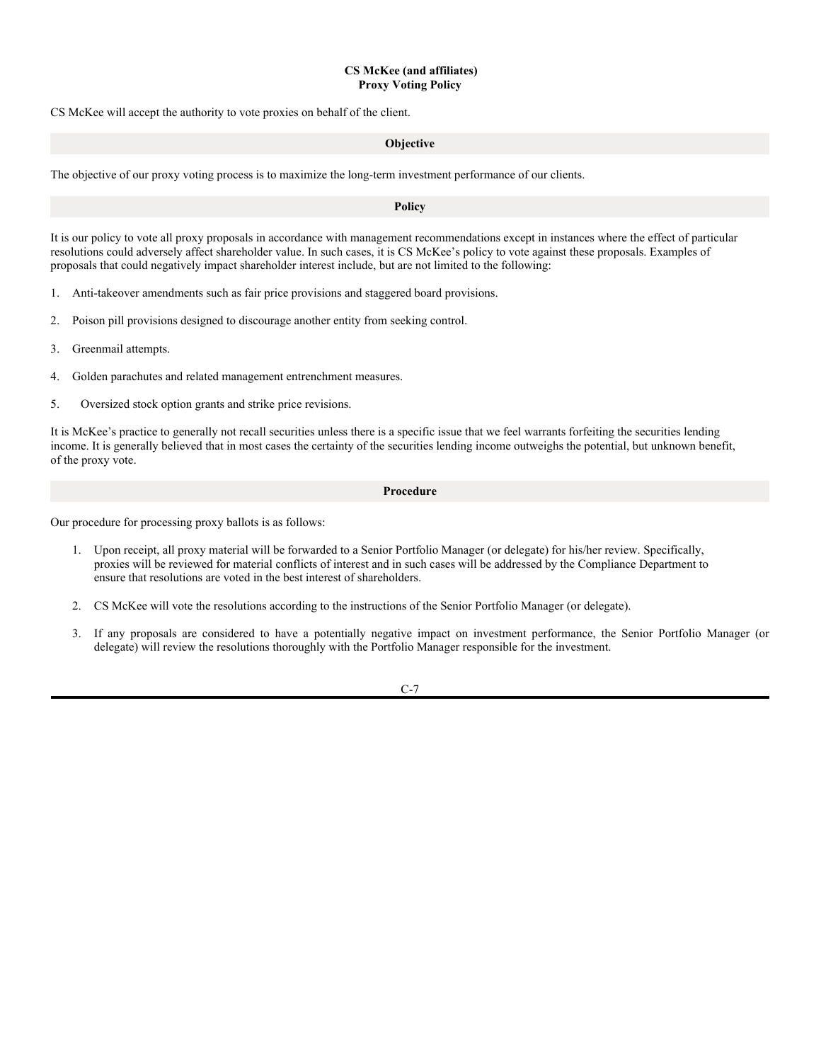## Management Proposals

Absent good reason to the contrary, the Company will generally give substantial weight to management recommendations regarding voting. This is based on the view that management is usually in the best position to know which corporate actions are in the best interests of common shareholders as a whole.

Alpha DNA will generally vote for routine matters proposed by issuer management, such as setting a time or place for an annual meeting, changing the name or fiscal year of the company, or voting for directors in favor of the management proposed slate. Other routine matters in which the Company will generally vote along with company management include: appointment of auditors, fees paid to board members, and change in the board structure. As long as the proposal does not: i) measurably change the structure, management, control or operations of the company; ii) measurably change the terms of, or fees or expenses associated with, an investment in the company; and the proposal is consistent with customary industry standards and practices, as well as the laws of the state of incorporation applicable to the company, the Company will generally vote along with management.

## Non-Routine Matters

Non-routine matters include such things as:

- Amendments to management incentive plans
- The authorization of additional common or preferred stock
- Initiation or termination of barriers to takeover or acquisition
- Mergers or acquisitions
- Changes in the state of incorporation
- Corporate reorganizations
- Term limits for board members
- "Contested" director slates

In non-routine matters, the Company will attempt to be generally familiar with the questions at issue. Non-routine matters will be voted on a caseby-case basis, given the complexity of many of these issues.

### Processing Proxy Votes

The CCO will be responsible for determining whether each proxy is for a "routine" matter, as described above, and whether the Policy and Procedures set forth herein actually address the specific issue. For proxies that are not clearly "routine", the Company, in conjunction with the CCO, will determine how to vote each such proxy by applying these policies and procedures. Upon making a decision, the proxy will be executed and returned for submission to the company. Alpha DNA's proxy voting record will be updated at the time the proxy is submitted.

An independent proxy voting advisory and research firm may be appointed as a "Proxy Service" for voting the Company's proxies after approval by the CCO.

### Conflicts of Interest

Conflicts of interest between the Company or a principal of the Company and the Company's clients in respect of a proxy issue conceivably may arise, for example, from personal or professional relationships with a company or with the directors, candidates for director, or senior executives of a company that is the issuer of Client Securities.

Potential conflicts of interest between the Company and its clients may arise when the Company's relationships with an issuer or with a related third party actually conflict, or appear to conflict, with the best interests of the Company's clients.

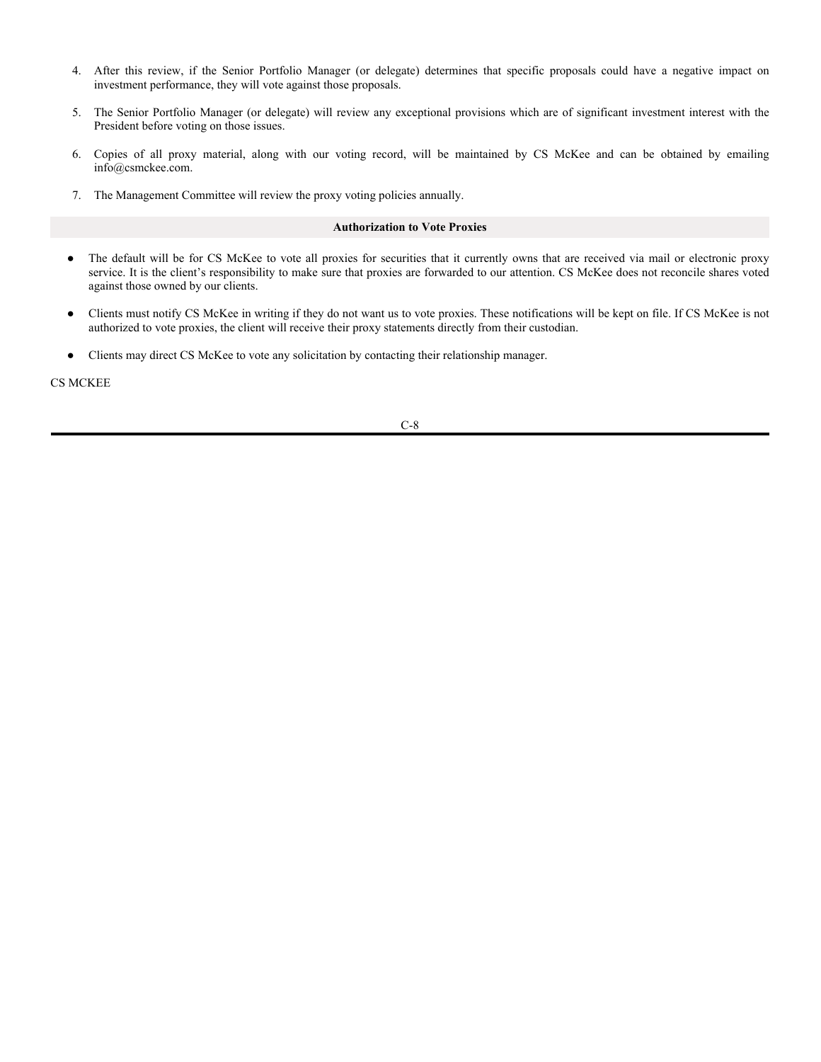If the issue is specifically addressed in these policies and procedures, the Company will vote in accordance with these policies. In a situation where the issue is not specifically addressed in these Policies and Procedures and an apparent or actual conflict exists, the Company shall either: i) delegate the voting decision to an independent third party; ii) inform clients of the conflict of interest and obtain advance consent of a majority of such clients for a particular voting decision; or iii) obtain approval of a voting decision from the Company's CCO, who will be responsible for documenting the rationale for the decision made and voted.

In all such cases, the Company will make disclosures to clients of all material conflicts and will keep documentation supporting its voting decisions.

If the CCO determines that a material conflict of interest exists, the following procedures shall be followed:

- 1. Alpha DNA may disclose the existence and nature of the conflict to the client(s) owning the client the client Securities, and seek directions on how to vote the proxies;
- 2. Alpha DNA may abstain from voting, particularly if there are conflicting client interests (for example, where client accounts hold different Client Securities in a competitive merger situation); or
- 3. Alpha DNA may follow the recommendations of an independent proxy voting service in voting the proxies.

## Disclosure to Clients

A summary of the Company's Proxy Voting Policy will be included in the Company's Disclosure Brochure. The full text of the Company's Proxy Voting Policy will be provided to clients upon request.

## Class Action Lawsuits

From time to time, securities held in the accounts of clients will be the subject of class action lawsuits. Alpha DNA has undertaken the obligation to inform clients if securities held by the client are subject to a pending or resolved class action lawsuit and to inform clients if they may be eligible to receive proceeds of a securities class action settlement or verdict. When securities held by the client are the subject of a class action lawsuit, the Company will inform the client of the action, inform the client that he or she may opt in or opt out of the lawsuit, advise the client that the Company cannot render legal services, advise the client to consult with an attorney, and advise the client that the failure to do so may negatively affect his or her rights. Alpha DNA will take any actions as instructed by the client's attorney or the client and in the absence of any such instructions, the Company shall take any actions (other than those which would be required to be performed by an attorney) which in its sole discretion is determined to be in the best interests of its clients.

Where the Company receives written or electronic notice of a class action lawsuit, settlement, or verdict affecting securities owned by a client, it will forward all notices, proof of claim forms, and other materials, to the client. Electronic mail is acceptable where appropriate if the client has authorized contact in this manner.

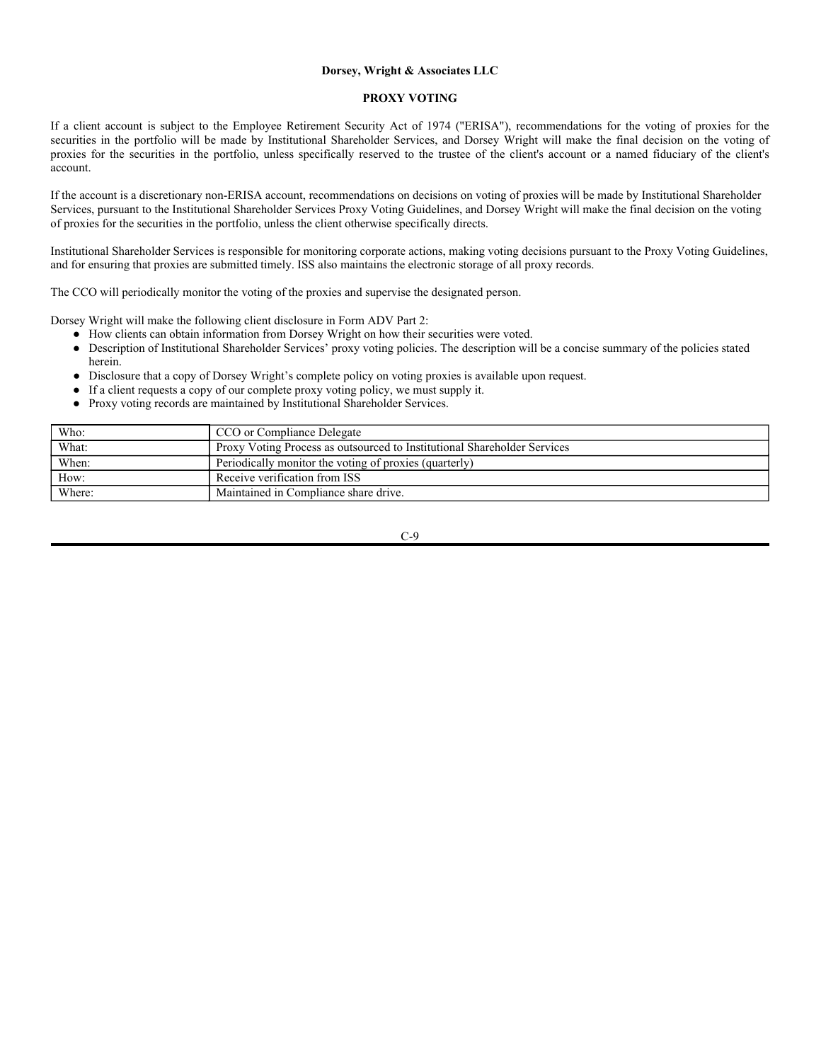## **CS McKee (and affiliates) Proxy Voting Policy**

CS McKee will accept the authority to vote proxies on behalf of the client.

### **Objective**

The objective of our proxy voting process is to maximize the long-term investment performance of our clients.

## **Policy**

It is our policy to vote all proxy proposals in accordance with management recommendations except in instances where the effect of particular resolutions could adversely affect shareholder value. In such cases, it is CS McKee's policy to vote against these proposals. Examples of proposals that could negatively impact shareholder interest include, but are not limited to the following:

- 1. Anti-takeover amendments such as fair price provisions and staggered board provisions.
- 2. Poison pill provisions designed to discourage another entity from seeking control.
- 3. Greenmail attempts.
- 4. Golden parachutes and related management entrenchment measures.
- 5. Oversized stock option grants and strike price revisions.

It is McKee's practice to generally not recall securities unless there is a specific issue that we feel warrants forfeiting the securities lending income. It is generally believed that in most cases the certainty of the securities lending income outweighs the potential, but unknown benefit, of the proxy vote.

#### **Procedure**

Our procedure for processing proxy ballots is as follows:

- 1. Upon receipt, all proxy material will be forwarded to a Senior Portfolio Manager (or delegate) for his/her review. Specifically, proxies will be reviewed for material conflicts of interest and in such cases will be addressed by the Compliance Department to ensure that resolutions are voted in the best interest of shareholders.
- 2. CS McKee will vote the resolutions according to the instructions of the Senior Portfolio Manager (or delegate).
- 3. If any proposals are considered to have a potentially negative impact on investment performance, the Senior Portfolio Manager (or delegate) will review the resolutions thoroughly with the Portfolio Manager responsible for the investment.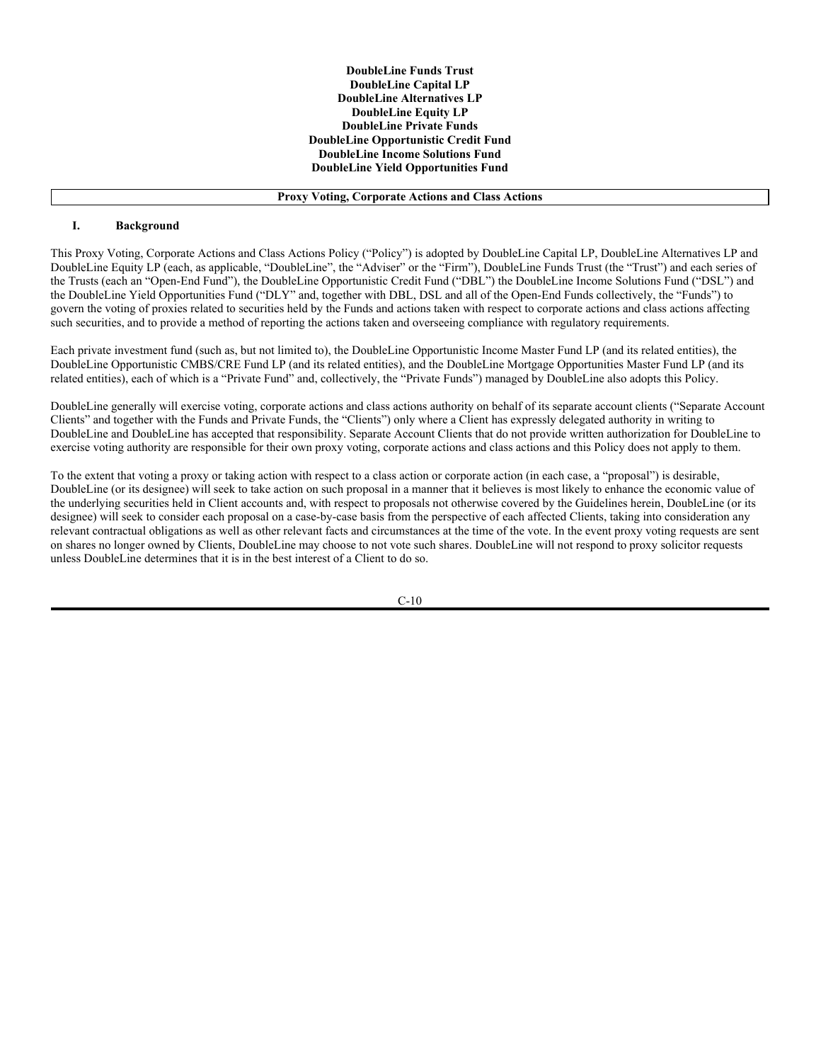- 4. After this review, if the Senior Portfolio Manager (or delegate) determines that specific proposals could have a negative impact on investment performance, they will vote against those proposals.
- 5. The Senior Portfolio Manager (or delegate) will review any exceptional provisions which are of significant investment interest with the President before voting on those issues.
- 6. Copies of all proxy material, along with our voting record, will be maintained by CS McKee and can be obtained by emailing info@csmckee.com.
- 7. The Management Committee will review the proxy voting policies annually.

### **Authorization to Vote Proxies**

- The default will be for CS McKee to vote all proxies for securities that it currently owns that are received via mail or electronic proxy service. It is the client's responsibility to make sure that proxies are forwarded to our attention. CS McKee does not reconcile shares voted against those owned by our clients.
- Clients must notify CS McKee in writing if they do not want us to vote proxies. These notifications will be kept on file. If CS McKee is not authorized to vote proxies, the client will receive their proxy statements directly from their custodian.
- Clients may direct CS McKee to vote any solicitation by contacting their relationship manager.

CS MCKEE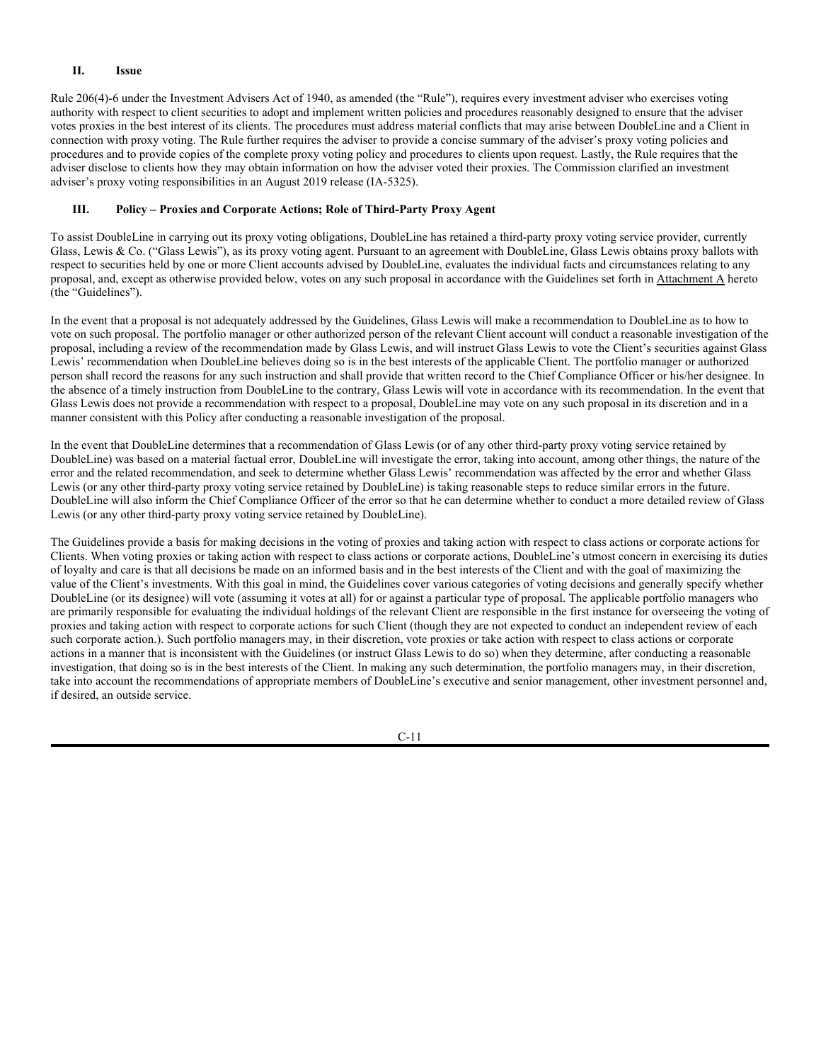### **Dorsey, Wright & Associates LLC**

### **PROXY VOTING**

If a client account is subject to the Employee Retirement Security Act of 1974 ("ERISA"), recommendations for the voting of proxies for the securities in the portfolio will be made by Institutional Shareholder Services, and Dorsey Wright will make the final decision on the voting of proxies for the securities in the portfolio, unless specifically reserved to the trustee of the client's account or a named fiduciary of the client's account.

If the account is a discretionary non-ERISA account, recommendations on decisions on voting of proxies will be made by Institutional Shareholder Services, pursuant to the Institutional Shareholder Services Proxy Voting Guidelines, and Dorsey Wright will make the final decision on the voting of proxies for the securities in the portfolio, unless the client otherwise specifically directs.

Institutional Shareholder Services is responsible for monitoring corporate actions, making voting decisions pursuant to the Proxy Voting Guidelines, and for ensuring that proxies are submitted timely. ISS also maintains the electronic storage of all proxy records.

The CCO will periodically monitor the voting of the proxies and supervise the designated person.

Dorsey Wright will make the following client disclosure in Form ADV Part 2:

- How clients can obtain information from Dorsey Wright on how their securities were voted.
- Description of Institutional Shareholder Services' proxy voting policies. The description will be a concise summary of the policies stated herein.
- Disclosure that a copy of Dorsey Wright's complete policy on voting proxies is available upon request.
- If a client requests a copy of our complete proxy voting policy, we must supply it.
- Proxy voting records are maintained by Institutional Shareholder Services.

| Who:   | CCO or Compliance Delegate                                               |
|--------|--------------------------------------------------------------------------|
| What:  | Proxy Voting Process as outsourced to Institutional Shareholder Services |
| When:  | Periodically monitor the voting of proxies (quarterly)                   |
| How:   | Receive verification from ISS                                            |
| Where: | Maintained in Compliance share drive.                                    |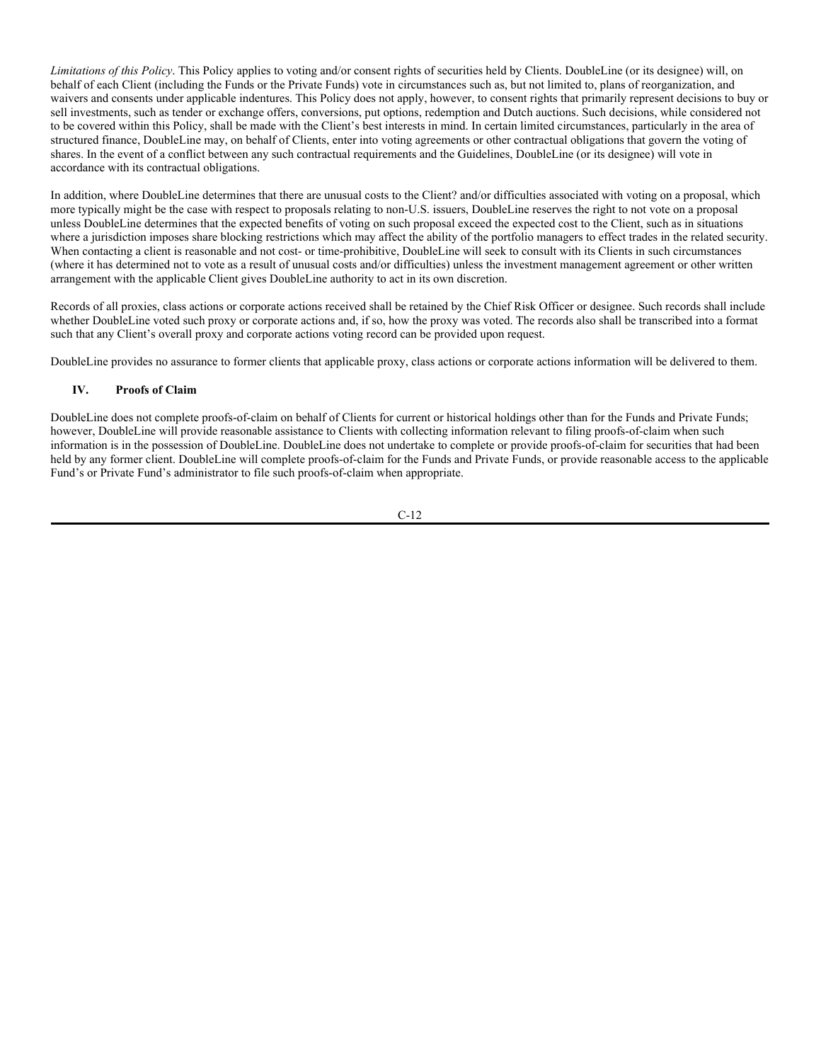**DoubleLine Funds Trust DoubleLine Capital LP DoubleLine Alternatives LP DoubleLine Equity LP DoubleLine Private Funds DoubleLine Opportunistic Credit Fund DoubleLine Income Solutions Fund DoubleLine Yield Opportunities Fund**

## **Proxy Voting, Corporate Actions and Class Actions**

## **I. Background**

This Proxy Voting, Corporate Actions and Class Actions Policy ("Policy") is adopted by DoubleLine Capital LP, DoubleLine Alternatives LP and DoubleLine Equity LP (each, as applicable, "DoubleLine", the "Adviser" or the "Firm"), DoubleLine Funds Trust (the "Trust") and each series of the Trusts (each an "Open-End Fund"), the DoubleLine Opportunistic Credit Fund ("DBL") the DoubleLine Income Solutions Fund ("DSL") and the DoubleLine Yield Opportunities Fund ("DLY" and, together with DBL, DSL and all of the Open-End Funds collectively, the "Funds") to govern the voting of proxies related to securities held by the Funds and actions taken with respect to corporate actions and class actions affecting such securities, and to provide a method of reporting the actions taken and overseeing compliance with regulatory requirements.

Each private investment fund (such as, but not limited to), the DoubleLine Opportunistic Income Master Fund LP (and its related entities), the DoubleLine Opportunistic CMBS/CRE Fund LP (and its related entities), and the DoubleLine Mortgage Opportunities Master Fund LP (and its related entities), each of which is a "Private Fund" and, collectively, the "Private Funds") managed by DoubleLine also adopts this Policy.

DoubleLine generally will exercise voting, corporate actions and class actions authority on behalf of its separate account clients ("Separate Account Clients" and together with the Funds and Private Funds, the "Clients") only where a Client has expressly delegated authority in writing to DoubleLine and DoubleLine has accepted that responsibility. Separate Account Clients that do not provide written authorization for DoubleLine to exercise voting authority are responsible for their own proxy voting, corporate actions and class actions and this Policy does not apply to them.

To the extent that voting a proxy or taking action with respect to a class action or corporate action (in each case, a "proposal") is desirable, DoubleLine (or its designee) will seek to take action on such proposal in a manner that it believes is most likely to enhance the economic value of the underlying securities held in Client accounts and, with respect to proposals not otherwise covered by the Guidelines herein, DoubleLine (or its designee) will seek to consider each proposal on a case-by-case basis from the perspective of each affected Clients, taking into consideration any relevant contractual obligations as well as other relevant facts and circumstances at the time of the vote. In the event proxy voting requests are sent on shares no longer owned by Clients, DoubleLine may choose to not vote such shares. DoubleLine will not respond to proxy solicitor requests unless DoubleLine determines that it is in the best interest of a Client to do so.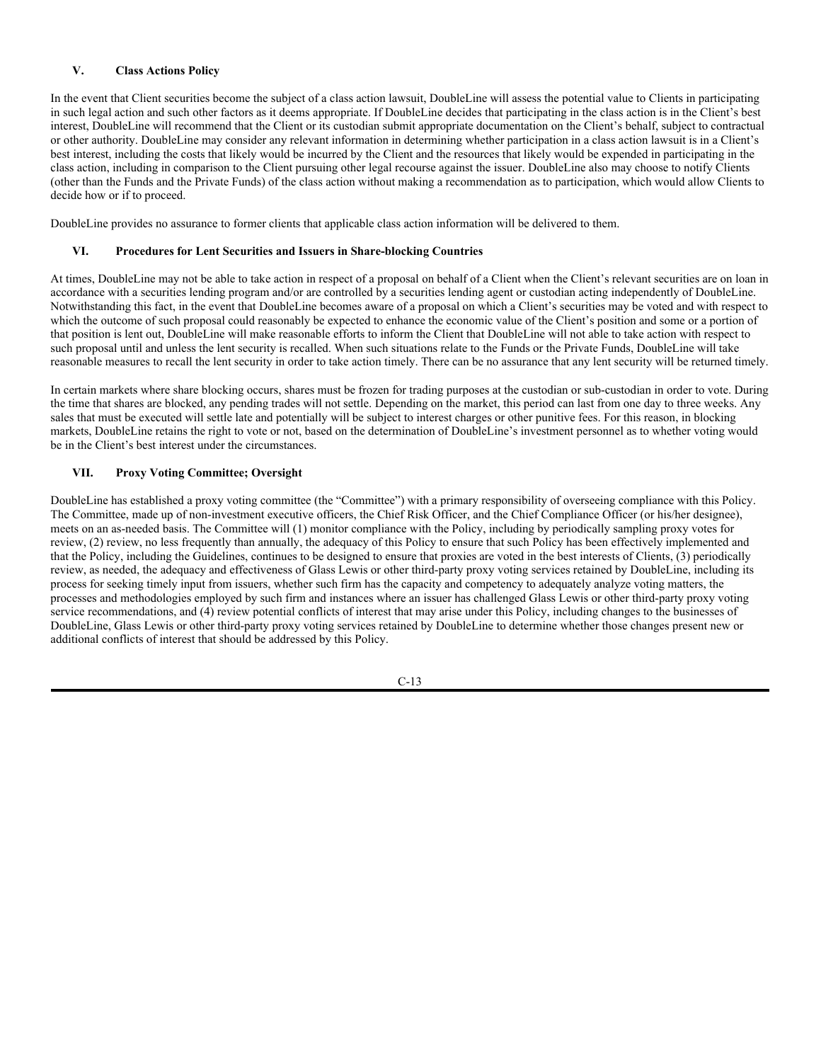## **II. Issue**

Rule 206(4)-6 under the Investment Advisers Act of 1940, as amended (the "Rule"), requires every investment adviser who exercises voting authority with respect to client securities to adopt and implement written policies and procedures reasonably designed to ensure that the adviser votes proxies in the best interest of its clients. The procedures must address material conflicts that may arise between DoubleLine and a Client in connection with proxy voting. The Rule further requires the adviser to provide a concise summary of the adviser's proxy voting policies and procedures and to provide copies of the complete proxy voting policy and procedures to clients upon request. Lastly, the Rule requires that the adviser disclose to clients how they may obtain information on how the adviser voted their proxies. The Commission clarified an investment adviser's proxy voting responsibilities in an August 2019 release (IA-5325).

## **III. Policy – Proxies and Corporate Actions; Role of Third-Party Proxy Agent**

To assist DoubleLine in carrying out its proxy voting obligations, DoubleLine has retained a third-party proxy voting service provider, currently Glass, Lewis & Co. ("Glass Lewis"), as its proxy voting agent. Pursuant to an agreement with DoubleLine, Glass Lewis obtains proxy ballots with respect to securities held by one or more Client accounts advised by DoubleLine, evaluates the individual facts and circumstances relating to any proposal, and, except as otherwise provided below, votes on any such proposal in accordance with the Guidelines set forth in Attachment A hereto (the "Guidelines").

In the event that a proposal is not adequately addressed by the Guidelines, Glass Lewis will make a recommendation to DoubleLine as to how to vote on such proposal. The portfolio manager or other authorized person of the relevant Client account will conduct a reasonable investigation of the proposal, including a review of the recommendation made by Glass Lewis, and will instruct Glass Lewis to vote the Client's securities against Glass Lewis' recommendation when DoubleLine believes doing so is in the best interests of the applicable Client. The portfolio manager or authorized person shall record the reasons for any such instruction and shall provide that written record to the Chief Compliance Officer or his/her designee. In the absence of a timely instruction from DoubleLine to the contrary, Glass Lewis will vote in accordance with its recommendation. In the event that Glass Lewis does not provide a recommendation with respect to a proposal, DoubleLine may vote on any such proposal in its discretion and in a manner consistent with this Policy after conducting a reasonable investigation of the proposal.

In the event that DoubleLine determines that a recommendation of Glass Lewis (or of any other third-party proxy voting service retained by DoubleLine) was based on a material factual error, DoubleLine will investigate the error, taking into account, among other things, the nature of the error and the related recommendation, and seek to determine whether Glass Lewis' recommendation was affected by the error and whether Glass Lewis (or any other third-party proxy voting service retained by DoubleLine) is taking reasonable steps to reduce similar errors in the future. DoubleLine will also inform the Chief Compliance Officer of the error so that he can determine whether to conduct a more detailed review of Glass Lewis (or any other third-party proxy voting service retained by DoubleLine).

The Guidelines provide a basis for making decisions in the voting of proxies and taking action with respect to class actions or corporate actions for Clients. When voting proxies or taking action with respect to class actions or corporate actions, DoubleLine's utmost concern in exercising its duties of loyalty and care is that all decisions be made on an informed basis and in the best interests of the Client and with the goal of maximizing the value of the Client's investments. With this goal in mind, the Guidelines cover various categories of voting decisions and generally specify whether DoubleLine (or its designee) will vote (assuming it votes at all) for or against a particular type of proposal. The applicable portfolio managers who are primarily responsible for evaluating the individual holdings of the relevant Client are responsible in the first instance for overseeing the voting of proxies and taking action with respect to corporate actions for such Client (though they are not expected to conduct an independent review of each such corporate action.). Such portfolio managers may, in their discretion, vote proxies or take action with respect to class actions or corporate actions in a manner that is inconsistent with the Guidelines (or instruct Glass Lewis to do so) when they determine, after conducting a reasonable investigation, that doing so is in the best interests of the Client. In making any such determination, the portfolio managers may, in their discretion, take into account the recommendations of appropriate members of DoubleLine's executive and senior management, other investment personnel and, if desired, an outside service.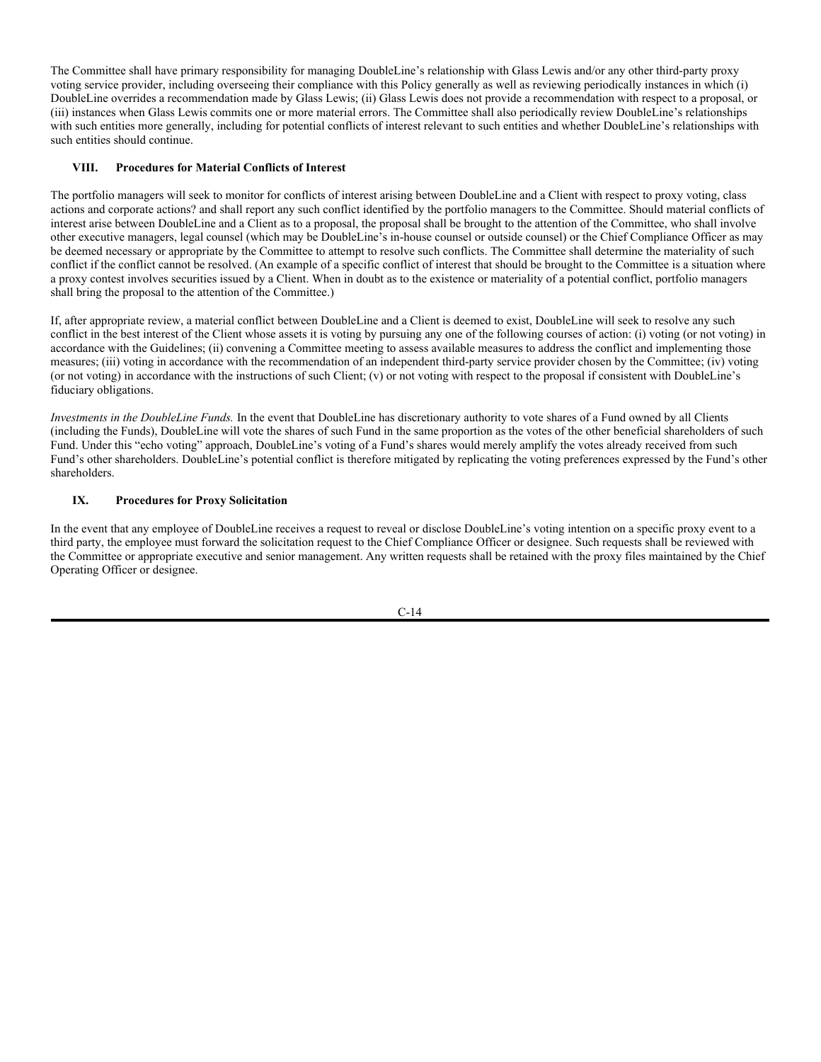*Limitations of this Policy*. This Policy applies to voting and/or consent rights of securities held by Clients. DoubleLine (or its designee) will, on behalf of each Client (including the Funds or the Private Funds) vote in circumstances such as, but not limited to, plans of reorganization, and waivers and consents under applicable indentures. This Policy does not apply, however, to consent rights that primarily represent decisions to buy or sell investments, such as tender or exchange offers, conversions, put options, redemption and Dutch auctions. Such decisions, while considered not to be covered within this Policy, shall be made with the Client's best interests in mind. In certain limited circumstances, particularly in the area of structured finance, DoubleLine may, on behalf of Clients, enter into voting agreements or other contractual obligations that govern the voting of shares. In the event of a conflict between any such contractual requirements and the Guidelines, DoubleLine (or its designee) will vote in accordance with its contractual obligations.

In addition, where DoubleLine determines that there are unusual costs to the Client? and/or difficulties associated with voting on a proposal, which more typically might be the case with respect to proposals relating to non-U.S. issuers, DoubleLine reserves the right to not vote on a proposal unless DoubleLine determines that the expected benefits of voting on such proposal exceed the expected cost to the Client, such as in situations where a jurisdiction imposes share blocking restrictions which may affect the ability of the portfolio managers to effect trades in the related security. When contacting a client is reasonable and not cost- or time-prohibitive, DoubleLine will seek to consult with its Clients in such circumstances (where it has determined not to vote as a result of unusual costs and/or difficulties) unless the investment management agreement or other written arrangement with the applicable Client gives DoubleLine authority to act in its own discretion.

Records of all proxies, class actions or corporate actions received shall be retained by the Chief Risk Officer or designee. Such records shall include whether DoubleLine voted such proxy or corporate actions and, if so, how the proxy was voted. The records also shall be transcribed into a format such that any Client's overall proxy and corporate actions voting record can be provided upon request.

DoubleLine provides no assurance to former clients that applicable proxy, class actions or corporate actions information will be delivered to them.

## **IV. Proofs of Claim**

DoubleLine does not complete proofs-of-claim on behalf of Clients for current or historical holdings other than for the Funds and Private Funds; however, DoubleLine will provide reasonable assistance to Clients with collecting information relevant to filing proofs-of-claim when such information is in the possession of DoubleLine. DoubleLine does not undertake to complete or provide proofs-of-claim for securities that had been held by any former client. DoubleLine will complete proofs-of-claim for the Funds and Private Funds, or provide reasonable access to the applicable Fund's or Private Fund's administrator to file such proofs-of-claim when appropriate.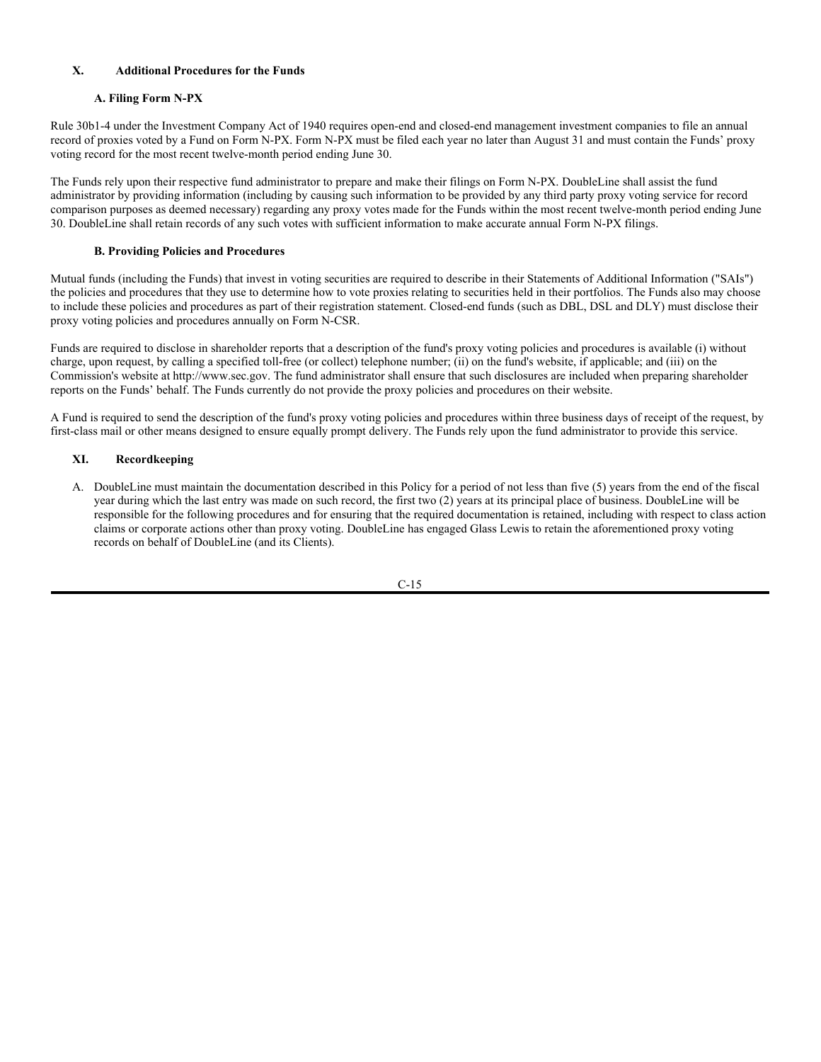## **V. Class Actions Policy**

In the event that Client securities become the subject of a class action lawsuit, DoubleLine will assess the potential value to Clients in participating in such legal action and such other factors as it deems appropriate. If DoubleLine decides that participating in the class action is in the Client's best interest, DoubleLine will recommend that the Client or its custodian submit appropriate documentation on the Client's behalf, subject to contractual or other authority. DoubleLine may consider any relevant information in determining whether participation in a class action lawsuit is in a Client's best interest, including the costs that likely would be incurred by the Client and the resources that likely would be expended in participating in the class action, including in comparison to the Client pursuing other legal recourse against the issuer. DoubleLine also may choose to notify Clients (other than the Funds and the Private Funds) of the class action without making a recommendation as to participation, which would allow Clients to decide how or if to proceed.

DoubleLine provides no assurance to former clients that applicable class action information will be delivered to them.

## **VI. Procedures for Lent Securities and Issuers in Share-blocking Countries**

At times, DoubleLine may not be able to take action in respect of a proposal on behalf of a Client when the Client's relevant securities are on loan in accordance with a securities lending program and/or are controlled by a securities lending agent or custodian acting independently of DoubleLine. Notwithstanding this fact, in the event that DoubleLine becomes aware of a proposal on which a Client's securities may be voted and with respect to which the outcome of such proposal could reasonably be expected to enhance the economic value of the Client's position and some or a portion of that position is lent out, DoubleLine will make reasonable efforts to inform the Client that DoubleLine will not able to take action with respect to such proposal until and unless the lent security is recalled. When such situations relate to the Funds or the Private Funds, DoubleLine will take reasonable measures to recall the lent security in order to take action timely. There can be no assurance that any lent security will be returned timely.

In certain markets where share blocking occurs, shares must be frozen for trading purposes at the custodian or sub-custodian in order to vote. During the time that shares are blocked, any pending trades will not settle. Depending on the market, this period can last from one day to three weeks. Any sales that must be executed will settle late and potentially will be subject to interest charges or other punitive fees. For this reason, in blocking markets, DoubleLine retains the right to vote or not, based on the determination of DoubleLine's investment personnel as to whether voting would be in the Client's best interest under the circumstances.

## **VII. Proxy Voting Committee; Oversight**

DoubleLine has established a proxy voting committee (the "Committee") with a primary responsibility of overseeing compliance with this Policy. The Committee, made up of non-investment executive officers, the Chief Risk Officer, and the Chief Compliance Officer (or his/her designee), meets on an as-needed basis. The Committee will (1) monitor compliance with the Policy, including by periodically sampling proxy votes for review, (2) review, no less frequently than annually, the adequacy of this Policy to ensure that such Policy has been effectively implemented and that the Policy, including the Guidelines, continues to be designed to ensure that proxies are voted in the best interests of Clients, (3) periodically review, as needed, the adequacy and effectiveness of Glass Lewis or other third-party proxy voting services retained by DoubleLine, including its process for seeking timely input from issuers, whether such firm has the capacity and competency to adequately analyze voting matters, the processes and methodologies employed by such firm and instances where an issuer has challenged Glass Lewis or other third-party proxy voting service recommendations, and (4) review potential conflicts of interest that may arise under this Policy, including changes to the businesses of DoubleLine, Glass Lewis or other third-party proxy voting services retained by DoubleLine to determine whether those changes present new or additional conflicts of interest that should be addressed by this Policy.

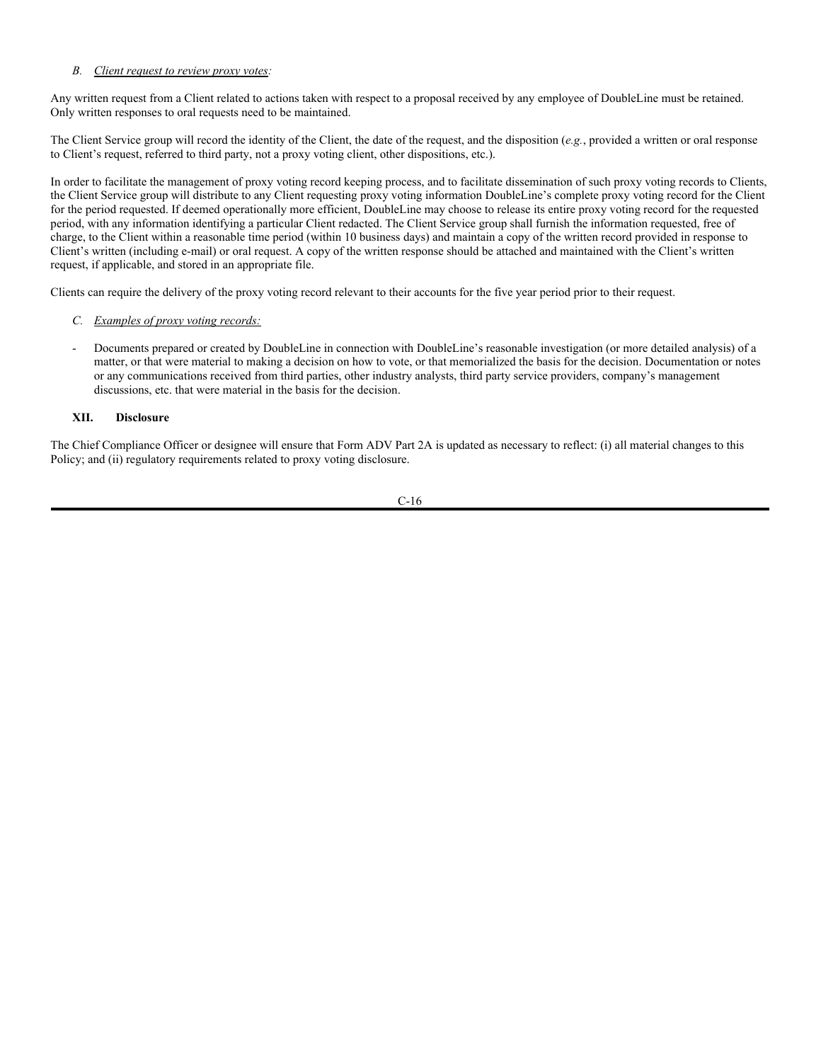The Committee shall have primary responsibility for managing DoubleLine's relationship with Glass Lewis and/or any other third-party proxy voting service provider, including overseeing their compliance with this Policy generally as well as reviewing periodically instances in which (i) DoubleLine overrides a recommendation made by Glass Lewis; (ii) Glass Lewis does not provide a recommendation with respect to a proposal, or (iii) instances when Glass Lewis commits one or more material errors. The Committee shall also periodically review DoubleLine's relationships with such entities more generally, including for potential conflicts of interest relevant to such entities and whether DoubleLine's relationships with such entities should continue.

## **VIII. Procedures for Material Conflicts of Interest**

The portfolio managers will seek to monitor for conflicts of interest arising between DoubleLine and a Client with respect to proxy voting, class actions and corporate actions? and shall report any such conflict identified by the portfolio managers to the Committee. Should material conflicts of interest arise between DoubleLine and a Client as to a proposal, the proposal shall be brought to the attention of the Committee, who shall involve other executive managers, legal counsel (which may be DoubleLine's in-house counsel or outside counsel) or the Chief Compliance Officer as may be deemed necessary or appropriate by the Committee to attempt to resolve such conflicts. The Committee shall determine the materiality of such conflict if the conflict cannot be resolved. (An example of a specific conflict of interest that should be brought to the Committee is a situation where a proxy contest involves securities issued by a Client. When in doubt as to the existence or materiality of a potential conflict, portfolio managers shall bring the proposal to the attention of the Committee.)

If, after appropriate review, a material conflict between DoubleLine and a Client is deemed to exist, DoubleLine will seek to resolve any such conflict in the best interest of the Client whose assets it is voting by pursuing any one of the following courses of action: (i) voting (or not voting) in accordance with the Guidelines; (ii) convening a Committee meeting to assess available measures to address the conflict and implementing those measures; (iii) voting in accordance with the recommendation of an independent third-party service provider chosen by the Committee; (iv) voting (or not voting) in accordance with the instructions of such Client; (v) or not voting with respect to the proposal if consistent with DoubleLine's fiduciary obligations.

*Investments in the DoubleLine Funds.* In the event that DoubleLine has discretionary authority to vote shares of a Fund owned by all Clients (including the Funds), DoubleLine will vote the shares of such Fund in the same proportion as the votes of the other beneficial shareholders of such Fund. Under this "echo voting" approach, DoubleLine's voting of a Fund's shares would merely amplify the votes already received from such Fund's other shareholders. DoubleLine's potential conflict is therefore mitigated by replicating the voting preferences expressed by the Fund's other shareholders.

## **IX. Procedures for Proxy Solicitation**

In the event that any employee of DoubleLine receives a request to reveal or disclose DoubleLine's voting intention on a specific proxy event to a third party, the employee must forward the solicitation request to the Chief Compliance Officer or designee. Such requests shall be reviewed with the Committee or appropriate executive and senior management. Any written requests shall be retained with the proxy files maintained by the Chief Operating Officer or designee.

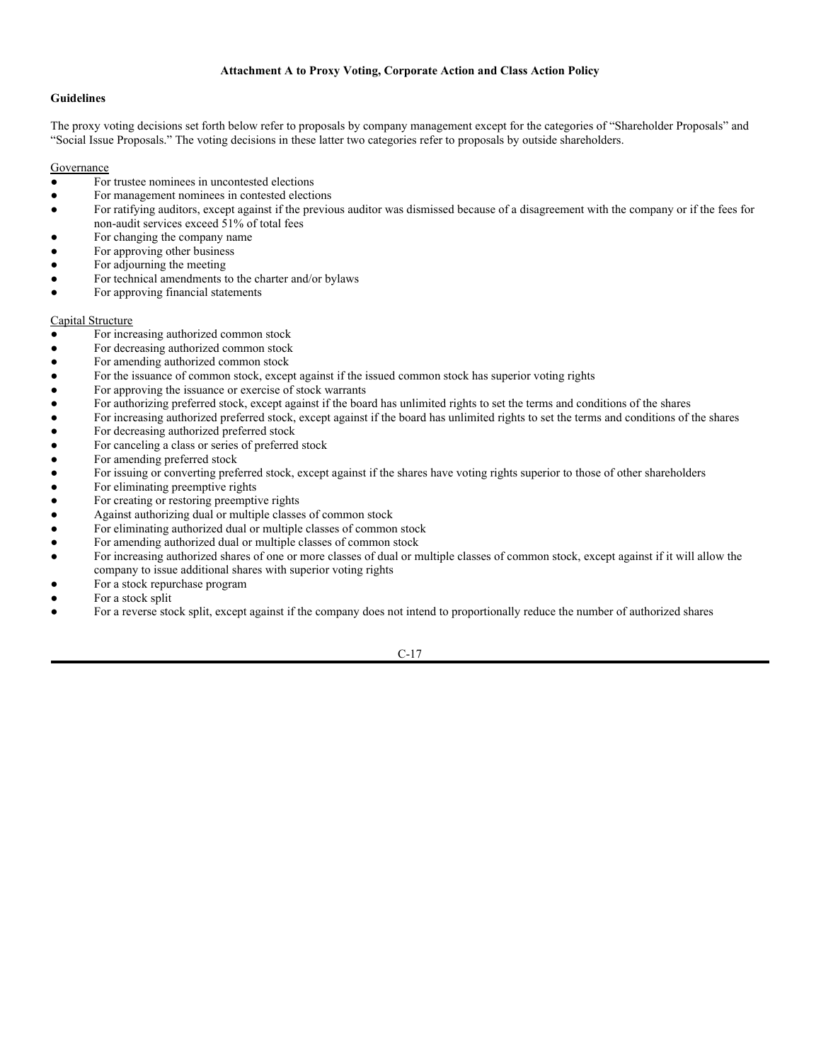## **X. Additional Procedures for the Funds**

## **A. Filing Form N-PX**

Rule 30b1-4 under the Investment Company Act of 1940 requires open-end and closed-end management investment companies to file an annual record of proxies voted by a Fund on Form N-PX. Form N-PX must be filed each year no later than August 31 and must contain the Funds' proxy voting record for the most recent twelve-month period ending June 30.

The Funds rely upon their respective fund administrator to prepare and make their filings on Form N-PX. DoubleLine shall assist the fund administrator by providing information (including by causing such information to be provided by any third party proxy voting service for record comparison purposes as deemed necessary) regarding any proxy votes made for the Funds within the most recent twelve-month period ending June 30. DoubleLine shall retain records of any such votes with sufficient information to make accurate annual Form N-PX filings.

## **B. Providing Policies and Procedures**

Mutual funds (including the Funds) that invest in voting securities are required to describe in their Statements of Additional Information ("SAIs") the policies and procedures that they use to determine how to vote proxies relating to securities held in their portfolios. The Funds also may choose to include these policies and procedures as part of their registration statement. Closed-end funds (such as DBL, DSL and DLY) must disclose their proxy voting policies and procedures annually on Form N-CSR.

Funds are required to disclose in shareholder reports that a description of the fund's proxy voting policies and procedures is available (i) without charge, upon request, by calling a specified toll-free (or collect) telephone number; (ii) on the fund's website, if applicable; and (iii) on the Commission's website at http://www.sec.gov. The fund administrator shall ensure that such disclosures are included when preparing shareholder reports on the Funds' behalf. The Funds currently do not provide the proxy policies and procedures on their website.

A Fund is required to send the description of the fund's proxy voting policies and procedures within three business days of receipt of the request, by first-class mail or other means designed to ensure equally prompt delivery. The Funds rely upon the fund administrator to provide this service.

## **XI. Recordkeeping**

A. DoubleLine must maintain the documentation described in this Policy for a period of not less than five (5) years from the end of the fiscal year during which the last entry was made on such record, the first two (2) years at its principal place of business. DoubleLine will be responsible for the following procedures and for ensuring that the required documentation is retained, including with respect to class action claims or corporate actions other than proxy voting. DoubleLine has engaged Glass Lewis to retain the aforementioned proxy voting records on behalf of DoubleLine (and its Clients).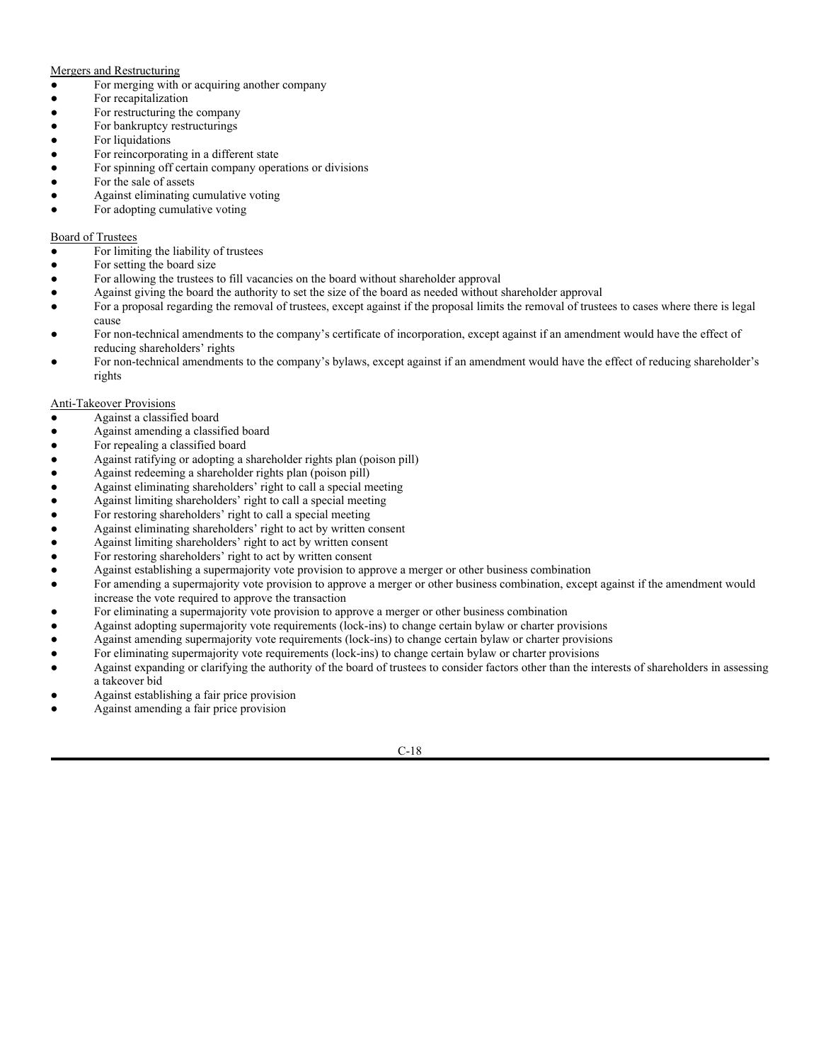## *B. Client request to review proxy votes:*

Any written request from a Client related to actions taken with respect to a proposal received by any employee of DoubleLine must be retained. Only written responses to oral requests need to be maintained.

The Client Service group will record the identity of the Client, the date of the request, and the disposition (*e.g.*, provided a written or oral response to Client's request, referred to third party, not a proxy voting client, other dispositions, etc.).

In order to facilitate the management of proxy voting record keeping process, and to facilitate dissemination of such proxy voting records to Clients, the Client Service group will distribute to any Client requesting proxy voting information DoubleLine's complete proxy voting record for the Client for the period requested. If deemed operationally more efficient, DoubleLine may choose to release its entire proxy voting record for the requested period, with any information identifying a particular Client redacted. The Client Service group shall furnish the information requested, free of charge, to the Client within a reasonable time period (within 10 business days) and maintain a copy of the written record provided in response to Client's written (including e-mail) or oral request. A copy of the written response should be attached and maintained with the Client's written request, if applicable, and stored in an appropriate file.

Clients can require the delivery of the proxy voting record relevant to their accounts for the five year period prior to their request.

- *C. Examples of proxy voting records:*
- Documents prepared or created by DoubleLine in connection with DoubleLine's reasonable investigation (or more detailed analysis) of a matter, or that were material to making a decision on how to vote, or that memorialized the basis for the decision. Documentation or notes or any communications received from third parties, other industry analysts, third party service providers, company's management discussions, etc. that were material in the basis for the decision.

## **XII. Disclosure**

The Chief Compliance Officer or designee will ensure that Form ADV Part 2A is updated as necessary to reflect: (i) all material changes to this Policy; and (ii) regulatory requirements related to proxy voting disclosure.

$$
C-16
$$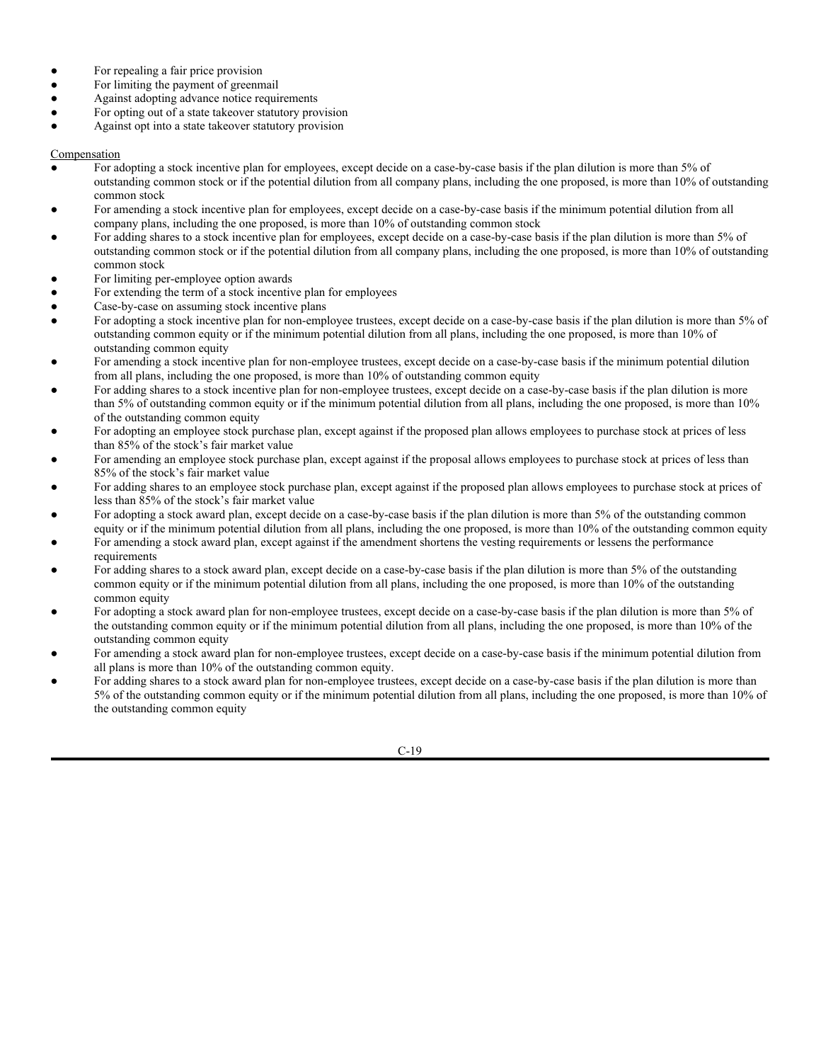## **Attachment A to Proxy Voting, Corporate Action and Class Action Policy**

## **Guidelines**

The proxy voting decisions set forth below refer to proposals by company management except for the categories of "Shareholder Proposals" and "Social Issue Proposals." The voting decisions in these latter two categories refer to proposals by outside shareholders.

## **Governance**

- For trustee nominees in uncontested elections
- For management nominees in contested elections
- For ratifying auditors, except against if the previous auditor was dismissed because of a disagreement with the company or if the fees for non-audit services exceed 51% of total fees
- For changing the company name
- For approving other business
- For adjourning the meeting
- For technical amendments to the charter and/or bylaws
- For approving financial statements

## Capital Structure

- For increasing authorized common stock
- For decreasing authorized common stock
- For amending authorized common stock
- For the issuance of common stock, except against if the issued common stock has superior voting rights
- For approving the issuance or exercise of stock warrants
- For authorizing preferred stock, except against if the board has unlimited rights to set the terms and conditions of the shares
- For increasing authorized preferred stock, except against if the board has unlimited rights to set the terms and conditions of the shares
- For decreasing authorized preferred stock
- For canceling a class or series of preferred stock
- For amending preferred stock
- For issuing or converting preferred stock, except against if the shares have voting rights superior to those of other shareholders
- For eliminating preemptive rights
- For creating or restoring preemptive rights
- Against authorizing dual or multiple classes of common stock
- For eliminating authorized dual or multiple classes of common stock
- For amending authorized dual or multiple classes of common stock
- For increasing authorized shares of one or more classes of dual or multiple classes of common stock, except against if it will allow the company to issue additional shares with superior voting rights
- For a stock repurchase program
- For a stock split
- For a reverse stock split, except against if the company does not intend to proportionally reduce the number of authorized shares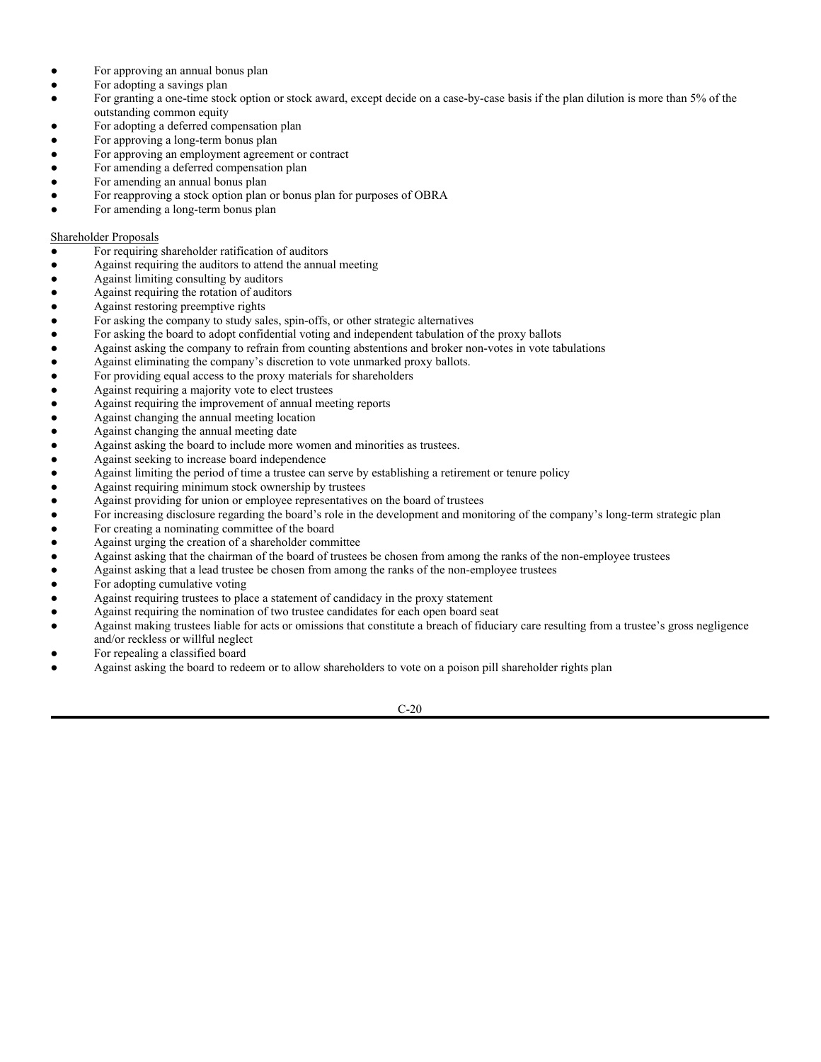## Mergers and Restructuring

- For merging with or acquiring another company
- For recapitalization
- For restructuring the company
- For bankruptcy restructurings
- For liquidations
- For reincorporating in a different state
- For spinning off certain company operations or divisions
- For the sale of assets
- Against eliminating cumulative voting
- For adopting cumulative voting

## Board of Trustees

- For limiting the liability of trustees
- For setting the board size
- For allowing the trustees to fill vacancies on the board without shareholder approval
- Against giving the board the authority to set the size of the board as needed without shareholder approval
- For a proposal regarding the removal of trustees, except against if the proposal limits the removal of trustees to cases where there is legal cause
- For non-technical amendments to the company's certificate of incorporation, except against if an amendment would have the effect of reducing shareholders' rights
- For non-technical amendments to the company's bylaws, except against if an amendment would have the effect of reducing shareholder's rights

## Anti-Takeover Provisions

- Against a classified board
- Against amending a classified board
- For repealing a classified board
- Against ratifying or adopting a shareholder rights plan (poison pill)
- Against redeeming a shareholder rights plan (poison pill)
- Against eliminating shareholders' right to call a special meeting
- Against limiting shareholders' right to call a special meeting
- For restoring shareholders' right to call a special meeting
- Against eliminating shareholders' right to act by written consent
- Against limiting shareholders' right to act by written consent
- For restoring shareholders' right to act by written consent
- Against establishing a supermajority vote provision to approve a merger or other business combination
- For amending a supermajority vote provision to approve a merger or other business combination, except against if the amendment would increase the vote required to approve the transaction
- For eliminating a supermajority vote provision to approve a merger or other business combination
- Against adopting supermajority vote requirements (lock-ins) to change certain bylaw or charter provisions
- Against amending supermajority vote requirements (lock-ins) to change certain bylaw or charter provisions
- For eliminating supermajority vote requirements (lock-ins) to change certain bylaw or charter provisions
- Against expanding or clarifying the authority of the board of trustees to consider factors other than the interests of shareholders in assessing a takeover bid
- Against establishing a fair price provision
- Against amending a fair price provision

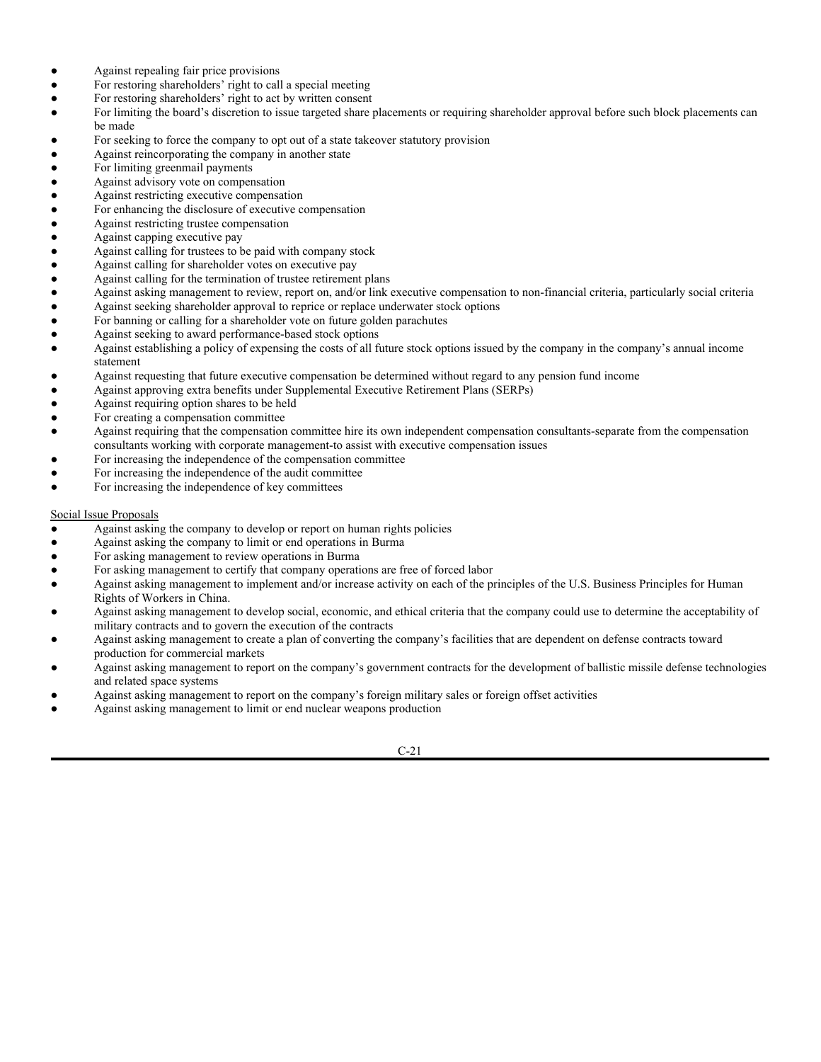- For repealing a fair price provision
- For limiting the payment of greenmail
- Against adopting advance notice requirements
- For opting out of a state takeover statutory provision
- Against opt into a state takeover statutory provision

## **Compensation**

- For adopting a stock incentive plan for employees, except decide on a case-by-case basis if the plan dilution is more than 5% of outstanding common stock or if the potential dilution from all company plans, including the one proposed, is more than 10% of outstanding common stock
- For amending a stock incentive plan for employees, except decide on a case-by-case basis if the minimum potential dilution from all company plans, including the one proposed, is more than 10% of outstanding common stock
- For adding shares to a stock incentive plan for employees, except decide on a case-by-case basis if the plan dilution is more than 5% of outstanding common stock or if the potential dilution from all company plans, including the one proposed, is more than 10% of outstanding common stock
- For limiting per-employee option awards
- For extending the term of a stock incentive plan for employees
- Case-by-case on assuming stock incentive plans
- For adopting a stock incentive plan for non-employee trustees, except decide on a case-by-case basis if the plan dilution is more than 5% of outstanding common equity or if the minimum potential dilution from all plans, including the one proposed, is more than 10% of outstanding common equity
- For amending a stock incentive plan for non-employee trustees, except decide on a case-by-case basis if the minimum potential dilution from all plans, including the one proposed, is more than 10% of outstanding common equity
- For adding shares to a stock incentive plan for non-employee trustees, except decide on a case-by-case basis if the plan dilution is more than 5% of outstanding common equity or if the minimum potential dilution from all plans, including the one proposed, is more than 10% of the outstanding common equity
- For adopting an employee stock purchase plan, except against if the proposed plan allows employees to purchase stock at prices of less than 85% of the stock's fair market value
- For amending an employee stock purchase plan, except against if the proposal allows employees to purchase stock at prices of less than 85% of the stock's fair market value
- For adding shares to an employee stock purchase plan, except against if the proposed plan allows employees to purchase stock at prices of less than 85% of the stock's fair market value
- For adopting a stock award plan, except decide on a case-by-case basis if the plan dilution is more than 5% of the outstanding common equity or if the minimum potential dilution from all plans, including the one proposed, is more than 10% of the outstanding common equity
- For amending a stock award plan, except against if the amendment shortens the vesting requirements or lessens the performance requirements
- For adding shares to a stock award plan, except decide on a case-by-case basis if the plan dilution is more than 5% of the outstanding common equity or if the minimum potential dilution from all plans, including the one proposed, is more than 10% of the outstanding common equity
- For adopting a stock award plan for non-employee trustees, except decide on a case-by-case basis if the plan dilution is more than 5% of the outstanding common equity or if the minimum potential dilution from all plans, including the one proposed, is more than 10% of the outstanding common equity
- For amending a stock award plan for non-employee trustees, except decide on a case-by-case basis if the minimum potential dilution from all plans is more than 10% of the outstanding common equity.
- For adding shares to a stock award plan for non-employee trustees, except decide on a case-by-case basis if the plan dilution is more than 5% of the outstanding common equity or if the minimum potential dilution from all plans, including the one proposed, is more than 10% of the outstanding common equity

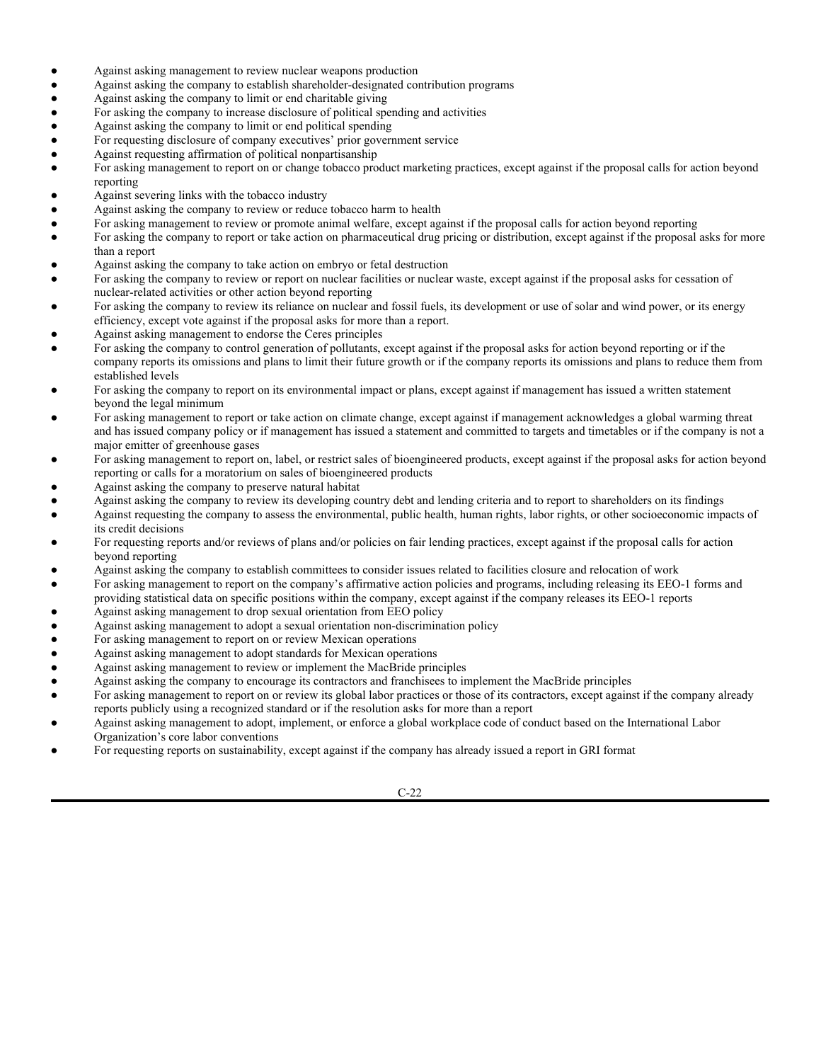- For approving an annual bonus plan
- For adopting a savings plan
- For granting a one-time stock option or stock award, except decide on a case-by-case basis if the plan dilution is more than 5% of the outstanding common equity
- For adopting a deferred compensation plan
- For approving a long-term bonus plan
- For approving an employment agreement or contract
- For amending a deferred compensation plan
- For amending an annual bonus plan
- For reapproving a stock option plan or bonus plan for purposes of OBRA
- For amending a long-term bonus plan

# Shareholder Proposals

- For requiring shareholder ratification of auditors
- Against requiring the auditors to attend the annual meeting
- Against limiting consulting by auditors
- Against requiring the rotation of auditors
- Against restoring preemptive rights
- For asking the company to study sales, spin-offs, or other strategic alternatives
- For asking the board to adopt confidential voting and independent tabulation of the proxy ballots
- Against asking the company to refrain from counting abstentions and broker non-votes in vote tabulations
- Against eliminating the company's discretion to vote unmarked proxy ballots.
- For providing equal access to the proxy materials for shareholders
- Against requiring a majority vote to elect trustees
- Against requiring the improvement of annual meeting reports
- Against changing the annual meeting location
- Against changing the annual meeting date
- Against asking the board to include more women and minorities as trustees.
- Against seeking to increase board independence
- Against limiting the period of time a trustee can serve by establishing a retirement or tenure policy
- Against requiring minimum stock ownership by trustees
- Against providing for union or employee representatives on the board of trustees
- For increasing disclosure regarding the board's role in the development and monitoring of the company's long-term strategic plan
- For creating a nominating committee of the board
- Against urging the creation of a shareholder committee
- Against asking that the chairman of the board of trustees be chosen from among the ranks of the non-employee trustees
- Against asking that a lead trustee be chosen from among the ranks of the non-employee trustees
- For adopting cumulative voting
- Against requiring trustees to place a statement of candidacy in the proxy statement
- Against requiring the nomination of two trustee candidates for each open board seat
- Against making trustees liable for acts or omissions that constitute a breach of fiduciary care resulting from a trustee's gross negligence and/or reckless or willful neglect
- For repealing a classified board
- Against asking the board to redeem or to allow shareholders to vote on a poison pill shareholder rights plan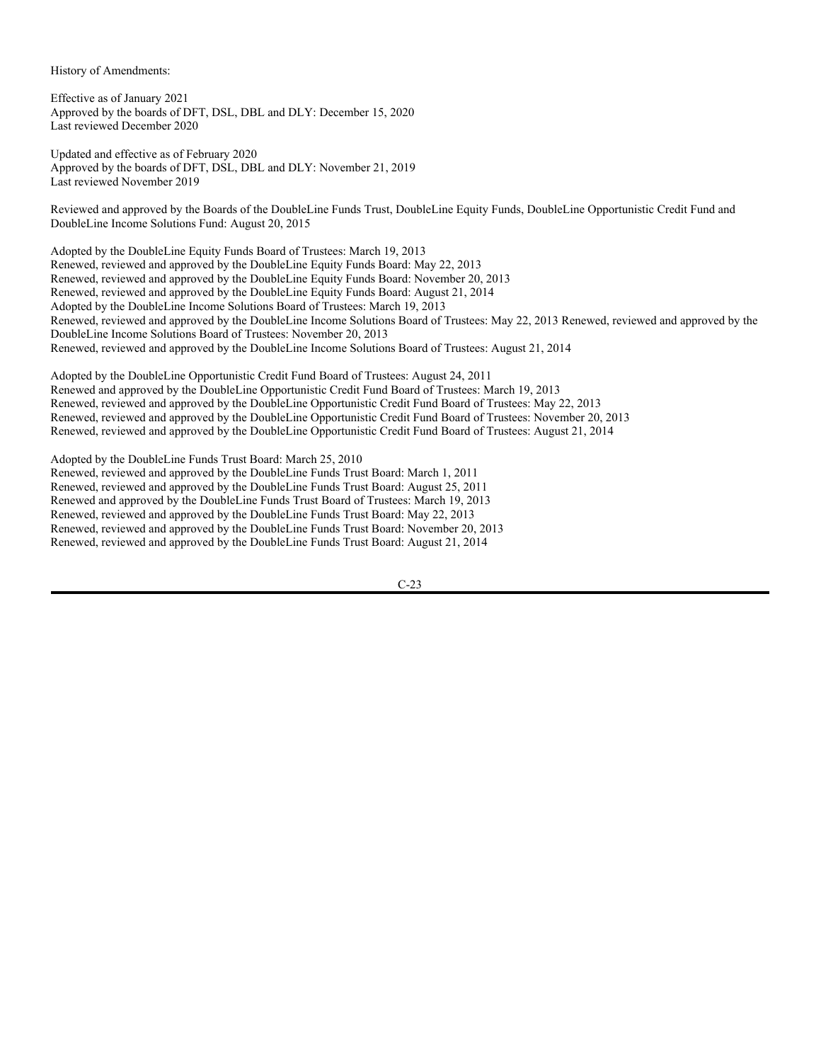- Against repealing fair price provisions
- For restoring shareholders' right to call a special meeting
- For restoring shareholders' right to act by written consent
- For limiting the board's discretion to issue targeted share placements or requiring shareholder approval before such block placements can be made
- For seeking to force the company to opt out of a state takeover statutory provision
- Against reincorporating the company in another state
- For limiting greenmail payments
- Against advisory vote on compensation
- Against restricting executive compensation
- For enhancing the disclosure of executive compensation
- Against restricting trustee compensation
- Against capping executive pay
- Against calling for trustees to be paid with company stock
- Against calling for shareholder votes on executive pay
- Against calling for the termination of trustee retirement plans
- Against asking management to review, report on, and/or link executive compensation to non-financial criteria, particularly social criteria
- Against seeking shareholder approval to reprice or replace underwater stock options
- For banning or calling for a shareholder vote on future golden parachutes
- Against seeking to award performance-based stock options
- Against establishing a policy of expensing the costs of all future stock options issued by the company in the company's annual income statement
- Against requesting that future executive compensation be determined without regard to any pension fund income
- Against approving extra benefits under Supplemental Executive Retirement Plans (SERPs)
- Against requiring option shares to be held
- For creating a compensation committee
- Against requiring that the compensation committee hire its own independent compensation consultants-separate from the compensation consultants working with corporate management-to assist with executive compensation issues
- For increasing the independence of the compensation committee
- For increasing the independence of the audit committee
- For increasing the independence of key committees

# Social Issue Proposals

- Against asking the company to develop or report on human rights policies
- Against asking the company to limit or end operations in Burma
- For asking management to review operations in Burma
- For asking management to certify that company operations are free of forced labor
- Against asking management to implement and/or increase activity on each of the principles of the U.S. Business Principles for Human Rights of Workers in China.
- Against asking management to develop social, economic, and ethical criteria that the company could use to determine the acceptability of military contracts and to govern the execution of the contracts
- Against asking management to create a plan of converting the company's facilities that are dependent on defense contracts toward production for commercial markets
- Against asking management to report on the company's government contracts for the development of ballistic missile defense technologies and related space systems
- Against asking management to report on the company's foreign military sales or foreign offset activities
- Against asking management to limit or end nuclear weapons production

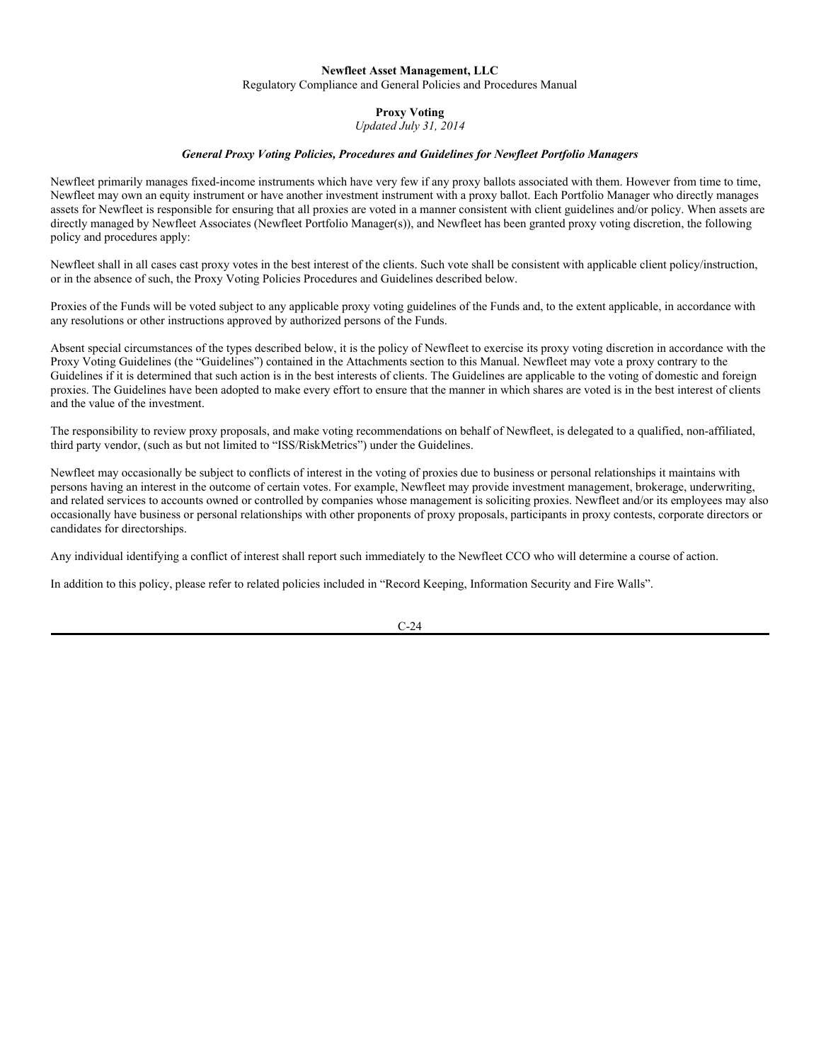- Against asking management to review nuclear weapons production
- Against asking the company to establish shareholder-designated contribution programs
- Against asking the company to limit or end charitable giving
- For asking the company to increase disclosure of political spending and activities
- Against asking the company to limit or end political spending
- For requesting disclosure of company executives' prior government service
- Against requesting affirmation of political nonpartisanship
- For asking management to report on or change tobacco product marketing practices, except against if the proposal calls for action beyond reporting
- Against severing links with the tobacco industry
- Against asking the company to review or reduce tobacco harm to health
- For asking management to review or promote animal welfare, except against if the proposal calls for action beyond reporting
- For asking the company to report or take action on pharmaceutical drug pricing or distribution, except against if the proposal asks for more than a report
- Against asking the company to take action on embryo or fetal destruction
- For asking the company to review or report on nuclear facilities or nuclear waste, except against if the proposal asks for cessation of nuclear-related activities or other action beyond reporting
- For asking the company to review its reliance on nuclear and fossil fuels, its development or use of solar and wind power, or its energy efficiency, except vote against if the proposal asks for more than a report.
- Against asking management to endorse the Ceres principles
- For asking the company to control generation of pollutants, except against if the proposal asks for action beyond reporting or if the company reports its omissions and plans to limit their future growth or if the company reports its omissions and plans to reduce them from established levels
- For asking the company to report on its environmental impact or plans, except against if management has issued a written statement beyond the legal minimum
- For asking management to report or take action on climate change, except against if management acknowledges a global warming threat and has issued company policy or if management has issued a statement and committed to targets and timetables or if the company is not a major emitter of greenhouse gases
- For asking management to report on, label, or restrict sales of bioengineered products, except against if the proposal asks for action beyond reporting or calls for a moratorium on sales of bioengineered products
- Against asking the company to preserve natural habitat
- Against asking the company to review its developing country debt and lending criteria and to report to shareholders on its findings
- Against requesting the company to assess the environmental, public health, human rights, labor rights, or other socioeconomic impacts of its credit decisions
- For requesting reports and/or reviews of plans and/or policies on fair lending practices, except against if the proposal calls for action beyond reporting
- Against asking the company to establish committees to consider issues related to facilities closure and relocation of work
- For asking management to report on the company's affirmative action policies and programs, including releasing its EEO-1 forms and providing statistical data on specific positions within the company, except against if the company releases its EEO-1 reports
- Against asking management to drop sexual orientation from EEO policy
- Against asking management to adopt a sexual orientation non-discrimination policy
- For asking management to report on or review Mexican operations
- Against asking management to adopt standards for Mexican operations
- Against asking management to review or implement the MacBride principles
- Against asking the company to encourage its contractors and franchisees to implement the MacBride principles
- For asking management to report on or review its global labor practices or those of its contractors, except against if the company already reports publicly using a recognized standard or if the resolution asks for more than a report
- Against asking management to adopt, implement, or enforce a global workplace code of conduct based on the International Labor Organization's core labor conventions
- For requesting reports on sustainability, except against if the company has already issued a report in GRI format

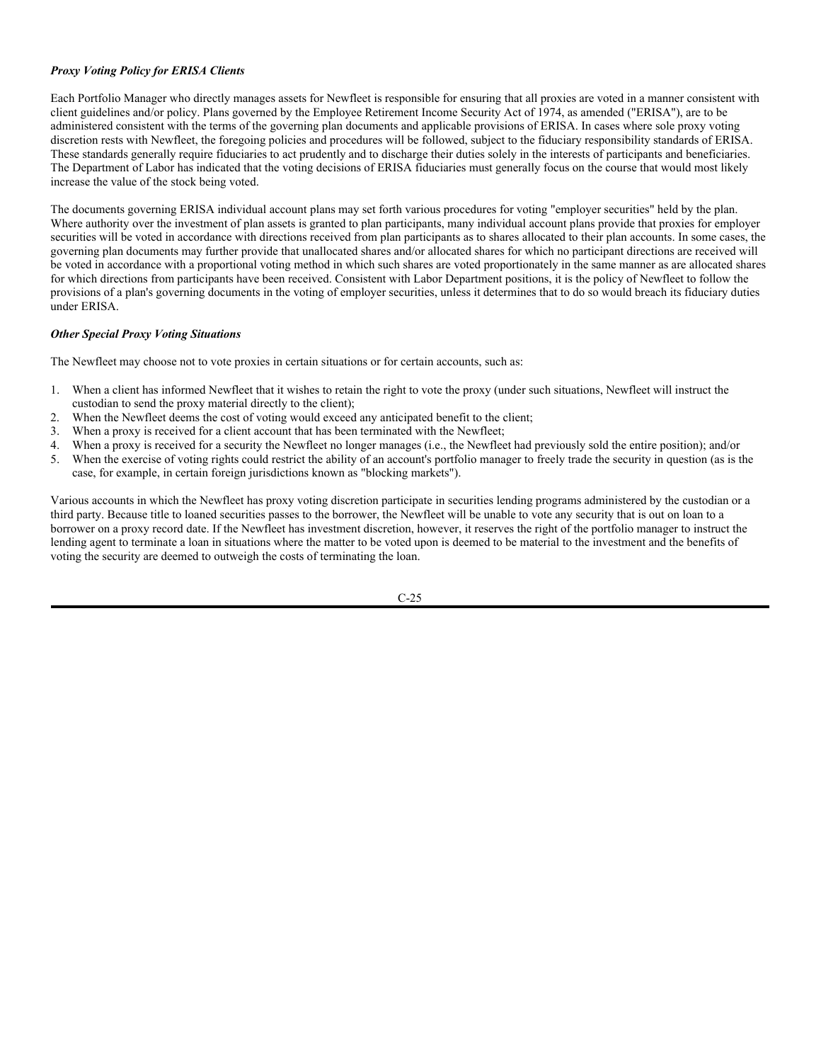History of Amendments:

Effective as of January 2021 Approved by the boards of DFT, DSL, DBL and DLY: December 15, 2020 Last reviewed December 2020

Updated and effective as of February 2020 Approved by the boards of DFT, DSL, DBL and DLY: November 21, 2019 Last reviewed November 2019

Reviewed and approved by the Boards of the DoubleLine Funds Trust, DoubleLine Equity Funds, DoubleLine Opportunistic Credit Fund and DoubleLine Income Solutions Fund: August 20, 2015

Adopted by the DoubleLine Equity Funds Board of Trustees: March 19, 2013 Renewed, reviewed and approved by the DoubleLine Equity Funds Board: May 22, 2013 Renewed, reviewed and approved by the DoubleLine Equity Funds Board: November 20, 2013 Renewed, reviewed and approved by the DoubleLine Equity Funds Board: August 21, 2014 Adopted by the DoubleLine Income Solutions Board of Trustees: March 19, 2013 Renewed, reviewed and approved by the DoubleLine Income Solutions Board of Trustees: May 22, 2013 Renewed, reviewed and approved by the DoubleLine Income Solutions Board of Trustees: November 20, 2013 Renewed, reviewed and approved by the DoubleLine Income Solutions Board of Trustees: August 21, 2014

Adopted by the DoubleLine Opportunistic Credit Fund Board of Trustees: August 24, 2011 Renewed and approved by the DoubleLine Opportunistic Credit Fund Board of Trustees: March 19, 2013 Renewed, reviewed and approved by the DoubleLine Opportunistic Credit Fund Board of Trustees: May 22, 2013 Renewed, reviewed and approved by the DoubleLine Opportunistic Credit Fund Board of Trustees: November 20, 2013 Renewed, reviewed and approved by the DoubleLine Opportunistic Credit Fund Board of Trustees: August 21, 2014

Adopted by the DoubleLine Funds Trust Board: March 25, 2010 Renewed, reviewed and approved by the DoubleLine Funds Trust Board: March 1, 2011 Renewed, reviewed and approved by the DoubleLine Funds Trust Board: August 25, 2011 Renewed and approved by the DoubleLine Funds Trust Board of Trustees: March 19, 2013 Renewed, reviewed and approved by the DoubleLine Funds Trust Board: May 22, 2013 Renewed, reviewed and approved by the DoubleLine Funds Trust Board: November 20, 2013 Renewed, reviewed and approved by the DoubleLine Funds Trust Board: August 21, 2014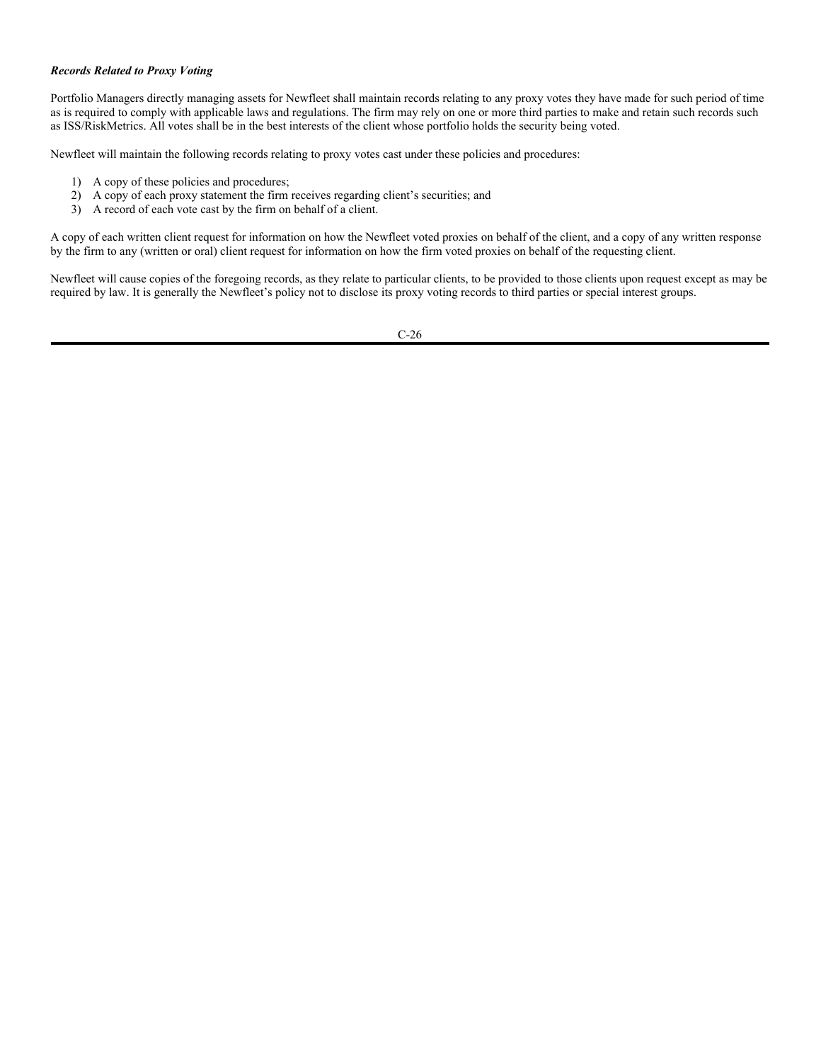#### **Newfleet Asset Management, LLC** Regulatory Compliance and General Policies and Procedures Manual

# **Proxy Voting**

*Updated July 31, 2014*

# *General Proxy Voting Policies, Procedures and Guidelines for Newfleet Portfolio Managers*

Newfleet primarily manages fixed-income instruments which have very few if any proxy ballots associated with them. However from time to time, Newfleet may own an equity instrument or have another investment instrument with a proxy ballot. Each Portfolio Manager who directly manages assets for Newfleet is responsible for ensuring that all proxies are voted in a manner consistent with client guidelines and/or policy. When assets are directly managed by Newfleet Associates (Newfleet Portfolio Manager(s)), and Newfleet has been granted proxy voting discretion, the following policy and procedures apply:

Newfleet shall in all cases cast proxy votes in the best interest of the clients. Such vote shall be consistent with applicable client policy/instruction, or in the absence of such, the Proxy Voting Policies Procedures and Guidelines described below.

Proxies of the Funds will be voted subject to any applicable proxy voting guidelines of the Funds and, to the extent applicable, in accordance with any resolutions or other instructions approved by authorized persons of the Funds.

Absent special circumstances of the types described below, it is the policy of Newfleet to exercise its proxy voting discretion in accordance with the Proxy Voting Guidelines (the "Guidelines") contained in the Attachments section to this Manual. Newfleet may vote a proxy contrary to the Guidelines if it is determined that such action is in the best interests of clients. The Guidelines are applicable to the voting of domestic and foreign proxies. The Guidelines have been adopted to make every effort to ensure that the manner in which shares are voted is in the best interest of clients and the value of the investment.

The responsibility to review proxy proposals, and make voting recommendations on behalf of Newfleet, is delegated to a qualified, non-affiliated, third party vendor, (such as but not limited to "ISS/RiskMetrics") under the Guidelines.

Newfleet may occasionally be subject to conflicts of interest in the voting of proxies due to business or personal relationships it maintains with persons having an interest in the outcome of certain votes. For example, Newfleet may provide investment management, brokerage, underwriting, and related services to accounts owned or controlled by companies whose management is soliciting proxies. Newfleet and/or its employees may also occasionally have business or personal relationships with other proponents of proxy proposals, participants in proxy contests, corporate directors or candidates for directorships.

Any individual identifying a conflict of interest shall report such immediately to the Newfleet CCO who will determine a course of action.

In addition to this policy, please refer to related policies included in "Record Keeping, Information Security and Fire Walls".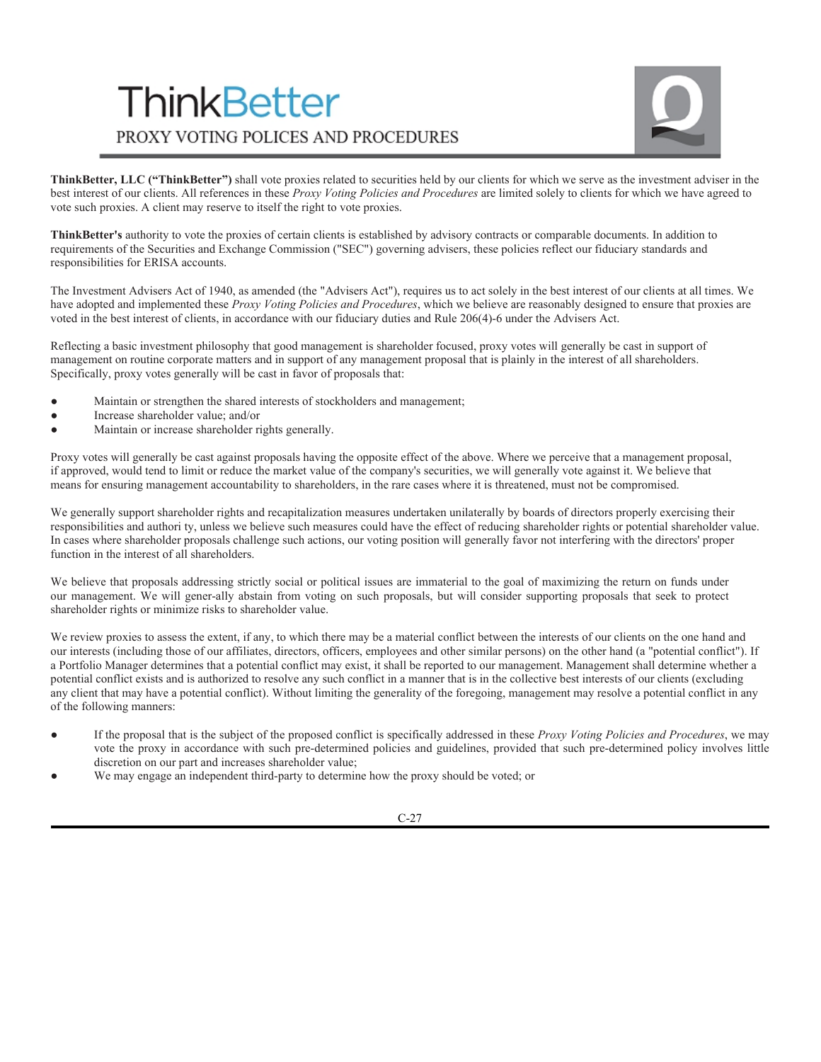# *Proxy Voting Policy for ERISA Clients*

Each Portfolio Manager who directly manages assets for Newfleet is responsible for ensuring that all proxies are voted in a manner consistent with client guidelines and/or policy. Plans governed by the Employee Retirement Income Security Act of 1974, as amended ("ERISA"), are to be administered consistent with the terms of the governing plan documents and applicable provisions of ERISA. In cases where sole proxy voting discretion rests with Newfleet, the foregoing policies and procedures will be followed, subject to the fiduciary responsibility standards of ERISA. These standards generally require fiduciaries to act prudently and to discharge their duties solely in the interests of participants and beneficiaries. The Department of Labor has indicated that the voting decisions of ERISA fiduciaries must generally focus on the course that would most likely increase the value of the stock being voted.

The documents governing ERISA individual account plans may set forth various procedures for voting "employer securities" held by the plan. Where authority over the investment of plan assets is granted to plan participants, many individual account plans provide that proxies for employer securities will be voted in accordance with directions received from plan participants as to shares allocated to their plan accounts. In some cases, the governing plan documents may further provide that unallocated shares and/or allocated shares for which no participant directions are received will be voted in accordance with a proportional voting method in which such shares are voted proportionately in the same manner as are allocated shares for which directions from participants have been received. Consistent with Labor Department positions, it is the policy of Newfleet to follow the provisions of a plan's governing documents in the voting of employer securities, unless it determines that to do so would breach its fiduciary duties under ERISA.

# *Other Special Proxy Voting Situations*

The Newfleet may choose not to vote proxies in certain situations or for certain accounts, such as:

- 1. When a client has informed Newfleet that it wishes to retain the right to vote the proxy (under such situations, Newfleet will instruct the custodian to send the proxy material directly to the client);
- When the Newfleet deems the cost of voting would exceed any anticipated benefit to the client;
- 3. When a proxy is received for a client account that has been terminated with the Newfleet;
- 4. When a proxy is received for a security the Newfleet no longer manages (i.e., the Newfleet had previously sold the entire position); and/or
- 5. When the exercise of voting rights could restrict the ability of an account's portfolio manager to freely trade the security in question (as is the case, for example, in certain foreign jurisdictions known as "blocking markets").

Various accounts in which the Newfleet has proxy voting discretion participate in securities lending programs administered by the custodian or a third party. Because title to loaned securities passes to the borrower, the Newfleet will be unable to vote any security that is out on loan to a borrower on a proxy record date. If the Newfleet has investment discretion, however, it reserves the right of the portfolio manager to instruct the lending agent to terminate a loan in situations where the matter to be voted upon is deemed to be material to the investment and the benefits of voting the security are deemed to outweigh the costs of terminating the loan.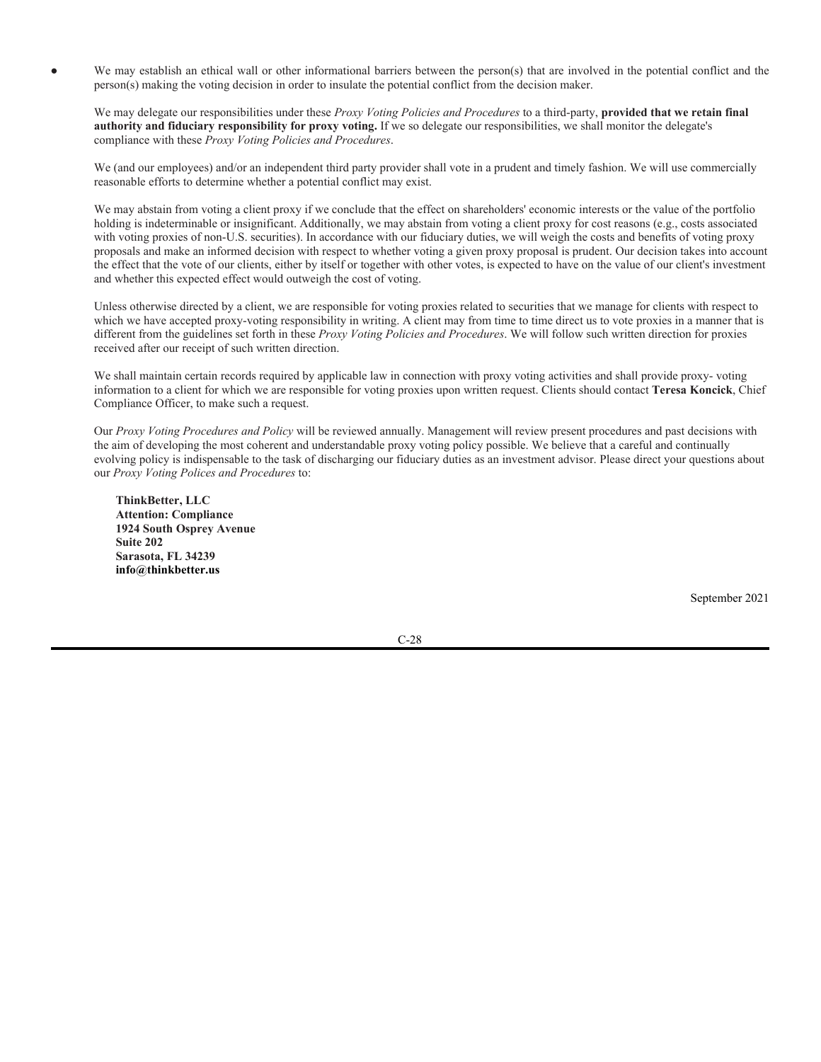# *Records Related to Proxy Voting*

Portfolio Managers directly managing assets for Newfleet shall maintain records relating to any proxy votes they have made for such period of time as is required to comply with applicable laws and regulations. The firm may rely on one or more third parties to make and retain such records such as ISS/RiskMetrics. All votes shall be in the best interests of the client whose portfolio holds the security being voted.

Newfleet will maintain the following records relating to proxy votes cast under these policies and procedures:

- 1) A copy of these policies and procedures;
- 2) A copy of each proxy statement the firm receives regarding client's securities; and
- 3) A record of each vote cast by the firm on behalf of a client.

A copy of each written client request for information on how the Newfleet voted proxies on behalf of the client, and a copy of any written response by the firm to any (written or oral) client request for information on how the firm voted proxies on behalf of the requesting client.

Newfleet will cause copies of the foregoing records, as they relate to particular clients, to be provided to those clients upon request except as may be required by law. It is generally the Newfleet's policy not to disclose its proxy voting records to third parties or special interest groups.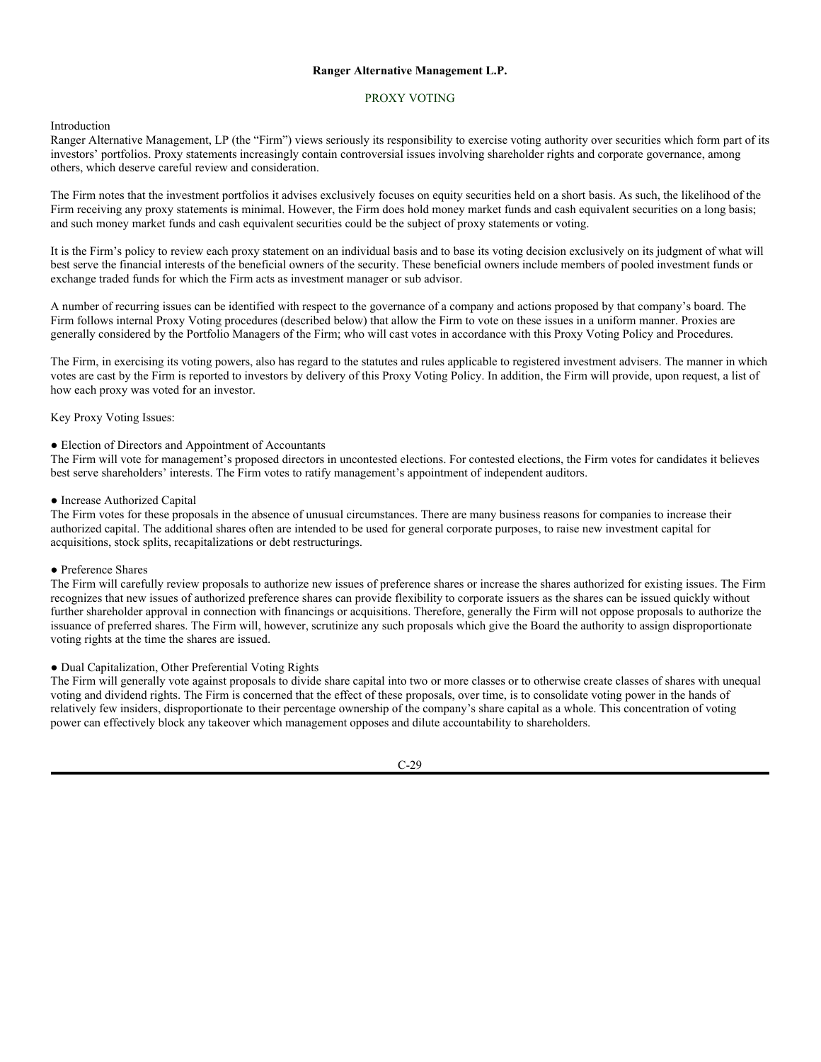# **ThinkBetter** PROXY VOTING POLICES AND PROCEDURES



**ThinkBetter, LLC ("ThinkBetter")** shall vote proxies related to securities held by our clients for which we serve as the investment adviser in the best interest of our clients. All references in these *Proxy Voting Policies and Procedures* are limited solely to clients for which we have agreed to vote such proxies. A client may reserve to itself the right to vote proxies.

**ThinkBetter's** authority to vote the proxies of certain clients is established by advisory contracts or comparable documents. In addition to requirements of the Securities and Exchange Commission ("SEC") governing advisers, these policies reflect our fiduciary standards and responsibilities for ERISA accounts.

The Investment Advisers Act of 1940, as amended (the "Advisers Act"), requires us to act solely in the best interest of our clients at all times. We have adopted and implemented these *Proxy Voting Policies and Procedures*, which we believe are reasonably designed to ensure that proxies are voted in the best interest of clients, in accordance with our fiduciary duties and Rule 206(4)-6 under the Advisers Act.

Reflecting a basic investment philosophy that good management is shareholder focused, proxy votes will generally be cast in support of management on routine corporate matters and in support of any management proposal that is plainly in the interest of all shareholders. Specifically, proxy votes generally will be cast in favor of proposals that:

- Maintain or strengthen the shared interests of stockholders and management;
- Increase shareholder value; and/or
- Maintain or increase shareholder rights generally.

Proxy votes will generally be cast against proposals having the opposite effect of the above. Where we perceive that a management proposal, if approved, would tend to limit or reduce the market value of the company's securities, we will generally vote against it. We believe that means for ensuring management accountability to shareholders, in the rare cases where it is threatened, must not be compromised.

We generally support shareholder rights and recapitalization measures undertaken unilaterally by boards of directors properly exercising their responsibilities and authori ty, unless we believe such measures could have the effect of reducing shareholder rights or potential shareholder value. In cases where shareholder proposals challenge such actions, our voting position will generally favor not interfering with the directors' proper function in the interest of all shareholders.

We believe that proposals addressing strictly social or political issues are immaterial to the goal of maximizing the return on funds under our management. We will gener-ally abstain from voting on such proposals, but will consider supporting proposals that seek to protect shareholder rights or minimize risks to shareholder value.

We review proxies to assess the extent, if any, to which there may be a material conflict between the interests of our clients on the one hand and our interests (including those of our affiliates, directors, officers, employees and other similar persons) on the other hand (a "potential conflict"). If a Portfolio Manager determines that a potential conflict may exist, it shall be reported to our management. Management shall determine whether a potential conflict exists and is authorized to resolve any such conflict in a manner that is in the collective best interests of our clients (excluding any client that may have a potential conflict). Without limiting the generality of the foregoing, management may resolve a potential conflict in any of the following manners:

- If the proposal that is the subject of the proposed conflict is specifically addressed in these *Proxy Voting Policies and Procedures*, we may vote the proxy in accordance with such pre-determined policies and guidelines, provided that such pre-determined policy involves little discretion on our part and increases shareholder value;
- We may engage an independent third-party to determine how the proxy should be voted; or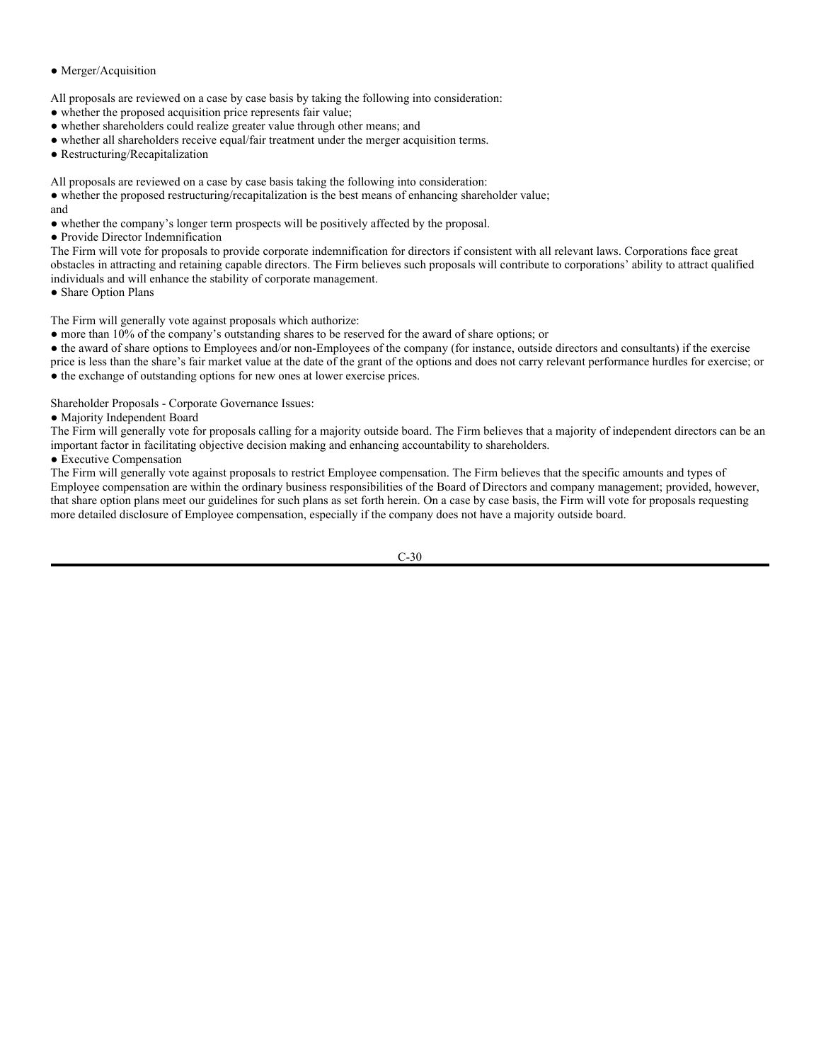We may establish an ethical wall or other informational barriers between the person(s) that are involved in the potential conflict and the person(s) making the voting decision in order to insulate the potential conflict from the decision maker.

We may delegate our responsibilities under these *Proxy Voting Policies and Procedures* to a third-party, **provided that we retain final authority and fiduciary responsibility for proxy voting.** If we so delegate our responsibilities, we shall monitor the delegate's compliance with these *Proxy Voting Policies and Procedures*.

We (and our employees) and/or an independent third party provider shall vote in a prudent and timely fashion. We will use commercially reasonable efforts to determine whether a potential conflict may exist.

We may abstain from voting a client proxy if we conclude that the effect on shareholders' economic interests or the value of the portfolio holding is indeterminable or insignificant. Additionally, we may abstain from voting a client proxy for cost reasons (e.g., costs associated with voting proxies of non-U.S. securities). In accordance with our fiduciary duties, we will weigh the costs and benefits of voting proxy proposals and make an informed decision with respect to whether voting a given proxy proposal is prudent. Our decision takes into account the effect that the vote of our clients, either by itself or together with other votes, is expected to have on the value of our client's investment and whether this expected effect would outweigh the cost of voting.

Unless otherwise directed by a client, we are responsible for voting proxies related to securities that we manage for clients with respect to which we have accepted proxy-voting responsibility in writing. A client may from time to time direct us to vote proxies in a manner that is different from the guidelines set forth in these *Proxy Voting Policies and Procedures*. We will follow such written direction for proxies received after our receipt of such written direction.

We shall maintain certain records required by applicable law in connection with proxy voting activities and shall provide proxy- voting information to a client for which we are responsible for voting proxies upon written request. Clients should contact **Teresa Koncick**, Chief Compliance Officer, to make such a request.

Our *Proxy Voting Procedures and Policy* will be reviewed annually. Management will review present procedures and past decisions with the aim of developing the most coherent and understandable proxy voting policy possible. We believe that a careful and continually evolving policy is indispensable to the task of discharging our fiduciary duties as an investment advisor. Please direct your questions about our *Proxy Voting Polices and Procedures* to:

**ThinkBetter, LLC Attention: Compliance 1924 South Osprey Avenue Suite 202 Sarasota, FL 34239 info@thinkbetter.us**

September 2021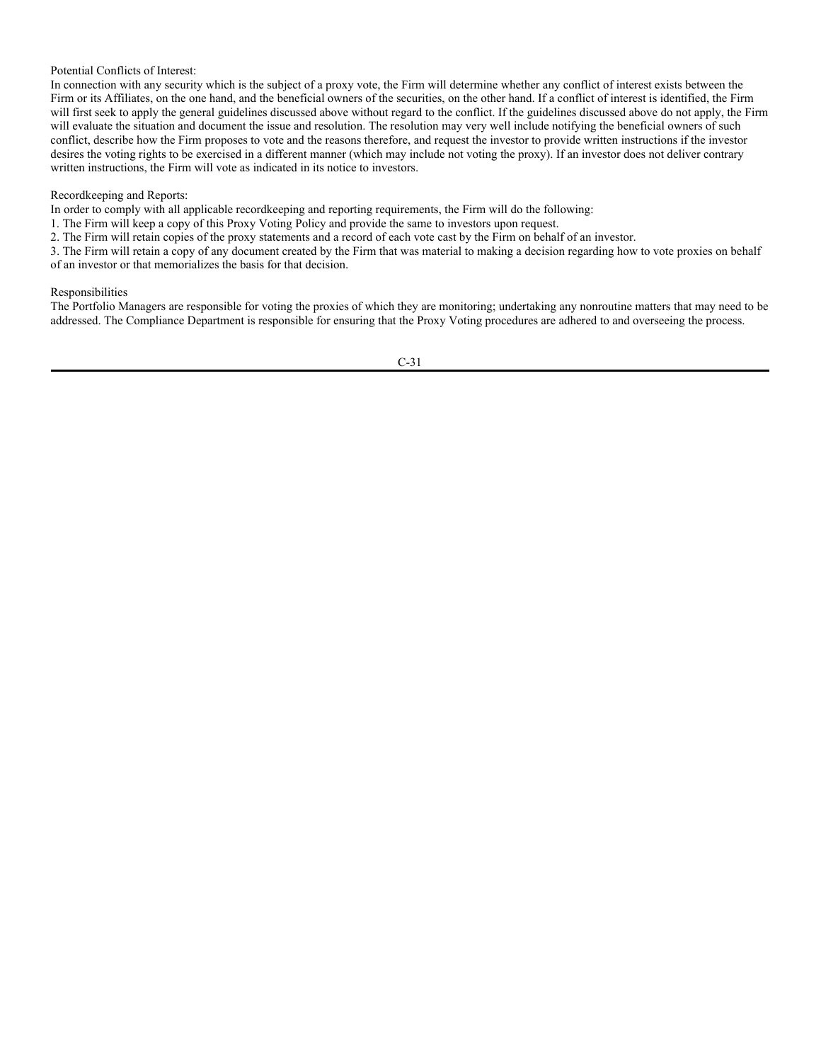#### **Ranger Alternative Management L.P.**

# PROXY VOTING

# Introduction

Ranger Alternative Management, LP (the "Firm") views seriously its responsibility to exercise voting authority over securities which form part of its investors' portfolios. Proxy statements increasingly contain controversial issues involving shareholder rights and corporate governance, among others, which deserve careful review and consideration.

The Firm notes that the investment portfolios it advises exclusively focuses on equity securities held on a short basis. As such, the likelihood of the Firm receiving any proxy statements is minimal. However, the Firm does hold money market funds and cash equivalent securities on a long basis; and such money market funds and cash equivalent securities could be the subject of proxy statements or voting.

It is the Firm's policy to review each proxy statement on an individual basis and to base its voting decision exclusively on its judgment of what will best serve the financial interests of the beneficial owners of the security. These beneficial owners include members of pooled investment funds or exchange traded funds for which the Firm acts as investment manager or sub advisor.

A number of recurring issues can be identified with respect to the governance of a company and actions proposed by that company's board. The Firm follows internal Proxy Voting procedures (described below) that allow the Firm to vote on these issues in a uniform manner. Proxies are generally considered by the Portfolio Managers of the Firm; who will cast votes in accordance with this Proxy Voting Policy and Procedures.

The Firm, in exercising its voting powers, also has regard to the statutes and rules applicable to registered investment advisers. The manner in which votes are cast by the Firm is reported to investors by delivery of this Proxy Voting Policy. In addition, the Firm will provide, upon request, a list of how each proxy was voted for an investor.

# Key Proxy Voting Issues:

# ● Election of Directors and Appointment of Accountants

The Firm will vote for management's proposed directors in uncontested elections. For contested elections, the Firm votes for candidates it believes best serve shareholders' interests. The Firm votes to ratify management's appointment of independent auditors.

#### ● Increase Authorized Capital

The Firm votes for these proposals in the absence of unusual circumstances. There are many business reasons for companies to increase their authorized capital. The additional shares often are intended to be used for general corporate purposes, to raise new investment capital for acquisitions, stock splits, recapitalizations or debt restructurings.

#### ● Preference Shares

The Firm will carefully review proposals to authorize new issues of preference shares or increase the shares authorized for existing issues. The Firm recognizes that new issues of authorized preference shares can provide flexibility to corporate issuers as the shares can be issued quickly without further shareholder approval in connection with financings or acquisitions. Therefore, generally the Firm will not oppose proposals to authorize the issuance of preferred shares. The Firm will, however, scrutinize any such proposals which give the Board the authority to assign disproportionate voting rights at the time the shares are issued.

#### ● Dual Capitalization, Other Preferential Voting Rights

The Firm will generally vote against proposals to divide share capital into two or more classes or to otherwise create classes of shares with unequal voting and dividend rights. The Firm is concerned that the effect of these proposals, over time, is to consolidate voting power in the hands of relatively few insiders, disproportionate to their percentage ownership of the company's share capital as a whole. This concentration of voting power can effectively block any takeover which management opposes and dilute accountability to shareholders.

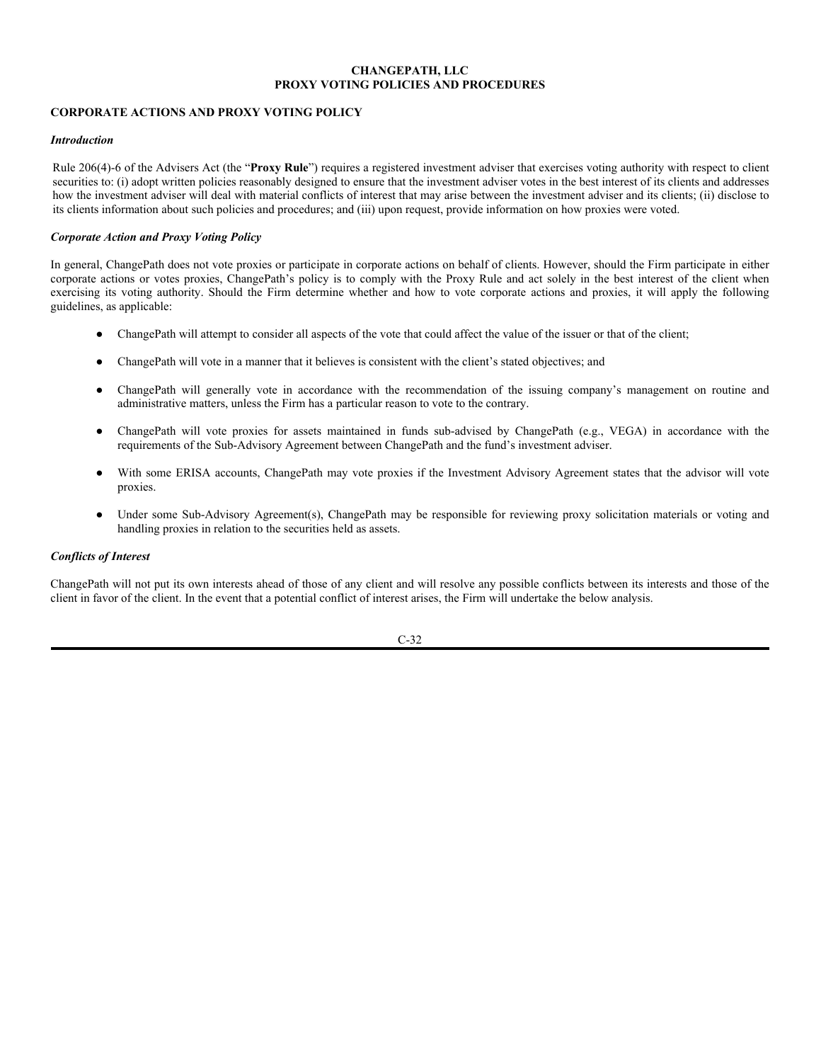● Merger/Acquisition

All proposals are reviewed on a case by case basis by taking the following into consideration:

- whether the proposed acquisition price represents fair value;
- whether shareholders could realize greater value through other means; and
- whether all shareholders receive equal/fair treatment under the merger acquisition terms.
- Restructuring/Recapitalization

All proposals are reviewed on a case by case basis taking the following into consideration:

• whether the proposed restructuring/recapitalization is the best means of enhancing shareholder value; and

- whether the company's longer term prospects will be positively affected by the proposal.
- Provide Director Indemnification

The Firm will vote for proposals to provide corporate indemnification for directors if consistent with all relevant laws. Corporations face great obstacles in attracting and retaining capable directors. The Firm believes such proposals will contribute to corporations' ability to attract qualified individuals and will enhance the stability of corporate management.

• Share Option Plans

The Firm will generally vote against proposals which authorize:

● more than 10% of the company's outstanding shares to be reserved for the award of share options; or

● the award of share options to Employees and/or non-Employees of the company (for instance, outside directors and consultants) if the exercise price is less than the share's fair market value at the date of the grant of the options and does not carry relevant performance hurdles for exercise; or ● the exchange of outstanding options for new ones at lower exercise prices.

Shareholder Proposals - Corporate Governance Issues:

● Majority Independent Board

The Firm will generally vote for proposals calling for a majority outside board. The Firm believes that a majority of independent directors can be an important factor in facilitating objective decision making and enhancing accountability to shareholders.

● Executive Compensation

The Firm will generally vote against proposals to restrict Employee compensation. The Firm believes that the specific amounts and types of Employee compensation are within the ordinary business responsibilities of the Board of Directors and company management; provided, however, that share option plans meet our guidelines for such plans as set forth herein. On a case by case basis, the Firm will vote for proposals requesting more detailed disclosure of Employee compensation, especially if the company does not have a majority outside board.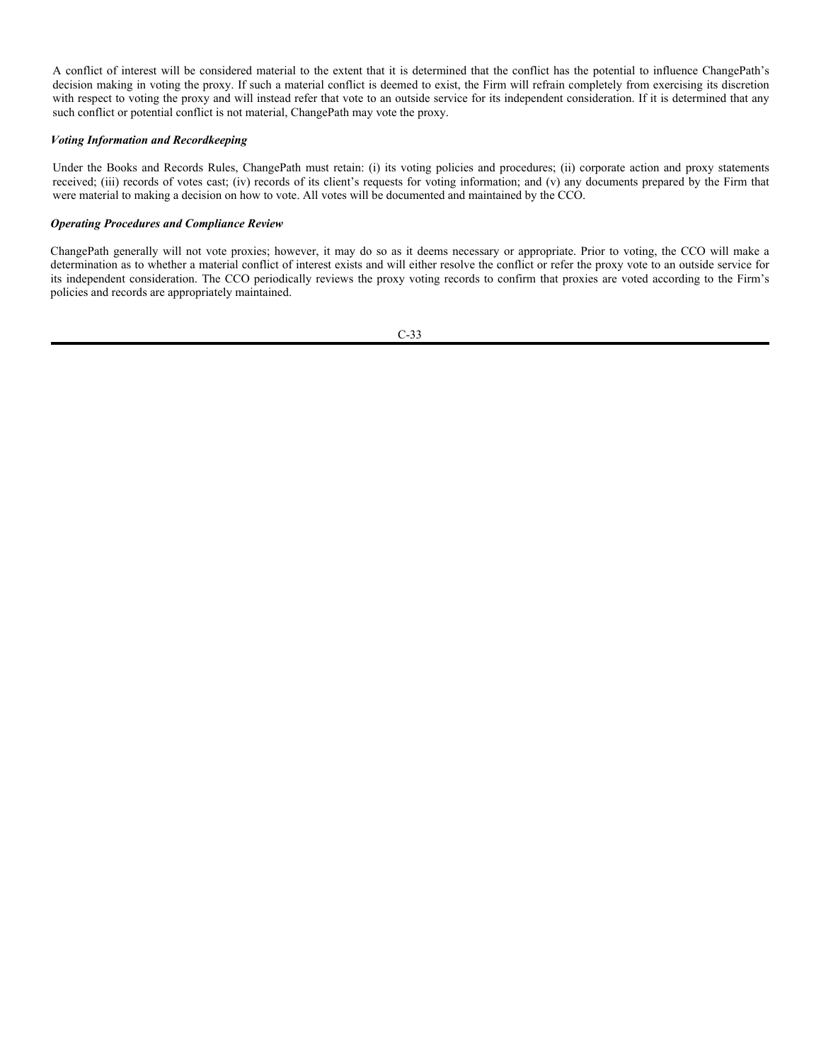# Potential Conflicts of Interest:

In connection with any security which is the subject of a proxy vote, the Firm will determine whether any conflict of interest exists between the Firm or its Affiliates, on the one hand, and the beneficial owners of the securities, on the other hand. If a conflict of interest is identified, the Firm will first seek to apply the general guidelines discussed above without regard to the conflict. If the guidelines discussed above do not apply, the Firm will evaluate the situation and document the issue and resolution. The resolution may very well include notifying the beneficial owners of such conflict, describe how the Firm proposes to vote and the reasons therefore, and request the investor to provide written instructions if the investor desires the voting rights to be exercised in a different manner (which may include not voting the proxy). If an investor does not deliver contrary written instructions, the Firm will vote as indicated in its notice to investors.

#### Recordkeeping and Reports:

In order to comply with all applicable recordkeeping and reporting requirements, the Firm will do the following:

- 1. The Firm will keep a copy of this Proxy Voting Policy and provide the same to investors upon request.
- 2. The Firm will retain copies of the proxy statements and a record of each vote cast by the Firm on behalf of an investor.

3. The Firm will retain a copy of any document created by the Firm that was material to making a decision regarding how to vote proxies on behalf of an investor or that memorializes the basis for that decision.

# Responsibilities

The Portfolio Managers are responsible for voting the proxies of which they are monitoring; undertaking any nonroutine matters that may need to be addressed. The Compliance Department is responsible for ensuring that the Proxy Voting procedures are adhered to and overseeing the process.